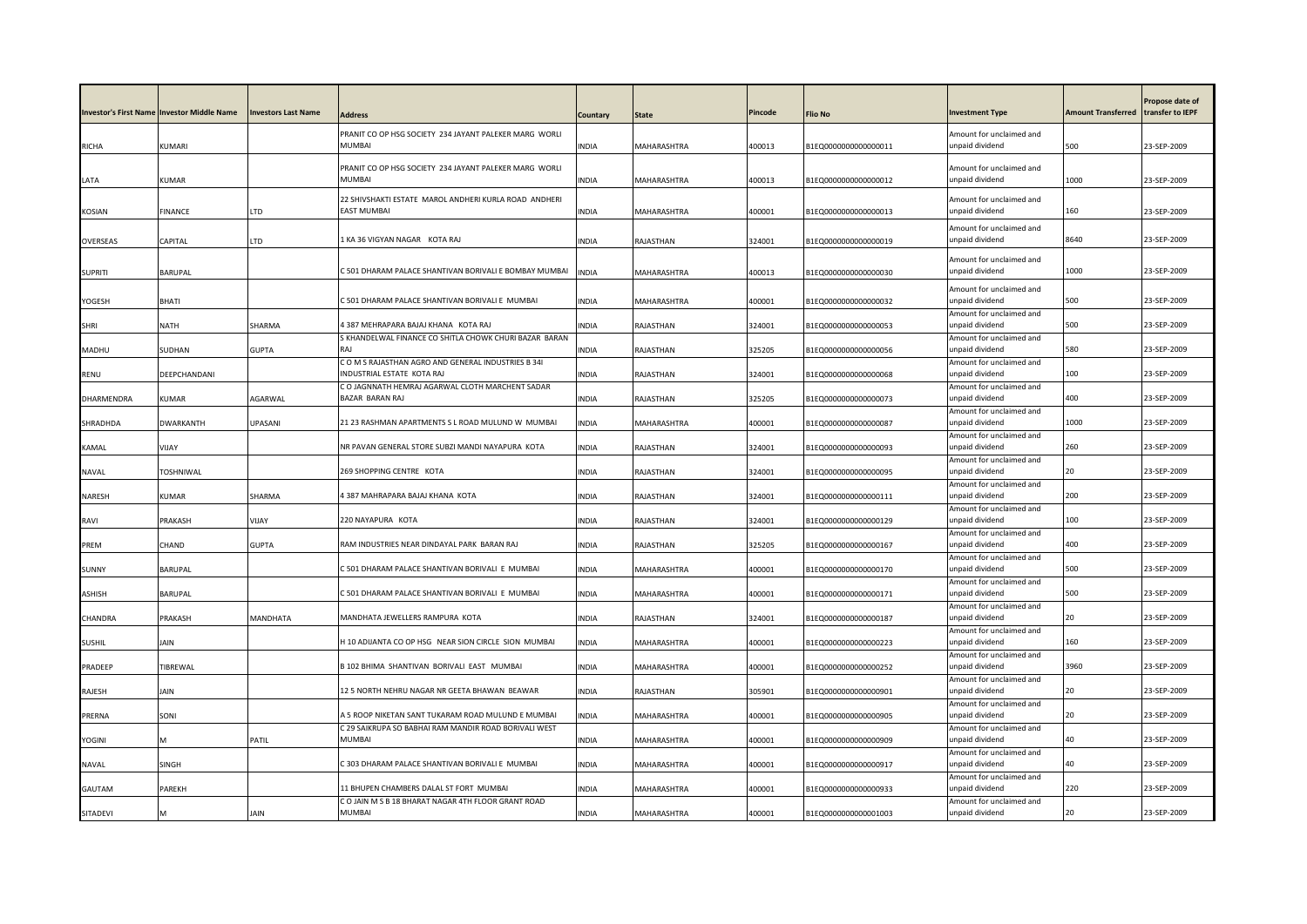|                | Investor's First Name Investor Middle Name | <b>Investors Last Name</b> | Address                                                                 | Countarv     | <b>State</b>       | Pincode | <b>Flio No</b>       | <b>Investment Type</b>                      | <b>Amount Transferred</b> | Propose date of<br>transfer to IEPF |
|----------------|--------------------------------------------|----------------------------|-------------------------------------------------------------------------|--------------|--------------------|---------|----------------------|---------------------------------------------|---------------------------|-------------------------------------|
|                |                                            |                            |                                                                         |              |                    |         |                      |                                             |                           |                                     |
| <b>RICHA</b>   | KUMARI                                     |                            | PRANIT CO OP HSG SOCIETY 234 JAYANT PALEKER MARG WORLI<br><b>MUMBAI</b> | INDIA        | MAHARASHTRA        | 400013  | B1EQ0000000000000011 | Amount for unclaimed and<br>unpaid dividend | 500                       | 23-SEP-2009                         |
|                |                                            |                            |                                                                         |              |                    |         |                      |                                             |                           |                                     |
|                |                                            |                            | PRANIT CO OP HSG SOCIETY 234 JAYANT PALEKER MARG WORLI                  |              |                    |         |                      | Amount for unclaimed and                    |                           |                                     |
| LATA           | <b>UMAR</b>                                |                            | MUMBAI                                                                  | INDIA        | MAHARASHTRA        | 400013  | B1EQ0000000000000012 | unpaid dividend                             | 1000                      | 23-SEP-2009                         |
|                |                                            |                            | 22 SHIVSHAKTI ESTATE MAROL ANDHERI KURLA ROAD ANDHERI                   |              |                    |         |                      | Amount for unclaimed and                    |                           |                                     |
| KOSIAN         | FINANCE                                    | LTD                        | <b>EAST MUMBAI</b>                                                      | INDIA        | MAHARASHTRA        | 400001  | B1EQ0000000000000013 | unpaid dividend                             | 160                       | 23-SEP-2009                         |
|                |                                            |                            |                                                                         |              |                    |         |                      | Amount for unclaimed and                    |                           |                                     |
| OVERSEAS       | CAPITAL                                    | LTD                        | 1 KA 36 VIGYAN NAGAR KOTA RAJ                                           | <b>INDIA</b> | RAJASTHAN          | 324001  | B1EQ0000000000000019 | unpaid dividend                             | 8640                      | 23-SEP-2009                         |
|                |                                            |                            |                                                                         |              |                    |         |                      | Amount for unclaimed and                    |                           |                                     |
| <b>SUPRITI</b> | BARUPAL                                    |                            | C 501 DHARAM PALACE SHANTIVAN BORIVALI E BOMBAY MUMBAI                  | <b>INDIA</b> | MAHARASHTRA        | 400013  | B1EQ0000000000000030 | unpaid dividend                             | 1000                      | 23-SEP-2009                         |
|                |                                            |                            |                                                                         |              |                    |         |                      | Amount for unclaimed and                    |                           |                                     |
| YOGESH         | BHATI                                      |                            | C 501 DHARAM PALACE SHANTIVAN BORIVALI E MUMBAI                         | <b>NDIA</b>  | MAHARASHTRA        | 400001  | B1EQ0000000000000032 | unpaid dividend                             | 500                       | 23-SEP-2009                         |
| <b>SHRI</b>    | <b>NATH</b>                                | SHARMA                     | 4 387 MEHRAPARA BAJAJ KHANA KOTA RAJ                                    | <b>INDIA</b> | RAJASTHAN          | 324001  | B1EQ0000000000000053 | Amount for unclaimed and<br>unpaid dividend | 500                       | 23-SEP-2009                         |
|                |                                            |                            | S KHANDELWAL FINANCE CO SHITLA CHOWK CHURI BAZAR BARAN                  |              |                    |         |                      | Amount for unclaimed and                    |                           |                                     |
| MADHU          | SUDHAN                                     | <b>GUPTA</b>               | RAI                                                                     | INDIA        | RAJASTHAN          | 325205  | B1EQ0000000000000056 | unpaid dividend                             | 580                       | 23-SEP-2009                         |
|                |                                            |                            | COMS RAJASTHAN AGRO AND GENERAL INDUSTRIES B 341                        |              |                    |         |                      | Amount for unclaimed and                    |                           |                                     |
| RENU           | DEEPCHANDANI                               |                            | INDUSTRIAL ESTATE KOTA RAJ                                              | INDIA        | RAJASTHAN          | 324001  | B1EQ0000000000000068 | unpaid dividend                             | 100                       | 23-SEP-2009                         |
| DHARMENDRA     | KUMAR                                      | AGARWAL                    | C O JAGNNATH HEMRAJ AGARWAL CLOTH MARCHENT SADAR<br>BAZAR BARAN RAJ     | INDIA        | RAJASTHAN          | 325205  | B1EQ0000000000000073 | Amount for unclaimed and<br>unpaid dividend | 400                       | 23-SEP-2009                         |
|                |                                            |                            |                                                                         |              |                    |         |                      | Amount for unclaimed and                    |                           |                                     |
| SHRADHDA       | <b>DWARKANTH</b>                           | UPASANI                    | 21 23 RASHMAN APARTMENTS S L ROAD MULUND W MUMBAI                       | <b>INDIA</b> | MAHARASHTRA        | 400001  | B1EQ0000000000000087 | unpaid dividend                             | 1000                      | 23-SEP-2009                         |
|                |                                            |                            |                                                                         |              |                    |         |                      | Amount for unclaimed and                    |                           |                                     |
| KAMAL          | VIIAY                                      |                            | NR PAVAN GENERAL STORE SUBZI MANDI NAYAPURA KOTA                        | <b>INDIA</b> | RAJASTHAN          | 324001  | B1EQ0000000000000093 | unpaid dividend                             | 260                       | 23-SEP-2009                         |
| <b>NAVAL</b>   | <b>TOSHNIWAL</b>                           |                            | 269 SHOPPING CENTRE KOTA                                                | <b>NDIA</b>  | RAJASTHAN          | 324001  | B1EQ0000000000000095 | Amount for unclaimed and<br>unpaid dividend | 20                        | 23-SEP-2009                         |
|                |                                            |                            |                                                                         |              |                    |         |                      | Amount for unclaimed and                    |                           |                                     |
| <b>NARESH</b>  | KUMAR                                      | SHARMA                     | 4 387 MAHRAPARA BAJAJ KHANA KOTA                                        | <b>INDIA</b> | RAJASTHAN          | 324001  | B1EQ0000000000000111 | inpaid dividend                             | 200                       | 23-SEP-2009                         |
|                |                                            |                            |                                                                         |              |                    |         |                      | Amount for unclaimed and                    |                           |                                     |
| RAVI           | PRAKASH                                    | VIJAY                      | 220 NAYAPURA KOTA                                                       | <b>INDIA</b> | RAJASTHAN          | 324001  | B1EQ0000000000000129 | unpaid dividend                             | 100                       | 23-SEP-2009                         |
| PREM           | CHAND                                      | <b>GUPTA</b>               | RAM INDUSTRIES NEAR DINDAYAL PARK BARAN RAJ                             | <b>INDIA</b> | RAJASTHAN          | 325205  | B1EQ0000000000000167 | Amount for unclaimed and<br>unpaid dividend | 400                       | 23-SEP-2009                         |
|                |                                            |                            |                                                                         |              |                    |         |                      | Amount for unclaimed and                    |                           |                                     |
| SUNNY          | BARUPAL                                    |                            | C 501 DHARAM PALACE SHANTIVAN BORIVALI E MUMBAI                         | <b>INDIA</b> | MAHARASHTRA        | 400001  | B1EQ0000000000000170 | unpaid dividend                             | 500                       | 23-SEP-2009                         |
|                |                                            |                            |                                                                         |              |                    |         |                      | Amount for unclaimed and                    |                           |                                     |
| <b>ASHISH</b>  | BARUPAL                                    |                            | C 501 DHARAM PALACE SHANTIVAN BORIVALI E MUMBAI                         | <b>INDIA</b> | MAHARASHTRA        | 400001  | B1EQ0000000000000171 | unpaid dividend<br>Amount for unclaimed and | 500                       | 23-SEP-2009                         |
| CHANDRA        | PRAKASH                                    | MANDHATA                   | MANDHATA JEWELLERS RAMPURA KOTA                                         | INDIA        | RAJASTHAN          | 324001  | B1EQ0000000000000187 | unpaid dividend                             | 20                        | 23-SEP-2009                         |
|                |                                            |                            |                                                                         |              |                    |         |                      | Amount for unclaimed and                    |                           |                                     |
| <b>SUSHIL</b>  | Jain                                       |                            | H 10 ADIJANTA CO OP HSG NEAR SION CIRCLE SION MUMBAI                    | INDIA        | MAHARASHTRA        | 400001  | B1EQ0000000000000223 | unpaid dividend                             | 160                       | 23-SEP-2009                         |
|                |                                            |                            | B 102 BHIMA SHANTIVAN BORIVALI EAST MUMBAI                              |              |                    |         |                      | Amount for unclaimed and<br>unpaid dividend | 3960                      | 23-SEP-2009                         |
| PRADEEP        | TIBREWAL                                   |                            |                                                                         | <b>INDIA</b> | MAHARASHTRA        | 400001  | B1EQ0000000000000252 | Amount for unclaimed and                    |                           |                                     |
| RAJESH         | IAIN                                       |                            | 12 5 NORTH NEHRU NAGAR NR GEETA BHAWAN BEAWAR                           | INDIA        | RAJASTHAN          | 305901  | B1EQ0000000000000901 | unpaid dividend                             | 20                        | 23-SEP-2009                         |
|                |                                            |                            |                                                                         |              |                    |         |                      | Amount for unclaimed and                    |                           |                                     |
| PRERNA         | SONI                                       |                            | A 5 ROOP NIKETAN SANT TUKARAM ROAD MULUND E MUMBAI                      | <b>INDIA</b> | <b>MAHARASHTRA</b> | 400001  | B1EQ0000000000000905 | unpaid dividend                             | 20                        | 23-SEP-2009                         |
| YOGINI         | M                                          | PATIL                      | C 29 SAIKRUPA SO BABHAI RAM MANDIR ROAD BORIVALI WEST<br>MUMBAI         | INDIA        | MAHARASHTRA        | 400001  | B1EQ0000000000000909 | Amount for unclaimed and<br>unpaid dividend | 40                        | 23-SEP-2009                         |
|                |                                            |                            |                                                                         |              |                    |         |                      | Amount for unclaimed and                    |                           |                                     |
| <b>NAVAL</b>   | SINGH                                      |                            | C 303 DHARAM PALACE SHANTIVAN BORIVALI E MUMBAI                         | INDIA        | MAHARASHTRA        | 400001  | B1EQ0000000000000917 | unpaid dividend                             | 40                        | 23-SEP-2009                         |
|                |                                            |                            |                                                                         |              |                    |         |                      | Amount for unclaimed and                    |                           |                                     |
| GAUTAM         | PAREKH                                     |                            | 11 BHUPEN CHAMBERS DALAL ST FORT MUMBAI                                 | INDIA        | MAHARASHTRA        | 400001  | B1EQ0000000000000933 | unpaid dividend                             | 220                       | 23-SEP-2009                         |
| SITADEVI       |                                            | JAIN                       | C O JAIN M S B 18 BHARAT NAGAR 4TH FLOOR GRANT ROAD<br><b>MUMBAI</b>    | <b>INDIA</b> | MAHARASHTRA        | 400001  | B1EQ0000000000001003 | Amount for unclaimed and<br>unpaid dividend | 20                        | 23-SEP-2009                         |
|                |                                            |                            |                                                                         |              |                    |         |                      |                                             |                           |                                     |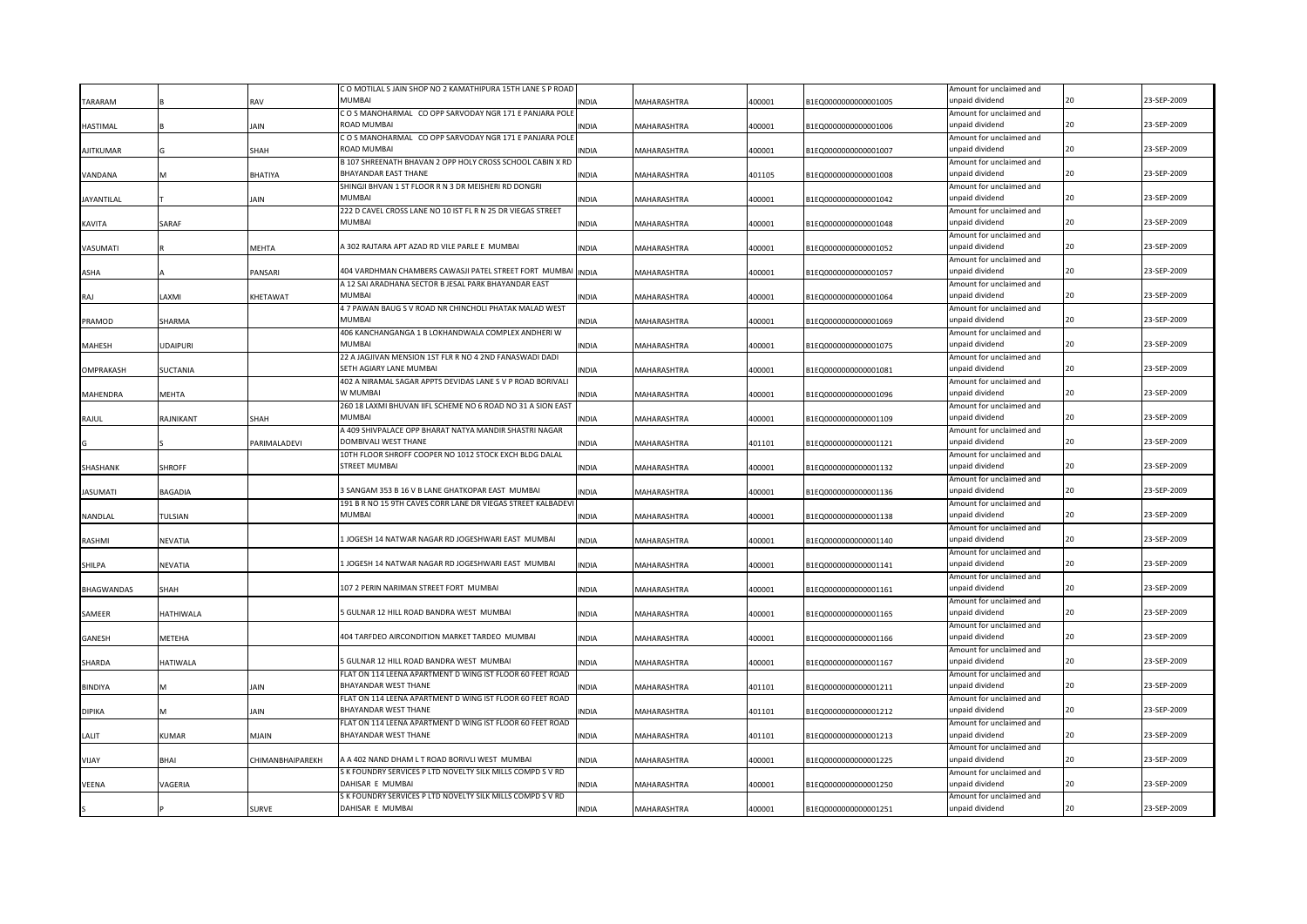|                   |                 |                  | C O MOTILAL S JAIN SHOP NO 2 KAMATHIPURA 15TH LANE S P ROAD |              |                    |        |                      | Amount for unclaimed and                    |    |             |
|-------------------|-----------------|------------------|-------------------------------------------------------------|--------------|--------------------|--------|----------------------|---------------------------------------------|----|-------------|
| TARARAM           |                 | RAV              | MUMRAI                                                      | <b>INDIA</b> | MAHARASHTRA        | 400001 | B1EQ0000000000001005 | unpaid dividend                             |    | 23-SEP-2009 |
|                   |                 |                  | COS MANOHARMAL CO OPP SARVODAY NGR 171 E PANJARA POLE       |              |                    |        |                      | Amount for unclaimed and                    |    |             |
| <b>HASTIMAL</b>   |                 | JAIN             | ROAD MUMBAI                                                 | <b>INDIA</b> | MAHARASHTRA        | 400001 | B1EQ0000000000001006 | unpaid dividend                             | 20 | 23-SEP-2009 |
|                   |                 |                  | COS MANOHARMAL CO OPP SARVODAY NGR 171 E PANJARA POLE       |              |                    |        |                      | Amount for unclaimed and                    |    |             |
| <b>AJITKUMAR</b>  |                 | SHAH             | ROAD MUMBAI                                                 | <b>INDIA</b> | MAHARASHTRA        | 400001 | B1EQ0000000000001007 | unpaid dividend                             |    | 23-SEP-2009 |
|                   |                 |                  | B 107 SHREENATH BHAVAN 2 OPP HOLY CROSS SCHOOL CABIN X RD   |              |                    |        |                      | Amount for unclaimed and                    |    |             |
| VANDANA           |                 | BHATIYA          | BHAYANDAR EAST THANE                                        | <b>INDIA</b> | MAHARASHTRA        | 401105 | B1EQ0000000000001008 | unpaid dividend                             | 20 | 23-SEP-2009 |
|                   |                 |                  | SHINGJI BHVAN 1 ST FLOOR R N 3 DR MEISHERI RD DONGRI        |              |                    |        |                      | Amount for unclaimed and                    |    |             |
| <b>JAYANTILAL</b> |                 | JAIN             | MUMBAI                                                      | INDIA        | MAHARASHTRA        | 400001 | B1EQ0000000000001042 | unpaid dividend                             |    | 23-SEP-2009 |
|                   |                 |                  | 222 D CAVEL CROSS LANE NO 10 IST FL R N 25 DR VIEGAS STREET |              |                    |        |                      | Amount for unclaimed and                    |    |             |
| KAVITA            | SARAF           |                  | MUMBAI                                                      | INDIA        | MAHARASHTRA        | 400001 | B1EQ0000000000001048 | unpaid dividend                             |    | 23-SEP-2009 |
|                   |                 |                  |                                                             |              |                    |        |                      | Amount for unclaimed and                    |    |             |
| VASUMATI          |                 | MEHTA            | A 302 RAJTARA APT AZAD RD VILE PARLE E MUMBAI               | <b>INDIA</b> | MAHARASHTRA        | 400001 | B1EQ0000000000001052 | unpaid dividend                             |    | 23-SEP-2009 |
|                   |                 |                  |                                                             |              |                    |        |                      | Amount for unclaimed and                    |    |             |
| <b>ASHA</b>       |                 | PANSARI          | 404 VARDHMAN CHAMBERS CAWASJI PATEL STREET FORT MUMBAI      | <b>INDIA</b> | MAHARASHTRA        | 400001 | B1EQ0000000000001057 | unpaid dividend                             | 20 | 23-SEP-2009 |
|                   |                 |                  | A 12 SAI ARADHANA SECTOR B JESAL PARK BHAYANDAR EAST        |              |                    |        |                      | Amount for unclaimed and                    |    |             |
| RAJ               | <b>IMXA</b>     | KHETAWAT         | <b>MUMBAI</b>                                               | INDIA        | MAHARASHTRA        | 400001 | B1EQ0000000000001064 | unpaid dividend                             |    | 23-SEP-2009 |
|                   |                 |                  | 4 7 PAWAN BAUG S V ROAD NR CHINCHOLI PHATAK MALAD WEST      |              |                    |        |                      | Amount for unclaimed and                    |    |             |
| PRAMOD            | SHARMA          |                  | <b>MUMBAI</b>                                               | <b>INDIA</b> | MAHARASHTRA        | 400001 | B1EQ0000000000001069 | unpaid dividend                             |    | 23-SEP-2009 |
|                   |                 |                  | 406 KANCHANGANGA 1 B LOKHANDWALA COMPLEX ANDHERI W          |              |                    |        |                      | Amount for unclaimed and                    |    |             |
| <b>MAHESH</b>     | <b>UDAIPURI</b> |                  | <b>MUMBAI</b>                                               | <b>INDIA</b> | <b>MAHARASHTRA</b> | 400001 | B1EQ0000000000001075 | unpaid dividend                             | 20 | 23-SEP-2009 |
|                   |                 |                  | 22 A JAGJIVAN MENSION 1ST FLR R NO 4 2ND FANASWADI DADI     |              |                    |        |                      | Amount for unclaimed and                    |    |             |
| OMPRAKASH         | SUCTANIA        |                  | SETH AGIARY LANE MUMBAI                                     | <b>INDIA</b> | MAHARASHTRA        | 400001 | B1EQ0000000000001081 | unpaid dividend                             | 20 | 23-SEP-2009 |
|                   |                 |                  | 402 A NIRAMAL SAGAR APPTS DEVIDAS LANE S V P ROAD BORIVALI  |              |                    |        |                      |                                             |    |             |
| <b>MAHENDRA</b>   | MEHTA           |                  | W MUMBAI                                                    | <b>INDIA</b> | MAHARASHTRA        | 400001 | B1EQ0000000000001096 | Amount for unclaimed and<br>unpaid dividend | 20 | 23-SEP-2009 |
|                   |                 |                  | 260 18 LAXMI BHUVAN IIFL SCHEME NO 6 ROAD NO 31 A SION EAST |              |                    |        |                      |                                             |    |             |
|                   |                 |                  | MUMBAI                                                      |              |                    |        |                      | Amount for unclaimed and                    | 20 | 23-SEP-2009 |
| RAJUL             | RAJNIKANT       | SHAH             |                                                             | <b>INDIA</b> | MAHARASHTRA        | 400001 | B1EQ0000000000001109 | unpaid dividend                             |    |             |
|                   |                 |                  | A 409 SHIVPALACE OPP BHARAT NATYA MANDIR SHASTRI NAGAR      |              |                    |        |                      | Amount for unclaimed and                    |    |             |
|                   |                 | PARIMALADEVI     | DOMBIVALI WEST THANE                                        | <b>INDIA</b> | MAHARASHTRA        | 401101 | B1EQ0000000000001121 | unpaid dividend                             |    | 23-SEP-2009 |
|                   |                 |                  | 10TH FLOOR SHROFF COOPER NO 1012 STOCK EXCH BLDG DALAL      |              |                    |        |                      | Amount for unclaimed and                    | 20 |             |
| SHASHANK          | SHROFF          |                  | <b>STREET MUMBAI</b>                                        | <b>INDIA</b> | MAHARASHTRA        | 400001 | B1EQ0000000000001132 | unpaid dividend                             |    | 23-SEP-2009 |
|                   |                 |                  |                                                             |              |                    |        |                      | Amount for unclaimed and                    |    |             |
| <b>JASUMATI</b>   | BAGADIA         |                  | 3 SANGAM 353 B 16 V B LANE GHATKOPAR EAST MUMBAI            | <b>INDIA</b> | MAHARASHTRA        | 400001 | B1EQ0000000000001136 | unpaid dividend                             |    | 23-SEP-2009 |
|                   |                 |                  | 191 B R NO 15 9TH CAVES CORR LANE DR VIEGAS STREET KALBADEV |              |                    |        |                      | Amount for unclaimed and                    |    |             |
| NANDLAL           | TULSIAN         |                  | <b>MUMBAI</b>                                               | <b>INDIA</b> | MAHARASHTRA        | 400001 | B1EQ0000000000001138 | unpaid dividend                             |    | 23-SEP-2009 |
|                   |                 |                  |                                                             |              |                    |        |                      | Amount for unclaimed and                    |    |             |
| RASHMI            | NEVATIA         |                  | LJOGESH 14 NATWAR NAGAR RD JOGESHWARI EAST MUMBAI           | <b>INDIA</b> | MAHARASHTRA        | 400001 | B1EQ0000000000001140 | unpaid dividend                             | 20 | 23-SEP-2009 |
|                   |                 |                  |                                                             |              |                    |        |                      | Amount for unclaimed and                    |    |             |
| SHILPA            | NEVATIA         |                  | JOGESH 14 NATWAR NAGAR RD JOGESHWARI EAST MUMBAI            | <b>INDIA</b> | MAHARASHTRA        | 400001 | B1EQ0000000000001141 | unpaid dividend                             |    | 23-SEP-2009 |
|                   |                 |                  |                                                             |              |                    |        |                      | Amount for unclaimed and                    |    |             |
| <b>BHAGWANDAS</b> | SHAH            |                  | 107 2 PERIN NARIMAN STREET FORT MUMBAI                      | <b>INDIA</b> | MAHARASHTRA        | 400001 | B1EQ0000000000001161 | unpaid dividend                             |    | 23-SEP-2009 |
|                   |                 |                  |                                                             |              |                    |        |                      | Amount for unclaimed and                    |    |             |
| SAMEER            | HATHIWALA       |                  | 5 GULNAR 12 HILL ROAD BANDRA WEST MUMBAI                    | <b>INDIA</b> | MAHARASHTRA        | 400001 | B1EQ0000000000001165 | unpaid dividend                             |    | 23-SEP-2009 |
|                   |                 |                  |                                                             |              |                    |        |                      | Amount for unclaimed and                    |    |             |
| GANESH            | METEHA          |                  | 404 TARFDEO AIRCONDITION MARKET TARDEO MUMBAI               | <b>INDIA</b> | MAHARASHTRA        | 400001 | B1EQ0000000000001166 | unpaid dividend                             |    | 23-SEP-2009 |
|                   |                 |                  |                                                             |              |                    |        |                      | Amount for unclaimed and                    |    |             |
| SHARDA            | HATIWALA        |                  | 5 GULNAR 12 HILL ROAD BANDRA WEST MUMBAI                    | INDIA        | MAHARASHTRA        | 400001 | B1EQ0000000000001167 | unpaid dividend                             |    | 23-SEP-2009 |
|                   |                 |                  | FLAT ON 114 LEENA APARTMENT D WING IST FLOOR 60 FEET ROAD   |              |                    |        |                      | Amount for unclaimed and                    |    |             |
| <b>BINDIYA</b>    |                 | JAIN             | BHAYANDAR WEST THANE                                        | INDIA        | MAHARASHTRA        | 401101 | B1EQ0000000000001211 | unpaid dividend                             |    | 23-SEP-2009 |
|                   |                 |                  | FLAT ON 114 LEENA APARTMENT D WING IST FLOOR 60 FEET ROAD   |              |                    |        |                      | Amount for unclaimed and                    |    |             |
| DIPIKA            |                 | AIN              | BHAYANDAR WEST THANE                                        | INDIA        | MAHARASHTRA        | 401101 | B1EQ0000000000001212 | unpaid dividend                             |    | 23-SEP-2009 |
|                   |                 |                  | FLAT ON 114 LEENA APARTMENT D WING IST FLOOR 60 FEET ROAD   |              |                    |        |                      | Amount for unclaimed and                    |    |             |
| LALIT             | KUMAR           | MJAIN            | BHAYANDAR WEST THANE                                        | <b>INDIA</b> | MAHARASHTRA        | 401101 | B1EQ0000000000001213 | unpaid dividend                             |    | 23-SEP-2009 |
|                   |                 |                  |                                                             |              |                    |        |                      | Amount for unclaimed and                    |    |             |
| <b>YAUV</b>       | <b>BHAI</b>     | CHIMANBHAIPAREKH | A A 402 NAND DHAM LT ROAD BORIVLI WEST MUMBAI               | <b>NDIA</b>  | MAHARASHTRA        | 400001 | B1EQ0000000000001225 | unpaid dividend                             |    | 23-SEP-2009 |
|                   |                 |                  | S K FOUNDRY SERVICES P LTD NOVELTY SILK MILLS COMPD S V RD  |              |                    |        |                      | Amount for unclaimed and                    |    |             |
| VEENA             | VAGERIA         |                  | DAHISAR E MUMBAI                                            | <b>INDIA</b> | MAHARASHTRA        | 400001 | B1EQ0000000000001250 | unpaid dividend                             |    | 23-SEP-2009 |
|                   |                 |                  | S K FOUNDRY SERVICES P LTD NOVELTY SILK MILLS COMPD S V RD  |              |                    |        |                      | Amount for unclaimed and                    |    |             |
|                   |                 | SURVE            | DAHISAR E MUMBAI                                            | <b>INDIA</b> | MAHARASHTRA        | 400001 | B1EQ0000000000001251 | unpaid dividend                             |    | 23-SEP-2009 |
|                   |                 |                  |                                                             |              |                    |        |                      |                                             |    |             |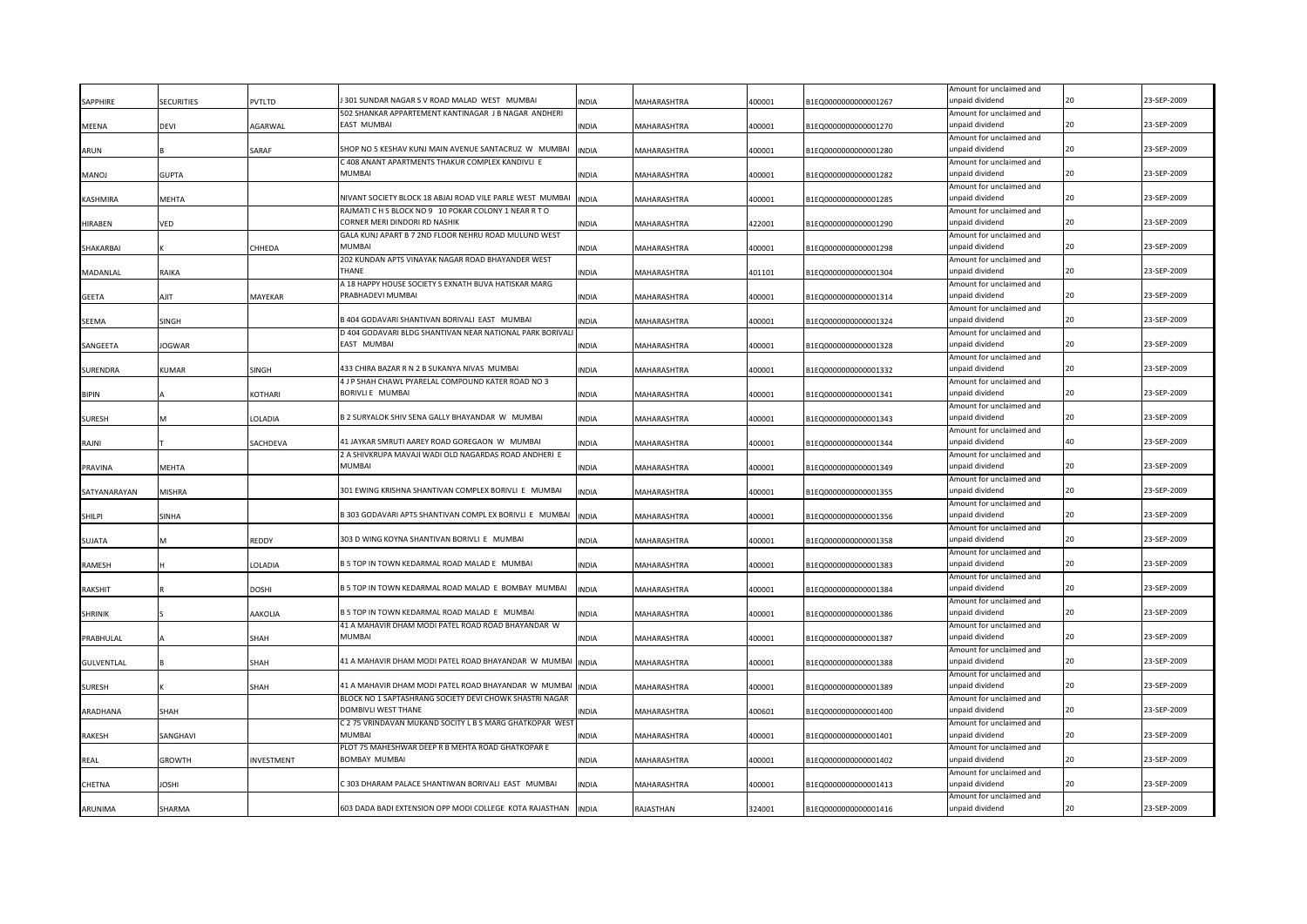|                   |               |              |                                                                     |              |             |        |                      | Amount for unclaimed and                    |    |             |
|-------------------|---------------|--------------|---------------------------------------------------------------------|--------------|-------------|--------|----------------------|---------------------------------------------|----|-------------|
| SAPPHIRE          | SECURITIES    | PVTLTD       | 301 SUNDAR NAGAR S V ROAD MALAD WEST MUMBAI                         | <b>INDIA</b> | MAHARASHTRA | 400001 | 1EQ0000000000001267  | unpaid dividend                             | 20 | 23-SEP-2009 |
|                   |               |              | 502 SHANKAR APPARTEMENT KANTINAGAR JB NAGAR ANDHERI                 |              |             |        |                      | Amount for unclaimed and                    |    |             |
| MEENA             | devi          | AGARWAL      | EAST MUMBAI                                                         | <b>INDIA</b> | MAHARASHTRA | 400001 | B1EQ0000000000001270 | unpaid dividend                             | 20 | 23-SEP-2009 |
|                   |               |              |                                                                     |              |             |        |                      | Amount for unclaimed and                    |    |             |
| ARUN              |               | SARAF        | SHOP NO 5 KESHAV KUNJ MAIN AVENUE SANTACRUZ W MUMBAI                | <b>INDIA</b> | MAHARASHTRA | 400001 | B1EQ0000000000001280 | unpaid dividend                             | 20 | 23-SEP-2009 |
|                   |               |              | C 408 ANANT APARTMENTS THAKUR COMPLEX KANDIVLI E                    |              |             |        |                      | Amount for unclaimed and                    |    |             |
| <b>LONAM</b>      | <b>GUPTA</b>  |              | MUMBAI                                                              | <b>INDIA</b> | MAHARASHTRA | 400001 | B1EQ0000000000001282 | unpaid dividend                             | 20 | 23-SEP-2009 |
|                   |               |              |                                                                     |              |             |        |                      | Amount for unclaimed and                    |    |             |
| KASHMIRA          | MEHTA         |              | NIVANT SOCIETY BLOCK 18 ABJAJ ROAD VILE PARLE WEST MUMBAI           | <b>INDIA</b> | MAHARASHTRA | 400001 | B1EQ0000000000001285 | unpaid dividend                             | 20 | 23-SEP-2009 |
|                   |               |              | RAJMATIC H S BLOCK NO 9 10 POKAR COLONY 1 NEAR R T O                |              |             |        |                      | Amount for unclaimed and                    |    |             |
| <b>HIRABEN</b>    | VED           |              | CORNER MERI DINDORI RD NASHIK                                       | <b>INDIA</b> | MAHARASHTRA | 422001 | B1EQ0000000000001290 | unpaid dividend                             | 20 | 23-SEP-2009 |
|                   |               |              | GALA KUNJ APART B 7 2ND FLOOR NEHRU ROAD MULUND WEST                |              |             |        |                      | Amount for unclaimed and                    |    |             |
| SHAKARBAI         |               | CHHEDA       | MUMBAI                                                              | <b>INDIA</b> | MAHARASHTRA | 400001 | B1EQ0000000000001298 | unpaid dividend                             | 20 | 23-SEP-2009 |
|                   |               |              | 202 KUNDAN APTS VINAYAK NAGAR ROAD BHAYANDER WEST                   |              |             |        |                      | Amount for unclaimed and                    |    |             |
| MADANLAL          | RAIKA         |              | THANF                                                               | <b>INDIA</b> | MAHARASHTRA | 401101 | B1EQ0000000000001304 | unpaid dividend                             | 20 | 23-SEP-2009 |
|                   |               |              | A 18 HAPPY HOUSE SOCIETY S EXNATH BUVA HATISKAR MARG                |              |             |        |                      | Amount for unclaimed and                    |    |             |
| GEETA             | AJIT          | MAYEKAR      | PRABHADEVI MUMBAI                                                   | <b>INDIA</b> | MAHARASHTRA | 400001 | B1EQ0000000000001314 | unpaid dividend                             |    | 23-SEP-2009 |
|                   |               |              |                                                                     |              |             |        |                      | Amount for unclaimed and                    |    |             |
| SEEMA             | SINGH         |              | 3404 GODAVARI SHANTIVAN BORIVALI EAST MUMBAI                        | <b>INDIA</b> | MAHARASHTRA | 400001 | B1EQ0000000000001324 | unpaid dividend                             | 20 | 23-SEP-2009 |
|                   |               |              | D 404 GODAVARI BLDG SHANTIVAN NEAR NATIONAL PARK BORIVALI           |              |             |        |                      | Amount for unclaimed and                    |    |             |
| SANGEETA          | <b>JOGWAR</b> |              | EAST MUMBAI                                                         | <b>INDIA</b> | MAHARASHTRA | 400001 | B1EQ0000000000001328 | unpaid dividend                             | 20 | 23-SEP-2009 |
|                   |               |              |                                                                     |              |             |        |                      | Amount for unclaimed and                    |    |             |
| SURENDRA          | KUMAR         | SINGH        | 433 CHIRA BAZAR R N 2 B SUKANYA NIVAS MUMBAI                        | <b>INDIA</b> | MAHARASHTRA | 400001 | B1EQ0000000000001332 | unpaid dividend                             | 20 | 23-SEP-2009 |
|                   |               |              | 4 J P SHAH CHAWL PYARELAL COMPOUND KATER ROAD NO 3                  |              |             |        |                      | Amount for unclaimed and                    |    |             |
| <b>BIPIN</b>      |               | KOTHARI      | BORIVLI E MUMBAI                                                    | <b>INDIA</b> | MAHARASHTRA | 400001 | B1EQ0000000000001341 | unpaid dividend                             |    | 23-SEP-2009 |
|                   |               |              |                                                                     |              |             |        |                      | Amount for unclaimed and                    |    |             |
| <b>SURESH</b>     |               | LOLADIA      | B 2 SURYALOK SHIV SENA GALLY BHAYANDAR W MUMBAI                     | <b>INDIA</b> | MAHARASHTRA | 400001 | B1EQ0000000000001343 | unpaid dividend                             | 20 | 23-SEP-2009 |
|                   |               |              |                                                                     |              |             |        |                      | Amount for unclaimed and                    |    |             |
| RAJNI             |               | SACHDEVA     | 41 JAYKAR SMRUTI AAREY ROAD GOREGAON W MUMBAI                       | <b>INDIA</b> | MAHARASHTRA | 400001 | B1EQ0000000000001344 | unpaid dividend                             | 40 | 23-SEP-2009 |
|                   |               |              | A SHIVKRUPA MAVAJI WADI OLD NAGARDAS ROAD ANDHERI E                 |              |             |        |                      | Amount for unclaimed and                    |    |             |
| PRAVINA           | <b>MEHTA</b>  |              | MUMBAI                                                              | <b>INDIA</b> | MAHARASHTRA | 400001 | B1EQ0000000000001349 | unpaid dividend                             | 20 | 23-SEP-2009 |
|                   |               |              |                                                                     |              |             |        |                      | Amount for unclaimed and                    |    |             |
| SATYANARAYAN      | <b>MISHRA</b> |              | 301 EWING KRISHNA SHANTIVAN COMPLEX BORIVLI E MUMBAI                | <b>INDIA</b> | MAHARASHTRA | 400001 | B1EQ0000000000001355 | unpaid dividend                             | 20 | 23-SEP-2009 |
|                   |               |              |                                                                     |              |             |        |                      | Amount for unclaimed and                    |    |             |
| SHILPI            | SINHA         |              | B 303 GODAVARI APTS SHANTIVAN COMPL EX BORIVLI E MUMBAI             | <b>INDIA</b> | MAHARASHTRA | 400001 | B1EQ0000000000001356 | unpaid dividend                             | 20 | 23-SEP-2009 |
|                   |               |              |                                                                     |              |             |        |                      | Amount for unclaimed and                    |    |             |
| SUJATA            |               | REDDY        | 303 D WING KOYNA SHANTIVAN BORIVLI E MUMBAI                         | <b>INDIA</b> | MAHARASHTRA | 400001 | B1EQ0000000000001358 | unpaid dividend                             | 20 | 23-SEP-2009 |
|                   |               |              |                                                                     |              |             |        |                      | Amount for unclaimed and                    |    |             |
| RAMESH            |               | LOLADIA      | B 5 TOP IN TOWN KEDARMAL ROAD MALAD E MUMBAI                        | <b>INDIA</b> | MAHARASHTRA | 400001 | B1EQ0000000000001383 | unpaid dividend                             | 20 | 23-SEP-2009 |
|                   |               |              |                                                                     |              |             |        |                      | Amount for unclaimed and                    | 20 |             |
| RAKSHIT           |               | <b>DOSHI</b> | B 5 TOP IN TOWN KEDARMAL ROAD MALAD E BOMBAY MUMBAI                 | <b>INDIA</b> | MAHARASHTRA | 400001 | B1EQ0000000000001384 | unpaid dividend                             |    | 23-SEP-2009 |
|                   |               |              | 35 TOP IN TOWN KEDARMAL ROAD MALAD E MUMBAI                         |              |             |        |                      | Amount for unclaimed and<br>unpaid dividend | 20 | 23-SEP-2009 |
| SHRINIK           |               | AAKOLIA      |                                                                     | <b>INDIA</b> | MAHARASHTRA | 400001 | B1EQ0000000000001386 |                                             |    |             |
|                   |               |              | 41 A MAHAVIR DHAM MODI PATEL ROAD ROAD BHAYANDAR W<br><b>MUMBAI</b> |              |             |        |                      | Amount for unclaimed and<br>unpaid dividend | 20 | 23-SEP-2009 |
| PRABHULAL         |               | SHAH         |                                                                     | <b>INDIA</b> | MAHARASHTRA | 400001 | B1EQ0000000000001387 | Amount for unclaimed and                    |    |             |
| <b>GULVENTLAL</b> |               | SHAH         | 41 A MAHAVIR DHAM MODI PATEL ROAD BHAYANDAR W MUMBAI                | <b>INDIA</b> | MAHARASHTRA | 400001 | B1EQ0000000000001388 | unpaid dividend                             |    | 23-SEP-2009 |
|                   |               |              |                                                                     |              |             |        |                      | Amount for unclaimed and                    |    |             |
| <b>SURESH</b>     |               | SHAH         | 41 A MAHAVIR DHAM MODI PATEL ROAD BHAYANDAR W MUMBAI                | <b>INDIA</b> | MAHARASHTRA | 400001 | B1EQ0000000000001389 | unpaid dividend                             |    | 23-SEP-2009 |
|                   |               |              | BLOCK NO 1 SAPTASHRANG SOCIETY DEVI CHOWK SHASTRI NAGAR             |              |             |        |                      | Amount for unclaimed and                    |    |             |
| ARADHANA          | SHAH          |              | DOMBIVLI WEST THANE                                                 | <b>INDIA</b> | MAHARASHTRA | 400601 | B1EQ0000000000001400 | unpaid dividend                             |    | 23-SEP-2009 |
|                   |               |              | C 2 75 VRINDAVAN MUKAND SOCITY L B S MARG GHATKOPAR WEST            |              |             |        |                      | Amount for unclaimed and                    |    |             |
| <b>RAKESH</b>     | SANGHAVI      |              | MUMBAI                                                              | <b>INDIA</b> | MAHARASHTRA | 400001 | B1EQ0000000000001401 | unpaid dividend                             |    | 23-SEP-2009 |
|                   |               |              | PLOT 75 MAHESHWAR DEEP R B MEHTA ROAD GHATKOPAR E                   |              |             |        |                      | Amount for unclaimed and                    |    |             |
| REAL              | GROWTH        | INVESTMENT   | BOMBAY MUMBAI                                                       | <b>INDIA</b> | MAHARASHTRA | 400001 | B1EQ0000000000001402 | unpaid dividend                             |    | 23-SEP-2009 |
|                   |               |              |                                                                     |              |             |        |                      | Amount for unclaimed and                    |    |             |
| CHETNA            | JOSHI         |              | 303 DHARAM PALACE SHANTIWAN BORIVALI EAST MUMBAI                    | <b>INDIA</b> | MAHARASHTRA | 400001 | B1EQ0000000000001413 | unpaid dividend                             |    | 23-SEP-2009 |
|                   |               |              |                                                                     |              |             |        |                      | Amount for unclaimed and                    |    |             |
| ARUNIMA           | SHARMA        |              | 603 DADA BADI EXTENSION OPP MODI COLLEGE KOTA RAJASTHAN             | <b>INDIA</b> | RAJASTHAN   | 324001 | B1EQ0000000000001416 | unpaid dividend                             |    | 23-SEP-2009 |
|                   |               |              |                                                                     |              |             |        |                      |                                             |    |             |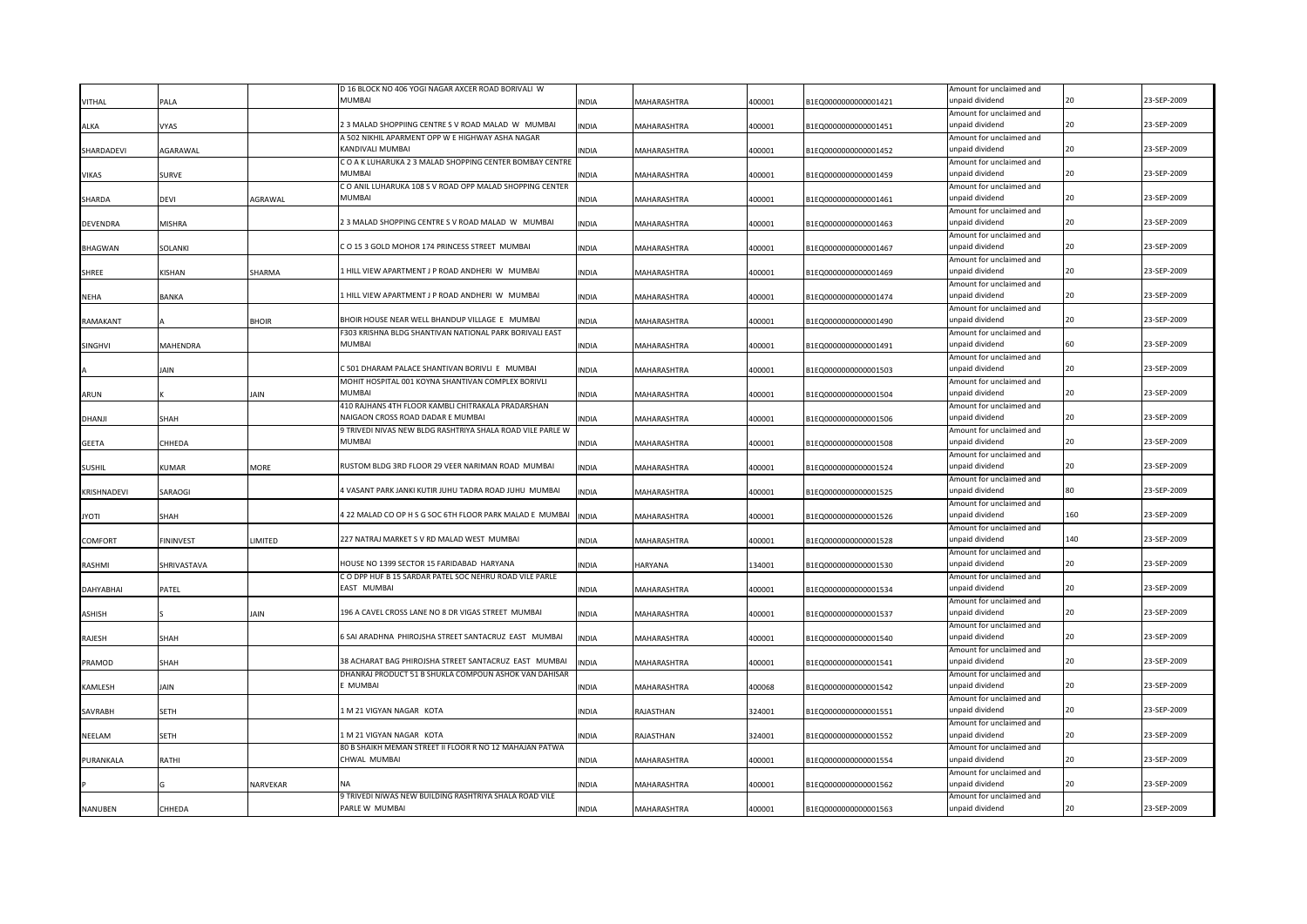|                  |             |                 | D 16 BLOCK NO 406 YOGI NAGAR AXCER ROAD BORIVALI W              |              |                    |        |                      | Amount for unclaimed and                    |     |             |
|------------------|-------------|-----------------|-----------------------------------------------------------------|--------------|--------------------|--------|----------------------|---------------------------------------------|-----|-------------|
| VITHAL           | <b>ALA</b>  |                 | MUMBAI                                                          | <b>INDIA</b> | MAHARASHTRA        | 400001 | B1EQ0000000000001421 | unpaid dividend                             |     | 23-SEP-2009 |
|                  |             |                 |                                                                 |              |                    |        |                      | Amount for unclaimed and                    |     |             |
| ALKA             | VYAS        |                 | 2 3 MALAD SHOPPIING CENTRE S V ROAD MALAD W MUMBAI              | <b>INDIA</b> | MAHARASHTRA        | 400001 | B1EQ0000000000001451 | unpaid dividend                             | 20  | 23-SEP-2009 |
|                  |             |                 | A 502 NIKHIL APARMENT OPP W E HIGHWAY ASHA NAGAR                |              |                    |        |                      | Amount for unclaimed and                    |     |             |
| SHARDADEVI       | AGARAWAL    |                 | KANDIVALI MUMBAI                                                | <b>INDIA</b> | MAHARASHTRA        | 400001 | B1EQ0000000000001452 | unpaid dividend                             | 20  | 23-SEP-2009 |
|                  |             |                 | C O A K LUHARUKA 2 3 MALAD SHOPPING CENTER BOMBAY CENTRE        |              |                    |        |                      | Amount for unclaimed and                    |     |             |
| VIKAS            | SURVE       |                 | MUMBAI                                                          | <b>INDIA</b> | MAHARASHTRA        | 400001 | B1EQ0000000000001459 | unpaid dividend                             | 20  | 23-SEP-2009 |
|                  |             |                 | C O ANIL LUHARUKA 108 S V ROAD OPP MALAD SHOPPING CENTER        |              |                    |        |                      | Amount for unclaimed and                    |     |             |
| SHARDA           | devi        | AGRAWAL         | MUMBAI                                                          | <b>INDIA</b> | MAHARASHTRA        | 400001 | B1EQ0000000000001461 | unpaid dividend                             |     | 23-SEP-2009 |
|                  |             |                 |                                                                 |              |                    |        |                      | Amount for unclaimed and                    |     |             |
| DEVENDRA         | MISHRA      |                 | 2 3 MALAD SHOPPING CENTRE S V ROAD MALAD W MUMBAI               | <b>INDIA</b> | MAHARASHTRA        | 400001 | B1EQ0000000000001463 | unpaid dividend                             | 20  | 23-SEP-2009 |
|                  |             |                 |                                                                 |              |                    |        |                      | Amount for unclaimed and                    |     |             |
| <b>BHAGWAN</b>   | SOLANKI     |                 | C O 15 3 GOLD MOHOR 174 PRINCESS STREET MUMBAI                  | <b>INDIA</b> | MAHARASHTRA        | 400001 | B1EQ0000000000001467 | unpaid dividend                             | 20  | 23-SEP-2009 |
|                  |             |                 |                                                                 |              |                    |        |                      | Amount for unclaimed and                    |     |             |
| <b>SHREE</b>     | KISHAN      | SHARMA          | LHILL VIEW APARTMENT J P ROAD ANDHERI W MUMBAI                  | <b>INDIA</b> | MAHARASHTRA        | 400001 | B1EQ0000000000001469 | unpaid dividend                             | 20  | 23-SEP-2009 |
|                  |             |                 |                                                                 |              |                    |        |                      | Amount for unclaimed and                    |     |             |
| <b>NEHA</b>      | BANKA       |                 | 1 HILL VIEW APARTMENT J P ROAD ANDHERI W MUMBAI                 | INDIA        | MAHARASHTRA        | 400001 | B1EQ0000000000001474 | unpaid dividend                             |     | 23-SEP-2009 |
|                  |             |                 |                                                                 |              |                    |        |                      | Amount for unclaimed and                    |     |             |
| RAMAKANT         |             | <b>BHOIR</b>    | BHOIR HOUSE NEAR WELL BHANDUP VILLAGE E MUMBAI                  | <b>INDIA</b> | MAHARASHTRA        | 400001 | B1EQ0000000000001490 | unpaid dividend                             | 20  | 23-SEP-2009 |
|                  |             |                 | F303 KRISHNA BLDG SHANTIVAN NATIONAL PARK BORIVALI EAST         |              |                    |        |                      | Amount for unclaimed and                    |     |             |
| SINGHVI          | MAHENDRA    |                 | MUMBAI                                                          | <b>INDIA</b> | MAHARASHTRA        | 400001 | B1EQ0000000000001491 | unpaid dividend                             |     | 23-SEP-2009 |
|                  |             |                 |                                                                 |              |                    |        |                      | Amount for unclaimed and                    |     |             |
|                  | IAIN        |                 | C 501 DHARAM PALACE SHANTIVAN BORIVLI E MUMBAI                  | <b>INDIA</b> | MAHARASHTRA        | 400001 | B1EQ0000000000001503 | unpaid dividend                             | 20  | 23-SEP-2009 |
|                  |             |                 | MOHIT HOSPITAL 001 KOYNA SHANTIVAN COMPLEX BORIVLI              |              |                    |        |                      | Amount for unclaimed and                    |     |             |
| ARUN             |             | <b>JAIN</b>     | <b>MUMBAI</b>                                                   | <b>INDIA</b> | MAHARASHTRA        | 400001 | B1EQ0000000000001504 | unpaid dividend                             | 20  | 23-SEP-2009 |
|                  |             |                 | 410 RAJHANS 4TH FLOOR KAMBLI CHITRAKALA PRADARSHAN              |              |                    |        |                      | Amount for unclaimed and                    |     |             |
| <b>DHANJI</b>    | SHAH        |                 | NAIGAON CROSS ROAD DADAR E MUMBAI                               | <b>INDIA</b> | <b>MAHARASHTRA</b> | 400001 | B1EQ0000000000001506 | unpaid dividend                             | 20  | 23-SEP-2009 |
|                  |             |                 | 9 TRIVEDI NIVAS NEW BLDG RASHTRIYA SHALA ROAD VILE PARLE W      |              |                    |        |                      | Amount for unclaimed and                    |     |             |
| <b>GEETA</b>     | CHHEDA      |                 | <b>MUMBAI</b>                                                   | <b>INDIA</b> | MAHARASHTRA        | 400001 | B1EQ0000000000001508 | unpaid dividend                             | 20  | 23-SEP-2009 |
|                  |             |                 |                                                                 |              |                    |        |                      | Amount for unclaimed and                    |     |             |
| <b>SUSHIL</b>    | KUMAR       | <b>MORE</b>     | RUSTOM BLDG 3RD FLOOR 29 VEER NARIMAN ROAD MUMBAI               | <b>INDIA</b> | <b>MAHARASHTRA</b> | 400001 | B1EQ0000000000001524 | unpaid dividend                             | 20  | 23-SEP-2009 |
|                  |             |                 |                                                                 |              |                    |        |                      | Amount for unclaimed and                    |     |             |
| KRISHNADEVI      | SARAOGI     |                 | 4 VASANT PARK JANKI KUTIR JUHU TADRA ROAD JUHU MUMBAI           | <b>INDIA</b> | MAHARASHTRA        | 400001 | B1EQ0000000000001525 | unpaid dividend                             |     | 23-SEP-2009 |
|                  |             |                 |                                                                 |              |                    |        |                      | Amount for unclaimed and                    |     |             |
| <b>ITOYL</b>     | SHAH        |                 | 4 22 MALAD CO OP H S G SOC 6TH FLOOR PARK MALAD E MUMBAI        | <b>INDIA</b> | MAHARASHTRA        | 400001 | B1EQ0000000000001526 | unpaid dividend                             | 160 | 23-SEP-2009 |
|                  |             |                 |                                                                 |              |                    |        |                      | Amount for unclaimed and                    |     |             |
| COMFORT          | FININVEST   | LIMITED         | 227 NATRAJ MARKET S V RD MALAD WEST MUMBAI                      | <b>INDIA</b> | MAHARASHTRA        | 400001 | B1EQ0000000000001528 | unpaid dividend                             | 140 | 23-SEP-2009 |
|                  |             |                 |                                                                 |              |                    |        |                      | Amount for unclaimed and                    |     |             |
| RASHMI           | SHRIVASTAVA |                 | HOUSE NO 1399 SECTOR 15 FARIDABAD HARYANA                       | <b>INDIA</b> | HARYANA            | 134001 | B1EQ0000000000001530 | unpaid dividend                             | 20  | 23-SEP-2009 |
|                  |             |                 | C O DPP HUF B 15 SARDAR PATEL SOC NEHRU ROAD VILE PARLE         |              |                    |        |                      | Amount for unclaimed and                    |     |             |
| <b>DAHYABHAI</b> | PATEL       |                 | EAST MUMBAI                                                     | <b>INDIA</b> | MAHARASHTRA        | 400001 | B1EQ0000000000001534 | unpaid dividend                             | 20  | 23-SEP-2009 |
|                  |             |                 |                                                                 |              |                    |        |                      | Amount for unclaimed and                    |     |             |
| <b>ASHISH</b>    |             | JAIN            | 196 A CAVEL CROSS LANE NO 8 DR VIGAS STREET MUMBAI              | <b>INDIA</b> | MAHARASHTRA        | 400001 | B1EQ0000000000001537 | unpaid dividend                             |     | 23-SEP-2009 |
|                  |             |                 | 6 SAI ARADHNA PHIROJSHA STREET SANTACRUZ EAST MUMBAI            |              |                    |        |                      | Amount for unclaimed and<br>unpaid dividend | 20  | 23-SEP-2009 |
| RAJESH           | SHAH        |                 |                                                                 | <b>INDIA</b> | MAHARASHTRA        | 400001 | B1EQ0000000000001540 |                                             |     |             |
|                  |             |                 | 38 ACHARAT BAG PHIROJSHA STREET SANTACRUZ EAST MUMBAI           |              |                    |        |                      | Amount for unclaimed and<br>unpaid dividend |     | 23-SEP-2009 |
| PRAMOD           | SHAH        |                 |                                                                 | <b>INDIA</b> | MAHARASHTRA        | 400001 | B1EQ0000000000001541 |                                             |     |             |
|                  |             |                 | DHANRAJ PRODUCT 51 B SHUKLA COMPOUN ASHOK VAN DAHISAR<br>MUMBAI |              |                    |        | B1EQ0000000000001542 | Amount for unclaimed and<br>unpaid dividend | 20  | 23-SEP-2009 |
| KAMLESH          | IAIN        |                 |                                                                 | INDIA        | MAHARASHTRA        | 400068 |                      |                                             |     |             |
|                  | SETH        |                 | I M 21 VIGYAN NAGAR KOTA                                        |              | RAJASTHAN          |        | B1EQ0000000000001551 | Amount for unclaimed and<br>unpaid dividend |     | 23-SEP-2009 |
| SAVRABH          |             |                 |                                                                 | INDIA        |                    | 324001 |                      | Amount for unclaimed and                    |     |             |
| NEELAM           | SETH        |                 | LM 21 VIGYAN NAGAR KOTA                                         | <b>INDIA</b> | RAJASTHAN          | 324001 | B1EQ0000000000001552 | unpaid dividend                             |     | 23-SEP-2009 |
|                  |             |                 | 80 B SHAIKH MEMAN STREET II FLOOR R NO 12 MAHAJAN PATWA         |              |                    |        |                      | Amount for unclaimed and                    |     |             |
| PURANKALA        | RATHI       |                 | CHWAL MUMBAI                                                    | <b>INDIA</b> | MAHARASHTRA        | 400001 | B1EQ0000000000001554 | unpaid dividend                             |     | 23-SEP-2009 |
|                  |             |                 |                                                                 |              |                    |        |                      | Amount for unclaimed and                    |     |             |
|                  |             | <b>NARVEKAR</b> |                                                                 | <b>INDIA</b> | MAHARASHTRA        | 400001 | B1EQ0000000000001562 | unpaid dividend                             |     | 23-SEP-2009 |
|                  |             |                 | 9 TRIVEDI NIWAS NEW BUILDING RASHTRIYA SHALA ROAD VILE          |              |                    |        |                      | Amount for unclaimed and                    |     |             |
| NANUBEN          | CHHEDA      |                 | PARLE W MUMBAI                                                  | <b>INDIA</b> | MAHARASHTRA        | 400001 | B1EQ0000000000001563 | unpaid dividend                             |     | 23-SEP-2009 |
|                  |             |                 |                                                                 |              |                    |        |                      |                                             |     |             |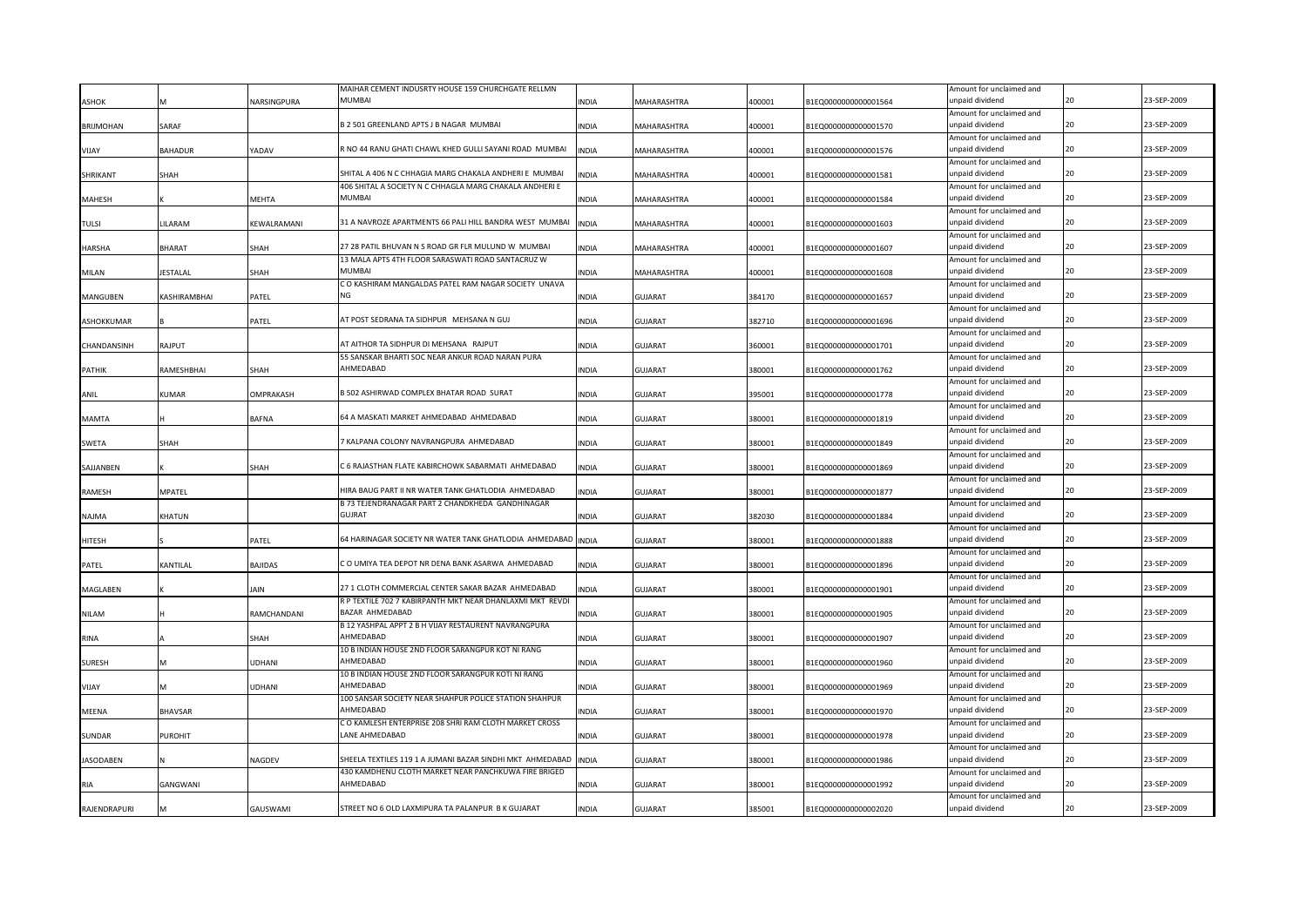|               |                |               | MAIHAR CEMENT INDUSRTY HOUSE 159 CHURCHGATE RELLMN        |              |                    |        |                      | Amount for unclaimed and                    |    |             |
|---------------|----------------|---------------|-----------------------------------------------------------|--------------|--------------------|--------|----------------------|---------------------------------------------|----|-------------|
| ASHOK         |                | VARSINGPURA   | MUMBAI                                                    | <b>INDIA</b> | <b>MAHARASHTRA</b> | 400001 | B1EQ0000000000001564 | unpaid dividend                             |    | 23-SEP-2009 |
|               |                |               |                                                           |              |                    |        |                      | Amount for unclaimed and                    |    |             |
| BRIJMOHAN     | SARAF          |               | B 2 501 GREENLAND APTS J B NAGAR MUMBAI                   | <b>INDIA</b> | MAHARASHTRA        | 400001 | B1EQ0000000000001570 | unpaid dividend                             | 20 | 23-SEP-2009 |
|               |                |               |                                                           |              |                    |        |                      | Amount for unclaimed and                    |    |             |
| VIJAY         | BAHADUR        | YADAV         | R NO 44 RANU GHATI CHAWL KHED GULLI SAYANI ROAD MUMBAI    | INDIA        | MAHARASHTRA        | 400001 | B1EQ0000000000001576 | unpaid dividend                             |    | 23-SEP-2009 |
|               |                |               |                                                           |              |                    |        |                      | Amount for unclaimed and                    |    |             |
| SHRIKANT      | SHAH           |               | SHITAL A 406 N C CHHAGIA MARG CHAKALA ANDHERI E MUMBAI    | INDIA        | MAHARASHTRA        | 400001 | B1EQ0000000000001581 | unpaid dividend                             | 20 | 23-SEP-2009 |
|               |                |               | 406 SHITAL A SOCIETY N C CHHAGLA MARG CHAKALA ANDHERI E   |              |                    |        |                      | Amount for unclaimed and                    |    |             |
| MAHESH        |                | MEHTA         | MUMBAI                                                    | INDIA        | MAHARASHTRA        | 400001 | B1EQ0000000000001584 | unpaid dividend                             |    | 23-SEP-2009 |
|               |                |               |                                                           |              |                    |        |                      | Amount for unclaimed and                    |    |             |
| TULSI         | LILARAM        | KEWALRAMANI   | 31 A NAVROZE APARTMENTS 66 PALI HILL BANDRA WEST MUMBAI   | INDIA        | MAHARASHTRA        | 400001 | B1EQ0000000000001603 | unpaid dividend                             | 20 | 23-SEP-2009 |
|               |                |               |                                                           |              |                    |        |                      | Amount for unclaimed and                    |    |             |
| <b>HARSHA</b> | BHARAT         | ѕНАН          | 27 28 PATIL BHUVAN N S ROAD GR FLR MULUND W MUMBAI        | INDIA        | MAHARASHTRA        | 400001 | B1EQ0000000000001607 | unpaid dividend                             |    | 23-SEP-2009 |
|               |                |               | 13 MALA APTS 4TH FLOOR SARASWATI ROAD SANTACRUZ W         |              |                    |        |                      | Amount for unclaimed and                    |    |             |
|               |                |               | MUMBAI                                                    |              |                    |        | B1EQ0000000000001608 | unpaid dividend                             | 20 | 23-SEP-2009 |
| MILAN         | JESTALAL       | SHAH          | CO KASHIRAM MANGALDAS PATEL RAM NAGAR SOCIETY UNAVA       | INDIA        | MAHARASHTRA        | 400001 |                      |                                             |    |             |
|               |                |               | NG                                                        |              |                    |        |                      | Amount for unclaimed and<br>unpaid dividend | 20 | 23-SEP-2009 |
| MANGUBEN      | KASHIRAMBHAI   | PATEL         |                                                           | INDIA        | GUJARAT            | 384170 | B1EQ0000000000001657 |                                             |    |             |
|               |                |               |                                                           |              |                    |        |                      | Amount for unclaimed and                    |    |             |
| ASHOKKUMAR    |                | PATEL         | AT POST SEDRANA TA SIDHPUR MEHSANA N GUJ                  | INDIA        | <b>GUJARAT</b>     | 382710 | B1EQ0000000000001696 | inpaid dividend                             | 20 | 23-SEP-2009 |
|               |                |               |                                                           |              |                    |        |                      | Amount for unclaimed and                    |    |             |
| CHANDANSINH   | RAJPUT         |               | AT AITHOR TA SIDHPUR DI MEHSANA RAJPUT                    | <b>INDIA</b> | <b>GUJARAT</b>     | 360001 | B1EQ0000000000001701 | unpaid dividend                             | 20 | 23-SEP-2009 |
|               |                |               | 55 SANSKAR BHARTI SOC NEAR ANKUR ROAD NARAN PURA          |              |                    |        |                      | Amount for unclaimed and                    |    |             |
| PATHIK        | RAMESHBHAI     | SHAH          | AHMEDABAD                                                 | <b>INDIA</b> | <b>GUJARAT</b>     | 380001 | B1EQ0000000000001762 | unpaid dividend                             | 20 | 23-SEP-2009 |
|               |                |               |                                                           |              |                    |        |                      | Amount for unclaimed and                    |    |             |
| <b>ANIL</b>   | KUMAR          | OMPRAKASH     | B 502 ASHIRWAD COMPLEX BHATAR ROAD SURAT                  | <b>INDIA</b> | <b>GUJARAT</b>     | 395001 | B1EQ0000000000001778 | unpaid dividend                             |    | 23-SEP-2009 |
|               |                |               |                                                           |              |                    |        |                      | Amount for unclaimed and                    |    |             |
| MAMTA         |                | BAFNA         | 64 A MASKATI MARKET AHMEDABAD AHMEDABAD                   | INDIA        | <b>GUJARAT</b>     | 380001 | B1EQ0000000000001819 | unpaid dividend                             | 20 | 23-SEP-2009 |
|               |                |               |                                                           |              |                    |        |                      | Amount for unclaimed and                    |    |             |
| SWETA         | SHAH           |               | 7 KALPANA COLONY NAVRANGPURA AHMEDABAD                    | <b>INDIA</b> | GUJARAT            | 380001 | B1EQ0000000000001849 | unpaid dividend                             | 20 | 23-SEP-2009 |
|               |                |               |                                                           |              |                    |        |                      | Amount for unclaimed and                    |    |             |
| SAJJANBEN     |                | SHAH          | C 6 RAJASTHAN FLATE KABIRCHOWK SABARMATI AHMEDABAD        | <b>INDIA</b> | GUJARAT            | 380001 | B1EQ0000000000001869 | unpaid dividend                             | 20 | 23-SEP-2009 |
|               |                |               |                                                           |              |                    |        |                      | Amount for unclaimed and                    |    |             |
| RAMESH        | MPATEL         |               | HIRA BAUG PART II NR WATER TANK GHATLODIA AHMEDABAD       | <b>INDIA</b> | GUJARAT            | 380001 | B1EQ0000000000001877 | unpaid dividend                             |    | 23-SEP-2009 |
|               |                |               | B 73 TEJENDRANAGAR PART 2 CHANDKHEDA GANDHINAGAR          |              |                    |        |                      | Amount for unclaimed and                    |    |             |
| NAJMA         | <b>KHATUN</b>  |               | GUJRAT                                                    | <b>INDIA</b> | <b>GUJARAT</b>     | 382030 | B1EQ0000000000001884 | unpaid dividend                             | 20 | 23-SEP-2009 |
|               |                |               |                                                           |              |                    |        |                      | Amount for unclaimed and                    |    |             |
| HITESH        |                | PATEL         | 64 HARINAGAR SOCIETY NR WATER TANK GHATLODIA AHMEDABAD    | <b>INDIA</b> | <b>GUJARAT</b>     | 380001 | B1EQ0000000000001888 | unpaid dividend                             |    | 23-SEP-2009 |
|               |                |               |                                                           |              |                    |        |                      | Amount for unclaimed and                    |    |             |
| PATEL         |                | BAJIDAS       | CO UMIYA TEA DEPOT NR DENA BANK ASARWA AHMEDABAD          |              | <b>GUJARAT</b>     | 380001 |                      | unpaid dividend                             |    | 23-SEP-2009 |
|               | KANTILAL       |               |                                                           | INDIA        |                    |        | B1EQ0000000000001896 |                                             |    |             |
|               |                |               | 27 1 CLOTH COMMERCIAL CENTER SAKAR BAZAR AHMEDABAD        |              |                    |        |                      | Amount for unclaimed and                    | 20 | 23-SEP-2009 |
| MAGLABEN      |                | <b>JAIN</b>   |                                                           | INDIA        | <b>GUJARAT</b>     | 380001 | B1EQ0000000000001901 | unpaid dividend                             |    |             |
|               |                |               | R P TEXTILE 702 7 KABIRPANTH MKT NEAR DHANLAXMI MKT REVDI |              |                    |        |                      | Amount for unclaimed and                    |    |             |
| NILAM         |                | RAMCHANDANI   | BAZAR AHMEDABAD                                           | INDIA        | <b>GUJARAT</b>     | 380001 | B1EQ0000000000001905 | unpaid dividend                             |    | 23-SEP-2009 |
|               |                |               | B 12 YASHPAL APPT 2 B H VIJAY RESTAURENT NAVRANGPURA      |              |                    |        |                      | Amount for unclaimed and                    |    |             |
| RINA          |                | SHAH          | AHMEDABAD                                                 | INDIA        | <b>GUJARAT</b>     | 380001 | B1EQ0000000000001907 | unpaid dividend                             |    | 23-SEP-2009 |
|               |                |               | 10 B INDIAN HOUSE 2ND FLOOR SARANGPUR KOT NI RANG         |              |                    |        |                      | Amount for unclaimed and                    |    |             |
| SURESH        |                | UDHANI        | AHMEDABAD                                                 | INDIA        | <b>GUJARAT</b>     | 380001 | B1EQ0000000000001960 | unpaid dividend                             |    | 23-SEP-2009 |
|               |                |               | 10 B INDIAN HOUSE 2ND FLOOR SARANGPUR KOTI NI RANG        |              |                    |        |                      | Amount for unclaimed and                    |    |             |
| VIJAY         |                | UDHANI        | AHMEDABAD                                                 | INDIA        | <b>GUJARAT</b>     | 380001 | B1EQ0000000000001969 | unpaid dividend                             |    | 23-SEP-2009 |
|               |                |               | 100 SANSAR SOCIETY NEAR SHAHPUR POLICE STATION SHAHPUR    |              |                    |        |                      | Amount for unclaimed and                    |    |             |
| MEENA         | <b>BHAVSAR</b> |               | AHMEDABAD                                                 | INDIA        | <b>GUJARAT</b>     | 380001 | B1EQ0000000000001970 | unpaid dividend                             |    | 23-SEP-2009 |
|               |                |               | C O KAMLESH ENTERPRISE 208 SHRI RAM CLOTH MARKET CROSS    |              |                    |        |                      | Amount for unclaimed and                    |    |             |
| SUNDAR        | PUROHIT        |               | ANE AHMEDABAD                                             | INDIA        | GUJARAT            | 380001 | B1EQ0000000000001978 | unpaid dividend                             |    | 23-SEP-2009 |
|               |                |               |                                                           |              |                    |        |                      | Amount for unclaimed and                    |    |             |
| JASODABEN     |                | <b>JAGDEV</b> | HEELA TEXTILES 119 1 A JUMANI BAZAR SINDHI MKT AHMEDABAD  | <b>INDIA</b> | GUJARAT            | 380001 | B1EQ0000000000001986 | inpaid dividend                             |    | 23-SEP-2009 |
|               |                |               | 430 KAMDHENU CLOTH MARKET NEAR PANCHKUWA FIRE BRIGED      |              |                    |        |                      | Amount for unclaimed and                    |    |             |
|               | GANGWANI       |               | AHMEDABAD                                                 | INDIA        | GUJARAT            | 380001 | B1EQ0000000000001992 | inpaid dividend                             |    | 23-SEP-2009 |
|               |                |               |                                                           |              |                    |        |                      | Amount for unclaimed and                    |    |             |
| RAJENDRAPURI  |                | GAUSWAMI      | STREET NO 6 OLD LAXMIPURA TA PALANPUR B K GUJARAT         | <b>NDIA</b>  | <b>GUJARAT</b>     | 385001 | B1EQ0000000000002020 | unpaid dividend                             |    | 23-SEP-2009 |
|               |                |               |                                                           |              |                    |        |                      |                                             |    |             |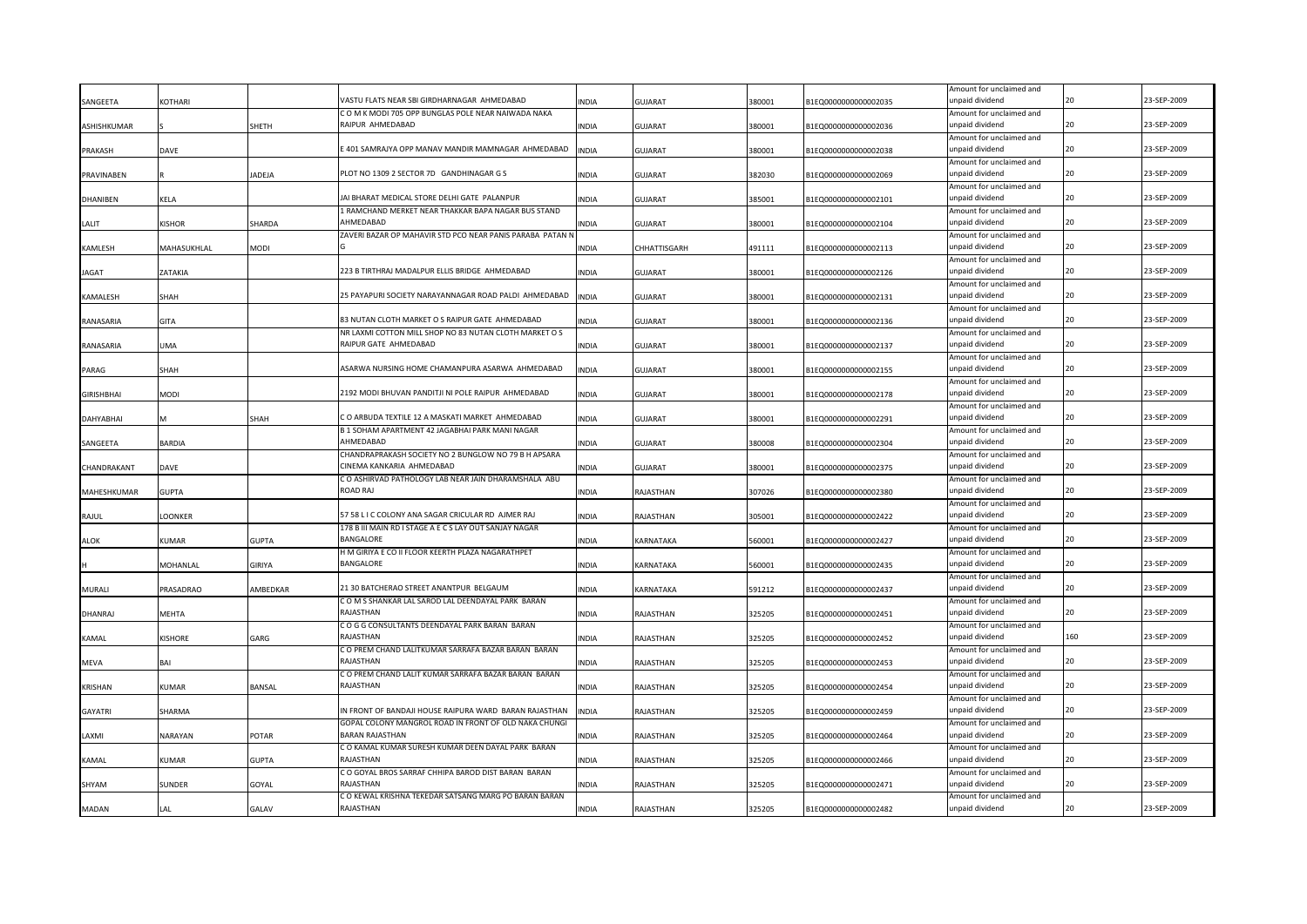|                   |                |               |                                                                         |              |                |        |                      | Amount for unclaimed and                    |     |             |
|-------------------|----------------|---------------|-------------------------------------------------------------------------|--------------|----------------|--------|----------------------|---------------------------------------------|-----|-------------|
| SANGEETA          | <b>KOTHARI</b> |               | VASTU FLATS NEAR SBI GIRDHARNAGAR AHMEDABAD                             | <b>INDIA</b> | <b>GUJARAT</b> | 380001 | B1EQ0000000000002035 | unpaid dividend                             |     | 23-SEP-2009 |
|                   |                |               | C O M K MODI 705 OPP BUNGLAS POLE NEAR NAIWADA NAKA<br>RAIPUR AHMEDABAD |              |                |        |                      | Amount for unclaimed and<br>unpaid dividend | 20  | 23-SEP-2009 |
| ASHISHKUMAR       |                | SHETH         |                                                                         | <b>INDIA</b> | GUJARAT        | 380001 | B1EQ0000000000002036 | Amount for unclaimed and                    |     |             |
| PRAKASH           | DAVE           |               | 401 SAMRAJYA OPP MANAV MANDIR MAMNAGAR AHMEDABAD                        | <b>INDIA</b> | <b>GUJARAT</b> | 380001 | B1EQ0000000000002038 | unpaid dividend                             |     | 23-SEP-2009 |
|                   |                |               |                                                                         |              |                |        |                      | Amount for unclaimed and                    |     |             |
| PRAVINABEN        |                | JADEJA        | PLOT NO 1309 2 SECTOR 7D GANDHINAGAR G S                                | <b>INDIA</b> | <b>GUJARAT</b> | 382030 | B1EQ0000000000002069 | unpaid dividend                             | 20  | 23-SEP-2009 |
|                   |                |               |                                                                         |              |                |        |                      | Amount for unclaimed and                    |     |             |
| <b>DHANIBEN</b>   | KELA           |               | JAI BHARAT MEDICAL STORE DELHI GATE PALANPUR                            | INDIA        | <b>GUJARAT</b> | 385001 | B1EQ0000000000002101 | unpaid dividend                             |     | 23-SEP-2009 |
|                   |                |               | 1 RAMCHAND MERKET NEAR THAKKAR BAPA NAGAR BUS STAND                     |              |                |        |                      | Amount for unclaimed and                    |     |             |
| LALIT             | KISHOR         | SHARDA        | AHMEDABAD                                                               | INDIA        | <b>GUJARAT</b> | 380001 | B1EQ0000000000002104 | unpaid dividend                             | 20  | 23-SEP-2009 |
|                   |                |               | ZAVERI BAZAR OP MAHAVIR STD PCO NEAR PANIS PARABA PATAN N               |              |                |        |                      | Amount for unclaimed and<br>unpaid dividend |     | 23-SEP-2009 |
| KAMLESH           | MAHASUKHLAL    | MODI          |                                                                         | <b>INDIA</b> | CHHATTISGARH   | 491111 | B1EQ0000000000002113 |                                             |     |             |
| <b>JAGAT</b>      | ZATAKIA        |               | 223 B TIRTHRAJ MADALPUR ELLIS BRIDGE AHMEDABAD                          | <b>INDIA</b> | <b>GUJARAT</b> | 380001 | B1EQ0000000000002126 | Amount for unclaimed and<br>unpaid dividend | 20  | 23-SEP-2009 |
|                   |                |               |                                                                         |              |                |        |                      | Amount for unclaimed and                    |     |             |
| KAMALESH          | SHAH           |               | 25 PAYAPURI SOCIETY NARAYANNAGAR ROAD PALDI AHMEDABAD                   | <b>INDIA</b> | <b>GUJARAT</b> | 380001 | B1EQ0000000000002131 | unpaid dividend                             |     | 23-SEP-2009 |
|                   |                |               |                                                                         |              |                |        |                      | Amount for unclaimed and                    |     |             |
| RANASARIA         | <b>GITA</b>    |               | 83 NUTAN CLOTH MARKET O S RAIPUR GATE AHMEDABAD                         | <b>INDIA</b> | <b>GUJARAT</b> | 380001 | B1EQ0000000000002136 | unpaid dividend                             | 20  | 23-SEP-2009 |
|                   |                |               | NR LAXMI COTTON MILL SHOP NO 83 NUTAN CLOTH MARKET O S                  |              |                |        |                      | Amount for unclaimed and                    |     |             |
| RANASARIA         | <b>UMA</b>     |               | RAIPUR GATE AHMEDABAD                                                   | <b>INDIA</b> | <b>GUJARAT</b> | 380001 | B1EQ0000000000002137 | unpaid dividend                             | 20  | 23-SEP-2009 |
|                   |                |               |                                                                         |              |                |        |                      | Amount for unclaimed and                    |     |             |
| PARAG             | SHAH           |               | ASARWA NURSING HOME CHAMANPURA ASARWA AHMEDABAD                         | <b>INDIA</b> | <b>GUJARAT</b> | 380001 | B1EQ0000000000002155 | unpaid dividend                             | 20  | 23-SEP-2009 |
|                   |                |               |                                                                         |              |                |        |                      | Amount for unclaimed and                    | 20  |             |
| <b>GIRISHBHAI</b> | <b>NODI</b>    |               | 2192 MODI BHUVAN PANDITJI NI POLE RAIPUR AHMEDABAD                      | <b>INDIA</b> | <b>GUJARAT</b> | 380001 | B1EQ0000000000002178 | unpaid dividend                             |     | 23-SEP-2009 |
| <b>DAHYABHAI</b>  | M              | SHAH          | C O ARBUDA TEXTILE 12 A MASKATI MARKET AHMEDABAD                        | <b>INDIA</b> | <b>GUJARAT</b> | 380001 | B1EQ0000000000002291 | Amount for unclaimed and<br>unpaid dividend | 20  | 23-SEP-2009 |
|                   |                |               | B 1 SOHAM APARTMENT 42 JAGABHAI PARK MANI NAGAR                         |              |                |        |                      | Amount for unclaimed and                    |     |             |
| SANGEETA          | BARDIA         |               | AHMEDABAD                                                               | <b>INDIA</b> | <b>GUJARAT</b> | 380008 | B1EQ0000000000002304 | unpaid dividend                             | 20  | 23-SEP-2009 |
|                   |                |               | CHANDRAPRAKASH SOCIETY NO 2 BUNGLOW NO 79 B H APSARA                    |              |                |        |                      | Amount for unclaimed and                    |     |             |
| CHANDRAKANT       | DAVE           |               | CINEMA KANKARIA AHMEDABAD                                               | <b>INDIA</b> | <b>GUJARAT</b> | 380001 | B1EQ0000000000002375 | unpaid dividend                             | 20  | 23-SEP-2009 |
|                   |                |               | C O ASHIRVAD PATHOLOGY LAB NEAR JAIN DHARAMSHALA ABU                    |              |                |        |                      | Amount for unclaimed and                    |     |             |
| MAHESHKUMAR       | <b>GUPTA</b>   |               | ROAD RAJ                                                                | <b>INDIA</b> | RAJASTHAN      | 307026 | B1EQ0000000000002380 | unpaid dividend                             | 20  | 23-SEP-2009 |
|                   |                |               |                                                                         |              |                |        |                      | Amount for unclaimed and                    |     |             |
| RAJUL             | LOONKER        |               | 57 58 L I C COLONY ANA SAGAR CRICULAR RD AJMER RAJ                      | <b>INDIA</b> | RAJASTHAN      | 305001 | B1EQ0000000000002422 | unpaid dividend                             | 20  | 23-SEP-2009 |
|                   |                |               | 178 B III MAIN RD I STAGE A E C S LAY OUT SANJAY NAGAR<br>BANGALORE     |              |                |        |                      | Amount for unclaimed and<br>unpaid dividend | 20  | 23-SEP-2009 |
| <b>ALOK</b>       | <b>UMAR</b>    | <b>GUPTA</b>  | H M GIRIYA E CO II FLOOR KEERTH PLAZA NAGARATHPET                       | <b>INDIA</b> | KARNATAKA      | 560001 | B1EQ0000000000002427 | Amount for unclaimed and                    |     |             |
|                   | MOHANLAL       | <b>GIRIYA</b> | <b>BANGALORE</b>                                                        | <b>INDIA</b> | KARNATAKA      | 560001 | B1EQ0000000000002435 | unpaid dividend                             |     | 23-SEP-2009 |
|                   |                |               |                                                                         |              |                |        |                      | Amount for unclaimed and                    |     |             |
| MURALI            | PRASADRAO      | AMBEDKAR      | 21 30 BATCHERAO STREET ANANTPUR BELGAUM                                 | <b>INDIA</b> | KARNATAKA      | 591212 | B1EQ0000000000002437 | unpaid dividend                             |     | 23-SEP-2009 |
|                   |                |               | C O M S SHANKAR LAL SAROD LAL DEENDAYAL PARK BARAN                      |              |                |        |                      | Amount for unclaimed and                    |     |             |
| DHANRAJ           | MEHTA          |               | RAJASTHAN                                                               | <b>INDIA</b> | RAJASTHAN      | 325205 | B1EQ0000000000002451 | unpaid dividend                             |     | 23-SEP-2009 |
|                   |                |               | COGG CONSULTANTS DEENDAYAL PARK BARAN BARAN                             |              |                |        |                      | Amount for unclaimed and                    |     |             |
| KAMAL             | KISHORE        | GARG          | RAJASTHAN                                                               | <b>INDIA</b> | RAJASTHAN      | 325205 | B1EQ0000000000002452 | unpaid dividend                             | 160 | 23-SEP-2009 |
|                   |                |               | C O PREM CHAND LALITKUMAR SARRAFA BAZAR BARAN BARAN<br>RAJASTHAN        |              |                |        |                      | Amount for unclaimed and<br>unpaid dividend |     | 23-SEP-2009 |
| MEVA              | BAI            |               |                                                                         | INDIA        | RAJASTHAN      | 325205 | B1EQ0000000000002453 |                                             |     |             |
| <b>KRISHAN</b>    | KUMAR          | <b>BANSAL</b> | C O PREM CHAND LALIT KUMAR SARRAFA BAZAR BARAN BARAN<br>RAJASTHAN       | INDIA        | RAJASTHAN      | 325205 | B1EQ0000000000002454 | Amount for unclaimed and<br>unpaid dividend |     | 23-SEP-2009 |
|                   |                |               |                                                                         |              |                |        |                      | Amount for unclaimed and                    |     |             |
| <b>GAYATRI</b>    | <b>HARMA</b>   |               | IN FRONT OF BANDAJI HOUSE RAIPURA WARD BARAN RAJASTHAN                  | INDIA        | RAJASTHAN      | 325205 | B1EQ0000000000002459 | unpaid dividend                             |     | 23-SEP-2009 |
|                   |                |               | GOPAL COLONY MANGROL ROAD IN FRONT OF OLD NAKA CHUNGI                   |              |                |        |                      | Amount for unclaimed and                    |     |             |
| LAXMI             | NARAYAN        | POTAR         | <b>BARAN RAJASTHAN</b>                                                  | <b>INDIA</b> | RAJASTHAN      | 325205 | B1EQ0000000000002464 | unpaid dividend                             |     | 23-SEP-2009 |
|                   |                |               | C O KAMAL KUMAR SURESH KUMAR DEEN DAYAL PARK BARAN                      |              |                |        |                      | Amount for unclaimed and                    |     |             |
| KAMAL             | KUMAR          | <b>GUPTA</b>  | RAJASTHAN                                                               | <b>INDIA</b> | RAJASTHAN      | 325205 | B1EQ0000000000002466 | unpaid dividend                             |     | 23-SEP-2009 |
|                   |                |               | C O GOYAL BROS SARRAF CHHIPA BAROD DIST BARAN BARAN                     |              |                |        |                      | Amount for unclaimed and                    |     |             |
| SHYAM             | <b>UNDER</b>   | GOYAL         | RAJASTHAN                                                               | <b>INDIA</b> | RAJASTHAN      | 325205 | B1EQ0000000000002471 | unpaid dividend                             |     | 23-SEP-2009 |
|                   |                |               | C O KEWAL KRISHNA TEKEDAR SATSANG MARG PO BARAN BARAN                   |              |                |        |                      | Amount for unclaimed and                    |     |             |
| <b>MADAN</b>      | LAL            | GALAV         | RAJASTHAN                                                               | <b>INDIA</b> | RAJASTHAN      | 325205 | B1EQ0000000000002482 | unpaid dividend                             |     | 23-SEP-2009 |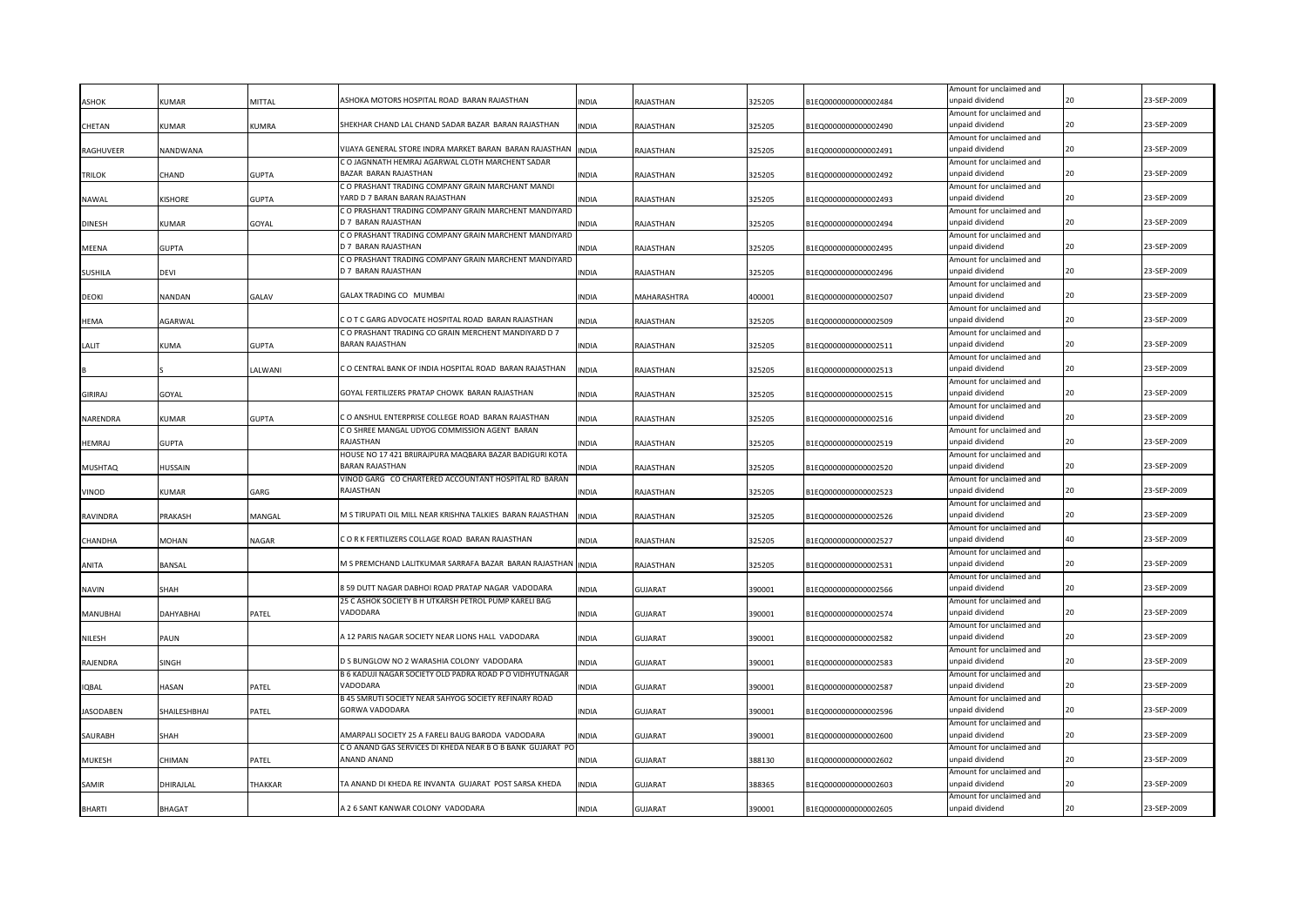|                 |                    |                |                                                                              |              |                |        |                      | Amount for unclaimed and                    |    |             |
|-----------------|--------------------|----------------|------------------------------------------------------------------------------|--------------|----------------|--------|----------------------|---------------------------------------------|----|-------------|
| <b>ASHOK</b>    | <b>KUMAR</b>       | <b>MITTAL</b>  | ASHOKA MOTORS HOSPITAL ROAD BARAN RAJASTHAN                                  | <b>NDIA</b>  | RAJASTHAN      | 325205 | 31EQ000000000002484  | unpaid dividend                             | 20 | 23-SEP-2009 |
|                 |                    |                | SHEKHAR CHAND LAL CHAND SADAR BAZAR BARAN RAJASTHAN                          |              |                |        |                      | Amount for unclaimed and                    | 20 | 23-SEP-2009 |
| CHETAN          | KUMAR              | KUMRA          |                                                                              | INDIA        | RAJASTHAN      | 325205 | B1EQ0000000000002490 | unpaid dividend<br>Amount for unclaimed and |    |             |
| RAGHUVEER       | NANDWANA           |                | VIJAYA GENERAL STORE INDRA MARKET BARAN BARAN RAJASTHAN                      | <b>INDIA</b> | RAJASTHAN      | 325205 | B1EQ0000000000002491 | unpaid dividend                             | 20 | 23-SEP-2009 |
|                 |                    |                | C O JAGNNATH HEMRAJ AGARWAL CLOTH MARCHENT SADAR                             |              |                |        |                      | Amount for unclaimed and                    |    |             |
| <b>TRILOK</b>   | CHAND              | <b>GUPTA</b>   | BAZAR BARAN RAJASTHAN                                                        | INDIA        | RAJASTHAN      | 325205 | B1EQ0000000000002492 | unpaid dividend                             | 20 | 23-SEP-2009 |
|                 |                    |                | C O PRASHANT TRADING COMPANY GRAIN MARCHANT MANDI                            |              |                |        |                      | Amount for unclaimed and                    |    |             |
| NAWAL           | <b>KISHORE</b>     | <b>GUPTA</b>   | YARD D 7 BARAN BARAN RAJASTHAN                                               | <b>INDIA</b> | RAJASTHAN      | 325205 | B1EQ0000000000002493 | unpaid dividend                             | 20 | 23-SEP-2009 |
|                 |                    |                | C O PRASHANT TRADING COMPANY GRAIN MARCHENT MANDIYARD                        |              |                |        |                      | Amount for unclaimed and                    |    |             |
| <b>DINESH</b>   | KUMAR              | GOYAL          | D 7 BARAN RAJASTHAN                                                          | INDIA        | RAJASTHAN      | 325205 | B1EQ0000000000002494 | unpaid dividend                             | 20 | 23-SEP-2009 |
|                 |                    |                | C O PRASHANT TRADING COMPANY GRAIN MARCHENT MANDIYARD<br>D 7 BARAN RAJASTHAN |              |                |        |                      | Amount for unclaimed and<br>unpaid dividend | 20 | 23-SEP-2009 |
| MEENA           | GUPTA              |                | C O PRASHANT TRADING COMPANY GRAIN MARCHENT MANDIYARD                        | INDIA        | RAJASTHAN      | 325205 | B1EQ0000000000002495 |                                             |    |             |
| <b>SUSHILA</b>  | devi               |                | D 7 BARAN RAJASTHAN                                                          | INDIA        | RAJASTHAN      | 325205 | B1EQ0000000000002496 | Amount for unclaimed and<br>unpaid dividend | 20 | 23-SEP-2009 |
|                 |                    |                |                                                                              |              |                |        |                      | Amount for unclaimed and                    |    |             |
| <b>DEOKI</b>    | NANDAN             | GALAV          | GALAX TRADING CO MUMBAI                                                      | INDIA        | MAHARASHTRA    | 400001 | B1EQ0000000000002507 | unpaid dividend                             |    | 23-SEP-2009 |
|                 |                    |                |                                                                              |              |                |        |                      | Amount for unclaimed and                    |    |             |
| <b>HEMA</b>     | AGARWAL            |                | COTCGARG ADVOCATE HOSPITAL ROAD BARAN RAJASTHAN                              | <b>INDIA</b> | RAJASTHAN      | 325205 | B1EQ0000000000002509 | unpaid dividend                             | 20 | 23-SEP-2009 |
|                 |                    |                | C O PRASHANT TRADING CO GRAIN MERCHENT MANDIYARD D 7                         |              |                |        |                      | Amount for unclaimed and                    |    |             |
| LALIT           | KUMA               | <b>GUPTA</b>   | <b>BARAN RAJASTHAN</b>                                                       | <b>INDIA</b> | RAJASTHAN      | 325205 | B1EQ0000000000002511 | unpaid dividend                             | 20 | 23-SEP-2009 |
|                 |                    |                |                                                                              |              |                |        |                      | Amount for unclaimed and                    |    |             |
|                 |                    | LALWANI        | C O CENTRAL BANK OF INDIA HOSPITAL ROAD BARAN RAJASTHAN                      | <b>INDIA</b> | RAJASTHAN      | 325205 | B1EQ0000000000002513 | unpaid dividend                             | 20 | 23-SEP-2009 |
| <b>GIRIRAJ</b>  | GOYAL              |                | GOYAL FERTILIZERS PRATAP CHOWK BARAN RAJASTHAN                               | <b>INDIA</b> | RAJASTHAN      | 325205 | B1EQ0000000000002515 | Amount for unclaimed and<br>unpaid dividend | 20 | 23-SEP-2009 |
|                 |                    |                |                                                                              |              |                |        |                      | Amount for unclaimed and                    |    |             |
| NARENDRA        | KUMAR              | <b>GUPTA</b>   | C O ANSHUL ENTERPRISE COLLEGE ROAD BARAN RAJASTHAN                           | <b>INDIA</b> | RAJASTHAN      | 325205 | B1EQ0000000000002516 | unpaid dividend                             | 20 | 23-SEP-2009 |
|                 |                    |                | C O SHREE MANGAL UDYOG COMMISSION AGENT BARAN                                |              |                |        |                      | Amount for unclaimed and                    |    |             |
| <b>HEMRAJ</b>   | GUPTA              |                | RAJASTHAN                                                                    | <b>INDIA</b> | RAJASTHAN      | 325205 | B1EQ0000000000002519 | unpaid dividend                             | 20 | 23-SEP-2009 |
|                 |                    |                | HOUSE NO 17 421 BRIJRAJPURA MAQBARA BAZAR BADIGURI KOTA                      |              |                |        |                      | Amount for unclaimed and                    |    |             |
| <b>MUSHTAQ</b>  | HUSSAIN            |                | BARAN RAJASTHAN                                                              | INDIA        | RAJASTHAN      | 325205 | B1EQ0000000000002520 | unpaid dividend                             | 20 | 23-SEP-2009 |
|                 |                    |                | VINOD GARG CO CHARTERED ACCOUNTANT HOSPITAL RD BARAN                         |              |                |        |                      | Amount for unclaimed and                    |    |             |
| VINOD           | (UMAR              | GARG           | RAJASTHAN                                                                    | <b>INDIA</b> | RAJASTHAN      | 325205 | B1EQ0000000000002523 | unpaid dividend                             | 20 | 23-SEP-2009 |
|                 |                    |                | M S TIRUPATI OIL MILL NEAR KRISHNA TALKIES BARAN RAJASTHAN                   | <b>INDIA</b> |                |        |                      | Amount for unclaimed and<br>unpaid dividend | 20 | 23-SEP-2009 |
| <b>RAVINDRA</b> | PRAKASH            | MANGAL         |                                                                              |              | RAJASTHAN      | 325205 | B1EQ0000000000002526 | Amount for unclaimed and                    |    |             |
| CHANDHA         | MOHAN              | VAGAR          | CORK FERTILIZERS COLLAGE ROAD BARAN RAJASTHAN                                | <b>INDIA</b> | RAJASTHAN      | 325205 | B1EQ0000000000002527 | unpaid dividend                             |    | 23-SEP-2009 |
|                 |                    |                |                                                                              |              |                |        |                      | Amount for unclaimed and                    |    |             |
| ANITA           | <b>BANSAL</b>      |                | M S PREMCHAND LALITKUMAR SARRAFA BAZAR BARAN RAJASTHAN                       | <b>INDIA</b> | RAJASTHAN      | 325205 | B1EQ0000000000002531 | unpaid dividend                             | 2Ω | 23-SEP-2009 |
|                 |                    |                |                                                                              |              |                |        |                      | Amount for unclaimed and                    |    |             |
| <b>NAVIN</b>    | <b>HAH</b>         |                | 8 59 DUTT NAGAR DABHOI ROAD PRATAP NAGAR VADODARA                            | <b>INDIA</b> | GUJARAT        | 390001 | B1EQ0000000000002566 | unpaid dividend                             | 20 | 23-SEP-2009 |
|                 |                    |                | 25 C ASHOK SOCIETY B H UTKARSH PETROL PUMP KARELI BAG                        |              |                |        |                      | Amount for unclaimed and                    |    |             |
| MANUBHAI        | DAHYABHAI          | PATEL          | VADODARA                                                                     | <b>INDIA</b> | GUJARAT        | 390001 | B1EQ0000000000002574 | unpaid dividend                             |    | 23-SEP-2009 |
|                 |                    |                | A 12 PARIS NAGAR SOCIETY NEAR LIONS HALL VADODARA                            |              |                |        |                      | Amount for unclaimed and<br>unpaid dividend |    | 23-SEP-2009 |
| NILESH          | PAUN               |                |                                                                              | INDIA        | GUJARAT        | 390001 | B1EQ0000000000002582 | Amount for unclaimed and                    |    |             |
| RAJENDRA        | SINGH              |                | D S BUNGLOW NO 2 WARASHIA COLONY VADODARA                                    | INDIA        | GUJARAT        | 390001 | B1EQ0000000000002583 | unpaid dividend                             |    | 23-SEP-2009 |
|                 |                    |                | B 6 KADUJI NAGAR SOCIETY OLD PADRA ROAD P O VIDHYUTNAGAR                     |              |                |        |                      | Amount for unclaimed and                    |    |             |
| <b>IQBAL</b>    | HASAN              | ATEL           | VADODARA                                                                     | INDIA        | GUJARAT        | 390001 | B1EQ0000000000002587 | unpaid dividend                             |    | 23-SEP-2009 |
|                 |                    |                | B 45 SMRUTI SOCIETY NEAR SAHYOG SOCIETY REFINARY ROAD                        |              |                |        |                      | Amount for unclaimed and                    |    |             |
| JASODABEN       | <b>HAILESHBHAI</b> | ATEL           | GORWA VADODARA                                                               | INDIA        | <b>GUJARAT</b> | 390001 | B1EQ0000000000002596 | unpaid dividend                             |    | 23-SEP-2009 |
|                 |                    |                |                                                                              |              |                |        |                      | Amount for unclaimed and                    |    |             |
| SAURABH         | SHAH               |                | AMARPALI SOCIETY 25 A FARELI BAUG BARODA VADODARA                            | INDIA        | <b>GUJARAT</b> | 390001 | B1EQ0000000000002600 | unpaid dividend                             |    | 23-SEP-2009 |
|                 |                    |                | C O ANAND GAS SERVICES DI KHEDA NEAR B O B BANK GUJARAT PC<br>ANAND ANAND    |              |                |        |                      | Amount for unclaimed and                    |    | 23-SEP-2009 |
| <b>MUKESH</b>   | CHIMAN             | ATEL           |                                                                              | INDIA        | <b>GUJARAT</b> | 388130 | B1EQ0000000000002602 | unpaid dividend                             |    |             |
| SAMIR           | DHIRAJLAL          | <b>THAKKAR</b> | TA ANAND DI KHEDA RE INVANTA GUJARAT POST SARSA KHEDA                        | INDIA        | GUJARAT        | 388365 | B1EQ0000000000002603 | Amount for unclaimed and<br>unpaid dividend |    | 23-SEP-2009 |
|                 |                    |                |                                                                              |              |                |        |                      | Amount for unclaimed and                    |    |             |
| <b>BHARTI</b>   | BHAGAT             |                | A 2 6 SANT KANWAR COLONY VADODARA                                            | <b>INDIA</b> | <b>GUJARAT</b> | 390001 | B1EQ0000000000002605 | unpaid dividend                             |    | 23-SEP-2009 |
|                 |                    |                |                                                                              |              |                |        |                      |                                             |    |             |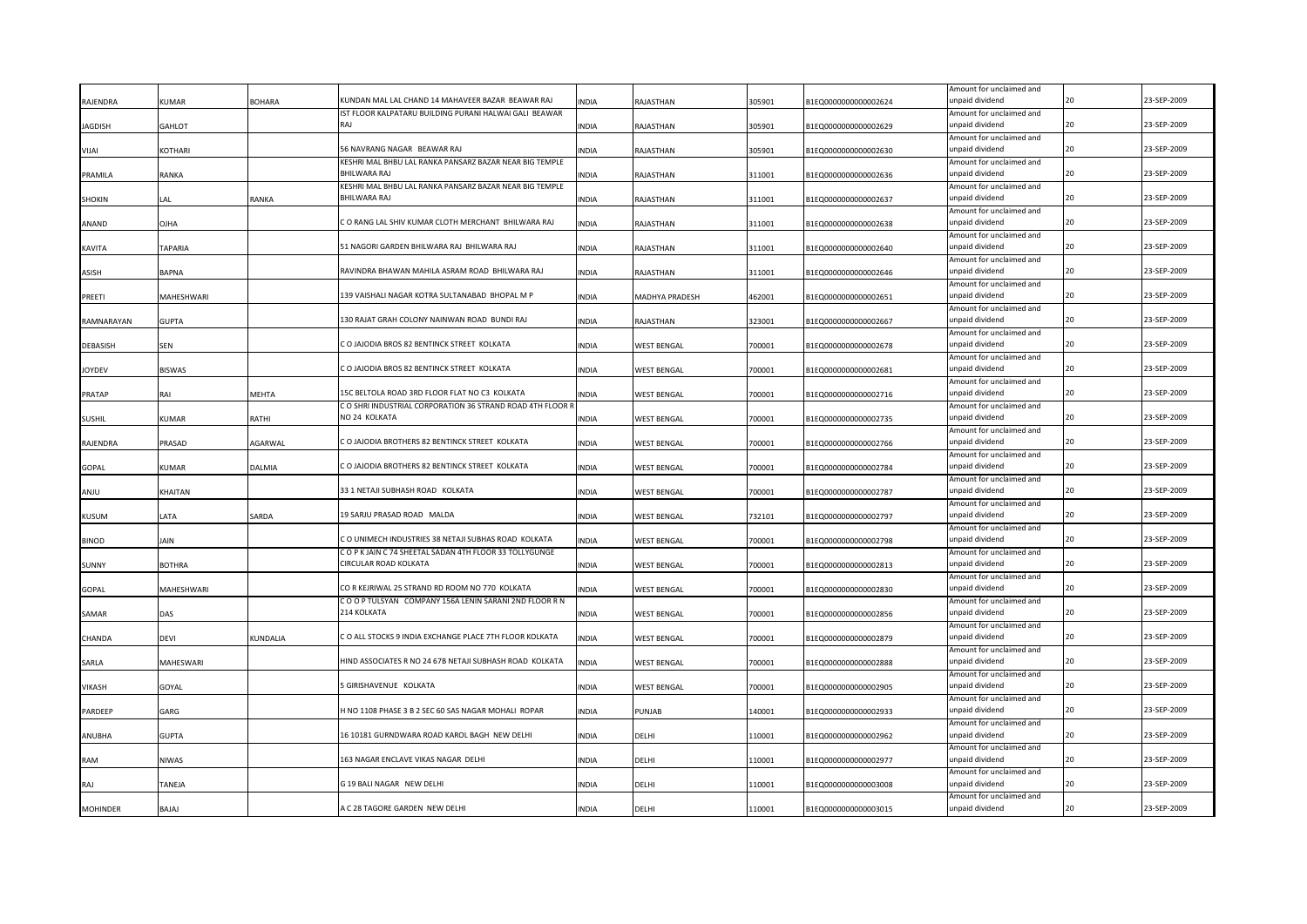|                 |               |                 |                                                                                                             |              |                    |        |                      | Amount for unclaimed and                    |    |             |
|-----------------|---------------|-----------------|-------------------------------------------------------------------------------------------------------------|--------------|--------------------|--------|----------------------|---------------------------------------------|----|-------------|
| RAJENDRA        | <b>KUMAR</b>  | <b>BOHARA</b>   | KUNDAN MAL LAL CHAND 14 MAHAVEER BAZAR BEAWAR RAJ<br>IST FLOOR KALPATARU BUILDING PURANI HALWAI GALI BEAWAR | <b>INDIA</b> | RAJASTHAN          | 305901 | B1EQ0000000000002624 | unpaid dividend                             |    | 23-SEP-2009 |
| IAGDISH         | GAHLOT        |                 | RAJ                                                                                                         | <b>INDIA</b> | RAJASTHAN          | 305901 | B1EQ0000000000002629 | Amount for unclaimed and<br>unpaid dividend | 20 | 23-SEP-2009 |
|                 |               |                 |                                                                                                             |              |                    |        |                      | Amount for unclaimed and                    |    |             |
| <b>IAUV</b>     | KOTHARI       |                 | 56 NAVRANG NAGAR BEAWAR RAJ                                                                                 | <b>INDIA</b> | RAJASTHAN          | 305901 | B1EQ0000000000002630 | unpaid dividend                             | 20 | 23-SEP-2009 |
|                 |               |                 | KESHRI MAL BHBU LAL RANKA PANSARZ BAZAR NEAR BIG TEMPLE                                                     |              |                    |        |                      | Amount for unclaimed and                    |    |             |
| PRAMILA         | RANKA         |                 | <b>BHILWARA RAJ</b>                                                                                         | <b>INDIA</b> | RAJASTHAN          | 311001 | B1EQ0000000000002636 | unpaid dividend                             | 20 | 23-SEP-2009 |
|                 |               |                 | KESHRI MAL BHBU LAL RANKA PANSARZ BAZAR NEAR BIG TEMPLE<br>BHILWARA RAJ                                     |              |                    |        |                      | Amount for unclaimed and                    |    | 23-SEP-2009 |
| <b>SHOKIN</b>   | LAL           | RANKA           |                                                                                                             | <b>INDIA</b> | RAJASTHAN          | 311001 | B1EQ0000000000002637 | unpaid dividend<br>Amount for unclaimed and |    |             |
| ANAND           | AHLO          |                 | C O RANG LAL SHIV KUMAR CLOTH MERCHANT BHILWARA RAJ                                                         | INDIA        | RAJASTHAN          | 311001 | B1EQ0000000000002638 | unpaid dividend                             | 20 | 23-SEP-2009 |
|                 |               |                 |                                                                                                             |              |                    |        |                      | Amount for unclaimed and                    |    |             |
| KAVITA          | TAPARIA       |                 | 51 NAGORI GARDEN BHILWARA RAJ BHILWARA RAJ                                                                  | <b>INDIA</b> | RAJASTHAN          | 311001 | B1EQ0000000000002640 | unpaid dividend                             |    | 23-SEP-2009 |
|                 |               |                 |                                                                                                             |              |                    |        |                      | Amount for unclaimed and                    |    |             |
| <b>ASISH</b>    | BAPNA         |                 | RAVINDRA BHAWAN MAHILA ASRAM ROAD BHILWARA RAJ                                                              | <b>INDIA</b> | RAJASTHAN          | 311001 | B1EQ0000000000002646 | unpaid dividend                             | 20 | 23-SEP-2009 |
|                 |               |                 | 139 VAISHALI NAGAR KOTRA SULTANABAD BHOPAL M P                                                              |              | MADHYA PRADESH     |        |                      | Amount for unclaimed and<br>unpaid dividend |    | 23-SEP-2009 |
| PREETI          | MAHESHWARI    |                 |                                                                                                             | <b>INDIA</b> |                    | 462001 | B1EQ0000000000002651 | Amount for unclaimed and                    |    |             |
| RAMNARAYAN      | <b>GUPTA</b>  |                 | 130 RAJAT GRAH COLONY NAINWAN ROAD BUNDI RAJ                                                                | <b>INDIA</b> | RAJASTHAN          | 323001 | B1EQ0000000000002667 | unpaid dividend                             | 20 | 23-SEP-2009 |
|                 |               |                 |                                                                                                             |              |                    |        |                      | Amount for unclaimed and                    |    |             |
| <b>DEBASISH</b> | SEN           |                 | CO JAJODIA BROS 82 BENTINCK STREET KOLKATA                                                                  | <b>INDIA</b> | <b>WEST BENGAL</b> | 700001 | B1EQ0000000000002678 | unpaid dividend                             | 20 | 23-SEP-2009 |
|                 |               |                 |                                                                                                             |              |                    |        |                      | Amount for unclaimed and                    |    |             |
| <b>JOYDEV</b>   | BISWAS        |                 | C O JAJODIA BROS 82 BENTINCK STREET KOLKATA                                                                 | <b>INDIA</b> | <b>WEST BENGAL</b> | 700001 | B1EQ0000000000002681 | unpaid dividend                             | 20 | 23-SEP-2009 |
| <b>PRATAP</b>   | RAI           | <b>MEHTA</b>    | 15C BELTOLA ROAD 3RD FLOOR FLAT NO C3 KOLKATA                                                               | <b>INDIA</b> | <b>WEST BENGAL</b> | 700001 | B1EQ0000000000002716 | Amount for unclaimed and<br>unpaid dividend | 20 | 23-SEP-2009 |
|                 |               |                 | CO SHRI INDUSTRIAL CORPORATION 36 STRAND ROAD 4TH FLOOR R                                                   |              |                    |        |                      | Amount for unclaimed and                    |    |             |
| <b>SUSHIL</b>   | KUMAR         | RATHI           | NO 24 KOLKATA                                                                                               | <b>INDIA</b> | <b>WEST BENGAL</b> | 700001 | B1EQ0000000000002735 | unpaid dividend                             | 20 | 23-SEP-2009 |
|                 |               |                 |                                                                                                             |              |                    |        |                      | Amount for unclaimed and                    |    |             |
| RAJENDRA        | PRASAD        | AGARWAL         | C O JAJODIA BROTHERS 82 BENTINCK STREET KOLKATA                                                             | <b>INDIA</b> | <b>WEST BENGAL</b> | 700001 | B1EQ0000000000002766 | unpaid dividend                             |    | 23-SEP-2009 |
|                 |               |                 |                                                                                                             |              |                    |        |                      | Amount for unclaimed and                    |    |             |
| <b>GOPAL</b>    | KUMAR         | DALMIA          | C O JAJODIA BROTHERS 82 BENTINCK STREET KOLKATA                                                             | <b>INDIA</b> | <b>WEST BENGAL</b> | 700001 | B1EQ0000000000002784 | unpaid dividend                             | 20 | 23-SEP-2009 |
| ANJU            | KHAITAN       |                 | 33 1 NETAJI SUBHASH ROAD KOLKATA                                                                            | <b>INDIA</b> | <b>WEST BENGAL</b> | 700001 | B1EQ0000000000002787 | Amount for unclaimed and<br>unpaid dividend | 20 | 23-SEP-2009 |
|                 |               |                 |                                                                                                             |              |                    |        |                      | Amount for unclaimed and                    |    |             |
| <b>KUSUM</b>    | LATA          | SARDA           | 19 SARJU PRASAD ROAD MALDA                                                                                  | <b>INDIA</b> | <b>WEST BENGAL</b> | 732101 | B1EQ0000000000002797 | unpaid dividend                             | 20 | 23-SEP-2009 |
|                 |               |                 |                                                                                                             |              |                    |        |                      | Amount for unclaimed and                    |    |             |
| <b>BINOD</b>    | IAIN          |                 | C O UNIMECH INDUSTRIES 38 NETAJI SUBHAS ROAD KOLKATA                                                        | <b>INDIA</b> | <b>WEST BENGAL</b> | 700001 | B1EQ0000000000002798 | unpaid dividend                             | 20 | 23-SEP-2009 |
|                 |               |                 | COPK JAIN C 74 SHEETAL SADAN 4TH FLOOR 33 TOLLYGUNGE<br>CIRCULAR ROAD KOLKATA                               |              |                    |        |                      | Amount for unclaimed and                    |    |             |
| <b>SUNNY</b>    | <b>BOTHRA</b> |                 |                                                                                                             | <b>INDIA</b> | WEST BENGAL        | 700001 | B1EQ0000000000002813 | unpaid dividend<br>Amount for unclaimed and |    | 23-SEP-2009 |
| GOPAL           | MAHESHWARI    |                 | CO R KEJRIWAL 25 STRAND RD ROOM NO 770 KOLKATA                                                              | <b>INDIA</b> | WEST BENGAL        | 700001 | B1EQ0000000000002830 | unpaid dividend                             |    | 23-SEP-2009 |
|                 |               |                 | COOP TULSYAN COMPANY 156A LENIN SARANI 2ND FLOOR R N                                                        |              |                    |        |                      | Amount for unclaimed and                    |    |             |
| SAMAR           | DAS           |                 | 214 KOLKATA                                                                                                 | <b>INDIA</b> | <b>WEST BENGAL</b> | 700001 | B1EQ0000000000002856 | unpaid dividend                             |    | 23-SEP-2009 |
|                 |               |                 |                                                                                                             |              |                    |        |                      | Amount for unclaimed and                    |    |             |
| CHANDA          | devi          | <b>KUNDALIA</b> | C O ALL STOCKS 9 INDIA EXCHANGE PLACE 7TH FLOOR KOLKATA                                                     | <b>INDIA</b> | WEST BENGAL        | 700001 | B1EQ0000000000002879 | unpaid dividend                             | 20 | 23-SEP-2009 |
|                 |               |                 | HIND ASSOCIATES R NO 24 67B NETAJI SUBHASH ROAD KOLKATA                                                     |              |                    |        |                      | Amount for unclaimed and<br>unpaid dividend |    | 23-SEP-2009 |
| SARLA           | MAHESWARI     |                 |                                                                                                             | <b>INDIA</b> | <b>WEST BENGAL</b> | 700001 | B1EQ0000000000002888 | Amount for unclaimed and                    |    |             |
| VIKASH          | GOYAL         |                 | 5 GIRISHAVENUE KOLKATA                                                                                      | INDIA        | WEST BENGAL        | 700001 | B1EQ0000000000002905 | unpaid dividend                             |    | 23-SEP-2009 |
|                 |               |                 |                                                                                                             |              |                    |        |                      | Amount for unclaimed and                    |    |             |
| PARDEEP         | GARG          |                 | I NO 1108 PHASE 3 B 2 SEC 60 SAS NAGAR MOHALI ROPAR                                                         | INDIA        | PUNJAB             | 140001 | B1EQ0000000000002933 | unpaid dividend                             |    | 23-SEP-2009 |
|                 |               |                 |                                                                                                             |              |                    |        |                      | Amount for unclaimed and                    |    |             |
| ANUBHA          | GUPTA         |                 | 16 10181 GURNDWARA ROAD KAROL BAGH NEW DELHI                                                                | <b>INDIA</b> | DELHI              | 110001 | B1EQ0000000000002962 | unpaid dividend                             |    | 23-SEP-2009 |
| RAM             | NIWAS         |                 | 163 NAGAR ENCLAVE VIKAS NAGAR DELHI                                                                         | <b>INDIA</b> | DELHI              | 110001 | B1EQ0000000000002977 | Amount for unclaimed and<br>unpaid dividend |    | 23-SEP-2009 |
|                 |               |                 |                                                                                                             |              |                    |        |                      | Amount for unclaimed and                    |    |             |
| RAJ             | TANEJA        |                 | G 19 BALI NAGAR NEW DELHI                                                                                   | <b>INDIA</b> | DELHI              | 110001 | B1EQ0000000000003008 | unpaid dividend                             |    | 23-SEP-2009 |
|                 |               |                 |                                                                                                             |              |                    |        |                      | Amount for unclaimed and                    |    |             |
| <b>MOHINDER</b> | LALAB         |                 | A C 28 TAGORE GARDEN NEW DELHI                                                                              | <b>INDIA</b> | DELHI              | 110001 | B1EQ0000000000003015 | unpaid dividend                             |    | 23-SEP-2009 |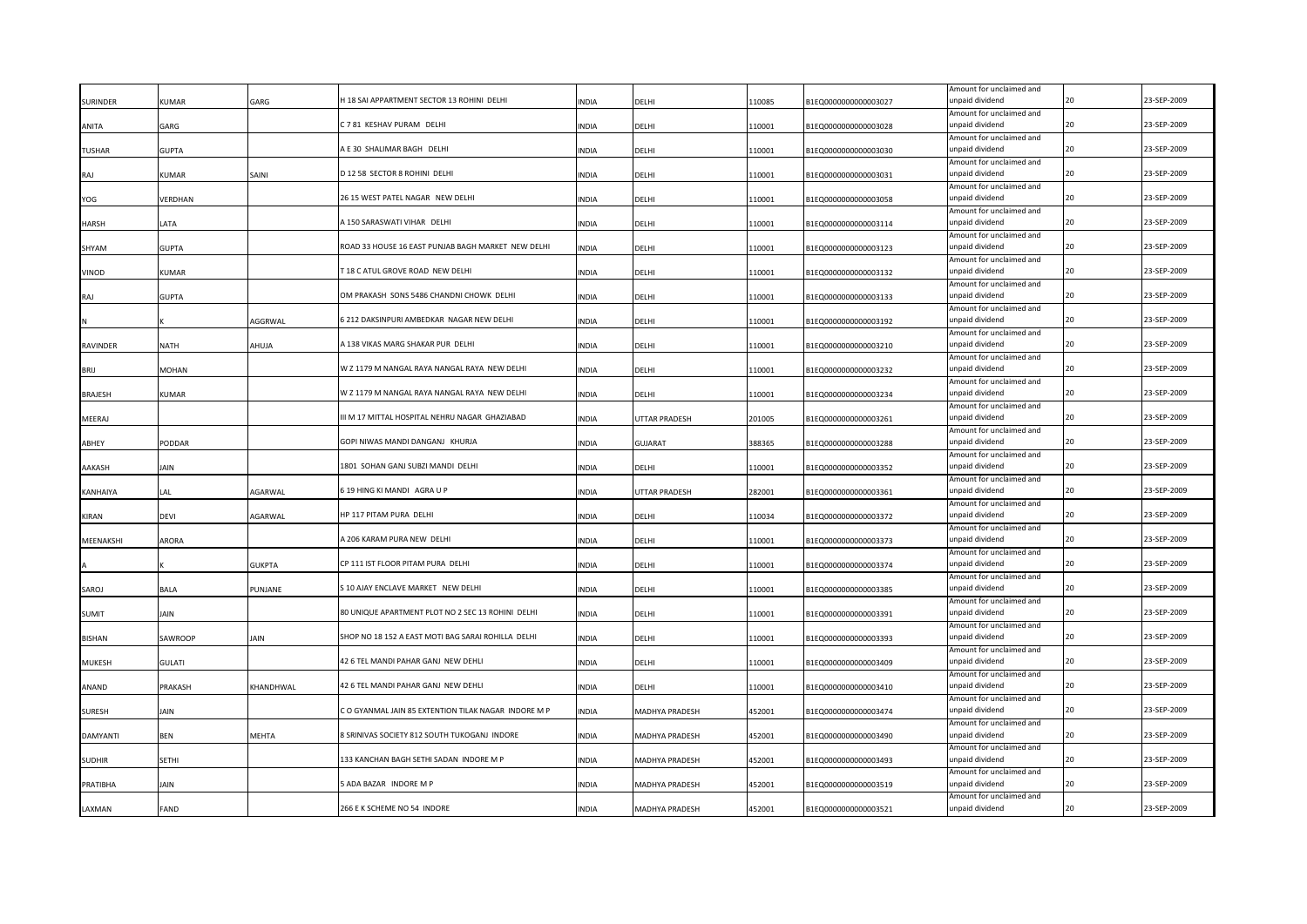| Amount for unclaimed and<br>C 7 81 KESHAV PURAM DELHI<br>20<br>23-SEP-2009<br>unpaid dividend<br>GARG<br><b>INDIA</b><br>DELHI<br>110001<br>B1EQ0000000000003028<br>Amount for unclaimed and<br>A E 30 SHALIMAR BAGH DELHI<br>unpaid dividend<br>23-SEP-2009<br>20<br><b>TUSHAR</b><br>GUPTA<br><b>INDIA</b><br>DELHI<br>110001<br>B1EQ0000000000003030<br>Amount for unclaimed and<br>D 12 58 SECTOR 8 ROHINI DELHI<br>20<br>23-SEP-2009<br>110001<br>unpaid dividend<br>KUMAR<br>SAINI<br><b>INDIA</b><br>DELHI<br>B1EQ0000000000003031<br>Amount for unclaimed and<br>23-SEP-2009<br>26 15 WEST PATEL NAGAR NEW DELHI<br>unpaid dividend<br>110001<br>20<br>YOG<br>VERDHAN<br><b>INDIA</b><br>DELHI<br>B1EQ0000000000003058<br>Amount for unclaimed and<br>A 150 SARASWATI VIHAR DELHI<br>unpaid dividend<br>20<br>23-SEP-2009<br>LATA<br>DELHI<br>110001<br><b>INDIA</b><br>B1EQ0000000000003114<br>Amount for unclaimed and<br>ROAD 33 HOUSE 16 EAST PUNJAB BAGH MARKET NEW DELHI<br>unpaid dividend<br>20<br>23-SEP-2009<br><b>GUPTA</b><br><b>INDIA</b><br>110001<br>SHYAM<br>DELHI<br>B1EQ0000000000003123<br>Amount for unclaimed and<br>T18 C ATUL GROVE ROAD NEW DELHI<br>unpaid dividend<br>20<br>23-SEP-2009<br>110001<br>KUMAR<br><b>INDIA</b><br>DELHI<br>B1EQ0000000000003132<br>Amount for unclaimed and<br>OM PRAKASH SONS 5486 CHANDNI CHOWK DELHI<br>unpaid dividend<br>20<br>23-SEP-2009<br>110001<br>B1EQ0000000000003133<br><b>GUPTA</b><br><b>INDIA</b><br>DELHI<br>RAI<br>Amount for unclaimed and<br>6 212 DAKSINPURI AMBEDKAR NAGAR NEW DELHI<br>unpaid dividend<br>20<br>23-SEP-2009<br>AGGRWAL<br><b>INDIA</b><br>DELHI<br>110001<br>B1EQ0000000000003192<br>Amount for unclaimed and<br>A 138 VIKAS MARG SHAKAR PUR DELHI<br>unpaid dividend<br>20<br>23-SEP-2009<br>RAVINDER<br>NATH<br>AHUJA<br><b>INDIA</b><br>DELHI<br>110001<br>B1EQ0000000000003210<br>Amount for unclaimed and<br>23-SEP-2009<br>W Z 1179 M NANGAL RAYA NANGAL RAYA NEW DELHI<br>unpaid dividend<br>20<br><b>BRIJ</b><br>MOHAN<br><b>INDIA</b><br>DELHI<br>110001<br>B1EQ0000000000003232<br>Amount for unclaimed and<br>23-SEP-2009<br>W Z 1179 M NANGAL RAYA NANGAL RAYA NEW DELHI<br>unpaid dividend<br>20<br>KUMAR<br><b>INDIA</b><br>DELHI<br>110001<br>B1EQ0000000000003234<br>Amount for unclaimed and<br>23-SEP-2009<br>III M 17 MITTAL HOSPITAL NEHRU NAGAR GHAZIABAD<br>unpaid dividend<br>MEERAJ<br><b>INDIA</b><br>UTTAR PRADESH<br>201005<br>B1EQ0000000000003261<br>Amount for unclaimed and<br>23-SEP-2009<br>GOPI NIWAS MANDI DANGANJ KHURJA<br>PODDAR<br><b>INDIA</b><br>388365<br>unpaid dividend<br>20<br><b>GUJARAT</b><br>B1EQ0000000000003288<br>Amount for unclaimed and<br>1801 SOHAN GANJ SUBZI MANDI DELHI<br>23-SEP-2009<br>IAIN<br><b>INDIA</b><br>110001<br>unpaid dividend<br>20<br>DELHI<br>B1EQ0000000000003352<br>Amount for unclaimed and<br>23-SEP-2009<br>6 19 HING KI MANDI AGRA U P<br>unpaid dividend<br>AGARWAL<br><b>INDIA</b><br>UTTAR PRADESH<br>282001<br>KANHAIYA<br>LA L<br>B1EQ0000000000003361<br>Amount for unclaimed and<br>23-SEP-2009<br>HP 117 PITAM PURA DELHI<br>unpaid dividend<br>KIRAN<br>devi<br>AGARWAL<br><b>INDIA</b><br>DELHI<br>110034<br>B1EQ0000000000003372<br>Amount for unclaimed and<br>A 206 KARAM PURA NEW DELHI<br>23-SEP-2009<br>unpaid dividend<br>MEENAKSHI<br>ARORA<br><b>INDIA</b><br>DELHI<br>110001<br>B1EQ0000000000003373<br>Amount for unclaimed and<br>CP 111 IST FLOOR PITAM PURA DELHI<br>23-SEP-2009<br>unpaid dividend<br><b>GUKPTA</b><br><b>INDIA</b><br>DELHI<br>110001<br>B1EQ0000000000003374<br>Amount for unclaimed and<br>23-SEP-2009<br>S 10 AJAY ENCLAVE MARKET NEW DELHI<br>unpaid dividend<br>BALA<br>PUNJANE<br><b>INDIA</b><br>DELHI<br>110001<br>B1EQ0000000000003385<br>20<br>Amount for unclaimed and<br>80 UNIQUE APARTMENT PLOT NO 2 SEC 13 ROHINI DELHI<br>23-SEP-2009<br>unpaid dividend<br><b>SUMIT</b><br>Jain<br><b>INDIA</b><br>DELHI<br>110001<br>B1EQ0000000000003391<br>Amount for unclaimed and<br>23-SEP-2009<br>SHOP NO 18 152 A EAST MOTI BAG SARAI ROHILLA DELHI<br>unpaid dividend<br>SAWROOP<br>JAIN<br>INDIA<br>DELHI<br>110001<br>B1EQ0000000000003393<br>Amount for unclaimed and<br>23-SEP-2009<br>42 6 TEL MANDI PAHAR GANJ NEW DEHLI<br>unpaid dividend<br><b>MUKESH</b><br>GULATI<br>INDIA<br>DELHI<br>110001<br>B1EQ0000000000003409<br>Amount for unclaimed and<br>23-SEP-2009<br>42 6 TEL MANDI PAHAR GANJ NEW DEHLI<br>unpaid dividend<br>KHANDHWAL<br>ANAND<br>PRAKASH<br>INDIA<br>DELHI<br>110001<br>B1EQ0000000000003410<br>Amount for unclaimed and<br>CO GYANMAL JAIN 85 EXTENTION TILAK NAGAR INDORE M P<br>23-SEP-2009<br>unpaid dividend<br>MADHYA PRADESH<br>B1EQ0000000000003474<br><b>SURESH</b><br>AIN<br>INDIA<br>452001<br>Amount for unclaimed and<br><b>B SRINIVAS SOCIETY 812 SOUTH TUKOGANJ INDORE</b><br>23-SEP-2009<br>MEHTA<br>unpaid dividend<br><b>DAMYANTI</b><br>BEN<br><b>INDIA</b><br>MADHYA PRADESH<br>452001<br>B1EQ0000000000003490<br>Amount for unclaimed and<br>133 KANCHAN BAGH SETHI SADAN INDORE M P<br>23-SEP-2009<br>SETHI<br><b>INDIA</b><br>MADHYA PRADESH<br>452001<br>unpaid dividend<br>B1EQ0000000000003493<br>Amount for unclaimed and<br>ADA BAZAR INDORE M P<br>23-SEP-2009<br>PRATIBHA<br><b>AIN</b><br><b>INDIA</b><br>B1EQ0000000000003519<br>unpaid dividend<br>MADHYA PRADESH<br>452001<br>Amount for unclaimed and<br>266 E K SCHEME NO 54 INDORE<br>unpaid dividend<br>23-SEP-2009<br>FAND<br><b>INDIA</b><br>MADHYA PRADESH<br>452001<br>B1EQ0000000000003521 | <b>SURINDER</b> | KUMAR | GARG | H 18 SAI APPARTMENT SECTOR 13 ROHINI DELHI | INDIA | DELHI | 110085 | B1EQ0000000000003027 | Amount for unclaimed and<br>unpaid dividend | 20 | 23-SEP-2009 |
|-----------------------------------------------------------------------------------------------------------------------------------------------------------------------------------------------------------------------------------------------------------------------------------------------------------------------------------------------------------------------------------------------------------------------------------------------------------------------------------------------------------------------------------------------------------------------------------------------------------------------------------------------------------------------------------------------------------------------------------------------------------------------------------------------------------------------------------------------------------------------------------------------------------------------------------------------------------------------------------------------------------------------------------------------------------------------------------------------------------------------------------------------------------------------------------------------------------------------------------------------------------------------------------------------------------------------------------------------------------------------------------------------------------------------------------------------------------------------------------------------------------------------------------------------------------------------------------------------------------------------------------------------------------------------------------------------------------------------------------------------------------------------------------------------------------------------------------------------------------------------------------------------------------------------------------------------------------------------------------------------------------------------------------------------------------------------------------------------------------------------------------------------------------------------------------------------------------------------------------------------------------------------------------------------------------------------------------------------------------------------------------------------------------------------------------------------------------------------------------------------------------------------------------------------------------------------------------------------------------------------------------------------------------------------------------------------------------------------------------------------------------------------------------------------------------------------------------------------------------------------------------------------------------------------------------------------------------------------------------------------------------------------------------------------------------------------------------------------------------------------------------------------------------------------------------------------------------------------------------------------------------------------------------------------------------------------------------------------------------------------------------------------------------------------------------------------------------------------------------------------------------------------------------------------------------------------------------------------------------------------------------------------------------------------------------------------------------------------------------------------------------------------------------------------------------------------------------------------------------------------------------------------------------------------------------------------------------------------------------------------------------------------------------------------------------------------------------------------------------------------------------------------------------------------------------------------------------------------------------------------------------------------------------------------------------------------------------------------------------------------------------------------------------------------------------------------------------------------------------------------------------------------------------------------------------------------------------------------------------------------------------------------------------------------------------------------------------------------------------------------------------------------------------------------------------------------------------------------------------------------------------------------------------------------------------------------------------------------------------------------------------------------------------------------------------------------------------------------------------------------------------------------------------------------------------------------------------------------------------------------------------------------------------------------------------------------------------------------------------------------------------------------------------------------------------------------------------------------------------------------------------------------------------------------------------------|-----------------|-------|------|--------------------------------------------|-------|-------|--------|----------------------|---------------------------------------------|----|-------------|
|                                                                                                                                                                                                                                                                                                                                                                                                                                                                                                                                                                                                                                                                                                                                                                                                                                                                                                                                                                                                                                                                                                                                                                                                                                                                                                                                                                                                                                                                                                                                                                                                                                                                                                                                                                                                                                                                                                                                                                                                                                                                                                                                                                                                                                                                                                                                                                                                                                                                                                                                                                                                                                                                                                                                                                                                                                                                                                                                                                                                                                                                                                                                                                                                                                                                                                                                                                                                                                                                                                                                                                                                                                                                                                                                                                                                                                                                                                                                                                                                                                                                                                                                                                                                                                                                                                                                                                                                                                                                                                                                                                                                                                                                                                                                                                                                                                                                                                                                                                                                                                                                                                                                                                                                                                                                                                                                                                                                                                                                                                                                                                 |                 |       |      |                                            |       |       |        |                      |                                             |    |             |
|                                                                                                                                                                                                                                                                                                                                                                                                                                                                                                                                                                                                                                                                                                                                                                                                                                                                                                                                                                                                                                                                                                                                                                                                                                                                                                                                                                                                                                                                                                                                                                                                                                                                                                                                                                                                                                                                                                                                                                                                                                                                                                                                                                                                                                                                                                                                                                                                                                                                                                                                                                                                                                                                                                                                                                                                                                                                                                                                                                                                                                                                                                                                                                                                                                                                                                                                                                                                                                                                                                                                                                                                                                                                                                                                                                                                                                                                                                                                                                                                                                                                                                                                                                                                                                                                                                                                                                                                                                                                                                                                                                                                                                                                                                                                                                                                                                                                                                                                                                                                                                                                                                                                                                                                                                                                                                                                                                                                                                                                                                                                                                 | ANITA           |       |      |                                            |       |       |        |                      |                                             |    |             |
|                                                                                                                                                                                                                                                                                                                                                                                                                                                                                                                                                                                                                                                                                                                                                                                                                                                                                                                                                                                                                                                                                                                                                                                                                                                                                                                                                                                                                                                                                                                                                                                                                                                                                                                                                                                                                                                                                                                                                                                                                                                                                                                                                                                                                                                                                                                                                                                                                                                                                                                                                                                                                                                                                                                                                                                                                                                                                                                                                                                                                                                                                                                                                                                                                                                                                                                                                                                                                                                                                                                                                                                                                                                                                                                                                                                                                                                                                                                                                                                                                                                                                                                                                                                                                                                                                                                                                                                                                                                                                                                                                                                                                                                                                                                                                                                                                                                                                                                                                                                                                                                                                                                                                                                                                                                                                                                                                                                                                                                                                                                                                                 |                 |       |      |                                            |       |       |        |                      |                                             |    |             |
|                                                                                                                                                                                                                                                                                                                                                                                                                                                                                                                                                                                                                                                                                                                                                                                                                                                                                                                                                                                                                                                                                                                                                                                                                                                                                                                                                                                                                                                                                                                                                                                                                                                                                                                                                                                                                                                                                                                                                                                                                                                                                                                                                                                                                                                                                                                                                                                                                                                                                                                                                                                                                                                                                                                                                                                                                                                                                                                                                                                                                                                                                                                                                                                                                                                                                                                                                                                                                                                                                                                                                                                                                                                                                                                                                                                                                                                                                                                                                                                                                                                                                                                                                                                                                                                                                                                                                                                                                                                                                                                                                                                                                                                                                                                                                                                                                                                                                                                                                                                                                                                                                                                                                                                                                                                                                                                                                                                                                                                                                                                                                                 |                 |       |      |                                            |       |       |        |                      |                                             |    |             |
|                                                                                                                                                                                                                                                                                                                                                                                                                                                                                                                                                                                                                                                                                                                                                                                                                                                                                                                                                                                                                                                                                                                                                                                                                                                                                                                                                                                                                                                                                                                                                                                                                                                                                                                                                                                                                                                                                                                                                                                                                                                                                                                                                                                                                                                                                                                                                                                                                                                                                                                                                                                                                                                                                                                                                                                                                                                                                                                                                                                                                                                                                                                                                                                                                                                                                                                                                                                                                                                                                                                                                                                                                                                                                                                                                                                                                                                                                                                                                                                                                                                                                                                                                                                                                                                                                                                                                                                                                                                                                                                                                                                                                                                                                                                                                                                                                                                                                                                                                                                                                                                                                                                                                                                                                                                                                                                                                                                                                                                                                                                                                                 | RAJ             |       |      |                                            |       |       |        |                      |                                             |    |             |
|                                                                                                                                                                                                                                                                                                                                                                                                                                                                                                                                                                                                                                                                                                                                                                                                                                                                                                                                                                                                                                                                                                                                                                                                                                                                                                                                                                                                                                                                                                                                                                                                                                                                                                                                                                                                                                                                                                                                                                                                                                                                                                                                                                                                                                                                                                                                                                                                                                                                                                                                                                                                                                                                                                                                                                                                                                                                                                                                                                                                                                                                                                                                                                                                                                                                                                                                                                                                                                                                                                                                                                                                                                                                                                                                                                                                                                                                                                                                                                                                                                                                                                                                                                                                                                                                                                                                                                                                                                                                                                                                                                                                                                                                                                                                                                                                                                                                                                                                                                                                                                                                                                                                                                                                                                                                                                                                                                                                                                                                                                                                                                 |                 |       |      |                                            |       |       |        |                      |                                             |    |             |
|                                                                                                                                                                                                                                                                                                                                                                                                                                                                                                                                                                                                                                                                                                                                                                                                                                                                                                                                                                                                                                                                                                                                                                                                                                                                                                                                                                                                                                                                                                                                                                                                                                                                                                                                                                                                                                                                                                                                                                                                                                                                                                                                                                                                                                                                                                                                                                                                                                                                                                                                                                                                                                                                                                                                                                                                                                                                                                                                                                                                                                                                                                                                                                                                                                                                                                                                                                                                                                                                                                                                                                                                                                                                                                                                                                                                                                                                                                                                                                                                                                                                                                                                                                                                                                                                                                                                                                                                                                                                                                                                                                                                                                                                                                                                                                                                                                                                                                                                                                                                                                                                                                                                                                                                                                                                                                                                                                                                                                                                                                                                                                 |                 |       |      |                                            |       |       |        |                      |                                             |    |             |
|                                                                                                                                                                                                                                                                                                                                                                                                                                                                                                                                                                                                                                                                                                                                                                                                                                                                                                                                                                                                                                                                                                                                                                                                                                                                                                                                                                                                                                                                                                                                                                                                                                                                                                                                                                                                                                                                                                                                                                                                                                                                                                                                                                                                                                                                                                                                                                                                                                                                                                                                                                                                                                                                                                                                                                                                                                                                                                                                                                                                                                                                                                                                                                                                                                                                                                                                                                                                                                                                                                                                                                                                                                                                                                                                                                                                                                                                                                                                                                                                                                                                                                                                                                                                                                                                                                                                                                                                                                                                                                                                                                                                                                                                                                                                                                                                                                                                                                                                                                                                                                                                                                                                                                                                                                                                                                                                                                                                                                                                                                                                                                 | <b>HARSH</b>    |       |      |                                            |       |       |        |                      |                                             |    |             |
|                                                                                                                                                                                                                                                                                                                                                                                                                                                                                                                                                                                                                                                                                                                                                                                                                                                                                                                                                                                                                                                                                                                                                                                                                                                                                                                                                                                                                                                                                                                                                                                                                                                                                                                                                                                                                                                                                                                                                                                                                                                                                                                                                                                                                                                                                                                                                                                                                                                                                                                                                                                                                                                                                                                                                                                                                                                                                                                                                                                                                                                                                                                                                                                                                                                                                                                                                                                                                                                                                                                                                                                                                                                                                                                                                                                                                                                                                                                                                                                                                                                                                                                                                                                                                                                                                                                                                                                                                                                                                                                                                                                                                                                                                                                                                                                                                                                                                                                                                                                                                                                                                                                                                                                                                                                                                                                                                                                                                                                                                                                                                                 |                 |       |      |                                            |       |       |        |                      |                                             |    |             |
|                                                                                                                                                                                                                                                                                                                                                                                                                                                                                                                                                                                                                                                                                                                                                                                                                                                                                                                                                                                                                                                                                                                                                                                                                                                                                                                                                                                                                                                                                                                                                                                                                                                                                                                                                                                                                                                                                                                                                                                                                                                                                                                                                                                                                                                                                                                                                                                                                                                                                                                                                                                                                                                                                                                                                                                                                                                                                                                                                                                                                                                                                                                                                                                                                                                                                                                                                                                                                                                                                                                                                                                                                                                                                                                                                                                                                                                                                                                                                                                                                                                                                                                                                                                                                                                                                                                                                                                                                                                                                                                                                                                                                                                                                                                                                                                                                                                                                                                                                                                                                                                                                                                                                                                                                                                                                                                                                                                                                                                                                                                                                                 |                 |       |      |                                            |       |       |        |                      |                                             |    |             |
|                                                                                                                                                                                                                                                                                                                                                                                                                                                                                                                                                                                                                                                                                                                                                                                                                                                                                                                                                                                                                                                                                                                                                                                                                                                                                                                                                                                                                                                                                                                                                                                                                                                                                                                                                                                                                                                                                                                                                                                                                                                                                                                                                                                                                                                                                                                                                                                                                                                                                                                                                                                                                                                                                                                                                                                                                                                                                                                                                                                                                                                                                                                                                                                                                                                                                                                                                                                                                                                                                                                                                                                                                                                                                                                                                                                                                                                                                                                                                                                                                                                                                                                                                                                                                                                                                                                                                                                                                                                                                                                                                                                                                                                                                                                                                                                                                                                                                                                                                                                                                                                                                                                                                                                                                                                                                                                                                                                                                                                                                                                                                                 | VINOD           |       |      |                                            |       |       |        |                      |                                             |    |             |
|                                                                                                                                                                                                                                                                                                                                                                                                                                                                                                                                                                                                                                                                                                                                                                                                                                                                                                                                                                                                                                                                                                                                                                                                                                                                                                                                                                                                                                                                                                                                                                                                                                                                                                                                                                                                                                                                                                                                                                                                                                                                                                                                                                                                                                                                                                                                                                                                                                                                                                                                                                                                                                                                                                                                                                                                                                                                                                                                                                                                                                                                                                                                                                                                                                                                                                                                                                                                                                                                                                                                                                                                                                                                                                                                                                                                                                                                                                                                                                                                                                                                                                                                                                                                                                                                                                                                                                                                                                                                                                                                                                                                                                                                                                                                                                                                                                                                                                                                                                                                                                                                                                                                                                                                                                                                                                                                                                                                                                                                                                                                                                 |                 |       |      |                                            |       |       |        |                      |                                             |    |             |
|                                                                                                                                                                                                                                                                                                                                                                                                                                                                                                                                                                                                                                                                                                                                                                                                                                                                                                                                                                                                                                                                                                                                                                                                                                                                                                                                                                                                                                                                                                                                                                                                                                                                                                                                                                                                                                                                                                                                                                                                                                                                                                                                                                                                                                                                                                                                                                                                                                                                                                                                                                                                                                                                                                                                                                                                                                                                                                                                                                                                                                                                                                                                                                                                                                                                                                                                                                                                                                                                                                                                                                                                                                                                                                                                                                                                                                                                                                                                                                                                                                                                                                                                                                                                                                                                                                                                                                                                                                                                                                                                                                                                                                                                                                                                                                                                                                                                                                                                                                                                                                                                                                                                                                                                                                                                                                                                                                                                                                                                                                                                                                 |                 |       |      |                                            |       |       |        |                      |                                             |    |             |
|                                                                                                                                                                                                                                                                                                                                                                                                                                                                                                                                                                                                                                                                                                                                                                                                                                                                                                                                                                                                                                                                                                                                                                                                                                                                                                                                                                                                                                                                                                                                                                                                                                                                                                                                                                                                                                                                                                                                                                                                                                                                                                                                                                                                                                                                                                                                                                                                                                                                                                                                                                                                                                                                                                                                                                                                                                                                                                                                                                                                                                                                                                                                                                                                                                                                                                                                                                                                                                                                                                                                                                                                                                                                                                                                                                                                                                                                                                                                                                                                                                                                                                                                                                                                                                                                                                                                                                                                                                                                                                                                                                                                                                                                                                                                                                                                                                                                                                                                                                                                                                                                                                                                                                                                                                                                                                                                                                                                                                                                                                                                                                 |                 |       |      |                                            |       |       |        |                      |                                             |    |             |
|                                                                                                                                                                                                                                                                                                                                                                                                                                                                                                                                                                                                                                                                                                                                                                                                                                                                                                                                                                                                                                                                                                                                                                                                                                                                                                                                                                                                                                                                                                                                                                                                                                                                                                                                                                                                                                                                                                                                                                                                                                                                                                                                                                                                                                                                                                                                                                                                                                                                                                                                                                                                                                                                                                                                                                                                                                                                                                                                                                                                                                                                                                                                                                                                                                                                                                                                                                                                                                                                                                                                                                                                                                                                                                                                                                                                                                                                                                                                                                                                                                                                                                                                                                                                                                                                                                                                                                                                                                                                                                                                                                                                                                                                                                                                                                                                                                                                                                                                                                                                                                                                                                                                                                                                                                                                                                                                                                                                                                                                                                                                                                 |                 |       |      |                                            |       |       |        |                      |                                             |    |             |
|                                                                                                                                                                                                                                                                                                                                                                                                                                                                                                                                                                                                                                                                                                                                                                                                                                                                                                                                                                                                                                                                                                                                                                                                                                                                                                                                                                                                                                                                                                                                                                                                                                                                                                                                                                                                                                                                                                                                                                                                                                                                                                                                                                                                                                                                                                                                                                                                                                                                                                                                                                                                                                                                                                                                                                                                                                                                                                                                                                                                                                                                                                                                                                                                                                                                                                                                                                                                                                                                                                                                                                                                                                                                                                                                                                                                                                                                                                                                                                                                                                                                                                                                                                                                                                                                                                                                                                                                                                                                                                                                                                                                                                                                                                                                                                                                                                                                                                                                                                                                                                                                                                                                                                                                                                                                                                                                                                                                                                                                                                                                                                 |                 |       |      |                                            |       |       |        |                      |                                             |    |             |
|                                                                                                                                                                                                                                                                                                                                                                                                                                                                                                                                                                                                                                                                                                                                                                                                                                                                                                                                                                                                                                                                                                                                                                                                                                                                                                                                                                                                                                                                                                                                                                                                                                                                                                                                                                                                                                                                                                                                                                                                                                                                                                                                                                                                                                                                                                                                                                                                                                                                                                                                                                                                                                                                                                                                                                                                                                                                                                                                                                                                                                                                                                                                                                                                                                                                                                                                                                                                                                                                                                                                                                                                                                                                                                                                                                                                                                                                                                                                                                                                                                                                                                                                                                                                                                                                                                                                                                                                                                                                                                                                                                                                                                                                                                                                                                                                                                                                                                                                                                                                                                                                                                                                                                                                                                                                                                                                                                                                                                                                                                                                                                 |                 |       |      |                                            |       |       |        |                      |                                             |    |             |
|                                                                                                                                                                                                                                                                                                                                                                                                                                                                                                                                                                                                                                                                                                                                                                                                                                                                                                                                                                                                                                                                                                                                                                                                                                                                                                                                                                                                                                                                                                                                                                                                                                                                                                                                                                                                                                                                                                                                                                                                                                                                                                                                                                                                                                                                                                                                                                                                                                                                                                                                                                                                                                                                                                                                                                                                                                                                                                                                                                                                                                                                                                                                                                                                                                                                                                                                                                                                                                                                                                                                                                                                                                                                                                                                                                                                                                                                                                                                                                                                                                                                                                                                                                                                                                                                                                                                                                                                                                                                                                                                                                                                                                                                                                                                                                                                                                                                                                                                                                                                                                                                                                                                                                                                                                                                                                                                                                                                                                                                                                                                                                 |                 |       |      |                                            |       |       |        |                      |                                             |    |             |
|                                                                                                                                                                                                                                                                                                                                                                                                                                                                                                                                                                                                                                                                                                                                                                                                                                                                                                                                                                                                                                                                                                                                                                                                                                                                                                                                                                                                                                                                                                                                                                                                                                                                                                                                                                                                                                                                                                                                                                                                                                                                                                                                                                                                                                                                                                                                                                                                                                                                                                                                                                                                                                                                                                                                                                                                                                                                                                                                                                                                                                                                                                                                                                                                                                                                                                                                                                                                                                                                                                                                                                                                                                                                                                                                                                                                                                                                                                                                                                                                                                                                                                                                                                                                                                                                                                                                                                                                                                                                                                                                                                                                                                                                                                                                                                                                                                                                                                                                                                                                                                                                                                                                                                                                                                                                                                                                                                                                                                                                                                                                                                 | <b>BRAJESH</b>  |       |      |                                            |       |       |        |                      |                                             |    |             |
|                                                                                                                                                                                                                                                                                                                                                                                                                                                                                                                                                                                                                                                                                                                                                                                                                                                                                                                                                                                                                                                                                                                                                                                                                                                                                                                                                                                                                                                                                                                                                                                                                                                                                                                                                                                                                                                                                                                                                                                                                                                                                                                                                                                                                                                                                                                                                                                                                                                                                                                                                                                                                                                                                                                                                                                                                                                                                                                                                                                                                                                                                                                                                                                                                                                                                                                                                                                                                                                                                                                                                                                                                                                                                                                                                                                                                                                                                                                                                                                                                                                                                                                                                                                                                                                                                                                                                                                                                                                                                                                                                                                                                                                                                                                                                                                                                                                                                                                                                                                                                                                                                                                                                                                                                                                                                                                                                                                                                                                                                                                                                                 |                 |       |      |                                            |       |       |        |                      |                                             |    |             |
|                                                                                                                                                                                                                                                                                                                                                                                                                                                                                                                                                                                                                                                                                                                                                                                                                                                                                                                                                                                                                                                                                                                                                                                                                                                                                                                                                                                                                                                                                                                                                                                                                                                                                                                                                                                                                                                                                                                                                                                                                                                                                                                                                                                                                                                                                                                                                                                                                                                                                                                                                                                                                                                                                                                                                                                                                                                                                                                                                                                                                                                                                                                                                                                                                                                                                                                                                                                                                                                                                                                                                                                                                                                                                                                                                                                                                                                                                                                                                                                                                                                                                                                                                                                                                                                                                                                                                                                                                                                                                                                                                                                                                                                                                                                                                                                                                                                                                                                                                                                                                                                                                                                                                                                                                                                                                                                                                                                                                                                                                                                                                                 |                 |       |      |                                            |       |       |        |                      |                                             |    |             |
|                                                                                                                                                                                                                                                                                                                                                                                                                                                                                                                                                                                                                                                                                                                                                                                                                                                                                                                                                                                                                                                                                                                                                                                                                                                                                                                                                                                                                                                                                                                                                                                                                                                                                                                                                                                                                                                                                                                                                                                                                                                                                                                                                                                                                                                                                                                                                                                                                                                                                                                                                                                                                                                                                                                                                                                                                                                                                                                                                                                                                                                                                                                                                                                                                                                                                                                                                                                                                                                                                                                                                                                                                                                                                                                                                                                                                                                                                                                                                                                                                                                                                                                                                                                                                                                                                                                                                                                                                                                                                                                                                                                                                                                                                                                                                                                                                                                                                                                                                                                                                                                                                                                                                                                                                                                                                                                                                                                                                                                                                                                                                                 | ABHEY           |       |      |                                            |       |       |        |                      |                                             |    |             |
|                                                                                                                                                                                                                                                                                                                                                                                                                                                                                                                                                                                                                                                                                                                                                                                                                                                                                                                                                                                                                                                                                                                                                                                                                                                                                                                                                                                                                                                                                                                                                                                                                                                                                                                                                                                                                                                                                                                                                                                                                                                                                                                                                                                                                                                                                                                                                                                                                                                                                                                                                                                                                                                                                                                                                                                                                                                                                                                                                                                                                                                                                                                                                                                                                                                                                                                                                                                                                                                                                                                                                                                                                                                                                                                                                                                                                                                                                                                                                                                                                                                                                                                                                                                                                                                                                                                                                                                                                                                                                                                                                                                                                                                                                                                                                                                                                                                                                                                                                                                                                                                                                                                                                                                                                                                                                                                                                                                                                                                                                                                                                                 |                 |       |      |                                            |       |       |        |                      |                                             |    |             |
|                                                                                                                                                                                                                                                                                                                                                                                                                                                                                                                                                                                                                                                                                                                                                                                                                                                                                                                                                                                                                                                                                                                                                                                                                                                                                                                                                                                                                                                                                                                                                                                                                                                                                                                                                                                                                                                                                                                                                                                                                                                                                                                                                                                                                                                                                                                                                                                                                                                                                                                                                                                                                                                                                                                                                                                                                                                                                                                                                                                                                                                                                                                                                                                                                                                                                                                                                                                                                                                                                                                                                                                                                                                                                                                                                                                                                                                                                                                                                                                                                                                                                                                                                                                                                                                                                                                                                                                                                                                                                                                                                                                                                                                                                                                                                                                                                                                                                                                                                                                                                                                                                                                                                                                                                                                                                                                                                                                                                                                                                                                                                                 | AAKASH          |       |      |                                            |       |       |        |                      |                                             |    |             |
|                                                                                                                                                                                                                                                                                                                                                                                                                                                                                                                                                                                                                                                                                                                                                                                                                                                                                                                                                                                                                                                                                                                                                                                                                                                                                                                                                                                                                                                                                                                                                                                                                                                                                                                                                                                                                                                                                                                                                                                                                                                                                                                                                                                                                                                                                                                                                                                                                                                                                                                                                                                                                                                                                                                                                                                                                                                                                                                                                                                                                                                                                                                                                                                                                                                                                                                                                                                                                                                                                                                                                                                                                                                                                                                                                                                                                                                                                                                                                                                                                                                                                                                                                                                                                                                                                                                                                                                                                                                                                                                                                                                                                                                                                                                                                                                                                                                                                                                                                                                                                                                                                                                                                                                                                                                                                                                                                                                                                                                                                                                                                                 |                 |       |      |                                            |       |       |        |                      |                                             |    |             |
|                                                                                                                                                                                                                                                                                                                                                                                                                                                                                                                                                                                                                                                                                                                                                                                                                                                                                                                                                                                                                                                                                                                                                                                                                                                                                                                                                                                                                                                                                                                                                                                                                                                                                                                                                                                                                                                                                                                                                                                                                                                                                                                                                                                                                                                                                                                                                                                                                                                                                                                                                                                                                                                                                                                                                                                                                                                                                                                                                                                                                                                                                                                                                                                                                                                                                                                                                                                                                                                                                                                                                                                                                                                                                                                                                                                                                                                                                                                                                                                                                                                                                                                                                                                                                                                                                                                                                                                                                                                                                                                                                                                                                                                                                                                                                                                                                                                                                                                                                                                                                                                                                                                                                                                                                                                                                                                                                                                                                                                                                                                                                                 |                 |       |      |                                            |       |       |        |                      |                                             |    |             |
|                                                                                                                                                                                                                                                                                                                                                                                                                                                                                                                                                                                                                                                                                                                                                                                                                                                                                                                                                                                                                                                                                                                                                                                                                                                                                                                                                                                                                                                                                                                                                                                                                                                                                                                                                                                                                                                                                                                                                                                                                                                                                                                                                                                                                                                                                                                                                                                                                                                                                                                                                                                                                                                                                                                                                                                                                                                                                                                                                                                                                                                                                                                                                                                                                                                                                                                                                                                                                                                                                                                                                                                                                                                                                                                                                                                                                                                                                                                                                                                                                                                                                                                                                                                                                                                                                                                                                                                                                                                                                                                                                                                                                                                                                                                                                                                                                                                                                                                                                                                                                                                                                                                                                                                                                                                                                                                                                                                                                                                                                                                                                                 |                 |       |      |                                            |       |       |        |                      |                                             |    |             |
|                                                                                                                                                                                                                                                                                                                                                                                                                                                                                                                                                                                                                                                                                                                                                                                                                                                                                                                                                                                                                                                                                                                                                                                                                                                                                                                                                                                                                                                                                                                                                                                                                                                                                                                                                                                                                                                                                                                                                                                                                                                                                                                                                                                                                                                                                                                                                                                                                                                                                                                                                                                                                                                                                                                                                                                                                                                                                                                                                                                                                                                                                                                                                                                                                                                                                                                                                                                                                                                                                                                                                                                                                                                                                                                                                                                                                                                                                                                                                                                                                                                                                                                                                                                                                                                                                                                                                                                                                                                                                                                                                                                                                                                                                                                                                                                                                                                                                                                                                                                                                                                                                                                                                                                                                                                                                                                                                                                                                                                                                                                                                                 |                 |       |      |                                            |       |       |        |                      |                                             |    |             |
|                                                                                                                                                                                                                                                                                                                                                                                                                                                                                                                                                                                                                                                                                                                                                                                                                                                                                                                                                                                                                                                                                                                                                                                                                                                                                                                                                                                                                                                                                                                                                                                                                                                                                                                                                                                                                                                                                                                                                                                                                                                                                                                                                                                                                                                                                                                                                                                                                                                                                                                                                                                                                                                                                                                                                                                                                                                                                                                                                                                                                                                                                                                                                                                                                                                                                                                                                                                                                                                                                                                                                                                                                                                                                                                                                                                                                                                                                                                                                                                                                                                                                                                                                                                                                                                                                                                                                                                                                                                                                                                                                                                                                                                                                                                                                                                                                                                                                                                                                                                                                                                                                                                                                                                                                                                                                                                                                                                                                                                                                                                                                                 |                 |       |      |                                            |       |       |        |                      |                                             |    |             |
|                                                                                                                                                                                                                                                                                                                                                                                                                                                                                                                                                                                                                                                                                                                                                                                                                                                                                                                                                                                                                                                                                                                                                                                                                                                                                                                                                                                                                                                                                                                                                                                                                                                                                                                                                                                                                                                                                                                                                                                                                                                                                                                                                                                                                                                                                                                                                                                                                                                                                                                                                                                                                                                                                                                                                                                                                                                                                                                                                                                                                                                                                                                                                                                                                                                                                                                                                                                                                                                                                                                                                                                                                                                                                                                                                                                                                                                                                                                                                                                                                                                                                                                                                                                                                                                                                                                                                                                                                                                                                                                                                                                                                                                                                                                                                                                                                                                                                                                                                                                                                                                                                                                                                                                                                                                                                                                                                                                                                                                                                                                                                                 |                 |       |      |                                            |       |       |        |                      |                                             |    |             |
|                                                                                                                                                                                                                                                                                                                                                                                                                                                                                                                                                                                                                                                                                                                                                                                                                                                                                                                                                                                                                                                                                                                                                                                                                                                                                                                                                                                                                                                                                                                                                                                                                                                                                                                                                                                                                                                                                                                                                                                                                                                                                                                                                                                                                                                                                                                                                                                                                                                                                                                                                                                                                                                                                                                                                                                                                                                                                                                                                                                                                                                                                                                                                                                                                                                                                                                                                                                                                                                                                                                                                                                                                                                                                                                                                                                                                                                                                                                                                                                                                                                                                                                                                                                                                                                                                                                                                                                                                                                                                                                                                                                                                                                                                                                                                                                                                                                                                                                                                                                                                                                                                                                                                                                                                                                                                                                                                                                                                                                                                                                                                                 |                 |       |      |                                            |       |       |        |                      |                                             |    |             |
|                                                                                                                                                                                                                                                                                                                                                                                                                                                                                                                                                                                                                                                                                                                                                                                                                                                                                                                                                                                                                                                                                                                                                                                                                                                                                                                                                                                                                                                                                                                                                                                                                                                                                                                                                                                                                                                                                                                                                                                                                                                                                                                                                                                                                                                                                                                                                                                                                                                                                                                                                                                                                                                                                                                                                                                                                                                                                                                                                                                                                                                                                                                                                                                                                                                                                                                                                                                                                                                                                                                                                                                                                                                                                                                                                                                                                                                                                                                                                                                                                                                                                                                                                                                                                                                                                                                                                                                                                                                                                                                                                                                                                                                                                                                                                                                                                                                                                                                                                                                                                                                                                                                                                                                                                                                                                                                                                                                                                                                                                                                                                                 | SAROJ           |       |      |                                            |       |       |        |                      |                                             |    |             |
|                                                                                                                                                                                                                                                                                                                                                                                                                                                                                                                                                                                                                                                                                                                                                                                                                                                                                                                                                                                                                                                                                                                                                                                                                                                                                                                                                                                                                                                                                                                                                                                                                                                                                                                                                                                                                                                                                                                                                                                                                                                                                                                                                                                                                                                                                                                                                                                                                                                                                                                                                                                                                                                                                                                                                                                                                                                                                                                                                                                                                                                                                                                                                                                                                                                                                                                                                                                                                                                                                                                                                                                                                                                                                                                                                                                                                                                                                                                                                                                                                                                                                                                                                                                                                                                                                                                                                                                                                                                                                                                                                                                                                                                                                                                                                                                                                                                                                                                                                                                                                                                                                                                                                                                                                                                                                                                                                                                                                                                                                                                                                                 |                 |       |      |                                            |       |       |        |                      |                                             |    |             |
|                                                                                                                                                                                                                                                                                                                                                                                                                                                                                                                                                                                                                                                                                                                                                                                                                                                                                                                                                                                                                                                                                                                                                                                                                                                                                                                                                                                                                                                                                                                                                                                                                                                                                                                                                                                                                                                                                                                                                                                                                                                                                                                                                                                                                                                                                                                                                                                                                                                                                                                                                                                                                                                                                                                                                                                                                                                                                                                                                                                                                                                                                                                                                                                                                                                                                                                                                                                                                                                                                                                                                                                                                                                                                                                                                                                                                                                                                                                                                                                                                                                                                                                                                                                                                                                                                                                                                                                                                                                                                                                                                                                                                                                                                                                                                                                                                                                                                                                                                                                                                                                                                                                                                                                                                                                                                                                                                                                                                                                                                                                                                                 |                 |       |      |                                            |       |       |        |                      |                                             |    |             |
|                                                                                                                                                                                                                                                                                                                                                                                                                                                                                                                                                                                                                                                                                                                                                                                                                                                                                                                                                                                                                                                                                                                                                                                                                                                                                                                                                                                                                                                                                                                                                                                                                                                                                                                                                                                                                                                                                                                                                                                                                                                                                                                                                                                                                                                                                                                                                                                                                                                                                                                                                                                                                                                                                                                                                                                                                                                                                                                                                                                                                                                                                                                                                                                                                                                                                                                                                                                                                                                                                                                                                                                                                                                                                                                                                                                                                                                                                                                                                                                                                                                                                                                                                                                                                                                                                                                                                                                                                                                                                                                                                                                                                                                                                                                                                                                                                                                                                                                                                                                                                                                                                                                                                                                                                                                                                                                                                                                                                                                                                                                                                                 | <b>BISHAN</b>   |       |      |                                            |       |       |        |                      |                                             |    |             |
|                                                                                                                                                                                                                                                                                                                                                                                                                                                                                                                                                                                                                                                                                                                                                                                                                                                                                                                                                                                                                                                                                                                                                                                                                                                                                                                                                                                                                                                                                                                                                                                                                                                                                                                                                                                                                                                                                                                                                                                                                                                                                                                                                                                                                                                                                                                                                                                                                                                                                                                                                                                                                                                                                                                                                                                                                                                                                                                                                                                                                                                                                                                                                                                                                                                                                                                                                                                                                                                                                                                                                                                                                                                                                                                                                                                                                                                                                                                                                                                                                                                                                                                                                                                                                                                                                                                                                                                                                                                                                                                                                                                                                                                                                                                                                                                                                                                                                                                                                                                                                                                                                                                                                                                                                                                                                                                                                                                                                                                                                                                                                                 |                 |       |      |                                            |       |       |        |                      |                                             |    |             |
|                                                                                                                                                                                                                                                                                                                                                                                                                                                                                                                                                                                                                                                                                                                                                                                                                                                                                                                                                                                                                                                                                                                                                                                                                                                                                                                                                                                                                                                                                                                                                                                                                                                                                                                                                                                                                                                                                                                                                                                                                                                                                                                                                                                                                                                                                                                                                                                                                                                                                                                                                                                                                                                                                                                                                                                                                                                                                                                                                                                                                                                                                                                                                                                                                                                                                                                                                                                                                                                                                                                                                                                                                                                                                                                                                                                                                                                                                                                                                                                                                                                                                                                                                                                                                                                                                                                                                                                                                                                                                                                                                                                                                                                                                                                                                                                                                                                                                                                                                                                                                                                                                                                                                                                                                                                                                                                                                                                                                                                                                                                                                                 |                 |       |      |                                            |       |       |        |                      |                                             |    |             |
|                                                                                                                                                                                                                                                                                                                                                                                                                                                                                                                                                                                                                                                                                                                                                                                                                                                                                                                                                                                                                                                                                                                                                                                                                                                                                                                                                                                                                                                                                                                                                                                                                                                                                                                                                                                                                                                                                                                                                                                                                                                                                                                                                                                                                                                                                                                                                                                                                                                                                                                                                                                                                                                                                                                                                                                                                                                                                                                                                                                                                                                                                                                                                                                                                                                                                                                                                                                                                                                                                                                                                                                                                                                                                                                                                                                                                                                                                                                                                                                                                                                                                                                                                                                                                                                                                                                                                                                                                                                                                                                                                                                                                                                                                                                                                                                                                                                                                                                                                                                                                                                                                                                                                                                                                                                                                                                                                                                                                                                                                                                                                                 |                 |       |      |                                            |       |       |        |                      |                                             |    |             |
|                                                                                                                                                                                                                                                                                                                                                                                                                                                                                                                                                                                                                                                                                                                                                                                                                                                                                                                                                                                                                                                                                                                                                                                                                                                                                                                                                                                                                                                                                                                                                                                                                                                                                                                                                                                                                                                                                                                                                                                                                                                                                                                                                                                                                                                                                                                                                                                                                                                                                                                                                                                                                                                                                                                                                                                                                                                                                                                                                                                                                                                                                                                                                                                                                                                                                                                                                                                                                                                                                                                                                                                                                                                                                                                                                                                                                                                                                                                                                                                                                                                                                                                                                                                                                                                                                                                                                                                                                                                                                                                                                                                                                                                                                                                                                                                                                                                                                                                                                                                                                                                                                                                                                                                                                                                                                                                                                                                                                                                                                                                                                                 |                 |       |      |                                            |       |       |        |                      |                                             |    |             |
|                                                                                                                                                                                                                                                                                                                                                                                                                                                                                                                                                                                                                                                                                                                                                                                                                                                                                                                                                                                                                                                                                                                                                                                                                                                                                                                                                                                                                                                                                                                                                                                                                                                                                                                                                                                                                                                                                                                                                                                                                                                                                                                                                                                                                                                                                                                                                                                                                                                                                                                                                                                                                                                                                                                                                                                                                                                                                                                                                                                                                                                                                                                                                                                                                                                                                                                                                                                                                                                                                                                                                                                                                                                                                                                                                                                                                                                                                                                                                                                                                                                                                                                                                                                                                                                                                                                                                                                                                                                                                                                                                                                                                                                                                                                                                                                                                                                                                                                                                                                                                                                                                                                                                                                                                                                                                                                                                                                                                                                                                                                                                                 |                 |       |      |                                            |       |       |        |                      |                                             |    |             |
|                                                                                                                                                                                                                                                                                                                                                                                                                                                                                                                                                                                                                                                                                                                                                                                                                                                                                                                                                                                                                                                                                                                                                                                                                                                                                                                                                                                                                                                                                                                                                                                                                                                                                                                                                                                                                                                                                                                                                                                                                                                                                                                                                                                                                                                                                                                                                                                                                                                                                                                                                                                                                                                                                                                                                                                                                                                                                                                                                                                                                                                                                                                                                                                                                                                                                                                                                                                                                                                                                                                                                                                                                                                                                                                                                                                                                                                                                                                                                                                                                                                                                                                                                                                                                                                                                                                                                                                                                                                                                                                                                                                                                                                                                                                                                                                                                                                                                                                                                                                                                                                                                                                                                                                                                                                                                                                                                                                                                                                                                                                                                                 |                 |       |      |                                            |       |       |        |                      |                                             |    |             |
|                                                                                                                                                                                                                                                                                                                                                                                                                                                                                                                                                                                                                                                                                                                                                                                                                                                                                                                                                                                                                                                                                                                                                                                                                                                                                                                                                                                                                                                                                                                                                                                                                                                                                                                                                                                                                                                                                                                                                                                                                                                                                                                                                                                                                                                                                                                                                                                                                                                                                                                                                                                                                                                                                                                                                                                                                                                                                                                                                                                                                                                                                                                                                                                                                                                                                                                                                                                                                                                                                                                                                                                                                                                                                                                                                                                                                                                                                                                                                                                                                                                                                                                                                                                                                                                                                                                                                                                                                                                                                                                                                                                                                                                                                                                                                                                                                                                                                                                                                                                                                                                                                                                                                                                                                                                                                                                                                                                                                                                                                                                                                                 |                 |       |      |                                            |       |       |        |                      |                                             |    |             |
|                                                                                                                                                                                                                                                                                                                                                                                                                                                                                                                                                                                                                                                                                                                                                                                                                                                                                                                                                                                                                                                                                                                                                                                                                                                                                                                                                                                                                                                                                                                                                                                                                                                                                                                                                                                                                                                                                                                                                                                                                                                                                                                                                                                                                                                                                                                                                                                                                                                                                                                                                                                                                                                                                                                                                                                                                                                                                                                                                                                                                                                                                                                                                                                                                                                                                                                                                                                                                                                                                                                                                                                                                                                                                                                                                                                                                                                                                                                                                                                                                                                                                                                                                                                                                                                                                                                                                                                                                                                                                                                                                                                                                                                                                                                                                                                                                                                                                                                                                                                                                                                                                                                                                                                                                                                                                                                                                                                                                                                                                                                                                                 | <b>SUDHIR</b>   |       |      |                                            |       |       |        |                      |                                             |    |             |
|                                                                                                                                                                                                                                                                                                                                                                                                                                                                                                                                                                                                                                                                                                                                                                                                                                                                                                                                                                                                                                                                                                                                                                                                                                                                                                                                                                                                                                                                                                                                                                                                                                                                                                                                                                                                                                                                                                                                                                                                                                                                                                                                                                                                                                                                                                                                                                                                                                                                                                                                                                                                                                                                                                                                                                                                                                                                                                                                                                                                                                                                                                                                                                                                                                                                                                                                                                                                                                                                                                                                                                                                                                                                                                                                                                                                                                                                                                                                                                                                                                                                                                                                                                                                                                                                                                                                                                                                                                                                                                                                                                                                                                                                                                                                                                                                                                                                                                                                                                                                                                                                                                                                                                                                                                                                                                                                                                                                                                                                                                                                                                 |                 |       |      |                                            |       |       |        |                      |                                             |    |             |
|                                                                                                                                                                                                                                                                                                                                                                                                                                                                                                                                                                                                                                                                                                                                                                                                                                                                                                                                                                                                                                                                                                                                                                                                                                                                                                                                                                                                                                                                                                                                                                                                                                                                                                                                                                                                                                                                                                                                                                                                                                                                                                                                                                                                                                                                                                                                                                                                                                                                                                                                                                                                                                                                                                                                                                                                                                                                                                                                                                                                                                                                                                                                                                                                                                                                                                                                                                                                                                                                                                                                                                                                                                                                                                                                                                                                                                                                                                                                                                                                                                                                                                                                                                                                                                                                                                                                                                                                                                                                                                                                                                                                                                                                                                                                                                                                                                                                                                                                                                                                                                                                                                                                                                                                                                                                                                                                                                                                                                                                                                                                                                 |                 |       |      |                                            |       |       |        |                      |                                             |    |             |
|                                                                                                                                                                                                                                                                                                                                                                                                                                                                                                                                                                                                                                                                                                                                                                                                                                                                                                                                                                                                                                                                                                                                                                                                                                                                                                                                                                                                                                                                                                                                                                                                                                                                                                                                                                                                                                                                                                                                                                                                                                                                                                                                                                                                                                                                                                                                                                                                                                                                                                                                                                                                                                                                                                                                                                                                                                                                                                                                                                                                                                                                                                                                                                                                                                                                                                                                                                                                                                                                                                                                                                                                                                                                                                                                                                                                                                                                                                                                                                                                                                                                                                                                                                                                                                                                                                                                                                                                                                                                                                                                                                                                                                                                                                                                                                                                                                                                                                                                                                                                                                                                                                                                                                                                                                                                                                                                                                                                                                                                                                                                                                 | LAXMAN          |       |      |                                            |       |       |        |                      |                                             |    |             |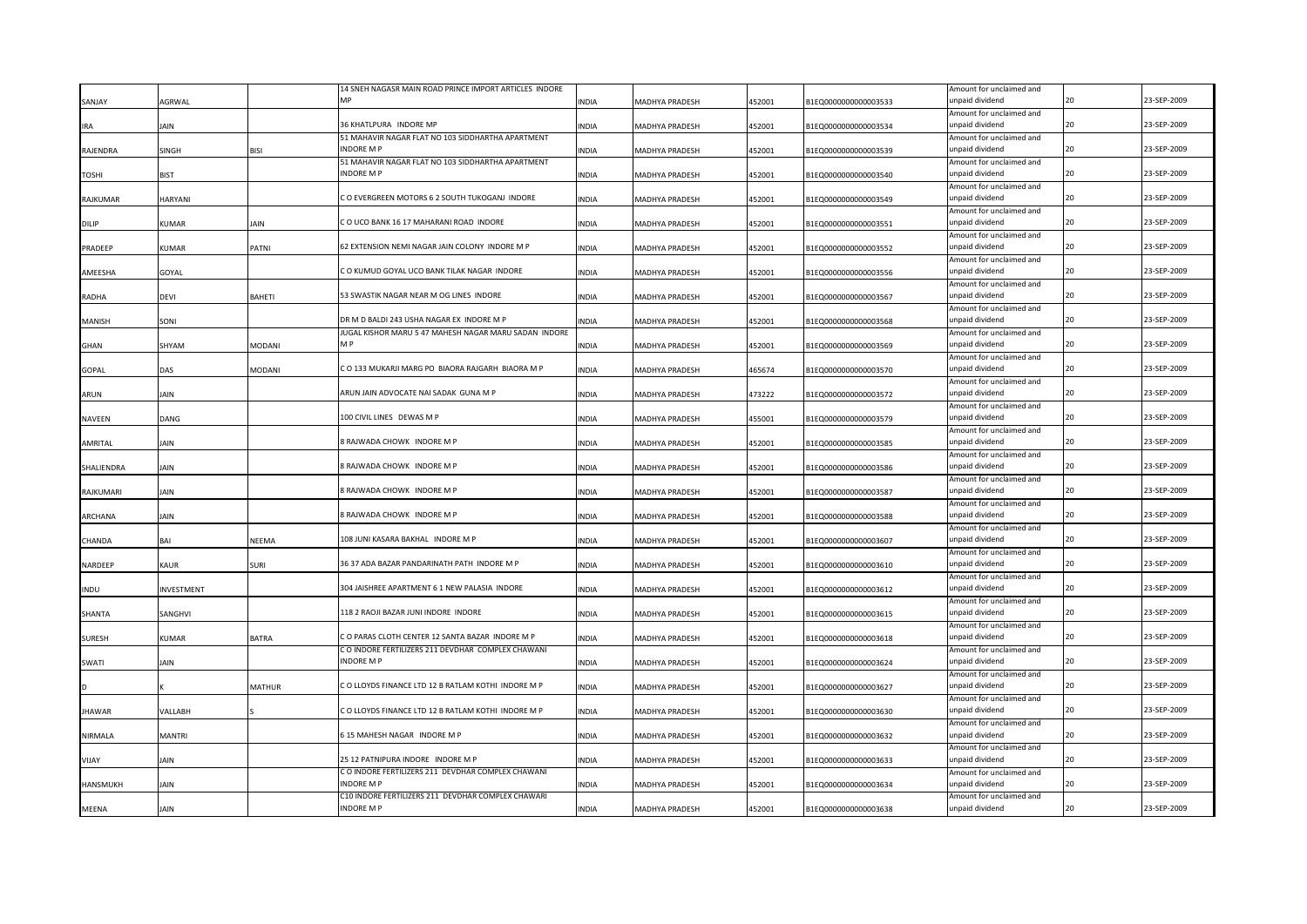|                 |               |               | 14 SNEH NAGASR MAIN ROAD PRINCE IMPORT ARTICLES INDORE                |              |                       |        |                      | Amount for unclaimed and                    |    |             |
|-----------------|---------------|---------------|-----------------------------------------------------------------------|--------------|-----------------------|--------|----------------------|---------------------------------------------|----|-------------|
| SANJAY          | <b>AGRWAL</b> |               | <b>MD</b>                                                             | <b>INDIA</b> | MADHYA PRADESH        | 452001 | B1EQ0000000000003533 | unpaid dividend                             |    | 23-SEP-2009 |
|                 |               |               |                                                                       |              |                       |        |                      | Amount for unclaimed and                    |    |             |
| <b>IRA</b>      | IAIN          |               | 36 KHATLPURA INDORE MP                                                | <b>INDIA</b> | MADHYA PRADESH        | 452001 | B1EQ0000000000003534 | unpaid dividend                             | 20 | 23-SEP-2009 |
|                 |               |               | 51 MAHAVIR NAGAR FLAT NO 103 SIDDHARTHA APARTMENT                     |              |                       |        |                      | Amount for unclaimed and                    |    |             |
| RAJENDRA        | SINGH         | <b>BISI</b>   | <b>INDORE MP</b>                                                      | <b>INDIA</b> | MADHYA PRADESH        | 452001 | B1EQ0000000000003539 | unpaid dividend                             | 20 | 23-SEP-2009 |
|                 |               |               | 51 MAHAVIR NAGAR FLAT NO 103 SIDDHARTHA APARTMENT<br><b>INDORE MP</b> |              |                       |        |                      | Amount for unclaimed and<br>unpaid dividend | 20 | 23-SEP-2009 |
| <b>TOSHI</b>    | <b>BIST</b>   |               |                                                                       | <b>INDIA</b> | MADHYA PRADESH        | 452001 | B1EQ0000000000003540 | Amount for unclaimed and                    |    |             |
| <b>RAJKUMAR</b> | HARYANI       |               | C O EVERGREEN MOTORS 6 2 SOUTH TUKOGANJ INDORE                        | INDIA        | MADHYA PRADESH        | 452001 | B1EQ0000000000003549 | unpaid dividend                             | 20 | 23-SEP-2009 |
|                 |               |               |                                                                       |              |                       |        |                      | Amount for unclaimed and                    |    |             |
| DILIP           | KUMAR         | IAIN          | CO UCO BANK 16 17 MAHARANI ROAD INDORE                                | INDIA        | MADHYA PRADESH        | 452001 | B1EQ0000000000003551 | unpaid dividend                             | 20 | 23-SEP-2009 |
|                 |               |               |                                                                       |              |                       |        |                      | Amount for unclaimed and                    |    |             |
| PRADEEP         | KUMAR         | PATNI         | 62 EXTENSION NEMI NAGAR JAIN COLONY INDORE M P                        | <b>INDIA</b> | MADHYA PRADESH        | 452001 | B1EQ0000000000003552 | unpaid dividend                             | 20 | 23-SEP-2009 |
|                 |               |               |                                                                       |              |                       |        |                      | Amount for unclaimed and                    |    |             |
| AMEESHA         | GOYAL         |               | C O KUMUD GOYAL UCO BANK TILAK NAGAR INDORE                           | <b>INDIA</b> | MADHYA PRADESH        | 452001 | B1EQ0000000000003556 | unpaid dividend                             | 20 | 23-SEP-2009 |
|                 |               |               |                                                                       |              |                       |        |                      | Amount for unclaimed and                    |    |             |
| RADHA           | devi          | <b>BAHETI</b> | 53 SWASTIK NAGAR NEAR M OG LINES INDORE                               | <b>INDIA</b> | MADHYA PRADESH        | 452001 | B1EQ0000000000003567 | unpaid dividend                             | 20 | 23-SEP-2009 |
|                 |               |               |                                                                       |              |                       |        |                      | Amount for unclaimed and                    |    |             |
| MANISH          | SONI          |               | DR M D BALDI 243 USHA NAGAR EX INDORE M P                             | <b>INDIA</b> | <b>MADHYA PRADESH</b> | 452001 | B1EQ0000000000003568 | unpaid dividend                             | 20 | 23-SEP-2009 |
|                 |               |               | JUGAL KISHOR MARU 5 47 MAHESH NAGAR MARU SADAN INDORE                 |              |                       |        |                      | Amount for unclaimed and                    |    |             |
| <b>GHAN</b>     | SHYAM         | <b>MODANI</b> | M P                                                                   | <b>INDIA</b> | <b>MADHYA PRADESH</b> | 452001 | B1EQ0000000000003569 | unpaid dividend                             | 20 | 23-SEP-2009 |
|                 |               |               |                                                                       |              |                       |        |                      | Amount for unclaimed and                    |    |             |
| <b>GOPAL</b>    | DAS           | <b>MODANI</b> | C O 133 MUKARJI MARG PO BIAORA RAJGARH BIAORA M P                     | <b>INDIA</b> | MADHYA PRADESH        | 465674 | B1EQ0000000000003570 | unpaid dividend                             | 20 | 23-SEP-2009 |
|                 |               |               |                                                                       |              |                       |        |                      | Amount for unclaimed and                    |    |             |
| ARUN            | <b>JAIN</b>   |               | ARUN JAIN ADVOCATE NAI SADAK GUNA M P                                 | <b>INDIA</b> | <b>MADHYA PRADESH</b> | 473222 | B1EQ0000000000003572 | unpaid dividend                             | 20 | 23-SEP-2009 |
|                 |               |               |                                                                       |              |                       |        |                      | Amount for unclaimed and                    |    |             |
| NAVEEN          | DANG          |               | 100 CIVIL LINES DEWAS M P                                             | <b>INDIA</b> | MADHYA PRADESH        | 455001 | B1EQ0000000000003579 | unpaid dividend                             | 20 | 23-SEP-2009 |
|                 |               |               |                                                                       |              |                       |        |                      | Amount for unclaimed and                    |    |             |
| AMRITAL         | IAIN          |               | 8 RAJWADA CHOWK INDORE M P                                            | <b>INDIA</b> | MADHYA PRADESH        | 452001 | B1EQ0000000000003585 | unpaid dividend                             | 20 | 23-SEP-2009 |
|                 |               |               | 8 RAJWADA CHOWK INDORE M P                                            |              |                       |        |                      | Amount for unclaimed and<br>unpaid dividend | 20 | 23-SEP-2009 |
| SHALIENDRA      | IAIN          |               |                                                                       | <b>INDIA</b> | MADHYA PRADESH        | 452001 | B1EQ0000000000003586 | Amount for unclaimed and                    |    |             |
| RAJKUMARI       | IAIN          |               | 8 RAJWADA CHOWK INDORE M P                                            | <b>INDIA</b> | MADHYA PRADESH        | 452001 | B1EQ0000000000003587 | unpaid dividend                             | 20 | 23-SEP-2009 |
|                 |               |               |                                                                       |              |                       |        |                      | Amount for unclaimed and                    |    |             |
| <b>ARCHANA</b>  | IAIN          |               | 8 RAJWADA CHOWK INDORE M P                                            | <b>INDIA</b> | MADHYA PRADESH        | 452001 | B1EQ0000000000003588 | unpaid dividend                             | 20 | 23-SEP-2009 |
|                 |               |               |                                                                       |              |                       |        |                      | Amount for unclaimed and                    |    |             |
| CHANDA          | BAI           | NEEMA         | 108 JUNI KASARA BAKHAL INDORE M P                                     | <b>INDIA</b> | MADHYA PRADESH        | 452001 | B1EQ0000000000003607 | unpaid dividend                             | 20 | 23-SEP-2009 |
|                 |               |               |                                                                       |              |                       |        |                      | Amount for unclaimed and                    |    |             |
| NARDEEP         | KAUR          | <b>SURI</b>   | 36 37 ADA BAZAR PANDARINATH PATH INDORE M P                           | <b>INDIA</b> | MADHYA PRADESH        | 452001 | B1EQ0000000000003610 | unpaid dividend                             |    | 23-SEP-2009 |
|                 |               |               |                                                                       |              |                       |        |                      | Amount for unclaimed and                    |    |             |
| <b>INDU</b>     | INVESTMENT    |               | 304 JAISHREE APARTMENT 6 1 NEW PALASIA INDORE                         | <b>INDIA</b> | MADHYA PRADESH        | 452001 | B1EQ0000000000003612 | unpaid dividend                             | 20 | 23-SEP-2009 |
|                 |               |               |                                                                       |              |                       |        |                      | Amount for unclaimed and                    |    |             |
| SHANTA          | SANGHVI       |               | 118 2 RAOJI BAZAR JUNI INDORE INDORE                                  | <b>INDIA</b> | MADHYA PRADESH        | 452001 | B1EQ0000000000003615 | unpaid dividend                             |    | 23-SEP-2009 |
|                 |               |               |                                                                       |              |                       |        |                      | Amount for unclaimed and                    |    |             |
| <b>SURESH</b>   | KUMAR         | <b>BATRA</b>  | C O PARAS CLOTH CENTER 12 SANTA BAZAR INDORE M P                      | <b>INDIA</b> | MADHYA PRADESH        | 452001 | B1EQ0000000000003618 | unpaid dividend                             | 20 | 23-SEP-2009 |
|                 |               |               | C O INDORE FERTILIZERS 211 DEVDHAR COMPLEX CHAWANI                    |              |                       |        |                      | Amount for unclaimed and                    |    |             |
| SWATI           | IAIN          |               | <b>INDORE MP</b>                                                      | <b>INDIA</b> | MADHYA PRADESH        | 452001 | B1EQ0000000000003624 | unpaid dividend                             |    | 23-SEP-2009 |
|                 |               |               |                                                                       |              |                       |        |                      | Amount for unclaimed and                    |    |             |
|                 |               | <b>MATHUR</b> | CO LLOYDS FINANCE LTD 12 B RATLAM KOTHI INDORE M P                    | INDIA        | MADHYA PRADESH        | 452001 | B1EQ0000000000003627 | unpaid dividend                             |    | 23-SEP-2009 |
|                 |               |               | CO LLOYDS FINANCE LTD 12 B RATLAM KOTHI INDORE M F                    |              |                       |        |                      | Amount for unclaimed and<br>unpaid dividend |    | 23-SEP-2009 |
| <b>JHAWAR</b>   | VALLABH       |               |                                                                       | INDIA        | MADHYA PRADESH        | 452001 | B1EQ0000000000003630 |                                             |    |             |
|                 |               |               | 515 MAHESH NAGAR INDORE M P                                           |              |                       |        |                      | Amount for unclaimed and<br>unpaid dividend |    | 23-SEP-2009 |
| NIRMALA         | MANTRI        |               |                                                                       | <b>INDIA</b> | MADHYA PRADESH        | 452001 | B1EQ0000000000003632 |                                             |    |             |
| <b>YAUV</b>     | AIN           |               | 25 12 PATNIPURA INDORE INDORE M P                                     | <b>NDIA</b>  | MADHYA PRADESH        | 452001 | B1EQ0000000000003633 | Amount for unclaimed and<br>unpaid dividend |    | 23-SEP-2009 |
|                 |               |               | C O INDORE FERTILIZERS 211 DEVDHAR COMPLEX CHAWANI                    |              |                       |        |                      | Amount for unclaimed and                    |    |             |
| <b>HANSMUKH</b> | <b>AIN</b>    |               | <b>INDORE MP</b>                                                      | <b>INDIA</b> | MADHYA PRADESH        | 452001 | B1EQ0000000000003634 | unpaid dividend                             |    | 23-SEP-2009 |
|                 |               |               | C10 INDORE FERTILIZERS 211 DEVDHAR COMPLEX CHAWARI                    |              |                       |        |                      | Amount for unclaimed and                    |    |             |
| <b>MEENA</b>    | <b>AIN</b>    |               | <b>INDORE MP</b>                                                      | <b>INDIA</b> | <b>MADHYA PRADESH</b> | 452001 | B1EQ0000000000003638 | unpaid dividend                             |    | 23-SEP-2009 |
|                 |               |               |                                                                       |              |                       |        |                      |                                             |    |             |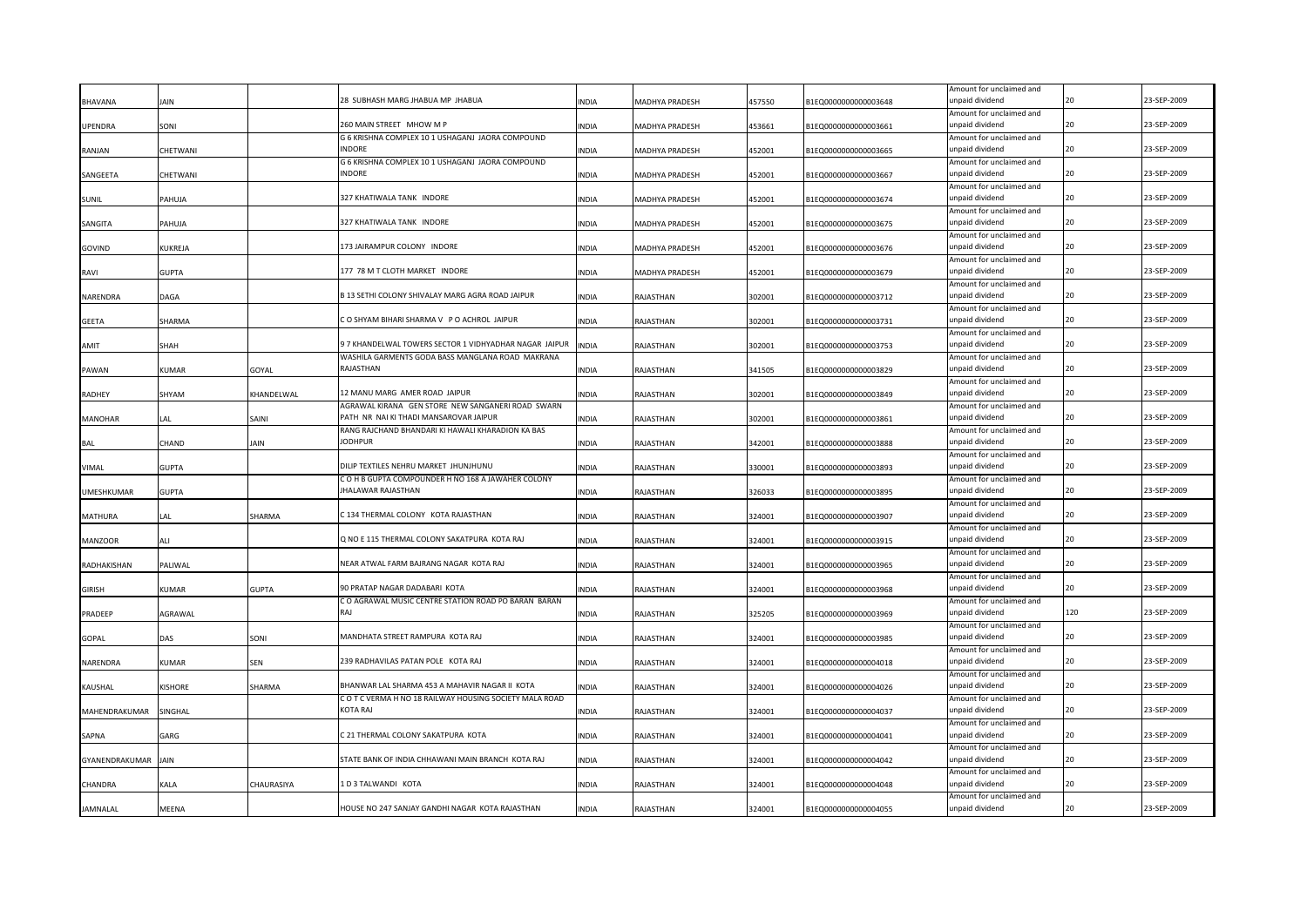|                 |              |              |                                                                                 |              |                       |        |                      | Amount for unclaimed and                    |     |             |
|-----------------|--------------|--------------|---------------------------------------------------------------------------------|--------------|-----------------------|--------|----------------------|---------------------------------------------|-----|-------------|
| <b>BHAVANA</b>  | AIN          |              | 28 SUBHASH MARG JHABUA MP JHABUA                                                | <b>INDIA</b> | <b>MADHYA PRADESH</b> | 457550 | B1EQ0000000000003648 | unpaid dividend                             | 20  | 23-SEP-2009 |
|                 |              |              |                                                                                 |              |                       |        |                      | Amount for unclaimed and                    | 20  |             |
| UPENDRA         | SONI         |              | 260 MAIN STREET MHOW M P                                                        | <b>INDIA</b> | MADHYA PRADESH        | 453661 | B1EQ0000000000003661 | unpaid dividend                             |     | 23-SEP-2009 |
| RANJAN          | CHETWANI     |              | G 6 KRISHNA COMPLEX 10 1 USHAGANJ JAORA COMPOUND<br>INDORE                      | <b>INDIA</b> | <b>MADHYA PRADESH</b> | 452001 | B1EQ0000000000003665 | Amount for unclaimed and<br>unpaid dividend | 20  | 23-SEP-2009 |
|                 |              |              | G 6 KRISHNA COMPLEX 10 1 USHAGANJ JAORA COMPOUND                                |              |                       |        |                      | Amount for unclaimed and                    |     |             |
| SANGEETA        | CHETWANI     |              | <b>INDORE</b>                                                                   | <b>INDIA</b> | MADHYA PRADESH        | 452001 | B1EQ0000000000003667 | unpaid dividend                             | 20  | 23-SEP-2009 |
|                 |              |              |                                                                                 |              |                       |        |                      | Amount for unclaimed and                    |     |             |
| SUNIL           | PAHUJA       |              | 327 KHATIWALA TANK INDORE                                                       | <b>INDIA</b> | MADHYA PRADESH        | 452001 | B1EQ0000000000003674 | unpaid dividend                             | 20  | 23-SEP-2009 |
|                 |              |              |                                                                                 |              |                       |        |                      | Amount for unclaimed and                    |     |             |
| SANGITA         | PAHUJA       |              | 327 KHATIWALA TANK INDORE                                                       | <b>INDIA</b> | MADHYA PRADESH        | 452001 | B1EQ0000000000003675 | unpaid dividend                             | 20  | 23-SEP-2009 |
|                 |              |              |                                                                                 |              |                       |        |                      | Amount for unclaimed and                    |     |             |
| GOVIND          | KUKREJA      |              | 173 JAIRAMPUR COLONY INDORE                                                     | <b>INDIA</b> | MADHYA PRADESH        | 452001 | B1EQ0000000000003676 | unpaid dividend                             | 20  | 23-SEP-2009 |
|                 |              |              | 177 78 M T CLOTH MARKET INDORE                                                  | <b>INDIA</b> |                       | 452001 | B1EQ0000000000003679 | Amount for unclaimed and<br>unpaid dividend | 20  | 23-SEP-2009 |
| RAVI            | <b>GUPTA</b> |              |                                                                                 |              | MADHYA PRADESH        |        |                      | Amount for unclaimed and                    |     |             |
| NARENDRA        | DAGA         |              | B 13 SETHI COLONY SHIVALAY MARG AGRA ROAD JAIPUR                                | <b>INDIA</b> | RAJASTHAN             | 302001 | B1EQ0000000000003712 | unpaid dividend                             | 20  | 23-SEP-2009 |
|                 |              |              |                                                                                 |              |                       |        |                      | Amount for unclaimed and                    |     |             |
| <b>GEETA</b>    | SHARMA       |              | CO SHYAM BIHARI SHARMA V PO ACHROL JAIPUR                                       | <b>INDIA</b> | RAJASTHAN             | 302001 | B1EQ0000000000003731 | unpaid dividend                             | 20  | 23-SEP-2009 |
|                 |              |              |                                                                                 |              |                       |        |                      | Amount for unclaimed and                    |     |             |
| <b>AMIT</b>     | SHAH         |              | 9 7 KHANDELWAL TOWERS SECTOR 1 VIDHYADHAR NAGAR JAIPUR                          | <b>INDIA</b> | RAJASTHAN             | 302001 | B1EQ0000000000003753 | unpaid dividend                             | 20  | 23-SEP-2009 |
|                 |              |              | WASHILA GARMENTS GODA BASS MANGLANA ROAD MAKRANA                                |              |                       |        |                      | Amount for unclaimed and                    |     |             |
| PAWAN           | <b>KUMAR</b> | GOYAL        | RAJASTHAN                                                                       | <b>INDIA</b> | RAJASTHAN             | 341505 | B1EQ0000000000003829 | unpaid dividend                             | 20  | 23-SEP-2009 |
| RADHEY          | SHYAM        | KHANDELWAL   | 12 MANU MARG AMER ROAD JAIPUR                                                   | <b>INDIA</b> | RAJASTHAN             | 302001 | B1EQ0000000000003849 | Amount for unclaimed and<br>unpaid dividend | 20  | 23-SEP-2009 |
|                 |              |              | AGRAWAL KIRANA GEN STORE NEW SANGANERI ROAD SWARN                               |              |                       |        |                      | Amount for unclaimed and                    |     |             |
| <b>MANOHAR</b>  | LAL          | SAINI        | PATH NR NAI KI THADI MANSAROVAR JAIPUR                                          | <b>INDIA</b> | RAJASTHAN             | 302001 | B1EQ0000000000003861 | unpaid dividend                             | 20  | 23-SEP-2009 |
|                 |              |              | RANG RAJCHAND BHANDARI KI HAWALI KHARADION KA BAS                               |              |                       |        |                      | Amount for unclaimed and                    |     |             |
| <b>BAL</b>      | CHAND        | JAIN         | <b>JODHPUR</b>                                                                  | <b>INDIA</b> | RAJASTHAN             | 342001 | B1EQ0000000000003888 | unpaid dividend                             | 20  | 23-SEP-2009 |
|                 |              |              |                                                                                 |              |                       |        |                      | Amount for unclaimed and                    |     |             |
| VIMAL           | <b>GUPTA</b> |              | DILIP TEXTILES NEHRU MARKET JHUNJHUNU                                           | <b>INDIA</b> | RAJASTHAN             | 330001 | B1EQ0000000000003893 | unpaid dividend                             | 20  | 23-SEP-2009 |
|                 |              |              | C O H B GUPTA COMPOUNDER H NO 168 A JAWAHER COLONY<br><b>IHALAWAR RAJASTHAN</b> |              |                       |        |                      | Amount for unclaimed and<br>unpaid dividend | 20  | 23-SEP-2009 |
| UMESHKUMAR      | <b>GUPTA</b> |              |                                                                                 | <b>INDIA</b> | RAJASTHAN             | 326033 | B1EQ0000000000003895 | Amount for unclaimed and                    |     |             |
| <b>MATHURA</b>  | LAL          | SHARMA       | C 134 THERMAL COLONY KOTA RAJASTHAN                                             | <b>INDIA</b> | RAJASTHAN             | 324001 | B1EQ0000000000003907 | unpaid dividend                             | 20  | 23-SEP-2009 |
|                 |              |              |                                                                                 |              |                       |        |                      | Amount for unclaimed and                    |     |             |
| <b>MANZOOR</b>  | ALI          |              | Q NO E 115 THERMAL COLONY SAKATPURA KOTA RAJ                                    | <b>INDIA</b> | RAJASTHAN             | 324001 | B1EQ0000000000003915 | unpaid dividend                             | 20  | 23-SEP-2009 |
|                 |              |              |                                                                                 |              |                       |        |                      | Amount for unclaimed and                    |     |             |
| RADHAKISHAN     | PALIWAL      |              | NEAR ATWAL FARM BAJRANG NAGAR KOTA RAJ                                          | <b>INDIA</b> | RAJASTHAN             | 324001 | B1EQ0000000000003965 | unpaid dividend                             | 2Ω  | 23-SEP-2009 |
|                 |              |              |                                                                                 |              |                       |        |                      | Amount for unclaimed and                    |     |             |
| <b>GIRISH</b>   | KUMAR        | <b>GUPTA</b> | 90 PRATAP NAGAR DADABARI KOTA                                                   | <b>INDIA</b> | RAJASTHAN             | 324001 | B1EQ0000000000003968 | unpaid dividend                             | 20  | 23-SEP-2009 |
| PRADEEP         | AGRAWAL      |              | C O AGRAWAL MUSIC CENTRE STATION ROAD PO BARAN BARAN<br>RAI                     | <b>INDIA</b> | RAJASTHAN             | 325205 | B1EQ0000000000003969 | Amount for unclaimed and<br>unpaid dividend | 120 | 23-SEP-2009 |
|                 |              |              |                                                                                 |              |                       |        |                      | Amount for unclaimed and                    |     |             |
| <b>GOPAL</b>    | DAS          | SONI         | MANDHATA STREET RAMPURA KOTA RAJ                                                | <b>INDIA</b> | RAJASTHAN             | 324001 | B1EQ0000000000003985 | unpaid dividend                             |     | 23-SEP-2009 |
|                 |              |              |                                                                                 |              |                       |        |                      | Amount for unclaimed and                    |     |             |
| NARENDRA        | KUMAR        | <b>SEN</b>   | 239 RADHAVILAS PATAN POLE KOTA RAJ                                              | <b>INDIA</b> | RAJASTHAN             | 324001 | B1EQ0000000000004018 | unpaid dividend                             |     | 23-SEP-2009 |
|                 |              |              |                                                                                 |              |                       |        |                      | Amount for unclaimed and                    |     |             |
| KAUSHAL         | KISHORE      | SHARMA       | BHANWAR LAL SHARMA 453 A MAHAVIR NAGAR II KOTA                                  | <b>INDIA</b> | RAJASTHAN             | 324001 | B1EQ0000000000004026 | unpaid dividend                             |     | 23-SEP-2009 |
|                 |              |              | C O T C VERMA H NO 18 RAILWAY HOUSING SOCIETY MALA ROAD<br>KOTA RAJ             |              |                       |        |                      | Amount for unclaimed and<br>unpaid dividend |     | 23-SEP-2009 |
| MAHENDRAKUMAR   | SINGHAL      |              |                                                                                 | <b>INDIA</b> | RAJASTHAN             | 324001 | B1EQ0000000000004037 |                                             |     |             |
| SAPNA           | GARG         |              | 21 THERMAL COLONY SAKATPURA KOTA                                                | <b>INDIA</b> | RAJASTHAN             | 324001 | B1EQ0000000000004041 | Amount for unclaimed and<br>unpaid dividend |     | 23-SEP-2009 |
|                 |              |              |                                                                                 |              |                       |        |                      | Amount for unclaimed and                    |     |             |
| GYANENDRAKUMAR  | <b>JAIN</b>  |              | STATE BANK OF INDIA CHHAWANI MAIN BRANCH KOTA RAJ                               | <b>INDIA</b> | RAJASTHAN             | 324001 | B1EQ0000000000004042 | unpaid dividend                             |     | 23-SEP-2009 |
|                 |              |              |                                                                                 |              |                       |        |                      | Amount for unclaimed and                    |     |             |
| CHANDRA         | KALA         | CHAURASIYA   | LD 3 TALWANDI KOTA                                                              | <b>INDIA</b> | RAJASTHAN             | 324001 | B1EQ0000000000004048 | unpaid dividend                             | 20  | 23-SEP-2009 |
|                 |              |              |                                                                                 |              |                       |        |                      | Amount for unclaimed and                    |     |             |
| <b>JAMNALAL</b> | MEENA        |              | HOUSE NO 247 SANJAY GANDHI NAGAR KOTA RAJASTHAN                                 | <b>INDIA</b> | RAJASTHAN             | 324001 | B1EQ0000000000004055 | unpaid dividend                             | 20  | 23-SEP-2009 |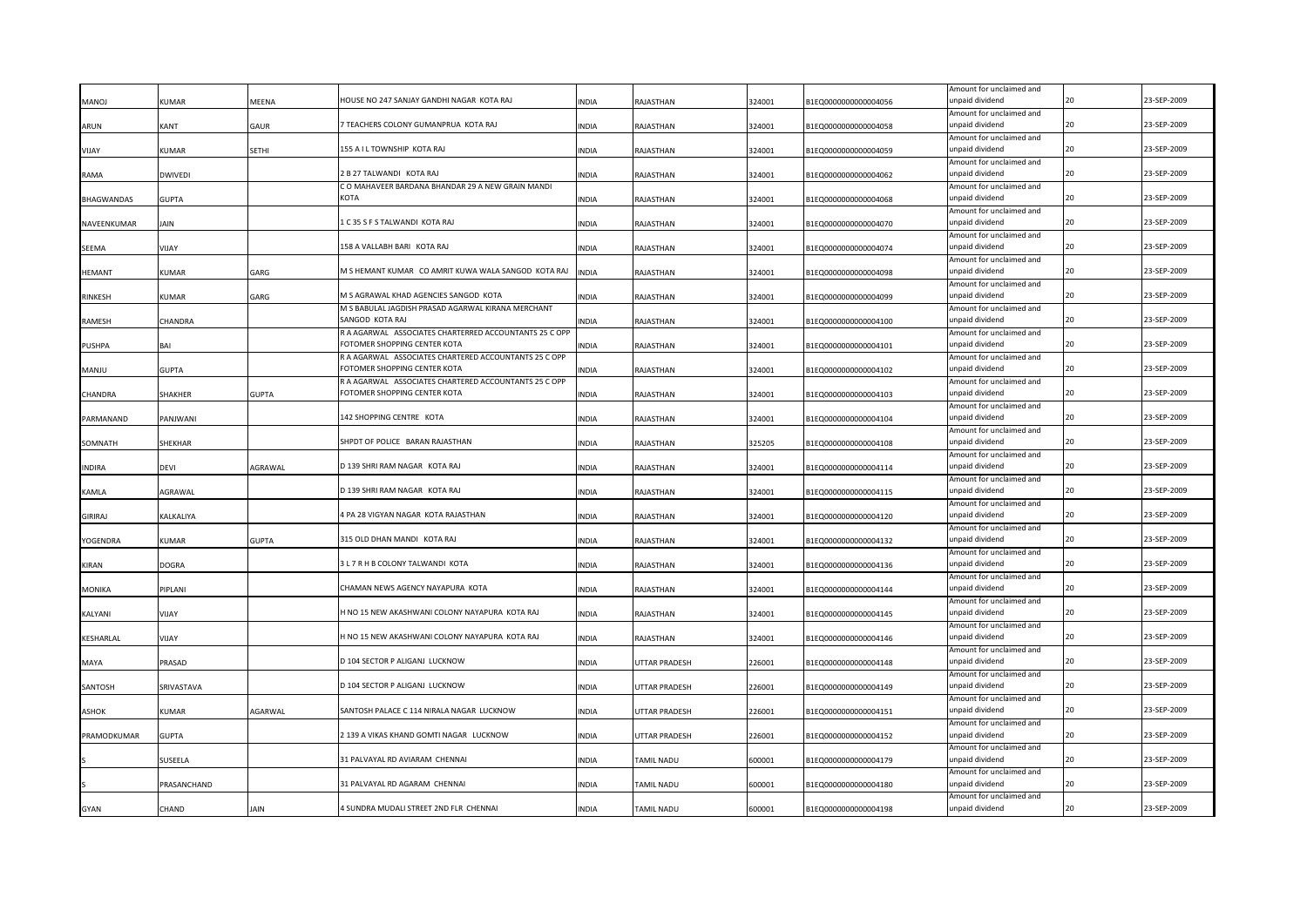|                |                |              |                                                                                             |              |               |        |                      | Amount for unclaimed and                    |    |             |
|----------------|----------------|--------------|---------------------------------------------------------------------------------------------|--------------|---------------|--------|----------------------|---------------------------------------------|----|-------------|
| <b>MANOJ</b>   | <b>KUMAR</b>   | MEENA        | HOUSE NO 247 SANJAY GANDHI NAGAR KOTA RAJ                                                   | <b>INDIA</b> | RAJASTHAN     | 324001 | B1EQ0000000000004056 | unpaid dividend<br>Amount for unclaimed and |    | 23-SEP-2009 |
| ARUN           | KANT           | GAUR         | TEACHERS COLONY GUMANPRUA KOTA RAJ                                                          | <b>INDIA</b> | RAJASTHAN     | 324001 | B1EQ0000000000004058 | unpaid dividend                             | 20 | 23-SEP-2009 |
|                |                |              |                                                                                             |              |               |        |                      | Amount for unclaimed and                    |    |             |
| VIJAY          | KUMAR          | SETHI        | 155 A I L TOWNSHIP KOTA RAJ                                                                 | <b>INDIA</b> | RAJASTHAN     | 324001 | B1EQ0000000000004059 | unpaid dividend                             |    | 23-SEP-2009 |
|                |                |              |                                                                                             |              |               |        |                      | Amount for unclaimed and                    |    |             |
| RAMA           | DWIVEDI        |              | 2 B 27 TALWANDI KOTA RAJ                                                                    | <b>INDIA</b> | RAJASTHAN     | 324001 | B1EQ0000000000004062 | unpaid dividend                             | 20 | 23-SEP-2009 |
|                |                |              | C O MAHAVEER BARDANA BHANDAR 29 A NEW GRAIN MANDI<br>KOTA                                   |              |               |        |                      | Amount for unclaimed and                    |    | 23-SEP-2009 |
| BHAGWANDAS     | GUPTA          |              |                                                                                             | <b>INDIA</b> | RAJASTHAN     | 324001 | B1EQ0000000000004068 | unpaid dividend<br>Amount for unclaimed and |    |             |
| NAVEENKUMAR    | JAIN           |              | 1 C 35 S F S TALWANDI KOTA RAJ                                                              | INDIA        | RAJASTHAN     | 324001 | B1EQ0000000000004070 | unpaid dividend                             |    | 23-SEP-2009 |
|                |                |              |                                                                                             |              |               |        |                      | Amount for unclaimed and                    |    |             |
| SEEMA          | VIJAY          |              | 158 A VALLABH BARI KOTA RAJ                                                                 | INDIA        | RAJASTHAN     | 324001 | B1EQ0000000000004074 | unpaid dividend                             |    | 23-SEP-2009 |
|                |                |              |                                                                                             |              |               |        |                      | Amount for unclaimed and                    |    |             |
| <b>HEMANT</b>  | KUMAR          | GARG         | M S HEMANT KUMAR CO AMRIT KUWA WALA SANGOD KOTA RAJ                                         | <b>INDIA</b> | RAJASTHAN     | 324001 | B1EQ0000000000004098 | unpaid dividend                             | 20 | 23-SEP-2009 |
|                |                |              |                                                                                             |              |               |        |                      | Amount for unclaimed and                    |    |             |
| RINKESH        | KUMAR          | GARG         | M S AGRAWAL KHAD AGENCIES SANGOD KOTA<br>M S BABULAL JAGDISH PRASAD AGARWAL KIRANA MERCHANT | <b>INDIA</b> | RAJASTHAN     | 324001 | B1EQ0000000000004099 | unpaid dividend                             |    | 23-SEP-2009 |
| RAMESH         | CHANDRA        |              | SANGOD KOTA RAJ                                                                             | <b>INDIA</b> | RAJASTHAN     | 324001 | B1EQ0000000000004100 | Amount for unclaimed and<br>unpaid dividend | 20 | 23-SEP-2009 |
|                |                |              | R A AGARWAL ASSOCIATES CHARTERRED ACCOUNTANTS 25 C OPP                                      |              |               |        |                      | Amount for unclaimed and                    |    |             |
| <b>PUSHPA</b>  | BAI            |              | FOTOMER SHOPPING CENTER KOTA                                                                | <b>INDIA</b> | RAJASTHAN     | 324001 | B1EQ0000000000004101 | unpaid dividend                             | 20 | 23-SEP-2009 |
|                |                |              | R A AGARWAL ASSOCIATES CHARTERED ACCOUNTANTS 25 C OPP                                       |              |               |        |                      | Amount for unclaimed and                    |    |             |
| <b>MANJU</b>   | <b>GUPTA</b>   |              | FOTOMER SHOPPING CENTER KOTA                                                                | <b>INDIA</b> | RAJASTHAN     | 324001 | B1EQ0000000000004102 | unpaid dividend                             | 20 | 23-SEP-2009 |
|                |                |              | R A AGARWAL ASSOCIATES CHARTERED ACCOUNTANTS 25 C OPP                                       |              |               |        |                      | Amount for unclaimed and                    |    |             |
| CHANDRA        | SHAKHER        | <b>GUPTA</b> | FOTOMER SHOPPING CENTER KOTA                                                                | <b>INDIA</b> | RAJASTHAN     | 324001 | B1EQ0000000000004103 | unpaid dividend                             | 20 | 23-SEP-2009 |
| PARMANAND      | PANJWANI       |              | 142 SHOPPING CENTRE KOTA                                                                    | <b>INDIA</b> | RAJASTHAN     | 324001 | B1EQ0000000000004104 | Amount for unclaimed and<br>unpaid dividend | 20 | 23-SEP-2009 |
|                |                |              |                                                                                             |              |               |        |                      | Amount for unclaimed and                    |    |             |
| SOMNATH        | SHEKHAR        |              | SHPDT OF POLICE BARAN RAJASTHAN                                                             | <b>INDIA</b> | RAJASTHAN     | 325205 | B1EQ0000000000004108 | unpaid dividend                             |    | 23-SEP-2009 |
|                |                |              |                                                                                             |              |               |        |                      | Amount for unclaimed and                    |    |             |
| <b>INDIRA</b>  | devi           | AGRAWAL      | D 139 SHRI RAM NAGAR KOTA RAJ                                                               | <b>INDIA</b> | RAJASTHAN     | 324001 | B1EQ0000000000004114 | unpaid dividend                             | 20 | 23-SEP-2009 |
|                |                |              |                                                                                             |              |               |        |                      | Amount for unclaimed and                    |    |             |
| KAMLA          | AGRAWAL        |              | D 139 SHRI RAM NAGAR KOTA RAJ                                                               | <b>INDIA</b> | RAJASTHAN     | 324001 | B1EQ0000000000004115 | unpaid dividend                             | 20 | 23-SEP-2009 |
|                |                |              | 4 PA 28 VIGYAN NAGAR KOTA RAJASTHAN                                                         |              |               |        |                      | Amount for unclaimed and                    |    | 23-SEP-2009 |
| <b>GIRIRAJ</b> | KALKALIYA      |              |                                                                                             | <b>INDIA</b> | RAJASTHAN     | 324001 | B1EQ0000000000004120 | unpaid dividend<br>Amount for unclaimed and |    |             |
| YOGENDRA       | KUMAR          | <b>GUPTA</b> | 315 OLD DHAN MANDI KOTA RAJ                                                                 | <b>INDIA</b> | RAJASTHAN     | 324001 | B1EQ0000000000004132 | unpaid dividend                             | 20 | 23-SEP-2009 |
|                |                |              |                                                                                             |              |               |        |                      | Amount for unclaimed and                    |    |             |
| KIRAN          | DOGRA          |              | 3 L 7 R H B COLONY TALWANDI KOTA                                                            | <b>INDIA</b> | RAJASTHAN     | 324001 | B1EQ0000000000004136 | unpaid dividend                             |    | 23-SEP-2009 |
|                |                |              |                                                                                             |              |               |        |                      | Amount for unclaimed and                    |    |             |
| <b>MONIKA</b>  | PIPLANI        |              | CHAMAN NEWS AGENCY NAYAPURA KOTA                                                            | <b>INDIA</b> | RAJASTHAN     | 324001 | B1EQ0000000000004144 | unpaid dividend                             |    | 23-SEP-2009 |
|                |                |              |                                                                                             |              |               |        |                      | Amount for unclaimed and                    |    |             |
| KALYANI        | YIJAY          |              | H NO 15 NEW AKASHWANI COLONY NAYAPURA KOTA RAJ                                              | <b>INDIA</b> | RAJASTHAN     | 324001 | B1EQ0000000000004145 | unpaid dividend<br>Amount for unclaimed and |    | 23-SEP-2009 |
| KESHARLAL      | YALIV          |              | H NO 15 NEW AKASHWANI COLONY NAYAPURA KOTA RAJ                                              | <b>INDIA</b> | RAJASTHAN     | 324001 | B1EQ0000000000004146 | unpaid dividend                             |    | 23-SEP-2009 |
|                |                |              |                                                                                             |              |               |        |                      | Amount for unclaimed and                    |    |             |
| MAYA           | PRASAD         |              | D 104 SECTOR P ALIGANJ LUCKNOW                                                              | INDIA        | UTTAR PRADESH | 226001 | B1EQ0000000000004148 | unpaid dividend                             |    | 23-SEP-2009 |
|                |                |              |                                                                                             |              |               |        |                      | Amount for unclaimed and                    |    |             |
| SANTOSH        | SRIVASTAVA     |              | D 104 SECTOR P ALIGANJ LUCKNOW                                                              | INDIA        | UTTAR PRADESH | 226001 | B1EQ0000000000004149 | unpaid dividend                             |    | 23-SEP-2009 |
|                |                |              |                                                                                             |              |               |        |                      | Amount for unclaimed and                    |    |             |
| ASHOK          | (UMAR          | AGARWAL      | SANTOSH PALACE C 114 NIRALA NAGAR LUCKNOW                                                   | INDIA        | UTTAR PRADESH | 226001 | B1EQ0000000000004151 | unpaid dividend                             |    | 23-SEP-2009 |
| PRAMODKUMAR    | GUPTA          |              | 2 139 A VIKAS KHAND GOMTI NAGAR LUCKNOW                                                     | <b>INDIA</b> | UTTAR PRADESH | 226001 | B1EQ0000000000004152 | Amount for unclaimed and<br>unpaid dividend |    | 23-SEP-2009 |
|                |                |              |                                                                                             |              |               |        |                      | Amount for unclaimed and                    |    |             |
|                | <b>SUSEELA</b> |              | 31 PALVAYAL RD AVIARAM CHENNAI                                                              | <b>INDIA</b> | TAMIL NADU    | 600001 | B1EQ0000000000004179 | unpaid dividend                             |    | 23-SEP-2009 |
|                |                |              |                                                                                             |              |               |        |                      | Amount for unclaimed and                    |    |             |
|                | PRASANCHAND    |              | 31 PALVAYAL RD AGARAM CHENNAI                                                               | <b>INDIA</b> | TAMIL NADU    | 600001 | B1EQ0000000000004180 | unpaid dividend                             |    | 23-SEP-2009 |
|                |                |              |                                                                                             |              |               |        |                      | Amount for unclaimed and                    |    |             |
| GYAN           | CHAND          | <b>JAIN</b>  | 4 SUNDRA MUDALI STREET 2ND FLR CHENNAI                                                      | <b>INDIA</b> | TAMIL NADU    | 600001 | B1EQ0000000000004198 | unpaid dividend                             |    | 23-SEP-2009 |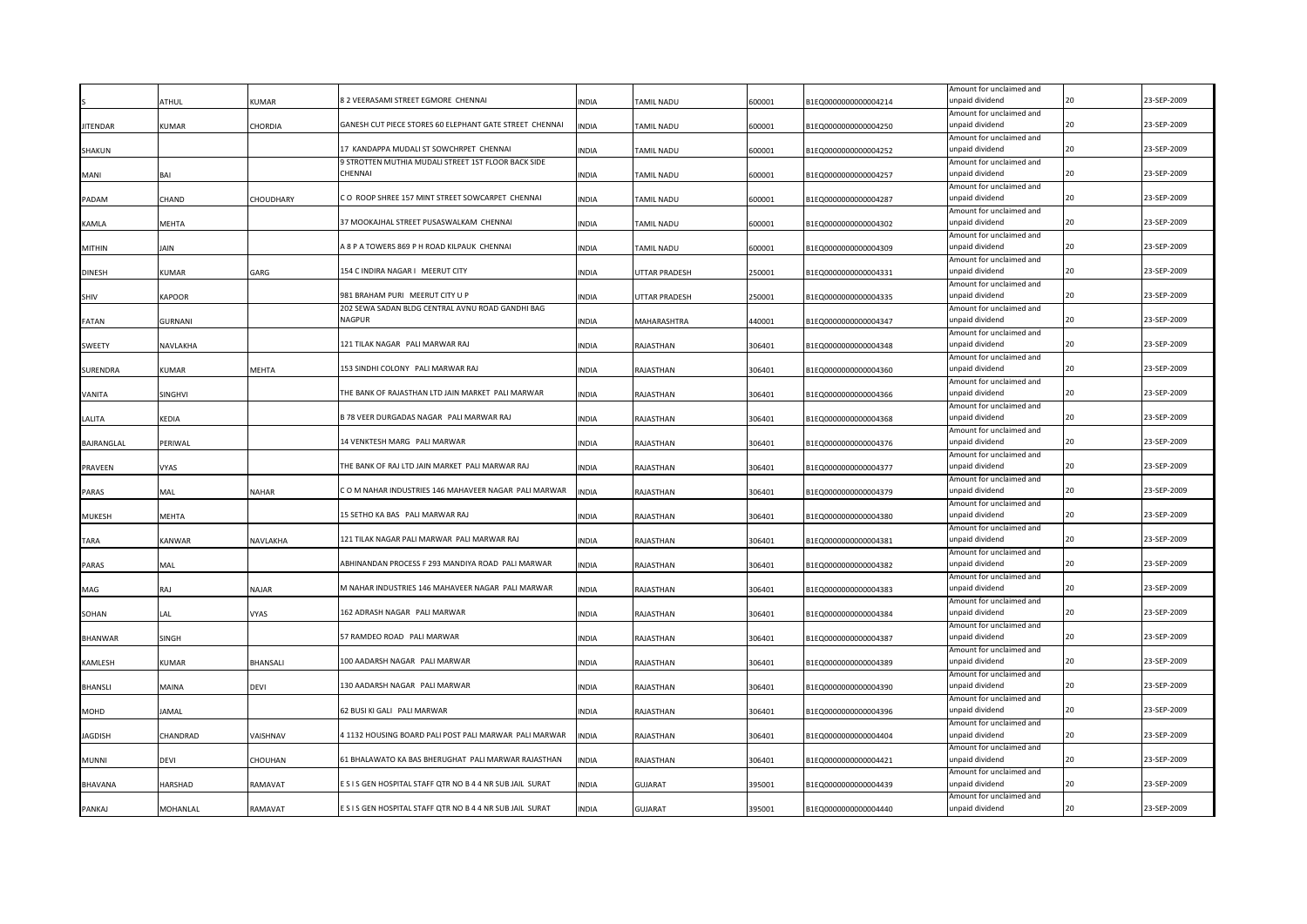|                 | ATHUL          | <b>UMAR</b>    | 8 2 VEERASAMI STREET EGMORE CHENNAI                            | NDIA         | <b>TAMIL NADU</b>    | 600001 | B1EQ0000000000004214 | Amount for unclaimed and<br>unpaid dividend |    | 23-SEP-2009 |
|-----------------|----------------|----------------|----------------------------------------------------------------|--------------|----------------------|--------|----------------------|---------------------------------------------|----|-------------|
|                 |                |                |                                                                |              |                      |        |                      | Amount for unclaimed and                    |    |             |
| <b>JITENDAR</b> | KUMAR          | CHORDIA        | GANESH CUT PIECE STORES 60 ELEPHANT GATE STREET CHENNAI        | INDIA        | TAMIL NADU           | 600001 | B1EQ0000000000004250 | unpaid dividend                             | 20 | 23-SEP-2009 |
|                 |                |                |                                                                |              |                      |        |                      | Amount for unclaimed and                    |    |             |
| SHAKUN          |                |                | 17 KANDAPPA MUDALI ST SOWCHRPET CHENNAI                        | <b>INDIA</b> | TAMIL NADU           | 600001 | B1EQ0000000000004252 | unpaid dividend                             |    | 23-SEP-2009 |
|                 |                |                | 9 STROTTEN MUTHIA MUDALI STREET 1ST FLOOR BACK SIDE<br>CHENNAI |              |                      |        |                      | Amount for unclaimed and<br>unpaid dividend | 20 | 23-SEP-2009 |
| MANI            | BAI            |                |                                                                | INDIA        | TAMIL NADU           | 600001 | B1EQ0000000000004257 | Amount for unclaimed and                    |    |             |
| PADAM           | CHAND          | CHOUDHARY      | CO ROOP SHREE 157 MINT STREET SOWCARPET CHENNAI                | INDIA        | <b>TAMIL NADU</b>    | 600001 | B1EQ0000000000004287 | unpaid dividend                             |    | 23-SEP-2009 |
|                 |                |                |                                                                |              |                      |        |                      | Amount for unclaimed and                    |    |             |
| KAMLA           | <b>MEHTA</b>   |                | 37 MOOKAJHAL STREET PUSASWALKAM CHENNAI                        | INDIA        | TAMIL NADU           | 600001 | B1EQ0000000000004302 | unpaid dividend                             | 20 | 23-SEP-2009 |
|                 |                |                |                                                                |              |                      |        |                      | Amount for unclaimed and                    |    |             |
| <b>MITHIN</b>   | JAIN           |                | A 8 P A TOWERS 869 P H ROAD KILPAUK CHENNAI                    | INDIA        | TAMIL NADU           | 600001 | B1EQ0000000000004309 | unpaid dividend                             |    | 23-SEP-2009 |
|                 |                |                |                                                                |              |                      |        |                      | Amount for unclaimed and                    |    |             |
| <b>DINESH</b>   | <b>KUMAR</b>   | GARG           | 154 C INDIRA NAGAR I MEERUT CITY                               | <b>INDIA</b> | UTTAR PRADESH        | 250001 | B1EQ0000000000004331 | unpaid dividend                             | 20 | 23-SEP-2009 |
|                 |                |                |                                                                |              |                      |        |                      | Amount for unclaimed and                    |    |             |
| SHIV            | <b>KAPOOR</b>  |                | 981 BRAHAM PURI MEERUT CITY U P                                | INDIA        | <b>UTTAR PRADESH</b> | 250001 | B1EQ0000000000004335 | unpaid dividend                             | 20 | 23-SEP-2009 |
|                 | <b>GURNANI</b> |                | 202 SEWA SADAN BLDG CENTRAL AVNU ROAD GANDHI BAG<br>NAGPUR     | <b>INDIA</b> |                      |        |                      | Amount for unclaimed and<br>unpaid dividend | 20 | 23-SEP-2009 |
| <b>FATAN</b>    |                |                |                                                                |              | MAHARASHTRA          | 440001 | B1EQ0000000000004347 |                                             |    |             |
| <b>SWEETY</b>   | NAVLAKHA       |                | 121 TILAK NAGAR PALI MARWAR RAJ                                | <b>INDIA</b> | RAJASTHAN            | 306401 | B1EQ0000000000004348 | Amount for unclaimed and<br>unpaid dividend | 20 | 23-SEP-2009 |
|                 |                |                |                                                                |              |                      |        |                      | Amount for unclaimed and                    |    |             |
| SURENDRA        | <b>KUMAR</b>   | MEHTA          | 153 SINDHI COLONY PALI MARWAR RAJ                              | INDIA        | RAJASTHAN            | 306401 | B1EQ0000000000004360 | unpaid dividend                             | 20 | 23-SEP-2009 |
|                 |                |                |                                                                |              |                      |        |                      | Amount for unclaimed and                    |    |             |
| VANITA          | SINGHVI        |                | THE BANK OF RAJASTHAN LTD JAIN MARKET PALI MARWAR              | INDIA        | RAJASTHAN            | 306401 | B1EQ0000000000004366 | unpaid dividend                             |    | 23-SEP-2009 |
|                 |                |                |                                                                |              |                      |        |                      | Amount for unclaimed and                    |    |             |
| LALITA          | KEDIA          |                | B 78 VEER DURGADAS NAGAR PALI MARWAR RAJ                       | INDIA        | RAJASTHAN            | 306401 | B1EQ0000000000004368 | unpaid dividend                             | 20 | 23-SEP-2009 |
|                 |                |                |                                                                |              |                      |        |                      | Amount for unclaimed and                    |    |             |
| BAJRANGLAL      | PERIWAL        |                | 14 VENKTESH MARG PALI MARWAR                                   | INDIA        | RAJASTHAN            | 306401 | B1EQ0000000000004376 | unpaid dividend                             |    | 23-SEP-2009 |
|                 |                |                |                                                                |              |                      |        |                      | Amount for unclaimed and                    |    |             |
| <b>PRAVEEN</b>  | VYAS           |                | THE BANK OF RAJ LTD JAIN MARKET PALI MARWAR RAJ                | INDIA        | RAJASTHAN            | 306401 | B1EQ0000000000004377 | unpaid dividend                             |    | 23-SEP-2009 |
|                 |                |                |                                                                |              |                      |        |                      | Amount for unclaimed and                    | 20 |             |
| PARAS           | MAL            | NAHAR          | COM NAHAR INDUSTRIES 146 MAHAVEER NAGAR PALI MARWAR            | <b>INDIA</b> | RAJASTHAN            | 306401 | B1EQ0000000000004379 | unpaid dividend                             |    | 23-SEP-2009 |
| MUKESH          | MEHTA          |                | 15 SETHO KA BAS PALI MARWAR RAJ                                | INDIA        | RAJASTHAN            | 306401 | B1EQ0000000000004380 | Amount for unclaimed and<br>unpaid dividend |    | 23-SEP-2009 |
|                 |                |                |                                                                |              |                      |        |                      | Amount for unclaimed and                    |    |             |
| TARA            | <b>KANWAR</b>  | NAVLAKHA       | 121 TILAK NAGAR PALI MARWAR PALI MARWAR RAJ                    | INDIA        | RAJASTHAN            | 306401 | B1EQ0000000000004381 | unpaid dividend                             |    | 23-SEP-2009 |
|                 |                |                |                                                                |              |                      |        |                      | Amount for unclaimed and                    |    |             |
| PARAS           | MAL            |                | ABHINANDAN PROCESS F 293 MANDIYA ROAD PALI MARWAR              | INDIA        | RAJASTHAN            | 306401 | B1EQ0000000000004382 | unpaid dividend                             |    | 23-SEP-2009 |
|                 |                |                |                                                                |              |                      |        |                      | Amount for unclaimed and                    |    |             |
| MAG             | RAJ            | NAJAR          | M NAHAR INDUSTRIES 146 MAHAVEER NAGAR PALI MARWAR              | INDIA        | RAJASTHAN            | 306401 | B1EQ0000000000004383 | unpaid dividend                             |    | 23-SEP-2009 |
|                 |                |                |                                                                |              |                      |        |                      | Amount for unclaimed and                    |    |             |
| SOHAN           | LAL            | VYAS           | 162 ADRASH NAGAR PALI MARWAR                                   | INDIA        | RAJASTHAN            | 306401 | B1EQ0000000000004384 | unpaid dividend                             |    | 23-SEP-2009 |
|                 |                |                |                                                                |              |                      |        |                      | Amount for unclaimed and                    |    |             |
| BHANWAR         | SINGH          |                | 57 RAMDEO ROAD PALI MARWAR                                     | INDIA        | RAJASTHAN            | 306401 | B1EQ0000000000004387 | unpaid dividend                             |    | 23-SEP-2009 |
|                 |                |                | 100 AADARSH NAGAR PALI MARWAR                                  |              |                      |        |                      | Amount for unclaimed and<br>unpaid dividend |    | 23-SEP-2009 |
| KAMLESH         | <b>KUMAR</b>   | BHANSALI       |                                                                | INDIA        | RAJASTHAN            | 306401 | B1EQ0000000000004389 | Amount for unclaimed and                    |    |             |
| BHANSLI         | MAINA          | DEVI           | 130 AADARSH NAGAR PALI MARWAR                                  | <b>INDIA</b> | RAJASTHAN            | 306401 | B1EQ0000000000004390 | unpaid dividend                             | 20 | 23-SEP-2009 |
|                 |                |                |                                                                |              |                      |        |                      | Amount for unclaimed and                    |    |             |
| MOHD            | IAMAL          |                | 62 BUSI KI GALI PALI MARWAR                                    | INDIA        | RAJASTHAN            | 306401 | B1EQ0000000000004396 | ınpaid dividend                             |    | 23-SEP-2009 |
|                 |                |                |                                                                |              |                      |        |                      | Amount for unclaimed and                    |    |             |
| <b>JAGDISH</b>  | CHANDRAD       | <b>AISHNAV</b> | 4 1132 HOUSING BOARD PALI POST PALI MARWAR PALI MARWAR         | <b>INDIA</b> | RAJASTHAN            | 306401 | B1EQ0000000000004404 | unpaid dividend                             | 20 | 23-SEP-2009 |
|                 |                |                |                                                                |              |                      |        |                      | Amount for unclaimed and                    |    |             |
| <b>MUNNI</b>    | devi           | CHOUHAN        | 61 BHALAWATO KA BAS BHERUGHAT PALI MARWAR RAJASTHAN            | INDIA        | RAJASTHAN            | 306401 | B1EQ0000000000004421 | unpaid dividend                             | ንበ | 23-SEP-2009 |
|                 |                |                |                                                                |              |                      |        |                      | Amount for unclaimed and                    |    |             |
| BHAVANA         | HARSHAD        | <b>AMAVAT</b>  | E S I S GEN HOSPITAL STAFF QTR NO B 4 4 NR SUB JAIL SURAT      | <b>INDIA</b> | <b>GUJARAT</b>       | 395001 | B1EQ0000000000004439 | unpaid dividend                             | 20 | 23-SEP-2009 |
|                 |                |                |                                                                |              |                      |        |                      | Amount for unclaimed and                    |    |             |
| PANKAJ          | MOHANLAL       | RAMAVAT        | E S I S GEN HOSPITAL STAFF QTR NO B 4 4 NR SUB JAIL SURAT      | <b>NDIA</b>  | <b>GUJARAT</b>       | 395001 | B1EQ0000000000004440 | unpaid dividend                             | 20 | 23-SEP-2009 |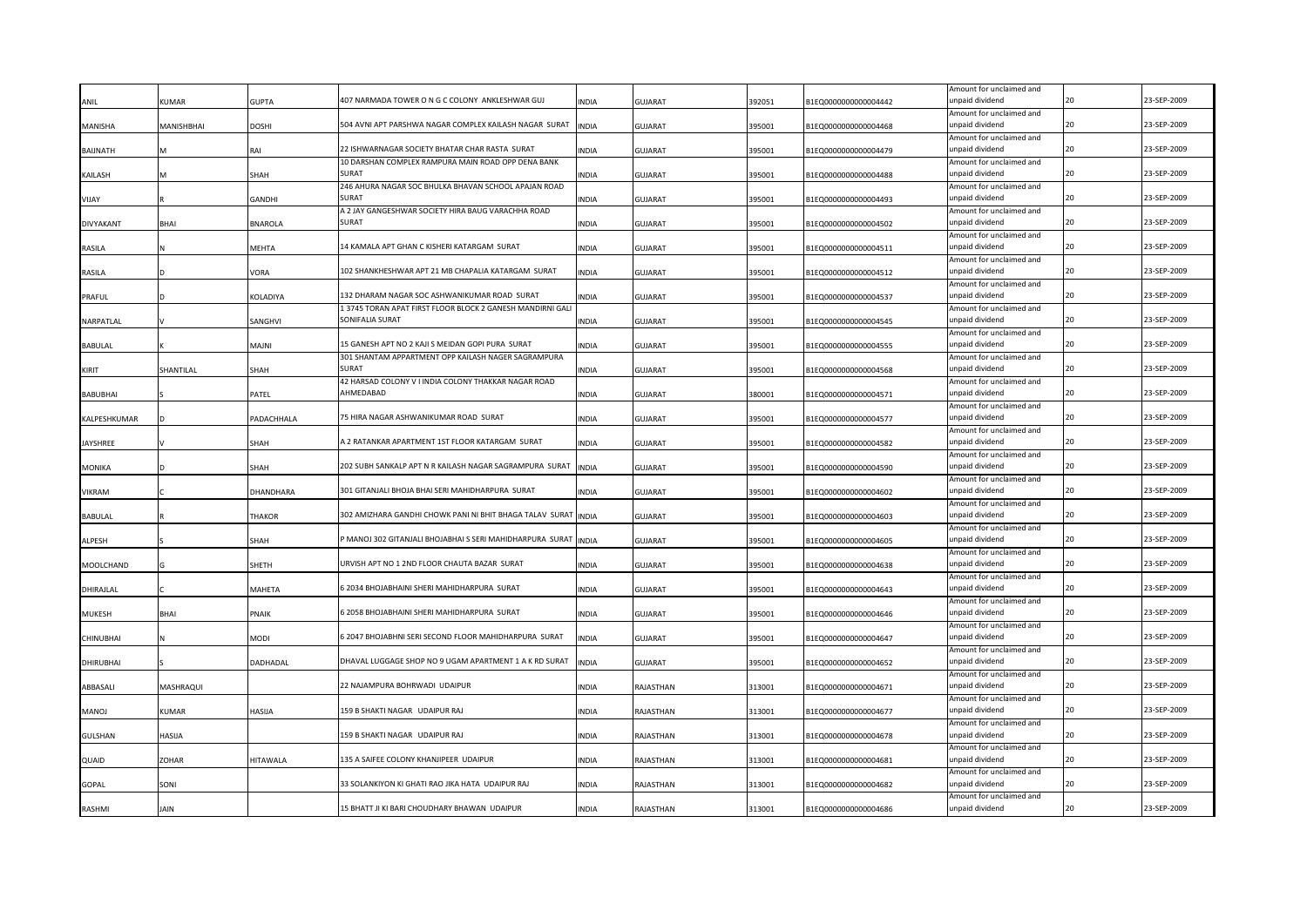| ANIL             | <b>KUMAR</b> | <b>GUPTA</b>    | 407 NARMADA TOWER O N G C COLONY ANKLESHWAR GUJ                                                      | INDIA        | <b>GUJARAT</b> | 392051 | B1EQ0000000000004442 | Amount for unclaimed and<br>unpaid dividend |    | 23-SEP-2009 |
|------------------|--------------|-----------------|------------------------------------------------------------------------------------------------------|--------------|----------------|--------|----------------------|---------------------------------------------|----|-------------|
|                  |              |                 |                                                                                                      |              |                |        |                      | Amount for unclaimed and                    |    |             |
| MANISHA          | MANISHBHAI   | DOSHI           | 504 AVNI APT PARSHWA NAGAR COMPLEX KAILASH NAGAR SURAT                                               | <b>INDIA</b> | <b>GUJARAT</b> | 395001 | B1EQ0000000000004468 | unpaid dividend                             | 20 | 23-SEP-2009 |
|                  |              |                 |                                                                                                      |              |                |        |                      | Amount for unclaimed and                    | 20 |             |
| <b>BAIJNATH</b>  |              | RAI             | 22 ISHWARNAGAR SOCIETY BHATAR CHAR RASTA SURAT<br>10 DARSHAN COMPLEX RAMPURA MAIN ROAD OPP DENA BANK | INDIA        | <b>GUJARAT</b> | 395001 | B1EQ0000000000004479 | unpaid dividend<br>Amount for unclaimed and |    | 23-SEP-2009 |
| KAILASH          |              | SHAH            | <b>SURAT</b>                                                                                         | INDIA        | <b>GUJARAT</b> | 395001 | B1EQ0000000000004488 | unpaid dividend                             | 20 | 23-SEP-2009 |
|                  |              |                 | 246 AHURA NAGAR SOC BHULKA BHAVAN SCHOOL APAJAN ROAD                                                 |              |                |        |                      | Amount for unclaimed and                    |    |             |
| VIJAY            |              | GANDHI          | SURAT                                                                                                | INDIA        | <b>GUJARAT</b> | 395001 | B1EQ0000000000004493 | unpaid dividend                             |    | 23-SEP-2009 |
|                  |              |                 | A 2 JAY GANGESHWAR SOCIETY HIRA BAUG VARACHHA ROAD                                                   |              |                |        |                      | Amount for unclaimed and                    |    |             |
| DIVYAKANT        | BHAI         | <b>BNAROLA</b>  | SURAT                                                                                                | INDIA        | <b>GUJARAT</b> | 395001 | B1EQ0000000000004502 | inpaid dividend                             | 20 | 23-SEP-2009 |
|                  |              |                 |                                                                                                      |              |                |        |                      | Amount for unclaimed and                    |    |             |
| RASILA           |              | MEHTA           | 14 KAMALA APT GHAN C KISHERI KATARGAM SURAT                                                          | INDIA        | <b>GUJARAT</b> | 395001 | B1EQ0000000000004511 | unpaid dividend                             | 20 | 23-SEP-2009 |
|                  |              |                 | 102 SHANKHESHWAR APT 21 MB CHAPALIA KATARGAM SURAT                                                   |              |                |        |                      | Amount for unclaimed and<br>unpaid dividend | 20 | 23-SEP-2009 |
| RASILA           |              | VORA            |                                                                                                      | INDIA        | <b>GUJARAT</b> | 395001 | B1EQ0000000000004512 | Amount for unclaimed and                    |    |             |
| PRAFUL           |              | KOLADIYA        | 132 DHARAM NAGAR SOC ASHWANIKUMAR ROAD SURAT                                                         | INDIA        | <b>GUJARAT</b> | 395001 | B1EQ0000000000004537 | unpaid dividend                             | 20 | 23-SEP-2009 |
|                  |              |                 | 13745 TORAN APAT FIRST FLOOR BLOCK 2 GANESH MANDIRNI GALI                                            |              |                |        |                      | Amount for unclaimed and                    |    |             |
| NARPATLAL        |              | SANGHVI         | SONIFALIA SURAT                                                                                      | <b>INDIA</b> | <b>GUJARAT</b> | 395001 | B1EQ0000000000004545 | unpaid dividend                             | 20 | 23-SEP-2009 |
|                  |              |                 |                                                                                                      |              |                |        |                      | Amount for unclaimed and                    |    |             |
| <b>BABULAL</b>   |              | <b>MAJNI</b>    | 15 GANESH APT NO 2 KAJI S MEIDAN GOPI PURA SURAT                                                     | INDIA        | <b>GUJARAT</b> | 395001 | B1EQ0000000000004555 | unpaid dividend                             | 20 | 23-SEP-2009 |
|                  |              |                 | 301 SHANTAM APPARTMENT OPP KAILASH NAGER SAGRAMPURA                                                  |              |                |        |                      | Amount for unclaimed and                    |    |             |
| KIRIT            | SHANTILAL    | SHAH            | <b>SURAT</b>                                                                                         | <b>INDIA</b> | <b>GUJARAT</b> | 395001 | B1EQ0000000000004568 | unpaid dividend                             | 20 | 23-SEP-2009 |
|                  |              |                 | 42 HARSAD COLONY V I INDIA COLONY THAKKAR NAGAR ROAD                                                 |              |                |        |                      | Amount for unclaimed and                    |    |             |
| <b>BABUBHAI</b>  |              | PATEL           | AHMEDABAD                                                                                            | <b>INDIA</b> | <b>GUJARAT</b> | 380001 | B1EQ0000000000004571 | unpaid dividend                             | 20 | 23-SEP-2009 |
|                  |              |                 | 75 HIRA NAGAR ASHWANIKUMAR ROAD SURAT                                                                |              |                |        |                      | Amount for unclaimed and<br>unpaid dividend |    | 23-SEP-2009 |
| KALPESHKUMAR     |              | PADACHHALA      |                                                                                                      | INDIA        | <b>GUJARAT</b> | 395001 | B1EQ0000000000004577 | Amount for unclaimed and                    |    |             |
| <b>JAYSHREE</b>  |              | SHAH            | A 2 RATANKAR APARTMENT 1ST FLOOR KATARGAM SURAT                                                      | INDIA        | <b>GUJARAT</b> | 395001 | B1EQ0000000000004582 | unpaid dividend                             |    | 23-SEP-2009 |
|                  |              |                 |                                                                                                      |              |                |        |                      | Amount for unclaimed and                    |    |             |
| <b>MONIKA</b>    |              | SHAH            | 202 SUBH SANKALP APT N R KAILASH NAGAR SAGRAMPURA SURAT                                              | <b>INDIA</b> | <b>GUJARAT</b> | 395001 | B1EQ0000000000004590 | unpaid dividend                             |    | 23-SEP-2009 |
|                  |              |                 |                                                                                                      |              |                |        |                      | Amount for unclaimed and                    |    |             |
| VIKRAM           |              | DHANDHARA       | 301 GITANJALI BHOJA BHAI SERI MAHIDHARPURA SURAT                                                     | INDIA        | <b>GUJARAT</b> | 395001 | B1EQ0000000000004602 | unpaid dividend                             |    | 23-SEP-2009 |
|                  |              |                 |                                                                                                      |              |                |        |                      | Amount for unclaimed and                    |    |             |
| BABULAL          |              | <b>HAKOR</b>    | 302 AMIZHARA GANDHI CHOWK PANI NI BHIT BHAGA TALAV SURAT                                             | <b>INDIA</b> | <b>GUJARAT</b> | 395001 | B1EQ0000000000004603 | unpaid dividend                             |    | 23-SEP-2009 |
|                  |              |                 |                                                                                                      |              |                |        |                      | Amount for unclaimed and                    |    |             |
| ALPESH           |              | SHAH            | MANOJ 302 GITANJALI BHOJABHAI S SERI MAHIDHARPURA SURAT INDIA                                        |              | <b>GUJARAT</b> | 395001 | B1EQ0000000000004605 | unpaid dividend                             |    | 23-SEP-2009 |
|                  |              | SHETH           | JRVISH APT NO 1 2ND FLOOR CHAUTA BAZAR SURAT                                                         | INDIA        |                |        |                      | Amount for unclaimed and<br>unpaid dividend |    | 23-SEP-2009 |
| MOOLCHAND        |              |                 |                                                                                                      |              | <b>GUJARAT</b> | 395001 | B1EQ0000000000004638 | Amount for unclaimed and                    |    |             |
| DHIRAJLAL        |              | MAHETA          | 5 2034 BHOJABHAINI SHERI MAHIDHARPURA SURAT                                                          | INDIA        | <b>GUJARAT</b> | 395001 | B1EQ0000000000004643 | unpaid dividend                             | 20 | 23-SEP-2009 |
|                  |              |                 |                                                                                                      |              |                |        |                      | Amount for unclaimed and                    |    |             |
| MUKESH           | BHAI         | PNAIK           | 3 2058 BHOJABHAINI SHERI MAHIDHARPURA SURAT                                                          | INDIA        | <b>GUJARAT</b> | 395001 | B1EQ0000000000004646 | unpaid dividend                             |    | 23-SEP-2009 |
|                  |              |                 |                                                                                                      |              |                |        |                      | Amount for unclaimed and                    |    |             |
| CHINUBHAI        |              | NODI            | 5 2047 BHOJABHNI SERI SECOND FLOOR MAHIDHARPURA SURAT                                                | INDIA        | <b>GUJARAT</b> | 395001 | B1EQ0000000000004647 | unpaid dividend                             |    | 23-SEP-2009 |
|                  |              |                 |                                                                                                      |              |                |        |                      | Amount for unclaimed and                    |    |             |
| <b>DHIRUBHAI</b> |              | DADHADAL        | DHAVAL LUGGAGE SHOP NO 9 UGAM APARTMENT 1 A K RD SURAT                                               | <b>INDIA</b> | <b>GUJARAT</b> | 395001 | B1EQ0000000000004652 | unpaid dividend                             |    | 23-SEP-2009 |
|                  |              |                 |                                                                                                      |              |                |        |                      | Amount for unclaimed and                    |    | 23-SEP-2009 |
| ABBASALI         | MASHRAQUI    |                 | 22 NAJAMPURA BOHRWADI UDAIPUR                                                                        | INDIA        | RAJASTHAN      | 313001 | B1EQ0000000000004671 | unpaid dividend                             |    |             |
| <b>LONAM</b>     | KUMAR        | HASIJA          | 159 B SHAKTI NAGAR UDAIPUR RAJ                                                                       | INDIA        | RAJASTHAN      | 313001 | B1EQ0000000000004677 | Amount for unclaimed and<br>unpaid dividend |    | 23-SEP-2009 |
|                  |              |                 |                                                                                                      |              |                |        |                      | Amount for unclaimed and                    |    |             |
| <b>GULSHAN</b>   | HASIJA       |                 | 159 B SHAKTI NAGAR UDAIPUR RAJ                                                                       | <b>INDIA</b> | RAJASTHAN      | 313001 | B1EQ0000000000004678 | unpaid dividend                             |    | 23-SEP-2009 |
|                  |              |                 |                                                                                                      |              |                |        |                      | Amount for unclaimed and                    |    |             |
| QUAID            | <b>ZOHAR</b> | <b>HITAWALA</b> | 135 A SAIFEE COLONY KHANJIPEER UDAIPUR                                                               | <b>INDIA</b> | RAJASTHAN      | 313001 | B1EQ0000000000004681 | inpaid dividend                             |    | 23-SEP-2009 |
|                  |              |                 |                                                                                                      |              |                |        |                      | Amount for unclaimed and                    |    |             |
| GOPAL            | SONI         |                 | 33 SOLANKIYON KI GHATI RAO JIKA HATA UDAIPUR RAJ                                                     | <b>INDIA</b> | RAJASTHAN      | 313001 | B1EQ0000000000004682 | inpaid dividend                             |    | 23-SEP-2009 |
|                  |              |                 |                                                                                                      |              |                |        |                      | Amount for unclaimed and                    |    |             |
| RASHMI           | <b>JAIN</b>  |                 | 15 BHATT JI KI BARI CHOUDHARY BHAWAN UDAIPUR                                                         | <b>INDIA</b> | RAJASTHAN      | 313001 | B1EQ0000000000004686 | unpaid dividend                             |    | 23-SEP-2009 |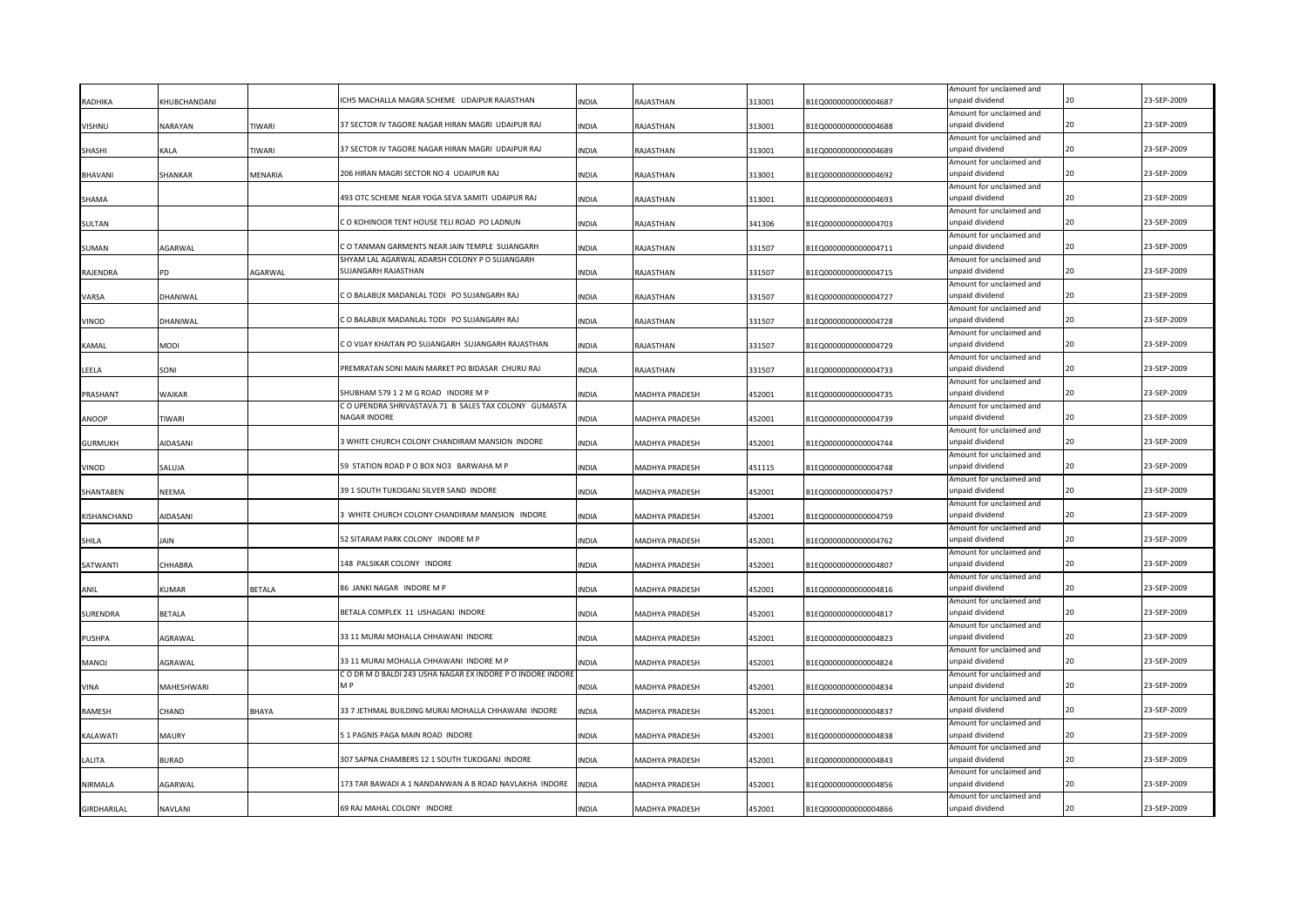| RADHIKA        | KHUBCHANDANI   |         | ICH5 MACHALLA MAGRA SCHEME UDAIPUR RAJASTHAN               | NDIA         | RAJASTHAN      | 313001 | B1EQ0000000000004687 | Amount for unclaimed and<br>unpaid dividend |    | 23-SEP-2009 |
|----------------|----------------|---------|------------------------------------------------------------|--------------|----------------|--------|----------------------|---------------------------------------------|----|-------------|
|                |                |         |                                                            |              |                |        |                      | Amount for unclaimed and                    |    |             |
| VISHNU         | NARAYAN        | TIWARI  | 37 SECTOR IV TAGORE NAGAR HIRAN MAGRI UDAIPUR RAJ          | <b>INDIA</b> | RAJASTHAN      | 313001 | B1EQ0000000000004688 | unpaid dividend                             |    | 23-SEP-2009 |
|                |                |         |                                                            |              |                |        |                      | Amount for unclaimed and                    |    |             |
| SHASHI         | KALA           | TIWARI  | 37 SECTOR IV TAGORE NAGAR HIRAN MAGRI UDAIPUR RAJ          | <b>INDIA</b> | RAJASTHAN      | 313001 | B1EQ0000000000004689 | unpaid dividend                             |    | 23-SEP-2009 |
|                |                |         |                                                            |              |                |        |                      | Amount for unclaimed and                    |    |             |
| <b>BHAVANI</b> | <b>SHANKAR</b> | MENARIA | 206 HIRAN MAGRI SECTOR NO 4 UDAIPUR RAJ                    | INDIA        | RAJASTHAN      | 313001 | B1EQ0000000000004692 | unpaid dividend                             | 20 | 23-SEP-2009 |
|                |                |         | 493 OTC SCHEME NEAR YOGA SEVA SAMITI UDAIPUR RAJ           | INDIA        | RAJASTHAN      | 313001 | B1EQ0000000000004693 | Amount for unclaimed and<br>unpaid dividend |    | 23-SEP-2009 |
| SHAMA          |                |         |                                                            |              |                |        |                      | Amount for unclaimed and                    |    |             |
| SULTAN         |                |         | CO KOHINOOR TENT HOUSE TELI ROAD PO LADNUN                 | INDIA        | RAJASTHAN      | 341306 | B1EQ0000000000004703 | unpaid dividend                             |    | 23-SEP-2009 |
|                |                |         |                                                            |              |                |        |                      | Amount for unclaimed and                    |    |             |
| SUMAN          | AGARWAL        |         | CO TANMAN GARMENTS NEAR JAIN TEMPLE SUJANGARH              | INDIA        | RAJASTHAN      | 331507 | B1EQ0000000000004711 | unpaid dividend                             |    | 23-SEP-2009 |
|                |                |         | SHYAM LAL AGARWAL ADARSH COLONY P O SUJANGARH              |              |                |        |                      | Amount for unclaimed and                    |    |             |
| RAJENDRA       | PD             | AGARWAL | SUJANGARH RAJASTHAN                                        | INDIA        | RAJASTHAN      | 331507 | B1EQ0000000000004715 | unpaid dividend                             | 20 | 23-SEP-2009 |
|                |                |         |                                                            |              |                |        |                      | Amount for unclaimed and                    |    |             |
| VARSA          | DHANIWAL       |         | CO BALABUX MADANLAL TODI PO SUJANGARH RAJ                  | INDIA        | RAJASTHAN      | 331507 | B1EQ0000000000004727 | unpaid dividend                             |    | 23-SEP-2009 |
|                |                |         | CO BALABUX MADANLAL TODI PO SUJANGARH RAJ                  | <b>INDIA</b> |                |        |                      | Amount for unclaimed and<br>unpaid dividend | 20 | 23-SEP-2009 |
| VINOD          | DHANIWAL       |         |                                                            |              | RAJASTHAN      | 331507 | B1EQ0000000000004728 | Amount for unclaimed and                    |    |             |
| KAMAL          | MODI           |         | CO VIJAY KHAITAN PO SUJANGARH SUJANGARH RAJASTHAN          | <b>INDIA</b> | RAJASTHAN      | 331507 | B1EQ0000000000004729 | unpaid dividend                             | 20 | 23-SEP-2009 |
|                |                |         |                                                            |              |                |        |                      | Amount for unclaimed and                    |    |             |
| LEELA          | SONI           |         | PREMRATAN SONI MAIN MARKET PO BIDASAR CHURU RAJ            | INDIA        | RAJASTHAN      | 331507 | B1EQ0000000000004733 | unpaid dividend                             | 20 | 23-SEP-2009 |
|                |                |         |                                                            |              |                |        |                      | Amount for unclaimed and                    |    |             |
| PRASHANT       | <b>WAIKAR</b>  |         | SHUBHAM 579 1 2 M G ROAD INDORE M P                        | INDIA        | MADHYA PRADESH | 452001 | B1EQ0000000000004735 | unpaid dividend                             |    | 23-SEP-2009 |
|                |                |         | CO UPENDRA SHRIVASTAVA 71 B SALES TAX COLONY GUMASTA       |              |                |        |                      | Amount for unclaimed and                    |    |             |
| ANOOP          | TIWARI         |         | NAGAR INDORE                                               | <b>INDIA</b> | MADHYA PRADESH | 452001 | B1EQ0000000000004739 | unpaid dividend                             | 20 | 23-SEP-2009 |
|                |                |         |                                                            |              |                |        |                      | Amount for unclaimed and                    |    |             |
| <b>GURMUKH</b> | AIDASANI       |         | 3 WHITE CHURCH COLONY CHANDIRAM MANSION INDORE             | <b>INDIA</b> | MADHYA PRADESH | 452001 | B1EQ0000000000004744 | unpaid dividend                             |    | 23-SEP-2009 |
|                |                |         | 59 STATION ROAD P O BOX NO3 BARWAHA M P                    |              |                |        |                      | Amount for unclaimed and                    |    | 23-SEP-2009 |
| VINOD          | SALUJA         |         |                                                            | INDIA        | MADHYA PRADESH | 451115 | B1EQ0000000000004748 | unpaid dividend<br>Amount for unclaimed and |    |             |
| SHANTABEN      | NEEMA          |         | 39 1 SOUTH TUKOGANJ SILVER SAND INDORE                     | INDIA        | MADHYA PRADESH | 452001 | B1EQ0000000000004757 | unpaid dividend                             |    | 23-SEP-2009 |
|                |                |         |                                                            |              |                |        |                      | Amount for unclaimed and                    |    |             |
| KISHANCHAND    | AIDASANI       |         | WHITE CHURCH COLONY CHANDIRAM MANSION INDORE               | INDIA        | MADHYA PRADESH | 452001 | B1EQ0000000000004759 | unpaid dividend                             |    | 23-SEP-2009 |
|                |                |         |                                                            |              |                |        |                      | Amount for unclaimed and                    |    |             |
| SHILA          | JAIN           |         | 52 SITARAM PARK COLONY INDORE M P                          | INDIA        | MADHYA PRADESH | 452001 | B1EQ0000000000004762 | unpaid dividend                             |    | 23-SEP-2009 |
|                |                |         |                                                            |              |                |        |                      | Amount for unclaimed and                    |    |             |
| SATWANTI       | CHHABRA        |         | 148 PALSIKAR COLONY INDORE                                 | INDIA        | MADHYA PRADESH | 452001 | B1EQ0000000000004807 | unpaid dividend                             |    | 23-SEP-2009 |
|                |                |         |                                                            |              |                |        |                      | Amount for unclaimed and                    |    |             |
| ANIL           | KUMAR          | BETALA  | 86 JANKI NAGAR INDORE M P                                  | INDIA        | MADHYA PRADESH | 452001 | B1EQ0000000000004816 | unpaid dividend                             |    | 23-SEP-2009 |
| SURENDRA       | BETALA         |         | BETALA COMPLEX 11 USHAGANJ INDORE                          | INDIA        | MADHYA PRADESH | 452001 | B1EQ0000000000004817 | Amount for unclaimed and<br>unpaid dividend |    | 23-SEP-2009 |
|                |                |         |                                                            |              |                |        |                      | Amount for unclaimed and                    |    |             |
| PUSHPA         | AGRAWAL        |         | 33 11 MURAI MOHALLA CHHAWANI INDORE                        | INDIA        | MADHYA PRADESH | 452001 | B1EQ0000000000004823 | unpaid dividend                             |    | 23-SEP-2009 |
|                |                |         |                                                            |              |                |        |                      | Amount for unclaimed and                    |    |             |
| <b>LONAM</b>   | AGRAWAL        |         | 33 11 MURAI MOHALLA CHHAWANI INDORE M P                    | INDIA        | MADHYA PRADESH | 452001 | B1EQ0000000000004824 | unpaid dividend                             |    | 23-SEP-2009 |
|                |                |         | CO DR M D BALDI 243 USHA NAGAR EX INDORE P O INDORE INDORE |              |                |        |                      | Amount for unclaimed and                    |    |             |
| VINA           | MAHESHWARI     |         | M <sub>P</sub>                                             | INDIA        | MADHYA PRADESH | 452001 | B1EQ0000000000004834 | unpaid dividend                             | 20 | 23-SEP-2009 |
|                |                |         |                                                            |              |                |        |                      | Amount for unclaimed and                    |    |             |
| RAMESH         | CHAND          | BHAYA   | 33 7 JETHMAL BUILDING MURAI MOHALLA CHHAWANI INDORE        | INDIA        | MADHYA PRADESH | 452001 | B1EQ0000000000004837 | unpaid dividend                             |    | 23-SEP-2009 |
| KALAWATI       | MAURY          |         | 51 PAGNIS PAGA MAIN ROAD INDORE                            | <b>INDIA</b> |                |        | B1EQ0000000000004838 | Amount for unclaimed and<br>unpaid dividend | 20 | 23-SEP-2009 |
|                |                |         |                                                            |              | MADHYA PRADESH | 452001 |                      | Amount for unclaimed and                    |    |             |
| LALITA         | <b>BURAD</b>   |         | 307 SAPNA CHAMBERS 12 1 SOUTH TUKOGANJ INDORE              | <b>INDIA</b> | MADHYA PRADESH | 452001 | B1EQ0000000000004843 | unpaid dividend                             |    | 23-SEP-2009 |
|                |                |         |                                                            |              |                |        |                      | Amount for unclaimed and                    |    |             |
| NIRMALA        | <b>AGARWAL</b> |         | 173 TAR BAWADI A 1 NANDANWAN A B ROAD NAVLAKHA INDORE      | <b>INDIA</b> | MADHYA PRADESH | 452001 | B1EQ0000000000004856 | unpaid dividend                             | 20 | 23-SEP-2009 |
|                |                |         |                                                            |              |                |        |                      | Amount for unclaimed and                    |    |             |
| GIRDHARILAL    | NAVLANI        |         | 69 RAJ MAHAL COLONY INDORE                                 | <b>INDIA</b> | MADHYA PRADESH | 452001 | B1EQ0000000000004866 | unpaid dividend                             | 20 | 23-SEP-2009 |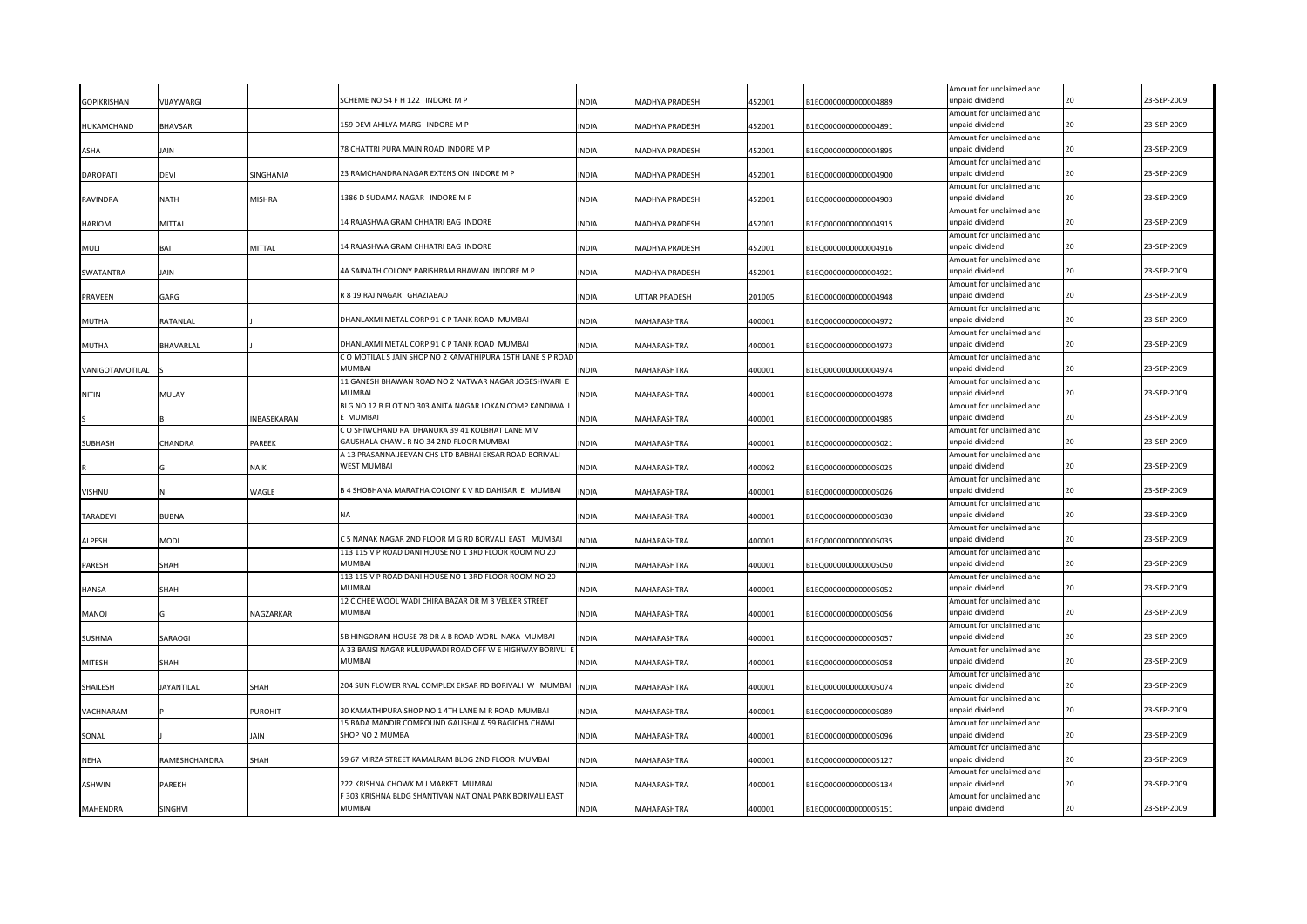| <b>GOPIKRISHAN</b> | VIJAYWARGI        |               | SCHEME NO 54 F H 122 INDORE M P                                          | INDIA        | MADHYA PRADESH | 452001 | B1EQ0000000000004889 | Amount for unclaimed and<br>unpaid dividend |    | 23-SEP-2009 |
|--------------------|-------------------|---------------|--------------------------------------------------------------------------|--------------|----------------|--------|----------------------|---------------------------------------------|----|-------------|
|                    |                   |               |                                                                          |              |                |        |                      | Amount for unclaimed and                    |    |             |
| HUKAMCHAND         | BHAVSAR           |               | 159 DEVI AHILYA MARG INDORE M P                                          | <b>INDIA</b> | MADHYA PRADESH | 452001 | B1EQ0000000000004891 | unpaid dividend                             | 20 | 23-SEP-2009 |
|                    |                   |               |                                                                          |              |                |        |                      | Amount for unclaimed and                    |    |             |
| <b>ASHA</b>        | iain              |               | 78 CHATTRI PURA MAIN ROAD INDORE M P                                     | <b>INDIA</b> | MADHYA PRADESH | 452001 | B1EQ0000000000004895 | unpaid dividend                             | 20 | 23-SEP-2009 |
|                    |                   |               | 23 RAMCHANDRA NAGAR EXTENSION INDORE M P                                 |              |                |        |                      | Amount for unclaimed and                    | 20 | 23-SEP-2009 |
| <b>DAROPATI</b>    | DEVI              | SINGHANIA     |                                                                          | <b>INDIA</b> | MADHYA PRADESH | 452001 | B1EQ0000000000004900 | unpaid dividend                             |    |             |
| RAVINDRA           | NATH              | <b>MISHRA</b> | 1386 D SUDAMA NAGAR INDORE M P                                           | <b>INDIA</b> | MADHYA PRADESH | 452001 | B1EQ0000000000004903 | Amount for unclaimed and<br>unpaid dividend | 20 | 23-SEP-2009 |
|                    |                   |               |                                                                          |              |                |        |                      | Amount for unclaimed and                    |    |             |
| <b>HARIOM</b>      | MITTAL            |               | 14 RAJASHWA GRAM CHHATRI BAG INDORE                                      | <b>INDIA</b> | MADHYA PRADESH | 452001 | B1EQ0000000000004915 | unpaid dividend                             | 20 | 23-SEP-2009 |
|                    |                   |               |                                                                          |              |                |        |                      | Amount for unclaimed and                    |    |             |
| MULI               | RΔI               | MITTAL        | 14 RAJASHWA GRAM CHHATRI BAG INDORE                                      | <b>INDIA</b> | MADHYA PRADESH | 452001 | B1EQ0000000000004916 | unpaid dividend                             | 20 | 23-SEP-2009 |
|                    |                   |               |                                                                          |              |                |        |                      | Amount for unclaimed and                    |    |             |
| SWATANTRA          | Jain              |               | 4A SAINATH COLONY PARISHRAM BHAWAN INDORE M P                            | <b>INDIA</b> | MADHYA PRADESH | 452001 | B1EQ0000000000004921 | unpaid dividend                             | 20 | 23-SEP-2009 |
|                    |                   |               |                                                                          |              |                |        |                      | Amount for unclaimed and                    |    |             |
| PRAVEEN            | GARG              |               | R 8 19 RAJ NAGAR GHAZIABAD                                               | <b>INDIA</b> | UTTAR PRADESH  | 201005 | B1EQ0000000000004948 | unpaid dividend                             | 20 | 23-SEP-2009 |
|                    |                   |               |                                                                          |              |                |        |                      | Amount for unclaimed and                    | 20 |             |
| MUTHA              | RATANLAL          |               | DHANLAXMI METAL CORP 91 C P TANK ROAD MUMBAI                             | <b>INDIA</b> | MAHARASHTRA    | 400001 | B1EQ0000000000004972 | unpaid dividend                             |    | 23-SEP-2009 |
| MUTHA              | BHAVARLAL         |               | DHANLAXMI METAL CORP 91 C P TANK ROAD MUMBAI                             | <b>INDIA</b> | MAHARASHTRA    | 400001 | B1EQ0000000000004973 | Amount for unclaimed and<br>unpaid dividend | 20 | 23-SEP-2009 |
|                    |                   |               | C O MOTILAL S JAIN SHOP NO 2 KAMATHIPURA 15TH LANE S P ROAD              |              |                |        |                      | Amount for unclaimed and                    |    |             |
| VANIGOTAMOTILAL    |                   |               | MUMBAI                                                                   | INDIA        | MAHARASHTRA    | 400001 | B1EQ0000000000004974 | unpaid dividend                             | 20 | 23-SEP-2009 |
|                    |                   |               | 11 GANESH BHAWAN ROAD NO 2 NATWAR NAGAR JOGESHWARI E                     |              |                |        |                      | Amount for unclaimed and                    |    |             |
| <b>NITIN</b>       | MULAY             |               | MUMBAI                                                                   | INDIA        | MAHARASHTRA    | 400001 | B1EQ0000000000004978 | unpaid dividend                             |    | 23-SEP-2009 |
|                    |                   |               | BLG NO 12 B FLOT NO 303 ANITA NAGAR LOKAN COMP KANDIWALI                 |              |                |        |                      | Amount for unclaimed and                    |    |             |
|                    |                   | INBASEKARAN   | <b>MUMBAI</b>                                                            | <b>INDIA</b> | MAHARASHTRA    | 400001 | B1EQ0000000000004985 | unpaid dividend                             |    | 23-SEP-2009 |
|                    |                   |               | C O SHIWCHAND RAI DHANUKA 39 41 KOLBHAT LANE M V                         |              |                |        |                      | Amount for unclaimed and                    |    |             |
| <b>SUBHASH</b>     | CHANDRA           | PAREEK        | GAUSHALA CHAWL R NO 34 2ND FLOOR MUMBAI                                  | <b>INDIA</b> | MAHARASHTRA    | 400001 | B1EQ0000000000005021 | unpaid dividend                             |    | 23-SEP-2009 |
|                    |                   |               | A 13 PRASANNA JEEVAN CHS LTD BABHAI EKSAR ROAD BORIVALI                  |              |                |        |                      | Amount for unclaimed and                    |    |             |
|                    |                   | <b>NAIK</b>   | <b>WEST MUMBAI</b>                                                       | <b>INDIA</b> | MAHARASHTRA    | 400092 | B1EQ0000000000005025 | unpaid dividend                             |    | 23-SEP-2009 |
|                    |                   |               | B 4 SHOBHANA MARATHA COLONY K V RD DAHISAR E MUMBAI                      |              |                |        |                      | Amount for unclaimed and                    |    | 23-SEP-2009 |
| VISHNU             |                   | WAGLE         |                                                                          | <b>INDIA</b> | MAHARASHTRA    | 400001 | B1EQ0000000000005026 | unpaid dividend                             |    |             |
| TARADEVI           | BUBNA             |               | ΝA                                                                       | INDIA        | MAHARASHTRA    | 400001 | B1EQ0000000000005030 | Amount for unclaimed and<br>unpaid dividend |    | 23-SEP-2009 |
|                    |                   |               |                                                                          |              |                |        |                      | Amount for unclaimed and                    |    |             |
| ALPESH             | MODI              |               | C 5 NANAK NAGAR 2ND FLOOR M G RD BORVALI EAST MUMBAI                     | INDIA        | MAHARASHTRA    | 400001 | B1EQ0000000000005035 | unpaid dividend                             |    | 23-SEP-2009 |
|                    |                   |               | 113 115 V P ROAD DANI HOUSE NO 1 3RD FLOOR ROOM NO 20                    |              |                |        |                      | Amount for unclaimed and                    |    |             |
| PARESH             | SHAH              |               | MUMBAI                                                                   | INDIA        | MAHARASHTRA    | 400001 | B1EQ0000000000005050 | unpaid dividend                             |    | 23-SEP-2009 |
|                    |                   |               | 113 115 V P ROAD DANI HOUSE NO 1 3RD FLOOR ROOM NO 20                    |              |                |        |                      | Amount for unclaimed and                    |    |             |
| HANSA              | SHAH              |               | <b>MUMBAI</b>                                                            | INDIA        | MAHARASHTRA    | 400001 | B1EQ0000000000005052 | unpaid dividend                             |    | 23-SEP-2009 |
|                    |                   |               | 12 C CHEE WOOL WADI CHIRA BAZAR DR M B VELKER STREET                     |              |                |        |                      | Amount for unclaimed and                    |    |             |
| <b>MANOJ</b>       |                   | NAGZARKAR     | MUMBAI                                                                   | INDIA        | MAHARASHTRA    | 400001 | B1EQ0000000000005056 | unpaid dividend                             |    | 23-SEP-2009 |
|                    |                   |               |                                                                          |              |                |        |                      | Amount for unclaimed and                    |    |             |
| <b>SUSHMA</b>      | SARAOGI           |               | 5B HINGORANI HOUSE 78 DR A B ROAD WORLI NAKA MUMBAI                      | INDIA        | MAHARASHTRA    | 400001 | B1EQ0000000000005057 | unpaid dividend                             |    | 23-SEP-2009 |
|                    |                   |               | A 33 BANSI NAGAR KULUPWADI ROAD OFF W E HIGHWAY BORIVLI<br><b>MUMBAI</b> |              |                |        |                      | Amount for unclaimed and<br>unpaid dividend |    | 23-SEP-2009 |
| <b>MITESH</b>      | SHAH              |               |                                                                          | <b>INDIA</b> | MAHARASHTRA    | 400001 | B1EQ0000000000005058 | Amount for unclaimed and                    |    |             |
| SHAILESH           | <b>JAYANTILAL</b> | SHAH          | 204 SUN FLOWER RYAL COMPLEX EKSAR RD BORIVALI W MUMBAI                   | <b>INDIA</b> | MAHARASHTRA    | 400001 | B1EQ0000000000005074 | unpaid dividend                             | 20 | 23-SEP-2009 |
|                    |                   |               |                                                                          |              |                |        |                      | Amount for unclaimed and                    |    |             |
| VACHNARAM          |                   | PUROHIT       | 30 KAMATHIPURA SHOP NO 1 4TH LANE M R ROAD MUMBAI                        | INDIA        | MAHARASHTRA    | 400001 | B1EQ0000000000005089 | unpaid dividend                             |    | 23-SEP-2009 |
|                    |                   |               | 15 BADA MANDIR COMPOUND GAUSHALA 59 BAGICHA CHAWL                        |              |                |        |                      | Amount for unclaimed and                    |    |             |
| SONAL              |                   | AIN           | SHOP NO 2 MUMBAI                                                         | <b>INDIA</b> | MAHARASHTRA    | 400001 | B1EQ0000000000005096 | unpaid dividend                             | 20 | 23-SEP-2009 |
|                    |                   |               |                                                                          |              |                |        |                      | Amount for unclaimed and                    |    |             |
| <b>NEHA</b>        | RAMESHCHANDRA     | SHAH          | 59 67 MIRZA STREET KAMALRAM BLDG 2ND FLOOR MUMBAI                        | <b>INDIA</b> | MAHARASHTRA    | 400001 | B1EQ0000000000005127 | unpaid dividend                             |    | 23-SEP-2009 |
|                    |                   |               |                                                                          |              |                |        |                      | Amount for unclaimed and                    |    |             |
| ASHWIN             | <b>AREKH</b>      |               | 222 KRISHNA CHOWK M J MARKET MUMBAI                                      | <b>INDIA</b> | MAHARASHTRA    | 400001 | B1EQ0000000000005134 | unpaid dividend                             | 20 | 23-SEP-2009 |
|                    |                   |               | F 303 KRISHNA BLDG SHANTIVAN NATIONAL PARK BORIVALI EAST                 |              |                |        |                      | Amount for unclaimed and                    |    |             |
| MAHENDRA           | SINGHVI           |               | <b>MUMBAI</b>                                                            | <b>INDIA</b> | MAHARASHTRA    | 400001 | B1EQ0000000000005151 | unpaid dividend                             | 20 | 23-SEP-2009 |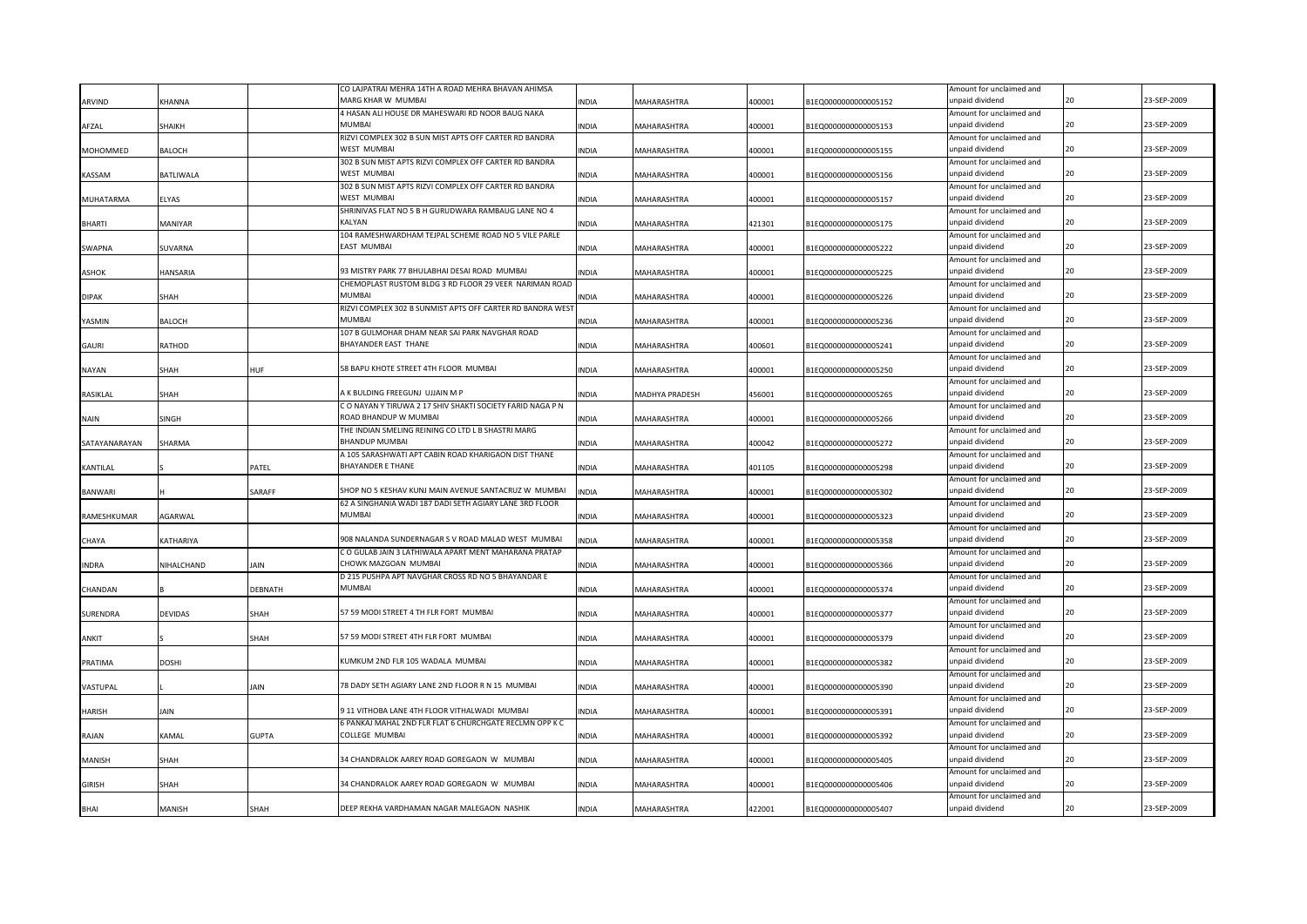|                  |                |              | CO LAJPATRAI MEHRA 14TH A ROAD MEHRA BHAVAN AHIMSA         |              |                    |        |                      | Amount for unclaimed and                    |    |             |
|------------------|----------------|--------------|------------------------------------------------------------|--------------|--------------------|--------|----------------------|---------------------------------------------|----|-------------|
| ARVIND           | KHANNA         |              | MARG KHAR W MUMBAI                                         | INDIA        | <b>MAHARASHTRA</b> | 400001 | B1EQ0000000000005152 | unpaid dividend                             |    | 23-SEP-2009 |
|                  |                |              | 4 HASAN ALI HOUSE DR MAHESWARI RD NOOR BAUG NAKA           |              |                    |        |                      | Amount for unclaimed and                    |    |             |
| AFZAL            | SHAIKH         |              | <b>MUMBAI</b>                                              | INDIA        | <b>MAHARASHTRA</b> | 400001 | B1EQ0000000000005153 | unpaid dividend                             | 20 | 23-SEP-2009 |
|                  |                |              | RIZVI COMPLEX 302 B SUN MIST APTS OFF CARTER RD BANDRA     |              |                    |        |                      | Amount for unclaimed and                    |    |             |
| MOHOMMED         | BALOCH         |              | WEST MUMBAI                                                | <b>INDIA</b> | <b>MAHARASHTRA</b> | 400001 | B1EQ0000000000005155 | unpaid dividend                             | 20 | 23-SEP-2009 |
|                  |                |              | 302 B SUN MIST APTS RIZVI COMPLEX OFF CARTER RD BANDRA     |              |                    |        |                      |                                             |    |             |
|                  |                |              |                                                            |              |                    |        |                      | Amount for unclaimed and                    | 20 |             |
| <b>KASSAM</b>    | BATLIWALA      |              | WEST MUMBAI                                                | INDIA        | <b>MAHARASHTRA</b> | 400001 | B1EQ0000000000005156 | unpaid dividend                             |    | 23-SEP-2009 |
|                  |                |              | 302 B SUN MIST APTS RIZVI COMPLEX OFF CARTER RD BANDRA     |              |                    |        |                      | Amount for unclaimed and                    |    |             |
| <b>MUHATARMA</b> | ELYAS          |              | WEST MUMBAI                                                | <b>INDIA</b> | <b>MAHARASHTRA</b> | 400001 | B1EQ0000000000005157 | unpaid dividend                             | חל | 23-SEP-2009 |
|                  |                |              | SHRINIVAS FLAT NO 5 B H GURUDWARA RAMBAUG LANE NO 4        |              |                    |        |                      | Amount for unclaimed and                    |    |             |
| <b>BHARTI</b>    | MANIYAR        |              | KALYAN                                                     | INDIA        | <b>MAHARASHTRA</b> | 421301 | B1EQ0000000000005175 | unpaid dividend                             | 20 | 23-SEP-2009 |
|                  |                |              | 104 RAMESHWARDHAM TEJPAL SCHEME ROAD NO 5 VILE PARLE       |              |                    |        |                      | Amount for unclaimed and                    |    |             |
| SWAPNA           | SUVARNA        |              | EAST MUMBAI                                                | INDIA        | <b>MAHARASHTRA</b> | 400001 | B1EQ0000000000005222 | unpaid dividend                             | 20 | 23-SEP-2009 |
|                  |                |              |                                                            |              |                    |        |                      | Amount for unclaimed and                    |    |             |
| <b>ASHOK</b>     | HANSARIA       |              | 93 MISTRY PARK 77 BHULABHAI DESAI ROAD MUMBAI              | <b>INDIA</b> | <b>MAHARASHTRA</b> | 400001 | B1EQ0000000000005225 | unpaid dividend                             | 20 | 23-SEP-2009 |
|                  |                |              | CHEMOPLAST RUSTOM BLDG 3 RD FLOOR 29 VEER NARIMAN ROAD     |              |                    |        |                      | Amount for unclaimed and                    |    |             |
| <b>DIPAK</b>     | SHAH           |              | MUMBAI                                                     | INDIA        | <b>MAHARASHTRA</b> | 400001 | B1EQ0000000000005226 | unpaid dividend                             | 20 | 23-SEP-2009 |
|                  |                |              | RIZVI COMPLEX 302 B SUNMIST APTS OFF CARTER RD BANDRA WEST |              |                    |        |                      | Amount for unclaimed and                    |    |             |
| YASMIN           | <b>BALOCH</b>  |              | MUMBA                                                      | INDIA        | MAHARASHTRA        | 400001 | B1EQ0000000000005236 | unpaid dividend                             | 20 | 23-SEP-2009 |
|                  |                |              | 107 B GULMOHAR DHAM NEAR SAI PARK NAVGHAR ROAD             |              |                    |        |                      | Amount for unclaimed and                    |    |             |
| <b>GAURI</b>     | RATHOD         |              | BHAYANDER EAST THANE                                       | <b>INDIA</b> | <b>MAHARASHTRA</b> | 400601 |                      | unpaid dividend                             | 20 | 23-SEP-2009 |
|                  |                |              |                                                            |              |                    |        | B1EQ0000000000005241 |                                             |    |             |
|                  |                |              |                                                            |              |                    |        |                      | Amount for unclaimed and                    | 20 |             |
| <b>NAYAN</b>     | SHAH           | HUF          | 58 BAPU KHOTE STREET 4TH FLOOR MUMBAI                      | <b>INDIA</b> | <b>MAHARASHTRA</b> | 400001 | B1EQ000000000005250  | unpaid dividend                             |    | 23-SEP-2009 |
|                  |                |              |                                                            |              |                    |        |                      | Amount for unclaimed and                    |    |             |
| <b>RASIKLAL</b>  | SHAH           |              | A K BULDING FREEGUNJ UJJAIN M P                            | <b>INDIA</b> | MADHYA PRADESH     | 456001 | B1EQ0000000000005265 | unpaid dividend                             | 20 | 23-SEP-2009 |
|                  |                |              | C O NAYAN Y TIRUWA 2 17 SHIV SHAKTI SOCIETY FARID NAGA P N |              |                    |        |                      | Amount for unclaimed and                    |    |             |
| <b>NAIN</b>      | SINGH          |              | ROAD BHANDUP W MUMBAI                                      | <b>INDIA</b> | MAHARASHTRA        | 400001 | B1EQ0000000000005266 | inpaid dividend                             | 20 | 23-SEP-2009 |
|                  |                |              | THE INDIAN SMELING REINING CO LTD L B SHASTRI MARG         |              |                    |        |                      | Amount for unclaimed and                    |    |             |
| SATAYANARAYAN    | SHARMA         |              | BHANDUP MUMBAI                                             | <b>INDIA</b> | <b>MAHARASHTRA</b> | 400042 | B1EQ0000000000005272 | unpaid dividend                             | 20 | 23-SEP-2009 |
|                  |                |              | A 105 SARASHWATI APT CABIN ROAD KHARIGAON DIST THANE       |              |                    |        |                      | Amount for unclaimed and                    |    |             |
| KANTILAL         |                | PATEL        | <b>BHAYANDER E THANE</b>                                   | <b>INDIA</b> | MAHARASHTRA        | 401105 | B1EQ0000000000005298 | unpaid dividend                             | 20 | 23-SEP-2009 |
|                  |                |              |                                                            |              |                    |        |                      | Amount for unclaimed and                    |    |             |
| <b>BANWARI</b>   |                | SARAFF       | SHOP NO 5 KESHAV KUNJ MAIN AVENUE SANTACRUZ W MUMBAI       | <b>INDIA</b> | MAHARASHTRA        | 400001 | B1EQ0000000000005302 | unpaid dividend                             | 20 | 23-SEP-2009 |
|                  |                |              | 62 A SINGHANIA WADI 187 DADI SETH AGIARY LANE 3RD FLOOR    |              |                    |        |                      | Amount for unclaimed and                    |    |             |
| RAMESHKUMAR      | <b>AGARWAL</b> |              | MUMBAI                                                     | <b>INDIA</b> | MAHARASHTRA        | 400001 | B1EQ0000000000005323 | unpaid dividend                             | 20 | 23-SEP-2009 |
|                  |                |              |                                                            |              |                    |        |                      | Amount for unclaimed and                    |    |             |
| CHAYA            | KATHARIYA      |              | 908 NALANDA SUNDERNAGAR S V ROAD MALAD WEST MUMBAI         | <b>INDIA</b> | <b>MAHARASHTRA</b> | 400001 | B1EQ0000000000005358 | unpaid dividend                             | 20 | 23-SEP-2009 |
|                  |                |              | C O GULAB JAIN 3 LATHIWALA APART MENT MAHARANA PRATAP      |              |                    |        |                      | Amount for unclaimed and                    |    |             |
| <b>INDRA</b>     | NIHALCHAND     | JAIN         | CHOWK MAZGOAN MUMBAI                                       | <b>INDIA</b> | MAHARASHTRA        | 400001 | B1EQ0000000000005366 | unpaid dividend                             | 20 | 23-SEP-2009 |
|                  |                |              | D 215 PUSHPA APT NAVGHAR CROSS RD NO 5 BHAYANDAR E         |              |                    |        |                      | Amount for unclaimed and                    |    |             |
| CHANDAN          |                | DEBNATH      | <b>MUMBAI</b>                                              | <b>INDIA</b> | MAHARASHTRA        | 400001 | B1EQ0000000000005374 | unpaid dividend                             |    | 23-SEP-2009 |
|                  |                |              |                                                            |              |                    |        |                      | Amount for unclaimed and                    |    |             |
| SURENDRA         | DEVIDAS        | SHAH         | 57 59 MODI STREET 4 TH FLR FORT MUMBAI                     | INDIA        | <b>MAHARASHTRA</b> | 400001 | B1EQ0000000000005377 | unpaid dividend                             | 2Ω | 23-SEP-2009 |
|                  |                |              |                                                            |              |                    |        |                      | Amount for unclaimed and                    |    |             |
|                  |                |              | 57 59 MODI STREET 4TH FLR FORT MUMBAI                      |              |                    |        |                      | unpaid dividend                             | 20 | 23-SEP-2009 |
| ANKIT            |                | SHAH         |                                                            | INDIA        | <b>MAHARASHTRA</b> | 400001 | B1EQ0000000000005379 |                                             |    |             |
|                  |                |              | (UMKUM 2ND FLR 105 WADALA MUMBAI                           |              |                    |        |                      | Amount for unclaimed and<br>unpaid dividend |    | 23-SEP-2009 |
| PRATIMA          | DOSHI          |              |                                                            | INDIA        | <b>MAHARASHTRA</b> | 400001 | B1EQ0000000000005382 |                                             |    |             |
|                  |                |              |                                                            |              |                    |        |                      | Amount for unclaimed and                    |    |             |
| VASTUPAL         |                | JAIN         | 78 DADY SETH AGIARY LANE 2ND FLOOR R N 15 MUMBAI           | INDIA        | MAHARASHTRA        | 400001 | B1EQ0000000000005390 | unpaid dividend                             |    | 23-SEP-2009 |
|                  |                |              |                                                            |              |                    |        |                      | Amount for unclaimed and                    |    |             |
| HARISH           | iain           |              | 11 VITHOBA LANE 4TH FLOOR VITHALWADI MUMBAI                | INDIA        | <b>MAHARASHTRA</b> | 400001 | B1EQ0000000000005391 | unpaid dividend                             |    | 23-SEP-2009 |
|                  |                |              | 6 PANKAJ MAHAL 2ND FLR FLAT 6 CHURCHGATE RECLMN OPP K C    |              |                    |        |                      | Amount for unclaimed and                    |    |             |
| RAJAN            | KAMAL          | <b>GUPTA</b> | COLLEGE MUMBAI                                             | <b>INDIA</b> | <b>MAHARASHTRA</b> | 400001 | B1EQ0000000000005392 | unpaid dividend                             |    | 23-SEP-2009 |
|                  |                |              |                                                            |              |                    |        |                      | Amount for unclaimed and                    |    |             |
| <b>MANISH</b>    | SHAH           |              | 34 CHANDRALOK AAREY ROAD GOREGAON W MUMBAI                 | <b>INDIA</b> | <b>MAHARASHTRA</b> | 400001 | B1EQ0000000000005405 | unpaid dividend                             |    | 23-SEP-2009 |
|                  |                |              |                                                            |              |                    |        |                      | Amount for unclaimed and                    |    |             |
| <b>GIRISH</b>    | SHAH           |              | 34 CHANDRALOK AAREY ROAD GOREGAON W MUMBAI                 | <b>INDIA</b> | MAHARASHTRA        | 400001 | B1EQ0000000000005406 | unpaid dividend                             |    | 23-SEP-2009 |
|                  |                |              |                                                            |              |                    |        |                      | Amount for unclaimed and                    |    |             |
| BHAI             | MANISH         | SHAH         | DEEP REKHA VARDHAMAN NAGAR MALEGAON NASHIK                 | <b>INDIA</b> | MAHARASHTRA        | 422001 | B1EQ0000000000005407 | unpaid dividend                             |    | 23-SEP-2009 |
|                  |                |              |                                                            |              |                    |        |                      |                                             |    |             |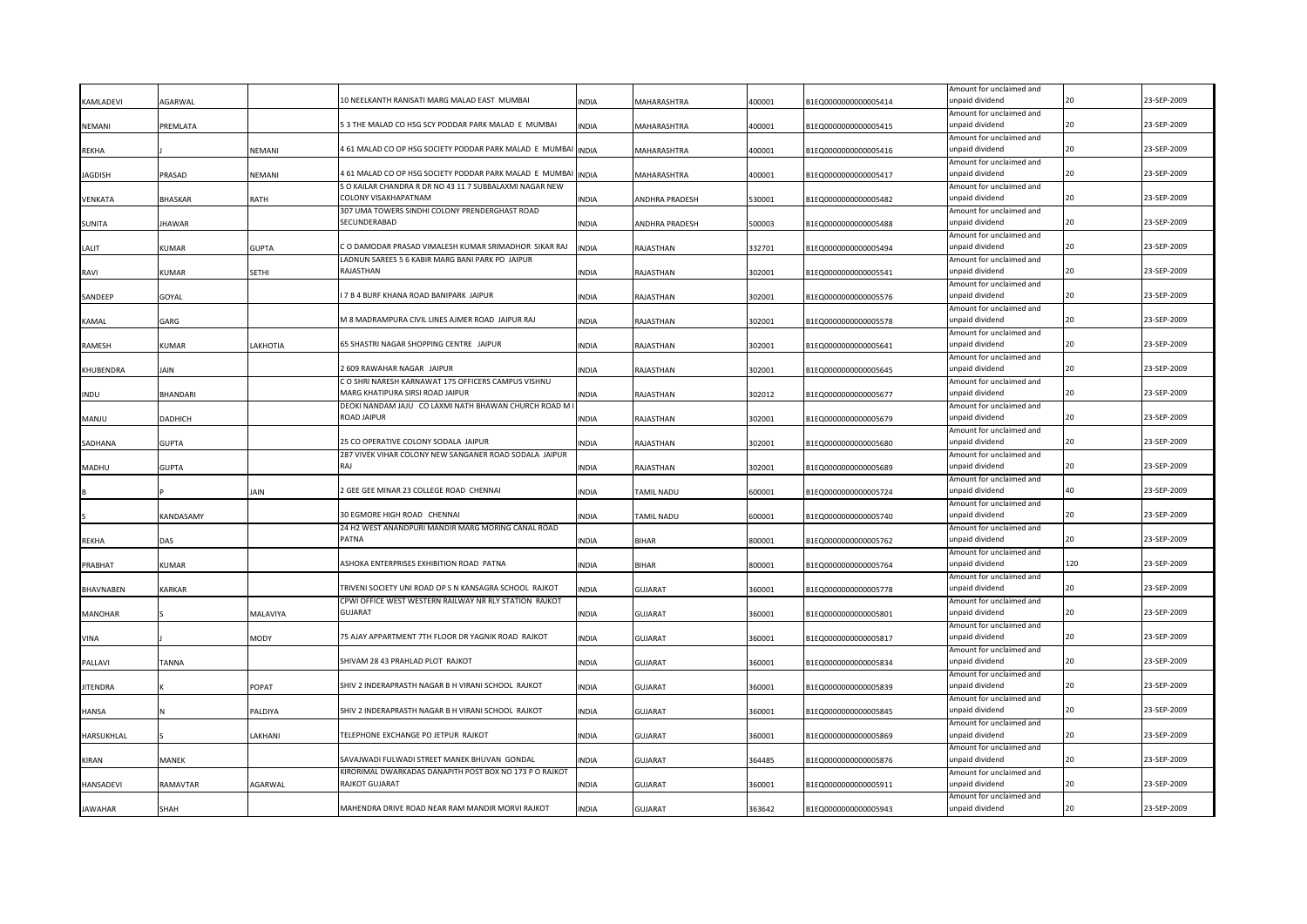| Amount for unclaimed and<br>5 3 THE MALAD CO HSG SCY PODDAR PARK MALAD E MUMBAI<br>23-SEP-2009<br>unpaid dividend<br>20<br>NEMANI<br>PREMLATA<br><b>INDIA</b><br>MAHARASHTRA<br>400001<br>B1EQ0000000000005415<br>Amount for unclaimed and<br>4 61 MALAD CO OP HSG SOCIETY PODDAR PARK MALAD E MUMBAI<br>23-SEP-2009<br>unpaid dividend<br>20<br>REKHA<br><b>JEMANI</b><br><b>INDIA</b><br>MAHARASHTRA<br>400001<br>B1EQ0000000000005416<br>Amount for unclaimed and<br>4 61 MALAD CO OP HSG SOCIETY PODDAR PARK MALAD E MUMBAI<br>20<br>23-SEP-2009<br>AGDISH<br>PRASAD<br><b>JEMANI</b><br><b>INDIA</b><br>400001<br>unpaid dividend<br>MAHARASHTRA<br>B1EQ0000000000005417<br>S O KAILAR CHANDRA R DR NO 43 11 7 SUBBALAXMI NAGAR NEW<br>Amount for unclaimed and<br>COLONY VISAKHAPATNAM<br>23-SEP-2009<br>VENKATA<br>unpaid dividend<br>BHASKAR<br>HTA?<br>INDIA<br>ANDHRA PRADESH<br>530001<br>B1EQ0000000000005482<br>307 UMA TOWERS SINDHI COLONY PRENDERGHAST ROAD<br>Amount for unclaimed and<br>SECUNDERABAD<br>23-SEP-2009<br>unpaid dividend<br>20<br>SUNITA<br><b>IHAWAR</b><br><b>INDIA</b><br>ANDHRA PRADESH<br>500003<br>B1EQ0000000000005488<br>Amount for unclaimed and<br>CO DAMODAR PRASAD VIMALESH KUMAR SRIMADHOR SIKAR RAJ<br>23-SEP-2009<br>unpaid dividend<br>20<br>KUMAR<br><b>GUPTA</b><br>INDIA<br>RAJASTHAN<br>332701<br>B1EQ0000000000005494<br><b>ALIT</b><br>LADNUN SAREES 5 6 KABIR MARG BANI PARK PO JAIPUR<br>Amount for unclaimed and<br>RAJASTHAN<br>23-SEP-2009<br>unpaid dividend<br>20<br>RAVI<br>KUMAR<br>SETHI<br><b>INDIA</b><br>RAJASTHAN<br>302001<br>B1EQ0000000000005541<br>Amount for unclaimed and<br>7 B 4 BURF KHANA ROAD BANIPARK JAIPUR<br>unpaid dividend<br>23-SEP-2009<br>B1EQ0000000000005576<br>SANDEEP<br>GOYAL<br>INDIA<br>RAJASTHAN<br>302001<br>Amount for unclaimed and<br>M 8 MADRAMPURA CIVIL LINES AJMER ROAD JAIPUR RAJ<br>unpaid dividend<br>20<br>23-SEP-2009<br>GARG<br><b>INDIA</b><br>302001<br>KAMAL<br>RAJASTHAN<br>B1EQ0000000000005578<br>Amount for unclaimed and<br>65 SHASTRI NAGAR SHOPPING CENTRE JAIPUR<br>23-SEP-2009<br>unpaid dividend<br>20<br>RAMESH<br><b>KUMAR</b><br>LAKHOTIA<br>INDIA<br>RAJASTHAN<br>302001<br>B1EQ0000000000005641<br>Amount for unclaimed and<br>23-SEP-2009<br>2 609 RAWAHAR NAGAR JAIPUR<br>unpaid dividend<br>20<br>KHUBENDRA<br>JAIN<br>INDIA<br>RAJASTHAN<br>302001<br>B1EQ0000000000005645<br>C O SHRI NARESH KARNAWAT 175 OFFICERS CAMPUS VISHNU<br>Amount for unclaimed and<br>MARG KHATIPURA SIRSI ROAD JAIPUR<br>23-SEP-2009<br><b>BHANDARI</b><br>302012<br>unpaid dividend<br><b>INDU</b><br><b>INDIA</b><br>RAJASTHAN<br>B1EQ0000000000005677<br>DEOKI NANDAM JAJU CO LAXMI NATH BHAWAN CHURCH ROAD M<br>Amount for unclaimed and<br>ROAD JAIPUR<br>23-SEP-2009<br><b>MANJU</b><br>DADHICH<br>302001<br>inpaid dividend<br>INDIA<br>RAJASTHAN<br>B1EQ0000000000005679<br>Amount for unclaimed and<br>25 CO OPERATIVE COLONY SODALA JAIPUR<br>unpaid dividend<br>23-SEP-2009<br>SADHANA<br><b>GUPTA</b><br><b>INDIA</b><br>RAJASTHAN<br>302001<br>B1EQ0000000000005680<br>20<br>287 VIVEK VIHAR COLONY NEW SANGANER ROAD SODALA JAIPUR<br>Amount for unclaimed and<br>RAI<br>unpaid dividend<br>20<br>23-SEP-2009<br><b>MADHU</b><br><b>GUPTA</b><br><b>INDIA</b><br>RAJASTHAN<br>302001<br>B1EQ0000000000005689<br>Amount for unclaimed and<br>2 GEE GEE MINAR 23 COLLEGE ROAD CHENNAI<br>unpaid dividend<br>23-SEP-2009<br>JAIN<br>INDIA<br>TAMIL NADU<br>600001<br>B1EQ0000000000005724<br>л∩<br>Amount for unclaimed and<br>23-SEP-2009<br>30 EGMORE HIGH ROAD CHENNAI<br>unpaid dividend<br>20<br>KANDASAMY<br>INDIA<br>TAMIL NADU<br>600001<br>B1EQ0000000000005740<br>24 H2 WEST ANANDPURI MANDIR MARG MORING CANAL ROAD<br>Amount for unclaimed and<br>23-SEP-2009<br>PATNA<br>unpaid dividend<br><b>REKHA</b><br>DAS<br><b>INDIA</b><br>BIHAR<br>800001<br>B1EQ0000000000005762<br>20<br>Amount for unclaimed and<br>ASHOKA ENTERPRISES EXHIBITION ROAD PATNA<br>120<br>23-SEP-2009<br>unpaid dividend<br>PRABHAT<br><b>KUMAR</b><br>INDIA<br>BIHAR<br>800001<br>B1EQ0000000000005764<br>Amount for unclaimed and<br>TRIVENI SOCIETY UNI ROAD OP S N KANSAGRA SCHOOL RAJKOT<br>23-SEP-2009<br><b>KARKAR</b><br><b>INDIA</b><br>360001<br>unpaid dividend<br>20<br>BHAVNABEN<br><b>GUJARAT</b><br>B1EQ0000000000005778<br>CPWI OFFICE WEST WESTERN RAILWAY NR RLY STATION RAJKOT<br>Amount for unclaimed and<br><b>GUJARAT</b><br>23-SEP-2009<br>MANOHAR<br>MALAVIYA<br>GUJARAT<br>360001<br>B1EQ0000000000005801<br>unpaid dividend<br>INDIA<br>Amount for unclaimed and<br>75 AJAY APPARTMENT 7TH FLOOR DR YAGNIK ROAD RAJKOT<br>23-SEP-2009<br>unpaid dividend<br>VINA<br>MODY<br>INDIA<br><b>GUJARAT</b><br>360001<br>B1EQ0000000000005817<br>Amount for unclaimed and<br>SHIVAM 28 43 PRAHLAD PLOT RAJKOT<br>unpaid dividend<br>23-SEP-2009<br>PALLAVI<br>TANNA<br>INDIA<br><b>GUJARAT</b><br>360001<br>B1EQ0000000000005834<br>Amount for unclaimed and<br>SHIV 2 INDERAPRASTH NAGAR B H VIRANI SCHOOL RAJKOT<br>unpaid dividend<br>23-SEP-2009<br>JITENDRA<br>POPAT<br>INDIA<br><b>GUJARAT</b><br>360001<br>B1EQ0000000000005839<br>Amount for unclaimed and<br>SHIV 2 INDERAPRASTH NAGAR B H VIRANI SCHOOL RAJKOT<br>unpaid dividend<br>23-SEP-2009<br>GUJARAT<br>B1EQ0000000000005845<br>HANSA<br><b>ALDIYA</b><br>INDIA<br>360001<br>Amount for unclaimed and<br>TELEPHONE EXCHANGE PO JETPUR RAJKOT<br>23-SEP-2009<br>unpaid dividend<br><b>HARSUKHLAL</b><br>LAKHANI<br><b>GUJARAT</b><br>360001<br>B1EQ0000000000005869<br>INDIA<br>Amount for unclaimed and<br>SAVAJWADI FULWADI STREET MANEK BHUVAN GONDAL<br>23-SEP-2009<br>inpaid dividend<br>KIRAN<br>MANEK<br><b>INDIA</b><br><b>GUJARAT</b><br>364485<br>B1EQ0000000000005876<br>KIRORIMAL DWARKADAS DANAPITH POST BOX NO 173 P O RAJKOT<br>Amount for unclaimed and<br>RAJKOT GUJARAT<br>23-SEP-2009<br>RAMAVTAR<br>AGARWAL<br>inpaid dividend<br>HANSADEVI<br>INDIA<br>GUJARAT<br>360001<br>B1EQ0000000000005911<br>Amount for unclaimed and<br>MAHENDRA DRIVE ROAD NEAR RAM MANDIR MORVI RAJKOT<br>unpaid dividend<br>23-SEP-2009<br><b>JAWAHAR</b><br><b>NDIA</b><br><b>GUJARAT</b><br>363642<br>B1EQ0000000000005943<br>SHAH |           |                |                                              |              |             |        |                      | Amount for unclaimed and |             |
|------------------------------------------------------------------------------------------------------------------------------------------------------------------------------------------------------------------------------------------------------------------------------------------------------------------------------------------------------------------------------------------------------------------------------------------------------------------------------------------------------------------------------------------------------------------------------------------------------------------------------------------------------------------------------------------------------------------------------------------------------------------------------------------------------------------------------------------------------------------------------------------------------------------------------------------------------------------------------------------------------------------------------------------------------------------------------------------------------------------------------------------------------------------------------------------------------------------------------------------------------------------------------------------------------------------------------------------------------------------------------------------------------------------------------------------------------------------------------------------------------------------------------------------------------------------------------------------------------------------------------------------------------------------------------------------------------------------------------------------------------------------------------------------------------------------------------------------------------------------------------------------------------------------------------------------------------------------------------------------------------------------------------------------------------------------------------------------------------------------------------------------------------------------------------------------------------------------------------------------------------------------------------------------------------------------------------------------------------------------------------------------------------------------------------------------------------------------------------------------------------------------------------------------------------------------------------------------------------------------------------------------------------------------------------------------------------------------------------------------------------------------------------------------------------------------------------------------------------------------------------------------------------------------------------------------------------------------------------------------------------------------------------------------------------------------------------------------------------------------------------------------------------------------------------------------------------------------------------------------------------------------------------------------------------------------------------------------------------------------------------------------------------------------------------------------------------------------------------------------------------------------------------------------------------------------------------------------------------------------------------------------------------------------------------------------------------------------------------------------------------------------------------------------------------------------------------------------------------------------------------------------------------------------------------------------------------------------------------------------------------------------------------------------------------------------------------------------------------------------------------------------------------------------------------------------------------------------------------------------------------------------------------------------------------------------------------------------------------------------------------------------------------------------------------------------------------------------------------------------------------------------------------------------------------------------------------------------------------------------------------------------------------------------------------------------------------------------------------------------------------------------------------------------------------------------------------------------------------------------------------------------------------------------------------------------------------------------------------------------------------------------------------------------------------------------------------------------------------------------------------------------------------------------------------------------------------------------------------------------------------------------------------------------------------------------------------------------------------------------------------------------------------------------------------------------------------------------------------------------------------------------------------------------------------------------------------------------------------------------------------------------------------------------------------------------------------------------------------------------------------------------------------------------------------------------------------------------------------------------------------------------------------------------------------------------------------------------------------------------------------------------------------------------------------------------------------------------------------------------------------------------------------------------------------------------------------------------------------------------|-----------|----------------|----------------------------------------------|--------------|-------------|--------|----------------------|--------------------------|-------------|
|                                                                                                                                                                                                                                                                                                                                                                                                                                                                                                                                                                                                                                                                                                                                                                                                                                                                                                                                                                                                                                                                                                                                                                                                                                                                                                                                                                                                                                                                                                                                                                                                                                                                                                                                                                                                                                                                                                                                                                                                                                                                                                                                                                                                                                                                                                                                                                                                                                                                                                                                                                                                                                                                                                                                                                                                                                                                                                                                                                                                                                                                                                                                                                                                                                                                                                                                                                                                                                                                                                                                                                                                                                                                                                                                                                                                                                                                                                                                                                                                                                                                                                                                                                                                                                                                                                                                                                                                                                                                                                                                                                                                                                                                                                                                                                                                                                                                                                                                                                                                                                                                                                                                                                                                                                                                                                                                                                                                                                                                                                                                                                                                                                                                                                                                                                                                                                                                                                                                                                                                                                                                                                                                                                                                                                          | KAMLADEVI | <b>AGARWAL</b> | 10 NEELKANTH RANISATI MARG MALAD EAST MUMBAI | <b>INDIA</b> | MAHARASHTRA | 400001 | B1EQ0000000000005414 | unpaid dividend          | 23-SEP-2009 |
|                                                                                                                                                                                                                                                                                                                                                                                                                                                                                                                                                                                                                                                                                                                                                                                                                                                                                                                                                                                                                                                                                                                                                                                                                                                                                                                                                                                                                                                                                                                                                                                                                                                                                                                                                                                                                                                                                                                                                                                                                                                                                                                                                                                                                                                                                                                                                                                                                                                                                                                                                                                                                                                                                                                                                                                                                                                                                                                                                                                                                                                                                                                                                                                                                                                                                                                                                                                                                                                                                                                                                                                                                                                                                                                                                                                                                                                                                                                                                                                                                                                                                                                                                                                                                                                                                                                                                                                                                                                                                                                                                                                                                                                                                                                                                                                                                                                                                                                                                                                                                                                                                                                                                                                                                                                                                                                                                                                                                                                                                                                                                                                                                                                                                                                                                                                                                                                                                                                                                                                                                                                                                                                                                                                                                                          |           |                |                                              |              |             |        |                      |                          |             |
|                                                                                                                                                                                                                                                                                                                                                                                                                                                                                                                                                                                                                                                                                                                                                                                                                                                                                                                                                                                                                                                                                                                                                                                                                                                                                                                                                                                                                                                                                                                                                                                                                                                                                                                                                                                                                                                                                                                                                                                                                                                                                                                                                                                                                                                                                                                                                                                                                                                                                                                                                                                                                                                                                                                                                                                                                                                                                                                                                                                                                                                                                                                                                                                                                                                                                                                                                                                                                                                                                                                                                                                                                                                                                                                                                                                                                                                                                                                                                                                                                                                                                                                                                                                                                                                                                                                                                                                                                                                                                                                                                                                                                                                                                                                                                                                                                                                                                                                                                                                                                                                                                                                                                                                                                                                                                                                                                                                                                                                                                                                                                                                                                                                                                                                                                                                                                                                                                                                                                                                                                                                                                                                                                                                                                                          |           |                |                                              |              |             |        |                      |                          |             |
|                                                                                                                                                                                                                                                                                                                                                                                                                                                                                                                                                                                                                                                                                                                                                                                                                                                                                                                                                                                                                                                                                                                                                                                                                                                                                                                                                                                                                                                                                                                                                                                                                                                                                                                                                                                                                                                                                                                                                                                                                                                                                                                                                                                                                                                                                                                                                                                                                                                                                                                                                                                                                                                                                                                                                                                                                                                                                                                                                                                                                                                                                                                                                                                                                                                                                                                                                                                                                                                                                                                                                                                                                                                                                                                                                                                                                                                                                                                                                                                                                                                                                                                                                                                                                                                                                                                                                                                                                                                                                                                                                                                                                                                                                                                                                                                                                                                                                                                                                                                                                                                                                                                                                                                                                                                                                                                                                                                                                                                                                                                                                                                                                                                                                                                                                                                                                                                                                                                                                                                                                                                                                                                                                                                                                                          |           |                |                                              |              |             |        |                      |                          |             |
|                                                                                                                                                                                                                                                                                                                                                                                                                                                                                                                                                                                                                                                                                                                                                                                                                                                                                                                                                                                                                                                                                                                                                                                                                                                                                                                                                                                                                                                                                                                                                                                                                                                                                                                                                                                                                                                                                                                                                                                                                                                                                                                                                                                                                                                                                                                                                                                                                                                                                                                                                                                                                                                                                                                                                                                                                                                                                                                                                                                                                                                                                                                                                                                                                                                                                                                                                                                                                                                                                                                                                                                                                                                                                                                                                                                                                                                                                                                                                                                                                                                                                                                                                                                                                                                                                                                                                                                                                                                                                                                                                                                                                                                                                                                                                                                                                                                                                                                                                                                                                                                                                                                                                                                                                                                                                                                                                                                                                                                                                                                                                                                                                                                                                                                                                                                                                                                                                                                                                                                                                                                                                                                                                                                                                                          |           |                |                                              |              |             |        |                      |                          |             |
|                                                                                                                                                                                                                                                                                                                                                                                                                                                                                                                                                                                                                                                                                                                                                                                                                                                                                                                                                                                                                                                                                                                                                                                                                                                                                                                                                                                                                                                                                                                                                                                                                                                                                                                                                                                                                                                                                                                                                                                                                                                                                                                                                                                                                                                                                                                                                                                                                                                                                                                                                                                                                                                                                                                                                                                                                                                                                                                                                                                                                                                                                                                                                                                                                                                                                                                                                                                                                                                                                                                                                                                                                                                                                                                                                                                                                                                                                                                                                                                                                                                                                                                                                                                                                                                                                                                                                                                                                                                                                                                                                                                                                                                                                                                                                                                                                                                                                                                                                                                                                                                                                                                                                                                                                                                                                                                                                                                                                                                                                                                                                                                                                                                                                                                                                                                                                                                                                                                                                                                                                                                                                                                                                                                                                                          |           |                |                                              |              |             |        |                      |                          |             |
|                                                                                                                                                                                                                                                                                                                                                                                                                                                                                                                                                                                                                                                                                                                                                                                                                                                                                                                                                                                                                                                                                                                                                                                                                                                                                                                                                                                                                                                                                                                                                                                                                                                                                                                                                                                                                                                                                                                                                                                                                                                                                                                                                                                                                                                                                                                                                                                                                                                                                                                                                                                                                                                                                                                                                                                                                                                                                                                                                                                                                                                                                                                                                                                                                                                                                                                                                                                                                                                                                                                                                                                                                                                                                                                                                                                                                                                                                                                                                                                                                                                                                                                                                                                                                                                                                                                                                                                                                                                                                                                                                                                                                                                                                                                                                                                                                                                                                                                                                                                                                                                                                                                                                                                                                                                                                                                                                                                                                                                                                                                                                                                                                                                                                                                                                                                                                                                                                                                                                                                                                                                                                                                                                                                                                                          |           |                |                                              |              |             |        |                      |                          |             |
|                                                                                                                                                                                                                                                                                                                                                                                                                                                                                                                                                                                                                                                                                                                                                                                                                                                                                                                                                                                                                                                                                                                                                                                                                                                                                                                                                                                                                                                                                                                                                                                                                                                                                                                                                                                                                                                                                                                                                                                                                                                                                                                                                                                                                                                                                                                                                                                                                                                                                                                                                                                                                                                                                                                                                                                                                                                                                                                                                                                                                                                                                                                                                                                                                                                                                                                                                                                                                                                                                                                                                                                                                                                                                                                                                                                                                                                                                                                                                                                                                                                                                                                                                                                                                                                                                                                                                                                                                                                                                                                                                                                                                                                                                                                                                                                                                                                                                                                                                                                                                                                                                                                                                                                                                                                                                                                                                                                                                                                                                                                                                                                                                                                                                                                                                                                                                                                                                                                                                                                                                                                                                                                                                                                                                                          |           |                |                                              |              |             |        |                      |                          |             |
|                                                                                                                                                                                                                                                                                                                                                                                                                                                                                                                                                                                                                                                                                                                                                                                                                                                                                                                                                                                                                                                                                                                                                                                                                                                                                                                                                                                                                                                                                                                                                                                                                                                                                                                                                                                                                                                                                                                                                                                                                                                                                                                                                                                                                                                                                                                                                                                                                                                                                                                                                                                                                                                                                                                                                                                                                                                                                                                                                                                                                                                                                                                                                                                                                                                                                                                                                                                                                                                                                                                                                                                                                                                                                                                                                                                                                                                                                                                                                                                                                                                                                                                                                                                                                                                                                                                                                                                                                                                                                                                                                                                                                                                                                                                                                                                                                                                                                                                                                                                                                                                                                                                                                                                                                                                                                                                                                                                                                                                                                                                                                                                                                                                                                                                                                                                                                                                                                                                                                                                                                                                                                                                                                                                                                                          |           |                |                                              |              |             |        |                      |                          |             |
|                                                                                                                                                                                                                                                                                                                                                                                                                                                                                                                                                                                                                                                                                                                                                                                                                                                                                                                                                                                                                                                                                                                                                                                                                                                                                                                                                                                                                                                                                                                                                                                                                                                                                                                                                                                                                                                                                                                                                                                                                                                                                                                                                                                                                                                                                                                                                                                                                                                                                                                                                                                                                                                                                                                                                                                                                                                                                                                                                                                                                                                                                                                                                                                                                                                                                                                                                                                                                                                                                                                                                                                                                                                                                                                                                                                                                                                                                                                                                                                                                                                                                                                                                                                                                                                                                                                                                                                                                                                                                                                                                                                                                                                                                                                                                                                                                                                                                                                                                                                                                                                                                                                                                                                                                                                                                                                                                                                                                                                                                                                                                                                                                                                                                                                                                                                                                                                                                                                                                                                                                                                                                                                                                                                                                                          |           |                |                                              |              |             |        |                      |                          |             |
|                                                                                                                                                                                                                                                                                                                                                                                                                                                                                                                                                                                                                                                                                                                                                                                                                                                                                                                                                                                                                                                                                                                                                                                                                                                                                                                                                                                                                                                                                                                                                                                                                                                                                                                                                                                                                                                                                                                                                                                                                                                                                                                                                                                                                                                                                                                                                                                                                                                                                                                                                                                                                                                                                                                                                                                                                                                                                                                                                                                                                                                                                                                                                                                                                                                                                                                                                                                                                                                                                                                                                                                                                                                                                                                                                                                                                                                                                                                                                                                                                                                                                                                                                                                                                                                                                                                                                                                                                                                                                                                                                                                                                                                                                                                                                                                                                                                                                                                                                                                                                                                                                                                                                                                                                                                                                                                                                                                                                                                                                                                                                                                                                                                                                                                                                                                                                                                                                                                                                                                                                                                                                                                                                                                                                                          |           |                |                                              |              |             |        |                      |                          |             |
|                                                                                                                                                                                                                                                                                                                                                                                                                                                                                                                                                                                                                                                                                                                                                                                                                                                                                                                                                                                                                                                                                                                                                                                                                                                                                                                                                                                                                                                                                                                                                                                                                                                                                                                                                                                                                                                                                                                                                                                                                                                                                                                                                                                                                                                                                                                                                                                                                                                                                                                                                                                                                                                                                                                                                                                                                                                                                                                                                                                                                                                                                                                                                                                                                                                                                                                                                                                                                                                                                                                                                                                                                                                                                                                                                                                                                                                                                                                                                                                                                                                                                                                                                                                                                                                                                                                                                                                                                                                                                                                                                                                                                                                                                                                                                                                                                                                                                                                                                                                                                                                                                                                                                                                                                                                                                                                                                                                                                                                                                                                                                                                                                                                                                                                                                                                                                                                                                                                                                                                                                                                                                                                                                                                                                                          |           |                |                                              |              |             |        |                      |                          |             |
|                                                                                                                                                                                                                                                                                                                                                                                                                                                                                                                                                                                                                                                                                                                                                                                                                                                                                                                                                                                                                                                                                                                                                                                                                                                                                                                                                                                                                                                                                                                                                                                                                                                                                                                                                                                                                                                                                                                                                                                                                                                                                                                                                                                                                                                                                                                                                                                                                                                                                                                                                                                                                                                                                                                                                                                                                                                                                                                                                                                                                                                                                                                                                                                                                                                                                                                                                                                                                                                                                                                                                                                                                                                                                                                                                                                                                                                                                                                                                                                                                                                                                                                                                                                                                                                                                                                                                                                                                                                                                                                                                                                                                                                                                                                                                                                                                                                                                                                                                                                                                                                                                                                                                                                                                                                                                                                                                                                                                                                                                                                                                                                                                                                                                                                                                                                                                                                                                                                                                                                                                                                                                                                                                                                                                                          |           |                |                                              |              |             |        |                      |                          |             |
|                                                                                                                                                                                                                                                                                                                                                                                                                                                                                                                                                                                                                                                                                                                                                                                                                                                                                                                                                                                                                                                                                                                                                                                                                                                                                                                                                                                                                                                                                                                                                                                                                                                                                                                                                                                                                                                                                                                                                                                                                                                                                                                                                                                                                                                                                                                                                                                                                                                                                                                                                                                                                                                                                                                                                                                                                                                                                                                                                                                                                                                                                                                                                                                                                                                                                                                                                                                                                                                                                                                                                                                                                                                                                                                                                                                                                                                                                                                                                                                                                                                                                                                                                                                                                                                                                                                                                                                                                                                                                                                                                                                                                                                                                                                                                                                                                                                                                                                                                                                                                                                                                                                                                                                                                                                                                                                                                                                                                                                                                                                                                                                                                                                                                                                                                                                                                                                                                                                                                                                                                                                                                                                                                                                                                                          |           |                |                                              |              |             |        |                      |                          |             |
|                                                                                                                                                                                                                                                                                                                                                                                                                                                                                                                                                                                                                                                                                                                                                                                                                                                                                                                                                                                                                                                                                                                                                                                                                                                                                                                                                                                                                                                                                                                                                                                                                                                                                                                                                                                                                                                                                                                                                                                                                                                                                                                                                                                                                                                                                                                                                                                                                                                                                                                                                                                                                                                                                                                                                                                                                                                                                                                                                                                                                                                                                                                                                                                                                                                                                                                                                                                                                                                                                                                                                                                                                                                                                                                                                                                                                                                                                                                                                                                                                                                                                                                                                                                                                                                                                                                                                                                                                                                                                                                                                                                                                                                                                                                                                                                                                                                                                                                                                                                                                                                                                                                                                                                                                                                                                                                                                                                                                                                                                                                                                                                                                                                                                                                                                                                                                                                                                                                                                                                                                                                                                                                                                                                                                                          |           |                |                                              |              |             |        |                      |                          |             |
|                                                                                                                                                                                                                                                                                                                                                                                                                                                                                                                                                                                                                                                                                                                                                                                                                                                                                                                                                                                                                                                                                                                                                                                                                                                                                                                                                                                                                                                                                                                                                                                                                                                                                                                                                                                                                                                                                                                                                                                                                                                                                                                                                                                                                                                                                                                                                                                                                                                                                                                                                                                                                                                                                                                                                                                                                                                                                                                                                                                                                                                                                                                                                                                                                                                                                                                                                                                                                                                                                                                                                                                                                                                                                                                                                                                                                                                                                                                                                                                                                                                                                                                                                                                                                                                                                                                                                                                                                                                                                                                                                                                                                                                                                                                                                                                                                                                                                                                                                                                                                                                                                                                                                                                                                                                                                                                                                                                                                                                                                                                                                                                                                                                                                                                                                                                                                                                                                                                                                                                                                                                                                                                                                                                                                                          |           |                |                                              |              |             |        |                      |                          |             |
|                                                                                                                                                                                                                                                                                                                                                                                                                                                                                                                                                                                                                                                                                                                                                                                                                                                                                                                                                                                                                                                                                                                                                                                                                                                                                                                                                                                                                                                                                                                                                                                                                                                                                                                                                                                                                                                                                                                                                                                                                                                                                                                                                                                                                                                                                                                                                                                                                                                                                                                                                                                                                                                                                                                                                                                                                                                                                                                                                                                                                                                                                                                                                                                                                                                                                                                                                                                                                                                                                                                                                                                                                                                                                                                                                                                                                                                                                                                                                                                                                                                                                                                                                                                                                                                                                                                                                                                                                                                                                                                                                                                                                                                                                                                                                                                                                                                                                                                                                                                                                                                                                                                                                                                                                                                                                                                                                                                                                                                                                                                                                                                                                                                                                                                                                                                                                                                                                                                                                                                                                                                                                                                                                                                                                                          |           |                |                                              |              |             |        |                      |                          |             |
|                                                                                                                                                                                                                                                                                                                                                                                                                                                                                                                                                                                                                                                                                                                                                                                                                                                                                                                                                                                                                                                                                                                                                                                                                                                                                                                                                                                                                                                                                                                                                                                                                                                                                                                                                                                                                                                                                                                                                                                                                                                                                                                                                                                                                                                                                                                                                                                                                                                                                                                                                                                                                                                                                                                                                                                                                                                                                                                                                                                                                                                                                                                                                                                                                                                                                                                                                                                                                                                                                                                                                                                                                                                                                                                                                                                                                                                                                                                                                                                                                                                                                                                                                                                                                                                                                                                                                                                                                                                                                                                                                                                                                                                                                                                                                                                                                                                                                                                                                                                                                                                                                                                                                                                                                                                                                                                                                                                                                                                                                                                                                                                                                                                                                                                                                                                                                                                                                                                                                                                                                                                                                                                                                                                                                                          |           |                |                                              |              |             |        |                      |                          |             |
|                                                                                                                                                                                                                                                                                                                                                                                                                                                                                                                                                                                                                                                                                                                                                                                                                                                                                                                                                                                                                                                                                                                                                                                                                                                                                                                                                                                                                                                                                                                                                                                                                                                                                                                                                                                                                                                                                                                                                                                                                                                                                                                                                                                                                                                                                                                                                                                                                                                                                                                                                                                                                                                                                                                                                                                                                                                                                                                                                                                                                                                                                                                                                                                                                                                                                                                                                                                                                                                                                                                                                                                                                                                                                                                                                                                                                                                                                                                                                                                                                                                                                                                                                                                                                                                                                                                                                                                                                                                                                                                                                                                                                                                                                                                                                                                                                                                                                                                                                                                                                                                                                                                                                                                                                                                                                                                                                                                                                                                                                                                                                                                                                                                                                                                                                                                                                                                                                                                                                                                                                                                                                                                                                                                                                                          |           |                |                                              |              |             |        |                      |                          |             |
|                                                                                                                                                                                                                                                                                                                                                                                                                                                                                                                                                                                                                                                                                                                                                                                                                                                                                                                                                                                                                                                                                                                                                                                                                                                                                                                                                                                                                                                                                                                                                                                                                                                                                                                                                                                                                                                                                                                                                                                                                                                                                                                                                                                                                                                                                                                                                                                                                                                                                                                                                                                                                                                                                                                                                                                                                                                                                                                                                                                                                                                                                                                                                                                                                                                                                                                                                                                                                                                                                                                                                                                                                                                                                                                                                                                                                                                                                                                                                                                                                                                                                                                                                                                                                                                                                                                                                                                                                                                                                                                                                                                                                                                                                                                                                                                                                                                                                                                                                                                                                                                                                                                                                                                                                                                                                                                                                                                                                                                                                                                                                                                                                                                                                                                                                                                                                                                                                                                                                                                                                                                                                                                                                                                                                                          |           |                |                                              |              |             |        |                      |                          |             |
|                                                                                                                                                                                                                                                                                                                                                                                                                                                                                                                                                                                                                                                                                                                                                                                                                                                                                                                                                                                                                                                                                                                                                                                                                                                                                                                                                                                                                                                                                                                                                                                                                                                                                                                                                                                                                                                                                                                                                                                                                                                                                                                                                                                                                                                                                                                                                                                                                                                                                                                                                                                                                                                                                                                                                                                                                                                                                                                                                                                                                                                                                                                                                                                                                                                                                                                                                                                                                                                                                                                                                                                                                                                                                                                                                                                                                                                                                                                                                                                                                                                                                                                                                                                                                                                                                                                                                                                                                                                                                                                                                                                                                                                                                                                                                                                                                                                                                                                                                                                                                                                                                                                                                                                                                                                                                                                                                                                                                                                                                                                                                                                                                                                                                                                                                                                                                                                                                                                                                                                                                                                                                                                                                                                                                                          |           |                |                                              |              |             |        |                      |                          |             |
|                                                                                                                                                                                                                                                                                                                                                                                                                                                                                                                                                                                                                                                                                                                                                                                                                                                                                                                                                                                                                                                                                                                                                                                                                                                                                                                                                                                                                                                                                                                                                                                                                                                                                                                                                                                                                                                                                                                                                                                                                                                                                                                                                                                                                                                                                                                                                                                                                                                                                                                                                                                                                                                                                                                                                                                                                                                                                                                                                                                                                                                                                                                                                                                                                                                                                                                                                                                                                                                                                                                                                                                                                                                                                                                                                                                                                                                                                                                                                                                                                                                                                                                                                                                                                                                                                                                                                                                                                                                                                                                                                                                                                                                                                                                                                                                                                                                                                                                                                                                                                                                                                                                                                                                                                                                                                                                                                                                                                                                                                                                                                                                                                                                                                                                                                                                                                                                                                                                                                                                                                                                                                                                                                                                                                                          |           |                |                                              |              |             |        |                      |                          |             |
|                                                                                                                                                                                                                                                                                                                                                                                                                                                                                                                                                                                                                                                                                                                                                                                                                                                                                                                                                                                                                                                                                                                                                                                                                                                                                                                                                                                                                                                                                                                                                                                                                                                                                                                                                                                                                                                                                                                                                                                                                                                                                                                                                                                                                                                                                                                                                                                                                                                                                                                                                                                                                                                                                                                                                                                                                                                                                                                                                                                                                                                                                                                                                                                                                                                                                                                                                                                                                                                                                                                                                                                                                                                                                                                                                                                                                                                                                                                                                                                                                                                                                                                                                                                                                                                                                                                                                                                                                                                                                                                                                                                                                                                                                                                                                                                                                                                                                                                                                                                                                                                                                                                                                                                                                                                                                                                                                                                                                                                                                                                                                                                                                                                                                                                                                                                                                                                                                                                                                                                                                                                                                                                                                                                                                                          |           |                |                                              |              |             |        |                      |                          |             |
|                                                                                                                                                                                                                                                                                                                                                                                                                                                                                                                                                                                                                                                                                                                                                                                                                                                                                                                                                                                                                                                                                                                                                                                                                                                                                                                                                                                                                                                                                                                                                                                                                                                                                                                                                                                                                                                                                                                                                                                                                                                                                                                                                                                                                                                                                                                                                                                                                                                                                                                                                                                                                                                                                                                                                                                                                                                                                                                                                                                                                                                                                                                                                                                                                                                                                                                                                                                                                                                                                                                                                                                                                                                                                                                                                                                                                                                                                                                                                                                                                                                                                                                                                                                                                                                                                                                                                                                                                                                                                                                                                                                                                                                                                                                                                                                                                                                                                                                                                                                                                                                                                                                                                                                                                                                                                                                                                                                                                                                                                                                                                                                                                                                                                                                                                                                                                                                                                                                                                                                                                                                                                                                                                                                                                                          |           |                |                                              |              |             |        |                      |                          |             |
|                                                                                                                                                                                                                                                                                                                                                                                                                                                                                                                                                                                                                                                                                                                                                                                                                                                                                                                                                                                                                                                                                                                                                                                                                                                                                                                                                                                                                                                                                                                                                                                                                                                                                                                                                                                                                                                                                                                                                                                                                                                                                                                                                                                                                                                                                                                                                                                                                                                                                                                                                                                                                                                                                                                                                                                                                                                                                                                                                                                                                                                                                                                                                                                                                                                                                                                                                                                                                                                                                                                                                                                                                                                                                                                                                                                                                                                                                                                                                                                                                                                                                                                                                                                                                                                                                                                                                                                                                                                                                                                                                                                                                                                                                                                                                                                                                                                                                                                                                                                                                                                                                                                                                                                                                                                                                                                                                                                                                                                                                                                                                                                                                                                                                                                                                                                                                                                                                                                                                                                                                                                                                                                                                                                                                                          |           |                |                                              |              |             |        |                      |                          |             |
|                                                                                                                                                                                                                                                                                                                                                                                                                                                                                                                                                                                                                                                                                                                                                                                                                                                                                                                                                                                                                                                                                                                                                                                                                                                                                                                                                                                                                                                                                                                                                                                                                                                                                                                                                                                                                                                                                                                                                                                                                                                                                                                                                                                                                                                                                                                                                                                                                                                                                                                                                                                                                                                                                                                                                                                                                                                                                                                                                                                                                                                                                                                                                                                                                                                                                                                                                                                                                                                                                                                                                                                                                                                                                                                                                                                                                                                                                                                                                                                                                                                                                                                                                                                                                                                                                                                                                                                                                                                                                                                                                                                                                                                                                                                                                                                                                                                                                                                                                                                                                                                                                                                                                                                                                                                                                                                                                                                                                                                                                                                                                                                                                                                                                                                                                                                                                                                                                                                                                                                                                                                                                                                                                                                                                                          |           |                |                                              |              |             |        |                      |                          |             |
|                                                                                                                                                                                                                                                                                                                                                                                                                                                                                                                                                                                                                                                                                                                                                                                                                                                                                                                                                                                                                                                                                                                                                                                                                                                                                                                                                                                                                                                                                                                                                                                                                                                                                                                                                                                                                                                                                                                                                                                                                                                                                                                                                                                                                                                                                                                                                                                                                                                                                                                                                                                                                                                                                                                                                                                                                                                                                                                                                                                                                                                                                                                                                                                                                                                                                                                                                                                                                                                                                                                                                                                                                                                                                                                                                                                                                                                                                                                                                                                                                                                                                                                                                                                                                                                                                                                                                                                                                                                                                                                                                                                                                                                                                                                                                                                                                                                                                                                                                                                                                                                                                                                                                                                                                                                                                                                                                                                                                                                                                                                                                                                                                                                                                                                                                                                                                                                                                                                                                                                                                                                                                                                                                                                                                                          |           |                |                                              |              |             |        |                      |                          |             |
|                                                                                                                                                                                                                                                                                                                                                                                                                                                                                                                                                                                                                                                                                                                                                                                                                                                                                                                                                                                                                                                                                                                                                                                                                                                                                                                                                                                                                                                                                                                                                                                                                                                                                                                                                                                                                                                                                                                                                                                                                                                                                                                                                                                                                                                                                                                                                                                                                                                                                                                                                                                                                                                                                                                                                                                                                                                                                                                                                                                                                                                                                                                                                                                                                                                                                                                                                                                                                                                                                                                                                                                                                                                                                                                                                                                                                                                                                                                                                                                                                                                                                                                                                                                                                                                                                                                                                                                                                                                                                                                                                                                                                                                                                                                                                                                                                                                                                                                                                                                                                                                                                                                                                                                                                                                                                                                                                                                                                                                                                                                                                                                                                                                                                                                                                                                                                                                                                                                                                                                                                                                                                                                                                                                                                                          |           |                |                                              |              |             |        |                      |                          |             |
|                                                                                                                                                                                                                                                                                                                                                                                                                                                                                                                                                                                                                                                                                                                                                                                                                                                                                                                                                                                                                                                                                                                                                                                                                                                                                                                                                                                                                                                                                                                                                                                                                                                                                                                                                                                                                                                                                                                                                                                                                                                                                                                                                                                                                                                                                                                                                                                                                                                                                                                                                                                                                                                                                                                                                                                                                                                                                                                                                                                                                                                                                                                                                                                                                                                                                                                                                                                                                                                                                                                                                                                                                                                                                                                                                                                                                                                                                                                                                                                                                                                                                                                                                                                                                                                                                                                                                                                                                                                                                                                                                                                                                                                                                                                                                                                                                                                                                                                                                                                                                                                                                                                                                                                                                                                                                                                                                                                                                                                                                                                                                                                                                                                                                                                                                                                                                                                                                                                                                                                                                                                                                                                                                                                                                                          |           |                |                                              |              |             |        |                      |                          |             |
|                                                                                                                                                                                                                                                                                                                                                                                                                                                                                                                                                                                                                                                                                                                                                                                                                                                                                                                                                                                                                                                                                                                                                                                                                                                                                                                                                                                                                                                                                                                                                                                                                                                                                                                                                                                                                                                                                                                                                                                                                                                                                                                                                                                                                                                                                                                                                                                                                                                                                                                                                                                                                                                                                                                                                                                                                                                                                                                                                                                                                                                                                                                                                                                                                                                                                                                                                                                                                                                                                                                                                                                                                                                                                                                                                                                                                                                                                                                                                                                                                                                                                                                                                                                                                                                                                                                                                                                                                                                                                                                                                                                                                                                                                                                                                                                                                                                                                                                                                                                                                                                                                                                                                                                                                                                                                                                                                                                                                                                                                                                                                                                                                                                                                                                                                                                                                                                                                                                                                                                                                                                                                                                                                                                                                                          |           |                |                                              |              |             |        |                      |                          |             |
|                                                                                                                                                                                                                                                                                                                                                                                                                                                                                                                                                                                                                                                                                                                                                                                                                                                                                                                                                                                                                                                                                                                                                                                                                                                                                                                                                                                                                                                                                                                                                                                                                                                                                                                                                                                                                                                                                                                                                                                                                                                                                                                                                                                                                                                                                                                                                                                                                                                                                                                                                                                                                                                                                                                                                                                                                                                                                                                                                                                                                                                                                                                                                                                                                                                                                                                                                                                                                                                                                                                                                                                                                                                                                                                                                                                                                                                                                                                                                                                                                                                                                                                                                                                                                                                                                                                                                                                                                                                                                                                                                                                                                                                                                                                                                                                                                                                                                                                                                                                                                                                                                                                                                                                                                                                                                                                                                                                                                                                                                                                                                                                                                                                                                                                                                                                                                                                                                                                                                                                                                                                                                                                                                                                                                                          |           |                |                                              |              |             |        |                      |                          |             |
|                                                                                                                                                                                                                                                                                                                                                                                                                                                                                                                                                                                                                                                                                                                                                                                                                                                                                                                                                                                                                                                                                                                                                                                                                                                                                                                                                                                                                                                                                                                                                                                                                                                                                                                                                                                                                                                                                                                                                                                                                                                                                                                                                                                                                                                                                                                                                                                                                                                                                                                                                                                                                                                                                                                                                                                                                                                                                                                                                                                                                                                                                                                                                                                                                                                                                                                                                                                                                                                                                                                                                                                                                                                                                                                                                                                                                                                                                                                                                                                                                                                                                                                                                                                                                                                                                                                                                                                                                                                                                                                                                                                                                                                                                                                                                                                                                                                                                                                                                                                                                                                                                                                                                                                                                                                                                                                                                                                                                                                                                                                                                                                                                                                                                                                                                                                                                                                                                                                                                                                                                                                                                                                                                                                                                                          |           |                |                                              |              |             |        |                      |                          |             |
|                                                                                                                                                                                                                                                                                                                                                                                                                                                                                                                                                                                                                                                                                                                                                                                                                                                                                                                                                                                                                                                                                                                                                                                                                                                                                                                                                                                                                                                                                                                                                                                                                                                                                                                                                                                                                                                                                                                                                                                                                                                                                                                                                                                                                                                                                                                                                                                                                                                                                                                                                                                                                                                                                                                                                                                                                                                                                                                                                                                                                                                                                                                                                                                                                                                                                                                                                                                                                                                                                                                                                                                                                                                                                                                                                                                                                                                                                                                                                                                                                                                                                                                                                                                                                                                                                                                                                                                                                                                                                                                                                                                                                                                                                                                                                                                                                                                                                                                                                                                                                                                                                                                                                                                                                                                                                                                                                                                                                                                                                                                                                                                                                                                                                                                                                                                                                                                                                                                                                                                                                                                                                                                                                                                                                                          |           |                |                                              |              |             |        |                      |                          |             |
|                                                                                                                                                                                                                                                                                                                                                                                                                                                                                                                                                                                                                                                                                                                                                                                                                                                                                                                                                                                                                                                                                                                                                                                                                                                                                                                                                                                                                                                                                                                                                                                                                                                                                                                                                                                                                                                                                                                                                                                                                                                                                                                                                                                                                                                                                                                                                                                                                                                                                                                                                                                                                                                                                                                                                                                                                                                                                                                                                                                                                                                                                                                                                                                                                                                                                                                                                                                                                                                                                                                                                                                                                                                                                                                                                                                                                                                                                                                                                                                                                                                                                                                                                                                                                                                                                                                                                                                                                                                                                                                                                                                                                                                                                                                                                                                                                                                                                                                                                                                                                                                                                                                                                                                                                                                                                                                                                                                                                                                                                                                                                                                                                                                                                                                                                                                                                                                                                                                                                                                                                                                                                                                                                                                                                                          |           |                |                                              |              |             |        |                      |                          |             |
|                                                                                                                                                                                                                                                                                                                                                                                                                                                                                                                                                                                                                                                                                                                                                                                                                                                                                                                                                                                                                                                                                                                                                                                                                                                                                                                                                                                                                                                                                                                                                                                                                                                                                                                                                                                                                                                                                                                                                                                                                                                                                                                                                                                                                                                                                                                                                                                                                                                                                                                                                                                                                                                                                                                                                                                                                                                                                                                                                                                                                                                                                                                                                                                                                                                                                                                                                                                                                                                                                                                                                                                                                                                                                                                                                                                                                                                                                                                                                                                                                                                                                                                                                                                                                                                                                                                                                                                                                                                                                                                                                                                                                                                                                                                                                                                                                                                                                                                                                                                                                                                                                                                                                                                                                                                                                                                                                                                                                                                                                                                                                                                                                                                                                                                                                                                                                                                                                                                                                                                                                                                                                                                                                                                                                                          |           |                |                                              |              |             |        |                      |                          |             |
|                                                                                                                                                                                                                                                                                                                                                                                                                                                                                                                                                                                                                                                                                                                                                                                                                                                                                                                                                                                                                                                                                                                                                                                                                                                                                                                                                                                                                                                                                                                                                                                                                                                                                                                                                                                                                                                                                                                                                                                                                                                                                                                                                                                                                                                                                                                                                                                                                                                                                                                                                                                                                                                                                                                                                                                                                                                                                                                                                                                                                                                                                                                                                                                                                                                                                                                                                                                                                                                                                                                                                                                                                                                                                                                                                                                                                                                                                                                                                                                                                                                                                                                                                                                                                                                                                                                                                                                                                                                                                                                                                                                                                                                                                                                                                                                                                                                                                                                                                                                                                                                                                                                                                                                                                                                                                                                                                                                                                                                                                                                                                                                                                                                                                                                                                                                                                                                                                                                                                                                                                                                                                                                                                                                                                                          |           |                |                                              |              |             |        |                      |                          |             |
|                                                                                                                                                                                                                                                                                                                                                                                                                                                                                                                                                                                                                                                                                                                                                                                                                                                                                                                                                                                                                                                                                                                                                                                                                                                                                                                                                                                                                                                                                                                                                                                                                                                                                                                                                                                                                                                                                                                                                                                                                                                                                                                                                                                                                                                                                                                                                                                                                                                                                                                                                                                                                                                                                                                                                                                                                                                                                                                                                                                                                                                                                                                                                                                                                                                                                                                                                                                                                                                                                                                                                                                                                                                                                                                                                                                                                                                                                                                                                                                                                                                                                                                                                                                                                                                                                                                                                                                                                                                                                                                                                                                                                                                                                                                                                                                                                                                                                                                                                                                                                                                                                                                                                                                                                                                                                                                                                                                                                                                                                                                                                                                                                                                                                                                                                                                                                                                                                                                                                                                                                                                                                                                                                                                                                                          |           |                |                                              |              |             |        |                      |                          |             |
|                                                                                                                                                                                                                                                                                                                                                                                                                                                                                                                                                                                                                                                                                                                                                                                                                                                                                                                                                                                                                                                                                                                                                                                                                                                                                                                                                                                                                                                                                                                                                                                                                                                                                                                                                                                                                                                                                                                                                                                                                                                                                                                                                                                                                                                                                                                                                                                                                                                                                                                                                                                                                                                                                                                                                                                                                                                                                                                                                                                                                                                                                                                                                                                                                                                                                                                                                                                                                                                                                                                                                                                                                                                                                                                                                                                                                                                                                                                                                                                                                                                                                                                                                                                                                                                                                                                                                                                                                                                                                                                                                                                                                                                                                                                                                                                                                                                                                                                                                                                                                                                                                                                                                                                                                                                                                                                                                                                                                                                                                                                                                                                                                                                                                                                                                                                                                                                                                                                                                                                                                                                                                                                                                                                                                                          |           |                |                                              |              |             |        |                      |                          |             |
|                                                                                                                                                                                                                                                                                                                                                                                                                                                                                                                                                                                                                                                                                                                                                                                                                                                                                                                                                                                                                                                                                                                                                                                                                                                                                                                                                                                                                                                                                                                                                                                                                                                                                                                                                                                                                                                                                                                                                                                                                                                                                                                                                                                                                                                                                                                                                                                                                                                                                                                                                                                                                                                                                                                                                                                                                                                                                                                                                                                                                                                                                                                                                                                                                                                                                                                                                                                                                                                                                                                                                                                                                                                                                                                                                                                                                                                                                                                                                                                                                                                                                                                                                                                                                                                                                                                                                                                                                                                                                                                                                                                                                                                                                                                                                                                                                                                                                                                                                                                                                                                                                                                                                                                                                                                                                                                                                                                                                                                                                                                                                                                                                                                                                                                                                                                                                                                                                                                                                                                                                                                                                                                                                                                                                                          |           |                |                                              |              |             |        |                      |                          |             |
|                                                                                                                                                                                                                                                                                                                                                                                                                                                                                                                                                                                                                                                                                                                                                                                                                                                                                                                                                                                                                                                                                                                                                                                                                                                                                                                                                                                                                                                                                                                                                                                                                                                                                                                                                                                                                                                                                                                                                                                                                                                                                                                                                                                                                                                                                                                                                                                                                                                                                                                                                                                                                                                                                                                                                                                                                                                                                                                                                                                                                                                                                                                                                                                                                                                                                                                                                                                                                                                                                                                                                                                                                                                                                                                                                                                                                                                                                                                                                                                                                                                                                                                                                                                                                                                                                                                                                                                                                                                                                                                                                                                                                                                                                                                                                                                                                                                                                                                                                                                                                                                                                                                                                                                                                                                                                                                                                                                                                                                                                                                                                                                                                                                                                                                                                                                                                                                                                                                                                                                                                                                                                                                                                                                                                                          |           |                |                                              |              |             |        |                      |                          |             |
|                                                                                                                                                                                                                                                                                                                                                                                                                                                                                                                                                                                                                                                                                                                                                                                                                                                                                                                                                                                                                                                                                                                                                                                                                                                                                                                                                                                                                                                                                                                                                                                                                                                                                                                                                                                                                                                                                                                                                                                                                                                                                                                                                                                                                                                                                                                                                                                                                                                                                                                                                                                                                                                                                                                                                                                                                                                                                                                                                                                                                                                                                                                                                                                                                                                                                                                                                                                                                                                                                                                                                                                                                                                                                                                                                                                                                                                                                                                                                                                                                                                                                                                                                                                                                                                                                                                                                                                                                                                                                                                                                                                                                                                                                                                                                                                                                                                                                                                                                                                                                                                                                                                                                                                                                                                                                                                                                                                                                                                                                                                                                                                                                                                                                                                                                                                                                                                                                                                                                                                                                                                                                                                                                                                                                                          |           |                |                                              |              |             |        |                      |                          |             |
|                                                                                                                                                                                                                                                                                                                                                                                                                                                                                                                                                                                                                                                                                                                                                                                                                                                                                                                                                                                                                                                                                                                                                                                                                                                                                                                                                                                                                                                                                                                                                                                                                                                                                                                                                                                                                                                                                                                                                                                                                                                                                                                                                                                                                                                                                                                                                                                                                                                                                                                                                                                                                                                                                                                                                                                                                                                                                                                                                                                                                                                                                                                                                                                                                                                                                                                                                                                                                                                                                                                                                                                                                                                                                                                                                                                                                                                                                                                                                                                                                                                                                                                                                                                                                                                                                                                                                                                                                                                                                                                                                                                                                                                                                                                                                                                                                                                                                                                                                                                                                                                                                                                                                                                                                                                                                                                                                                                                                                                                                                                                                                                                                                                                                                                                                                                                                                                                                                                                                                                                                                                                                                                                                                                                                                          |           |                |                                              |              |             |        |                      |                          |             |
|                                                                                                                                                                                                                                                                                                                                                                                                                                                                                                                                                                                                                                                                                                                                                                                                                                                                                                                                                                                                                                                                                                                                                                                                                                                                                                                                                                                                                                                                                                                                                                                                                                                                                                                                                                                                                                                                                                                                                                                                                                                                                                                                                                                                                                                                                                                                                                                                                                                                                                                                                                                                                                                                                                                                                                                                                                                                                                                                                                                                                                                                                                                                                                                                                                                                                                                                                                                                                                                                                                                                                                                                                                                                                                                                                                                                                                                                                                                                                                                                                                                                                                                                                                                                                                                                                                                                                                                                                                                                                                                                                                                                                                                                                                                                                                                                                                                                                                                                                                                                                                                                                                                                                                                                                                                                                                                                                                                                                                                                                                                                                                                                                                                                                                                                                                                                                                                                                                                                                                                                                                                                                                                                                                                                                                          |           |                |                                              |              |             |        |                      |                          |             |
|                                                                                                                                                                                                                                                                                                                                                                                                                                                                                                                                                                                                                                                                                                                                                                                                                                                                                                                                                                                                                                                                                                                                                                                                                                                                                                                                                                                                                                                                                                                                                                                                                                                                                                                                                                                                                                                                                                                                                                                                                                                                                                                                                                                                                                                                                                                                                                                                                                                                                                                                                                                                                                                                                                                                                                                                                                                                                                                                                                                                                                                                                                                                                                                                                                                                                                                                                                                                                                                                                                                                                                                                                                                                                                                                                                                                                                                                                                                                                                                                                                                                                                                                                                                                                                                                                                                                                                                                                                                                                                                                                                                                                                                                                                                                                                                                                                                                                                                                                                                                                                                                                                                                                                                                                                                                                                                                                                                                                                                                                                                                                                                                                                                                                                                                                                                                                                                                                                                                                                                                                                                                                                                                                                                                                                          |           |                |                                              |              |             |        |                      |                          |             |
|                                                                                                                                                                                                                                                                                                                                                                                                                                                                                                                                                                                                                                                                                                                                                                                                                                                                                                                                                                                                                                                                                                                                                                                                                                                                                                                                                                                                                                                                                                                                                                                                                                                                                                                                                                                                                                                                                                                                                                                                                                                                                                                                                                                                                                                                                                                                                                                                                                                                                                                                                                                                                                                                                                                                                                                                                                                                                                                                                                                                                                                                                                                                                                                                                                                                                                                                                                                                                                                                                                                                                                                                                                                                                                                                                                                                                                                                                                                                                                                                                                                                                                                                                                                                                                                                                                                                                                                                                                                                                                                                                                                                                                                                                                                                                                                                                                                                                                                                                                                                                                                                                                                                                                                                                                                                                                                                                                                                                                                                                                                                                                                                                                                                                                                                                                                                                                                                                                                                                                                                                                                                                                                                                                                                                                          |           |                |                                              |              |             |        |                      |                          |             |
|                                                                                                                                                                                                                                                                                                                                                                                                                                                                                                                                                                                                                                                                                                                                                                                                                                                                                                                                                                                                                                                                                                                                                                                                                                                                                                                                                                                                                                                                                                                                                                                                                                                                                                                                                                                                                                                                                                                                                                                                                                                                                                                                                                                                                                                                                                                                                                                                                                                                                                                                                                                                                                                                                                                                                                                                                                                                                                                                                                                                                                                                                                                                                                                                                                                                                                                                                                                                                                                                                                                                                                                                                                                                                                                                                                                                                                                                                                                                                                                                                                                                                                                                                                                                                                                                                                                                                                                                                                                                                                                                                                                                                                                                                                                                                                                                                                                                                                                                                                                                                                                                                                                                                                                                                                                                                                                                                                                                                                                                                                                                                                                                                                                                                                                                                                                                                                                                                                                                                                                                                                                                                                                                                                                                                                          |           |                |                                              |              |             |        |                      |                          |             |
|                                                                                                                                                                                                                                                                                                                                                                                                                                                                                                                                                                                                                                                                                                                                                                                                                                                                                                                                                                                                                                                                                                                                                                                                                                                                                                                                                                                                                                                                                                                                                                                                                                                                                                                                                                                                                                                                                                                                                                                                                                                                                                                                                                                                                                                                                                                                                                                                                                                                                                                                                                                                                                                                                                                                                                                                                                                                                                                                                                                                                                                                                                                                                                                                                                                                                                                                                                                                                                                                                                                                                                                                                                                                                                                                                                                                                                                                                                                                                                                                                                                                                                                                                                                                                                                                                                                                                                                                                                                                                                                                                                                                                                                                                                                                                                                                                                                                                                                                                                                                                                                                                                                                                                                                                                                                                                                                                                                                                                                                                                                                                                                                                                                                                                                                                                                                                                                                                                                                                                                                                                                                                                                                                                                                                                          |           |                |                                              |              |             |        |                      |                          |             |
|                                                                                                                                                                                                                                                                                                                                                                                                                                                                                                                                                                                                                                                                                                                                                                                                                                                                                                                                                                                                                                                                                                                                                                                                                                                                                                                                                                                                                                                                                                                                                                                                                                                                                                                                                                                                                                                                                                                                                                                                                                                                                                                                                                                                                                                                                                                                                                                                                                                                                                                                                                                                                                                                                                                                                                                                                                                                                                                                                                                                                                                                                                                                                                                                                                                                                                                                                                                                                                                                                                                                                                                                                                                                                                                                                                                                                                                                                                                                                                                                                                                                                                                                                                                                                                                                                                                                                                                                                                                                                                                                                                                                                                                                                                                                                                                                                                                                                                                                                                                                                                                                                                                                                                                                                                                                                                                                                                                                                                                                                                                                                                                                                                                                                                                                                                                                                                                                                                                                                                                                                                                                                                                                                                                                                                          |           |                |                                              |              |             |        |                      |                          |             |
|                                                                                                                                                                                                                                                                                                                                                                                                                                                                                                                                                                                                                                                                                                                                                                                                                                                                                                                                                                                                                                                                                                                                                                                                                                                                                                                                                                                                                                                                                                                                                                                                                                                                                                                                                                                                                                                                                                                                                                                                                                                                                                                                                                                                                                                                                                                                                                                                                                                                                                                                                                                                                                                                                                                                                                                                                                                                                                                                                                                                                                                                                                                                                                                                                                                                                                                                                                                                                                                                                                                                                                                                                                                                                                                                                                                                                                                                                                                                                                                                                                                                                                                                                                                                                                                                                                                                                                                                                                                                                                                                                                                                                                                                                                                                                                                                                                                                                                                                                                                                                                                                                                                                                                                                                                                                                                                                                                                                                                                                                                                                                                                                                                                                                                                                                                                                                                                                                                                                                                                                                                                                                                                                                                                                                                          |           |                |                                              |              |             |        |                      |                          |             |
|                                                                                                                                                                                                                                                                                                                                                                                                                                                                                                                                                                                                                                                                                                                                                                                                                                                                                                                                                                                                                                                                                                                                                                                                                                                                                                                                                                                                                                                                                                                                                                                                                                                                                                                                                                                                                                                                                                                                                                                                                                                                                                                                                                                                                                                                                                                                                                                                                                                                                                                                                                                                                                                                                                                                                                                                                                                                                                                                                                                                                                                                                                                                                                                                                                                                                                                                                                                                                                                                                                                                                                                                                                                                                                                                                                                                                                                                                                                                                                                                                                                                                                                                                                                                                                                                                                                                                                                                                                                                                                                                                                                                                                                                                                                                                                                                                                                                                                                                                                                                                                                                                                                                                                                                                                                                                                                                                                                                                                                                                                                                                                                                                                                                                                                                                                                                                                                                                                                                                                                                                                                                                                                                                                                                                                          |           |                |                                              |              |             |        |                      |                          |             |
|                                                                                                                                                                                                                                                                                                                                                                                                                                                                                                                                                                                                                                                                                                                                                                                                                                                                                                                                                                                                                                                                                                                                                                                                                                                                                                                                                                                                                                                                                                                                                                                                                                                                                                                                                                                                                                                                                                                                                                                                                                                                                                                                                                                                                                                                                                                                                                                                                                                                                                                                                                                                                                                                                                                                                                                                                                                                                                                                                                                                                                                                                                                                                                                                                                                                                                                                                                                                                                                                                                                                                                                                                                                                                                                                                                                                                                                                                                                                                                                                                                                                                                                                                                                                                                                                                                                                                                                                                                                                                                                                                                                                                                                                                                                                                                                                                                                                                                                                                                                                                                                                                                                                                                                                                                                                                                                                                                                                                                                                                                                                                                                                                                                                                                                                                                                                                                                                                                                                                                                                                                                                                                                                                                                                                                          |           |                |                                              |              |             |        |                      |                          |             |
|                                                                                                                                                                                                                                                                                                                                                                                                                                                                                                                                                                                                                                                                                                                                                                                                                                                                                                                                                                                                                                                                                                                                                                                                                                                                                                                                                                                                                                                                                                                                                                                                                                                                                                                                                                                                                                                                                                                                                                                                                                                                                                                                                                                                                                                                                                                                                                                                                                                                                                                                                                                                                                                                                                                                                                                                                                                                                                                                                                                                                                                                                                                                                                                                                                                                                                                                                                                                                                                                                                                                                                                                                                                                                                                                                                                                                                                                                                                                                                                                                                                                                                                                                                                                                                                                                                                                                                                                                                                                                                                                                                                                                                                                                                                                                                                                                                                                                                                                                                                                                                                                                                                                                                                                                                                                                                                                                                                                                                                                                                                                                                                                                                                                                                                                                                                                                                                                                                                                                                                                                                                                                                                                                                                                                                          |           |                |                                              |              |             |        |                      |                          |             |
|                                                                                                                                                                                                                                                                                                                                                                                                                                                                                                                                                                                                                                                                                                                                                                                                                                                                                                                                                                                                                                                                                                                                                                                                                                                                                                                                                                                                                                                                                                                                                                                                                                                                                                                                                                                                                                                                                                                                                                                                                                                                                                                                                                                                                                                                                                                                                                                                                                                                                                                                                                                                                                                                                                                                                                                                                                                                                                                                                                                                                                                                                                                                                                                                                                                                                                                                                                                                                                                                                                                                                                                                                                                                                                                                                                                                                                                                                                                                                                                                                                                                                                                                                                                                                                                                                                                                                                                                                                                                                                                                                                                                                                                                                                                                                                                                                                                                                                                                                                                                                                                                                                                                                                                                                                                                                                                                                                                                                                                                                                                                                                                                                                                                                                                                                                                                                                                                                                                                                                                                                                                                                                                                                                                                                                          |           |                |                                              |              |             |        |                      |                          |             |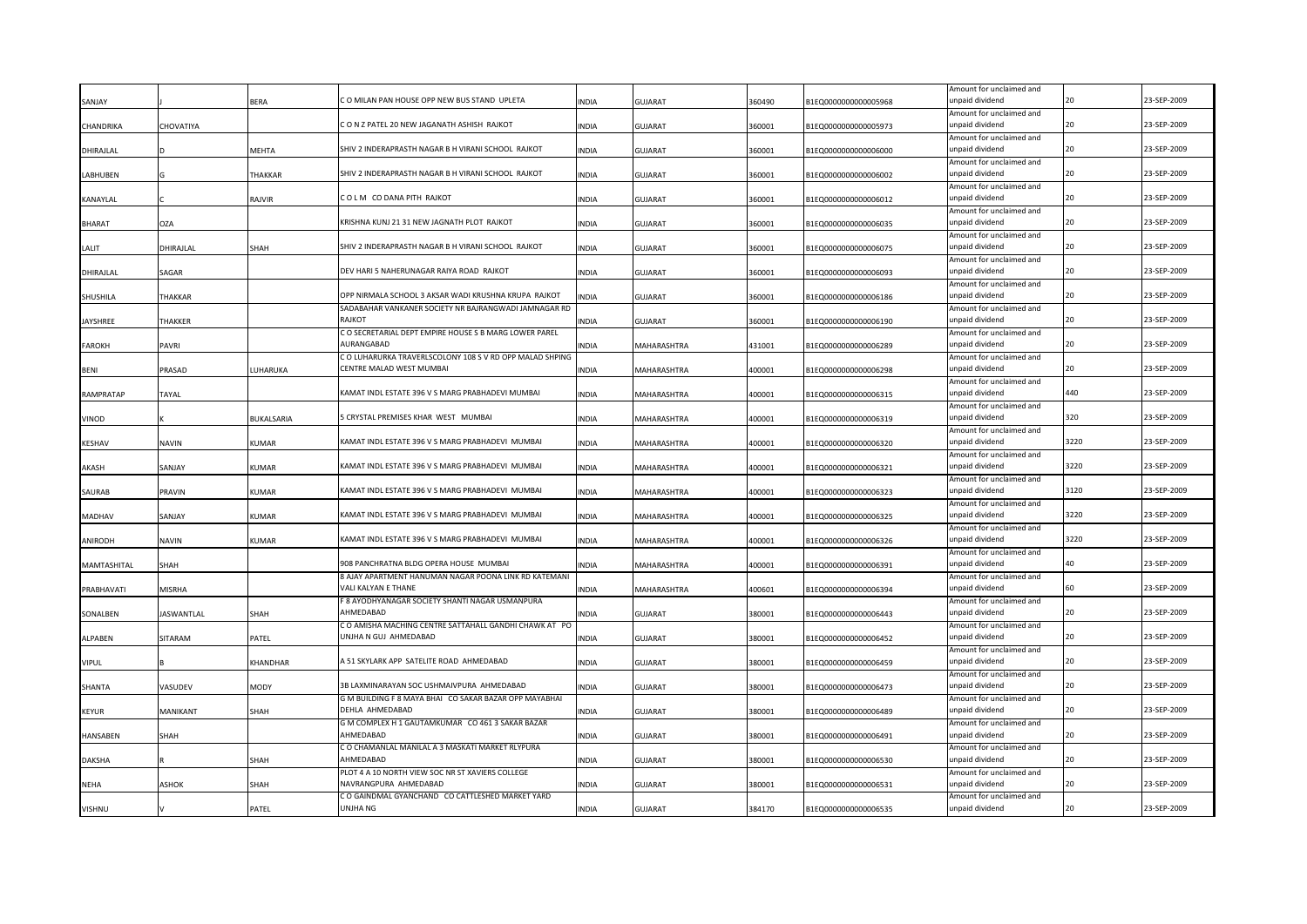| SANJAY          |                   | BERA         | CO MILAN PAN HOUSE OPP NEW BUS STAND UPLETA                                          | INDIA        | <b>GUJARAT</b> | 360490 | B1EQ0000000000005968 | Amount for unclaimed and<br>unpaid dividend |      | 23-SEP-2009 |
|-----------------|-------------------|--------------|--------------------------------------------------------------------------------------|--------------|----------------|--------|----------------------|---------------------------------------------|------|-------------|
|                 |                   |              |                                                                                      |              |                |        |                      | Amount for unclaimed and                    |      |             |
| CHANDRIKA       | CHOVATIYA         |              | CONZPATEL 20 NEW JAGANATH ASHISH RAJKOT                                              | INDIA        | <b>GUJARAT</b> | 360001 | B1EQ0000000000005973 | unpaid dividend                             | 20   | 23-SEP-2009 |
|                 |                   |              |                                                                                      |              |                |        |                      | Amount for unclaimed and                    |      |             |
| DHIRAJLAL       |                   | MEHTA        | SHIV 2 INDERAPRASTH NAGAR B H VIRANI SCHOOL RAJKOT                                   | INDIA        | <b>GUJARAT</b> | 360001 | B1EQ0000000000006000 | unpaid dividend                             | 20   | 23-SEP-2009 |
|                 |                   |              |                                                                                      |              |                |        |                      | Amount for unclaimed and                    |      |             |
| LABHUBEN        |                   | THAKKAR      | SHIV 2 INDERAPRASTH NAGAR B H VIRANI SCHOOL RAJKOT                                   | INDIA        | <b>GUJARAT</b> | 360001 | B1EQ0000000000006002 | unpaid dividend                             | 20   | 23-SEP-2009 |
|                 |                   |              |                                                                                      |              |                |        |                      | Amount for unclaimed and                    |      |             |
| KANAYLAL        |                   | RAJVIR       | COLM CODANA PITH RAJKOT                                                              | <b>INDIA</b> | <b>GUJARAT</b> | 360001 | B1EQ0000000000006012 | unpaid dividend                             |      | 23-SEP-2009 |
|                 |                   |              |                                                                                      |              |                |        |                      | Amount for unclaimed and                    |      |             |
| <b>BHARAT</b>   | <b>OZA</b>        |              | KRISHNA KUNJ 21 31 NEW JAGNATH PLOT RAJKOT                                           | <b>INDIA</b> | <b>GUJARAT</b> | 360001 | B1EQ0000000000006035 | unpaid dividend                             | 20   | 23-SEP-2009 |
|                 |                   |              |                                                                                      |              |                |        |                      | Amount for unclaimed and                    |      |             |
| LALIT           | DHIRAJLAL         | SHAH         | SHIV 2 INDERAPRASTH NAGAR B H VIRANI SCHOOL RAJKOT                                   | INDIA        | <b>GUJARAT</b> | 360001 | B1EQ0000000000006075 | unpaid dividend                             | 20   | 23-SEP-2009 |
|                 |                   |              |                                                                                      |              |                |        |                      | Amount for unclaimed and                    |      |             |
| DHIRAJLAL       | SAGAR             |              | DEV HARI 5 NAHERUNAGAR RAIYA ROAD RAJKOT                                             | INDIA        | <b>GUJARAT</b> | 360001 | B1EQ0000000000006093 | unpaid dividend                             | 20   | 23-SEP-2009 |
|                 |                   |              |                                                                                      |              |                |        |                      | Amount for unclaimed and                    |      |             |
| SHUSHILA        | <b>THAKKAR</b>    |              | OPP NIRMALA SCHOOL 3 AKSAR WADI KRUSHNA KRUPA RAJKOT                                 | INDIA        | <b>GUJARAT</b> | 360001 | B1EQ0000000000006186 | unpaid dividend                             | 20   | 23-SEP-2009 |
|                 |                   |              | SADABAHAR VANKANER SOCIETY NR BAJRANGWADI JAMNAGAR RD                                |              |                |        |                      | Amount for unclaimed and                    |      |             |
| <b>JAYSHREE</b> | THAKKER           |              | RAJKOT                                                                               | <b>INDIA</b> | <b>GUJARAT</b> | 360001 | B1EQ0000000000006190 | unpaid dividend                             | 20   | 23-SEP-2009 |
|                 |                   |              | C O SECRETARIAL DEPT EMPIRE HOUSE S B MARG LOWER PAREL                               |              |                |        |                      | Amount for unclaimed and                    | 20   |             |
| FAROKH          | PAVRI             |              | AURANGABAD                                                                           | <b>INDIA</b> | MAHARASHTRA    | 431001 | B1EQ0000000000006289 | unpaid dividend                             |      | 23-SEP-2009 |
|                 |                   |              | C O LUHARURKA TRAVERLSCOLONY 108 S V RD OPP MALAD SHPING<br>CENTRE MALAD WEST MUMBAI |              |                |        |                      | Amount for unclaimed and<br>unpaid dividend | 20   | 23-SEP-2009 |
| BENI            | PRASAD            | LUHARUKA     |                                                                                      | <b>INDIA</b> | MAHARASHTRA    | 400001 | B1EQ0000000000006298 |                                             |      |             |
| RAMPRATAP       | <b>TAYAL</b>      |              | KAMAT INDL ESTATE 396 V S MARG PRABHADEVI MUMBAI                                     | INDIA        | MAHARASHTRA    | 400001 | B1EQ0000000000006315 | Amount for unclaimed and<br>unpaid dividend | 440  | 23-SEP-2009 |
|                 |                   |              |                                                                                      |              |                |        |                      | Amount for unclaimed and                    |      |             |
| VINOD           |                   | BUKALSARIA   | 5 CRYSTAL PREMISES KHAR WEST MUMBAI                                                  | INDIA        | MAHARASHTRA    | 400001 | B1EQ0000000000006319 | unpaid dividend                             | 320  | 23-SEP-2009 |
|                 |                   |              |                                                                                      |              |                |        |                      | Amount for unclaimed and                    |      |             |
| KESHAV          | NAVIN             | KUMAR        | KAMAT INDL ESTATE 396 V S MARG PRABHADEVI MUMBAI                                     | INDIA        | MAHARASHTRA    | 400001 | B1EQ0000000000006320 | unpaid dividend                             | 3220 | 23-SEP-2009 |
|                 |                   |              |                                                                                      |              |                |        |                      | Amount for unclaimed and                    |      |             |
| AKASH           | SANJAY            | KUMAR        | KAMAT INDL ESTATE 396 V S MARG PRABHADEVI MUMBAI                                     | INDIA        | MAHARASHTRA    | 400001 | B1EQ0000000000006321 | unpaid dividend                             | 3220 | 23-SEP-2009 |
|                 |                   |              |                                                                                      |              |                |        |                      | Amount for unclaimed and                    |      |             |
| SAURAB          | PRAVIN            | <b>CUMAR</b> | KAMAT INDL ESTATE 396 V S MARG PRABHADEVI MUMBAI                                     | INDIA        | MAHARASHTRA    | 400001 | B1EQ0000000000006323 | unpaid dividend                             | 3120 | 23-SEP-2009 |
|                 |                   |              |                                                                                      |              |                |        |                      | Amount for unclaimed and                    |      |             |
| MADHAV          | SANJAY            | <b>UMAR</b>  | KAMAT INDL ESTATE 396 V S MARG PRABHADEVI MUMBAI                                     | INDIA        | MAHARASHTRA    | 400001 | B1EQ0000000000006325 | unpaid dividend                             | 3220 | 23-SEP-2009 |
|                 |                   |              |                                                                                      |              |                |        |                      | Amount for unclaimed and                    |      |             |
| ANIRODH         | <b>NAVIN</b>      | KUMAR        | KAMAT INDL ESTATE 396 V S MARG PRABHADEVI MUMBAI                                     | <b>INDIA</b> | MAHARASHTRA    | 400001 | B1EQ0000000000006326 | unpaid dividend                             | 3220 | 23-SEP-2009 |
|                 |                   |              |                                                                                      |              |                |        |                      | Amount for unclaimed and                    |      |             |
| MAMTASHITAL     | SHAH              |              | 908 PANCHRATNA BLDG OPERA HOUSE MUMBAI                                               | INDIA        | MAHARASHTRA    | 400001 | B1EQ0000000000006391 | unpaid dividend                             |      | 23-SEP-2009 |
|                 |                   |              | 8 AJAY APARTMENT HANUMAN NAGAR POONA LINK RD KATEMANI                                |              |                |        |                      | Amount for unclaimed and                    |      |             |
| PRABHAVATI      | <b>MISRHA</b>     |              | VALI KALYAN E THANE                                                                  | <b>INDIA</b> | MAHARASHTRA    | 400601 | B1EQ0000000000006394 | unpaid dividend                             |      | 23-SEP-2009 |
|                 |                   |              | F 8 AYODHYANAGAR SOCIETY SHANTI NAGAR USMANPURA                                      |              |                |        |                      | Amount for unclaimed and                    |      |             |
| SONALBEN        | <b>JASWANTLAL</b> | SHAH         | AHMFDABAD                                                                            | <b>INDIA</b> | <b>GUJARAT</b> | 380001 | B1EQ0000000000006443 | unpaid dividend                             |      | 23-SEP-2009 |
|                 |                   |              | C O AMISHA MACHING CENTRE SATTAHALL GANDHI CHAWK AT PO                               |              |                |        |                      | Amount for unclaimed and                    |      |             |
| ALPABEN         | SITARAM           | PATEL        | JNJHA N GUJ AHMEDABAD                                                                | INDIA        | <b>GUJARAT</b> | 380001 | B1EQ0000000000006452 | unpaid dividend                             |      | 23-SEP-2009 |
|                 |                   |              |                                                                                      |              |                |        |                      | Amount for unclaimed and                    |      |             |
| VIPUL           |                   | KHANDHAR     | A 51 SKYLARK APP SATELITE ROAD AHMEDABAD                                             | INDIA        | <b>GUJARAT</b> | 380001 | B1EQ0000000000006459 | unpaid dividend                             |      | 23-SEP-2009 |
|                 |                   |              |                                                                                      |              |                |        |                      | Amount for unclaimed and                    |      |             |
| SHANTA          | VASUDEV           | MODY         | 3B LAXMINARAYAN SOC USHMAIVPURA AHMEDABAD                                            | INDIA        | <b>GUJARAT</b> | 380001 | B1EQ0000000000006473 | unpaid dividend                             |      | 23-SEP-2009 |
|                 |                   |              | G M BUILDING F 8 MAYA BHAI CO SAKAR BAZAR OPP MAYABHAI                               |              |                |        |                      | Amount for unclaimed and                    |      |             |
| KEYUR           | MANIKANT          | іНАН         | DEHLA AHMEDABAD                                                                      | INDIA        | GUJARAT        | 380001 | B1EQ0000000000006489 | unpaid dividend                             |      | 23-SEP-2009 |
|                 |                   |              | G M COMPLEX H 1 GAUTAMKUMAR CO 461 3 SAKAR BAZAR                                     |              |                |        |                      | Amount for unclaimed and                    |      |             |
| <b>HANSABEN</b> | SHAH              |              | AHMFDARAD                                                                            | <b>INDIA</b> | GUJARAT        | 380001 | B1EQ0000000000006491 | unpaid dividend                             |      | 23-SEP-2009 |
|                 |                   |              | C O CHAMANLAL MANILAL A 3 MASKATI MARKET RLYPURA<br>AHMEDABAD                        |              |                |        |                      | Amount for unclaimed and                    |      |             |
| <b>DAKSHA</b>   |                   | <b>НАН</b>   |                                                                                      | <b>NDIA</b>  | GUJARAT        | 380001 | B1EQ0000000000006530 | inpaid dividend                             |      | 23-SEP-2009 |
|                 |                   |              | PLOT 4 A 10 NORTH VIEW SOC NR ST XAVIERS COLLEGE<br>VAVRANGPURA AHMEDABAD            |              |                |        |                      | Amount for unclaimed and<br>inpaid dividend |      | 23-SEP-2009 |
| <b>NEHA</b>     | ASHOK             | SHAH         | C O GAINDMAL GYANCHAND CO CATTLESHED MARKET YARD                                     | <b>INDIA</b> | GUJARAT        | 380001 | B1EQ0000000000006531 |                                             |      |             |
| <b>VISHNU</b>   |                   | PATEL        | UNJHA NG                                                                             | <b>INDIA</b> | <b>GUJARAT</b> | 384170 | B1EQ0000000000006535 | Amount for unclaimed and<br>unpaid dividend |      | 23-SEP-2009 |
|                 |                   |              |                                                                                      |              |                |        |                      |                                             |      |             |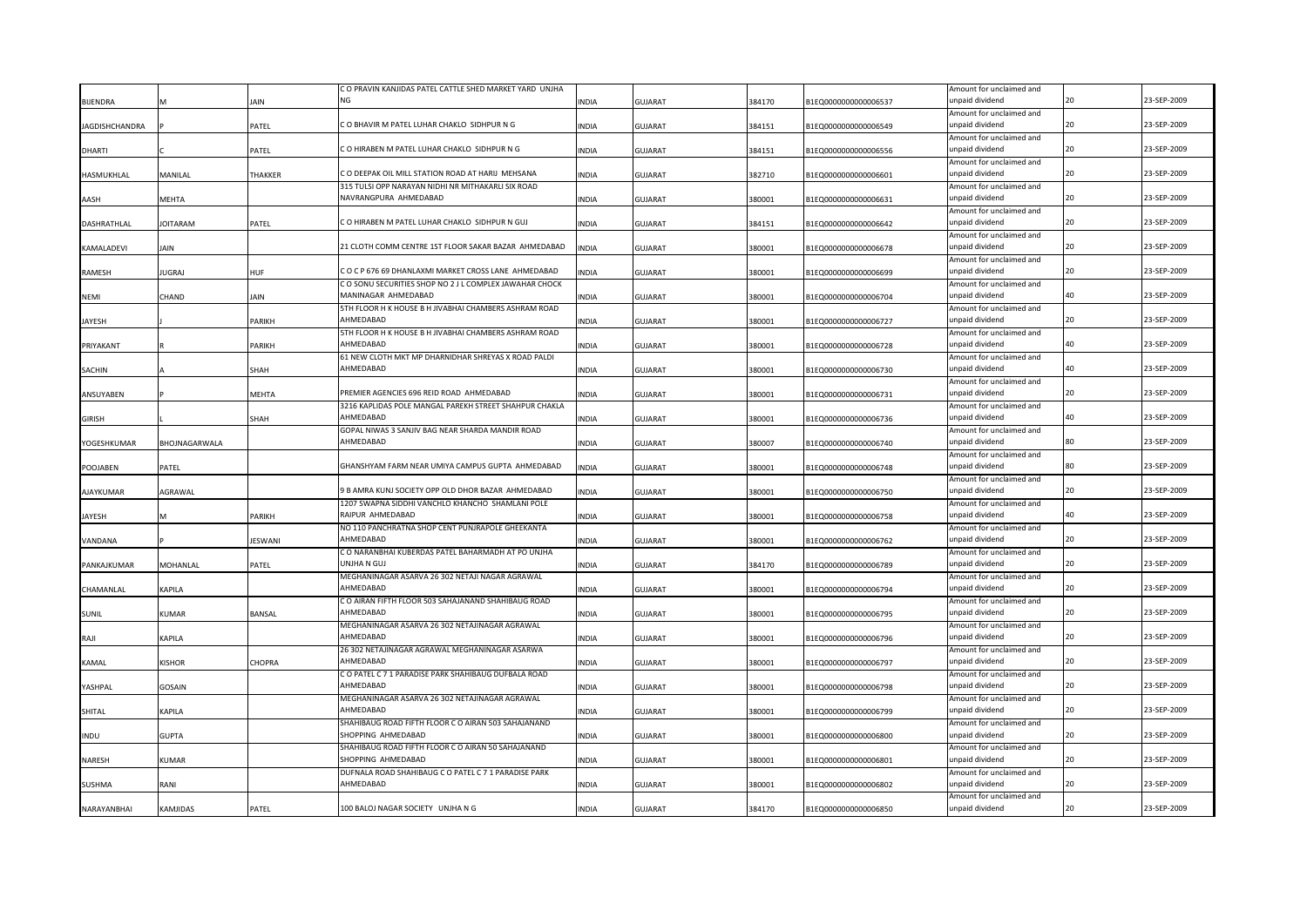|                       |                 |               | C O PRAVIN KANJIDAS PATEL CATTLE SHED MARKET YARD UNJHA |              |                |        |                      | Amount for unclaimed and |    |             |
|-----------------------|-----------------|---------------|---------------------------------------------------------|--------------|----------------|--------|----------------------|--------------------------|----|-------------|
| <b>BIJENDRA</b>       |                 | AIN           | <b>NG</b>                                               | <b>INDIA</b> | <b>GUJARAT</b> | 384170 | B1EQ0000000000006537 | unpaid dividend          |    | 23-SEP-2009 |
|                       |                 |               |                                                         |              |                |        |                      | Amount for unclaimed and |    |             |
| <b>JAGDISHCHANDRA</b> |                 | PATEL         | C O BHAVIR M PATEL LUHAR CHAKLO SIDHPUR N G             | <b>INDIA</b> | <b>GUJARAT</b> | 384151 | B1EQ0000000000006549 | unpaid dividend          | 20 | 23-SEP-2009 |
|                       |                 |               |                                                         |              |                |        |                      | Amount for unclaimed and |    |             |
| <b>DHARTI</b>         |                 | PATEL         | C O HIRABEN M PATEL LUHAR CHAKLO SIDHPUR N G            | <b>INDIA</b> | <b>GUJARAT</b> | 384151 | B1EQ0000000000006556 | unpaid dividend          | 20 | 23-SEP-2009 |
|                       |                 |               |                                                         |              |                |        |                      | Amount for unclaimed and |    |             |
| HASMUKHLAL            | MANILAL         | THAKKER       | C O DEEPAK OIL MILL STATION ROAD AT HARIJ MEHSANA       | <b>INDIA</b> | <b>GUJARAT</b> | 382710 | B1EQ0000000000006601 | unpaid dividend          | 20 | 23-SEP-2009 |
|                       |                 |               | 315 TULSI OPP NARAYAN NIDHI NR MITHAKARLI SIX ROAD      |              |                |        |                      | Amount for unclaimed and |    |             |
| AASH                  | MEHTA           |               | NAVRANGPURA AHMEDABAD                                   | INDIA        | <b>GUJARAT</b> | 380001 | B1EQ0000000000006631 | unpaid dividend          | 20 | 23-SEP-2009 |
|                       |                 |               |                                                         |              |                |        |                      | Amount for unclaimed and |    |             |
| DASHRATHLAL           | <b>JOITARAM</b> | PATEL         | C O HIRABEN M PATEL LUHAR CHAKLO SIDHPUR N GUJ          | <b>INDIA</b> | <b>GUJARAT</b> | 384151 | B1EQ0000000000006642 | unpaid dividend          | 20 | 23-SEP-2009 |
|                       |                 |               |                                                         |              |                |        |                      | Amount for unclaimed and |    |             |
| KAMALADEVI            | Jain            |               | 21 CLOTH COMM CENTRE 1ST FLOOR SAKAR BAZAR AHMEDABAD    | <b>INDIA</b> | <b>GUJARAT</b> | 380001 | B1EQ0000000000006678 | unpaid dividend          | 20 | 23-SEP-2009 |
|                       |                 |               |                                                         |              |                |        |                      | Amount for unclaimed and |    |             |
| RAMESH                | IUGRAJ          | HUF           | COCP67669 DHANLAXMI MARKET CROSS LANE AHMEDABAD         | <b>INDIA</b> | GUJARAT        | 380001 | B1EQ0000000000006699 | unpaid dividend          | 20 | 23-SEP-2009 |
|                       |                 |               | C O SONU SECURITIES SHOP NO 2 J L COMPLEX JAWAHAR CHOCK |              |                |        |                      | Amount for unclaimed and |    |             |
| <b>NEMI</b>           | CHAND           | JAIN          | MANINAGAR AHMEDABAD                                     | <b>INDIA</b> | <b>GUJARAT</b> | 380001 | B1EQ0000000000006704 | unpaid dividend          | 40 | 23-SEP-2009 |
|                       |                 |               | 5TH FLOOR H K HOUSE B H JIVABHAI CHAMBERS ASHRAM ROAD   |              |                |        |                      | Amount for unclaimed and |    |             |
| <b>JAYESH</b>         |                 | PARIKH        | AHMEDABAD                                               | <b>INDIA</b> | <b>GUJARAT</b> | 380001 | B1EQ0000000000006727 | unpaid dividend          | 20 | 23-SEP-2009 |
|                       |                 |               | 5TH FLOOR H K HOUSE B H JIVABHAI CHAMBERS ASHRAM ROAD   |              |                |        |                      | Amount for unclaimed and |    |             |
| PRIYAKANT             |                 | PARIKH        | AHMEDABAD                                               | <b>INDIA</b> | <b>GUJARAT</b> | 380001 | B1EQ0000000000006728 | unpaid dividend          | 40 | 23-SEP-2009 |
|                       |                 |               | 61 NEW CLOTH MKT MP DHARNIDHAR SHREYAS X ROAD PALDI     |              |                |        |                      | Amount for unclaimed and |    |             |
| SACHIN                |                 | SHAH          | AHMEDABAD                                               | <b>INDIA</b> | <b>GUJARAT</b> | 380001 | B1EQ0000000000006730 | unpaid dividend          | 40 | 23-SEP-2009 |
|                       |                 |               |                                                         |              |                |        |                      | Amount for unclaimed and |    |             |
| ANSUYABEN             |                 | <b>MEHTA</b>  | PREMIER AGENCIES 696 REID ROAD AHMEDABAD                | <b>INDIA</b> | <b>GUJARAT</b> | 380001 | B1EQ0000000000006731 | unpaid dividend          | 20 | 23-SEP-2009 |
|                       |                 |               | 3216 KAPLIDAS POLE MANGAL PAREKH STREET SHAHPUR CHAKLA  |              |                |        |                      | Amount for unclaimed and |    |             |
| <b>GIRISH</b>         |                 | SHAH          | AHMEDABAD                                               | <b>INDIA</b> | <b>GUJARAT</b> | 380001 | B1EQ0000000000006736 | unpaid dividend          | 40 | 23-SEP-2009 |
|                       |                 |               | GOPAL NIWAS 3 SANJIV BAG NEAR SHARDA MANDIR ROAD        |              |                |        |                      | Amount for unclaimed and |    |             |
| YOGESHKUMAR           | BHOJNAGARWALA   |               | AHMEDABAD                                               | <b>INDIA</b> | <b>GUJARAT</b> | 380007 | B1EQ0000000000006740 | unpaid dividend          |    | 23-SEP-2009 |
|                       |                 |               |                                                         |              |                |        |                      | Amount for unclaimed and |    |             |
| POOJABEN              | PATEL           |               | GHANSHYAM FARM NEAR UMIYA CAMPUS GUPTA AHMEDABAD        | <b>INDIA</b> | <b>GUJARAT</b> | 380001 | B1EQ0000000000006748 | unpaid dividend          | 80 | 23-SEP-2009 |
|                       |                 |               |                                                         |              |                |        |                      | Amount for unclaimed and |    |             |
| <b>AJAYKUMAR</b>      | AGRAWAL         |               | 9 B AMRA KUNJ SOCIETY OPP OLD DHOR BAZAR AHMEDABAD      | <b>INDIA</b> | <b>GUJARAT</b> | 380001 | B1EQ0000000000006750 | unpaid dividend          | 20 | 23-SEP-2009 |
|                       |                 |               | 1207 SWAPNA SIDDHI VANCHLO KHANCHO SHAMLANI POLE        |              |                |        |                      | Amount for unclaimed and |    |             |
| JAYESH                |                 | PARIKH        | RAIPUR AHMEDABAD                                        | <b>INDIA</b> | <b>GUJARAT</b> | 380001 | B1EQ0000000000006758 | unpaid dividend          | 40 | 23-SEP-2009 |
|                       |                 |               | NO 110 PANCHRATNA SHOP CENT PUNJRAPOLE GHEEKANTA        |              |                |        |                      | Amount for unclaimed and |    |             |
| VANDANA               |                 | ESWANI        | AHMEDABAD                                               | <b>INDIA</b> | <b>GUJARAT</b> | 380001 | B1EQ0000000000006762 | unpaid dividend          | 20 | 23-SEP-2009 |
|                       |                 |               | C O NARANBHAI KUBERDAS PATEL BAHARMADH AT PO UNJHA      |              |                |        |                      | Amount for unclaimed and |    |             |
| PANKAJKUMAR           | MOHANLAL        | PATEL         | UNJHA N GUJ                                             | <b>INDIA</b> | <b>GUJARAT</b> | 384170 | B1EQ0000000000006789 | unpaid dividend          |    | 23-SEP-2009 |
|                       |                 |               | MEGHANINAGAR ASARVA 26 302 NETAJI NAGAR AGRAWAL         |              |                |        |                      | Amount for unclaimed and |    |             |
| CHAMANLAL             | KAPILA          |               | AHMEDABAD                                               | <b>INDIA</b> | <b>GUJARAT</b> | 380001 | B1EQ0000000000006794 | unpaid dividend          | 20 | 23-SEP-2009 |
|                       |                 |               | C O AIRAN FIFTH FLOOR 503 SAHAJANAND SHAHIBAUG ROAD     |              |                |        |                      | Amount for unclaimed and |    |             |
| <b>SUNIL</b>          | KUMAR           | <b>BANSAL</b> | AHMEDABAD                                               | <b>INDIA</b> | GUJARAT        | 380001 | B1EQ0000000000006795 | unpaid dividend          |    | 23-SEP-2009 |
|                       |                 |               | MEGHANINAGAR ASARVA 26 302 NETAJINAGAR AGRAWAL          |              |                |        |                      | Amount for unclaimed and |    |             |
| RAJI                  | KAPILA          |               | AHMEDABAD                                               | <b>INDIA</b> | <b>GUJARAT</b> | 380001 | B1EQ0000000000006796 | unpaid dividend          | 20 | 23-SEP-2009 |
|                       |                 |               | 26 302 NETAJINAGAR AGRAWAL MEGHANINAGAR ASARWA          |              |                |        |                      | Amount for unclaimed and |    |             |
| KAMAL                 | KISHOR          | CHOPRA        | AHMEDABAD                                               | INDIA        | <b>GUJARAT</b> | 380001 | B1EQ0000000000006797 | unpaid dividend          |    | 23-SEP-2009 |
|                       |                 |               | C O PATEL C 7 1 PARADISE PARK SHAHIBAUG DUFBALA ROAD    |              |                |        |                      | Amount for unclaimed and |    |             |
| YASHPAL               | GOSAIN          |               | AHMEDABAD                                               | INDIA        | <b>GUJARAT</b> | 380001 | B1EQ0000000000006798 | unpaid dividend          | 20 | 23-SEP-2009 |
|                       |                 |               | MEGHANINAGAR ASARVA 26 302 NETAJINAGAR AGRAWAL          |              |                |        |                      | Amount for unclaimed and |    |             |
| SHITAL                | KAPILA          |               | <b>HMEDABAD</b>                                         | INDIA        | <b>GUJARAT</b> | 380001 | B1EQ0000000000006799 | unpaid dividend          |    | 23-SEP-2009 |
|                       |                 |               | SHAHIBAUG ROAD FIFTH FLOOR C O AIRAN 503 SAHAJANAND     |              |                |        |                      | Amount for unclaimed and |    |             |
| <b>INDU</b>           | GUPTA           |               | SHOPPING AHMEDABAD                                      | <b>INDIA</b> | GUJARAT        | 380001 | B1EQ0000000000006800 | unpaid dividend          |    | 23-SEP-2009 |
|                       |                 |               | SHAHIBAUG ROAD FIFTH FLOOR C O AIRAN 50 SAHAJANAND      |              |                |        |                      | Amount for unclaimed and |    |             |
| NARESH                | KUMAR           |               | SHOPPING AHMEDABAD                                      | <b>INDIA</b> | <b>GUJARAT</b> | 380001 | B1EQ0000000000006801 | unpaid dividend          |    | 23-SEP-2009 |
|                       |                 |               | DUFNALA ROAD SHAHIBAUG C O PATEL C 7 1 PARADISE PARK    |              |                |        |                      | Amount for unclaimed and |    |             |
| <b>SUSHMA</b>         | RANI            |               | <b>HMEDABAD</b>                                         | <b>INDIA</b> | <b>GUJARAT</b> | 380001 | B1EQ0000000000006802 | unpaid dividend          |    | 23-SEP-2009 |
|                       |                 |               |                                                         |              |                |        |                      | Amount for unclaimed and |    |             |
| NARAYANBHAI           | KAMJIDAS        | PATEL         | 100 BALOJ NAGAR SOCIETY UNJHA N G                       | <b>INDIA</b> | <b>GUJARAT</b> | 384170 | B1EQ0000000000006850 | unpaid dividend          |    | 23-SEP-2009 |
|                       |                 |               |                                                         |              |                |        |                      |                          |    |             |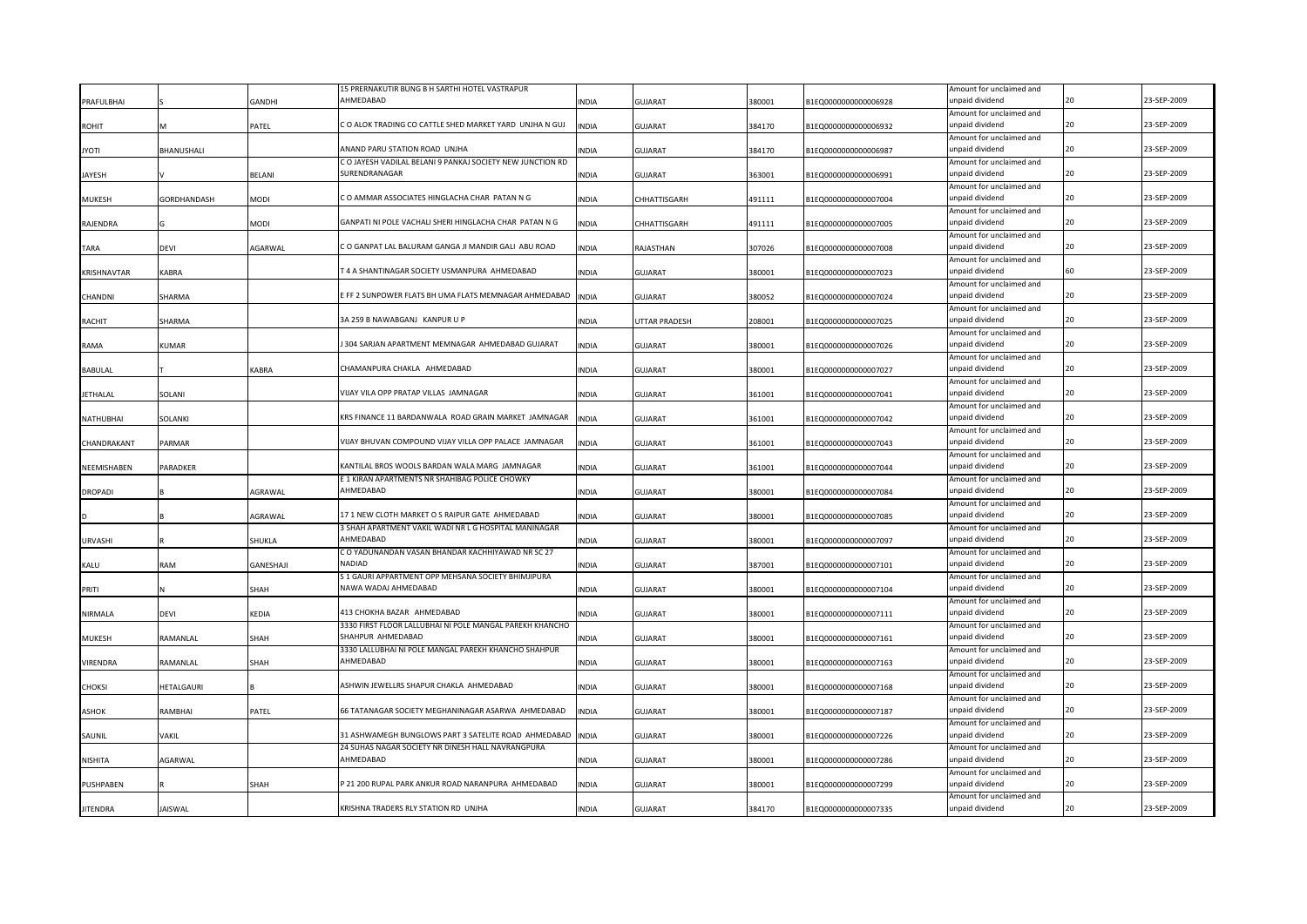|                 |                 |               | 15 PRERNAKUTIR BUNG B H SARTHI HOTEL VASTRAPUR                                                  |              |                      |        |                      | Amount for unclaimed and                    |    |             |
|-----------------|-----------------|---------------|-------------------------------------------------------------------------------------------------|--------------|----------------------|--------|----------------------|---------------------------------------------|----|-------------|
| PRAFULBHAI      |                 | <b>GANDHI</b> | AHMEDABAD                                                                                       | INDIA        | <b>GUJARAT</b>       | 380001 | 31EQ000000000006928  | unpaid dividend                             | 20 | 23-SEP-2009 |
|                 |                 |               |                                                                                                 |              |                      |        |                      | Amount for unclaimed and                    |    |             |
| <b>ROHIT</b>    |                 | PATEL         | C O ALOK TRADING CO CATTLE SHED MARKET YARD UNJHA N GUJ                                         | INDIA        | GUJARAT              | 384170 | B1EQ0000000000006932 | unpaid dividend                             | 20 | 23-SEP-2009 |
|                 |                 |               |                                                                                                 |              |                      |        |                      | Amount for unclaimed and                    |    |             |
| <b>ITOYL</b>    | BHANUSHALI      |               | ANAND PARU STATION ROAD UNJHA                                                                   | INDIA        | GUJARAT              | 384170 | B1EQ0000000000006987 | unpaid dividend                             | 20 | 23-SEP-2009 |
|                 |                 |               | C O JAYESH VADILAL BELANI 9 PANKAJ SOCIETY NEW JUNCTION RD                                      |              |                      |        |                      | Amount for unclaimed and                    |    |             |
| <b>JAYESH</b>   |                 | BELANI        | SURFNDRANAGAR                                                                                   | INDIA        | GUJARAT              | 363001 | B1EQ0000000000006991 | unpaid dividend                             | 20 | 23-SEP-2009 |
|                 |                 |               |                                                                                                 |              |                      |        |                      | Amount for unclaimed and                    |    |             |
| <b>MUKESH</b>   | GORDHANDASH     | MODI          | C O AMMAR ASSOCIATES HINGLACHA CHAR PATAN N G                                                   | INDIA        | CHHATTISGARH         | 491111 | B1EQ0000000000007004 | unpaid dividend                             | 20 | 23-SEP-2009 |
|                 |                 |               | GANPATI NI POLE VACHALI SHERI HINGLACHA CHAR PATAN N G                                          |              |                      |        |                      | Amount for unclaimed and                    | 20 |             |
| RAJENDRA        |                 | MODI          |                                                                                                 | INDIA        | CHHATTISGARH         | 491111 | B1EQ0000000000007005 | unpaid dividend                             |    | 23-SEP-2009 |
|                 |                 |               | C O GANPAT LAL BALURAM GANGA JI MANDIR GALI ABU ROAD                                            |              |                      |        |                      | Amount for unclaimed and<br>unpaid dividend | 20 | 23-SEP-2009 |
| TARA            | devi            | AGARWAL       |                                                                                                 | <b>INDIA</b> | RAJASTHAN            | 307026 | B1EQ0000000000007008 | Amount for unclaimed and                    |    |             |
| KRISHNAVTAR     | KABRA           |               | T 4 A SHANTINAGAR SOCIETY USMANPURA AHMEDABAD                                                   | <b>INDIA</b> | GUJARAT              | 380001 | B1EQ0000000000007023 | unpaid dividend                             | 60 | 23-SEP-2009 |
|                 |                 |               |                                                                                                 |              |                      |        |                      | Amount for unclaimed and                    |    |             |
| CHANDNI         | SHARMA          |               | E FF 2 SUNPOWER FLATS BH UMA FLATS MEMNAGAR AHMEDABAD                                           | <b>INDIA</b> | GUJARAT              | 380052 | B1EQ0000000000007024 | unpaid dividend                             | 20 | 23-SEP-2009 |
|                 |                 |               |                                                                                                 |              |                      |        |                      | Amount for unclaimed and                    |    |             |
| <b>RACHIT</b>   | SHARMA          |               | 3A 259 B NAWABGANJ KANPUR U P                                                                   | <b>INDIA</b> | <b>JTTAR PRADESH</b> | 208001 | B1EQ0000000000007025 | unpaid dividend                             | 20 | 23-SEP-2009 |
|                 |                 |               |                                                                                                 |              |                      |        |                      | Amount for unclaimed and                    |    |             |
| RAMA            | KUMAR           |               | J 304 SARJAN APARTMENT MEMNAGAR AHMEDABAD GUJARAT                                               | <b>INDIA</b> | GUJARAT              | 380001 | B1EQ0000000000007026 | unpaid dividend                             | 20 | 23-SEP-2009 |
|                 |                 |               |                                                                                                 |              |                      |        |                      | Amount for unclaimed and                    |    |             |
| <b>BABULAL</b>  |                 | <b>KABRA</b>  | CHAMANPURA CHAKLA AHMEDABAD                                                                     | <b>INDIA</b> | <b>GUJARAT</b>       | 380001 | B1EQ0000000000007027 | unpaid dividend                             | 20 | 23-SEP-2009 |
|                 |                 |               |                                                                                                 |              |                      |        |                      | Amount for unclaimed and                    |    |             |
| <b>JETHALAL</b> | SOLANI          |               | VIJAY VILA OPP PRATAP VILLAS JAMNAGAR                                                           | <b>INDIA</b> | <b>GUJARAT</b>       | 361001 | B1EQ0000000000007041 | unpaid dividend                             | 20 | 23-SEP-2009 |
|                 |                 |               |                                                                                                 |              |                      |        |                      | Amount for unclaimed and                    |    |             |
| NATHUBHAI       | SOLANKI         |               | KRS FINANCE 11 BARDANWALA ROAD GRAIN MARKET JAMNAGAR                                            | <b>INDIA</b> | <b>GUJARAT</b>       | 361001 | B1EQ0000000000007042 | unpaid dividend                             | 20 | 23-SEP-2009 |
|                 |                 |               |                                                                                                 |              |                      |        |                      | Amount for unclaimed and                    |    |             |
| CHANDRAKANT     | <b>ARMAR</b>    |               | VIJAY BHUVAN COMPOUND VIJAY VILLA OPP PALACE JAMNAGAR                                           | <b>INDIA</b> | GUJARAT              | 361001 | B1EQ0000000000007043 | unpaid dividend                             | 20 | 23-SEP-2009 |
|                 |                 |               |                                                                                                 |              |                      |        |                      | Amount for unclaimed and                    | 20 |             |
| NEEMISHABEN     | PARADKER        |               | KANTILAL BROS WOOLS BARDAN WALA MARG JAMNAGAR<br>E 1 KIRAN APARTMENTS NR SHAHIBAG POLICE CHOWKY | <b>INDIA</b> | <b>GUJARAT</b>       | 361001 | B1EQ0000000000007044 | unpaid dividend<br>Amount for unclaimed and |    | 23-SEP-2009 |
| <b>DROPADI</b>  |                 | AGRAWAL       | AHMEDABAD                                                                                       | <b>INDIA</b> | GUJARAT              | 380001 | B1EQ0000000000007084 | unpaid dividend                             | 20 | 23-SEP-2009 |
|                 |                 |               |                                                                                                 |              |                      |        |                      | Amount for unclaimed and                    |    |             |
|                 |                 | AGRAWAL       | 17 1 NEW CLOTH MARKET O S RAIPUR GATE AHMEDABAD                                                 | <b>INDIA</b> | GUJARAT              | 380001 | B1EQ0000000000007085 | unpaid dividend                             | 20 | 23-SEP-2009 |
|                 |                 |               | 3 SHAH APARTMENT VAKIL WADI NR L G HOSPITAL MANINAGAR                                           |              |                      |        |                      | Amount for unclaimed and                    |    |             |
| <b>URVASHI</b>  |                 | SHUKLA        | AHMEDABAD                                                                                       | <b>INDIA</b> | GUJARAT              | 380001 | B1EQ0000000000007097 | unpaid dividend                             | 20 | 23-SEP-2009 |
|                 |                 |               | C O YADUNANDAN VASAN BHANDAR KACHHIYAWAD NR SC 27                                               |              |                      |        |                      | Amount for unclaimed and                    |    |             |
| KALU            | MA <sub>3</sub> | GANESHAJI     | NADIAD                                                                                          | <b>INDIA</b> | <b>GUJARAT</b>       | 387001 | B1EQ0000000000007101 | unpaid dividend                             | 2Ω | 23-SEP-2009 |
|                 |                 |               | S 1 GAURI APPARTMENT OPP MEHSANA SOCIETY BHIMJIPURA                                             |              |                      |        |                      | Amount for unclaimed and                    |    |             |
| PRITI           |                 | SHAH          | NAWA WADAJ AHMEDABAD                                                                            | <b>INDIA</b> | GUJARAT              | 380001 | B1EQ0000000000007104 | unpaid dividend                             | 20 | 23-SEP-2009 |
|                 |                 |               |                                                                                                 |              |                      |        |                      | Amount for unclaimed and                    |    |             |
| NIRMALA         | devi            | KEDIA         | 413 CHOKHA BAZAR AHMEDABAD                                                                      | INDIA        | GUJARAT              | 380001 | B1EQ0000000000007111 | unpaid dividend                             |    | 23-SEP-2009 |
|                 |                 |               | 3330 FIRST FLOOR LALLUBHAI NI POLE MANGAL PAREKH KHANCHO                                        |              |                      |        |                      | Amount for unclaimed and                    |    |             |
| <b>MUKESH</b>   | RAMANLAL        | SHAH          | SHAHPUR AHMEDABAD                                                                               | <b>INDIA</b> | <b>GUJARAT</b>       | 380001 | B1EQ0000000000007161 | unpaid dividend                             |    | 23-SEP-2009 |
|                 |                 |               | 3330 LALLUBHAI NI POLE MANGAL PAREKH KHANCHO SHAHPUR                                            |              |                      |        |                      | Amount for unclaimed and                    |    |             |
| <b>VIRENDRA</b> | RAMANLAL        | SHAH          | AHMEDABAD                                                                                       | <b>INDIA</b> | <b>GUJARAT</b>       | 380001 | B1EQ0000000000007163 | unpaid dividend                             |    | 23-SEP-2009 |
|                 |                 |               | ASHWIN JEWELLRS SHAPUR CHAKLA AHMEDABAD                                                         |              |                      |        |                      | Amount for unclaimed and<br>unpaid dividend |    | 23-SEP-2009 |
| <b>CHOKSI</b>   | HETALGAURI      |               |                                                                                                 | INDIA        | GUJARAT              | 380001 | B1EQ0000000000007168 |                                             |    |             |
| ASHOK           | <b>AMBHAI</b>   | ATEL          | 66 TATANAGAR SOCIETY MEGHANINAGAR ASARWA AHMEDABAD                                              | INDIA        | GUJARAT              | 380001 | B1EQ0000000000007187 | Amount for unclaimed and<br>unpaid dividend |    | 23-SEP-2009 |
|                 |                 |               |                                                                                                 |              |                      |        |                      | Amount for unclaimed and                    |    |             |
| SAUNIL          | VAKIL           |               | 31 ASHWAMEGH BUNGLOWS PART 3 SATELITE ROAD AHMEDABAD                                            | <b>INDIA</b> | GUJARAT              | 380001 | B1EQ0000000000007226 | unpaid dividend                             |    | 23-SEP-2009 |
|                 |                 |               | 24 SUHAS NAGAR SOCIETY NR DINESH HALL NAVRANGPURA                                               |              |                      |        |                      | Amount for unclaimed and                    |    |             |
| NISHITA         | <b>AGARWAL</b>  |               | AHMEDABAD                                                                                       | INDIA        | GUJARAT              | 380001 | B1EQ0000000000007286 | unpaid dividend                             |    | 23-SEP-2009 |
|                 |                 |               |                                                                                                 |              |                      |        |                      | Amount for unclaimed and                    |    |             |
| PUSHPABEN       |                 | SHAH          | P 21 200 RUPAL PARK ANKUR ROAD NARANPURA AHMEDABAD                                              | <b>INDIA</b> | GUJARAT              | 380001 | B1EQ0000000000007299 | unpaid dividend                             | 20 | 23-SEP-2009 |
|                 |                 |               |                                                                                                 |              |                      |        |                      | Amount for unclaimed and                    |    |             |
| <b>JITENDRA</b> | <b>AISWAL</b>   |               | KRISHNA TRADERS RLY STATION RD UNJHA                                                            | <b>INDIA</b> | <b>GUJARAT</b>       | 384170 | B1EQ0000000000007335 | unpaid dividend                             | 20 | 23-SEP-2009 |
|                 |                 |               |                                                                                                 |              |                      |        |                      |                                             |    |             |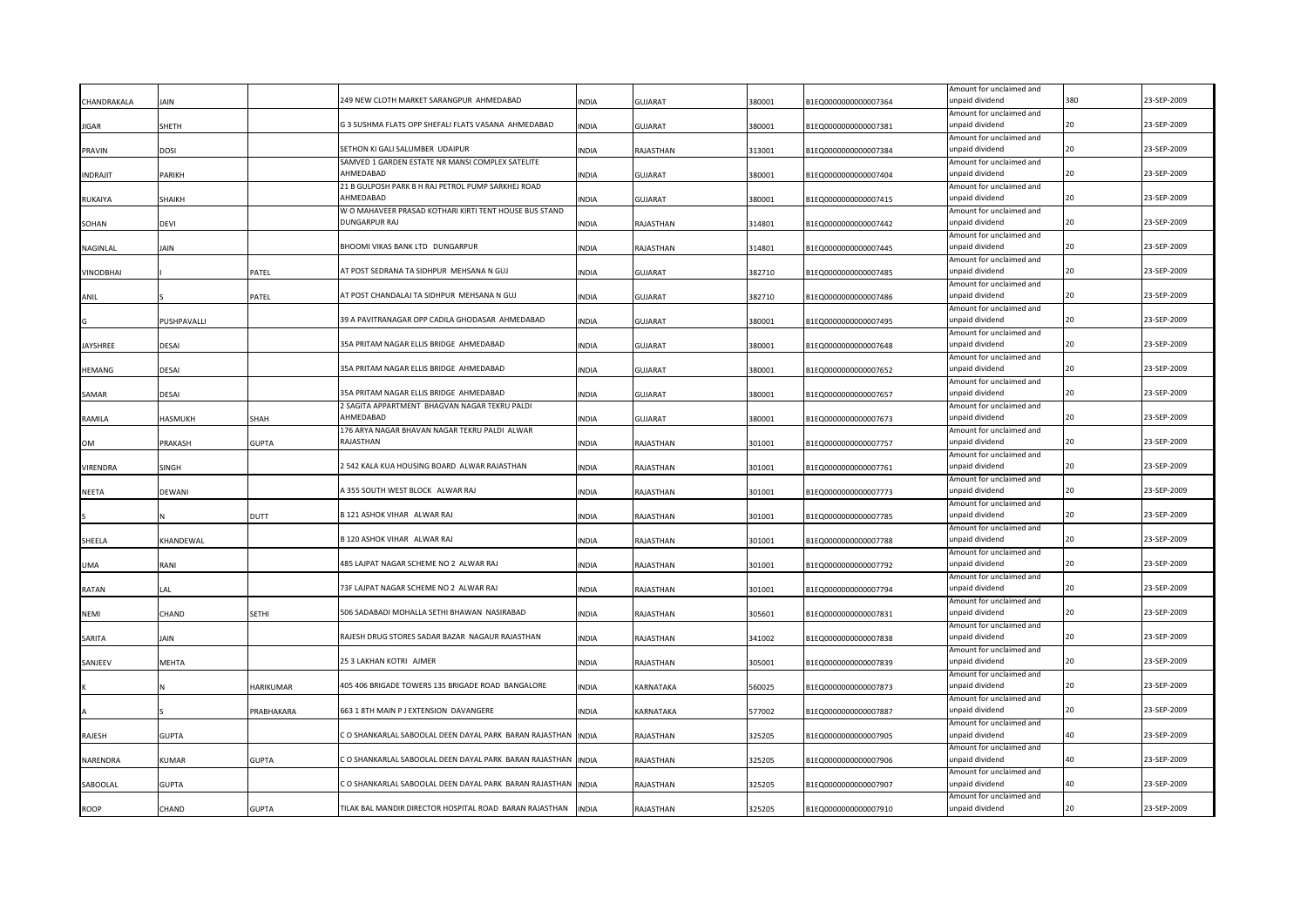|                 |             |              |                                                                 |              |                |        |                      | Amount for unclaimed and                    |     |             |
|-----------------|-------------|--------------|-----------------------------------------------------------------|--------------|----------------|--------|----------------------|---------------------------------------------|-----|-------------|
| CHANDRAKALA     | <b>IAIN</b> |              | 249 NEW CLOTH MARKET SARANGPUR AHMEDABAD                        | <b>INDIA</b> | GUJARAT        | 380001 | B1EQ0000000000007364 | unpaid dividend                             | 380 | 23-SEP-2009 |
| <b>JIGAR</b>    | SHETH       |              | G 3 SUSHMA FLATS OPP SHEFALI FLATS VASANA AHMEDABAD             | <b>INDIA</b> | <b>GUJARAT</b> | 380001 | B1EQ0000000000007381 | Amount for unclaimed and<br>unpaid dividend | 20  | 23-SEP-2009 |
|                 |             |              |                                                                 |              |                |        |                      | Amount for unclaimed and                    |     |             |
| PRAVIN          | dosi        |              | SETHON KI GALI SALUMBER UDAIPUR                                 | <b>INDIA</b> | RAJASTHAN      | 313001 | B1EQ0000000000007384 | unpaid dividend                             |     | 23-SEP-2009 |
|                 |             |              | SAMVED 1 GARDEN ESTATE NR MANSI COMPLEX SATELITE                |              |                |        |                      | Amount for unclaimed and                    |     |             |
| <b>INDRAJIT</b> | PARIKH      |              | AHMFDABAD                                                       | <b>INDIA</b> | <b>GUJARAT</b> | 380001 | B1EQ0000000000007404 | unpaid dividend                             | 20  | 23-SEP-2009 |
|                 |             |              | 21 B GULPOSH PARK B H RAJ PETROL PUMP SARKHEJ ROAD<br>AHMEDABAD |              |                |        |                      | Amount for unclaimed and                    |     | 23-SEP-2009 |
| <b>RUKAIYA</b>  | SHAIKH      |              | W O MAHAVEER PRASAD KOTHARI KIRTI TENT HOUSE BUS STAND          | INDIA        | <b>GUJARAT</b> | 380001 | B1EQ0000000000007415 | unpaid dividend<br>Amount for unclaimed and |     |             |
| SOHAN           | devi        |              | <b>DUNGARPUR RAJ</b>                                            | INDIA        | RAJASTHAN      | 314801 | B1EQ0000000000007442 | unpaid dividend                             |     | 23-SEP-2009 |
|                 |             |              |                                                                 |              |                |        |                      | Amount for unclaimed and                    |     |             |
| NAGINLAL        | Jain        |              | BHOOMI VIKAS BANK LTD DUNGARPUR                                 | <b>INDIA</b> | RAJASTHAN      | 314801 | B1EQ0000000000007445 | unpaid dividend                             |     | 23-SEP-2009 |
|                 |             |              |                                                                 |              |                |        |                      | Amount for unclaimed and                    |     |             |
| VINODBHAI       |             | PATEL        | AT POST SEDRANA TA SIDHPUR MEHSANA N GUJ                        | <b>INDIA</b> | <b>GUJARAT</b> | 382710 | B1EQ0000000000007485 | unpaid dividend                             | 20  | 23-SEP-2009 |
|                 |             |              | AT POST CHANDALAJ TA SIDHPUR MEHSANA N GUJ                      |              |                |        |                      | Amount for unclaimed and<br>unpaid dividend |     | 23-SEP-2009 |
| ANIL            |             | PATEL        |                                                                 | <b>INDIA</b> | GUJARAT        | 382710 | B1EQ0000000000007486 | Amount for unclaimed and                    |     |             |
|                 | PUSHPAVALLI |              | 39 A PAVITRANAGAR OPP CADILA GHODASAR AHMEDABAD                 | <b>INDIA</b> | <b>GUJARAT</b> | 380001 | B1EQ0000000000007495 | unpaid dividend                             | 20  | 23-SEP-2009 |
|                 |             |              |                                                                 |              |                |        |                      | Amount for unclaimed and                    |     |             |
| <b>JAYSHREE</b> | DESAI       |              | 35A PRITAM NAGAR ELLIS BRIDGE AHMEDABAD                         | <b>INDIA</b> | GUJARAT        | 380001 | B1EQ0000000000007648 | unpaid dividend                             | 20  | 23-SEP-2009 |
|                 |             |              |                                                                 |              |                |        |                      | Amount for unclaimed and                    |     |             |
| <b>HEMANG</b>   | DESAI       |              | 35A PRITAM NAGAR ELLIS BRIDGE AHMEDABAD                         | <b>INDIA</b> | <b>GUJARAT</b> | 380001 | B1EQ0000000000007652 | unpaid dividend                             | 20  | 23-SEP-2009 |
| SAMAR           | DESAI       |              | 35A PRITAM NAGAR ELLIS BRIDGE AHMEDABAD                         | <b>INDIA</b> | <b>GUJARAT</b> | 380001 | B1EQ0000000000007657 | Amount for unclaimed and<br>unpaid dividend | 20  | 23-SEP-2009 |
|                 |             |              | 2 SAGITA APPARTMENT BHAGVAN NAGAR TEKRU PALDI                   |              |                |        |                      | Amount for unclaimed and                    |     |             |
| RAMILA          | HASMUKH     | SHAH         | AHMEDABAD                                                       | <b>INDIA</b> | <b>GUJARAT</b> | 380001 | B1EQ0000000000007673 | unpaid dividend                             | 20  | 23-SEP-2009 |
|                 |             |              | 176 ARYA NAGAR BHAVAN NAGAR TEKRU PALDI ALWAR                   |              |                |        |                      | Amount for unclaimed and                    |     |             |
| <b>OM</b>       | PRAKASH     | <b>GUPTA</b> | RAJASTHAN                                                       | <b>INDIA</b> | RAJASTHAN      | 301001 | B1EQ0000000000007757 | unpaid dividend                             |     | 23-SEP-2009 |
|                 |             |              |                                                                 |              |                |        |                      | Amount for unclaimed and                    |     |             |
| VIRENDRA        | SINGH       |              | 2 542 KALA KUA HOUSING BOARD ALWAR RAJASTHAN                    | <b>INDIA</b> | RAJASTHAN      | 301001 | B1EQ0000000000007761 | unpaid dividend                             | 20  | 23-SEP-2009 |
| <b>NEETA</b>    | DEWANI      |              | A 355 SOUTH WEST BLOCK ALWAR RAJ                                | <b>INDIA</b> | RAJASTHAN      | 301001 | B1EQ0000000000007773 | Amount for unclaimed and<br>unpaid dividend | 20  | 23-SEP-2009 |
|                 |             |              |                                                                 |              |                |        |                      | Amount for unclaimed and                    |     |             |
|                 |             | DUTT         | B 121 ASHOK VIHAR ALWAR RAJ                                     | <b>INDIA</b> | RAJASTHAN      | 301001 | B1EQ0000000000007785 | unpaid dividend                             | 20  | 23-SEP-2009 |
|                 |             |              |                                                                 |              |                |        |                      | Amount for unclaimed and                    |     |             |
| SHEELA          | KHANDEWAL   |              | B 120 ASHOK VIHAR ALWAR RAJ                                     | <b>INDIA</b> | RAJASTHAN      | 301001 | B1EQ0000000000007788 | unpaid dividend                             | 20  | 23-SEP-2009 |
|                 |             |              |                                                                 |              |                |        |                      | Amount for unclaimed and                    |     |             |
| <b>UMA</b>      | RANI        |              | 485 LAJPAT NAGAR SCHEME NO 2 ALWAR RAJ                          | <b>INDIA</b> | RAJASTHAN      | 301001 | B1EQ0000000000007792 | unpaid dividend<br>Amount for unclaimed and |     | 23-SEP-2009 |
| RATAN           | LAL         |              | 73F LAJPAT NAGAR SCHEME NO 2 ALWAR RAJ                          | <b>INDIA</b> | RAJASTHAN      | 301001 | B1EQ0000000000007794 | unpaid dividend                             |     | 23-SEP-2009 |
|                 |             |              |                                                                 |              |                |        |                      | Amount for unclaimed and                    |     |             |
| <b>NEMI</b>     | CHAND       | <b>SETHI</b> | 506 SADABADI MOHALLA SETHI BHAWAN NASIRABAD                     | <b>INDIA</b> | RAJASTHAN      | 305601 | B1EQ0000000000007831 | unpaid dividend                             |     | 23-SEP-2009 |
|                 |             |              |                                                                 |              |                |        |                      | Amount for unclaimed and                    |     |             |
| SARITA          | iain        |              | RAJESH DRUG STORES SADAR BAZAR NAGAUR RAJASTHAN                 | <b>INDIA</b> | RAJASTHAN      | 341002 | B1EQ0000000000007838 | unpaid dividend                             |     | 23-SEP-2009 |
|                 |             |              | 25 3 LAKHAN KOTRI AJMER                                         |              |                |        |                      | Amount for unclaimed and<br>unpaid dividend |     | 23-SEP-2009 |
| SANJEEV         | MEHTA       |              |                                                                 | INDIA        | RAJASTHAN      | 305001 | B1EQ0000000000007839 | Amount for unclaimed and                    |     |             |
|                 |             | HARIKUMAR    | 405 406 BRIGADE TOWERS 135 BRIGADE ROAD BANGALORE               | INDIA        | KARNATAKA      | 560025 | B1EQ0000000000007873 | unpaid dividend                             |     | 23-SEP-2009 |
|                 |             |              |                                                                 |              |                |        |                      | Amount for unclaimed and                    |     |             |
|                 |             | PRABHAKARA   | 663 1 8TH MAIN P J EXTENSION DAVANGERE                          | INDIA        | KARNATAKA      | 577002 | B1EQ0000000000007887 | unpaid dividend                             |     | 23-SEP-2009 |
|                 |             |              |                                                                 |              |                |        |                      | Amount for unclaimed and                    |     |             |
| RAJESH          | GUPTA       |              | CO SHANKARLAL SABOOLAL DEEN DAYAL PARK BARAN RAJASTHAN          | <b>INDIA</b> | RAJASTHAN      | 325205 | B1EQ0000000000007905 | unpaid dividend                             | 40  | 23-SEP-2009 |
| NARENDRA        | KUMAR       | <b>GUPTA</b> | O SHANKARLAL SABOOLAL DEEN DAYAL PARK BARAN RAJASTHAN           | <b>INDIA</b> | RAJASTHAN      | 325205 | B1EQ0000000000007906 | Amount for unclaimed and<br>unpaid dividend |     | 23-SEP-2009 |
|                 |             |              |                                                                 |              |                |        |                      | Amount for unclaimed and                    |     |             |
| SABOOLAL        | GUPTA       |              | CO SHANKARLAL SABOOLAL DEEN DAYAL PARK BARAN RAJASTHAN          | <b>INDIA</b> | RAJASTHAN      | 325205 | B1EQ0000000000007907 | unpaid dividend                             | 40  | 23-SEP-2009 |
|                 |             |              |                                                                 |              |                |        |                      | Amount for unclaimed and                    |     |             |
| <b>ROOP</b>     | CHAND       | <b>GUPTA</b> | TILAK BAL MANDIR DIRECTOR HOSPITAL ROAD BARAN RAJASTHAN         | <b>INDIA</b> | RAJASTHAN      | 325205 | B1EQ0000000000007910 | unpaid dividend                             |     | 23-SEP-2009 |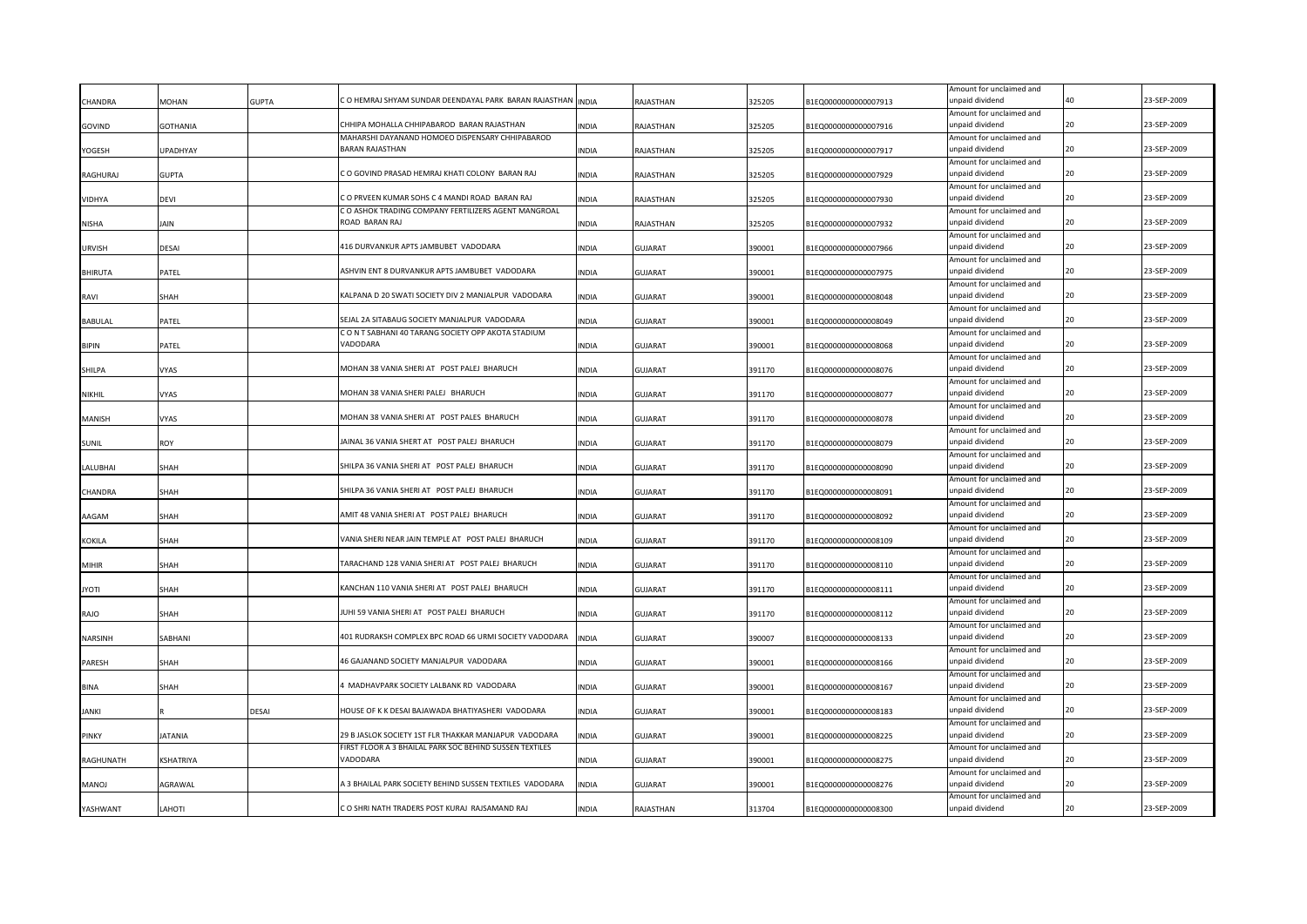|                |                 |              |                                                                     |              |                |        |                      | Amount for unclaimed and                    |    |             |
|----------------|-----------------|--------------|---------------------------------------------------------------------|--------------|----------------|--------|----------------------|---------------------------------------------|----|-------------|
| CHANDRA        | MOHAN           | <b>GUPTA</b> | C O HEMRAJ SHYAM SUNDAR DEENDAYAL PARK BARAN RAJASTHAN              | <b>INDIA</b> | RAJASTHAN      | 325205 | B1EQ0000000000007913 | unpaid dividend                             |    | 23-SEP-2009 |
| GOVIND         | GOTHANIA        |              | CHHIPA MOHALLA CHHIPABAROD BARAN RAJASTHAN                          | <b>INDIA</b> | RAJASTHAN      | 325205 | B1EQ0000000000007916 | Amount for unclaimed and<br>unpaid dividend | 20 | 23-SEP-2009 |
|                |                 |              | MAHARSHI DAYANAND HOMOEO DISPENSARY CHHIPABAROD                     |              |                |        |                      | Amount for unclaimed and                    |    |             |
| YOGESH         | <b>UPADHYAY</b> |              | <b>BARAN RAJASTHAN</b>                                              | <b>INDIA</b> | RAJASTHAN      | 325205 | B1EQ0000000000007917 | unpaid dividend                             |    | 23-SEP-2009 |
|                |                 |              |                                                                     |              |                |        |                      | Amount for unclaimed and                    |    |             |
| RAGHURAJ       | <b>GUPTA</b>    |              | C O GOVIND PRASAD HEMRAJ KHATI COLONY BARAN RAJ                     | <b>INDIA</b> | RAJASTHAN      | 325205 | B1EQ0000000000007929 | unpaid dividend                             | 20 | 23-SEP-2009 |
|                |                 |              | C O PRVEEN KUMAR SOHS C 4 MANDI ROAD BARAN RAJ                      |              |                |        |                      | Amount for unclaimed and                    |    | 23-SEP-2009 |
| <b>VIDHYA</b>  | DEVI            |              | C O ASHOK TRADING COMPANY FERTILIZERS AGENT MANGROAL                | INDIA        | RAJASTHAN      | 325205 | B1EQ0000000000007930 | unpaid dividend<br>Amount for unclaimed and |    |             |
| NISHA          | JAIN            |              | ROAD BARAN RAJ                                                      | INDIA        | RAJASTHAN      | 325205 | B1EQ0000000000007932 | unpaid dividend                             |    | 23-SEP-2009 |
|                |                 |              |                                                                     |              |                |        |                      | Amount for unclaimed and                    |    |             |
| <b>URVISH</b>  | DESAI           |              | 416 DURVANKUR APTS JAMBUBET VADODARA                                | <b>INDIA</b> | <b>GUJARAT</b> | 390001 | B1EQ0000000000007966 | unpaid dividend                             |    | 23-SEP-2009 |
|                |                 |              |                                                                     |              |                |        |                      | Amount for unclaimed and                    |    |             |
| <b>BHIRUTA</b> | PATEL           |              | ASHVIN ENT 8 DURVANKUR APTS JAMBUBET VADODARA                       | INDIA        | <b>GUJARAT</b> | 390001 | B1EQ0000000000007975 | unpaid dividend                             | 20 | 23-SEP-2009 |
|                |                 |              | KALPANA D 20 SWATI SOCIETY DIV 2 MANJALPUR VADODARA                 |              |                |        |                      | Amount for unclaimed and<br>unpaid dividend |    | 23-SEP-2009 |
| RAVI           | SHAH            |              |                                                                     | <b>INDIA</b> | GUJARAT        | 390001 | B1EQ0000000000008048 | Amount for unclaimed and                    |    |             |
| <b>BABULAL</b> | PATEL           |              | SEJAL 2A SITABAUG SOCIETY MANJALPUR VADODARA                        | <b>INDIA</b> | <b>GUJARAT</b> | 390001 | B1EQ0000000000008049 | unpaid dividend                             |    | 23-SEP-2009 |
|                |                 |              | C O N T SABHANI 40 TARANG SOCIETY OPP AKOTA STADIUM                 |              |                |        |                      | Amount for unclaimed and                    |    |             |
| <b>BIPIN</b>   | PATEL           |              | VADODARA                                                            | <b>INDIA</b> | GUJARAT        | 390001 | B1EQ0000000000008068 | unpaid dividend                             | 20 | 23-SEP-2009 |
|                |                 |              |                                                                     |              |                |        |                      | Amount for unclaimed and                    |    |             |
| SHILPA         | VYAS            |              | MOHAN 38 VANIA SHERI AT POST PALEJ BHARUCH                          | <b>INDIA</b> | <b>GUJARAT</b> | 391170 | B1EQ0000000000008076 | unpaid dividend                             | 20 | 23-SEP-2009 |
| <b>NIKHIL</b>  | <b>VYAS</b>     |              | MOHAN 38 VANIA SHERI PALEJ BHARUCH                                  | <b>INDIA</b> | <b>GUJARAT</b> | 391170 | B1EQ0000000000008077 | Amount for unclaimed and<br>unpaid dividend | 20 | 23-SEP-2009 |
|                |                 |              |                                                                     |              |                |        |                      | Amount for unclaimed and                    |    |             |
| <b>MANISH</b>  | VYAS            |              | MOHAN 38 VANIA SHERI AT POST PALES BHARUCH                          | <b>INDIA</b> | <b>GUJARAT</b> | 391170 | B1EQ0000000000008078 | unpaid dividend                             | 20 | 23-SEP-2009 |
|                |                 |              |                                                                     |              |                |        |                      | Amount for unclaimed and                    |    |             |
| <b>SUNIL</b>   | ROY             |              | JAINAL 36 VANIA SHERT AT POST PALEJ BHARUCH                         | <b>INDIA</b> | GUJARAT        | 391170 | B1EQ0000000000008079 | unpaid dividend                             |    | 23-SEP-2009 |
|                |                 |              |                                                                     |              |                |        |                      | Amount for unclaimed and                    |    |             |
| LALUBHAI       | SHAH            |              | SHILPA 36 VANIA SHERI AT POST PALEJ BHARUCH                         | <b>INDIA</b> | <b>GUJARAT</b> | 391170 | B1EQ0000000000008090 | unpaid dividend                             | 20 | 23-SEP-2009 |
| CHANDRA        | SHAH            |              | SHILPA 36 VANIA SHERI AT POST PALEJ BHARUCH                         | <b>INDIA</b> | GUJARAT        | 391170 | B1EQ0000000000008091 | Amount for unclaimed and<br>unpaid dividend | 20 | 23-SEP-2009 |
|                |                 |              |                                                                     |              |                |        |                      | Amount for unclaimed and                    |    |             |
| AAGAM          | SHAH            |              | AMIT 48 VANIA SHERI AT POST PALEJ BHARUCH                           | <b>INDIA</b> | <b>GUJARAT</b> | 391170 | B1EQ0000000000008092 | unpaid dividend                             |    | 23-SEP-2009 |
|                |                 |              |                                                                     |              |                |        |                      | Amount for unclaimed and                    |    |             |
| <b>KOKILA</b>  | SHAH            |              | VANIA SHERI NEAR JAIN TEMPLE AT POST PALEJ BHARUCH                  | <b>INDIA</b> | <b>GUJARAT</b> | 391170 | B1EQ0000000000008109 | unpaid dividend                             | 20 | 23-SEP-2009 |
|                |                 |              |                                                                     |              |                |        |                      | Amount for unclaimed and                    |    |             |
| <b>MIHIR</b>   | SHAH            |              | TARACHAND 128 VANIA SHERI AT POST PALEJ BHARUCH                     | <b>INDIA</b> | <b>GUJARAT</b> | 391170 | B1EQ0000000000008110 | unpaid dividend<br>Amount for unclaimed and |    | 23-SEP-2009 |
| iyoti          | SHAH            |              | KANCHAN 110 VANIA SHERI AT POST PALEJ BHARUCH                       | <b>INDIA</b> | GUJARAT        | 391170 | B1EQ0000000000008111 | unpaid dividend                             |    | 23-SEP-2009 |
|                |                 |              |                                                                     |              |                |        |                      | Amount for unclaimed and                    |    |             |
| RAJO           | SHAH            |              | IUHI 59 VANIA SHERI AT POST PALEJ BHARUCH                           | <b>INDIA</b> | <b>GUJARAT</b> | 391170 | B1EQ0000000000008112 | unpaid dividend                             |    | 23-SEP-2009 |
|                |                 |              |                                                                     |              |                |        |                      | Amount for unclaimed and                    |    |             |
| <b>NARSINH</b> | SABHANI         |              | 401 RUDRAKSH COMPLEX BPC ROAD 66 URMI SOCIETY VADODARA              | <b>INDIA</b> | <b>GUJARAT</b> | 390007 | B1EQ0000000000008133 | unpaid dividend                             |    | 23-SEP-2009 |
|                |                 |              | 46 GAJANAND SOCIETY MANJALPUR VADODARA                              |              |                |        |                      | Amount for unclaimed and<br>unpaid dividend |    | 23-SEP-2009 |
| PARESH         | SHAH            |              |                                                                     | INDIA        | <b>GUJARAT</b> | 390001 | B1EQ0000000000008166 | Amount for unclaimed and                    |    |             |
| <b>BINA</b>    | SHAH            |              | <b>I MADHAVPARK SOCIETY LALBANK RD VADODARA</b>                     | INDIA        | <b>GUJARAT</b> | 390001 | B1EQ0000000000008167 | unpaid dividend                             |    | 23-SEP-2009 |
|                |                 |              |                                                                     |              |                |        |                      | Amount for unclaimed and                    |    |             |
| JANKI          |                 | DESAI        | HOUSE OF K K DESAI BAJAWADA BHATIYASHERI VADODARA                   | INDIA        | <b>GUJARAT</b> | 390001 | B1EQ0000000000008183 | unpaid dividend                             |    | 23-SEP-2009 |
|                |                 |              |                                                                     |              |                |        |                      | Amount for unclaimed and                    |    |             |
| PINKY          | <b>ATANIA</b>   |              | 29 B JASLOK SOCIETY 1ST FLR THAKKAR MANJAPUR VADODARA               | <b>INDIA</b> | <b>GUJARAT</b> | 390001 | B1EQ0000000000008225 | unpaid dividend                             |    | 23-SEP-2009 |
| RAGHUNATH      | KSHATRIYA       |              | FIRST FLOOR A 3 BHAILAL PARK SOC BEHIND SUSSEN TEXTILES<br>VADODARA | <b>INDIA</b> | <b>GUJARAT</b> | 390001 | B1EQ0000000000008275 | Amount for unclaimed and<br>unpaid dividend |    | 23-SEP-2009 |
|                |                 |              |                                                                     |              |                |        |                      | Amount for unclaimed and                    |    |             |
| <b>MANOJ</b>   | AGRAWAL         |              | 3 BHAILAL PARK SOCIETY BEHIND SUSSEN TEXTILES VADODARA              | <b>INDIA</b> | GUJARAT        | 390001 | B1EQ0000000000008276 | unpaid dividend                             |    | 23-SEP-2009 |
|                |                 |              |                                                                     |              |                |        |                      | Amount for unclaimed and                    |    |             |
| YASHWANT       | <b>ITOHAL</b>   |              | C O SHRI NATH TRADERS POST KURAJ RAJSAMAND RAJ                      | <b>INDIA</b> | RAJASTHAN      | 313704 | B1EQ0000000000008300 | unpaid dividend                             |    | 23-SEP-2009 |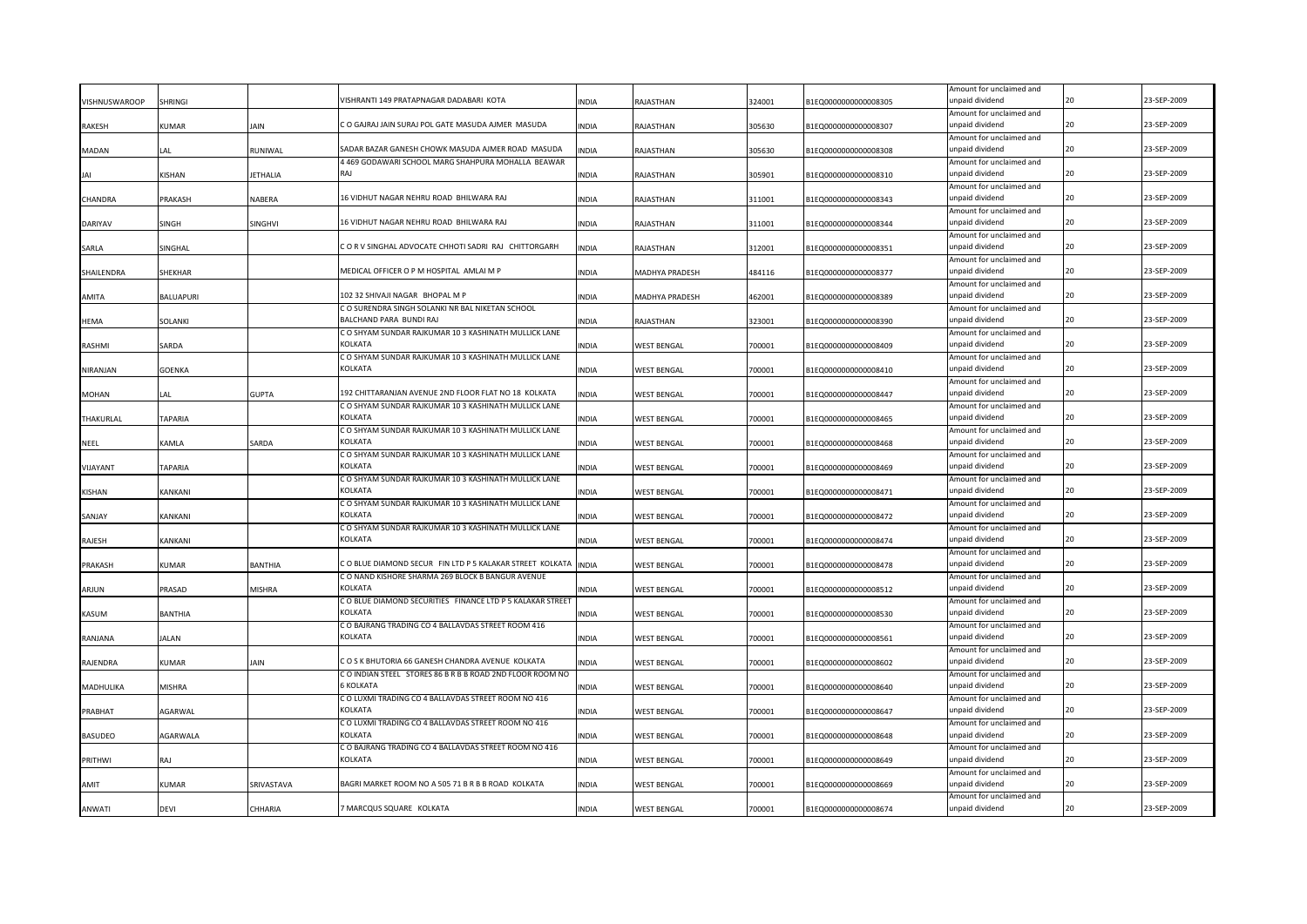|                 |                       |              |                                                                        |              |                    |        |                      | Amount for unclaimed and                    |    |             |
|-----------------|-----------------------|--------------|------------------------------------------------------------------------|--------------|--------------------|--------|----------------------|---------------------------------------------|----|-------------|
| VISHNUSWAROOP   | SHRINGI               |              | VISHRANTI 149 PRATAPNAGAR DADABARI KOTA                                | <b>NDIA</b>  | RAJASTHAN          | 324001 | 31EQ000000000008305  | unpaid dividend                             | 20 | 23-SEP-2009 |
|                 |                       |              |                                                                        |              |                    |        |                      | Amount for unclaimed and                    |    |             |
| <b>RAKESH</b>   | KUMAR                 | JAIN         | C O GAJRAJ JAIN SURAJ POL GATE MASUDA AJMER MASUDA                     | INDIA        | RAJASTHAN          | 305630 | B1EQ0000000000008307 | unpaid dividend                             | 20 | 23-SEP-2009 |
|                 |                       |              | SADAR BAZAR GANESH CHOWK MASUDA AJMER ROAD MASUDA                      |              |                    |        |                      | Amount for unclaimed and                    | 20 | 23-SEP-2009 |
| <b>MADAN</b>    | LAL                   | RUNIWAL      | 4 469 GODAWARI SCHOOL MARG SHAHPURA MOHALLA BEAWAR                     | INDIA        | RAJASTHAN          | 305630 | B1EQ0000000000008308 | unpaid dividend                             |    |             |
| JAI             | KISHAN                | ETHALIA      | RAI                                                                    | <b>INDIA</b> | RAJASTHAN          | 305901 | B1EQ0000000000008310 | Amount for unclaimed and<br>unpaid dividend | 20 | 23-SEP-2009 |
|                 |                       |              |                                                                        |              |                    |        |                      | Amount for unclaimed and                    |    |             |
| CHANDRA         | PRAKASH               | VABERA       | 16 VIDHUT NAGAR NEHRU ROAD BHILWARA RAJ                                | INDIA        | RAJASTHAN          | 311001 | B1EQ0000000000008343 | unpaid dividend                             | 20 | 23-SEP-2009 |
|                 |                       |              |                                                                        |              |                    |        |                      | Amount for unclaimed and                    |    |             |
| <b>DARIYAV</b>  | SINGH                 | SINGHVI      | 16 VIDHUT NAGAR NEHRU ROAD BHILWARA RAJ                                | INDIA        | RAJASTHAN          | 311001 | B1EQ0000000000008344 | unpaid dividend                             | 20 | 23-SEP-2009 |
|                 |                       |              |                                                                        |              |                    |        |                      | Amount for unclaimed and                    |    |             |
| SARLA           | SINGHAL               |              | CORV SINGHAL ADVOCATE CHHOTI SADRI RAJ CHITTORGARH                     | <b>INDIA</b> | RAJASTHAN          | 312001 | B1EQ0000000000008351 | unpaid dividend                             | 20 | 23-SEP-2009 |
|                 |                       |              |                                                                        |              |                    |        |                      | Amount for unclaimed and                    |    |             |
| SHAILENDRA      | SHEKHAR               |              | MEDICAL OFFICER O P M HOSPITAL AMLAI M P                               | <b>INDIA</b> | MADHYA PRADESH     | 484116 | B1EQ0000000000008377 | unpaid dividend                             | 20 | 23-SEP-2009 |
|                 |                       |              |                                                                        |              |                    |        |                      | Amount for unclaimed and                    |    |             |
| AMITA           | BALUAPURI             |              | 102 32 SHIVAJI NAGAR BHOPAL M P                                        | INDIA        | MADHYA PRADESH     | 462001 | B1EQ0000000000008389 | unpaid dividend                             | 20 | 23-SEP-2009 |
|                 |                       |              | C O SURENDRA SINGH SOLANKI NR BAL NIKETAN SCHOOL                       |              |                    |        |                      | Amount for unclaimed and                    |    |             |
| <b>HEMA</b>     | SOLANKI               |              | BALCHAND PARA BUNDI RAJ                                                | <b>INDIA</b> | RAJASTHAN          | 323001 | B1EQ0000000000008390 | unpaid dividend                             | 20 | 23-SEP-2009 |
|                 |                       |              | C O SHYAM SUNDAR RAJKUMAR 10 3 KASHINATH MULLICK LANE                  |              |                    |        |                      | Amount for unclaimed and                    |    |             |
| RASHMI          | SARDA                 |              | KOLKATA                                                                | <b>INDIA</b> | <b>WEST BENGAL</b> | 700001 | B1EQ0000000000008409 | unpaid dividend                             | 20 | 23-SEP-2009 |
|                 |                       |              | C O SHYAM SUNDAR RAJKUMAR 10 3 KASHINATH MULLICK LANE                  |              |                    |        |                      | Amount for unclaimed and                    |    |             |
| <b>NIRANJAN</b> | GOENKA                |              | <b>KOLKATA</b>                                                         | <b>INDIA</b> | <b>WEST BENGAL</b> | 700001 | B1EQ0000000000008410 | unpaid dividend                             | 20 | 23-SEP-2009 |
|                 |                       |              |                                                                        |              |                    |        |                      | Amount for unclaimed and                    |    |             |
| <b>MOHAN</b>    | LAL                   | <b>GUPTA</b> | 192 CHITTARANJAN AVENUE 2ND FLOOR FLAT NO 18 KOLKATA                   | <b>INDIA</b> | <b>WEST BENGAL</b> | 700001 | B1EQ0000000000008447 | unpaid dividend                             | 20 | 23-SEP-2009 |
|                 |                       |              | C O SHYAM SUNDAR RAJKUMAR 10 3 KASHINATH MULLICK LANE                  |              |                    |        |                      | Amount for unclaimed and                    |    |             |
| THAKURLAL       | <b>TAPARIA</b>        |              | <b>KOLKATA</b>                                                         | <b>INDIA</b> | WEST BENGAL        | 700001 | B1EQ0000000000008465 | unpaid dividend                             | 20 | 23-SEP-2009 |
|                 |                       |              | C O SHYAM SUNDAR RAJKUMAR 10 3 KASHINATH MULLICK LANE                  |              |                    |        |                      | Amount for unclaimed and                    | 20 |             |
| NEEL            | <b>AMLA</b>           | SARDA        | KOLKATA                                                                | <b>INDIA</b> | WEST BENGAL        | 700001 | B1EQ0000000000008468 | unpaid dividend                             |    | 23-SEP-2009 |
|                 |                       |              | C O SHYAM SUNDAR RAJKUMAR 10 3 KASHINATH MULLICK LANE<br>KOLKATA       |              |                    |        |                      | Amount for unclaimed and<br>unpaid dividend | 20 | 23-SEP-2009 |
| VIJAYANT        | <b>TAPARIA</b>        |              | C O SHYAM SUNDAR RAJKUMAR 10 3 KASHINATH MULLICK LANE                  | <b>INDIA</b> | <b>NEST BENGAL</b> | 700001 | B1EQ0000000000008469 | Amount for unclaimed and                    |    |             |
| KISHAN          | <b><i>CANKANI</i></b> |              | KOLKATA                                                                | <b>INDIA</b> | <b>NEST BENGAL</b> | 700001 | B1EQ0000000000008471 | unpaid dividend                             | 20 | 23-SEP-2009 |
|                 |                       |              | C O SHYAM SUNDAR RAJKUMAR 10 3 KASHINATH MULLICK LANE                  |              |                    |        |                      | Amount for unclaimed and                    |    |             |
| SANJAY          | KANKANI               |              | KOLKATA                                                                | <b>INDIA</b> | WEST BENGAL        | 700001 | B1EQ0000000000008472 | unpaid dividend                             | 20 | 23-SEP-2009 |
|                 |                       |              | C O SHYAM SUNDAR RAJKUMAR 10 3 KASHINATH MULLICK LANE                  |              |                    |        |                      | Amount for unclaimed and                    |    |             |
| RAJESH          | <b><i>CANKANI</i></b> |              | KOLKATA                                                                | <b>INDIA</b> | WEST BENGAL        | 700001 | B1EQ0000000000008474 | unpaid dividend                             | 20 | 23-SEP-2009 |
|                 |                       |              |                                                                        |              |                    |        |                      | Amount for unclaimed and                    |    |             |
| PRAKASH         | <b>UMAR</b>           | BANTHIA      | CO BLUE DIAMOND SECUR FIN LTD P 5 KALAKAR STREET KOLKATA               | <b>INDIA</b> | <b>NEST BENGAL</b> | 700001 | B1EQ0000000000008478 | unpaid dividend                             | 2Ω | 23-SEP-2009 |
|                 |                       |              | C O NAND KISHORE SHARMA 269 BLOCK B BANGUR AVENUE                      |              |                    |        |                      | Amount for unclaimed and                    |    |             |
| ARJUN           | PRASAD                | MISHRA       | KOLKATA                                                                | <b>INDIA</b> | <b>NEST BENGAL</b> | 700001 | B1EQ0000000000008512 | unpaid dividend                             | 20 | 23-SEP-2009 |
|                 |                       |              | C O BLUE DIAMOND SECURITIES FINANCE LTD P 5 KALAKAR STREET             |              |                    |        |                      | Amount for unclaimed and                    |    |             |
| KASUM           | BANTHIA               |              | KOLKATA                                                                | INDIA        | WEST BENGAL        | 700001 | B1EQ0000000000008530 | unpaid dividend                             |    | 23-SEP-2009 |
|                 |                       |              | C O BAJRANG TRADING CO 4 BALLAVDAS STREET ROOM 416                     |              |                    |        |                      | Amount for unclaimed and                    |    |             |
| RANJANA         | <b>IALAN</b>          |              | KOLKATA                                                                | INDIA        | <b>NEST BENGAL</b> | 700001 | B1EQ0000000000008561 | unpaid dividend                             |    | 23-SEP-2009 |
|                 |                       |              | COSK BHUTORIA 66 GANESH CHANDRA AVENUE KOLKATA                         |              |                    |        |                      | Amount for unclaimed and                    |    |             |
| RAJENDRA        | KUMAR                 | JAIN         |                                                                        | <b>INDIA</b> | <b>NEST BENGAL</b> | 700001 | B1EQ0000000000008602 | unpaid dividend                             |    | 23-SEP-2009 |
|                 |                       |              | C O INDIAN STEEL STORES 86 B R B B ROAD 2ND FLOOR ROOM NO<br>6 KOLKATA |              |                    |        |                      | Amount for unclaimed and<br>unpaid dividend |    | 23-SEP-2009 |
| MADHULIKA       | MISHRA                |              | C O LUXMI TRADING CO 4 BALLAVDAS STREET ROOM NO 416                    | INDIA        | WEST BENGAL        | 700001 | B1EQ0000000000008640 |                                             |    |             |
| PRABHAT         | AGARWAL               |              | KOLKATA                                                                | INDIA        | <b>NEST BENGAL</b> | 700001 | B1FO0000000000008647 | Amount for unclaimed and<br>unpaid dividend |    | 23-SEP-2009 |
|                 |                       |              | C O LUXMI TRADING CO 4 BALLAVDAS STREET ROOM NO 416                    |              |                    |        |                      | Amount for unclaimed and                    |    |             |
| <b>BASUDEO</b>  | AGARWALA              |              | KOLKATA                                                                | INDIA        | <b>NEST BENGAL</b> | 700001 | B1EQ0000000000008648 | unpaid dividend                             |    | 23-SEP-2009 |
|                 |                       |              | C O BAJRANG TRADING CO 4 BALLAVDAS STREET ROOM NO 416                  |              |                    |        |                      | Amount for unclaimed and                    |    |             |
| PRITHWI         | ł٨                    |              | KOLKATA                                                                | <b>INDIA</b> | <b>NEST BENGAL</b> | 700001 | B1EQ0000000000008649 | unpaid dividend                             |    | 23-SEP-2009 |
|                 |                       |              |                                                                        |              |                    |        |                      | Amount for unclaimed and                    |    |             |
| <b>AMIT</b>     | <b>UMAR</b>           | SRIVASTAVA   | BAGRI MARKET ROOM NO A 505 71 B R B B ROAD KOLKATA                     | <b>INDIA</b> | <b>NEST BENGAL</b> | 700001 | B1EQ0000000000008669 | unpaid dividend                             | 20 | 23-SEP-2009 |
|                 |                       |              |                                                                        |              |                    |        |                      | Amount for unclaimed and                    |    |             |
| ANWATI          | DEVI                  | CHHARIA      | 7 MARCQUS SQUARE KOLKATA                                               | <b>INDIA</b> | <b>WEST BENGAL</b> | 700001 | B1EQ0000000000008674 | unpaid dividend                             | 20 | 23-SEP-2009 |
|                 |                       |              |                                                                        |              |                    |        |                      |                                             |    |             |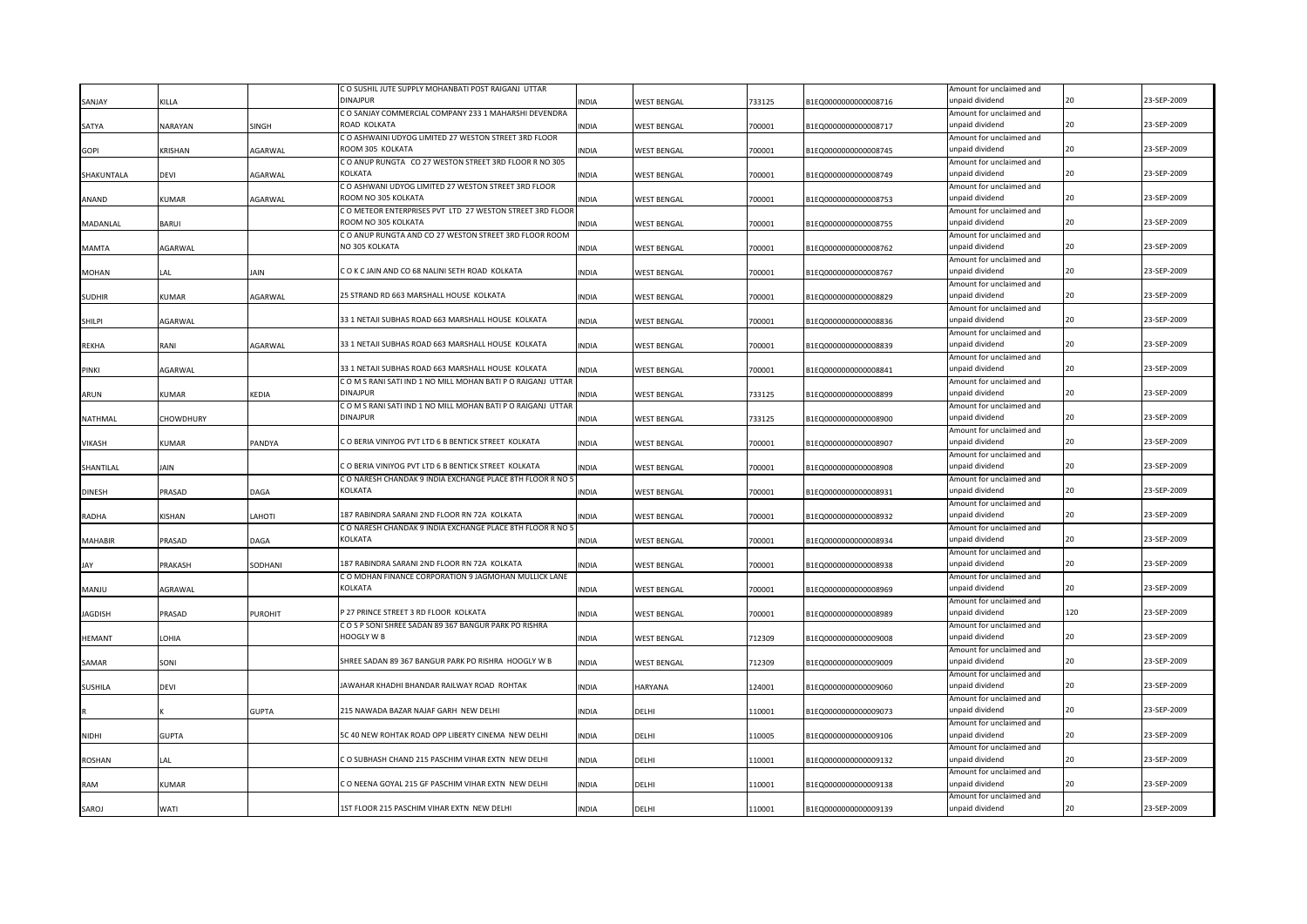|                |               |         | C O SUSHIL JUTE SUPPLY MOHANBATI POST RAIGANJ UTTAR              |              |                           |        |                      | Amount for unclaimed and                    |     |             |
|----------------|---------------|---------|------------------------------------------------------------------|--------------|---------------------------|--------|----------------------|---------------------------------------------|-----|-------------|
| SANJAY         | KILLA         |         | DINAJPUR                                                         | INDIA        | <b>NEST BENGAL</b>        | 733125 | B1EQ0000000000008716 | unpaid dividend                             | 20  | 23-SEP-2009 |
|                |               |         | C O SANJAY COMMERCIAL COMPANY 233 1 MAHARSHI DEVENDRA            |              |                           |        |                      | Amount for unclaimed and                    |     |             |
| SATYA          | NARAYAN       | SINGH   | ROAD KOLKATA                                                     | INDIA        | <b>NEST BENGAL</b>        | 700001 | B1EQ0000000000008717 | unpaid dividend                             | 20  | 23-SEP-2009 |
|                |               |         | C O ASHWAINI UDYOG LIMITED 27 WESTON STREET 3RD FLOOR            |              |                           |        |                      | Amount for unclaimed and                    |     |             |
| <b>GOPI</b>    | KRISHAN       | AGARWAL | ROOM 305 KOLKATA                                                 | <b>INDIA</b> | <b>NEST BENGAL</b>        | 700001 | B1EQ0000000000008745 | unpaid dividend                             | 20  | 23-SEP-2009 |
|                |               |         | C O ANUP RUNGTA CO 27 WESTON STREET 3RD FLOOR R NO 305           |              |                           |        |                      | Amount for unclaimed and                    |     |             |
| SHAKUNTALA     | DEVI          | AGARWAL | KOLKATA                                                          | INDIA        | <b>NEST BENGAL</b>        | 700001 | B1EQ0000000000008749 | unpaid dividend                             | 20  | 23-SEP-2009 |
|                |               |         | C O ASHWANI UDYOG LIMITED 27 WESTON STREET 3RD FLOOR             |              |                           |        |                      | Amount for unclaimed and                    |     |             |
| ANAND          | KUMAR         | AGARWAL | ROOM NO 305 KOLKATA                                              | <b>INDIA</b> | <b>NEST BENGAL</b>        | 700001 | B1EQ0000000000008753 | unpaid dividend                             | 20  | 23-SEP-2009 |
|                |               |         | C O METEOR ENTERPRISES PVT LTD 27 WESTON STREET 3RD FLOOR        |              |                           |        |                      | Amount for unclaimed and                    |     |             |
| MADANLAL       | BARUI         |         | ROOM NO 305 KOLKATA                                              | <b>NDIA</b>  | <b>NEST BENGAL</b>        | 700001 | B1EQ0000000000008755 | unpaid dividend                             | 20  | 23-SEP-2009 |
|                |               |         | C O ANUP RUNGTA AND CO 27 WESTON STREET 3RD FLOOR ROOM           |              |                           |        |                      | Amount for unclaimed and                    |     |             |
| MAMTA          | <b>GARWAL</b> |         | NO 305 KOLKATA                                                   | INDIA        | <b>NEST BENGAL</b>        | 700001 | B1EQ0000000000008762 | unpaid dividend                             | 20  | 23-SEP-2009 |
|                |               |         |                                                                  |              |                           |        |                      | Amount for unclaimed and                    |     |             |
| <b>MOHAN</b>   | LAL           | JAIN    | COK CJAIN AND CO 68 NALINI SETH ROAD KOLKATA                     | INDIA        | <b>NEST BENGAL</b>        | 700001 | B1EQ0000000000008767 | unpaid dividend                             | 20  | 23-SEP-2009 |
|                |               |         |                                                                  |              |                           |        |                      | Amount for unclaimed and                    |     |             |
| <b>SUDHIR</b>  | <b>KUMAR</b>  | AGARWAL | 25 STRAND RD 663 MARSHALL HOUSE KOLKATA                          | INDIA        | <b>NEST BENGAL</b>        | 700001 | B1EQ0000000000008829 | unpaid dividend                             | 20  | 23-SEP-2009 |
|                |               |         |                                                                  |              |                           |        |                      | Amount for unclaimed and                    |     |             |
| SHILPI         | AGARWAL       |         | 33 1 NETAJI SUBHAS ROAD 663 MARSHALL HOUSE KOLKATA               | <b>INDIA</b> | WEST BENGAL               | 700001 | B1EQ0000000000008836 | unpaid dividend                             | 20  | 23-SEP-2009 |
|                |               |         |                                                                  |              |                           |        |                      | Amount for unclaimed and                    |     |             |
| <b>REKHA</b>   | RANI          | AGARWAL | 33 1 NETAJI SUBHAS ROAD 663 MARSHALL HOUSE KOLKATA               | <b>INDIA</b> | <b>NEST BENGAL</b>        | 700001 | B1EQ0000000000008839 | unpaid dividend                             | 20  | 23-SEP-2009 |
|                |               |         |                                                                  |              |                           |        |                      | Amount for unclaimed and                    |     |             |
| PINKI          | AGARWAL       |         | 33 1 NETAJI SUBHAS ROAD 663 MARSHALL HOUSE KOLKATA               | <b>INDIA</b> | WEST BENGAL               | 700001 | B1EQ0000000000008841 | unpaid dividend                             | 20  | 23-SEP-2009 |
|                |               |         | COMS RANI SATI IND 1 NO MILL MOHAN BATI PO RAIGANJ UTTAR         |              |                           |        |                      | Amount for unclaimed and                    |     |             |
| ARUN           | <b>KUMAR</b>  | KEDIA   | <b>DINAJPUR</b>                                                  | <b>INDIA</b> | WEST BENGAL               | 733125 | B1EQ0000000000008899 | unpaid dividend                             | 20  | 23-SEP-2009 |
|                |               |         | COMS RANI SATI IND 1 NO MILL MOHAN BATI PO RAIGANJ UTTAR         |              |                           |        |                      | Amount for unclaimed and                    |     |             |
| <b>NATHMAL</b> | CHOWDHURY     |         | <b>DINAJPUR</b>                                                  | <b>INDIA</b> | <b>WEST BENGAL</b>        | 733125 | B1EQ0000000000008900 | inpaid dividend                             | 20  | 23-SEP-2009 |
|                |               |         |                                                                  |              |                           |        |                      | Amount for unclaimed and                    |     |             |
| <b>VIKASH</b>  | <b>KUMAR</b>  | PANDYA  | C O BERIA VINIYOG PVT LTD 6 B BENTICK STREET KOLKATA             | <b>INDIA</b> | <b>WEST BENGAL</b>        | 700001 | B1EQ0000000000008907 | unpaid dividend                             | 20  | 23-SEP-2009 |
|                |               |         |                                                                  |              |                           |        |                      | Amount for unclaimed and                    |     |             |
| SHANTILAL      | JAIN          |         | C O BERIA VINIYOG PVT LTD 6 B BENTICK STREET KOLKATA             | <b>INDIA</b> | <b>WEST BENGAL</b>        | 700001 | B1EQ0000000000008908 | unpaid dividend                             | 20  | 23-SEP-2009 |
|                |               |         | C O NARESH CHANDAK 9 INDIA EXCHANGE PLACE 8TH FLOOR R NO 5       |              |                           |        |                      | Amount for unclaimed and                    |     |             |
| <b>DINESH</b>  | PRASAD        | DAGA    | KOLKATA                                                          | <b>INDIA</b> | <b>WEST BENGAL</b>        | 700001 | B1EQ0000000000008931 | unpaid dividend                             | 20  | 23-SEP-2009 |
|                |               |         |                                                                  |              |                           |        |                      | Amount for unclaimed and                    |     |             |
| <b>RADHA</b>   | KISHAN        | LAHOTI  | 187 RABINDRA SARANI 2ND FLOOR RN 72A KOLKATA                     | INDIA        | WEST BENGAL               | 700001 | B1EQ0000000000008932 | unpaid dividend                             | 20  | 23-SEP-2009 |
|                |               |         | C O NARESH CHANDAK 9 INDIA EXCHANGE PLACE 8TH FLOOR R NO 5       |              |                           |        |                      | Amount for unclaimed and                    |     |             |
| <b>MAHABIR</b> | PRASAD        | DAGA    | KOLKATA                                                          | <b>INDIA</b> | <b>WEST BENGAL</b>        | 700001 | B1EQ0000000000008934 | unpaid dividend                             | 20  | 23-SEP-2009 |
|                |               |         |                                                                  |              |                           |        |                      | Amount for unclaimed and                    |     |             |
| JAY            | PRAKASH       | SODHANI | 187 RABINDRA SARANI 2ND FLOOR RN 72A KOLKATA                     | <b>INDIA</b> | <b>NEST BENGAL</b>        | 700001 | B1EQ0000000000008938 | unpaid dividend                             | 20  | 23-SEP-2009 |
|                |               |         | C O MOHAN FINANCE CORPORATION 9 JAGMOHAN MULLICK LANE            |              |                           |        |                      | Amount for unclaimed and                    |     |             |
| MANJU          | AGRAWAL       |         | KOLKATA                                                          | <b>INDIA</b> | <b>NEST BENGAL</b>        | 700001 | B1EQ0000000000008969 | unpaid dividend                             |     | 23-SEP-2009 |
|                |               |         | 27 PRINCE STREET 3 RD FLOOR KOLKATA                              |              |                           |        |                      | Amount for unclaimed and                    | 120 | 23-SEP-2009 |
| <b>JAGDISH</b> | PRASAD        | PUROHIT |                                                                  | INDIA        | <b><i>NEST BENGAL</i></b> | 700001 | B1EQ0000000000008989 | unpaid dividend                             |     |             |
|                |               |         | COSP SONI SHREE SADAN 89 367 BANGUR PARK PO RISHRA<br>HOOGLY W B |              |                           |        |                      | Amount for unclaimed and<br>unpaid dividend | 20  | 23-SEP-2009 |
| <b>HEMANT</b>  | LOHIA         |         |                                                                  | <b>INDIA</b> | <b><i>NEST BENGAL</i></b> | 712309 | B1EQ0000000000009008 | Amount for unclaimed and                    |     |             |
| SAMAR          | SONI          |         | HREE SADAN 89 367 BANGUR PARK PO RISHRA HOOGLY W B               | INDIA        |                           | 712309 | B1EQ0000000000009009 | unpaid dividend                             |     | 23-SEP-2009 |
|                |               |         |                                                                  |              | <b><i>NEST BENGAL</i></b> |        |                      | Amount for unclaimed and                    |     |             |
| <b>SUSHILA</b> | devi          |         | AWAHAR KHADHI BHANDAR RAILWAY ROAD ROHTAK                        | INDIA        | <b>HARYANA</b>            | 124001 | B1EQ0000000000009060 | unpaid dividend                             |     | 23-SEP-2009 |
|                |               |         |                                                                  |              |                           |        |                      | Amount for unclaimed and                    |     |             |
|                |               | GUPTA   | 215 NAWADA BAZAR NAJAF GARH NEW DELHI                            | INDIA        | DELHI                     | 10001  | B1EQ0000000000009073 | unpaid dividend                             |     | 23-SEP-2009 |
|                |               |         |                                                                  |              |                           |        |                      | Amount for unclaimed and                    |     |             |
| <b>NIDHI</b>   | <b>GUPTA</b>  |         | 5C 40 NEW ROHTAK ROAD OPP LIBERTY CINEMA NEW DELHI               | <b>INDIA</b> | DELHI                     | 110005 | B1EQ0000000000009106 | unpaid dividend                             |     | 23-SEP-2009 |
|                |               |         |                                                                  |              |                           |        |                      | Amount for unclaimed and                    |     |             |
| <b>ROSHAN</b>  | LAL           |         | CO SUBHASH CHAND 215 PASCHIM VIHAR EXTN NEW DELHI                | <b>INDIA</b> | DELHI                     | 110001 | B1EQ0000000000009132 | unpaid dividend                             |     | 23-SEP-2009 |
|                |               |         |                                                                  |              |                           |        |                      | Amount for unclaimed and                    |     |             |
| RAM            | KUMAR         |         | CO NEENA GOYAL 215 GF PASCHIM VIHAR EXTN NEW DELHI               | <b>INDIA</b> | DELHI                     | 110001 | B1EQ0000000000009138 | unpaid dividend                             |     | 23-SEP-2009 |
|                |               |         |                                                                  |              |                           |        |                      | Amount for unclaimed and                    |     |             |
| SAROJ          | WATI          |         | 1ST FLOOR 215 PASCHIM VIHAR EXTN NEW DELHI                       | <b>INDIA</b> | DELHI                     | 110001 | B1EQ0000000000009139 | unpaid dividend                             |     | 23-SEP-2009 |
|                |               |         |                                                                  |              |                           |        |                      |                                             |     |             |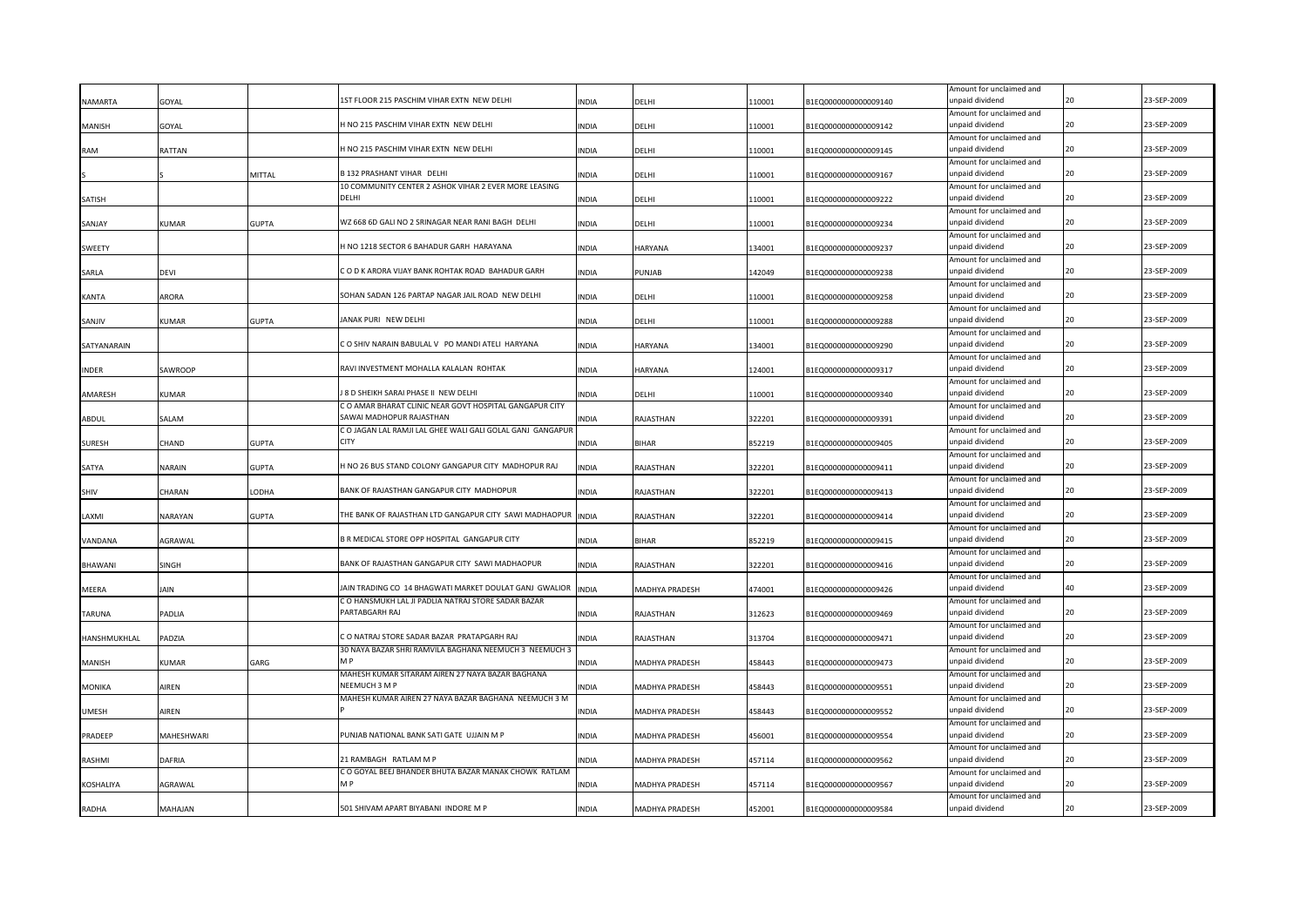| 1ST FLOOR 215 PASCHIM VIHAR EXTN NEW DELHI<br>NAMARTA<br>110001<br>B1EQ0000000000009140<br>GOYAL<br><b>INDIA</b><br>DFLHI<br>H NO 215 PASCHIM VIHAR EXTN NEW DELHI<br><b>MANISH</b><br>GOYAL<br><b>INDIA</b><br>DELHI<br>110001<br>B1EQ0000000000009142 | unpaid dividend<br>Amount for unclaimed and<br>unpaid dividend<br>Amount for unclaimed and |    | 23-SEP-2009 |
|---------------------------------------------------------------------------------------------------------------------------------------------------------------------------------------------------------------------------------------------------------|--------------------------------------------------------------------------------------------|----|-------------|
|                                                                                                                                                                                                                                                         |                                                                                            |    |             |
|                                                                                                                                                                                                                                                         |                                                                                            |    | 23-SEP-2009 |
|                                                                                                                                                                                                                                                         |                                                                                            |    |             |
| H NO 215 PASCHIM VIHAR EXTN NEW DELHI<br>RATTAN<br><b>INDIA</b><br>DELHI<br>110001<br>B1EQ0000000000009145<br><b>RAM</b>                                                                                                                                | unpaid dividend                                                                            |    | 23-SEP-2009 |
|                                                                                                                                                                                                                                                         | Amount for unclaimed and                                                                   |    |             |
| <b>B 132 PRASHANT VIHAR DELHI</b><br>MITTAL<br><b>INDIA</b><br>DELHI<br>110001<br>B1EQ0000000000009167                                                                                                                                                  | unpaid dividend                                                                            | 20 | 23-SEP-2009 |
| 10 COMMUNITY CENTER 2 ASHOK VIHAR 2 EVER MORE LEASING<br>DFLHI                                                                                                                                                                                          | Amount for unclaimed and                                                                   |    | 23-SEP-2009 |
| <b>SATISH</b><br><b>INDIA</b><br>DELHI<br>110001<br>B1EQ0000000000009222                                                                                                                                                                                | unpaid dividend<br>Amount for unclaimed and                                                |    |             |
| WZ 668 6D GALI NO 2 SRINAGAR NEAR RANI BAGH DELHI<br><b>GUPTA</b><br>SANJAY<br>KUMAR<br>INDIA<br>DELHI<br>110001<br>B1EQ0000000000009234                                                                                                                | unpaid dividend                                                                            |    | 23-SEP-2009 |
|                                                                                                                                                                                                                                                         | Amount for unclaimed and                                                                   |    |             |
| HNO 1218 SECTOR 6 BAHADUR GARH HARAYANA<br>134001<br>SWEETY<br><b>INDIA</b><br>HARYANA<br>B1EQ0000000000009237                                                                                                                                          | unpaid dividend                                                                            |    | 23-SEP-2009 |
|                                                                                                                                                                                                                                                         | Amount for unclaimed and                                                                   |    |             |
| COD K ARORA VIJAY BANK ROHTAK ROAD BAHADUR GARH<br>142049<br>B1EQ0000000000009238<br>SARLA<br>devi<br><b>INDIA</b><br>PUNJAB                                                                                                                            | unpaid dividend                                                                            | 20 | 23-SEP-2009 |
|                                                                                                                                                                                                                                                         | Amount for unclaimed and                                                                   |    |             |
| SOHAN SADAN 126 PARTAP NAGAR JAIL ROAD NEW DELHI<br>DELHI<br>B1EQ0000000000009258<br>ARORA<br><b>INDIA</b><br>110001<br>KANTA                                                                                                                           | unpaid dividend                                                                            |    | 23-SEP-2009 |
|                                                                                                                                                                                                                                                         | Amount for unclaimed and                                                                   | 20 | 23-SEP-2009 |
| JANAK PURI NEW DELHI<br>SANJIV<br><b>GUPTA</b><br><b>INDIA</b><br>DELHI<br>110001<br>KUMAR<br>B1EQ0000000000009288                                                                                                                                      | unpaid dividend                                                                            |    |             |
| CO SHIV NARAIN BABULAL V PO MANDI ATELI HARYANA<br>SATYANARAIN<br><b>INDIA</b><br><b>HARYANA</b><br>134001<br>B1EQ0000000000009290                                                                                                                      | Amount for unclaimed and<br>unpaid dividend                                                | 20 | 23-SEP-2009 |
|                                                                                                                                                                                                                                                         | Amount for unclaimed and                                                                   |    |             |
| RAVI INVESTMENT MOHALLA KALALAN ROHTAK<br><b>INDER</b><br>SAWROOP<br><b>INDIA</b><br><b>HARYANA</b><br>124001<br>B1EQ0000000000009317                                                                                                                   | unpaid dividend                                                                            | 20 | 23-SEP-2009 |
|                                                                                                                                                                                                                                                         | Amount for unclaimed and                                                                   |    |             |
| J 8 D SHEIKH SARAI PHASE II NEW DELHI<br>AMARESH<br>KUMAR<br><b>INDIA</b><br>DELHI<br>110001<br>B1EQ0000000000009340                                                                                                                                    | unpaid dividend                                                                            |    | 23-SEP-2009 |
| C O AMAR BHARAT CLINIC NEAR GOVT HOSPITAL GANGAPUR CITY                                                                                                                                                                                                 | Amount for unclaimed and                                                                   |    |             |
| SAWAI MADHOPUR RAJASTHAN<br>ABDUL<br>SALAM<br><b>INDIA</b><br>RAJASTHAN<br>322201<br>B1EQ0000000000009391                                                                                                                                               | unpaid dividend                                                                            | 20 | 23-SEP-2009 |
| C O JAGAN LAL RAMJI LAL GHEE WALI GALI GOLAL GANJ GANGAPUR                                                                                                                                                                                              | Amount for unclaimed and                                                                   |    |             |
| CITY<br><b>SURESH</b><br>CHAND<br><b>GUPTA</b><br>INDIA<br><b>BIHAR</b><br>852219<br>B1EQ0000000000009405                                                                                                                                               | unpaid dividend                                                                            |    | 23-SEP-2009 |
|                                                                                                                                                                                                                                                         | Amount for unclaimed and                                                                   |    |             |
| HNO 26 BUS STAND COLONY GANGAPUR CITY MADHOPUR RAJ<br><b>GUPTA</b><br>322201<br>SATYA<br>NARAIN<br><b>INDIA</b><br>RAJASTHAN<br>B1EQ0000000000009411                                                                                                    | unpaid dividend<br>Amount for unclaimed and                                                |    | 23-SEP-2009 |
| BANK OF RAJASTHAN GANGAPUR CITY MADHOPUR<br>CHARAN<br>LODHA<br><b>INDIA</b><br>RAJASTHAN<br>322201<br>SHIV<br>B1EQ0000000000009413                                                                                                                      | unpaid dividend                                                                            |    | 23-SEP-2009 |
|                                                                                                                                                                                                                                                         | Amount for unclaimed and                                                                   |    |             |
| THE BANK OF RAJASTHAN LTD GANGAPUR CITY SAWI MADHAOPUR<br>LAXMI<br><b>GUPTA</b><br><b>INDIA</b><br>RAJASTHAN<br>322201<br>NARAYAN<br>B1EQ0000000000009414                                                                                               | unpaid dividend                                                                            |    | 23-SEP-2009 |
|                                                                                                                                                                                                                                                         | Amount for unclaimed and                                                                   |    |             |
| B R MEDICAL STORE OPP HOSPITAL GANGAPUR CITY<br>VANDANA<br>AGRAWAL<br><b>INDIA</b><br><b>BIHAR</b><br>852219<br>B1EQ0000000000009415                                                                                                                    | unpaid dividend                                                                            |    | 23-SEP-2009 |
|                                                                                                                                                                                                                                                         | Amount for unclaimed and                                                                   |    |             |
| BANK OF RAJASTHAN GANGAPUR CITY SAWI MADHAOPUR<br><b>BHAWANI</b><br>SINGH<br><b>INDIA</b><br>RAJASTHAN<br>322201<br>B1EQ0000000000009416                                                                                                                | unpaid dividend                                                                            |    | 23-SEP-2009 |
|                                                                                                                                                                                                                                                         | Amount for unclaimed and                                                                   |    |             |
| JAIN TRADING CO 14 BHAGWATI MARKET DOULAT GANJ GWALIOR<br>MEERA<br>IAIN<br><b>INDIA</b><br>MADHYA PRADESH<br>474001<br>B1EQ0000000000009426                                                                                                             | unpaid dividend                                                                            |    | 23-SEP-2009 |
| C O HANSMUKH LAL JI PADLIA NATRAJ STORE SADAR BAZAR<br>PARTABGARH RAJ                                                                                                                                                                                   | Amount for unclaimed and<br>unpaid dividend                                                |    | 23-SEP-2009 |
| TARUNA<br>Padlia<br>INDIA<br>RAJASTHAN<br>312623<br>B1EQ0000000000009469                                                                                                                                                                                | Amount for unclaimed and                                                                   |    |             |
| CO NATRAJ STORE SADAR BAZAR PRATAPGARH RAJ<br>PADZIA<br>313704<br>B1EQ0000000000009471<br>HANSHMUKHLAL<br>INDIA<br>RAJASTHAN                                                                                                                            | unpaid dividend                                                                            |    | 23-SEP-2009 |
| 30 NAYA BAZAR SHRI RAMVILA BAGHANA NEEMUCH 3 NEEMUCH 3                                                                                                                                                                                                  | Amount for unclaimed and                                                                   |    |             |
| MANISH<br>KUMAR<br>GARG<br>INDIA<br>MADHYA PRADESH<br>458443<br>B1EQ0000000000009473                                                                                                                                                                    | unpaid dividend                                                                            |    | 23-SEP-2009 |
| MAHESH KUMAR SITARAM AIREN 27 NAYA BAZAR BAGHANA                                                                                                                                                                                                        | Amount for unclaimed and                                                                   |    |             |
| NEEMUCH 3 M F<br>B1EQ0000000000009551<br><b>MONIKA</b><br>AIREN<br>MADHYA PRADESH<br>458443<br>INDIA                                                                                                                                                    | unpaid dividend                                                                            |    | 23-SEP-2009 |
| MAHESH KUMAR AIREN 27 NAYA BAZAR BAGHANA NEEMUCH 3 M                                                                                                                                                                                                    | Amount for unclaimed and                                                                   |    |             |
| MADHYA PRADESH<br>B1EQ0000000000009552<br><b>UMESH</b><br>AIREN<br>458443<br>INDIA                                                                                                                                                                      | unpaid dividend                                                                            |    | 23-SEP-2009 |
| PUNJAB NATIONAL BANK SATI GATE UJJAIN M P                                                                                                                                                                                                               | Amount for unclaimed and<br>unpaid dividend                                                | 20 | 23-SEP-2009 |
| PRADEEP<br>MAHESHWARI<br><b>INDIA</b><br>MADHYA PRADESH<br>456001<br>B1EQ0000000000009554                                                                                                                                                               |                                                                                            |    |             |
| 21 RAMBAGH RATLAM M P<br>RASHMI<br>DAFRIA<br><b>INDIA</b><br>MADHYA PRADESH<br>457114<br>B1EQ0000000000009562                                                                                                                                           | Amount for unclaimed and<br>unpaid dividend                                                |    | 23-SEP-2009 |
| C O GOYAL BEEJ BHANDER BHUTA BAZAR MANAK CHOWK RATLAM                                                                                                                                                                                                   | Amount for unclaimed and                                                                   |    |             |
| M P<br>KOSHALIYA<br>AGRAWAL<br><b>INDIA</b><br>MADHYA PRADESH<br>457114<br>B1EQ0000000000009567                                                                                                                                                         | unpaid dividend                                                                            | 20 | 23-SEP-2009 |
|                                                                                                                                                                                                                                                         | Amount for unclaimed and                                                                   |    |             |
| 501 SHIVAM APART BIYABANI INDORE M P<br><b>INDIA</b><br>B1EQ0000000000009584<br>RADHA<br>MAHAJAN<br>MADHYA PRADESH<br>452001                                                                                                                            | unpaid dividend                                                                            | 20 | 23-SEP-2009 |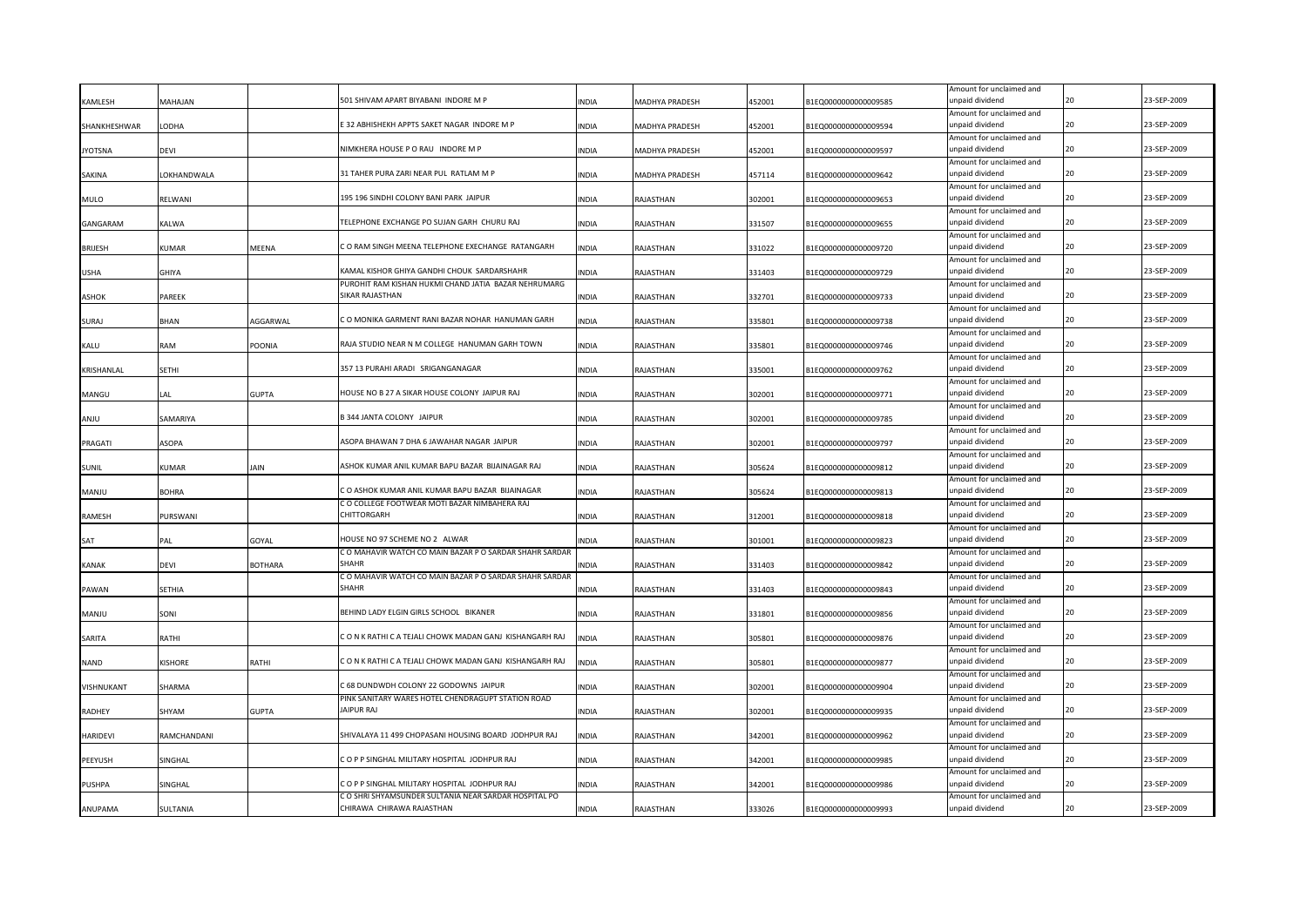| KAMLESH         | MALAHAM      |                | 501 SHIVAM APART BIYABANI INDORE M P                                    | INDIA        | MADHYA PRADESH | 452001 | B1EQ0000000000009585 | Amount for unclaimed and<br>unpaid dividend |    | 23-SEP-2009 |
|-----------------|--------------|----------------|-------------------------------------------------------------------------|--------------|----------------|--------|----------------------|---------------------------------------------|----|-------------|
|                 |              |                |                                                                         |              |                |        |                      | Amount for unclaimed and                    |    |             |
| SHANKHESHWAR    | LODHA        |                | E 32 ABHISHEKH APPTS SAKET NAGAR INDORE M P                             | <b>INDIA</b> | MADHYA PRADESH | 452001 | B1EQ0000000000009594 | unpaid dividend                             | 20 | 23-SEP-2009 |
|                 |              |                |                                                                         |              |                |        |                      | Amount for unclaimed and                    | 20 |             |
| <b>JYOTSNA</b>  | DEVI         |                | NIMKHERA HOUSE P O RAU INDORE M P                                       | <b>INDIA</b> | MADHYA PRADESH | 452001 | B1EQ0000000000009597 | unpaid dividend<br>Amount for unclaimed and |    | 23-SEP-2009 |
| SAKINA          | LOKHANDWALA  |                | 31 TAHER PURA ZARI NEAR PUL RATLAM M P                                  | <b>INDIA</b> | MADHYA PRADESH | 457114 | B1EQ0000000000009642 | unpaid dividend                             | 20 | 23-SEP-2009 |
|                 |              |                |                                                                         |              |                |        |                      | Amount for unclaimed and                    |    |             |
| MULO            | RELWANI      |                | 195 196 SINDHI COLONY BANI PARK JAIPUR                                  | <b>INDIA</b> | RAJASTHAN      | 302001 | B1EQ0000000000009653 | unpaid dividend                             | 20 | 23-SEP-2009 |
|                 |              |                |                                                                         |              |                |        |                      | Amount for unclaimed and                    |    |             |
| GANGARAM        | KALWA        |                | TELEPHONE EXCHANGE PO SUJAN GARH CHURU RAJ                              | <b>INDIA</b> | RAJASTHAN      | 331507 | B1EQ0000000000009655 | unpaid dividend                             | 20 | 23-SEP-2009 |
|                 |              |                | C O RAM SINGH MEENA TELEPHONE EXECHANGE RATANGARH                       |              |                |        |                      | Amount for unclaimed and<br>unpaid dividend | 20 | 23-SEP-2009 |
| <b>BRIJESH</b>  | KUMAR        | MEENA          |                                                                         | <b>INDIA</b> | RAJASTHAN      | 331022 | B1EQ0000000000009720 | Amount for unclaimed and                    |    |             |
| <b>USHA</b>     | GHIYA        |                | KAMAL KISHOR GHIYA GANDHI CHOUK SARDARSHAHR                             | <b>INDIA</b> | RAJASTHAN      | 331403 | B1EQ0000000000009729 | unpaid dividend                             | 20 | 23-SEP-2009 |
|                 |              |                | PUROHIT RAM KISHAN HUKMI CHAND JATIA BAZAR NEHRUMARG                    |              |                |        |                      | Amount for unclaimed and                    |    |             |
| ASHOK           | PAREEK       |                | SIKAR RAJASTHAN                                                         | <b>INDIA</b> | RAJASTHAN      | 332701 | B1EQ0000000000009733 | unpaid dividend                             | 20 | 23-SEP-2009 |
|                 |              |                |                                                                         |              |                |        |                      | Amount for unclaimed and                    |    |             |
| SURAJ           | BHAN         | AGGARWAL       | C O MONIKA GARMENT RANI BAZAR NOHAR HANUMAN GARH                        | <b>INDIA</b> | RAJASTHAN      | 335801 | B1EQ0000000000009738 | unpaid dividend                             | 20 | 23-SEP-2009 |
|                 |              |                |                                                                         |              |                |        |                      | Amount for unclaimed and                    | 20 |             |
| KALU            | RAM          | POONIA         | RAJA STUDIO NEAR N M COLLEGE HANUMAN GARH TOWN                          | <b>INDIA</b> | RAJASTHAN      | 335801 | B1EQ0000000000009746 | unpaid dividend<br>Amount for unclaimed and |    | 23-SEP-2009 |
| KRISHANLAL      | SETHI        |                | 357 13 PURAHI ARADI SRIGANGANAGAR                                       | <b>INDIA</b> | RAJASTHAN      | 335001 | B1EQ0000000000009762 | unpaid dividend                             | 20 | 23-SEP-2009 |
|                 |              |                |                                                                         |              |                |        |                      | Amount for unclaimed and                    |    |             |
| MANGU           | LAL          | <b>GUPTA</b>   | HOUSE NO B 27 A SIKAR HOUSE COLONY JAIPUR RAJ                           | <b>INDIA</b> | RAJASTHAN      | 302001 | B1EQ0000000000009771 | unpaid dividend                             | 20 | 23-SEP-2009 |
|                 |              |                |                                                                         |              |                |        |                      | Amount for unclaimed and                    |    |             |
| ANJU            | SAMARIYA     |                | B 344 JANTA COLONY JAIPUR                                               | <b>INDIA</b> | RAJASTHAN      | 302001 | B1EQ0000000000009785 | unpaid dividend                             | 20 | 23-SEP-2009 |
|                 |              |                |                                                                         |              |                |        |                      | Amount for unclaimed and                    |    |             |
| PRAGATI         | ASOPA        |                | ASOPA BHAWAN 7 DHA 6 JAWAHAR NAGAR JAIPUR                               | <b>INDIA</b> | RAJASTHAN      | 302001 | B1EQ0000000000009797 | unpaid dividend                             | 20 | 23-SEP-2009 |
| <b>SUNIL</b>    | KUMAR        | <b>JAIN</b>    | ASHOK KUMAR ANIL KUMAR BAPU BAZAR BIJAINAGAR RAJ                        | <b>INDIA</b> | RAJASTHAN      | 305624 | B1EQ0000000000009812 | Amount for unclaimed and<br>unpaid dividend |    | 23-SEP-2009 |
|                 |              |                |                                                                         |              |                |        |                      | Amount for unclaimed and                    |    |             |
| <b>MANJU</b>    | <b>BOHRA</b> |                | C O ASHOK KUMAR ANIL KUMAR BAPU BAZAR BIJAINAGAR                        | <b>INDIA</b> | RAJASTHAN      | 305624 | B1EQ0000000000009813 | unpaid dividend                             |    | 23-SEP-2009 |
|                 |              |                | C O COLLEGE FOOTWEAR MOTI BAZAR NIMBAHERA RAJ                           |              |                |        |                      | Amount for unclaimed and                    |    |             |
| RAMESH          | PURSWANI     |                | CHITTORGARH                                                             | <b>INDIA</b> | RAJASTHAN      | 312001 | B1EQ0000000000009818 | unpaid dividend                             |    | 23-SEP-2009 |
|                 |              |                |                                                                         |              |                |        |                      | Amount for unclaimed and                    |    |             |
| SAT             | PAL          | GOYAL          | HOUSE NO 97 SCHEME NO 2 ALWAR                                           | <b>INDIA</b> | RAJASTHAN      | 301001 | B1EQ0000000000009823 | unpaid dividend                             |    | 23-SEP-2009 |
| <b>KANAK</b>    | devi         | <b>BOTHARA</b> | C O MAHAVIR WATCH CO MAIN BAZAR P O SARDAR SHAHR SARDAR<br><b>SHAHR</b> | <b>INDIA</b> | RAJASTHAN      | 331403 | B1EQ0000000000009842 | Amount for unclaimed and<br>unpaid dividend |    | 23-SEP-2009 |
|                 |              |                | C O MAHAVIR WATCH CO MAIN BAZAR P O SARDAR SHAHR SARDAR                 |              |                |        |                      | Amount for unclaimed and                    |    |             |
| PAWAN           | SETHIA       |                | <b>SHAHR</b>                                                            | <b>INDIA</b> | RAJASTHAN      | 331403 | B1EQ0000000000009843 | unpaid dividend                             |    | 23-SEP-2009 |
|                 |              |                |                                                                         |              |                |        |                      | Amount for unclaimed and                    |    |             |
| <b>MANJU</b>    | SONI         |                | BEHIND LADY ELGIN GIRLS SCHOOL BIKANER                                  | <b>INDIA</b> | RAJASTHAN      | 331801 | B1EQ0000000000009856 | unpaid dividend                             |    | 23-SEP-2009 |
|                 |              |                |                                                                         |              |                |        |                      | Amount for unclaimed and                    |    |             |
| SARITA          | RATHI        |                | CONK RATHI CA TEJALI CHOWK MADAN GANJ KISHANGARH RAJ                    | INDIA        | RAJASTHAN      | 305801 | B1EQ0000000000009876 | unpaid dividend                             |    | 23-SEP-2009 |
| NAND            | KISHORE      | RATHI          | C O N K RATHI C A TEJALI CHOWK MADAN GANJ KISHANGARH RAJ                | <b>INDIA</b> | RAJASTHAN      | 305801 | B1EQ0000000000009877 | Amount for unclaimed and<br>unpaid dividend |    | 23-SEP-2009 |
|                 |              |                |                                                                         |              |                |        |                      | Amount for unclaimed and                    |    |             |
| VISHNUKANT      | SHARMA       |                | C 68 DUNDWDH COLONY 22 GODOWNS JAIPUR                                   | INDIA        | RAJASTHAN      | 302001 | B1EQ0000000000009904 | unpaid dividend                             |    | 23-SEP-2009 |
|                 |              |                | PINK SANITARY WARES HOTEL CHENDRAGUPT STATION ROAD                      |              |                |        |                      | Amount for unclaimed and                    |    |             |
| RADHEY          | SHYAM        | <b>GUPTA</b>   | IAIPUR RAI                                                              | INDIA        | RAJASTHAN      | 302001 | B1EQ0000000000009935 | unpaid dividend                             |    | 23-SEP-2009 |
|                 |              |                |                                                                         |              |                |        |                      | Amount for unclaimed and                    |    |             |
| <b>HARIDEVI</b> | RAMCHANDANI  |                | SHIVALAYA 11 499 CHOPASANI HOUSING BOARD JODHPUR RAJ                    | <b>NDIA</b>  | RAJASTHAN      | 342001 | B1EQ0000000000009962 | unpaid dividend                             |    | 23-SEP-2009 |
| PEEYUSH         | SINGHAL      |                | COPP SINGHAL MILITARY HOSPITAL JODHPUR RAJ                              | <b>INDIA</b> | RAJASTHAN      | 342001 | B1EQ0000000000009985 | Amount for unclaimed and<br>unpaid dividend |    | 23-SEP-2009 |
|                 |              |                |                                                                         |              |                |        |                      | Amount for unclaimed and                    |    |             |
| <b>PUSHPA</b>   | SINGHAL      |                | COPP SINGHAL MILITARY HOSPITAL JODHPUR RAJ                              | <b>NDIA</b>  | RAJASTHAN      | 342001 | B1EQ0000000000009986 | unpaid dividend                             |    | 23-SEP-2009 |
|                 |              |                | C O SHRI SHYAMSUNDER SULTANIA NEAR SARDAR HOSPITAL PO                   |              |                |        |                      | Amount for unclaimed and                    |    |             |
| ANUPAMA         | SULTANIA     |                | CHIRAWA CHIRAWA RAJASTHAN                                               | <b>INDIA</b> | RAJASTHAN      | 333026 | B1EQ0000000000009993 | unpaid dividend                             |    | 23-SEP-2009 |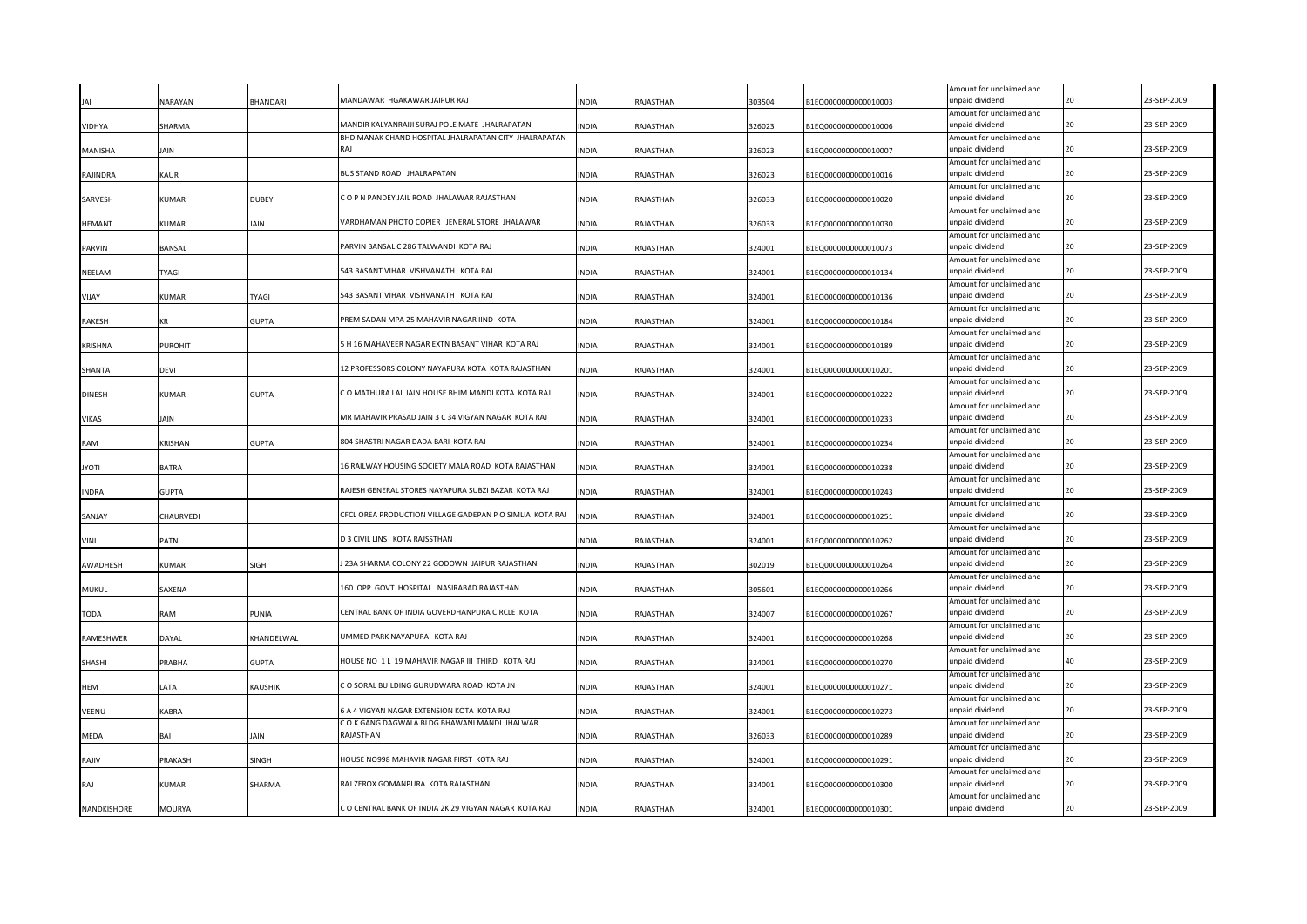|                |                |                | MANDAWAR HGAKAWAR JAIPUR RAJ                             |              |           |        |                      | Amount for unclaimed and                    |    | 23-SEP-2009 |
|----------------|----------------|----------------|----------------------------------------------------------|--------------|-----------|--------|----------------------|---------------------------------------------|----|-------------|
|                | <b>NARAYAN</b> | <b>HANDARI</b> |                                                          | NDIA         | RAJASTHAN | 303504 | B1EQ0000000000010003 | unpaid dividend<br>Amount for unclaimed and |    |             |
| <b>VIDHYA</b>  | SHARMA         |                | MANDIR KALYANRAIJI SURAJ POLE MATE JHALRAPATAN           | <b>INDIA</b> | RAJASTHAN | 326023 | B1EQ0000000000010006 | unpaid dividend                             | 20 | 23-SEP-2009 |
|                |                |                | BHD MANAK CHAND HOSPITAL JHALRAPATAN CITY JHALRAPATAN    |              |           |        |                      | Amount for unclaimed and                    |    |             |
| MANISHA        | IAIN           |                | RAI                                                      | INDIA        | RAJASTHAN | 326023 | B1EQ0000000000010007 | unpaid dividend                             | 20 | 23-SEP-2009 |
|                |                |                |                                                          |              |           |        |                      | Amount for unclaimed and                    |    |             |
| RAJINDRA       | KAUR           |                | BUS STAND ROAD JHALRAPATAN                               | <b>INDIA</b> | RAJASTHAN | 326023 | B1EQ0000000000010016 | unpaid dividend                             | 20 | 23-SEP-2009 |
|                |                |                | COP N PANDEY JAIL ROAD JHALAWAR RAJASTHAN                |              |           |        |                      | Amount for unclaimed and<br>unpaid dividend |    | 23-SEP-2009 |
| SARVESH        | KUMAR          | <b>DUBEY</b>   |                                                          | INDIA        | RAJASTHAN | 326033 | B1EQ0000000000010020 | Amount for unclaimed and                    |    |             |
| <b>HEMANT</b>  | <b>KUMAR</b>   | iain           | VARDHAMAN PHOTO COPIER JENERAL STORE JHALAWAR            | INDIA        | RAJASTHAN | 326033 | B1EQ0000000000010030 | unpaid dividend                             | 20 | 23-SEP-2009 |
|                |                |                |                                                          |              |           |        |                      | Amount for unclaimed and                    |    |             |
| PARVIN         | BANSAL         |                | PARVIN BANSAL C 286 TALWANDI KOTA RAJ                    | INDIA        | RAJASTHAN | 324001 | B1EQ0000000000010073 | unpaid dividend                             |    | 23-SEP-2009 |
|                |                |                |                                                          |              |           |        |                      | Amount for unclaimed and                    |    |             |
| NEELAM         | TYAGI          |                | 543 BASANT VIHAR VISHVANATH KOTA RAJ                     | <b>INDIA</b> | RAJASTHAN | 324001 | B1EQ0000000000010134 | unpaid dividend                             | 20 | 23-SEP-2009 |
|                |                |                | 543 BASANT VIHAR VISHVANATH KOTA RAJ                     |              |           |        |                      | Amount for unclaimed and<br>unpaid dividend | 20 | 23-SEP-2009 |
| VIJAY          | KUMAR          | TYAGI          |                                                          | INDIA        | RAJASTHAN | 324001 | B1EQ0000000000010136 | Amount for unclaimed and                    |    |             |
| <b>RAKESH</b>  | KR             | <b>GUPTA</b>   | PREM SADAN MPA 25 MAHAVIR NAGAR IIND KOTA                | INDIA        | RAJASTHAN | 324001 | B1EQ0000000000010184 | unpaid dividend                             | 20 | 23-SEP-2009 |
|                |                |                |                                                          |              |           |        |                      | Amount for unclaimed and                    |    |             |
| <b>KRISHNA</b> | <b>PUROHIT</b> |                | 5 H 16 MAHAVEER NAGAR EXTN BASANT VIHAR KOTA RAJ         | <b>INDIA</b> | RAJASTHAN | 324001 | B1EQ0000000000010189 | unpaid dividend                             | 20 | 23-SEP-2009 |
|                |                |                |                                                          |              |           |        |                      | Amount for unclaimed and                    |    |             |
| SHANTA         | <b>DEVI</b>    |                | 12 PROFESSORS COLONY NAYAPURA KOTA KOTA RAJASTHAN        | <b>INDIA</b> | RAJASTHAN | 324001 | B1EQ0000000000010201 | unpaid dividend                             | 20 | 23-SEP-2009 |
|                |                |                | C O MATHURA LAL JAIN HOUSE BHIM MANDI KOTA KOTA RAJ      |              |           |        |                      | Amount for unclaimed and<br>unpaid dividend | 20 | 23-SEP-2009 |
| <b>DINESH</b>  | <b>KUMAR</b>   | <b>GUPTA</b>   |                                                          | <b>INDIA</b> | RAJASTHAN | 324001 | B1EQ0000000000010222 | Amount for unclaimed and                    |    |             |
| VIKAS          | JAIN           |                | MR MAHAVIR PRASAD JAIN 3 C 34 VIGYAN NAGAR KOTA RAJ      | INDIA        | RAJASTHAN | 324001 | B1EQ0000000000010233 | unpaid dividend                             | 20 | 23-SEP-2009 |
|                |                |                |                                                          |              |           |        |                      | Amount for unclaimed and                    |    |             |
| RAM            | KRISHAN        | <b>GUPTA</b>   | 804 SHASTRI NAGAR DADA BARI KOTA RAJ                     | <b>INDIA</b> | RAJASTHAN | 324001 | B1EQ0000000000010234 | unpaid dividend                             | 20 | 23-SEP-2009 |
|                |                |                |                                                          |              |           |        |                      | Amount for unclaimed and                    |    |             |
| <b>ITOYL</b>   | <b>BATRA</b>   |                | 16 RAILWAY HOUSING SOCIETY MALA ROAD KOTA RAJASTHAN      | <b>INDIA</b> | RAJASTHAN | 324001 | B1EQ0000000000010238 | unpaid dividend                             | 20 | 23-SEP-2009 |
|                |                |                | RAJESH GENERAL STORES NAYAPURA SUBZI BAZAR KOTA RAJ      |              |           |        |                      | Amount for unclaimed and<br>unpaid dividend |    | 23-SEP-2009 |
| <b>INDRA</b>   | <b>GUPTA</b>   |                |                                                          | INDIA        | RAJASTHAN | 324001 | B1EQ0000000000010243 | Amount for unclaimed and                    |    |             |
| SANJAY         | CHAURVEDI      |                | CFCL OREA PRODUCTION VILLAGE GADEPAN P O SIMLIA KOTA RAJ | INDIA        | RAJASTHAN | 324001 | B1EQ0000000000010251 | unpaid dividend                             | 20 | 23-SEP-2009 |
|                |                |                |                                                          |              |           |        |                      | Amount for unclaimed and                    |    |             |
| VINI           | PATNI          |                | D 3 CIVIL LINS KOTA RAJSSTHAN                            | INDIA        | RAJASTHAN | 324001 | B1EQ0000000000010262 | unpaid dividend                             |    | 23-SEP-2009 |
|                |                |                |                                                          |              |           |        |                      | Amount for unclaimed and                    |    |             |
| AWADHESH       | KUMAR          | SIGH           | 23A SHARMA COLONY 22 GODOWN JAIPUR RAJASTHAN             | <b>INDIA</b> | RAJASTHAN | 302019 | B1EQ0000000000010264 | unpaid dividend                             |    | 23-SEP-2009 |
|                |                |                | 160 OPP GOVT HOSPITAL NASIRABAD RAJASTHAN                |              |           |        |                      | Amount for unclaimed and                    | 20 | 23-SEP-2009 |
| MUKUL          | SAXENA         |                |                                                          | INDIA        | RAJASTHAN | 305601 | B1EQ0000000000010266 | unpaid dividend<br>Amount for unclaimed and |    |             |
| TODA           | RAM            | PUNIA          | CENTRAL BANK OF INDIA GOVERDHANPURA CIRCLE KOTA          | INDIA        | RAJASTHAN | 324007 | B1EQ0000000000010267 | unpaid dividend                             |    | 23-SEP-2009 |
|                |                |                |                                                          |              |           |        |                      | Amount for unclaimed and                    |    |             |
| RAMESHWER      | <b>DAYAL</b>   | KHANDELWAL     | JMMED PARK NAYAPURA KOTA RAJ                             | INDIA        | RAJASTHAN | 324001 | B1EQ0000000000010268 | unpaid dividend                             |    | 23-SEP-2009 |
|                |                |                |                                                          |              |           |        |                      | Amount for unclaimed and                    |    |             |
| SHASHI         | PRABHA         | GUPTA          | HOUSE NO 1 L 19 MAHAVIR NAGAR III THIRD KOTA RAJ         | INDIA        | RAJASTHAN | 324001 | B1EQ0000000000010270 | unpaid dividend                             |    | 23-SEP-2009 |
|                |                |                | CO SORAL BUILDING GURUDWARA ROAD KOTA JN                 |              |           |        | B1EQ0000000000010271 | Amount for unclaimed and<br>unpaid dividend |    | 23-SEP-2009 |
| HEM            | LATA           | KAUSHIK        |                                                          | INDIA        | RAJASTHAN | 324001 |                      | Amount for unclaimed and                    |    |             |
| VEENU          | KABRA          |                | 5 A 4 VIGYAN NAGAR EXTENSION KOTA KOTA RAJ               | INDIA        | RAJASTHAN | 324001 | B1EQ0000000000010273 | unpaid dividend                             |    | 23-SEP-2009 |
|                |                |                | C O K GANG DAGWALA BLDG BHAWANI MANDI JHALWAR            |              |           |        |                      | Amount for unclaimed and                    |    |             |
| MEDA           | RΔI            | IAIN           | RAJASTHAN                                                | <b>INDIA</b> | RAJASTHAN | 326033 | B1EQ0000000000010289 | unpaid dividend                             |    | 23-SEP-2009 |
|                |                |                |                                                          |              |           |        |                      | Amount for unclaimed and                    |    |             |
| RAJIV          | PRAKASH        | SINGH          | HOUSE NO998 MAHAVIR NAGAR FIRST KOTA RAJ                 | <b>INDIA</b> | RAJASTHAN | 324001 | B1EQ0000000000010291 | inpaid dividend                             |    | 23-SEP-2009 |
| RAJ            | KUMAR          | SHARMA         | RAJ ZEROX GOMANPURA KOTA RAJASTHAN                       | <b>INDIA</b> |           | 324001 | B1EQ0000000000010300 | Amount for unclaimed and<br>inpaid dividend |    | 23-SEP-2009 |
|                |                |                |                                                          |              | RAJASTHAN |        |                      | Amount for unclaimed and                    |    |             |
| NANDKISHORE    | MOURYA         |                | C O CENTRAL BANK OF INDIA 2K 29 VIGYAN NAGAR KOTA RAJ    | <b>NDIA</b>  | RAJASTHAN | 324001 | B1EQ0000000000010301 | unpaid dividend                             |    | 23-SEP-2009 |
|                |                |                |                                                          |              |           |        |                      |                                             |    |             |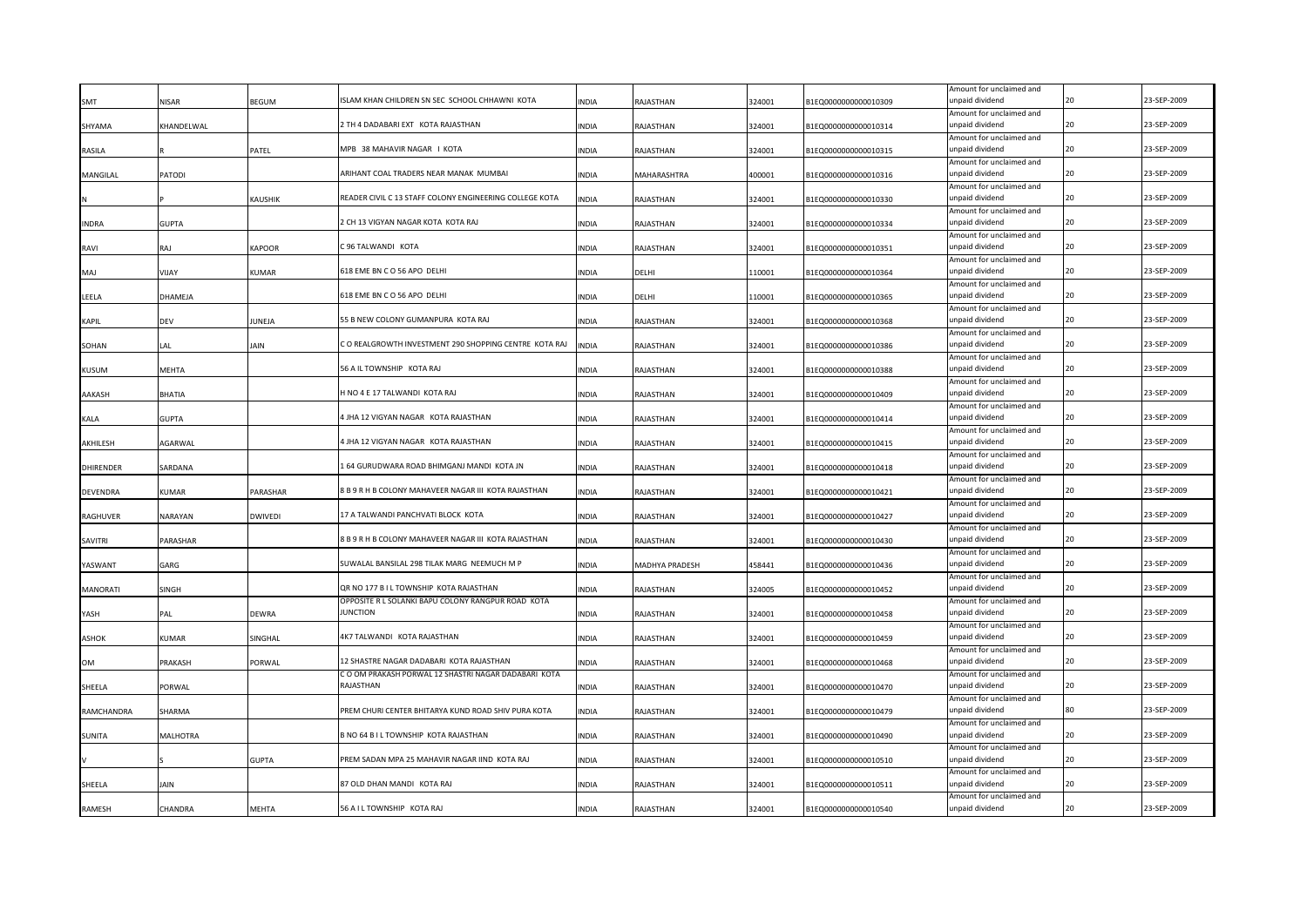| <b>SMT</b>       | <b>NISAR</b> | BEGUM         | ISLAM KHAN CHILDREN SN SEC SCHOOL CHHAWNI KOTA                        | INDIA        | RAJASTHAN      | 324001 | B1EQ0000000000010309 | Amount for unclaimed and<br>unpaid dividend |    | 23-SEP-2009 |
|------------------|--------------|---------------|-----------------------------------------------------------------------|--------------|----------------|--------|----------------------|---------------------------------------------|----|-------------|
| SHYAMA           | KHANDELWAL   |               | 2 TH 4 DADABARI EXT KOTA RAJASTHAN                                    | INDIA        | RAJASTHAN      | 324001 | B1EQ0000000000010314 | Amount for unclaimed and<br>unpaid dividend | 20 | 23-SEP-2009 |
|                  |              |               |                                                                       |              |                |        |                      | Amount for unclaimed and                    |    |             |
| RASILA           |              | PATEL         | MPB 38 MAHAVIR NAGAR I KOTA                                           | INDIA        | RAJASTHAN      | 324001 | B1EQ0000000000010315 | unpaid dividend                             | 20 | 23-SEP-2009 |
| MANGILAL         | PATODI       |               | ARIHANT COAL TRADERS NEAR MANAK MUMBAI                                | INDIA        | MAHARASHTRA    | 400001 | B1EQ0000000000010316 | Amount for unclaimed and<br>unpaid dividend | 20 | 23-SEP-2009 |
|                  |              | KAUSHIK       | READER CIVIL C 13 STAFF COLONY ENGINEERING COLLEGE KOTA               | <b>INDIA</b> | RAJASTHAN      | 324001 | B1EQ0000000000010330 | Amount for unclaimed and<br>unpaid dividend | 20 | 23-SEP-2009 |
| <b>INDRA</b>     | <b>GUPTA</b> |               | 2 CH 13 VIGYAN NAGAR KOTA KOTA RAJ                                    | INDIA        | RAJASTHAN      | 324001 | B1EQ0000000000010334 | Amount for unclaimed and<br>unpaid dividend | 20 | 23-SEP-2009 |
| RAVI             | RAJ          | KAPOOR        | 396 TALWANDI KOTA                                                     | INDIA        | RAJASTHAN      | 324001 | B1EQ0000000000010351 | Amount for unclaimed and<br>unpaid dividend | 20 | 23-SEP-2009 |
| MAJ              | VIJAY        | KUMAR         | 618 EME BN C O 56 APO DELHI                                           | INDIA        | DELHI          | 110001 | B1EQ0000000000010364 | Amount for unclaimed and<br>unpaid dividend | 20 | 23-SEP-2009 |
| LEELA            | DHAMEJA      |               | 618 EME BN C O 56 APO DELHI                                           | <b>INDIA</b> | DELHI          | 110001 | B1EQ0000000000010365 | Amount for unclaimed and<br>unpaid dividend | 20 | 23-SEP-2009 |
| KAPIL            | DEV          | <b>IUNEJA</b> | 55 B NEW COLONY GUMANPURA KOTA RAJ                                    | INDIA        | RAJASTHAN      | 324001 | B1EQ0000000000010368 | Amount for unclaimed and<br>unpaid dividend | 20 | 23-SEP-2009 |
| SOHAN            | LAL          | IAIN          | C O REALGROWTH INVESTMENT 290 SHOPPING CENTRE KOTA RAJ                | <b>INDIA</b> | RAJASTHAN      | 324001 | B1EQ0000000000010386 | Amount for unclaimed and<br>unpaid dividend | 20 | 23-SEP-2009 |
| KUSUM            | MEHTA        |               | 56 A IL TOWNSHIP KOTA RAJ                                             | INDIA        | RAJASTHAN      | 324001 | B1EQ0000000000010388 | Amount for unclaimed and<br>unpaid dividend | 20 | 23-SEP-2009 |
| AAKASH           | BHATIA       |               | H NO 4 E 17 TALWANDI KOTA RAJ                                         | INDIA        | RAJASTHAN      | 324001 | B1EQ0000000000010409 | Amount for unclaimed and<br>unpaid dividend | 20 | 23-SEP-2009 |
| KALA             | <b>GUPTA</b> |               | 1 JHA 12 VIGYAN NAGAR KOTA RAJASTHAN                                  | INDIA        | RAJASTHAN      | 324001 | B1EQ0000000000010414 | Amount for unclaimed and<br>unpaid dividend | 20 | 23-SEP-2009 |
| AKHILESH         | AGARWAL      |               | 1 JHA 12 VIGYAN NAGAR KOTA RAJASTHAN                                  | <b>INDIA</b> | RAJASTHAN      | 324001 | B1EQ0000000000010415 | Amount for unclaimed and<br>unpaid dividend | 20 | 23-SEP-2009 |
| <b>DHIRENDER</b> | SARDANA      |               | L 64 GURUDWARA ROAD BHIMGANJ MANDI KOTA JN                            | INDIA        | RAJASTHAN      | 324001 | B1EQ0000000000010418 | Amount for unclaimed and<br>unpaid dividend | 20 | 23-SEP-2009 |
| <b>DEVENDRA</b>  | KUMAR        | PARASHAR      | 8 B 9 R H B COLONY MAHAVEER NAGAR III KOTA RAJASTHAN                  | <b>INDIA</b> | RAJASTHAN      | 324001 | B1EQ0000000000010421 | Amount for unclaimed and<br>unpaid dividend |    | 23-SEP-2009 |
| RAGHUVER         | NARAYAN      | DWIVEDI       | 17 A TALWANDI PANCHVATI BLOCK KOTA                                    | INDIA        | RAJASTHAN      | 324001 | B1EQ0000000000010427 | Amount for unclaimed and<br>unpaid dividend | 20 | 23-SEP-2009 |
| SAVITRI          | PARASHAR     |               | 8 B 9 R H B COLONY MAHAVEER NAGAR III KOTA RAJASTHAN                  | <b>INDIA</b> | RAJASTHAN      | 324001 | B1EQ0000000000010430 | Amount for unclaimed and<br>unpaid dividend |    | 23-SEP-2009 |
| YASWANT          | GARG         |               | SUWALAL BANSILAL 298 TILAK MARG NEEMUCH M P                           | INDIA        | MADHYA PRADESH | 458441 | B1EQ0000000000010436 | Amount for unclaimed and<br>unpaid dividend |    | 23-SEP-2009 |
| MANORATI         | SINGH        |               | QR NO 177 B I L TOWNSHIP KOTA RAJASTHAN                               | INDIA        | RAJASTHAN      | 324005 | B1EQ0000000000010452 | Amount for unclaimed and<br>unpaid dividend | 20 | 23-SEP-2009 |
| YASH             | PAL          | <b>DEWRA</b>  | OPPOSITE R L SOLANKI BAPU COLONY RANGPUR ROAD KOTA<br><b>JUNCTION</b> | <b>INDIA</b> | RAJASTHAN      | 324001 | B1EQ0000000000010458 | Amount for unclaimed and<br>unpaid dividend |    | 23-SEP-2009 |
| ASHOK            | KUMAR        | SINGHAL       | 4K7 TALWANDI KOTA RAJASTHAN                                           | INDIA        | RAJASTHAN      | 324001 | B1EQ0000000000010459 | Amount for unclaimed and<br>unpaid dividend |    | 23-SEP-2009 |
| OM               | PRAKASH      | PORWAL        | 12 SHASTRE NAGAR DADABARI KOTA RAJASTHAN                              | INDIA        | RAJASTHAN      | 324001 | B1EQ0000000000010468 | Amount for unclaimed and<br>unpaid dividend |    | 23-SEP-2009 |
| SHEELA           | PORWAL       |               | C O OM PRAKASH PORWAL 12 SHASTRI NAGAR DADABARI KOTA<br>RAJASTHAN     | INDIA        | RAJASTHAN      | 324001 | B1EQ0000000000010470 | Amount for unclaimed and<br>unpaid dividend | 20 | 23-SEP-2009 |
| RAMCHANDRA       | SHARMA       |               | REM CHURI CENTER BHITARYA KUND ROAD SHIV PURA KOTA                    | INDIA        | RAJASTHAN      | 324001 | B1EQ0000000000010479 | Amount for unclaimed and<br>inpaid dividend |    | 23-SEP-2009 |
| SUNITA           | MALHOTRA     |               | B NO 64 B I L TOWNSHIP KOTA RAJASTHAN                                 | <b>INDIA</b> | RAJASTHAN      | 324001 | B1EQ0000000000010490 | Amount for unclaimed and<br>unpaid dividend |    | 23-SEP-2009 |
|                  |              | <b>GUPTA</b>  | PREM SADAN MPA 25 MAHAVIR NAGAR IIND KOTA RAJ                         | <b>NDIA</b>  | RAJASTHAN      | 324001 | B1EQ0000000000010510 | Amount for unclaimed and<br>inpaid dividend |    | 23-SEP-2009 |
| SHEELA           | <b>JAIN</b>  |               | 87 OLD DHAN MANDI KOTA RAJ                                            | <b>NDIA</b>  | RAJASTHAN      | 324001 | B1EQ0000000000010511 | Amount for unclaimed and<br>inpaid dividend | 20 | 23-SEP-2009 |
| <b>RAMESH</b>    | CHANDRA      | MEHTA         | 56 A I L TOWNSHIP KOTA RAJ                                            | <b>INDIA</b> | RAJASTHAN      | 324001 | B1EQ0000000000010540 | Amount for unclaimed and<br>unpaid dividend |    | 23-SEP-2009 |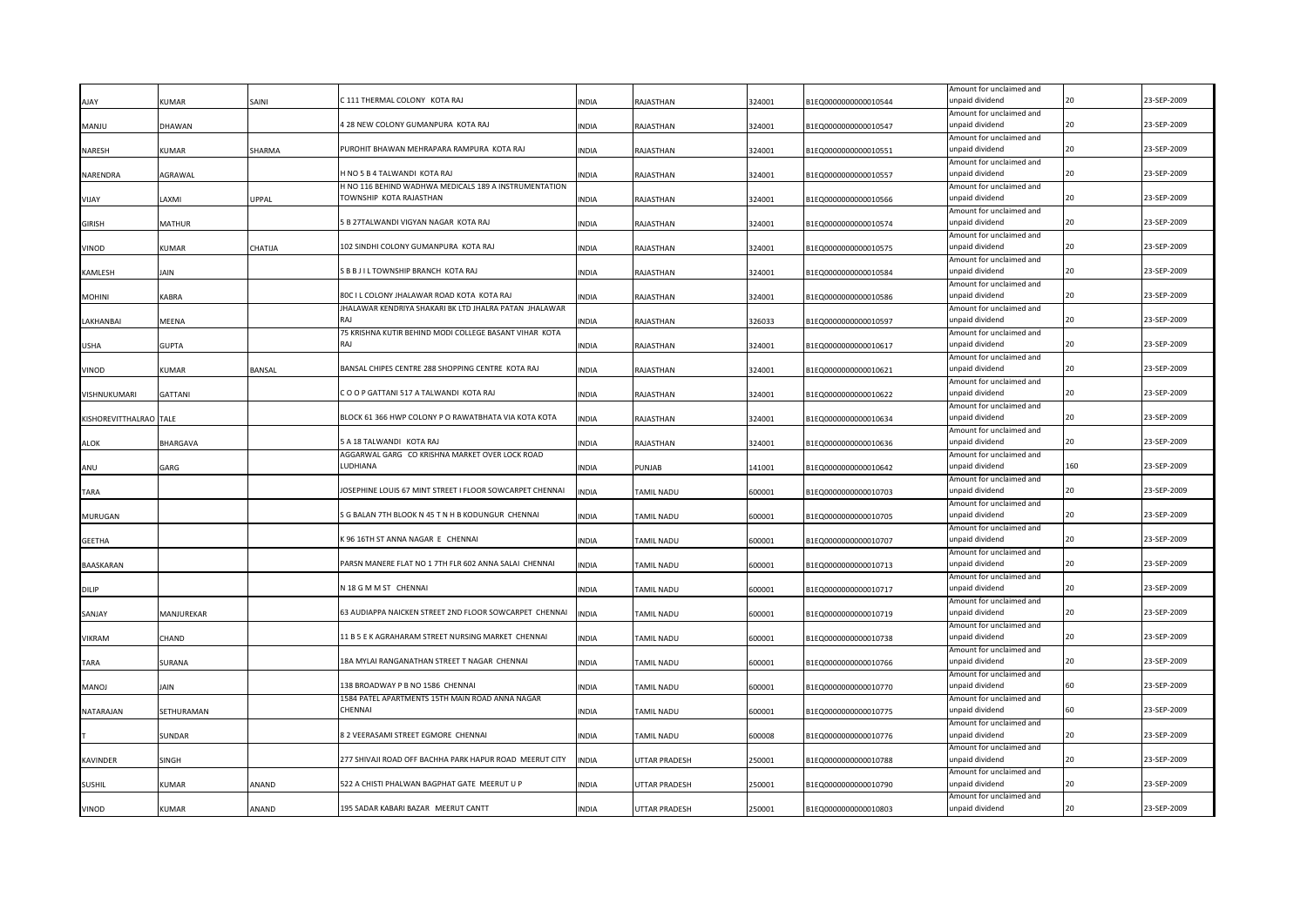|                        |               |         |                                                          |              |                          |        |                      | Amount for unclaimed and                    |     |             |
|------------------------|---------------|---------|----------------------------------------------------------|--------------|--------------------------|--------|----------------------|---------------------------------------------|-----|-------------|
| AIAY                   | <b>KUMAR</b>  | SAINI   | C 111 THERMAL COLONY KOTA RAJ                            | <b>NDIA</b>  | RAJASTHAN                | 324001 | 31EQ000000000010544  | unpaid dividend<br>Amount for unclaimed and | 20  | 23-SEP-2009 |
| <b>MANJU</b>           | DHAWAN        |         | 4 28 NEW COLONY GUMANPURA KOTA RAJ                       | INDIA        | RAJASTHAN                | 324001 | B1EQ0000000000010547 | unpaid dividend                             | 20  | 23-SEP-2009 |
|                        |               |         |                                                          |              |                          |        |                      | Amount for unclaimed and                    |     |             |
| NARESH                 | KUMAR         | SHARMA  | PUROHIT BHAWAN MEHRAPARA RAMPURA KOTA RAJ                | INDIA        | RAJASTHAN                | 324001 | B1EQ0000000000010551 | unpaid dividend                             | 20  | 23-SEP-2009 |
|                        |               |         |                                                          |              |                          |        |                      | Amount for unclaimed and                    |     |             |
| NARENDRA               | AGRAWAL       |         | H NO 5 B 4 TALWANDI KOTA RAJ                             | <b>INDIA</b> | RAJASTHAN                | 324001 | B1EQ0000000000010557 | unpaid dividend                             | 20  | 23-SEP-2009 |
|                        |               |         | H NO 116 BEHIND WADHWA MEDICALS 189 A INSTRUMENTATION    |              |                          |        |                      | Amount for unclaimed and                    | 20  |             |
| VIJAY                  | AXMI          | UPPAL   | TOWNSHIP KOTA RAJASTHAN                                  | <b>INDIA</b> | RAJASTHAN                | 324001 | B1EQ0000000000010566 | unpaid dividend<br>Amount for unclaimed and |     | 23-SEP-2009 |
| <b>GIRISH</b>          | MATHUR        |         | 5 B 27TALWANDI VIGYAN NAGAR KOTA RAJ                     | INDIA        | RAJASTHAN                | 324001 | B1EQ0000000000010574 | unpaid dividend                             | 20  | 23-SEP-2009 |
|                        |               |         |                                                          |              |                          |        |                      | Amount for unclaimed and                    |     |             |
| <b>VINOD</b>           | KUMAR         | CHATIJA | 102 SINDHI COLONY GUMANPURA KOTA RAJ                     | <b>INDIA</b> | RAJASTHAN                | 324001 | B1EQ0000000000010575 | unpaid dividend                             | 20  | 23-SEP-2009 |
|                        |               |         |                                                          |              |                          |        |                      | Amount for unclaimed and                    |     |             |
| KAMLESH                | JAIN          |         | S B B J I L TOWNSHIP BRANCH KOTA RAJ                     | INDIA        | RAJASTHAN                | 324001 | B1EQ0000000000010584 | unpaid dividend                             | 20  | 23-SEP-2009 |
|                        |               |         | 80C I L COLONY JHALAWAR ROAD KOTA KOTA RAJ               |              |                          |        |                      | Amount for unclaimed and<br>unpaid dividend | 20  | 23-SEP-2009 |
| <b>MOHINI</b>          | KABRA         |         | JHALAWAR KENDRIYA SHAKARI BK LTD JHALRA PATAN JHALAWAR   | INDIA        | RAJASTHAN                | 324001 | B1EQ0000000000010586 | Amount for unclaimed and                    |     |             |
| LAKHANBAI              | MEENA         |         | RAI                                                      | <b>INDIA</b> | RAJASTHAN                | 326033 | B1EQ0000000000010597 | unpaid dividend                             | 20  | 23-SEP-2009 |
|                        |               |         | 75 KRISHNA KUTIR BEHIND MODI COLLEGE BASANT VIHAR KOTA   |              |                          |        |                      | Amount for unclaimed and                    |     |             |
| <b>USHA</b>            | <b>GUPTA</b>  |         | RAJ                                                      | <b>INDIA</b> | RAJASTHAN                | 324001 | B1EQ0000000000010617 | unpaid dividend                             | 20  | 23-SEP-2009 |
|                        |               |         |                                                          |              |                          |        |                      | Amount for unclaimed and                    |     |             |
| VINOD                  | KUMAR         | BANSAL  | BANSAL CHIPES CENTRE 288 SHOPPING CENTRE KOTA RAJ        | <b>INDIA</b> | RAJASTHAN                | 324001 | B1EQ0000000000010621 | unpaid dividend                             | 20  | 23-SEP-2009 |
|                        | GATTANI       |         | COOP GATTANI 517 A TALWANDI KOTA RAJ                     | <b>INDIA</b> |                          |        |                      | Amount for unclaimed and<br>unpaid dividend | 20  | 23-SEP-2009 |
| VISHNUKUMARI           |               |         |                                                          |              | RAJASTHAN                | 324001 | B1EQ0000000000010622 | Amount for unclaimed and                    |     |             |
| KISHOREVITTHALRAO TALE |               |         | BLOCK 61 366 HWP COLONY P O RAWATBHATA VIA KOTA KOTA     | <b>INDIA</b> | RAJASTHAN                | 324001 | B1EQ0000000000010634 | unpaid dividend                             | 20  | 23-SEP-2009 |
|                        |               |         |                                                          |              |                          |        |                      | Amount for unclaimed and                    |     |             |
| <b>ALOK</b>            | BHARGAVA      |         | 5 A 18 TALWANDI KOTA RAJ                                 | <b>INDIA</b> | RAJASTHAN                | 324001 | B1EQ0000000000010636 | unpaid dividend                             | 20  | 23-SEP-2009 |
|                        |               |         | AGGARWAL GARG CO KRISHNA MARKET OVER LOCK ROAD           |              |                          |        |                      | Amount for unclaimed and                    |     |             |
| ANU                    | GARG          |         | LUDHIANA                                                 | <b>INDIA</b> | PUNJAB                   | 141001 | B1EQ0000000000010642 | unpaid dividend                             | 160 | 23-SEP-2009 |
| TARA                   |               |         | JOSEPHINE LOUIS 67 MINT STREET I FLOOR SOWCARPET CHENNAI | <b>INDIA</b> | <b>TAMIL NADU</b>        | 600001 | B1EQ0000000000010703 | Amount for unclaimed and<br>unpaid dividend | 20  | 23-SEP-2009 |
|                        |               |         |                                                          |              |                          |        |                      | Amount for unclaimed and                    |     |             |
| <b>MURUGAN</b>         |               |         | S G BALAN 7TH BLOOK N 45 T N H B KODUNGUR CHENNAI        | INDIA        | <b><i>TAMIL NADU</i></b> | 600001 | B1EQ0000000000010705 | unpaid dividend                             | 20  | 23-SEP-2009 |
|                        |               |         |                                                          |              |                          |        |                      | Amount for unclaimed and                    |     |             |
| <b>GEETHA</b>          |               |         | K 96 16TH ST ANNA NAGAR E CHENNAI                        | <b>INDIA</b> | <b>TAMIL NADU</b>        | 600001 | B1EQ0000000000010707 | unpaid dividend                             | 20  | 23-SEP-2009 |
|                        |               |         |                                                          |              |                          |        |                      | Amount for unclaimed and                    |     |             |
| BAASKARAN              |               |         | PARSN MANERE FLAT NO 1 7TH FLR 602 ANNA SALAI CHENNAI    | <b>INDIA</b> | <b>TAMIL NADU</b>        | 600001 | B1EQ0000000000010713 | unpaid dividend                             | 2Ω  | 23-SEP-2009 |
| DILIP                  |               |         | N 18 G M M ST CHENNAL                                    | <b>INDIA</b> | <b>TAMIL NADU</b>        | 600001 | B1EQ0000000000010717 | Amount for unclaimed and<br>unpaid dividend | 20  | 23-SEP-2009 |
|                        |               |         |                                                          |              |                          |        |                      | Amount for unclaimed and                    |     |             |
| SANJAY                 | MANJUREKAR    |         | 63 AUDIAPPA NAICKEN STREET 2ND FLOOR SOWCARPET CHENNAI   | <b>INDIA</b> | <b>TAMIL NADU</b>        | 600001 | B1EQ0000000000010719 | unpaid dividend                             |     | 23-SEP-2009 |
|                        |               |         |                                                          |              |                          |        |                      | Amount for unclaimed and                    |     |             |
| <b>VIKRAM</b>          | CHAND         |         | 11 B 5 E K AGRAHARAM STREET NURSING MARKET CHENNAI       | INDIA        | <b>TAMIL NADU</b>        | 600001 | B1EQ0000000000010738 | unpaid dividend                             |     | 23-SEP-2009 |
|                        |               |         | 18A MYLAI RANGANATHAN STREET T NAGAR CHENNAI             |              |                          |        |                      | Amount for unclaimed and<br>unpaid dividend |     | 23-SEP-2009 |
| TARA                   | SURANA        |         |                                                          | INDIA        | <b>TAMIL NADU</b>        | 600001 | B1EQ0000000000010766 | Amount for unclaimed and                    |     |             |
| <b>MANOJ</b>           | iain          |         | 138 BROADWAY P B NO 1586 CHENNAI                         | INDIA        | <b><i>TAMIL NADU</i></b> | 600001 | B1EQ0000000000010770 | unpaid dividend                             |     | 23-SEP-2009 |
|                        |               |         | 1584 PATEL APARTMENTS 15TH MAIN ROAD ANNA NAGAR          |              |                          |        |                      | Amount for unclaimed and                    |     |             |
| NATARAJAN              | SETHURAMAN    |         | <b>CHENNAL</b>                                           | INDIA        | <b><i>TAMIL NADU</i></b> | 600001 | B1EQ0000000000010775 | unpaid dividend                             |     | 23-SEP-2009 |
|                        |               |         |                                                          |              |                          |        |                      | Amount for unclaimed and                    |     |             |
|                        | <b>JUNDAR</b> |         | 8 2 VEERASAMI STREET EGMORE CHENNAI                      | <b>INDIA</b> | <b>TAMIL NADU</b>        | 600008 | B1EQ0000000000010776 | unpaid dividend                             |     | 23-SEP-2009 |
| KAVINDER               | SINGH         |         | 277 SHIVAJI ROAD OFF BACHHA PARK HAPUR ROAD MEERUT CITY  | <b>INDIA</b> | <b>JTTAR PRADESH</b>     | 250001 | B1EQ0000000000010788 | Amount for unclaimed and<br>unpaid dividend |     | 23-SEP-2009 |
|                        |               |         |                                                          |              |                          |        |                      | Amount for unclaimed and                    |     |             |
| <b>SUSHIL</b>          | KUMAR         | ANAND   | 522 A CHISTI PHALWAN BAGPHAT GATE MEERUT U P             | INDIA        | <b>JTTAR PRADESH</b>     | 250001 | B1EQ0000000000010790 | unpaid dividend                             | 20  | 23-SEP-2009 |
|                        |               |         |                                                          |              |                          |        |                      | Amount for unclaimed and                    |     |             |
| VINOD                  | KUMAR         | ANAND   | 195 SADAR KABARI BAZAR MEERUT CANTT                      | <b>INDIA</b> | UTTAR PRADESH            | 250001 | B1EQ0000000000010803 | unpaid dividend                             | 20  | 23-SEP-2009 |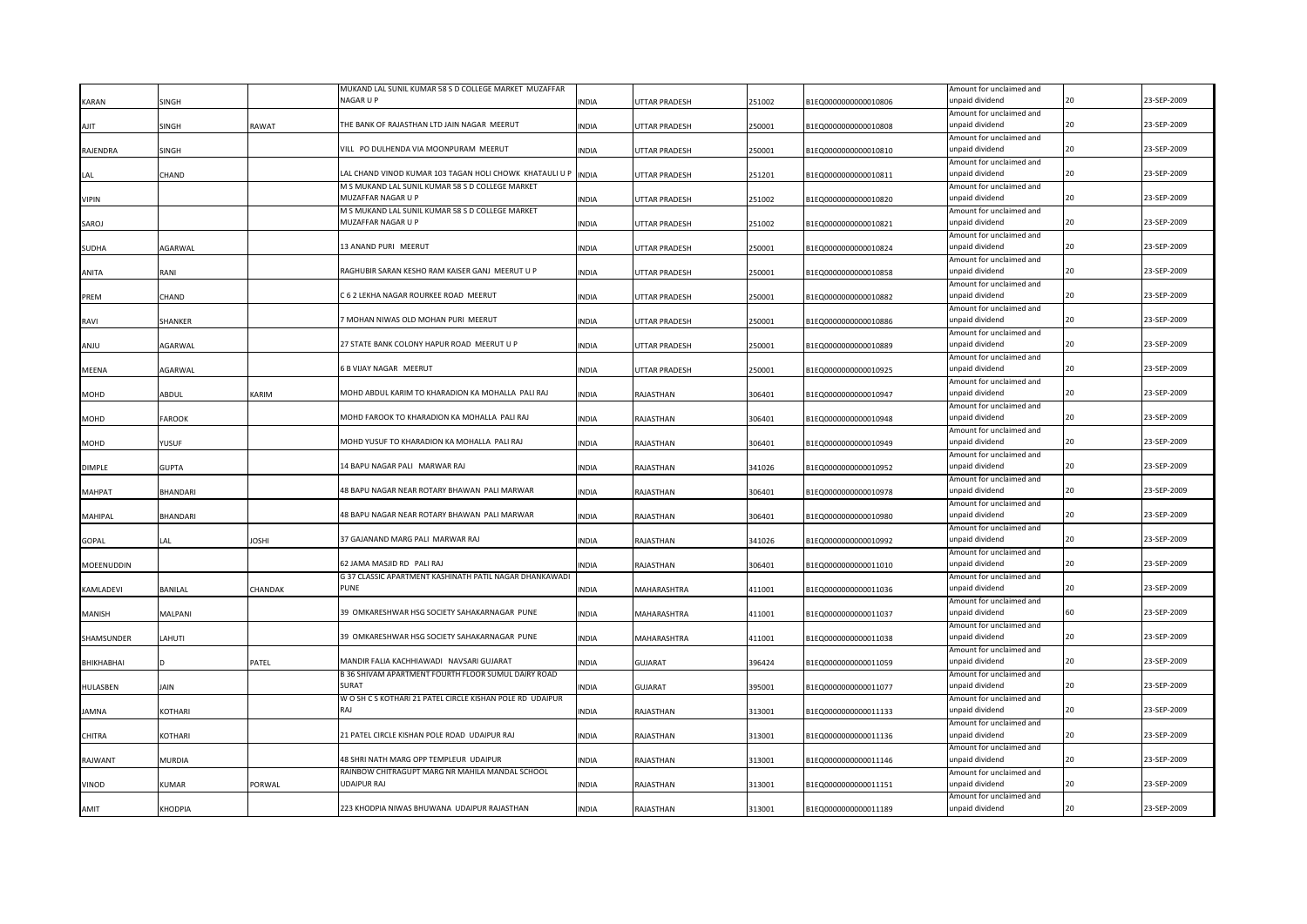|               |                 |              | MUKAND LAL SUNIL KUMAR 58 S D COLLEGE MARKET MUZAFFAR           |              |                      |        |                      | Amount for unclaimed and                    |    |             |
|---------------|-----------------|--------------|-----------------------------------------------------------------|--------------|----------------------|--------|----------------------|---------------------------------------------|----|-------------|
| KARAN         | SINGH           |              | NAGAR U P                                                       | INDIA        | UTTAR PRADESH        | 251002 | B1EQ0000000000010806 | unpaid dividend                             |    | 23-SEP-2009 |
|               |                 |              |                                                                 |              |                      |        |                      | Amount for unclaimed and                    |    |             |
| AJIT          | SINGH           | <b>TAWAT</b> | THE BANK OF RAJASTHAN LTD JAIN NAGAR MEERUT                     | <b>INDIA</b> | UTTAR PRADESH        | 250001 | B1EQ0000000000010808 | unpaid dividend                             | 20 | 23-SEP-2009 |
|               |                 |              |                                                                 |              |                      |        |                      | Amount for unclaimed and                    |    |             |
| RAJENDRA      | SINGH           |              | VILL PO DULHENDA VIA MOONPURAM MEERUT                           | <b>INDIA</b> | UTTAR PRADESH        | 250001 | B1EQ0000000000010810 | unpaid dividend                             | 20 | 23-SEP-2009 |
|               |                 |              |                                                                 |              |                      |        |                      | Amount for unclaimed and                    |    |             |
|               | CHAND           |              | LAL CHAND VINOD KUMAR 103 TAGAN HOLI CHOWK KHATAULI U P         | <b>INDIA</b> | UTTAR PRADESH        | 251201 | B1EQ0000000000010811 | unpaid dividend                             | 20 | 23-SEP-2009 |
|               |                 |              | M S MUKAND LAL SUNIL KUMAR 58 S D COLLEGE MARKET                |              |                      |        |                      | Amount for unclaimed and                    |    |             |
| VIPIN         |                 |              | MUZAFFAR NAGAR U P                                              | INDIA        | <b>JTTAR PRADESH</b> | 251002 | B1EQ0000000000010820 | unpaid dividend                             |    | 23-SEP-2009 |
|               |                 |              | M S MUKAND LAL SUNIL KUMAR 58 S D COLLEGE MARKET                |              |                      |        |                      | Amount for unclaimed and                    | 20 |             |
| SAROJ         |                 |              | MUZAFFAR NAGAR U P                                              | <b>INDIA</b> | UTTAR PRADESH        | 251002 | B1EQ0000000000010821 | unpaid dividend                             |    | 23-SEP-2009 |
|               |                 |              | 13 ANAND PURI MEERUT                                            |              |                      |        |                      | Amount for unclaimed and<br>unpaid dividend | 20 | 23-SEP-2009 |
| SUDHA         | AGARWAL         |              |                                                                 | <b>INDIA</b> | UTTAR PRADESH        | 250001 | B1EQ0000000000010824 |                                             |    |             |
|               | RANI            |              | RAGHUBIR SARAN KESHO RAM KAISER GANJ MEERUT U P                 | <b>INDIA</b> |                      |        |                      | Amount for unclaimed and<br>unpaid dividend | 20 | 23-SEP-2009 |
| ANITA         |                 |              |                                                                 |              | UTTAR PRADESH        | 250001 | B1EQ0000000000010858 | Amount for unclaimed and                    |    |             |
| PREM          | CHAND           |              | C 6 2 LEKHA NAGAR ROURKEE ROAD MEERUT                           | INDIA        | UTTAR PRADESH        | 250001 | B1EQ0000000000010882 | unpaid dividend                             |    | 23-SEP-2009 |
|               |                 |              |                                                                 |              |                      |        |                      | Amount for unclaimed and                    |    |             |
| RAVI          | SHANKER         |              | MOHAN NIWAS OLD MOHAN PURI MEERUT                               | INDIA        | <b>UTTAR PRADESH</b> | 250001 | B1EQ0000000000010886 | unpaid dividend                             | 20 | 23-SEP-2009 |
|               |                 |              |                                                                 |              |                      |        |                      | Amount for unclaimed and                    |    |             |
| UlMA          | AGARWAL         |              | 27 STATE BANK COLONY HAPUR ROAD MEERUT U P                      | INDIA        | UTTAR PRADESH        | 250001 | B1EQ0000000000010889 | unpaid dividend                             | 20 | 23-SEP-2009 |
|               |                 |              |                                                                 |              |                      |        |                      | Amount for unclaimed and                    |    |             |
| <b>MEENA</b>  | AGARWAL         |              | 5 B VIJAY NAGAR MEERUT                                          | INDIA        | UTTAR PRADESH        | 250001 | B1EQ0000000000010925 | unpaid dividend                             | 20 | 23-SEP-2009 |
|               |                 |              |                                                                 |              |                      |        |                      | Amount for unclaimed and                    |    |             |
| <b>MOHD</b>   | ABDUL           | KARIM        | MOHD ABDUL KARIM TO KHARADION KA MOHALLA PALI RAJ               | INDIA        | RAJASTHAN            | 306401 | B1EQ0000000000010947 | unpaid dividend                             | 20 | 23-SEP-2009 |
|               |                 |              |                                                                 |              |                      |        |                      | Amount for unclaimed and                    |    |             |
| MOHD          | <b>FAROOK</b>   |              | MOHD FAROOK TO KHARADION KA MOHALLA PALI RAJ                    | <b>INDIA</b> | RAJASTHAN            | 306401 | B1EQ0000000000010948 | inpaid dividend                             | 20 | 23-SEP-2009 |
|               |                 |              |                                                                 |              |                      |        |                      | Amount for unclaimed and                    |    |             |
| MOHD          | YUSUF           |              | MOHD YUSUF TO KHARADION KA MOHALLA PALI RAJ                     | <b>INDIA</b> | RAJASTHAN            | 306401 | B1EQ0000000000010949 | unpaid dividend                             | 20 | 23-SEP-2009 |
|               |                 |              |                                                                 |              |                      |        |                      | Amount for unclaimed and                    |    |             |
| <b>DIMPLE</b> | <b>GUPTA</b>    |              | 14 BAPU NAGAR PALI MARWAR RAJ                                   | <b>INDIA</b> | RAJASTHAN            | 341026 | B1EQ0000000000010952 | unpaid dividend                             | 20 | 23-SEP-2009 |
|               |                 |              |                                                                 |              |                      |        |                      | Amount for unclaimed and                    |    |             |
| MAHPAT        | <b>BHANDARI</b> |              | 48 BAPU NAGAR NEAR ROTARY BHAWAN PALI MARWAR                    | INDIA        | RAJASTHAN            | 306401 | B1EQ0000000000010978 | unpaid dividend                             |    | 23-SEP-2009 |
|               |                 |              |                                                                 |              |                      |        |                      | Amount for unclaimed and                    |    |             |
| MAHIPAL       | <b>BHANDARI</b> |              | 48 BAPU NAGAR NEAR ROTARY BHAWAN PALI MARWAR                    | INDIA        | RAJASTHAN            | 306401 | B1EQ0000000000010980 | unpaid dividend                             | 20 | 23-SEP-2009 |
|               |                 |              |                                                                 |              |                      |        |                      | Amount for unclaimed and                    |    |             |
| <b>GOPAL</b>  | LAI.            | <b>IHZOL</b> | 37 GAJANAND MARG PALI MARWAR RAJ                                | <b>INDIA</b> | RAJASTHAN            | 341026 | B1EQ0000000000010992 | unpaid dividend                             | 20 | 23-SEP-2009 |
|               |                 |              | 62 JAMA MASJID RD - PALI RAJ                                    |              |                      |        |                      | Amount for unclaimed and                    | 20 | 23-SEP-2009 |
| MOEENUDDIN    |                 |              |                                                                 | INDIA        | RAJASTHAN            | 306401 | B1EQ0000000000011010 | unpaid dividend                             |    |             |
|               |                 | CHANDAK      | G 37 CLASSIC APARTMENT KASHINATH PATIL NAGAR DHANKAWADI<br>PUNF |              | MAHARASHTRA          | 411001 |                      | Amount for unclaimed and<br>unpaid dividend | 20 | 23-SEP-2009 |
| KAMLADEVI     | <b>BANILAL</b>  |              |                                                                 | <b>INDIA</b> |                      |        | B1EQ0000000000011036 | Amount for unclaimed and                    |    |             |
| MANISH        | MALPANI         |              | 39 OMKARESHWAR HSG SOCIETY SAHAKARNAGAR PUNE                    | INDIA        | MAHARASHTRA          | 411001 | B1EQ0000000000011037 | unpaid dividend                             |    | 23-SEP-2009 |
|               |                 |              |                                                                 |              |                      |        |                      | Amount for unclaimed and                    |    |             |
| SHAMSUNDER    | LAHUTI          |              | 39 OMKARESHWAR HSG SOCIETY SAHAKARNAGAR PUNE                    | INDIA        | MAHARASHTRA          | 411001 | B1EQ0000000000011038 | unpaid dividend                             | 20 | 23-SEP-2009 |
|               |                 |              |                                                                 |              |                      |        |                      | Amount for unclaimed and                    |    |             |
| BHIKHABHAI    |                 | PATEL        | MANDIR FALIA KACHHIAWADI NAVSARI GUJARAT                        | INDIA        | GUJARAT              | 396424 | B1EQ0000000000011059 | unpaid dividend                             |    | 23-SEP-2009 |
|               |                 |              | B 36 SHIVAM APARTMENT FOURTH FLOOR SUMUL DAIRY ROAD             |              |                      |        |                      | Amount for unclaimed and                    |    |             |
| HULASBEN      | JAIN            |              | SURAT                                                           | INDIA        | <b>GUJARAT</b>       | 395001 | B1EQ0000000000011077 | unpaid dividend                             | 20 | 23-SEP-2009 |
|               |                 |              | W O SH C S KOTHARI 21 PATEL CIRCLE KISHAN POLE RD UDAIPUR       |              |                      |        |                      | Amount for unclaimed and                    |    |             |
| <b>AMNA</b>   | KOTHARI         |              | RAI                                                             | INDIA        | RAJASTHAN            | 313001 | B1EQ0000000000011133 | unpaid dividend                             |    | 23-SEP-2009 |
|               |                 |              |                                                                 |              |                      |        |                      | Amount for unclaimed and                    |    |             |
| CHITRA        | KOTHARI         |              | 21 PATEL CIRCLE KISHAN POLE ROAD UDAIPUR RAJ                    | <b>INDIA</b> | RAJASTHAN            | 313001 | B1EQ0000000000011136 | unpaid dividend                             |    | 23-SEP-2009 |
|               |                 |              |                                                                 |              |                      |        |                      | Amount for unclaimed and                    |    |             |
| RAJWANT       | MURDIA          |              | 18 SHRI NATH MARG OPP TEMPLEUR UDAIPUR                          | <b>INDIA</b> | RAJASTHAN            | 313001 | B1EQ0000000000011146 | inpaid dividend                             |    | 23-SEP-2009 |
|               |                 |              | RAINBOW CHITRAGUPT MARG NR MAHILA MANDAL SCHOOL                 |              |                      |        |                      | Amount for unclaimed and                    |    |             |
| VINOD         | KUMAR           | PORWAL       | <b>JDAIPUR RAJ</b>                                              | INDIA        | RAJASTHAN            | 313001 | B1EQ0000000000011151 | inpaid dividend                             |    | 23-SEP-2009 |
|               |                 |              |                                                                 |              |                      |        |                      | Amount for unclaimed and                    |    |             |
| <b>AMIT</b>   | <b>KHODPIA</b>  |              | 223 KHODPIA NIWAS BHUWANA UDAIPUR RAJASTHAN                     | <b>NDIA</b>  | RAJASTHAN            | 313001 | B1EQ0000000000011189 | unpaid dividend                             |    | 23-SEP-2009 |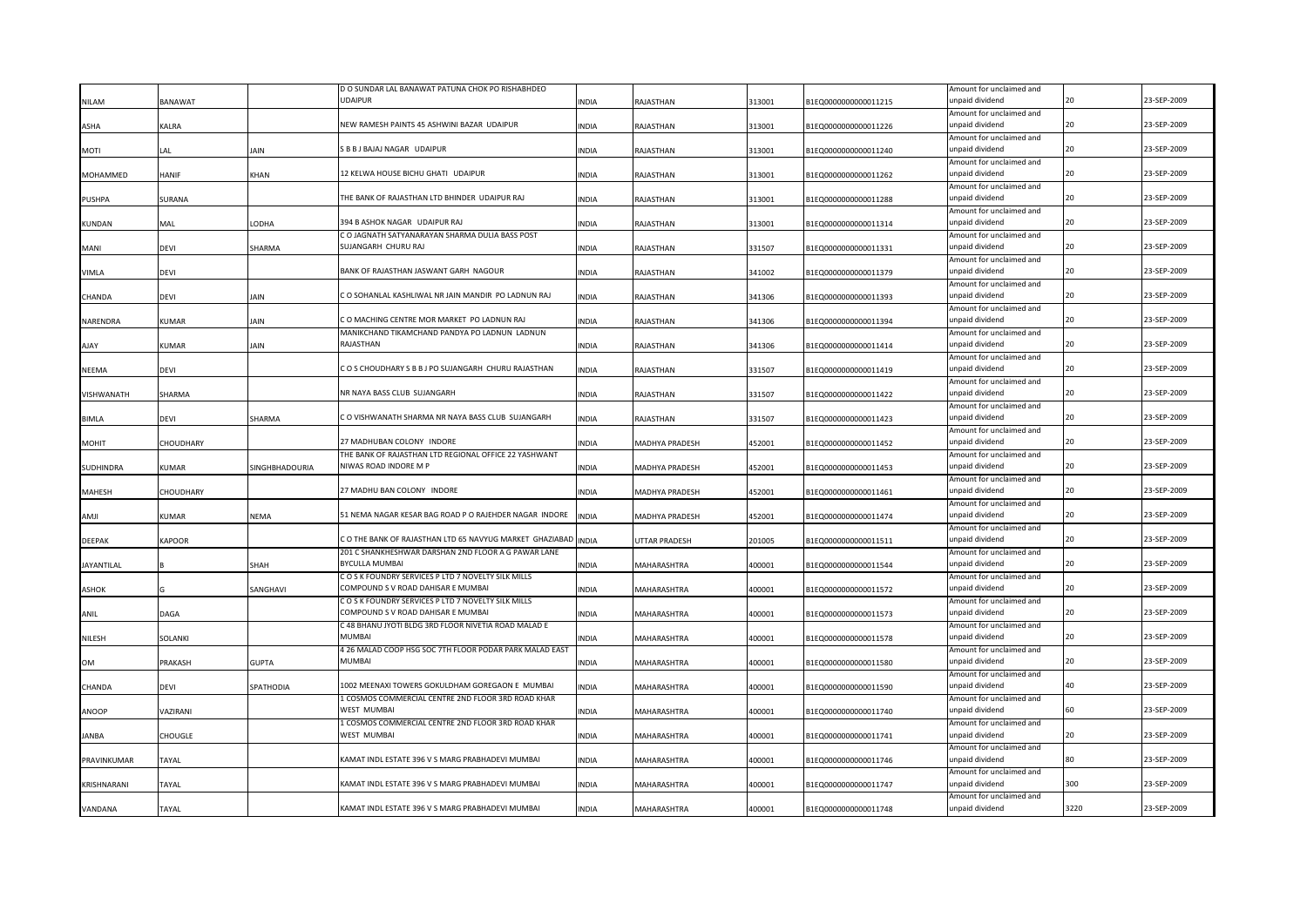|                  |                |                       | D O SUNDAR LAL BANAWAT PATUNA CHOK PO RISHABHDEO               |              |                |        |                      | Amount for unclaimed and                    |      |             |
|------------------|----------------|-----------------------|----------------------------------------------------------------|--------------|----------------|--------|----------------------|---------------------------------------------|------|-------------|
| <b>NILAM</b>     | <b>BANAWAT</b> |                       | <b>UDAIPUR</b>                                                 | <b>INDIA</b> | RAJASTHAN      | 313001 | B1EQ0000000000011215 | unpaid dividend                             |      | 23-SEP-2009 |
|                  |                |                       |                                                                |              |                |        |                      | Amount for unclaimed and                    |      |             |
| ASHA             | <b>ALRA</b>    |                       | NEW RAMESH PAINTS 45 ASHWINI BAZAR UDAIPUR                     | <b>INDIA</b> | RAJASTHAN      | 313001 | B1EQ0000000000011226 | unpaid dividend                             | 20   | 23-SEP-2009 |
|                  |                |                       |                                                                |              |                |        |                      | Amount for unclaimed and                    |      |             |
| <b>MOTI</b>      | AL             | <b>JAIN</b>           | S B B J BAJAJ NAGAR UDAIPUR                                    | <b>INDIA</b> | RAJASTHAN      | 313001 | B1EQ0000000000011240 | unpaid dividend                             | 20   | 23-SEP-2009 |
|                  |                |                       |                                                                |              |                |        |                      | Amount for unclaimed and                    |      |             |
| MOHAMMED         | HANIF          | <b>KHAN</b>           | 12 KELWA HOUSE BICHU GHATI UDAIPUR                             | <b>INDIA</b> | RAJASTHAN      | 313001 | B1EQ0000000000011262 | unpaid dividend                             | 20   | 23-SEP-2009 |
|                  |                |                       |                                                                |              |                |        |                      | Amount for unclaimed and                    |      |             |
| <b>PUSHPA</b>    | <b>SURANA</b>  |                       | THE BANK OF RAJASTHAN LTD BHINDER UDAIPUR RAJ                  | <b>NDIA</b>  | RAJASTHAN      | 313001 | B1EQ0000000000011288 | unpaid dividend                             |      | 23-SEP-2009 |
|                  |                |                       |                                                                |              |                |        |                      | Amount for unclaimed and                    |      |             |
| <b>KUNDAN</b>    | MAL            | LODHA                 | 394 B ASHOK NAGAR UDAIPUR RAJ                                  | <b>INDIA</b> | RAJASTHAN      | 313001 | B1EQ0000000000011314 | unpaid dividend                             | 20   | 23-SEP-2009 |
|                  |                |                       | C O JAGNATH SATYANARAYAN SHARMA DULIA BASS POST                |              |                |        |                      | Amount for unclaimed and                    |      |             |
| MANI             | devi           | SHARMA                | SUJANGARH CHURU RAJ                                            | <b>INDIA</b> | RAJASTHAN      | 331507 | B1EQ0000000000011331 | unpaid dividend                             | 20   | 23-SEP-2009 |
|                  |                |                       |                                                                |              |                |        |                      | Amount for unclaimed and                    |      |             |
| VIMLA            | devi           |                       | BANK OF RAJASTHAN JASWANT GARH NAGOUR                          | <b>INDIA</b> | RAJASTHAN      | 341002 | B1EQ0000000000011379 | unpaid dividend                             | 20   | 23-SEP-2009 |
|                  |                |                       |                                                                |              |                |        |                      | Amount for unclaimed and                    |      |             |
| CHANDA           | DEVI           | JAIN                  | C O SOHANLAL KASHLIWAL NR JAIN MANDIR PO LADNUN RAJ            | INDIA        | RAJASTHAN      | 341306 | B1EQ0000000000011393 | unpaid dividend                             |      | 23-SEP-2009 |
|                  |                |                       |                                                                |              |                |        |                      | Amount for unclaimed and                    |      |             |
| NARENDRA         | KUMAR          | <b>JAIN</b>           | C O MACHING CENTRE MOR MARKET PO LADNUN RAJ                    | <b>INDIA</b> | RAJASTHAN      | 341306 | B1EQ0000000000011394 | unpaid dividend                             | 20   | 23-SEP-2009 |
|                  |                |                       | MANIKCHAND TIKAMCHAND PANDYA PO LADNUN LADNUN                  |              |                |        |                      | Amount for unclaimed and                    |      |             |
| <b>AJAY</b>      | KUMAR          | <b>JAIN</b>           | RAJASTHAN                                                      | <b>INDIA</b> | RAJASTHAN      | 341306 | B1EQ0000000000011414 | unpaid dividend                             | 20   | 23-SEP-2009 |
|                  |                |                       |                                                                |              |                |        |                      | Amount for unclaimed and                    |      |             |
| <b>NEEMA</b>     | devi           |                       | COS CHOUDHARY S B B J PO SUJANGARH CHURU RAJASTHAN             | <b>INDIA</b> | RAJASTHAN      | 331507 | B1EQ0000000000011419 | unpaid dividend                             | 20   | 23-SEP-2009 |
|                  |                |                       |                                                                |              |                |        |                      |                                             |      |             |
| VISHWANATH       | <b>SHARMA</b>  |                       | NR NAYA BASS CLUB SUJANGARH                                    | <b>INDIA</b> | RAJASTHAN      | 331507 | B1EQ0000000000011422 | Amount for unclaimed and<br>unpaid dividend | 20   | 23-SEP-2009 |
|                  |                |                       |                                                                |              |                |        |                      |                                             |      |             |
|                  |                | SHARMA                | C O VISHWANATH SHARMA NR NAYA BASS CLUB SUJANGARH              | <b>INDIA</b> |                |        |                      | Amount for unclaimed and<br>unpaid dividend | 20   | 23-SEP-2009 |
| <b>BIMLA</b>     | devi           |                       |                                                                |              | RAJASTHAN      | 331507 | B1EQ0000000000011423 |                                             |      |             |
|                  |                |                       |                                                                |              |                |        |                      | Amount for unclaimed and                    | 20   |             |
| <b>MOHIT</b>     | CHOUDHARY      |                       | 27 MADHUBAN COLONY INDORE                                      | <b>INDIA</b> | MADHYA PRADESH | 452001 | B1EQ0000000000011452 | unpaid dividend                             |      | 23-SEP-2009 |
|                  |                |                       | THE BANK OF RAJASTHAN LTD REGIONAL OFFICE 22 YASHWANT          |              |                |        |                      | Amount for unclaimed and                    |      |             |
| <b>SUDHINDRA</b> | KUMAR          | <b>SINGHBHADOURIA</b> | NIWAS ROAD INDORE M P                                          | <b>INDIA</b> | MADHYA PRADESH | 452001 | B1EQ0000000000011453 | unpaid dividend                             | 20   | 23-SEP-2009 |
|                  |                |                       |                                                                |              |                |        |                      | Amount for unclaimed and                    |      |             |
| <b>MAHESH</b>    | CHOUDHARY      |                       | 27 MADHU BAN COLONY INDORE                                     | <b>INDIA</b> | MADHYA PRADESH | 452001 | B1EQ0000000000011461 | unpaid dividend                             |      | 23-SEP-2009 |
|                  |                |                       |                                                                |              |                |        |                      | Amount for unclaimed and                    |      |             |
| IIMA             | KUMAR          | NEMA                  | 51 NEMA NAGAR KESAR BAG ROAD P O RAJEHDER NAGAR INDORE         | <b>INDIA</b> | MADHYA PRADESH | 452001 | B1EQ0000000000011474 | unpaid dividend                             | 20   | 23-SEP-2009 |
|                  |                |                       |                                                                |              |                |        |                      | Amount for unclaimed and                    |      |             |
| <b>DEEPAK</b>    | KAPOOR         |                       | C O THE BANK OF RAJASTHAN LTD 65 NAVYUG MARKET GHAZIABAD INDIA |              | UTTAR PRADESH  | 201005 | B1EQ0000000000011511 | unpaid dividend                             | 20   | 23-SEP-2009 |
|                  |                |                       | 201 C SHANKHESHWAR DARSHAN 2ND FLOOR A G PAWAR LANE            |              |                |        |                      | Amount for unclaimed and                    |      |             |
| JAYANTILAL       |                | SHAH                  | <b>BYCULLA MUMBAI</b>                                          | INDIA        | MAHARASHTRA    | 400001 | B1EQ0000000000011544 | unpaid dividend                             | 20   | 23-SEP-2009 |
|                  |                |                       | COSK FOUNDRY SERVICES PLTD 7 NOVELTY SILK MILLS                |              |                |        |                      | Amount for unclaimed and                    |      |             |
| ASHOK            |                | SANGHAVI              | COMPOUND S V ROAD DAHISAR E MUMBAI                             | <b>INDIA</b> | MAHARASHTRA    | 400001 | B1EQ0000000000011572 | unpaid dividend                             | 20   | 23-SEP-2009 |
|                  |                |                       | COSK FOUNDRY SERVICES P LTD 7 NOVELTY SILK MILLS               |              |                |        |                      | Amount for unclaimed and                    |      |             |
| ANIL             | DAGA           |                       | COMPOUND S V ROAD DAHISAR E MUMBAI                             | <b>INDIA</b> | MAHARASHTRA    | 400001 | B1EQ0000000000011573 | unpaid dividend                             |      | 23-SEP-2009 |
|                  |                |                       | C 48 BHANU JYOTI BLDG 3RD FLOOR NIVETIA ROAD MALAD E           |              |                |        |                      | Amount for unclaimed and                    |      |             |
| NILESH           | SOLANKI        |                       | <b>MUMBAI</b>                                                  | <b>INDIA</b> | MAHARASHTRA    | 400001 | B1EQ0000000000011578 | unpaid dividend                             |      | 23-SEP-2009 |
|                  |                |                       | 4 26 MALAD COOP HSG SOC 7TH FLOOR PODAR PARK MALAD EAST        |              |                |        |                      | Amount for unclaimed and                    |      |             |
| <b>OM</b>        | PRAKASH        | <b>GUPTA</b>          | MUMBAI                                                         | <b>INDIA</b> | MAHARASHTRA    | 400001 | B1EQ0000000000011580 | unpaid dividend                             |      | 23-SEP-2009 |
|                  |                |                       |                                                                |              |                |        |                      | Amount for unclaimed and                    |      |             |
| CHANDA           | devi           | SPATHODIA             | 1002 MEENAXI TOWERS GOKULDHAM GOREGAON E MUMBAI                | INDIA        | MAHARASHTRA    | 400001 | B1EQ0000000000011590 | unpaid dividend                             |      | 23-SEP-2009 |
|                  |                |                       | 1 COSMOS COMMERCIAL CENTRE 2ND FLOOR 3RD ROAD KHAR             |              |                |        |                      | Amount for unclaimed and                    |      |             |
| ANOOP            | VAZIRANI       |                       | WEST MUMBAI                                                    | INDIA        | MAHARASHTRA    | 400001 | B1EQ0000000000011740 | unpaid dividend                             |      | 23-SEP-2009 |
|                  |                |                       | 1 COSMOS COMMERCIAL CENTRE 2ND FLOOR 3RD ROAD KHAR             |              |                |        |                      | Amount for unclaimed and                    |      |             |
| <b>JANBA</b>     | CHOUGLE        |                       | WEST MUMBAI                                                    | <b>INDIA</b> | MAHARASHTRA    | 400001 | B1EQ0000000000011741 | unpaid dividend                             |      | 23-SEP-2009 |
|                  |                |                       |                                                                |              |                |        |                      | Amount for unclaimed and                    |      |             |
| PRAVINKUMAR      | TAYAL          |                       | KAMAT INDL ESTATE 396 V S MARG PRABHADEVI MUMBAI               | <b>INDIA</b> | MAHARASHTRA    | 400001 | B1EQ0000000000011746 | unpaid dividend                             |      | 23-SEP-2009 |
|                  |                |                       |                                                                |              |                |        |                      | Amount for unclaimed and                    |      |             |
| KRISHNARANI      | TAYAL          |                       | KAMAT INDL ESTATE 396 V S MARG PRABHADEVI MUMBAI               | <b>INDIA</b> | MAHARASHTRA    | 400001 | B1EQ0000000000011747 | unpaid dividend                             | 300  | 23-SEP-2009 |
|                  |                |                       |                                                                |              |                |        |                      | Amount for unclaimed and                    |      |             |
| VANDANA          | TAYAL          |                       | KAMAT INDL ESTATE 396 V S MARG PRABHADEVI MUMBAI               | <b>INDIA</b> | MAHARASHTRA    | 400001 | B1EQ0000000000011748 | unpaid dividend                             | 3220 | 23-SEP-2009 |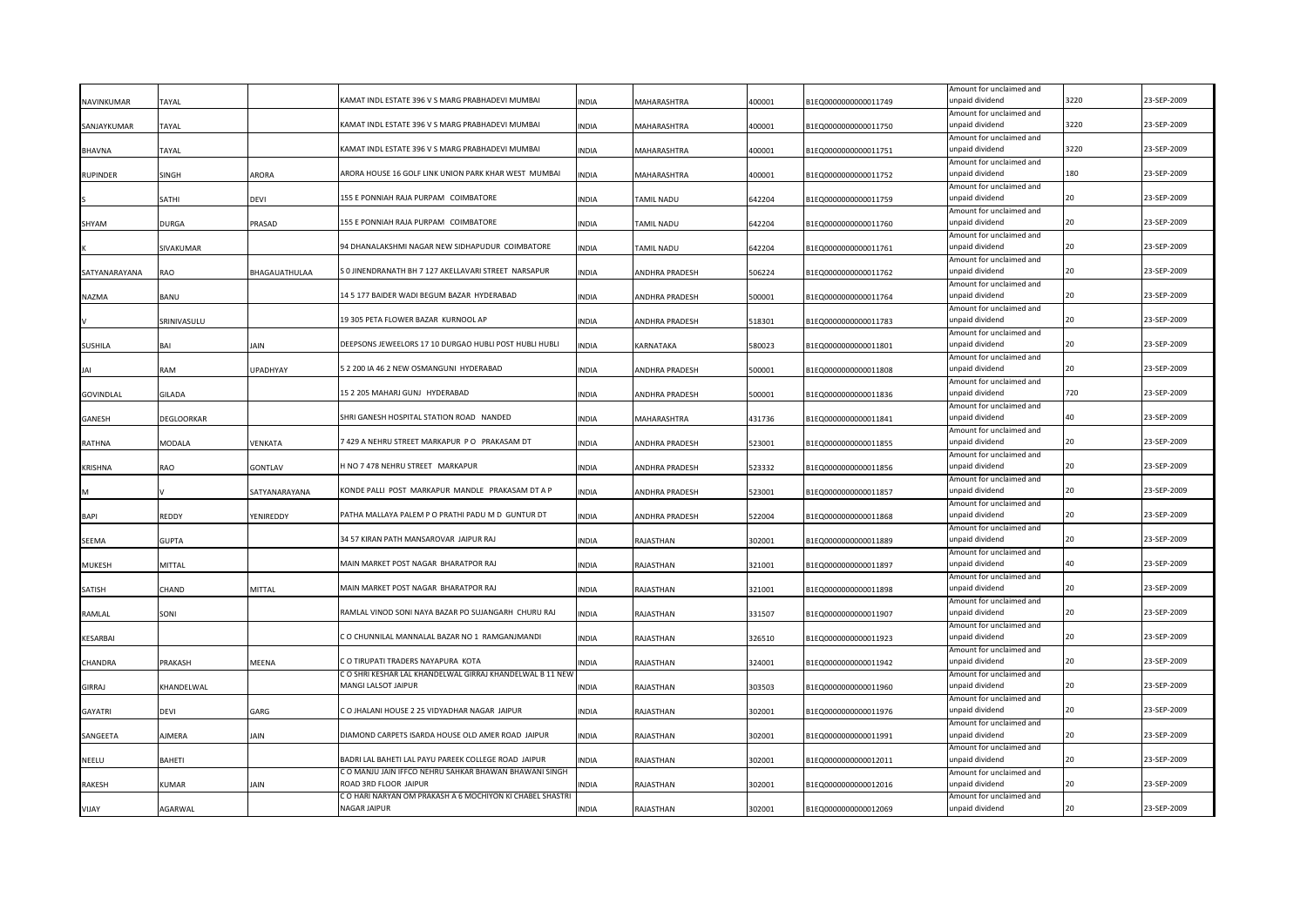|                  |               |                 |                                                                                 |              |                       |        |                      | Amount for unclaimed and                    |      |             |
|------------------|---------------|-----------------|---------------------------------------------------------------------------------|--------------|-----------------------|--------|----------------------|---------------------------------------------|------|-------------|
| NAVINKUMAR       | TAYAL         |                 | KAMAT INDL ESTATE 396 V S MARG PRABHADEVI MUMBAI                                | <b>INDIA</b> | MAHARASHTRA           | 400001 | 81EQ0000000000011749 | unpaid dividend                             | 3220 | 23-SEP-2009 |
| SANJAYKUMAR      | TAYAL         |                 | KAMAT INDL ESTATE 396 V S MARG PRABHADEVI MUMBAI                                | <b>INDIA</b> | MAHARASHTRA           | 400001 | B1EQ0000000000011750 | Amount for unclaimed and<br>unpaid dividend | 3220 | 23-SEP-2009 |
|                  |               |                 |                                                                                 |              |                       |        |                      | Amount for unclaimed and                    |      |             |
| <b>BHAVNA</b>    | TAYAL         |                 | KAMAT INDL ESTATE 396 V S MARG PRABHADEVI MUMBAI                                | <b>INDIA</b> | MAHARASHTRA           | 400001 | B1EQ0000000000011751 | unpaid dividend                             | 3220 | 23-SEP-2009 |
|                  |               |                 |                                                                                 |              |                       |        |                      | Amount for unclaimed and                    |      |             |
| <b>RUPINDER</b>  | SINGH         | ARORA           | ARORA HOUSE 16 GOLF LINK UNION PARK KHAR WEST MUMBAI                            | <b>INDIA</b> | MAHARASHTRA           | 400001 | B1EQ0000000000011752 | unpaid dividend                             | 180  | 23-SEP-2009 |
|                  |               |                 |                                                                                 |              |                       |        |                      | Amount for unclaimed and                    |      |             |
|                  | SATHI         | DEVI            | 155 E PONNIAH RAJA PURPAM COIMBATORE                                            | <b>INDIA</b> | TAMIL NADU            | 642204 | B1EQ0000000000011759 | unpaid dividend                             |      | 23-SEP-2009 |
|                  |               |                 |                                                                                 |              |                       |        |                      | Amount for unclaimed and                    |      |             |
| SHYAM            | <b>DURGA</b>  | PRASAD          | 155 E PONNIAH RAJA PURPAM COIMBATORE                                            | <b>INDIA</b> | TAMIL NADU            | 642204 | B1EQ0000000000011760 | unpaid dividend                             |      | 23-SEP-2009 |
|                  | SIVAKUMAR     |                 | 94 DHANALAKSHMI NAGAR NEW SIDHAPUDUR COIMBATORE                                 | <b>INDIA</b> | TAMIL NADU            | 642204 | B1EQ0000000000011761 | Amount for unclaimed and<br>unpaid dividend | 20   | 23-SEP-2009 |
|                  |               |                 |                                                                                 |              |                       |        |                      | Amount for unclaimed and                    |      |             |
| SATYANARAYANA    | RAO           | BHAGAUATHULAA   | S 0 JINENDRANATH BH 7 127 AKELLAVARI STREET NARSAPUR                            | <b>INDIA</b> | ANDHRA PRADESH        | 506224 | B1EQ0000000000011762 | unpaid dividend                             | 20   | 23-SEP-2009 |
|                  |               |                 |                                                                                 |              |                       |        |                      | Amount for unclaimed and                    |      |             |
| NAZMA            | BANU          |                 | 14 5 177 BAIDER WADI BEGUM BAZAR HYDERABAD                                      | <b>INDIA</b> | ANDHRA PRADESH        | 500001 | B1EQ0000000000011764 | unpaid dividend                             | 20   | 23-SEP-2009 |
|                  |               |                 |                                                                                 |              |                       |        |                      | Amount for unclaimed and                    |      |             |
|                  | SRINIVASULU   |                 | 19 305 PETA FLOWER BAZAR KURNOOL AP                                             | <b>INDIA</b> | ANDHRA PRADESH        | 518301 | B1EQ0000000000011783 | unpaid dividend                             | 20   | 23-SEP-2009 |
|                  |               |                 |                                                                                 |              |                       |        |                      | Amount for unclaimed and                    |      |             |
| <b>SUSHILA</b>   | BAI           | JAIN            | DEEPSONS JEWEELORS 17 10 DURGAO HUBLI POST HUBLI HUBLI                          | <b>INDIA</b> | KARNATAKA             | 580023 | B1EQ0000000000011801 | unpaid dividend                             | 20   | 23-SEP-2009 |
|                  |               |                 | 5 2 200 IA 46 2 NEW OSMANGUNI HYDERABAD                                         |              |                       |        |                      | Amount for unclaimed and<br>unpaid dividend | 20   | 23-SEP-2009 |
| JAI              | RAM           | <b>UPADHYAY</b> |                                                                                 | <b>INDIA</b> | ANDHRA PRADESH        | 500001 | B1EQ0000000000011808 | Amount for unclaimed and                    |      |             |
| <b>GOVINDLAL</b> | GILADA        |                 | 15 2 205 MAHARJ GUNJ HYDERABAD                                                  | <b>INDIA</b> | ANDHRA PRADESH        | 500001 | B1EQ0000000000011836 | unpaid dividend                             | 720  | 23-SEP-2009 |
|                  |               |                 |                                                                                 |              |                       |        |                      | Amount for unclaimed and                    |      |             |
| GANESH           | DEGLOORKAR    |                 | SHRI GANESH HOSPITAL STATION ROAD NANDED                                        | <b>INDIA</b> | MAHARASHTRA           | 431736 | B1EQ0000000000011841 | unpaid dividend                             | 40   | 23-SEP-2009 |
|                  |               |                 |                                                                                 |              |                       |        |                      | Amount for unclaimed and                    |      |             |
| RATHNA           | MODALA        | VENKATA         | 7 429 A NEHRU STREET MARKAPUR P O PRAKASAM DT                                   | <b>INDIA</b> | ANDHRA PRADESH        | 523001 | B1EQ0000000000011855 | unpaid dividend                             | 20   | 23-SEP-2009 |
|                  |               |                 |                                                                                 |              |                       |        |                      | Amount for unclaimed and                    |      |             |
| <b>KRISHNA</b>   | RAO           | <b>GONTLAV</b>  | H NO 7 478 NEHRU STREET MARKAPUR                                                | <b>INDIA</b> | <b>ANDHRA PRADESH</b> | 523332 | B1EQ0000000000011856 | unpaid dividend                             |      | 23-SEP-2009 |
|                  |               |                 |                                                                                 |              |                       |        |                      | Amount for unclaimed and                    |      |             |
|                  |               | SATYANARAYANA   | KONDE PALLI POST MARKAPUR MANDLE PRAKASAM DT A P                                | <b>INDIA</b> | ANDHRA PRADESH        | 523001 | B1EQ0000000000011857 | unpaid dividend                             |      | 23-SEP-2009 |
| <b>BAPI</b>      | REDDY         | YENIREDDY       | PATHA MALLAYA PALEM P O PRATHI PADU M D GUNTUR DT                               | <b>INDIA</b> | ANDHRA PRADESH        | 522004 | B1EQ0000000000011868 | Amount for unclaimed and<br>unpaid dividend |      | 23-SEP-2009 |
|                  |               |                 |                                                                                 |              |                       |        |                      | Amount for unclaimed and                    |      |             |
| SEEMA            | <b>GUPTA</b>  |                 | 34 57 KIRAN PATH MANSAROVAR JAIPUR RAJ                                          | <b>INDIA</b> | RAJASTHAN             | 302001 | B1EQ0000000000011889 | unpaid dividend                             |      | 23-SEP-2009 |
|                  |               |                 |                                                                                 |              |                       |        |                      | Amount for unclaimed and                    |      |             |
| <b>MUKESH</b>    | MITTAL        |                 | MAIN MARKET POST NAGAR BHARATPOR RAJ                                            | <b>INDIA</b> | RAJASTHAN             | 321001 | B1EQ0000000000011897 | unpaid dividend                             |      | 23-SEP-2009 |
|                  |               |                 |                                                                                 |              |                       |        |                      | Amount for unclaimed and                    |      |             |
| SATISH           | CHAND         | MITTAL          | MAIN MARKET POST NAGAR BHARATPOR RAJ                                            | <b>INDIA</b> | RAJASTHAN             | 321001 | B1EQ0000000000011898 | unpaid dividend                             |      | 23-SEP-2009 |
|                  |               |                 |                                                                                 |              |                       |        |                      | Amount for unclaimed and                    |      |             |
| RAMLAL           | SONI          |                 | RAMLAL VINOD SONI NAYA BAZAR PO SUJANGARH CHURU RAJ                             | <b>INDIA</b> | RAJASTHAN             | 331507 | B1EQ0000000000011907 | unpaid dividend                             |      | 23-SEP-2009 |
|                  |               |                 | C O CHUNNILAL MANNALAL BAZAR NO 1 RAMGANJMANDI                                  |              |                       |        |                      | Amount for unclaimed and<br>unpaid dividend |      | 23-SEP-2009 |
| KESARBAI         |               |                 |                                                                                 | <b>INDIA</b> | RAJASTHAN             | 326510 | B1EQ0000000000011923 | Amount for unclaimed and                    |      |             |
| CHANDRA          | PRAKASH       | MEENA           | C O TIRUPATI TRADERS NAYAPURA KOTA                                              | INDIA        | RAJASTHAN             | 324001 | B1EQ0000000000011942 | unpaid dividend                             |      | 23-SEP-2009 |
|                  |               |                 | C O SHRI KESHAR LAL KHANDELWAL GIRRAJ KHANDELWAL B 11 NEW                       |              |                       |        |                      | Amount for unclaimed and                    |      |             |
| GIRRAJ           | KHANDELWAL    |                 | MANGI LALSOT JAIPUR                                                             | <b>INDIA</b> | RAJASTHAN             | 303503 | B1EQ0000000000011960 | unpaid dividend                             | 20   | 23-SEP-2009 |
|                  |               |                 |                                                                                 |              |                       |        |                      | Amount for unclaimed and                    |      |             |
| <b>GAYATRI</b>   | DEVI          | GARG            | C O JHALANI HOUSE 2 25 VIDYADHAR NAGAR JAIPUR                                   | INDIA        | RAJASTHAN             | 302001 | B1EQ0000000000011976 | inpaid dividend                             |      | 23-SEP-2009 |
|                  |               |                 |                                                                                 |              |                       |        |                      | Amount for unclaimed and                    |      |             |
| SANGEETA         | <b>AJMERA</b> | <b>AIAL</b>     | DIAMOND CARPETS ISARDA HOUSE OLD AMER ROAD JAIPUR                               | <b>INDIA</b> | RAJASTHAN             | 302001 | B1EQ0000000000011991 | unpaid dividend                             | 20   | 23-SEP-2009 |
|                  |               |                 |                                                                                 |              |                       |        |                      | Amount for unclaimed and                    |      |             |
| VEELU            | BAHETI        |                 | BADRI LAL BAHETI LAL PAYU PAREEK COLLEGE ROAD JAIPUR                            | <b>INDIA</b> | RAJASTHAN             | 302001 | B1EQ0000000000012011 | inpaid dividend                             |      | 23-SEP-2009 |
|                  |               |                 | C O MANJU JAIN IFFCO NEHRU SAHKAR BHAWAN BHAWANI SINGH<br>ROAD 3RD FLOOR JAIPUR |              |                       |        |                      | Amount for unclaimed and<br>inpaid dividend | 20   | 23-SEP-2009 |
| RAKESH           | KUMAR         | JAIN            | C O HARI NARYAN OM PRAKASH A 6 MOCHIYON KI CHABEL SHASTRI                       | <b>INDIA</b> | RAJASTHAN             | 302001 | B1EQ0000000000012016 | Amount for unclaimed and                    |      |             |
| VIJAY            | AGARWAL       |                 | NAGAR JAIPUR                                                                    | <b>INDIA</b> | RAJASTHAN             | 302001 | B1EQ0000000000012069 | unpaid dividend                             | 20   | 23-SEP-2009 |
|                  |               |                 |                                                                                 |              |                       |        |                      |                                             |      |             |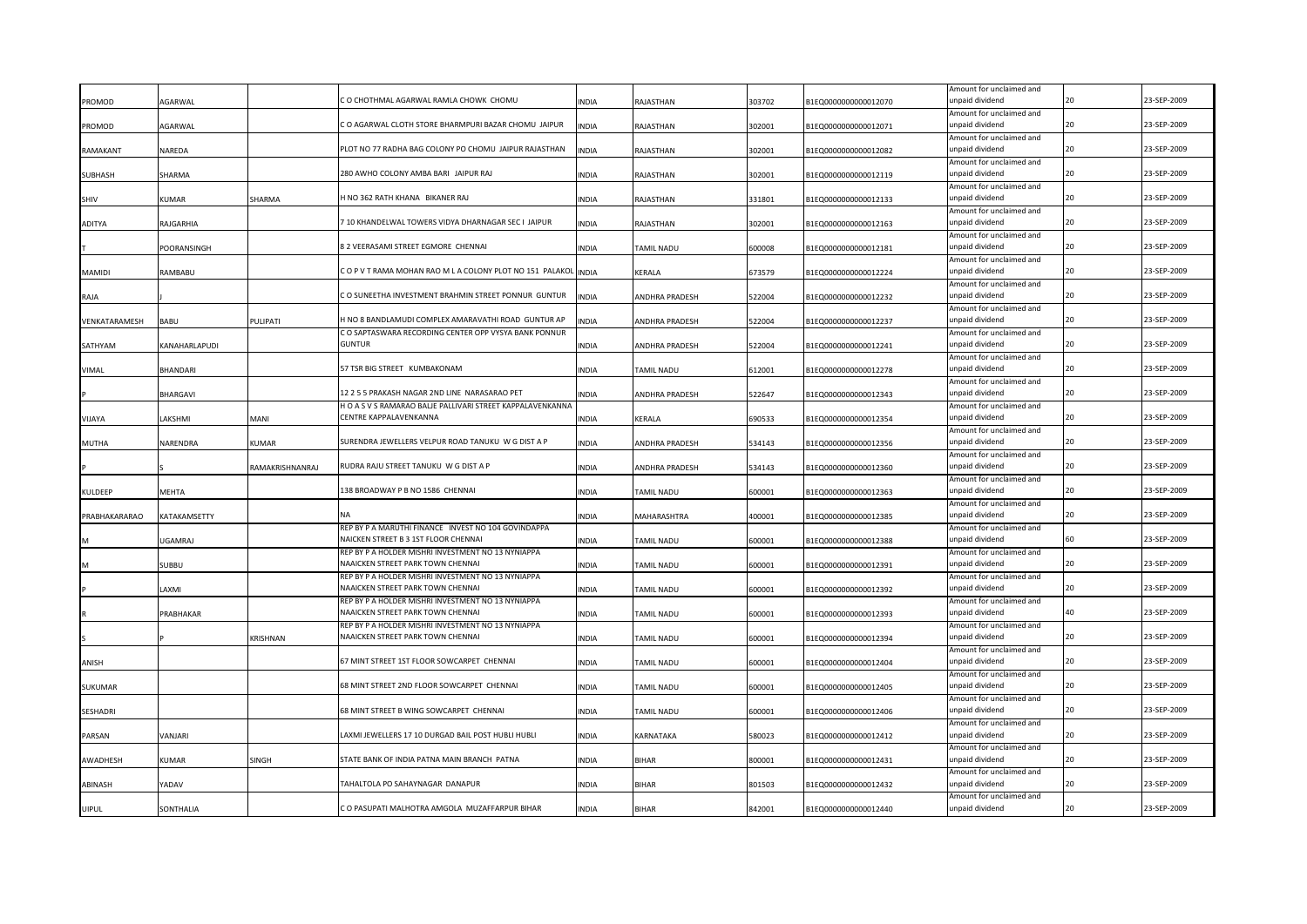| PROMOD         | <b>AGARWAL</b>  |                 | CO CHOTHMAL AGARWAL RAMLA CHOWK CHOMU                                                          | NDIA         | RAJASTHAN             | 303702 | B1EQ0000000000012070 | Amount for unclaimed and<br>unpaid dividend |    | 23-SEP-2009 |
|----------------|-----------------|-----------------|------------------------------------------------------------------------------------------------|--------------|-----------------------|--------|----------------------|---------------------------------------------|----|-------------|
|                |                 |                 |                                                                                                |              |                       |        |                      | Amount for unclaimed and                    |    |             |
| PROMOD         | AGARWAL         |                 | C O AGARWAL CLOTH STORE BHARMPURI BAZAR CHOMU JAIPUR                                           | INDIA        | RAJASTHAN             | 302001 | B1EQ0000000000012071 | unpaid dividend                             | 20 | 23-SEP-2009 |
|                |                 |                 |                                                                                                |              |                       |        |                      | Amount for unclaimed and                    |    |             |
| RAMAKANT       | NAREDA          |                 | PLOT NO 77 RADHA BAG COLONY PO CHOMU JAIPUR RAJASTHAN                                          | INDIA        | RAJASTHAN             | 302001 | B1EQ0000000000012082 | unpaid dividend                             | 20 | 23-SEP-2009 |
|                |                 |                 | 280 AWHO COLONY AMBA BARI JAIPUR RAJ                                                           |              |                       |        |                      | Amount for unclaimed and<br>unpaid dividend | 20 | 23-SEP-2009 |
| SUBHASH        | SHARMA          |                 |                                                                                                | INDIA        | RAJASTHAN             | 302001 | B1EQ0000000000012119 | Amount for unclaimed and                    |    |             |
| SHIV           | <b>KUMAR</b>    | SHARMA          | I NO 362 RATH KHANA BIKANER RAJ                                                                | INDIA        | RAJASTHAN             | 331801 | B1EQ0000000000012133 | unpaid dividend                             |    | 23-SEP-2009 |
|                |                 |                 |                                                                                                |              |                       |        |                      | Amount for unclaimed and                    |    |             |
| ADITYA         | RAJGARHIA       |                 | 10 KHANDELWAL TOWERS VIDYA DHARNAGAR SEC I JAIPUR                                              | INDIA        | RAJASTHAN             | 302001 | B1EQ0000000000012163 | unpaid dividend                             |    | 23-SEP-2009 |
|                |                 |                 |                                                                                                |              |                       |        |                      | Amount for unclaimed and                    |    |             |
|                | POORANSINGH     |                 | 8 2 VEERASAMI STREET EGMORE CHENNAI                                                            | INDIA        | TAMIL NADU            | 600008 | B1EQ0000000000012181 | unpaid dividend                             |    | 23-SEP-2009 |
|                |                 |                 |                                                                                                |              |                       |        |                      | Amount for unclaimed and                    |    |             |
| MAMIDI         | RAMBABU         |                 | O P V T RAMA MOHAN RAO M L A COLONY PLOT NO 151 PALAKOL                                        | <b>INDIA</b> | KERALA                | 673579 | B1EQ0000000000012224 | unpaid dividend                             | 20 | 23-SEP-2009 |
|                |                 |                 |                                                                                                |              |                       |        |                      | Amount for unclaimed and                    |    |             |
| RAJA           |                 |                 | CO SUNEETHA INVESTMENT BRAHMIN STREET PONNUR GUNTUR                                            | INDIA        | ANDHRA PRADESH        | 522004 | B1EQ0000000000012232 | unpaid dividend                             |    | 23-SEP-2009 |
| VENKATARAMESH  | BABU            | PULIPATI        | H NO 8 BANDLAMUDI COMPLEX AMARAVATHI ROAD GUNTUR AP                                            | <b>INDIA</b> | ANDHRA PRADESH        | 522004 | B1EQ0000000000012237 | Amount for unclaimed and<br>unpaid dividend | 20 | 23-SEP-2009 |
|                |                 |                 | CO SAPTASWARA RECORDING CENTER OPP VYSYA BANK PONNUR                                           |              |                       |        |                      | Amount for unclaimed and                    |    |             |
| SATHYAM        | KANAHARLAPUDI   |                 | <b>GUNTUR</b>                                                                                  | <b>INDIA</b> | ANDHRA PRADESH        | 522004 | B1EQ0000000000012241 | unpaid dividend                             | 20 | 23-SEP-2009 |
|                |                 |                 |                                                                                                |              |                       |        |                      | Amount for unclaimed and                    |    |             |
| VIMAL          | <b>BHANDARI</b> |                 | 57 TSR BIG STREET KUMBAKONAM                                                                   | INDIA        | TAMIL NADU            | 612001 | B1EQ0000000000012278 | unpaid dividend                             | 20 | 23-SEP-2009 |
|                |                 |                 |                                                                                                |              |                       |        |                      | Amount for unclaimed and                    |    |             |
|                | BHARGAVI        |                 | 12 2 5 5 PRAKASH NAGAR 2ND LINE NARASARAO PET                                                  | INDIA        | ANDHRA PRADESH        | 522647 | B1EQ0000000000012343 | unpaid dividend                             |    | 23-SEP-2009 |
|                |                 |                 | H O A S V S RAMARAO BALJE PALLIVARI STREET KAPPALAVENKANNA                                     |              |                       |        |                      | Amount for unclaimed and                    |    |             |
| VIJAYA         | LAKSHMI         | MANI            | CENTRE KAPPALAVENKANNA                                                                         | <b>INDIA</b> | KERALA                | 690533 | B1EQ0000000000012354 | unpaid dividend                             | 20 | 23-SEP-2009 |
|                |                 | KUMAR           | SURENDRA JEWELLERS VELPUR ROAD TANUKU W G DIST A P                                             |              |                       |        |                      | Amount for unclaimed and<br>unpaid dividend |    | 23-SEP-2009 |
| MUTHA          | NARENDRA        |                 |                                                                                                | <b>INDIA</b> | ANDHRA PRADESH        | 534143 | B1EQ0000000000012356 | Amount for unclaimed and                    |    |             |
|                |                 | RAMAKRISHNANRAJ | RUDRA RAJU STREET TANUKU W G DIST A P                                                          | INDIA        | <b>ANDHRA PRADESH</b> | 534143 | B1EQ0000000000012360 | unpaid dividend                             |    | 23-SEP-2009 |
|                |                 |                 |                                                                                                |              |                       |        |                      |                                             |    |             |
|                |                 |                 |                                                                                                |              |                       |        |                      |                                             |    |             |
| KULDEEP        | MEHTA           |                 | 138 BROADWAY P B NO 1586 CHENNAI                                                               | INDIA        | TAMIL NADU            | 600001 | B1EQ0000000000012363 | Amount for unclaimed and<br>unpaid dividend | 20 | 23-SEP-2009 |
|                |                 |                 |                                                                                                |              |                       |        |                      | Amount for unclaimed and                    |    |             |
| PRABHAKARARAO  | KATAKAMSETTY    |                 |                                                                                                | INDIA        | MAHARASHTRA           | 400001 | B1EQ0000000000012385 | unpaid dividend                             |    | 23-SEP-2009 |
|                |                 |                 | REP BY P A MARUTHI FINANCE INVEST NO 104 GOVINDAPPA                                            |              |                       |        |                      | Amount for unclaimed and                    |    |             |
|                | <b>UGAMRAJ</b>  |                 | NAICKEN STREET B 3 1ST FLOOR CHENNAI                                                           | INDIA        | TAMIL NADU            | 600001 | B1EQ0000000000012388 | unpaid dividend                             |    | 23-SEP-2009 |
|                |                 |                 | REP BY P A HOLDER MISHRI INVESTMENT NO 13 NYNIAPPA                                             |              |                       |        |                      | Amount for unclaimed and                    |    |             |
|                | <b>SUBBU</b>    |                 | <b>NAAICKEN STREET PARK TOWN CHENNAI</b>                                                       | INDIA        | <b>TAMIL NADU</b>     | 600001 | B1EQ0000000000012391 | unpaid dividend                             |    | 23-SEP-2009 |
|                |                 |                 | REP BY P A HOLDER MISHRI INVESTMENT NO 13 NYNIAPPA                                             |              |                       |        |                      | Amount for unclaimed and                    |    |             |
|                | LAXMI           |                 | NAAICKEN STREET PARK TOWN CHENNAI                                                              | INDIA        | TAMIL NADU            | 600001 | B1EQ0000000000012392 | unpaid dividend                             |    | 23-SEP-2009 |
|                | PRABHAKAR       |                 | REP BY P A HOLDER MISHRI INVESTMENT NO 13 NYNIAPPA<br><b>NAAICKEN STREET PARK TOWN CHENNAI</b> | INDIA        | TAMIL NADU            | 600001 | B1EQ0000000000012393 | Amount for unclaimed and<br>unpaid dividend |    | 23-SEP-2009 |
|                |                 |                 | REP BY P A HOLDER MISHRI INVESTMENT NO 13 NYNIAPPA                                             |              |                       |        |                      | Amount for unclaimed and                    |    |             |
|                |                 | KRISHNAN        | NAAICKEN STREET PARK TOWN CHENNAI                                                              | INDIA        | TAMIL NADU            | 600001 | B1EQ0000000000012394 | unpaid dividend                             |    | 23-SEP-2009 |
|                |                 |                 |                                                                                                |              |                       |        |                      | Amount for unclaimed and                    |    |             |
| ANISH          |                 |                 | 67 MINT STREET 1ST FLOOR SOWCARPET CHENNAI                                                     | INDIA        | TAMIL NADU            | 600001 | B1EQ0000000000012404 | unpaid dividend                             |    | 23-SEP-2009 |
|                |                 |                 |                                                                                                |              |                       |        |                      | Amount for unclaimed and                    |    |             |
| <b>SUKUMAR</b> |                 |                 | 58 MINT STREET 2ND FLOOR SOWCARPET CHENNAI                                                     | <b>INDIA</b> | TAMIL NADU            | 600001 | B1EQ0000000000012405 | unpaid dividend                             | 20 | 23-SEP-2009 |
|                |                 |                 |                                                                                                |              |                       |        |                      | Amount for unclaimed and                    |    | 23-SEP-2009 |
| SESHADRI       |                 |                 | 68 MINT STREET B WING SOWCARPET CHENNAI                                                        | INDIA        | <b>TAMIL NADU</b>     | 600001 | B1EQ0000000000012406 | ınpaid dividend                             |    |             |
| PARSAN         | <b>JANJARI</b>  |                 | AXMI JEWELLERS 17 10 DURGAD BAIL POST HUBLI HUBLI.                                             | <b>INDIA</b> | KARNATAKA             | 580023 | B1EQ0000000000012412 | Amount for unclaimed and<br>unpaid dividend | 20 | 23-SEP-2009 |
|                |                 |                 |                                                                                                |              |                       |        |                      | Amount for unclaimed and                    |    |             |
| AWADHESH       | KUMAR           | <b>INGH</b>     | STATE BANK OF INDIA PATNA MAIN BRANCH PATNA                                                    | <b>INDIA</b> | <b>BIHAR</b>          | 800001 | B1EQ0000000000012431 | unpaid dividend                             | 20 | 23-SEP-2009 |
|                |                 |                 |                                                                                                |              |                       |        |                      | Amount for unclaimed and                    |    |             |
| ABINASH        | YADAV           |                 | <b>TAHALTOLA PO SAHAYNAGAR DANAPUR</b>                                                         | <b>INDIA</b> | BIHAR                 | 801503 | B1EQ0000000000012432 | unpaid dividend                             | 20 | 23-SEP-2009 |
| <b>UIPUL</b>   | SONTHALIA       |                 | C O PASUPATI MALHOTRA AMGOLA MUZAFFARPUR BIHAR                                                 | <b>NDIA</b>  | <b>BIHAR</b>          | 842001 | B1EQ0000000000012440 | Amount for unclaimed and<br>unpaid dividend | 20 | 23-SEP-2009 |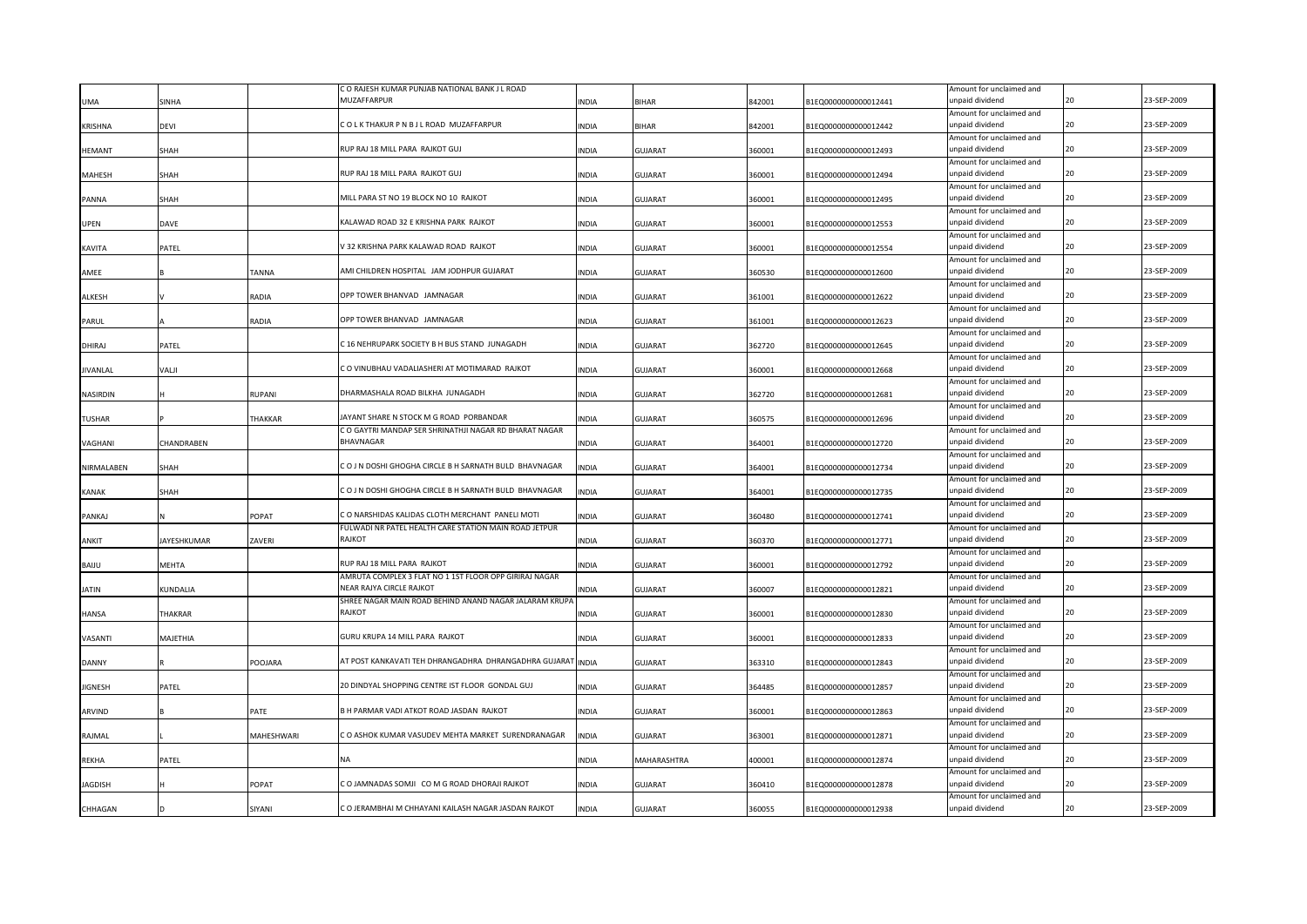|                 |                    |               | C O RAJESH KUMAR PUNJAB NATIONAL BANK J L ROAD         |              |                |        |                      | Amount for unclaimed and                    |    |             |
|-----------------|--------------------|---------------|--------------------------------------------------------|--------------|----------------|--------|----------------------|---------------------------------------------|----|-------------|
| UMA             | <b>INHA</b>        |               | <b>MUZAFFARPUR</b>                                     | <b>INDIA</b> | <b>BIHAR</b>   | 842001 | B1EQ0000000000012441 | unpaid dividend                             |    | 23-SEP-2009 |
|                 |                    |               |                                                        |              |                |        |                      | Amount for unclaimed and                    |    |             |
| <b>KRISHNA</b>  | devi               |               | COLK THAKUR P N B J L ROAD MUZAFFARPUR                 | <b>INDIA</b> | <b>BIHAR</b>   | 842001 | B1EQ0000000000012442 | unpaid dividend                             | 20 | 23-SEP-2009 |
|                 |                    |               |                                                        |              |                |        |                      | Amount for unclaimed and                    |    |             |
| <b>HEMANT</b>   | SHAH               |               | RUP RAJ 18 MILL PARA RAJKOT GUJ                        | <b>INDIA</b> | <b>GUJARAT</b> | 360001 | B1EQ0000000000012493 | unpaid dividend                             | 20 | 23-SEP-2009 |
|                 |                    |               |                                                        |              |                |        |                      | Amount for unclaimed and                    |    |             |
| <b>MAHESH</b>   | SHAH               |               | RUP RAJ 18 MILL PARA RAJKOT GUJ                        | INDIA        | <b>GUJARAT</b> | 360001 | B1EQ0000000000012494 | unpaid dividend                             | 20 | 23-SEP-2009 |
|                 |                    |               |                                                        |              |                |        |                      | Amount for unclaimed and                    |    |             |
| PANNA           | SHAH               |               | MILL PARA ST NO 19 BLOCK NO 10 RAJKOT                  | INDIA        | <b>GUJARAT</b> | 360001 | B1EQ0000000000012495 | unpaid dividend                             |    | 23-SEP-2009 |
|                 |                    |               |                                                        |              |                |        |                      | Amount for unclaimed and                    |    |             |
| <b>UPEN</b>     | DAVE               |               | KALAWAD ROAD 32 E KRISHNA PARK RAJKOT                  | INDIA        | <b>GUJARAT</b> | 360001 | B1EQ0000000000012553 | unpaid dividend                             | 20 | 23-SEP-2009 |
|                 |                    |               |                                                        |              |                |        |                      | Amount for unclaimed and                    |    |             |
| KAVITA          | PATEL              |               | V 32 KRISHNA PARK KALAWAD ROAD RAJKOT                  | <b>INDIA</b> | <b>GUJARAT</b> | 360001 | B1EQ0000000000012554 | unpaid dividend                             |    | 23-SEP-2009 |
|                 |                    |               |                                                        |              |                |        |                      | Amount for unclaimed and                    |    |             |
| AMEE            |                    | TANNA         | AMI CHILDREN HOSPITAL JAM JODHPUR GUJARAT              | <b>INDIA</b> | <b>GUJARAT</b> | 360530 | B1EQ0000000000012600 | unpaid dividend                             | 20 | 23-SEP-2009 |
|                 |                    |               |                                                        |              |                |        |                      | Amount for unclaimed and                    |    |             |
| <b>ALKESH</b>   |                    | RADIA         | OPP TOWER BHANVAD JAMNAGAR                             | <b>INDIA</b> | GUJARAT        | 361001 | B1EQ0000000000012622 | unpaid dividend                             | 20 | 23-SEP-2009 |
|                 |                    |               |                                                        |              |                |        |                      | Amount for unclaimed and                    |    |             |
| PARUL           |                    | RADIA         | OPP TOWER BHANVAD JAMNAGAR                             | <b>INDIA</b> | <b>GUJARAT</b> | 361001 | B1EQ0000000000012623 | unpaid dividend                             | 20 | 23-SEP-2009 |
|                 |                    |               |                                                        |              |                |        |                      | Amount for unclaimed and                    |    |             |
| DHIRAJ          | PATEL              |               | C 16 NEHRUPARK SOCIETY B H BUS STAND JUNAGADH          | <b>INDIA</b> | <b>GUJARAT</b> | 362720 | B1EQ0000000000012645 | unpaid dividend                             | 20 | 23-SEP-2009 |
|                 |                    |               |                                                        |              |                |        |                      | Amount for unclaimed and                    |    |             |
| <b>JIVANLAL</b> | VALJI              |               | C O VINUBHAU VADALIASHERI AT MOTIMARAD RAJKOT          | <b>INDIA</b> | <b>GUJARAT</b> | 360001 | B1EQ0000000000012668 | unpaid dividend                             | 20 | 23-SEP-2009 |
|                 |                    |               |                                                        |              |                |        |                      | Amount for unclaimed and                    |    |             |
| <b>NASIRDIN</b> |                    | <b>RUPANI</b> | DHARMASHALA ROAD BILKHA JUNAGADH                       | <b>INDIA</b> | GUJARAT        | 362720 | B1EQ0000000000012681 | unpaid dividend                             | 20 | 23-SEP-2009 |
|                 |                    |               |                                                        |              |                |        |                      | Amount for unclaimed and                    |    |             |
| TUSHAR          |                    | THAKKAR       | JAYANT SHARE N STOCK M G ROAD PORBANDAR                | <b>INDIA</b> | <b>GUJARAT</b> | 360575 | B1EQ0000000000012696 | unpaid dividend                             | 20 | 23-SEP-2009 |
|                 |                    |               | C O GAYTRI MANDAP SER SHRINATHJI NAGAR RD BHARAT NAGAR |              |                |        |                      | Amount for unclaimed and                    |    |             |
| VAGHANI         | CHANDRABEN         |               | BHAVNAGAR                                              | INDIA        | <b>GUJARAT</b> | 364001 | B1EQ0000000000012720 | unpaid dividend                             |    | 23-SEP-2009 |
|                 |                    |               |                                                        |              |                |        |                      | Amount for unclaimed and                    |    |             |
| NIRMALABEN      | SHAH               |               | CO J N DOSHI GHOGHA CIRCLE B H SARNATH BULD BHAVNAGAR  | <b>INDIA</b> | <b>GUJARAT</b> | 364001 | B1EQ0000000000012734 | unpaid dividend                             |    | 23-SEP-2009 |
|                 |                    |               |                                                        |              |                |        |                      | Amount for unclaimed and                    |    |             |
|                 | SHAH               |               | CO J N DOSHI GHOGHA CIRCLE B H SARNATH BULD BHAVNAGAR  | <b>INDIA</b> | <b>GUJARAT</b> | 364001 | B1EQ0000000000012735 | unpaid dividend                             | 20 | 23-SEP-2009 |
| KANAK           |                    |               |                                                        |              |                |        |                      | Amount for unclaimed and                    |    |             |
| PANKAJ          |                    | POPAT         | CO NARSHIDAS KALIDAS CLOTH MERCHANT PANELI MOTI        | <b>INDIA</b> | <b>GUJARAT</b> | 360480 | B1EQ0000000000012741 | unpaid dividend                             |    | 23-SEP-2009 |
|                 |                    |               | FULWADI NR PATEL HEALTH CARE STATION MAIN ROAD JETPUR  |              |                |        |                      | Amount for unclaimed and                    |    |             |
| ANKIT           | <b>JAYESHKUMAR</b> | ZAVERI        | RAJKOT                                                 | <b>INDIA</b> | <b>GUJARAT</b> | 360370 | B1EQ0000000000012771 | unpaid dividend                             |    | 23-SEP-2009 |
|                 |                    |               |                                                        |              |                |        |                      | Amount for unclaimed and                    |    |             |
| BAIJU           | MEHTA              |               | RUP RAJ 18 MILL PARA RAJKOT                            | INDIA        | <b>GUJARAT</b> | 360001 | B1EQ0000000000012792 | unpaid dividend                             |    | 23-SEP-2009 |
|                 |                    |               | AMRUTA COMPLEX 3 FLAT NO 1 1ST FLOOR OPP GIRIRAJ NAGAR |              |                |        |                      | Amount for unclaimed and                    |    |             |
| JATIN           |                    |               | NEAR RAJYA CIRCLE RAJKOT                               | INDIA        | <b>GUJARAT</b> | 360007 | B1EQ0000000000012821 | unpaid dividend                             |    | 23-SEP-2009 |
|                 | KUNDALIA           |               | SHREE NAGAR MAIN ROAD BEHIND ANAND NAGAR JALARAM KRUPA |              |                |        |                      | Amount for unclaimed and                    |    |             |
|                 |                    |               | RAJKOT                                                 |              |                |        |                      | unpaid dividend                             |    | 23-SEP-2009 |
| HANSA           | <b>THAKRAR</b>     |               |                                                        | INDIA        | <b>GUJARAT</b> | 360001 | B1EQ0000000000012830 |                                             |    |             |
| VASANTI         | MAJETHIA           |               | GURU KRUPA 14 MILL PARA RAJKOT                         |              |                | 360001 | B1EQ0000000000012833 | Amount for unclaimed and<br>unpaid dividend |    | 23-SEP-2009 |
|                 |                    |               |                                                        | INDIA        | <b>GUJARAT</b> |        |                      | Amount for unclaimed and                    |    |             |
| <b>DANNY</b>    |                    | POOJARA       | AT POST KANKAVATI TEH DHRANGADHRA DHRANGADHRA GUJARAT  | <b>INDIA</b> | <b>GUJARAT</b> |        |                      | unpaid dividend                             |    | 23-SEP-2009 |
|                 |                    |               |                                                        |              |                | 363310 | B1EQ0000000000012843 |                                             |    |             |
|                 |                    |               | 20 DINDYAL SHOPPING CENTRE IST FLOOR GONDAL GUJ        |              |                |        | B1EQ0000000000012857 | Amount for unclaimed and<br>unpaid dividend | 20 | 23-SEP-2009 |
| <b>JIGNESH</b>  | PATEL              |               |                                                        | <b>INDIA</b> | GUJARAT        | 364485 |                      |                                             |    |             |
|                 |                    |               | B H PARMAR VADI ATKOT ROAD JASDAN RAJKOT               |              | <b>GUJARAT</b> |        | B1EQ0000000000012863 | Amount for unclaimed and<br>unpaid dividend |    | 23-SEP-2009 |
| ARVIND          |                    | PATE          |                                                        | INDIA        |                | 360001 |                      |                                             |    |             |
|                 |                    |               |                                                        |              |                |        |                      | Amount for unclaimed and                    | 20 |             |
| RAJMAL          |                    | MAHESHWARI    | C O ASHOK KUMAR VASUDEV MEHTA MARKET SURENDRANAGAR     | <b>INDIA</b> | <b>GUJARAT</b> | 363001 | B1EQ0000000000012871 | unpaid dividend                             |    | 23-SEP-2009 |
|                 |                    |               | NΑ                                                     |              |                |        |                      | Amount for unclaimed and                    |    | 23-SEP-2009 |
| <b>REKHA</b>    | <b>ATEL</b>        |               |                                                        | <b>INDIA</b> | MAHARASHTRA    | 400001 | B1EQ0000000000012874 | unpaid dividend                             |    |             |
|                 |                    |               |                                                        |              |                |        |                      | Amount for unclaimed and                    | 20 | 23-SEP-2009 |
| JAGDISH         |                    |               |                                                        |              |                |        |                      |                                             |    |             |
|                 |                    | POPAT         | C O JAMNADAS SOMJI CO M G ROAD DHORAJI RAJKOT          | <b>INDIA</b> | GUJARAT        | 360410 | B1EQ0000000000012878 | unpaid dividend                             |    |             |
| CHHAGAN         |                    | SIYANI        | C O JERAMBHAI M CHHAYANI KAILASH NAGAR JASDAN RAJKOT   | <b>INDIA</b> | <b>GUJARAT</b> | 360055 | B1EQ0000000000012938 | Amount for unclaimed and<br>unpaid dividend | 20 | 23-SEP-2009 |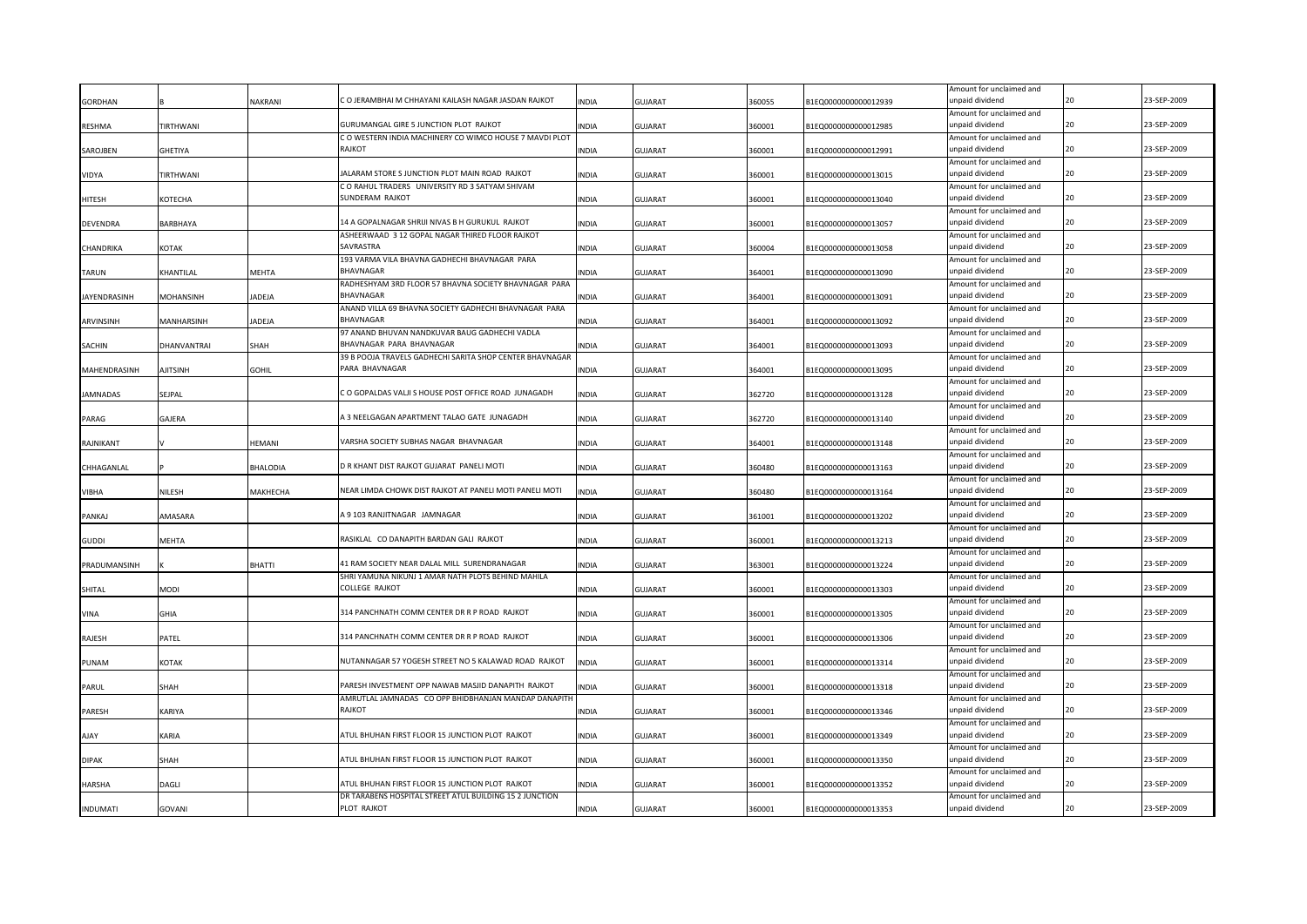|                 |             |                 |                                                                           |              |                |        |                      | Amount for unclaimed and                    |    |             |
|-----------------|-------------|-----------------|---------------------------------------------------------------------------|--------------|----------------|--------|----------------------|---------------------------------------------|----|-------------|
| <b>GORDHAN</b>  |             | NAKRANI         | C O JERAMBHAI M CHHAYANI KAILASH NAGAR JASDAN RAJKOT                      | <b>INDIA</b> | GUJARAT        | 360055 | B1EQ0000000000012939 | unpaid dividend                             |    | 23-SEP-2009 |
|                 |             |                 | GURUMANGAL GIRE 5 JUNCTION PLOT RAJKOT                                    | <b>INDIA</b> |                | 360001 | B1EQ0000000000012985 | Amount for unclaimed and<br>unpaid dividend | 20 | 23-SEP-2009 |
| <b>RESHMA</b>   | TIRTHWANI   |                 | C O WESTERN INDIA MACHINERY CO WIMCO HOUSE 7 MAVDI PLOT                   |              | <b>GUJARAT</b> |        |                      | Amount for unclaimed and                    |    |             |
| SAROJBEN        | GHETIYA     |                 | RAJKOT                                                                    | <b>INDIA</b> | <b>GUJARAT</b> | 360001 | B1EQ0000000000012991 | unpaid dividend                             |    | 23-SEP-2009 |
|                 |             |                 |                                                                           |              |                |        |                      | Amount for unclaimed and                    |    |             |
| VIDYA           | TIRTHWANI   |                 | ALARAM STORE S JUNCTION PLOT MAIN ROAD RAJKOT                             | <b>INDIA</b> | <b>GUJARAT</b> | 360001 | B1EQ0000000000013015 | unpaid dividend                             | 20 | 23-SEP-2009 |
|                 |             |                 | C O RAHUL TRADERS UNIVERSITY RD 3 SATYAM SHIVAM                           |              |                |        |                      | Amount for unclaimed and                    |    |             |
| HITESH          | КОТЕСНА     |                 | SUNDERAM RAJKOT                                                           | INDIA        | <b>GUJARAT</b> | 360001 | B1EQ0000000000013040 | unpaid dividend                             |    | 23-SEP-2009 |
| <b>DEVENDRA</b> | BARBHAYA    |                 | 14 A GOPALNAGAR SHRIJI NIVAS B H GURUKUL RAJKOT                           | INDIA        | <b>GUJARAT</b> | 360001 | B1EQ0000000000013057 | Amount for unclaimed and<br>unpaid dividend |    | 23-SEP-2009 |
|                 |             |                 | ASHEERWAAD 3 12 GOPAL NAGAR THIRED FLOOR RAJKOT                           |              |                |        |                      | Amount for unclaimed and                    |    |             |
| CHANDRIKA       | KOTAK       |                 | SAVRASTRA                                                                 | INDIA        | <b>GUJARAT</b> | 360004 | B1EQ0000000000013058 | unpaid dividend                             |    | 23-SEP-2009 |
|                 |             |                 | 193 VARMA VILA BHAVNA GADHECHI BHAVNAGAR PARA                             |              |                |        |                      | Amount for unclaimed and                    |    |             |
| TARUN           | KHANTILAL   | MEHTA           | BHAVNAGAR                                                                 | <b>INDIA</b> | <b>GUJARAT</b> | 364001 | B1EQ0000000000013090 | unpaid dividend                             | 20 | 23-SEP-2009 |
|                 |             |                 | RADHESHYAM 3RD FLOOR 57 BHAVNA SOCIETY BHAVNAGAR PARA                     |              |                |        |                      | Amount for unclaimed and                    |    |             |
| JAYENDRASINH    | MOHANSINH   | JADEJA          | BHAVNAGAR                                                                 | <b>INDIA</b> | <b>GUJARAT</b> | 364001 | B1EQ0000000000013091 | unpaid dividend                             |    | 23-SEP-2009 |
|                 |             |                 | ANAND VILLA 69 BHAVNA SOCIETY GADHECHI BHAVNAGAR PARA                     |              |                |        |                      | Amount for unclaimed and                    |    |             |
| ARVINSINH       | MANHARSINH  | JADEJA          | <b>BHAVNAGAR</b>                                                          | <b>INDIA</b> | <b>GUJARAT</b> | 364001 | B1EQ0000000000013092 | unpaid dividend                             |    | 23-SEP-2009 |
| SACHIN          | DHANVANTRAI | SHAH            | 97 ANAND BHUVAN NANDKUVAR BAUG GADHECHI VADLA<br>BHAVNAGAR PARA BHAVNAGAR | <b>INDIA</b> | GUJARAT        | 364001 | B1EQ0000000000013093 | Amount for unclaimed and<br>unpaid dividend | 20 | 23-SEP-2009 |
|                 |             |                 | 39 B POOJA TRAVELS GADHECHI SARITA SHOP CENTER BHAVNAGAR                  |              |                |        |                      |                                             |    |             |
| MAHENDRASINH    | AJITSINH    | <b>GOHIL</b>    | PARA BHAVNAGAR                                                            | <b>INDIA</b> | <b>GUJARAT</b> | 364001 | B1EQ0000000000013095 | Amount for unclaimed and<br>unpaid dividend | 20 | 23-SEP-2009 |
|                 |             |                 |                                                                           |              |                |        |                      | Amount for unclaimed and                    |    |             |
| <b>JAMNADAS</b> | SEJPAL      |                 | C O GOPALDAS VALJI S HOUSE POST OFFICE ROAD JUNAGADH                      | <b>INDIA</b> | <b>GUJARAT</b> | 362720 | B1EQ0000000000013128 | unpaid dividend                             | 20 | 23-SEP-2009 |
|                 |             |                 |                                                                           |              |                |        |                      | Amount for unclaimed and                    |    |             |
| PARAG           | GAJERA      |                 | A 3 NEELGAGAN APARTMENT TALAO GATE JUNAGADH                               | <b>INDIA</b> | <b>GUJARAT</b> | 362720 | B1EQ0000000000013140 | unpaid dividend                             | 20 | 23-SEP-2009 |
|                 |             |                 |                                                                           |              |                |        |                      | Amount for unclaimed and                    |    |             |
| RAJNIKANT       |             | HEMANI          | VARSHA SOCIETY SUBHAS NAGAR BHAVNAGAR                                     | <b>INDIA</b> | GUJARAT        | 364001 | B1EQ0000000000013148 | unpaid dividend                             |    | 23-SEP-2009 |
|                 |             |                 |                                                                           |              |                |        |                      | Amount for unclaimed and                    |    |             |
| CHHAGANLAL      |             | <b>BHALODIA</b> | D R KHANT DIST RAJKOT GUJARAT PANELI MOTI                                 | <b>INDIA</b> | <b>GUJARAT</b> | 360480 | B1EQ0000000000013163 | unpaid dividend                             | 20 | 23-SEP-2009 |
|                 |             |                 |                                                                           |              |                |        |                      | Amount for unclaimed and                    |    |             |
| VIBHA           | NILESH      | MAKHECHA        | NEAR LIMDA CHOWK DIST RAJKOT AT PANELI MOTI PANELI MOTI                   | <b>INDIA</b> | GUJARAT        | 360480 | B1EQ0000000000013164 | unpaid dividend                             |    | 23-SEP-2009 |
|                 |             |                 |                                                                           |              |                |        |                      | Amount for unclaimed and                    |    | 23-SEP-2009 |
| PANKAJ          | AMASARA     |                 | A 9 103 RANJITNAGAR JAMNAGAR                                              | <b>INDIA</b> | <b>GUJARAT</b> | 361001 | B1EQ0000000000013202 | unpaid dividend<br>Amount for unclaimed and |    |             |
| <b>GUDDI</b>    | MEHTA       |                 | RASIKLAL CO DANAPITH BARDAN GALI RAJKOT                                   | <b>INDIA</b> | <b>GUJARAT</b> | 360001 | B1EQ0000000000013213 | unpaid dividend                             | 20 | 23-SEP-2009 |
|                 |             |                 |                                                                           |              |                |        |                      | Amount for unclaimed and                    |    |             |
| PRADUMANSINH    |             | BHATTI          | 41 RAM SOCIETY NEAR DALAL MILL SURENDRANAGAR                              | <b>INDIA</b> | <b>GUJARAT</b> | 363001 | B1EQ0000000000013224 | unpaid dividend                             |    | 23-SEP-2009 |
|                 |             |                 | SHRI YAMUNA NIKUNJ 1 AMAR NATH PLOTS BEHIND MAHILA                        |              |                |        |                      | Amount for unclaimed and                    |    |             |
| SHITAL          | NODI        |                 | <b>COLLEGE RAJKOT</b>                                                     | <b>INDIA</b> | <b>GUJARAT</b> | 360001 | B1EQ0000000000013303 | unpaid dividend                             |    | 23-SEP-2009 |
|                 |             |                 |                                                                           |              |                |        |                      | Amount for unclaimed and                    |    |             |
| VINA            | GHIA        |                 | 314 PANCHNATH COMM CENTER DR R P ROAD RAJKOT                              | <b>INDIA</b> | <b>GUJARAT</b> | 360001 | B1EQ0000000000013305 | unpaid dividend                             |    | 23-SEP-2009 |
|                 |             |                 |                                                                           |              |                |        |                      | Amount for unclaimed and                    |    |             |
| RAJESH          | PATEL       |                 | 314 PANCHNATH COMM CENTER DR R P ROAD RAJKOT                              | <b>INDIA</b> | <b>GUJARAT</b> | 360001 | B1EQ0000000000013306 | unpaid dividend                             |    | 23-SEP-2009 |
|                 |             |                 |                                                                           |              |                |        |                      | Amount for unclaimed and                    |    |             |
| PUNAM           | KOTAK       |                 | NUTANNAGAR 57 YOGESH STREET NO 5 KALAWAD ROAD RAJKOT                      | <b>INDIA</b> | <b>GUJARAT</b> | 360001 | B1EQ0000000000013314 | unpaid dividend                             |    | 23-SEP-2009 |
|                 |             |                 |                                                                           |              |                |        |                      | Amount for unclaimed and                    |    |             |
| PARUL           | SHAH        |                 | PARESH INVESTMENT OPP NAWAB MASJID DANAPITH RAJKOT                        | INDIA        | <b>GUJARAT</b> | 360001 | B1EQ0000000000013318 | unpaid dividend                             |    | 23-SEP-2009 |
|                 |             |                 | AMRUTLAL JAMNADAS CO OPP BHIDBHANJAN MANDAP DANAPIT                       |              |                |        |                      | Amount for unclaimed and                    |    |             |
| PARESH          | KARIYA      |                 | RAJKOT                                                                    | INDIA        | <b>GUJARAT</b> | 360001 | B1EQ0000000000013346 | unpaid dividend                             |    | 23-SEP-2009 |
|                 |             |                 | ATUL BHUHAN FIRST FLOOR 15 JUNCTION PLOT RAJKOT                           |              |                |        |                      | Amount for unclaimed and<br>unpaid dividend |    | 23-SEP-2009 |
| YALA            | KARIA       |                 |                                                                           | <b>INDIA</b> | GUJARAT        | 360001 | B1EQ0000000000013349 |                                             |    |             |
| <b>DIPAK</b>    | НАН         |                 | ATUL BHUHAN FIRST FLOOR 15 JUNCTION PLOT RAJKOT                           | <b>INDIA</b> | <b>GUJARAT</b> | 360001 | B1EQ0000000000013350 | Amount for unclaimed and<br>unpaid dividend |    | 23-SEP-2009 |
|                 |             |                 |                                                                           |              |                |        |                      | Amount for unclaimed and                    |    |             |
| <b>HARSHA</b>   | DAGLI       |                 | ATUL BHUHAN FIRST FLOOR 15 JUNCTION PLOT RAJKOT                           | <b>INDIA</b> | <b>GUJARAT</b> | 360001 | B1EQ0000000000013352 | unpaid dividend                             |    | 23-SEP-2009 |
|                 |             |                 | DR TARABENS HOSPITAL STREET ATUL BUILDING 15 2 JUNCTION                   |              |                |        |                      | Amount for unclaimed and                    |    |             |
| <b>INDUMATI</b> | GOVANI      |                 | PLOT RAJKOT                                                               | <b>INDIA</b> | GUJARAT        | 360001 | B1EQ0000000000013353 | unpaid dividend                             |    | 23-SEP-2009 |
|                 |             |                 |                                                                           |              |                |        |                      |                                             |    |             |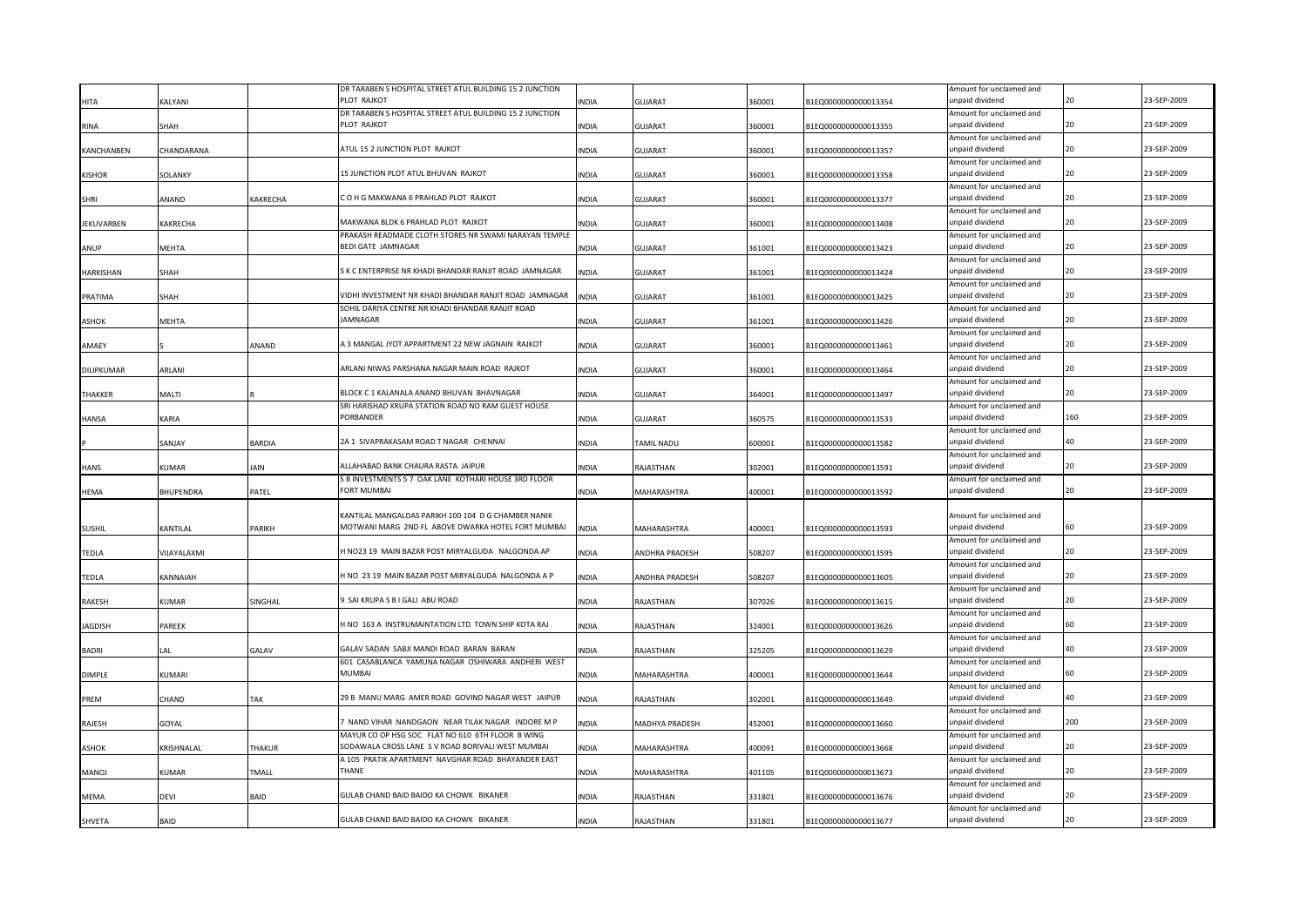|                |              |               | DR TARABEN S HOSPITAL STREET ATUL BUILDING 15 2 JUNCTION |              |                |        |                      | Amount for unclaimed and                    |     |             |
|----------------|--------------|---------------|----------------------------------------------------------|--------------|----------------|--------|----------------------|---------------------------------------------|-----|-------------|
| <b>HITA</b>    | KALYANI      |               | PLOT RAJKOT                                              | <b>INDIA</b> | GUJARAT        | 360001 | B1EQ0000000000013354 | unpaid dividend                             | 20  | 23-SEP-2009 |
|                |              |               | DR TARABEN S HOSPITAL STREET ATUL BUILDING 15 2 JUNCTION |              |                |        |                      | Amount for unclaimed and                    |     |             |
| RINA           | SHAH         |               | PLOT RAJKOT                                              | <b>INDIA</b> | GUJARAT        | 360001 | B1EQ0000000000013355 | unpaid dividend                             | 20  | 23-SEP-2009 |
|                | CHANDARANA   |               | ATUL 15 2 JUNCTION PLOT RAJKOT                           | <b>INDIA</b> |                |        |                      | Amount for unclaimed and<br>unpaid dividend | 20  | 23-SEP-2009 |
| KANCHANBEN     |              |               |                                                          |              | <b>GUJARAT</b> | 360001 | B1EQ0000000000013357 | Amount for unclaimed and                    |     |             |
| <b>KISHOR</b>  | SOLANKY      |               | 15 JUNCTION PLOT ATUL BHUVAN RAJKOT                      | <b>INDIA</b> | <b>GUJARAT</b> | 360001 | B1EQ0000000000013358 | unpaid dividend                             | 20  | 23-SEP-2009 |
|                |              |               |                                                          |              |                |        |                      | Amount for unclaimed and                    |     |             |
| SHRI           | ANAND        | KAKRECHA      | C O H G MAKWANA 6 PRAHLAD PLOT RAJKOT                    | <b>INDIA</b> | <b>GUJARAT</b> | 360001 | B1EQ0000000000013377 | unpaid dividend                             | 20  | 23-SEP-2009 |
|                |              |               |                                                          |              |                |        |                      | Amount for unclaimed and                    |     |             |
| JEKUVARBEN     | KAKRECHA     |               | MAKWANA BLDK 6 PRAHLAD PLOT RAJKOT                       | <b>INDIA</b> | <b>GUJARAT</b> | 360001 | B1EQ0000000000013408 | unpaid dividend                             |     | 23-SEP-2009 |
|                |              |               | PRAKASH READMADE CLOTH STORES NR SWAMI NARAYAN TEMPLE    |              |                |        |                      | Amount for unclaimed and                    |     |             |
| ANUP           | MEHTA        |               | <b>BEDI GATE JAMNAGAR</b>                                | <b>INDIA</b> | <b>GUJARAT</b> | 361001 | B1EQ0000000000013423 | unpaid dividend                             | 20  | 23-SEP-2009 |
|                |              |               |                                                          |              |                |        |                      | Amount for unclaimed and                    |     |             |
| HARKISHAN      | SHAH         |               | S K C ENTERPRISE NR KHADI BHANDAR RANJIT ROAD JAMNAGAR   | <b>INDIA</b> | GUJARAT        | 361001 | B1EQ0000000000013424 | unpaid dividend                             |     | 23-SEP-2009 |
|                |              |               |                                                          |              |                |        |                      | Amount for unclaimed and                    |     |             |
| PRATIMA        | SHAH         |               | VIDHI INVESTMENT NR KHADI BHANDAR RANJIT ROAD JAMNAGAR   | <b>INDIA</b> | <b>GUJARAT</b> | 361001 | B1EQ0000000000013425 | unpaid dividend                             | 20  | 23-SEP-2009 |
|                |              |               | SOHIL DARIYA CENTRE NR KHADI BHANDAR RANJIT ROAD         |              |                |        |                      | Amount for unclaimed and                    | 20  |             |
| <b>SHOK</b>    | MEHTA        |               | JAMNAGAR                                                 | <b>INDIA</b> | GUJARAT        | 361001 | B1EQ0000000000013426 | unpaid dividend                             |     | 23-SEP-2009 |
|                |              |               | A 3 MANGAL JYOT APPARTMENT 22 NEW JAGNAIN RAJKOT         |              |                |        |                      | Amount for unclaimed and<br>unpaid dividend | 20  | 23-SEP-2009 |
| AMAEY          |              | ANAND         |                                                          | <b>INDIA</b> | GUJARAT        | 360001 | B1EQ0000000000013461 | Amount for unclaimed and                    |     |             |
| DILIPKUMAR     | ARLANI       |               | ARLANI NIWAS PARSHANA NAGAR MAIN ROAD RAJKOT             | <b>INDIA</b> | <b>GUJARAT</b> | 360001 | B1EQ0000000000013464 | unpaid dividend                             | 20  | 23-SEP-2009 |
|                |              |               |                                                          |              |                |        |                      | Amount for unclaimed and                    |     |             |
| <b>THAKKFR</b> | MALTI        |               | BLOCK C 1 KALANALA ANAND BHUVAN BHAVNAGAR                | <b>INDIA</b> | GUJARAT        | 364001 | B1EQ0000000000013497 | unpaid dividend                             | 20  | 23-SEP-2009 |
|                |              |               | SRI HARISHAD KRUPA STATION ROAD NO RAM GUEST HOUSE       |              |                |        |                      | Amount for unclaimed and                    |     |             |
| <b>HANSA</b>   | <b>KARIA</b> |               | PORBANDER                                                | <b>INDIA</b> | <b>GUJARAT</b> | 360575 | B1EQ0000000000013533 | unpaid dividend                             | 160 | 23-SEP-2009 |
|                |              |               |                                                          |              |                |        |                      | Amount for unclaimed and                    |     |             |
|                | SANJAY       | <b>BARDIA</b> | 2A 1 SIVAPRAKASAM ROAD T NAGAR CHENNAI                   | <b>INDIA</b> | TAMIL NADU     | 600001 | B1EQ0000000000013582 | unpaid dividend                             | 40  | 23-SEP-2009 |
|                |              |               |                                                          |              |                |        |                      | Amount for unclaimed and                    |     |             |
| HANS           | KUMAR        | JAIN          | ALLAHABAD BANK CHAURA RASTA JAIPUR                       | <b>INDIA</b> | RAJASTHAN      | 302001 | B1EQ0000000000013591 | unpaid dividend                             | 20  | 23-SEP-2009 |
|                |              |               | S B INVESTMENTS 5 7 OAK LANE KOTHARI HOUSE 3RD FLOOR     |              |                |        |                      | Amount for unclaimed and                    |     |             |
| <b>HEMA</b>    | BHUPENDRA    | PATEL         | <b>FORT MUMBAI</b>                                       | <b>INDIA</b> | MAHARASHTRA    | 400001 | B1EQ0000000000013592 | unpaid dividend                             | 20  | 23-SEP-2009 |
|                |              |               |                                                          |              |                |        |                      |                                             |     |             |
|                |              |               | KANTILAL MANGALDAS PARIKH 100 104 D G CHAMBER NANIK      |              |                |        |                      | Amount for unclaimed and                    |     |             |
| <b>SUSHIL</b>  | KANTILAL     | PARIKH        | MOTWANI MARG 2ND FL ABOVE DWARKA HOTEL FORT MUMBAI       | <b>INDIA</b> | MAHARASHTRA    | 400001 | B1EQ0000000000013593 | unpaid dividend                             | 60  | 23-SEP-2009 |
|                |              |               |                                                          |              |                |        |                      | Amount for unclaimed and                    | 20  |             |
| TEDLA          | VIJAYALAXMI  |               | H NO23 19 MAIN BAZAR POST MIRYALGUDA NALGONDA AP         | <b>INDIA</b> | ANDHRA PRADESH | 508207 | B1EQ0000000000013595 | unpaid dividend                             |     | 23-SEP-2009 |
| TEDLA          | KANNAIAH     |               | H NO 23 19 MAIN BAZAR POST MIRYALGUDA NALGONDA A P       | <b>INDIA</b> | ANDHRA PRADESH | 508207 | B1EQ0000000000013605 | Amount for unclaimed and<br>unpaid dividend | 20  | 23-SEP-2009 |
|                |              |               |                                                          |              |                |        |                      | Amount for unclaimed and                    |     |             |
| <b>RAKESH</b>  | KUMAR        | SINGHAL       | 3 SAI KRUPA S B I GALI ABU ROAD                          | <b>INDIA</b> | RAJASTHAN      | 307026 | B1EQ0000000000013615 | unpaid dividend                             |     | 23-SEP-2009 |
|                |              |               |                                                          |              |                |        |                      | Amount for unclaimed and                    |     |             |
| JAGDISH        | PAREEK       |               | H NO 163 A INSTRUMAINTATION LTD TOWN SHIP KOTA RAJ       | <b>INDIA</b> | RAJASTHAN      | 324001 | B1EQ0000000000013626 | unpaid dividend                             |     | 23-SEP-2009 |
|                |              |               |                                                          |              |                |        |                      | Amount for unclaimed and                    |     |             |
| <b>BADRI</b>   | AL           | GALAV         | GALAV SADAN SABJI MANDI ROAD BARAN BARAN                 | <b>INDIA</b> | RAJASTHAN      | 325205 | B1EQ0000000000013629 | unpaid dividend                             |     | 23-SEP-2009 |
|                |              |               | 601 CASABLANCA YAMUNA NAGAR OSHIWARA ANDHERI WEST        |              |                |        |                      | Amount for unclaimed and                    |     |             |
| <b>DIMPLE</b>  | KUMARI       |               | <b>MUMBAI</b>                                            | <b>INDIA</b> | MAHARASHTRA    | 400001 | B1EQ0000000000013644 | unpaid dividend                             | 60  | 23-SEP-2009 |
|                |              |               |                                                          |              |                |        |                      | Amount for unclaimed and                    |     |             |
| <b>REM</b>     | CHAND        | TAK           | 29 B MANU MARG AMER ROAD GOVIND NAGAR WEST JAIPUR        | <b>INDIA</b> | RAJASTHAN      | 302001 | B1EQ0000000000013649 | unpaid dividend                             |     | 23-SEP-2009 |
|                |              |               |                                                          |              |                |        |                      | Amount for unclaimed and                    |     |             |
| RAJESH         | GOYAL        |               | 7 NAND VIHAR NANDGAON NEAR TILAK NAGAR INDORE M P        | <b>INDIA</b> | MADHYA PRADESH | 452001 | B1EQ0000000000013660 | unpaid dividend                             | 200 | 23-SEP-2009 |
|                |              |               | MAYUR CO OP HSG SOC FLAT NO 610 6TH FLOOR B WING         |              |                |        |                      | Amount for unclaimed and                    |     |             |
| <b>ASHOK</b>   | KRISHNALAL   | <b>THAKUR</b> | SODAWALA CROSS LANE S V ROAD BORIVALI WEST MUMBAI        | <b>INDIA</b> | MAHARASHTRA    | 400091 | B1EQ0000000000013668 | unpaid dividend                             | 20  | 23-SEP-2009 |
|                |              |               | A 105 PRATIK APARTMENT NAVGHAR ROAD BHAYANDER EAST       |              |                |        |                      | Amount for unclaimed and                    | 20  |             |
| MANOJ          | KUMAR        | <b>TMALL</b>  | THANE                                                    | <b>INDIA</b> | MAHARASHTRA    | 401105 | B1EQ0000000000013673 | unpaid dividend                             |     | 23-SEP-2009 |
|                |              |               | GULAB CHAND BAID BAIDO KA CHOWK BIKANER                  |              |                |        |                      | Amount for unclaimed and<br>unpaid dividend | 20  | 23-SEP-2009 |
| <b>MEMA</b>    | devi         | BAID          |                                                          | <b>INDIA</b> | RAJASTHAN      | 331801 | B1EQ0000000000013676 | Amount for unclaimed and                    |     |             |
|                | BAID         |               | GULAB CHAND BAID BAIDO KA CHOWK BIKANER                  | <b>INDIA</b> | RAJASTHAN      | 331801 | B1EQ0000000000013677 | unpaid dividend                             | 20  | 23-SEP-2009 |
| <b>SHVETA</b>  |              |               |                                                          |              |                |        |                      |                                             |     |             |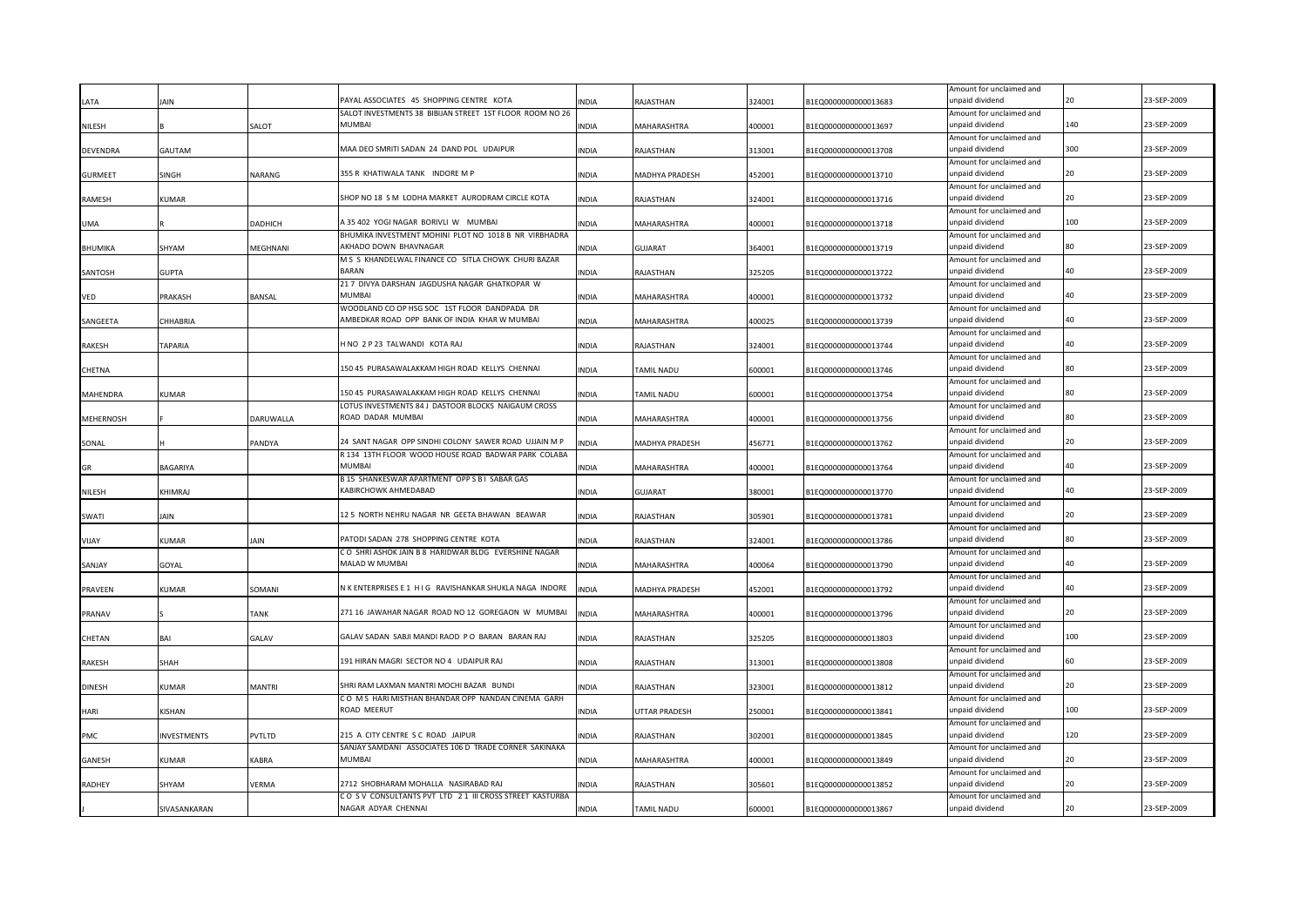|                  |                    |             | PAYAL ASSOCIATES 45 SHOPPING CENTRE KOTA                               |              |                    |        |                      | Amount for unclaimed and<br>unpaid dividend |     | 23-SEP-2009 |
|------------------|--------------------|-------------|------------------------------------------------------------------------|--------------|--------------------|--------|----------------------|---------------------------------------------|-----|-------------|
| LATA             | JAIN               |             | SALOT INVESTMENTS 38 BIBIJAN STREET 1ST FLOOR ROOM NO 26               | INDIA        | RAJASTHAN          | 324001 | B1EQ0000000000013683 | Amount for unclaimed and                    |     |             |
| NILESH           |                    | SALOT       | MUMBAI                                                                 | INDIA        | MAHARASHTRA        | 400001 | B1EQ0000000000013697 | unpaid dividend                             | 140 | 23-SEP-2009 |
|                  |                    |             |                                                                        |              |                    |        |                      | Amount for unclaimed and                    |     |             |
| <b>DEVENDRA</b>  | GAUTAM             |             | MAA DEO SMRITI SADAN 24 DAND POL UDAIPUR                               | INDIA        | RAJASTHAN          | 313001 | B1EQ0000000000013708 | unpaid dividend                             | 300 | 23-SEP-2009 |
|                  |                    |             |                                                                        |              |                    |        |                      | Amount for unclaimed and                    |     |             |
| <b>GURMEET</b>   | SINGH              | NARANG      | 355 R KHATIWALA TANK INDORE M P                                        | INDIA        | MADHYA PRADESH     | 452001 | B1EQ0000000000013710 | unpaid dividend                             | 20  | 23-SEP-2009 |
|                  |                    |             |                                                                        |              |                    |        |                      | Amount for unclaimed and                    |     |             |
| RAMESH           | <b>KUMAR</b>       |             | SHOP NO 18 S M LODHA MARKET AURODRAM CIRCLE KOTA                       | <b>INDIA</b> | RAJASTHAN          | 324001 | B1EQ0000000000013716 | unpaid dividend                             |     | 23-SEP-2009 |
|                  |                    |             |                                                                        |              |                    |        |                      | Amount for unclaimed and                    |     |             |
| UMA              |                    | DADHICH     | A 35 402 YOGI NAGAR BORIVLI W MUMBAI                                   | INDIA        | MAHARASHTRA        | 400001 | B1EQ0000000000013718 | inpaid dividend                             | 100 | 23-SEP-2009 |
|                  |                    |             | BHUMIKA INVESTMENT MOHINI PLOT NO 1018 B NR VIRBHADRA                  |              |                    |        |                      | Amount for unclaimed and                    |     |             |
| BHUMIKA          | SHYAM              | MEGHNANI    | AKHADO DOWN BHAVNAGAR                                                  | INDIA        | <b>GUJARAT</b>     | 364001 | B1EQ0000000000013719 | unpaid dividend                             | 80  | 23-SEP-2009 |
|                  |                    |             | M S S KHANDELWAL FINANCE CO SITLA CHOWK CHURI BAZAR                    |              |                    |        |                      | Amount for unclaimed and                    |     |             |
| SANTOSH          | <b>GUPTA</b>       |             | <b>BARAN</b>                                                           | <b>INDIA</b> | RAJASTHAN          | 325205 | B1EQ0000000000013722 | unpaid dividend                             | 40  | 23-SEP-2009 |
|                  |                    |             | 21 7 DIVYA DARSHAN JAGDUSHA NAGAR GHATKOPAR W                          |              |                    |        |                      | Amount for unclaimed and                    |     |             |
| VED              | PRAKASH            | BANSAL      | <b>MUMBAI</b>                                                          | INDIA        | MAHARASHTRA        | 400001 | B1EQ0000000000013732 | unpaid dividend                             | 40  | 23-SEP-2009 |
|                  |                    |             | WOODLAND CO OP HSG SOC 1ST FLOOR DANDPADA DR                           |              |                    |        |                      | Amount for unclaimed and                    |     |             |
| SANGEETA         | CHHABRIA           |             | AMBEDKAR ROAD OPP BANK OF INDIA KHAR W MUMBAI                          | INDIA        | MAHARASHTRA        | 400025 | B1EQ0000000000013739 | unpaid dividend                             | 40  | 23-SEP-2009 |
|                  |                    |             |                                                                        |              |                    |        |                      | Amount for unclaimed and                    |     |             |
| RAKESH           | TAPARIA            |             | HNO 2 P 23 TALWANDI KOTA RAJ                                           | INDIA        | RAJASTHAN          | 324001 | B1EQ0000000000013744 | unpaid dividend                             | 40  | 23-SEP-2009 |
|                  |                    |             |                                                                        |              |                    |        |                      | Amount for unclaimed and                    |     |             |
| CHETNA           |                    |             | 150 45 PURASAWALAKKAM HIGH ROAD KELLYS CHENNAI                         | INDIA        | TAMIL NADU         | 600001 | B1EQ0000000000013746 | unpaid dividend                             |     | 23-SEP-2009 |
|                  |                    |             |                                                                        |              |                    |        |                      | Amount for unclaimed and                    |     |             |
| <b>MAHENDRA</b>  | <b>KUMAR</b>       |             | 150 45 PURASAWALAKKAM HIGH ROAD KELLYS CHENNAI                         | <b>INDIA</b> | TAMIL NADU         | 600001 | B1EQ0000000000013754 | unpaid dividend                             |     | 23-SEP-2009 |
|                  |                    |             | LOTUS INVESTMENTS 84 J DASTOOR BLOCKS NAIGAUM CROSS                    |              |                    |        |                      | Amount for unclaimed and                    |     |             |
| <b>MEHERNOSH</b> |                    | DARUWALLA   | ROAD DADAR MUMBAI                                                      | <b>INDIA</b> | MAHARASHTRA        | 400001 | B1EQ0000000000013756 | unpaid dividend                             |     | 23-SEP-2009 |
|                  |                    |             |                                                                        |              |                    |        |                      | Amount for unclaimed and                    |     |             |
| SONAL            |                    | PANDYA      | 24 SANT NAGAR OPP SINDHI COLONY SAWER ROAD UJJAIN M P                  | INDIA        | MADHYA PRADESH     | 456771 | B1EQ0000000000013762 | unpaid dividend                             |     | 23-SEP-2009 |
|                  |                    |             | R 134 13TH FLOOR WOOD HOUSE ROAD BADWAR PARK COLABA                    |              |                    |        |                      | Amount for unclaimed and                    |     |             |
| GR               | BAGARIYA           |             | MUMBAI                                                                 | <b>INDIA</b> | MAHARASHTRA        | 400001 | B1EQ0000000000013764 | unpaid dividend                             |     | 23-SEP-2009 |
|                  |                    |             | B 15 SHANKESWAR APARTMENT OPP S B I SABAR GAS                          |              |                    |        |                      | Amount for unclaimed and                    |     |             |
| <b>NILESH</b>    | <b>KHIMRAI</b>     |             | KABIRCHOWK AHMEDABAD                                                   | INDIA        | <b>GUJARAT</b>     | 380001 | B1EQ0000000000013770 | unpaid dividend                             |     | 23-SEP-2009 |
|                  |                    |             |                                                                        |              |                    |        |                      | Amount for unclaimed and                    |     |             |
| SWATI            | <b>IAIN</b>        |             | 12 5 NORTH NEHRU NAGAR NR GEETA BHAWAN BEAWAR                          | INDIA        | RAJASTHAN          | 305901 | B1EQ0000000000013781 | unpaid dividend                             |     | 23-SEP-2009 |
|                  |                    |             |                                                                        |              |                    |        |                      | Amount for unclaimed and                    |     |             |
| VIJAY            | KUMAR              | JAIN        | PATODI SADAN 278 SHOPPING CENTRE KOTA                                  | <b>INDIA</b> | RAJASTHAN          | 324001 | B1EQ0000000000013786 | unpaid dividend                             |     | 23-SEP-2009 |
|                  |                    |             | CO SHRI ASHOK JAIN B 8 HARIDWAR BLDG EVERSHINE NAGAR<br>MALAD W MUMBAI |              |                    |        |                      | Amount for unclaimed and                    |     | 23-SEP-2009 |
| SANJAY           | GOYAL              |             |                                                                        | INDIA        | MAHARASHTRA        | 400064 | B1EQ0000000000013790 | unpaid dividend                             |     |             |
|                  |                    |             | N K ENTERPRISES E 1 H I G RAVISHANKAR SHUKLA NAGA INDORE               |              |                    |        |                      | Amount for unclaimed and                    | 40  | 23-SEP-2009 |
| PRAVEEN          | <b>KUMAR</b>       | SOMANI      |                                                                        | INDIA        | MADHYA PRADESH     | 452001 | B1EQ0000000000013792 | unpaid dividend                             |     |             |
|                  |                    |             | 271 16 JAWAHAR NAGAR ROAD NO 12 GOREGAON W MUMBAI                      |              |                    |        |                      | Amount for unclaimed and<br>unpaid dividend |     | 23-SEP-2009 |
| PRANAV           |                    | <b>ANK</b>  |                                                                        | INDIA        | MAHARASHTRA        | 400001 | B1EQ0000000000013796 | Amount for unclaimed and                    |     |             |
| CHETAN           | BAI                | GALAV       | GALAV SADAN SABJI MANDI RAOD PO BARAN BARAN RAJ                        | INDIA        | RAJASTHAN          | 325205 | B1EQ0000000000013803 | unpaid dividend                             | 100 | 23-SEP-2009 |
|                  |                    |             |                                                                        |              |                    |        |                      | Amount for unclaimed and                    |     |             |
| <b>RAKESH</b>    | SHAH               |             | 191 HIRAN MAGRI SECTOR NO 4 UDAIPUR RAJ                                | INDIA        | RAJASTHAN          | 313001 | B1EQ0000000000013808 | unpaid dividend                             |     | 23-SEP-2009 |
|                  |                    |             |                                                                        |              |                    |        |                      | Amount for unclaimed and                    |     |             |
| DINESH           | KUMAR              | MANTRI      | SHRI RAM LAXMAN MANTRI MOCHI BAZAR BUNDI                               | INDIA        | RAJASTHAN          | 323001 | B1EQ0000000000013812 | unpaid dividend                             |     | 23-SEP-2009 |
|                  |                    |             | CO M S HARI MISTHAN BHANDAR OPP NANDAN CINEMA GARH                     |              |                    |        |                      | Amount for unclaimed and                    |     |             |
| HARI             | KISHAN             |             | ROAD MEERUT                                                            | INDIA        | UTTAR PRADESH      | 250001 | B1EQ0000000000013841 | inpaid dividend                             | 100 | 23-SEP-2009 |
|                  |                    |             |                                                                        |              |                    |        |                      | Amount for unclaimed and                    |     |             |
| PMC              | <b>INVESTMENTS</b> | PVTLTD      | 215 A CITY CENTRE S C ROAD JAIPUR                                      | <b>INDIA</b> | RAJASTHAN          | 302001 | B1EQ0000000000013845 | unpaid dividend                             | 120 | 23-SEP-2009 |
|                  |                    |             | SANJAY SAMDANI ASSOCIATES 106 D TRADE CORNER SAKINAKA                  |              |                    |        |                      | Amount for unclaimed and                    |     |             |
| GANESH           | KUMAR              | <b>ABRA</b> | MUMBAI                                                                 | INDIA        | <b>MAHARASHTRA</b> | 400001 | B1EQ0000000000013849 | inpaid dividend                             |     | 23-SEP-2009 |
|                  |                    |             |                                                                        |              |                    |        |                      | Amount for unclaimed and                    |     |             |
| RADHEY           | SHYAM              | VERMA       | 2712 SHOBHARAM MOHALLA NASIRABAD RAJ                                   | <b>NDIA</b>  | RAJASTHAN          | 305601 | B1EQ0000000000013852 | inpaid dividend                             |     | 23-SEP-2009 |
|                  |                    |             | CO SV CONSULTANTS PVT LTD 21 III CROSS STREET KASTURBA                 |              |                    |        |                      | Amount for unclaimed and                    |     |             |
|                  | SIVASANKARAN       |             | NAGAR ADYAR CHENNAI                                                    | <b>INDIA</b> | TAMIL NADU         | 600001 | B1EQ0000000000013867 | unpaid dividend                             |     | 23-SEP-2009 |
|                  |                    |             |                                                                        |              |                    |        |                      |                                             |     |             |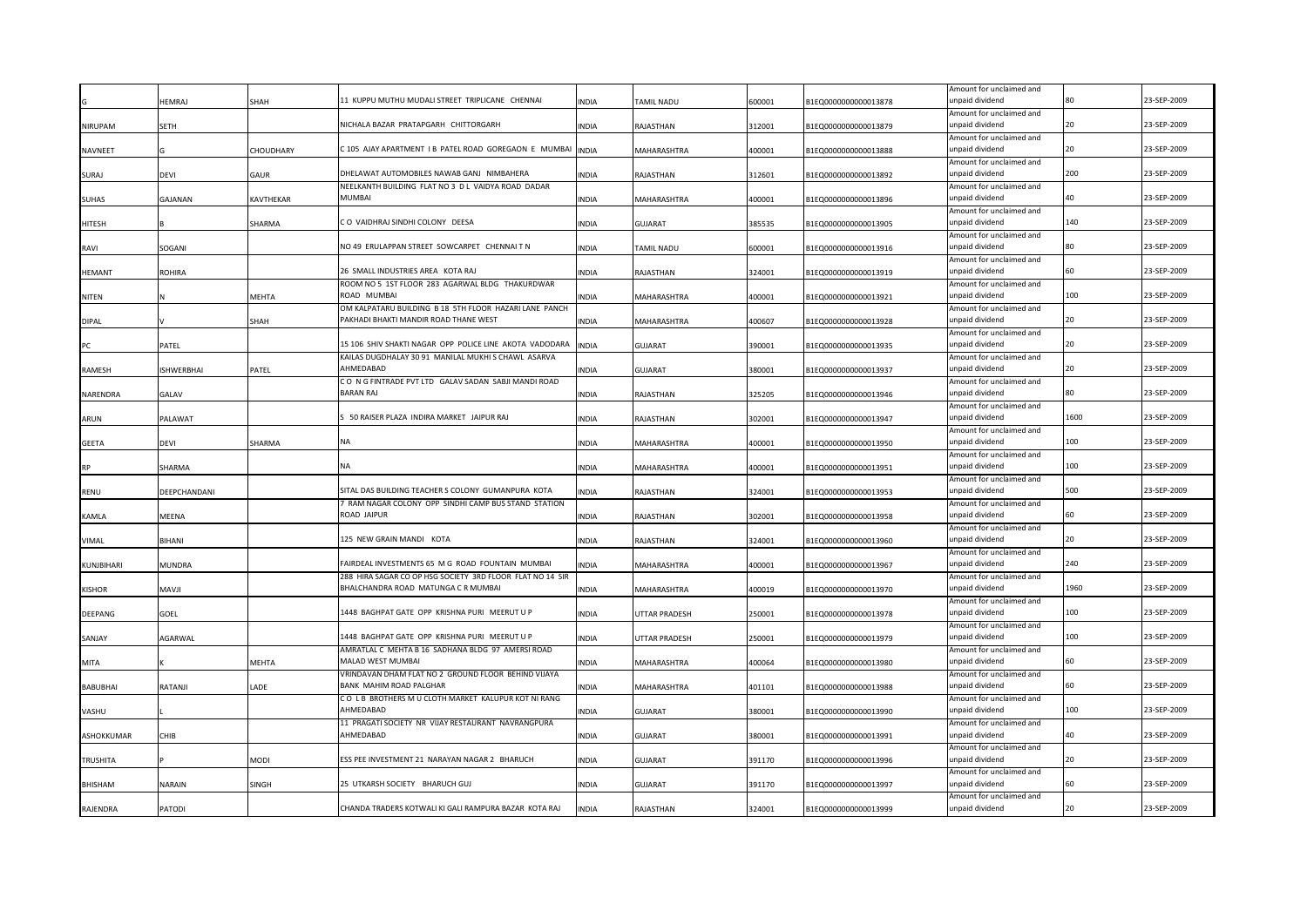|                 |                   |             | 11 KUPPU MUTHU MUDALI STREET TRIPLICANE CHENNAI                                                          |              |                   |        |                      | Amount for unclaimed and                    |      | 23-SEP-2009 |
|-----------------|-------------------|-------------|----------------------------------------------------------------------------------------------------------|--------------|-------------------|--------|----------------------|---------------------------------------------|------|-------------|
|                 | <b>IEMRAJ</b>     | <b>SHAH</b> |                                                                                                          | NDIA         | <b>TAMIL NADU</b> | 600001 | B1EQ0000000000013878 | unpaid dividend<br>Amount for unclaimed and |      |             |
| NIRUPAM         | SETH              |             | NICHALA BAZAR PRATAPGARH CHITTORGARH                                                                     | <b>INDIA</b> | RAJASTHAN         | 312001 | B1EQ0000000000013879 | unpaid dividend                             | 20   | 23-SEP-2009 |
|                 |                   |             |                                                                                                          |              |                   |        |                      | Amount for unclaimed and                    |      |             |
| NAVNEET         |                   | CHOUDHARY   | C105 AJAY APARTMENT I B PATEL ROAD GOREGAON E MUMBAI                                                     | <b>INDIA</b> | MAHARASHTRA       | 400001 | B1EQ0000000000013888 | unpaid dividend                             | 20   | 23-SEP-2009 |
|                 |                   |             |                                                                                                          |              |                   |        |                      | Amount for unclaimed and                    |      |             |
| SURAJ           | <b>DEVI</b>       | GAUR        | DHELAWAT AUTOMOBILES NAWAB GANJ NIMBAHERA                                                                | <b>INDIA</b> | RAJASTHAN         | 312601 | B1EQ0000000000013892 | unpaid dividend                             | 200  | 23-SEP-2009 |
|                 |                   |             | NEELKANTH BUILDING FLAT NO 3 D L VAIDYA ROAD DADAR                                                       |              |                   |        |                      | Amount for unclaimed and                    |      |             |
| SUHAS           | <b>GAJANAN</b>    | KAVTHEKAR   | MUMBAI                                                                                                   | INDIA        | MAHARASHTRA       | 400001 | B1EQ0000000000013896 | unpaid dividend                             |      | 23-SEP-2009 |
| <b>HITESH</b>   |                   | SHARMA      | CO VAIDHRAJ SINDHI COLONY DEESA                                                                          | INDIA        | <b>GUJARAT</b>    | 385535 | B1EQ0000000000013905 | Amount for unclaimed and<br>unpaid dividend | 140  | 23-SEP-2009 |
|                 |                   |             |                                                                                                          |              |                   |        |                      | Amount for unclaimed and                    |      |             |
| RAVI            | SOGANI            |             | NO 49 ERULAPPAN STREET SOWCARPET CHENNAIT N                                                              | INDIA        | TAMIL NADU        | 600001 | B1EQ0000000000013916 | unpaid dividend                             |      | 23-SEP-2009 |
|                 |                   |             |                                                                                                          |              |                   |        |                      | Amount for unclaimed and                    |      |             |
| <b>HEMANT</b>   | ROHIRA            |             | 26 SMALL INDUSTRIES AREA KOTA RAJ                                                                        | INDIA        | RAJASTHAN         | 324001 | B1EQ0000000000013919 | unpaid dividend                             | 60   | 23-SEP-2009 |
|                 |                   |             | ROOM NO 5 1ST FLOOR 283 AGARWAL BLDG THAKURDWAR                                                          |              |                   |        |                      | Amount for unclaimed and                    |      |             |
| NITEN           |                   | MEHTA       | ROAD MUMBAI                                                                                              | INDIA        | MAHARASHTRA       | 400001 | B1EQ0000000000013921 | unpaid dividend                             | 100  | 23-SEP-2009 |
|                 |                   |             | OM KALPATARU BUILDING B 18 5TH FLOOR HAZARI LANE PANCH                                                   |              |                   |        |                      | Amount for unclaimed and                    |      |             |
| <b>DIPAL</b>    |                   | SHAH        | PAKHADI BHAKTI MANDIR ROAD THANE WEST                                                                    | INDIA        | MAHARASHTRA       | 400607 | B1EQ0000000000013928 | inpaid dividend                             | 20   | 23-SEP-2009 |
| PC              | PATEL             |             | 15 106 SHIV SHAKTI NAGAR OPP POLICE LINE AKOTA VADODARA                                                  | <b>INDIA</b> | <b>GUJARAT</b>    | 390001 | B1EQ0000000000013935 | Amount for unclaimed and<br>unpaid dividend | 20   | 23-SEP-2009 |
|                 |                   |             | KAILAS DUGDHALAY 30 91 MANILAL MUKHI S CHAWL ASARVA                                                      |              |                   |        |                      | Amount for unclaimed and                    |      |             |
| RAMESH          | <b>ISHWERBHAI</b> | PATEL       | AHMEDABAD                                                                                                | <b>INDIA</b> | <b>GUJARAT</b>    | 380001 | B1EQ0000000000013937 | unpaid dividend                             | 20   | 23-SEP-2009 |
|                 |                   |             | CO N G FINTRADE PVT LTD GALAV SADAN SABJI MANDI ROAD                                                     |              |                   |        |                      | Amount for unclaimed and                    |      |             |
| <b>NARENDRA</b> | GALAV             |             | <b>BARAN RAJ</b>                                                                                         | <b>INDIA</b> | RAJASTHAN         | 325205 | B1EQ0000000000013946 | unpaid dividend                             |      | 23-SEP-2009 |
|                 |                   |             |                                                                                                          |              |                   |        |                      | Amount for unclaimed and                    |      |             |
| ARUN            | PALAWAT           |             | 50 RAISER PLAZA INDIRA MARKET JAIPUR RAJ                                                                 | INDIA        | RAJASTHAN         | 302001 | B1EQ0000000000013947 | unpaid dividend                             | 1600 | 23-SEP-2009 |
|                 |                   |             |                                                                                                          |              |                   |        |                      | Amount for unclaimed and                    |      |             |
| <b>GEETA</b>    | <b>DEVI</b>       | SHARMA      | <b>NA</b>                                                                                                | INDIA        | MAHARASHTRA       | 400001 | B1EQ0000000000013950 | unpaid dividend                             | 100  | 23-SEP-2009 |
|                 |                   |             |                                                                                                          |              |                   |        |                      | Amount for unclaimed and                    |      |             |
| RP              | SHARMA            |             | NA                                                                                                       | INDIA        | MAHARASHTRA       | 400001 | B1EQ0000000000013951 | unpaid dividend                             | 100  | 23-SEP-2009 |
|                 |                   |             |                                                                                                          |              |                   |        |                      | Amount for unclaimed and                    |      |             |
| RENU            | DEEPCHANDANI      |             | SITAL DAS BUILDING TEACHER S COLONY GUMANPURA KOTA<br>RAM NAGAR COLONY OPP SINDHI CAMP BUS STAND STATION | <b>INDIA</b> | RAJASTHAN         | 324001 | B1EQ0000000000013953 | unpaid dividend<br>Amount for unclaimed and | 500  | 23-SEP-2009 |
| KAMLA           | MEENA             |             | ROAD JAIPUR                                                                                              | <b>INDIA</b> | RAJASTHAN         | 302001 | B1EQ0000000000013958 | unpaid dividend                             | 60   | 23-SEP-2009 |
|                 |                   |             |                                                                                                          |              |                   |        |                      | Amount for unclaimed and                    |      |             |
| VIMAL           | <b>BIHANI</b>     |             | 125 NEW GRAIN MANDI KOTA                                                                                 | INDIA        | RAJASTHAN         | 324001 | B1EQ0000000000013960 | unpaid dividend                             |      | 23-SEP-2009 |
|                 |                   |             |                                                                                                          |              |                   |        |                      | Amount for unclaimed and                    |      |             |
| KUNJBIHARI      | MUNDRA            |             | AIRDEAL INVESTMENTS 65 M G ROAD FOUNTAIN MUMBAI                                                          | <b>INDIA</b> | MAHARASHTRA       | 400001 | B1EQ0000000000013967 | unpaid dividend                             | 240  | 23-SEP-2009 |
|                 |                   |             | 288 HIRA SAGAR CO OP HSG SOCIETY 3RD FLOOR FLAT NO 14 SIR                                                |              |                   |        |                      | Amount for unclaimed and                    |      |             |
| <b>KISHOR</b>   | <b>NAVJI</b>      |             | BHALCHANDRA ROAD MATUNGA C R MUMBAI                                                                      | <b>INDIA</b> | MAHARASHTRA       | 400019 | B1EQ0000000000013970 | unpaid dividend                             | 1960 | 23-SEP-2009 |
|                 |                   |             |                                                                                                          |              |                   |        |                      | Amount for unclaimed and                    |      |             |
| DEEPANG         | GOEL              |             | 1448 BAGHPAT GATE OPP KRISHNA PURI MEERUT U P                                                            | INDIA        | UTTAR PRADESH     | 250001 | B1EQ0000000000013978 | unpaid dividend                             | 100  | 23-SEP-2009 |
|                 |                   |             |                                                                                                          |              |                   |        |                      | Amount for unclaimed and                    | 100  | 23-SEP-2009 |
| SANJAY          | AGARWAL           |             | 1448 BAGHPAT GATE OPP KRISHNA PURI MEERUT U P                                                            | INDIA        | UTTAR PRADESH     | 250001 | B1EQ0000000000013979 | unpaid dividend                             |      |             |
|                 |                   |             | AMRATLAL C MEHTA B 16 SADHANA BLDG 97 AMERSI ROAD<br>MALAD WEST MUMBAI                                   |              |                   |        |                      | Amount for unclaimed and<br>unpaid dividend |      | 23-SEP-2009 |
| MITA            |                   | MEHTA       | VRINDAVAN DHAM FLAT NO 2 GROUND FLOOR BEHIND VIJAYA                                                      | INDIA        | MAHARASHTRA       | 400064 | B1EQ0000000000013980 | Amount for unclaimed and                    |      |             |
| BABUBHAI        | RATANJI           | LADE        | BANK MAHIM ROAD PALGHAR                                                                                  | INDIA        | MAHARASHTRA       | 401101 | B1EQ0000000000013988 | unpaid dividend                             |      | 23-SEP-2009 |
|                 |                   |             | CO L B BROTHERS M U CLOTH MARKET KALUPUR KOT NI RANG                                                     |              |                   |        |                      | Amount for unclaimed and                    |      |             |
| VASHU           |                   |             | AHMEDABAD                                                                                                | INDIA        | <b>GUJARAT</b>    | 380001 | B1EQ0000000000013990 | unpaid dividend                             | 100  | 23-SEP-2009 |
|                 |                   |             | 11 PRAGATI SOCIETY NR VIJAY RESTAURANT NAVRANGPURA                                                       |              |                   |        |                      | Amount for unclaimed and                    |      |             |
| ASHOKKUMAR      | CHIB              |             | AHMEDABAD                                                                                                | INDIA        | GUJARAT           | 380001 | B1EQ0000000000013991 | unpaid dividend                             | 40   | 23-SEP-2009 |
|                 |                   |             |                                                                                                          |              |                   |        |                      | Amount for unclaimed and                    |      |             |
| TRUSHITA        |                   | <b>IODN</b> | ESS PEE INVESTMENT 21 NARAYAN NAGAR 2 BHARUCH                                                            | <b>NDIA</b>  | <b>GUJARAT</b>    | 391170 | B1EQ0000000000013996 | inpaid dividend                             |      | 23-SEP-2009 |
|                 |                   |             |                                                                                                          |              |                   |        |                      | Amount for unclaimed and                    |      |             |
| BHISHAM         | NARAIN            | SINGH       | 25 UTKARSH SOCIETY BHARUCH GUJ                                                                           | <b>INDIA</b> | GUJARAT           | 391170 | B1EQ0000000000013997 | inpaid dividend                             | 60   | 23-SEP-2009 |
|                 |                   |             | CHANDA TRADERS KOTWALI KI GALI RAMPURA BAZAR KOTA RAJ                                                    | <b>NDIA</b>  |                   |        |                      | Amount for unclaimed and<br>unpaid dividend |      | 23-SEP-2009 |
| RAJENDRA        | PATODI            |             |                                                                                                          |              | RAJASTHAN         | 324001 | B1EQ0000000000013999 |                                             |      |             |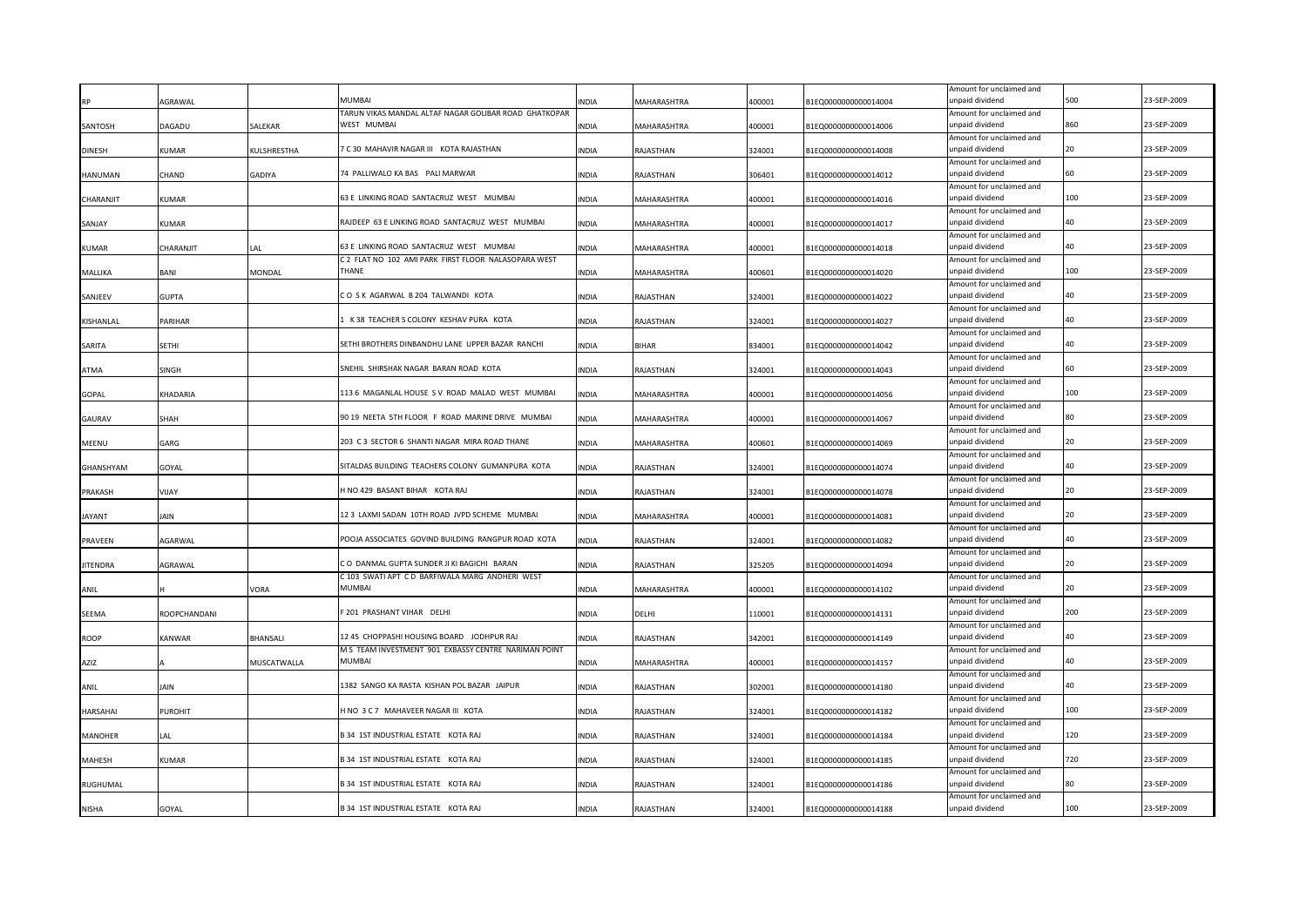|                 |                 |             |                                                                                                   |              |                    |        |                      | Amount for unclaimed and                    |     |             |
|-----------------|-----------------|-------------|---------------------------------------------------------------------------------------------------|--------------|--------------------|--------|----------------------|---------------------------------------------|-----|-------------|
|                 | AGRAWAL         |             | MI IMRAI                                                                                          | NDIA         | <b>MAHARASHTRA</b> | 400001 | B1EQ0000000000014004 | unpaid dividend                             | 500 | 23-SEP-2009 |
| SANTOSH         | DAGADU          | SALEKAR     | TARUN VIKAS MANDAL ALTAF NAGAR GOLIBAR ROAD GHATKOPAR<br>WEST MUMBA                               | INDIA        | MAHARASHTRA        | 400001 | B1EQ0000000000014006 | Amount for unclaimed and<br>unpaid dividend | 860 | 23-SEP-2009 |
|                 |                 |             |                                                                                                   |              |                    |        |                      | Amount for unclaimed and                    |     |             |
| <b>DINESH</b>   | KUMAR           | KULSHRESTHA | <b>7 C 30 MAHAVIR NAGAR III KOTA RAJASTHAN</b>                                                    | <b>INDIA</b> | RAJASTHAN          | 324001 | B1EQ0000000000014008 | unpaid dividend                             | 20  | 23-SEP-2009 |
|                 |                 |             |                                                                                                   |              |                    |        |                      | Amount for unclaimed and                    |     |             |
| HANUMAN         | CHAND           | GADIYA      | 74 PALLIWALO KA BAS PALI MARWAR                                                                   | <b>INDIA</b> | RAJASTHAN          | 306401 | B1EQ0000000000014012 | unpaid dividend                             | 60  | 23-SEP-2009 |
|                 |                 |             |                                                                                                   |              |                    |        |                      | Amount for unclaimed and                    |     |             |
| CHARANJIT       | <b>KUMAR</b>    |             | 63 E LINKING ROAD SANTACRUZ WEST MUMBAI                                                           | INDIA        | MAHARASHTRA        | 400001 | B1EQ0000000000014016 | unpaid dividend                             | 100 | 23-SEP-2009 |
|                 |                 |             |                                                                                                   |              |                    |        |                      | Amount for unclaimed and                    |     |             |
| SANJAY          | <b>KUMAR</b>    |             | RAJDEEP 63 E LINKING ROAD SANTACRUZ WEST MUMBAI                                                   | INDIA        | MAHARASHTRA        | 400001 | B1EQ0000000000014017 | unpaid dividend                             | 40  | 23-SEP-2009 |
|                 |                 |             | 63 E LINKING ROAD SANTACRUZ WEST MUMBAI                                                           |              |                    |        |                      | Amount for unclaimed and<br>unpaid dividend | 40  | 23-SEP-2009 |
| <b>KUMAR</b>    | CHARANJIT       | LAL         | C 2 FLAT NO 102 AMI PARK FIRST FLOOR NALASOPARA WEST                                              | INDIA        | MAHARASHTRA        | 400001 | B1EQ0000000000014018 | Amount for unclaimed and                    |     |             |
| MALLIKA         | BANI            | MONDAL      | <b>THANF</b>                                                                                      | INDIA        | MAHARASHTRA        | 400601 | B1EQ0000000000014020 | unpaid dividend                             | 100 | 23-SEP-2009 |
|                 |                 |             |                                                                                                   |              |                    |        |                      | Amount for unclaimed and                    |     |             |
| SANJEEV         | <b>GUPTA</b>    |             | CO SK AGARWAL B 204 TALWANDI KOTA                                                                 | INDIA        | RAJASTHAN          | 324001 | B1EQ0000000000014022 | unpaid dividend                             | 40  | 23-SEP-2009 |
|                 |                 |             |                                                                                                   |              |                    |        |                      | Amount for unclaimed and                    |     |             |
| KISHANLAL       | PARIHAR         |             | K 38 TEACHER S COLONY KESHAV PURA KOTA                                                            | INDIA        | RAJASTHAN          | 324001 | B1EQ0000000000014027 | unpaid dividend                             | 40  | 23-SEP-2009 |
|                 |                 |             |                                                                                                   |              |                    |        |                      | Amount for unclaimed and                    |     |             |
| SARITA          | SETHI           |             | SETHI BROTHERS DINBANDHU LANE UPPER BAZAR RANCHI                                                  | <b>INDIA</b> | <b>BIHAR</b>       | 834001 | B1EQ0000000000014042 | unpaid dividend                             | 40  | 23-SEP-2009 |
|                 |                 |             |                                                                                                   |              |                    |        |                      | Amount for unclaimed and                    | 60  |             |
| ATMA            | <b>SINGH</b>    |             | SNEHIL SHIRSHAK NAGAR BARAN ROAD KOTA                                                             | <b>INDIA</b> | RAJASTHAN          | 324001 | B1EQ0000000000014043 | unpaid dividend                             |     | 23-SEP-2009 |
| <b>GOPAL</b>    | <b>KHADARIA</b> |             | 113 6 MAGANLAL HOUSE S V ROAD MALAD WEST MUMBAI                                                   | <b>INDIA</b> | MAHARASHTRA        | 400001 | B1EQ0000000000014056 | Amount for unclaimed and<br>unpaid dividend | 100 | 23-SEP-2009 |
|                 |                 |             |                                                                                                   |              |                    |        |                      | Amount for unclaimed and                    |     |             |
| GAURAV          | SHAH            |             | 90 19 NEETA 5TH FLOOR F ROAD MARINE DRIVE MUMBAI                                                  | INDIA        | MAHARASHTRA        | 400001 | B1EQ0000000000014067 | unpaid dividend                             | 80  | 23-SEP-2009 |
|                 |                 |             |                                                                                                   |              |                    |        |                      | Amount for unclaimed and                    |     |             |
| MEENU           | GARG            |             | 203 C 3 SECTOR 6 SHANTI NAGAR MIRA ROAD THANE                                                     | <b>INDIA</b> | MAHARASHTRA        | 400601 | B1EQ0000000000014069 | unpaid dividend                             | 20  | 23-SEP-2009 |
|                 |                 |             |                                                                                                   |              |                    |        |                      | Amount for unclaimed and                    |     |             |
| GHANSHYAM       | GOYAL           |             | SITALDAS BUILDING TEACHERS COLONY GUMANPURA KOTA                                                  | <b>INDIA</b> | RAJASTHAN          | 324001 | B1EQ0000000000014074 | unpaid dividend                             | 40  | 23-SEP-2009 |
|                 |                 |             |                                                                                                   |              |                    |        |                      | Amount for unclaimed and                    |     |             |
| PRAKASH         | YIJAY           |             | H NO 429 BASANT BIHAR KOTA RAJ                                                                    | INDIA        | RAJASTHAN          | 324001 | B1EQ0000000000014078 | unpaid dividend                             |     | 23-SEP-2009 |
|                 |                 |             | 12 3 LAXMI SADAN 10TH ROAD JVPD SCHEME MUMBAI                                                     |              |                    |        |                      | Amount for unclaimed and                    | 20  | 23-SEP-2009 |
| <b>JAYANT</b>   | JAIN            |             |                                                                                                   | INDIA        | MAHARASHTRA        | 400001 | B1EQ0000000000014081 | unpaid dividend<br>Amount for unclaimed and |     |             |
| <b>PRAVEEN</b>  | AGARWAL         |             | POOJA ASSOCIATES GOVIND BUILDING RANGPUR ROAD KOTA                                                | <b>INDIA</b> | RAJASTHAN          | 324001 | B1EQ0000000000014082 | unpaid dividend                             | 40  | 23-SEP-2009 |
|                 |                 |             |                                                                                                   |              |                    |        |                      | Amount for unclaimed and                    |     |             |
| <b>JITENDRA</b> | AGRAWAL         |             | CO DANMAL GUPTA SUNDER JI KI BAGICHI BARAN                                                        | <b>INDIA</b> | RAJASTHAN          | 325205 | B1EQ0000000000014094 | unpaid dividend                             |     | 23-SEP-2009 |
|                 |                 |             | C 103 SWATI APT C D BARFIWALA MARG ANDHERI WEST                                                   |              |                    |        |                      | Amount for unclaimed and                    |     |             |
| <b>ANIL</b>     |                 | VORA        | <b>MUMBAI</b>                                                                                     | INDIA        | MAHARASHTRA        | 400001 | B1EQ0000000000014102 | unpaid dividend                             | 20  | 23-SEP-2009 |
|                 |                 |             |                                                                                                   |              |                    |        |                      | Amount for unclaimed and                    |     |             |
| SEEMA           | ROOPCHANDANI    |             | 201 PRASHANT VIHAR DELHI                                                                          | INDIA        | DELHI              | 110001 | B1EQ0000000000014131 | unpaid dividend                             | 200 | 23-SEP-2009 |
|                 |                 |             |                                                                                                   |              |                    |        |                      | Amount for unclaimed and                    |     | 23-SEP-2009 |
| ROOP            | <b>KANWAR</b>   | BHANSALI    | 12 45 CHOPPASHI HOUSING BOARD JODHPUR RAJ<br>M S TEAM INVESTMENT 901 EXBASSY CENTRE NARIMAN POINT | INDIA        | RAJASTHAN          | 342001 | B1EQ0000000000014149 | unpaid dividend                             |     |             |
| AZIZ            |                 | MUSCATWALLA | MUMBAI                                                                                            | <b>INDIA</b> | MAHARASHTRA        | 400001 | B1EQ0000000000014157 | Amount for unclaimed and<br>unpaid dividend |     | 23-SEP-2009 |
|                 |                 |             |                                                                                                   |              |                    |        |                      | Amount for unclaimed and                    |     |             |
| ANIL            | JAIN            |             | 1382 SANGO KA RASTA KISHAN POL BAZAR JAIPUR                                                       | INDIA        | RAJASTHAN          | 302001 | B1EQ0000000000014180 | unpaid dividend                             | 40  | 23-SEP-2009 |
|                 |                 |             |                                                                                                   |              |                    |        |                      | Amount for unclaimed and                    |     |             |
| <b>HARSAHAI</b> | PUROHIT         |             | HNO 3 C 7 MAHAVEER NAGAR III KOTA                                                                 | INDIA        | RAJASTHAN          | 324001 | B1EQ0000000000014182 | unpaid dividend                             | 100 | 23-SEP-2009 |
|                 |                 |             |                                                                                                   |              |                    |        |                      | Amount for unclaimed and                    |     |             |
| MANOHER         | LA L            |             | B 34 1ST INDUSTRIAL ESTATE KOTA RAJ                                                               | <b>INDIA</b> | RAJASTHAN          | 324001 | B1EQ0000000000014184 | unpaid dividend                             | 120 | 23-SEP-2009 |
|                 |                 |             |                                                                                                   |              |                    |        |                      | Amount for unclaimed and                    |     |             |
| <b>MAHESH</b>   | KUMAR           |             | 334 1ST INDUSTRIAL ESTATE KOTA RAJ                                                                | <b>NDIA</b>  | RAJASTHAN          | 324001 | B1EQ0000000000014185 | inpaid dividend                             | 720 | 23-SEP-2009 |
| RUGHUMAL        |                 |             | B 34 1ST INDUSTRIAL ESTATE KOTA RAJ                                                               | <b>INDIA</b> |                    | 324001 | B1EQ0000000000014186 | Amount for unclaimed and<br>inpaid dividend | 80  | 23-SEP-2009 |
|                 |                 |             |                                                                                                   |              | RAJASTHAN          |        |                      | Amount for unclaimed and                    |     |             |
| <b>NISHA</b>    | GOYAL           |             | B 34 1ST INDUSTRIAL ESTATE KOTA RAJ                                                               | <b>INDIA</b> | RAJASTHAN          | 324001 | B1EQ0000000000014188 | unpaid dividend                             | 100 | 23-SEP-2009 |
|                 |                 |             |                                                                                                   |              |                    |        |                      |                                             |     |             |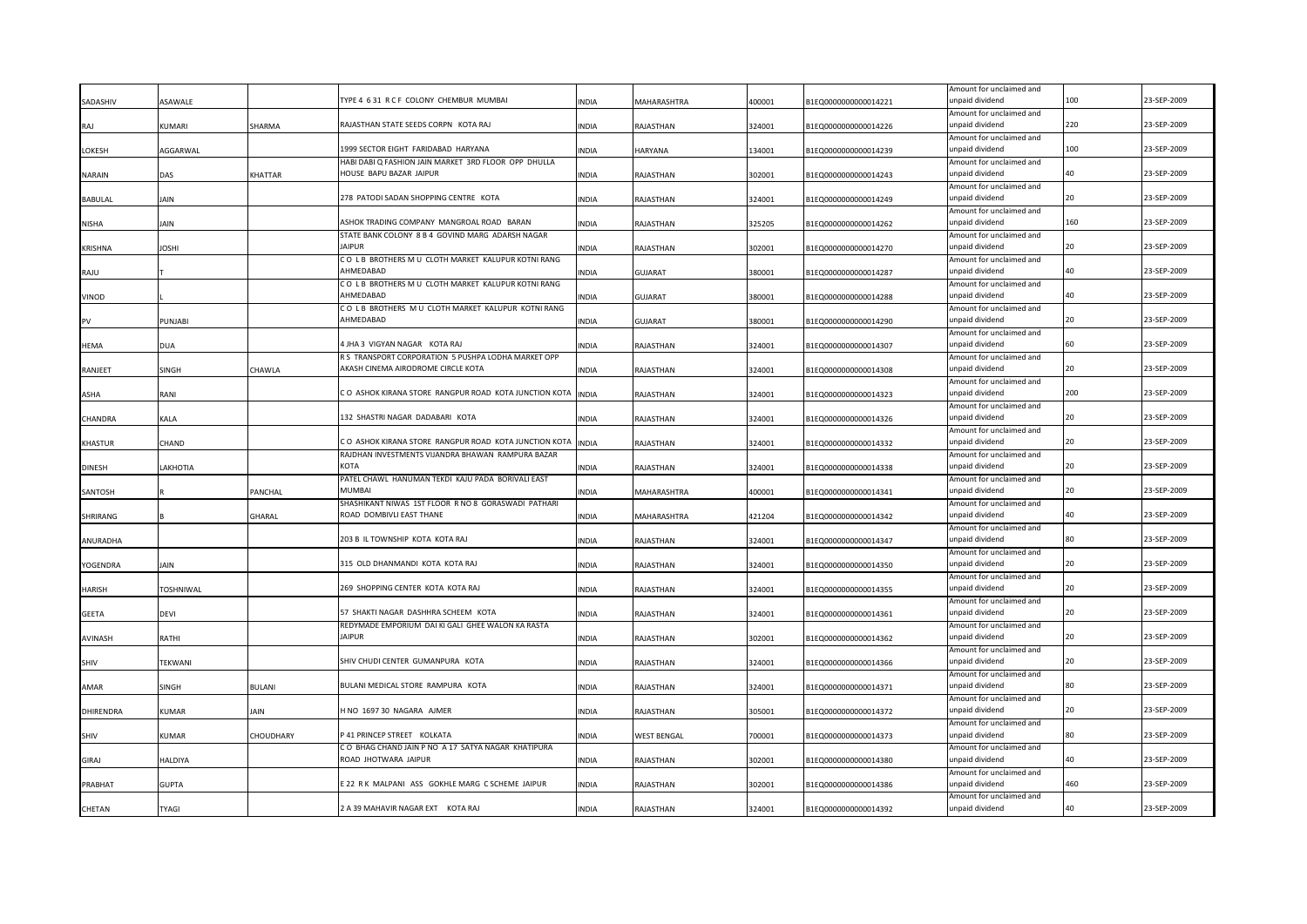|                  |                |                |                                                                                      |              |                    |        |                      | Amount for unclaimed and                    |                                          |             |
|------------------|----------------|----------------|--------------------------------------------------------------------------------------|--------------|--------------------|--------|----------------------|---------------------------------------------|------------------------------------------|-------------|
| SADASHIV         | SAWALE         |                | TYPE 4 6 31 R C F COLONY CHEMBUR MUMBAI                                              | <b>INDIA</b> | MAHARASHTRA        | 400001 | 81EQ0000000000014221 | unpaid dividend                             | 100                                      | 23-SEP-2009 |
| RAJ              | KUMARI         | SHARMA         | RAJASTHAN STATE SEEDS CORPN KOTA RAJ                                                 | <b>INDIA</b> | RAJASTHAN          | 324001 | B1EQ0000000000014226 | Amount for unclaimed and<br>unpaid dividend | 220                                      | 23-SEP-2009 |
|                  |                |                |                                                                                      |              |                    |        |                      | Amount for unclaimed and                    |                                          |             |
| LOKESH           | AGGARWAL       |                | 1999 SECTOR EIGHT FARIDABAD HARYANA                                                  | <b>INDIA</b> | HARYANA            | 134001 | B1EQ0000000000014239 | unpaid dividend                             | 100                                      | 23-SEP-2009 |
|                  |                |                | HABI DABI Q FASHION JAIN MARKET 3RD FLOOR OPP DHULLA                                 |              |                    |        |                      | Amount for unclaimed and                    |                                          |             |
| <b>NARAIN</b>    | DAS            | <b>KHATTAR</b> | HOUSE BAPU BAZAR JAIPUR                                                              | <b>INDIA</b> | RAJASTHAN          | 302001 | B1EQ0000000000014243 | unpaid dividend                             | 40                                       | 23-SEP-2009 |
|                  |                |                | 278 PATODI SADAN SHOPPING CENTRE KOTA                                                |              |                    |        |                      | Amount for unclaimed and<br>unpaid dividend | 20                                       | 23-SEP-2009 |
| <b>BABULAL</b>   | JAIN           |                |                                                                                      | <b>INDIA</b> | RAJASTHAN          | 324001 | B1EQ0000000000014249 | Amount for unclaimed and                    |                                          |             |
| <b>NISHA</b>     | Jain           |                | ASHOK TRADING COMPANY MANGROAL ROAD BARAN                                            | <b>INDIA</b> | RAJASTHAN          | 325205 | B1EQ0000000000014262 | unpaid dividend                             | 160                                      | 23-SEP-2009 |
|                  |                |                | STATE BANK COLONY 8 B 4 GOVIND MARG ADARSH NAGAR                                     |              |                    |        |                      | Amount for unclaimed and                    |                                          |             |
| <b>KRISHNA</b>   | <b>JOSHI</b>   |                | IAIPUR                                                                               | <b>INDIA</b> | RAJASTHAN          | 302001 | B1EQ0000000000014270 | unpaid dividend                             | 20                                       | 23-SEP-2009 |
|                  |                |                | CO LB BROTHERS M U CLOTH MARKET KALUPUR KOTNI RANG<br><b>HMEDABAD</b>                |              |                    |        |                      | Amount for unclaimed and                    | 40                                       | 23-SEP-2009 |
| RAJU             |                |                | CO L B BROTHERS M U CLOTH MARKET KALUPUR KOTNI RANG                                  | <b>INDIA</b> | GUJARAT            | 380001 | B1EQ0000000000014287 | unpaid dividend<br>Amount for unclaimed and |                                          |             |
| VINOD            |                |                | AHMEDABAD                                                                            | <b>INDIA</b> | GUJARAT            | 380001 | B1EQ0000000000014288 | unpaid dividend                             | 40                                       | 23-SEP-2009 |
|                  |                |                | CO LB BROTHERS M U CLOTH MARKET KALUPUR KOTNI RANG                                   |              |                    |        |                      | Amount for unclaimed and                    |                                          |             |
|                  | <b>PUNJABI</b> |                | AHMEDABAD                                                                            | <b>INDIA</b> | <b>GUJARAT</b>     | 380001 | B1EQ0000000000014290 | unpaid dividend                             | 20                                       | 23-SEP-2009 |
|                  |                |                |                                                                                      |              |                    |        |                      | Amount for unclaimed and                    |                                          |             |
| <b>HEMA</b>      | <b>DUA</b>     |                | 4 JHA 3 VIGYAN NAGAR KOTA RAJ<br>R S TRANSPORT CORPORATION 5 PUSHPA LODHA MARKET OPP | <b>INDIA</b> | RAJASTHAN          | 324001 | B1EQ0000000000014307 | unpaid dividend                             | 60                                       | 23-SEP-2009 |
| RANJEET          | SINGH          | CHAWLA         | AKASH CINEMA AIRODROME CIRCLE KOTA                                                   | <b>INDIA</b> | RAJASTHAN          | 324001 | B1EQ0000000000014308 | Amount for unclaimed and<br>unpaid dividend | 20                                       | 23-SEP-2009 |
|                  |                |                |                                                                                      |              |                    |        |                      | Amount for unclaimed and                    |                                          |             |
| ASHA             | RANI           |                | CO ASHOK KIRANA STORE RANGPUR ROAD KOTA JUNCTION KOTA INDIA                          |              | RAJASTHAN          | 324001 | B1EQ0000000000014323 | unpaid dividend                             | 200                                      | 23-SEP-2009 |
|                  |                |                |                                                                                      |              |                    |        |                      | Amount for unclaimed and                    |                                          |             |
| CHANDRA          | KALA           |                | 132 SHASTRI NAGAR DADABARI KOTA                                                      | <b>INDIA</b> | RAJASTHAN          | 324001 | B1EQ0000000000014326 | unpaid dividend                             | 20                                       | 23-SEP-2009 |
| KHASTUR          | CHAND          |                | CO ASHOK KIRANA STORE RANGPUR ROAD KOTA JUNCTION KOTA                                | <b>INDIA</b> | RAJASTHAN          | 324001 | B1EQ0000000000014332 | Amount for unclaimed and<br>unpaid dividend | 20                                       | 23-SEP-2009 |
|                  |                |                | RAJDHAN INVESTMENTS VIJANDRA BHAWAN RAMPURA BAZAR                                    |              |                    |        |                      | Amount for unclaimed and                    |                                          |             |
| <b>DINESH</b>    | LAKHOTIA       |                | кота                                                                                 | <b>INDIA</b> | RAJASTHAN          | 324001 | B1EQ0000000000014338 | unpaid dividend                             | 20                                       | 23-SEP-2009 |
|                  |                |                | PATEL CHAWL HANUMAN TEKDI KAJU PADA BORIVALI EAST                                    |              |                    |        |                      | Amount for unclaimed and                    |                                          |             |
| SANTOSH          |                | PANCHAL        | MUMBAI                                                                               | <b>INDIA</b> | MAHARASHTRA        | 400001 | B1EQ0000000000014341 | unpaid dividend                             |                                          | 23-SEP-2009 |
|                  |                |                | SHASHIKANT NIWAS 1ST FLOOR R NO 8 GORASWADI PATHARI                                  |              |                    |        |                      | Amount for unclaimed and                    |                                          |             |
| SHRIRANG         |                | GHARAL         | ROAD DOMBIVLI EAST THANE                                                             | <b>INDIA</b> | MAHARASHTRA        | 421204 | B1EQ0000000000014342 | unpaid dividend<br>Amount for unclaimed and |                                          | 23-SEP-2009 |
| ANURADHA         |                |                | 203 B IL TOWNSHIP KOTA KOTA RAJ                                                      | <b>INDIA</b> | RAJASTHAN          | 324001 | B1EQ0000000000014347 | unpaid dividend                             |                                          | 23-SEP-2009 |
|                  |                |                |                                                                                      |              |                    |        |                      | Amount for unclaimed and                    |                                          |             |
| YOGENDRA         | JAIN           |                | 315 OLD DHANMANDI KOTA KOTA RAJ                                                      | <b>INDIA</b> | RAJASTHAN          | 324001 | B1EQ0000000000014350 | unpaid dividend                             |                                          | 23-SEP-2009 |
|                  |                |                |                                                                                      |              |                    |        |                      | Amount for unclaimed and                    |                                          |             |
| HARISH           | TOSHNIWAL      |                | 269 SHOPPING CENTER KOTA KOTA RAJ                                                    | <b>INDIA</b> | RAJASTHAN          | 324001 | B1EQ0000000000014355 | unpaid dividend                             | 20                                       | 23-SEP-2009 |
| <b>GEETA</b>     | DEVI           |                | 57 SHAKTI NAGAR DASHHRA SCHEEM KOTA                                                  | <b>INDIA</b> | RAJASTHAN          | 324001 | B1EQ0000000000014361 | Amount for unclaimed and<br>unpaid dividend |                                          | 23-SEP-2009 |
|                  |                |                | REDYMADE EMPORIUM DAI KI GALI GHEE WALON KA RASTA                                    |              |                    |        |                      | Amount for unclaimed and                    |                                          |             |
| AVINASH          | RATHI          |                | <b>IAIPUR</b>                                                                        | <b>INDIA</b> | RAJASTHAN          | 302001 | B1EQ0000000000014362 | unpaid dividend                             |                                          | 23-SEP-2009 |
|                  |                |                |                                                                                      |              |                    |        |                      | Amount for unclaimed and                    |                                          |             |
| SHIV             | TEKWANI        |                | SHIV CHUDI CENTER GUMANPURA KOTA                                                     | <b>INDIA</b> | RAJASTHAN          | 324001 | B1EQ0000000000014366 | unpaid dividend                             |                                          | 23-SEP-2009 |
| AMAR             |                |                | BULANI MEDICAL STORE RAMPURA KOTA                                                    | <b>INDIA</b> |                    |        | B1EQ0000000000014371 | Amount for unclaimed and<br>unpaid dividend | 80                                       | 23-SEP-2009 |
|                  | SINGH          | <b>BULANI</b>  |                                                                                      |              | RAJASTHAN          | 324001 |                      | Amount for unclaimed and                    |                                          |             |
| <b>DHIRENDRA</b> | KUMAR          | AIN            | INO 1697 30 NAGARA AJMER                                                             | <b>INDIA</b> | RAJASTHAN          | 305001 | B1EQ0000000000014372 | unpaid dividend                             |                                          | 23-SEP-2009 |
|                  |                |                |                                                                                      |              |                    |        |                      | Amount for unclaimed and                    |                                          |             |
| SHIV             | <b>UMAR</b>    | CHOUDHARY      | P 41 PRINCEP STREET KOLKATA                                                          | <b>INDIA</b> | <b>WEST BENGAL</b> | 700001 | B1EQ0000000000014373 | unpaid dividend                             | 80                                       | 23-SEP-2009 |
|                  |                |                | CO BHAG CHAND JAIN P NO A 17 SATYA NAGAR KHATIPURA                                   |              |                    |        |                      | Amount for unclaimed and                    | $\Lambda$ <sup><math>\Omega</math></sup> |             |
| GIRAJ            | HALDIYA        |                | ROAD JHOTWARA JAIPUR                                                                 | <b>INDIA</b> | RAJASTHAN          | 302001 | B1EQ0000000000014380 | unpaid dividend<br>Amount for unclaimed and |                                          | 23-SEP-2009 |
| PRABHAT          | <b>GUPTA</b>   |                | E 22 R K MALPANI ASS GOKHLE MARG C SCHEME JAIPUR                                     | <b>INDIA</b> | RAJASTHAN          | 302001 | B1EQ0000000000014386 | unpaid dividend                             | 460                                      | 23-SEP-2009 |
|                  |                |                |                                                                                      |              |                    |        |                      | Amount for unclaimed and                    |                                          |             |
| CHETAN           | TYAGI          |                | 2 A 39 MAHAVIR NAGAR EXT KOTA RAJ                                                    | <b>INDIA</b> | RAJASTHAN          | 324001 | B1EQ0000000000014392 | unpaid dividend                             | 40                                       | 23-SEP-2009 |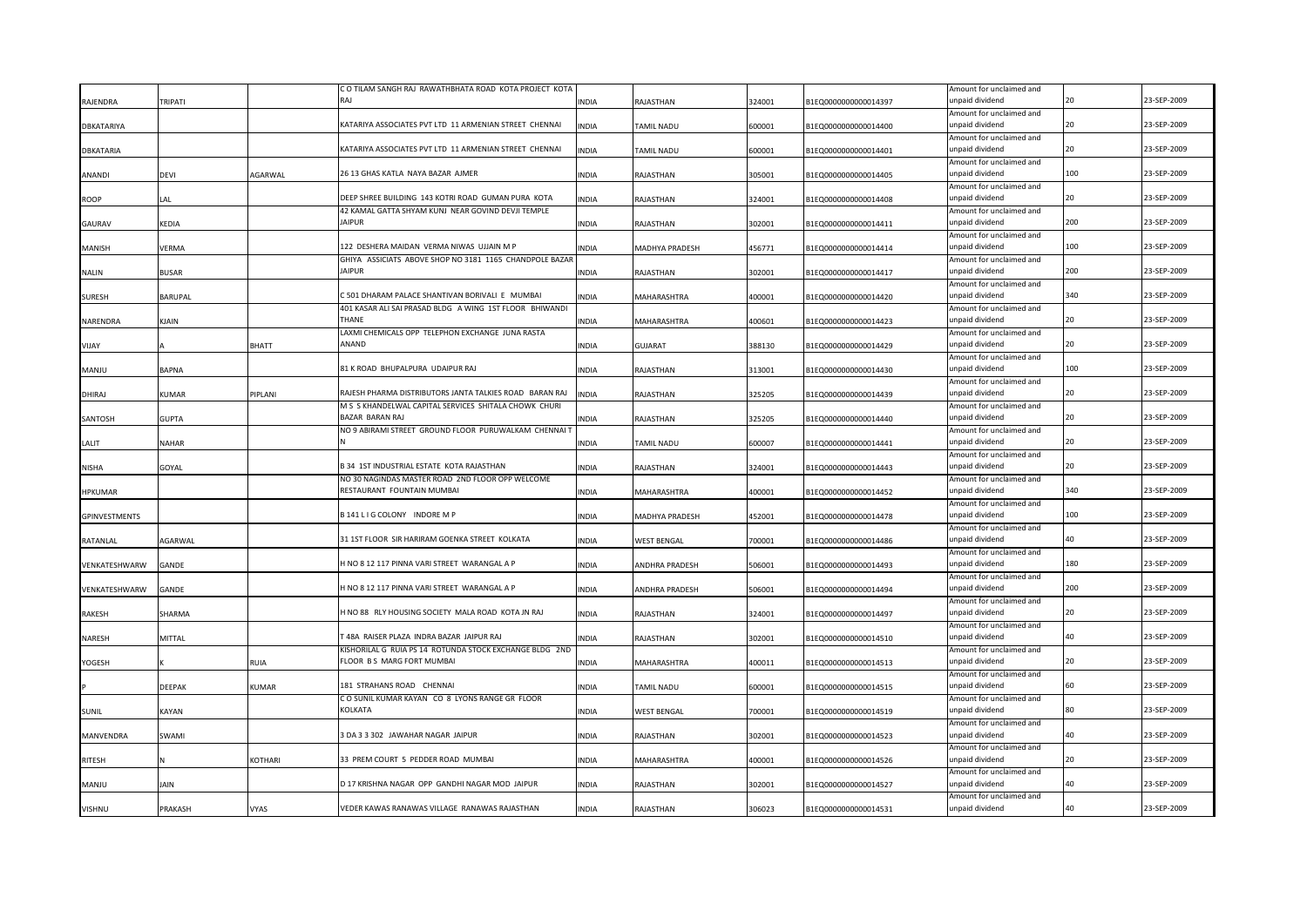|                      |                |              | C O TILAM SANGH RAJ RAWATHBHATA ROAD KOTA PROJECT KOTA  |              |                    |        |                      | Amount for unclaimed and                    |     |             |
|----------------------|----------------|--------------|---------------------------------------------------------|--------------|--------------------|--------|----------------------|---------------------------------------------|-----|-------------|
| RAJENDRA             | <b>TRIPATI</b> |              | RAI                                                     | <b>INDIA</b> | RAJASTHAN          | 324001 | B1EQ0000000000014397 | unpaid dividend                             |     | 23-SEP-2009 |
|                      |                |              |                                                         |              |                    |        |                      | Amount for unclaimed and                    |     |             |
| DBKATARIYA           |                |              | KATARIYA ASSOCIATES PVT LTD 11 ARMENIAN STREET CHENNAI  | <b>INDIA</b> | TAMIL NADU         | 600001 | B1EQ0000000000014400 | unpaid dividend                             | 20  | 23-SEP-2009 |
|                      |                |              |                                                         |              |                    |        |                      | Amount for unclaimed and                    |     |             |
| <b>DBKATARIA</b>     |                |              | KATARIYA ASSOCIATES PVT LTD 11 ARMENIAN STREET CHENNAI  | <b>INDIA</b> | TAMIL NADU         | 600001 | B1EQ0000000000014401 | unpaid dividend                             |     | 23-SEP-2009 |
|                      |                |              |                                                         |              |                    |        |                      | Amount for unclaimed and                    |     |             |
| ANANDI               | devi           | AGARWAL      | 26 13 GHAS KATLA NAYA BAZAR AJMER                       | <b>INDIA</b> | RAJASTHAN          | 305001 | B1EQ0000000000014405 | unpaid dividend                             | 100 | 23-SEP-2009 |
|                      |                |              |                                                         |              |                    |        |                      | Amount for unclaimed and                    |     |             |
| <b>ROOP</b>          | LAL            |              | DEEP SHREE BUILDING 143 KOTRI ROAD GUMAN PURA KOTA      | <b>INDIA</b> | RAJASTHAN          | 324001 | B1EQ0000000000014408 | unpaid dividend                             |     | 23-SEP-2009 |
|                      |                |              | 42 KAMAL GATTA SHYAM KUNJ NEAR GOVIND DEVJI TEMPLE      |              |                    |        |                      | Amount for unclaimed and                    |     |             |
| GAURAV               | KEDIA          |              | JAIPUR                                                  | <b>INDIA</b> | RAJASTHAN          | 302001 | B1EQ0000000000014411 | unpaid dividend                             | 200 | 23-SEP-2009 |
|                      |                |              |                                                         |              |                    |        |                      | Amount for unclaimed and                    |     |             |
| <b>MANISH</b>        | VERMA          |              | 122 DESHERA MAIDAN VERMA NIWAS UJJAIN M P               | <b>INDIA</b> | MADHYA PRADESH     | 456771 | B1EQ0000000000014414 | unpaid dividend                             | 100 | 23-SEP-2009 |
|                      |                |              | GHIYA ASSICIATS ABOVE SHOP NO 3181 1165 CHANDPOLE BAZAR |              |                    |        |                      | Amount for unclaimed and                    |     |             |
| <b>NALIN</b>         | BUSAR          |              | <b>JAIPUR</b>                                           | INDIA        | RAJASTHAN          | 302001 | B1EQ0000000000014417 | unpaid dividend                             | 200 | 23-SEP-2009 |
|                      |                |              |                                                         |              |                    |        |                      | Amount for unclaimed and                    |     |             |
| <b>SURESH</b>        | BARUPAL        |              | C 501 DHARAM PALACE SHANTIVAN BORIVALI E MUMBAI         | <b>INDIA</b> | MAHARASHTRA        | 400001 | B1EQ0000000000014420 | unpaid dividend                             | 340 | 23-SEP-2009 |
|                      |                |              | 401 KASAR ALI SAI PRASAD BLDG A WING 1ST FLOOR BHIWANDI |              |                    |        |                      | Amount for unclaimed and                    |     |             |
| NARENDRA             | KIAIN          |              | THANE                                                   | <b>INDIA</b> | MAHARASHTRA        | 400601 | B1EQ0000000000014423 | unpaid dividend                             | 20  | 23-SEP-2009 |
|                      |                |              | LAXMI CHEMICALS OPP TELEPHON EXCHANGE JUNA RASTA        |              |                    |        |                      | Amount for unclaimed and                    |     |             |
| <b>YAUV</b>          |                | <b>BHATT</b> | ANAND                                                   | <b>INDIA</b> | GUJARAT            | 388130 | B1EQ0000000000014429 | unpaid dividend                             | 20  | 23-SEP-2009 |
|                      |                |              |                                                         |              |                    |        |                      | Amount for unclaimed and                    |     |             |
| <b>MANJU</b>         | <b>BAPNA</b>   |              | 81 K ROAD BHUPALPURA UDAIPUR RAJ                        | <b>INDIA</b> | RAJASTHAN          | 313001 | B1EQ0000000000014430 | unpaid dividend                             | 100 | 23-SEP-2009 |
|                      |                |              |                                                         |              |                    |        |                      | Amount for unclaimed and                    |     |             |
| DHIRAJ               | KUMAR          | PIPLANI      | RAJESH PHARMA DISTRIBUTORS JANTA TALKIES ROAD BARAN RAJ | <b>INDIA</b> | RAJASTHAN          | 325205 | B1EQ0000000000014439 | unpaid dividend                             | 20  | 23-SEP-2009 |
|                      |                |              | M S S KHANDELWAL CAPITAL SERVICES SHITALA CHOWK CHURI   |              |                    |        |                      | Amount for unclaimed and                    |     |             |
| SANTOSH              | <b>GUPTA</b>   |              | BAZAR BARAN RAJ                                         | <b>INDIA</b> | RAJASTHAN          | 325205 | B1EQ0000000000014440 | unpaid dividend                             | 20  | 23-SEP-2009 |
|                      |                |              | NO 9 ABIRAMI STREET GROUND FLOOR PURUWALKAM CHENNAI T   |              |                    |        |                      |                                             |     |             |
| LALIT                | NAHAR          |              |                                                         | <b>INDIA</b> | TAMIL NADU         | 600007 |                      | Amount for unclaimed and<br>unpaid dividend |     | 23-SEP-2009 |
|                      |                |              |                                                         |              |                    |        | B1EQ0000000000014441 |                                             |     |             |
|                      |                |              | B 34 1ST INDUSTRIAL ESTATE KOTA RAJASTHAN               |              |                    |        |                      | Amount for unclaimed and<br>unpaid dividend | 20  | 23-SEP-2009 |
| <b>NISHA</b>         | GOYAL          |              |                                                         | <b>INDIA</b> | RAJASTHAN          | 324001 | B1EQ0000000000014443 |                                             |     |             |
|                      |                |              | NO 30 NAGINDAS MASTER ROAD 2ND FLOOR OPP WELCOME        |              |                    |        |                      | Amount for unclaimed and                    |     | 23-SEP-2009 |
| <b>HPKUMAR</b>       |                |              | RESTAURANT FOUNTAIN MUMBAI                              | <b>INDIA</b> | MAHARASHTRA        | 400001 | B1EQ0000000000014452 | unpaid dividend                             | 340 |             |
|                      |                |              | B141 LIGCOLONY INDORE M P                               |              |                    |        |                      | Amount for unclaimed and                    | 100 | 23-SEP-2009 |
| <b>GPINVESTMENTS</b> |                |              |                                                         | <b>INDIA</b> | MADHYA PRADESH     | 452001 | B1EQ0000000000014478 | unpaid dividend                             |     |             |
|                      |                |              |                                                         |              |                    |        |                      | Amount for unclaimed and                    | 40  |             |
| RATANLAL             | <b>AGARWAL</b> |              | 31 1ST FLOOR SIR HARIRAM GOENKA STREET KOLKATA          | <b>INDIA</b> | <b>WEST BENGAL</b> | 700001 | B1EQ0000000000014486 | unpaid dividend                             |     | 23-SEP-2009 |
|                      |                |              |                                                         |              |                    |        |                      | Amount for unclaimed and                    |     |             |
| VENKATESHWARW        | GANDE          |              | H NO 8 12 117 PINNA VARI STREET WARANGAL A P            | <b>INDIA</b> | ANDHRA PRADESH     | 506001 | B1EQ0000000000014493 | unpaid dividend                             | 180 | 23-SEP-2009 |
|                      |                |              |                                                         |              |                    |        |                      | Amount for unclaimed and                    |     |             |
| VENKATESHWARW        | GANDE          |              | H NO 8 12 117 PINNA VARI STREET WARANGAL A P            | <b>INDIA</b> | ANDHRA PRADESH     | 506001 | B1EQ0000000000014494 | unpaid dividend                             | 200 | 23-SEP-2009 |
|                      |                |              |                                                         |              |                    |        |                      | Amount for unclaimed and                    |     |             |
| <b>RAKESH</b>        | SHARMA         |              | H NO 88 RLY HOUSING SOCIETY MALA ROAD KOTA JN RAJ       | <b>INDIA</b> | RAJASTHAN          | 324001 | B1EQ0000000000014497 | unpaid dividend                             |     | 23-SEP-2009 |
|                      |                |              |                                                         |              |                    |        |                      | Amount for unclaimed and                    |     |             |
| NARESH               | MITTAL         |              | T 48A RAISER PLAZA INDRA BAZAR JAIPUR RAJ               | <b>INDIA</b> | RAJASTHAN          | 302001 | B1EQ0000000000014510 | unpaid dividend                             |     | 23-SEP-2009 |
|                      |                |              | KISHORILAL G RUIA PS 14 ROTUNDA STOCK EXCHANGE BLDG 2ND |              |                    |        |                      | Amount for unclaimed and                    |     |             |
| YOGESH               |                | <b>RUIA</b>  | FLOOR B S MARG FORT MUMBAI                              | INDIA        | MAHARASHTRA        | 400011 | B1EQ0000000000014513 | unpaid dividend                             |     | 23-SEP-2009 |
|                      |                |              |                                                         |              |                    |        |                      | Amount for unclaimed and                    |     |             |
|                      | DEEPAK         | <b>KUMAR</b> | 181 STRAHANS ROAD CHENNAI                               | INDIA        | TAMIL NADU         | 600001 | B1EQ0000000000014515 | unpaid dividend                             |     | 23-SEP-2009 |
|                      |                |              | CO SUNIL KUMAR KAYAN CO 8 LYONS RANGE GR FLOOR          |              |                    |        |                      | Amount for unclaimed and                    |     |             |
| SUNIL                | KAYAN          |              | KOLKATA                                                 | INDIA        | <b>WEST BENGAL</b> | 700001 | B1EQ0000000000014519 | unpaid dividend                             |     | 23-SEP-2009 |
|                      |                |              |                                                         |              |                    |        |                      | Amount for unclaimed and                    |     |             |
| MANVENDRA            | SWAMI          |              | 3 DA 3 3 302 JAWAHAR NAGAR JAIPUR                       | <b>INDIA</b> | RAJASTHAN          | 302001 | B1EQ0000000000014523 | unpaid dividend                             |     | 23-SEP-2009 |
|                      |                |              |                                                         |              |                    |        |                      | Amount for unclaimed and                    |     |             |
| <b>RITESH</b>        |                | KOTHARI      | 33 PREM COURT 5 PEDDER ROAD MUMBAI                      | <b>INDIA</b> | MAHARASHTRA        | 400001 | B1EQ0000000000014526 | unpaid dividend                             |     | 23-SEP-2009 |
|                      |                |              |                                                         |              |                    |        |                      | Amount for unclaimed and                    |     |             |
| <b>MANJU</b>         | IAIN           |              | D 17 KRISHNA NAGAR OPP GANDHI NAGAR MOD JAIPUR          | <b>INDIA</b> | RAJASTHAN          | 302001 | B1EQ0000000000014527 | unpaid dividend                             | 40  | 23-SEP-2009 |
|                      |                |              |                                                         |              |                    |        |                      | Amount for unclaimed and                    |     |             |
| <b>VISHNU</b>        | PRAKASH        | <b>VYAS</b>  | VEDER KAWAS RANAWAS VILLAGE RANAWAS RAJASTHAN           | <b>INDIA</b> | RAJASTHAN          | 306023 | B1EQ0000000000014531 | unpaid dividend                             |     | 23-SEP-2009 |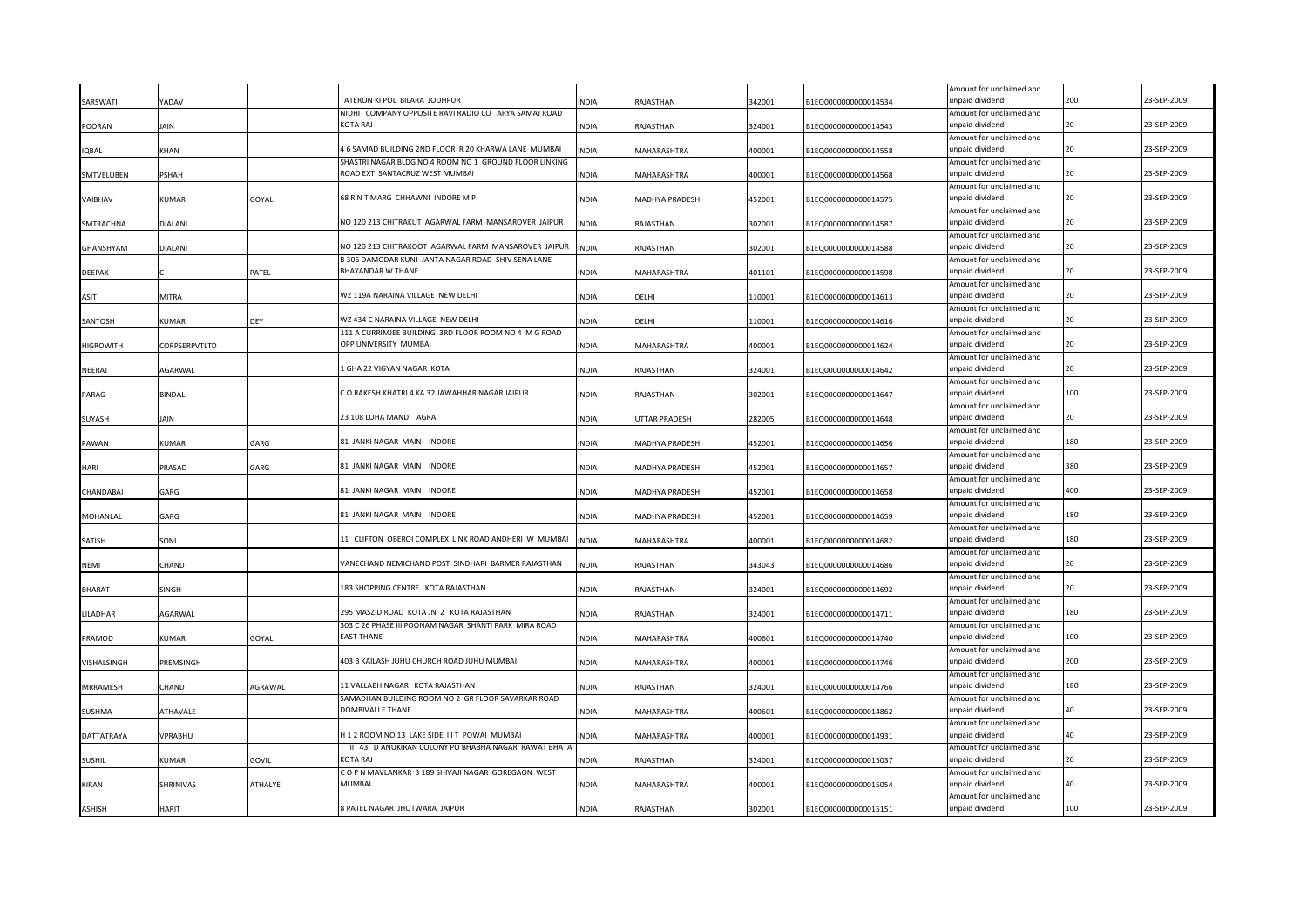|                  |               |              |                                                                                                            |              |                    |        |                      | Amount for unclaimed and                    |     |             |
|------------------|---------------|--------------|------------------------------------------------------------------------------------------------------------|--------------|--------------------|--------|----------------------|---------------------------------------------|-----|-------------|
| SARSWATI         | 'ADAV         |              | TATERON KI POL BILARA JODHPUR                                                                              | <b>INDIA</b> | RAJASTHAN          | 342001 | B1EQ0000000000014534 | unpaid dividend                             | 200 | 23-SEP-2009 |
|                  |               |              | NIDHI COMPANY OPPOSITE RAVI RADIO CO ARYA SAMAJ ROAD                                                       |              |                    |        |                      | Amount for unclaimed and                    | 20  |             |
| POORAN           | IAIN          |              | <b>KOTA RAJ</b>                                                                                            | <b>INDIA</b> | RAJASTHAN          | 324001 | B1EQ0000000000014543 | unpaid dividend                             |     | 23-SEP-2009 |
| <b>IQBAL</b>     | KHAN          |              | 4 6 SAMAD BUILDING 2ND FLOOR R 20 KHARWA LANE MUMBAI                                                       | <b>INDIA</b> | MAHARASHTRA        | 400001 | B1EQ0000000000014558 | Amount for unclaimed and<br>unpaid dividend | 20  | 23-SEP-2009 |
|                  |               |              | SHASTRI NAGAR BLDG NO 4 ROOM NO 1 GROUND FLOOR LINKING                                                     |              |                    |        |                      | Amount for unclaimed and                    |     |             |
| SMTVELUBEN       | PSHAH         |              | ROAD EXT SANTACRUZ WEST MUMBAI                                                                             | <b>INDIA</b> | MAHARASHTRA        | 400001 | B1EQ0000000000014568 | unpaid dividend                             | 20  | 23-SEP-2009 |
|                  |               |              |                                                                                                            |              |                    |        |                      | Amount for unclaimed and                    |     |             |
| VAIBHAV          | KUMAR         | GOYAL        | 68 R N T MARG CHHAWNI INDORE M P                                                                           | INDIA        | MADHYA PRADESH     | 452001 | B1EQ0000000000014575 | unpaid dividend                             |     | 23-SEP-2009 |
|                  |               |              |                                                                                                            |              |                    |        |                      | Amount for unclaimed and                    |     |             |
| SMTRACHNA        | DIALANI       |              | NO 120 213 CHITRAKUT AGARWAL FARM MANSAROVER JAIPUR                                                        | <b>INDIA</b> | RAJASTHAN          | 302001 | B1EQ0000000000014587 | unpaid dividend                             | 20  | 23-SEP-2009 |
|                  |               |              |                                                                                                            |              |                    |        |                      | Amount for unclaimed and                    |     |             |
| GHANSHYAM        | DIALANI       |              | NO 120 213 CHITRAKOOT AGARWAL FARM MANSAROVER JAIPUR<br>B 306 DAMODAR KUNJ JANTA NAGAR ROAD SHIV SENA LANE | <b>INDIA</b> | RAJASTHAN          | 302001 | B1EQ0000000000014588 | unpaid dividend                             |     | 23-SEP-2009 |
| <b>DEEPAK</b>    |               | PATEL        | BHAYANDAR W THANE                                                                                          | <b>INDIA</b> | MAHARASHTRA        | 401101 | B1EQ0000000000014598 | Amount for unclaimed and<br>unpaid dividend | 20  | 23-SEP-2009 |
|                  |               |              |                                                                                                            |              |                    |        |                      | Amount for unclaimed and                    |     |             |
| ASIT             | MITRA         |              | WZ 119A NARAINA VILLAGE NEW DELHI                                                                          | <b>INDIA</b> | DELHI              | 110001 | B1EQ0000000000014613 | unpaid dividend                             |     | 23-SEP-2009 |
|                  |               |              |                                                                                                            |              |                    |        |                      | Amount for unclaimed and                    |     |             |
| SANTOSH          | KUMAR         | <b>DEY</b>   | WZ 434 C NARAINA VILLAGE NEW DELHI                                                                         | <b>INDIA</b> | DELHI              | 110001 | B1EQ0000000000014616 | unpaid dividend                             | 20  | 23-SEP-2009 |
|                  |               |              | 111 A CURRIMJEE BUILDING 3RD FLOOR ROOM NO 4 M G ROAD                                                      |              |                    |        |                      | Amount for unclaimed and                    |     |             |
| <b>HIGROWITH</b> | CORPSERPVTLTD |              | OPP UNIVERSITY MUMBAI                                                                                      | <b>INDIA</b> | <b>MAHARASHTRA</b> | 400001 | B1EQ0000000000014624 | unpaid dividend                             | 20  | 23-SEP-2009 |
|                  |               |              |                                                                                                            |              |                    |        |                      | Amount for unclaimed and                    |     |             |
| NEERAJ           | AGARWAL       |              | L GHA 22 VIGYAN NAGAR KOTA                                                                                 | <b>INDIA</b> | RAJASTHAN          | 324001 | B1EQ0000000000014642 | unpaid dividend                             | 20  | 23-SEP-2009 |
| PARAG            | BINDAL        |              | C O RAKESH KHATRI 4 KA 32 JAWAHHAR NAGAR JAIPUR                                                            | <b>INDIA</b> | RAJASTHAN          | 302001 | B1EQ0000000000014647 | Amount for unclaimed and<br>unpaid dividend | 100 | 23-SEP-2009 |
|                  |               |              |                                                                                                            |              |                    |        |                      | Amount for unclaimed and                    |     |             |
| <b>SUYASH</b>    | Jain          |              | 23 108 LOHA MANDI AGRA                                                                                     | <b>INDIA</b> | UTTAR PRADESH      | 282005 | B1EQ0000000000014648 | unpaid dividend                             | 20  | 23-SEP-2009 |
|                  |               |              |                                                                                                            |              |                    |        |                      | Amount for unclaimed and                    |     |             |
| PAWAN            | KUMAR         | GARG         | 81 JANKI NAGAR MAIN INDORE                                                                                 | <b>INDIA</b> | MADHYA PRADESH     | 452001 | B1EQ0000000000014656 | unpaid dividend                             | 180 | 23-SEP-2009 |
|                  |               |              |                                                                                                            |              |                    |        |                      | Amount for unclaimed and                    |     |             |
| HARI             | PRASAD        | GARG         | 81 JANKI NAGAR MAIN INDORE                                                                                 | <b>INDIA</b> | MADHYA PRADESH     | 452001 | B1EQ0000000000014657 | unpaid dividend                             | 380 | 23-SEP-2009 |
|                  |               |              | 81 JANKI NAGAR MAIN INDORE                                                                                 |              |                    |        |                      | Amount for unclaimed and<br>unpaid dividend | 400 | 23-SEP-2009 |
| CHANDABAI        | GARG          |              |                                                                                                            | <b>INDIA</b> | MADHYA PRADESH     | 452001 | B1EQ0000000000014658 | Amount for unclaimed and                    |     |             |
| <b>MOHANLAL</b>  | GARG          |              | 81 JANKI NAGAR MAIN INDORE                                                                                 | <b>INDIA</b> | MADHYA PRADESH     | 452001 | B1EQ0000000000014659 | unpaid dividend                             | 180 | 23-SEP-2009 |
|                  |               |              |                                                                                                            |              |                    |        |                      | Amount for unclaimed and                    |     |             |
| SATISH           | SONI          |              | 11 CLIFTON OBEROI COMPLEX LINK ROAD ANDHERI W MUMBAI                                                       | <b>INDIA</b> | MAHARASHTRA        | 400001 | B1EQ0000000000014682 | unpaid dividend                             | 180 | 23-SEP-2009 |
|                  |               |              |                                                                                                            |              |                    |        |                      | Amount for unclaimed and                    |     |             |
| NEMI             | CHAND         |              | VANECHAND NEMICHAND POST SINDHARI BARMER RAJASTHAN                                                         | <b>INDIA</b> | RAJASTHAN          | 343043 | B1EQ0000000000014686 | unpaid dividend                             |     | 23-SEP-2009 |
|                  |               |              |                                                                                                            |              |                    |        |                      | Amount for unclaimed and                    |     |             |
| <b>BHARAT</b>    | <b>SINGH</b>  |              | 183 SHOPPING CENTRE KOTA RAJASTHAN                                                                         | <b>INDIA</b> | RAJASTHAN          | 324001 | B1EQ0000000000014692 | unpaid dividend                             | 20  | 23-SEP-2009 |
|                  |               |              | 295 MASZID ROAD KOTA JN 2 KOTA RAJASTHAN                                                                   | <b>INDIA</b> | RAJASTHAN          | 324001 | B1EQ0000000000014711 | Amount for unclaimed and<br>unpaid dividend | 180 | 23-SEP-2009 |
| LILADHAR         | AGARWAL       |              | 303 C 26 PHASE III POONAM NAGAR SHANTI PARK MIRA ROAD                                                      |              |                    |        |                      | Amount for unclaimed and                    |     |             |
| PRAMOD           | KUMAR         | GOYAL        | <b>EAST THANE</b>                                                                                          | <b>INDIA</b> | MAHARASHTRA        | 400601 | B1EQ0000000000014740 | unpaid dividend                             | 100 | 23-SEP-2009 |
|                  |               |              |                                                                                                            |              |                    |        |                      | Amount for unclaimed and                    |     |             |
| VISHALSINGH      | PREMSINGH     |              | 403 B KAILASH JUHU CHURCH ROAD JUHU MUMBAI                                                                 | INDIA        | MAHARASHTRA        | 400001 | B1EQ0000000000014746 | unpaid dividend                             | 200 | 23-SEP-2009 |
|                  |               |              |                                                                                                            |              |                    |        |                      | Amount for unclaimed and                    |     |             |
| <b>MRRAMESH</b>  | CHAND         | AGRAWAL      | 11 VALLABH NAGAR KOTA RAJASTHAN                                                                            | INDIA        | RAJASTHAN          | 324001 | B1EQ0000000000014766 | unpaid dividend                             | 180 | 23-SEP-2009 |
|                  |               |              | SAMADHAN BUILDING ROOM NO 2 GR FLOOR SAVARKAR ROAD                                                         |              |                    |        |                      | Amount for unclaimed and                    |     |             |
| <b>SUSHMA</b>    | ATHAVALE      |              | DOMBIVALI E THANE                                                                                          | INDIA        | MAHARASHTRA        | 400601 | B1EQ0000000000014862 | unpaid dividend                             |     | 23-SEP-2009 |
| DATTATRAYA       | VPRABHU       |              | H12 ROOM NO 13 LAKE SIDE IIT POWAI MUMBAI                                                                  | <b>INDIA</b> | MAHARASHTRA        | 400001 | B1EQ0000000000014931 | Amount for unclaimed and<br>unpaid dividend | 40  | 23-SEP-2009 |
|                  |               |              | T II 43 D ANUKIRAN COLONY PO BHABHA NAGAR RAWAT BHATA                                                      |              |                    |        |                      | Amount for unclaimed and                    |     |             |
| <b>SUSHIL</b>    | KUMAR         | <b>GOVIL</b> | KOTA RAJ                                                                                                   | <b>INDIA</b> | RAJASTHAN          | 324001 | B1EQ0000000000015037 | unpaid dividend                             |     | 23-SEP-2009 |
|                  |               |              | COPN MAVLANKAR 3 189 SHIVAJI NAGAR GOREGAON WEST                                                           |              |                    |        |                      | Amount for unclaimed and                    |     |             |
| KIRAN            | SHRINIVAS     | ATHALYE      | <b>MUMBAI</b>                                                                                              | <b>INDIA</b> | MAHARASHTRA        | 400001 | B1EQ0000000000015054 | unpaid dividend                             | 40  | 23-SEP-2009 |
|                  |               |              |                                                                                                            |              |                    |        |                      | Amount for unclaimed and                    |     |             |
| <b>ASHISH</b>    | HARIT         |              | 8 PATEL NAGAR JHOTWARA JAIPUR                                                                              | <b>INDIA</b> | RAJASTHAN          | 302001 | B1EQ0000000000015151 | unpaid dividend                             | 100 | 23-SEP-2009 |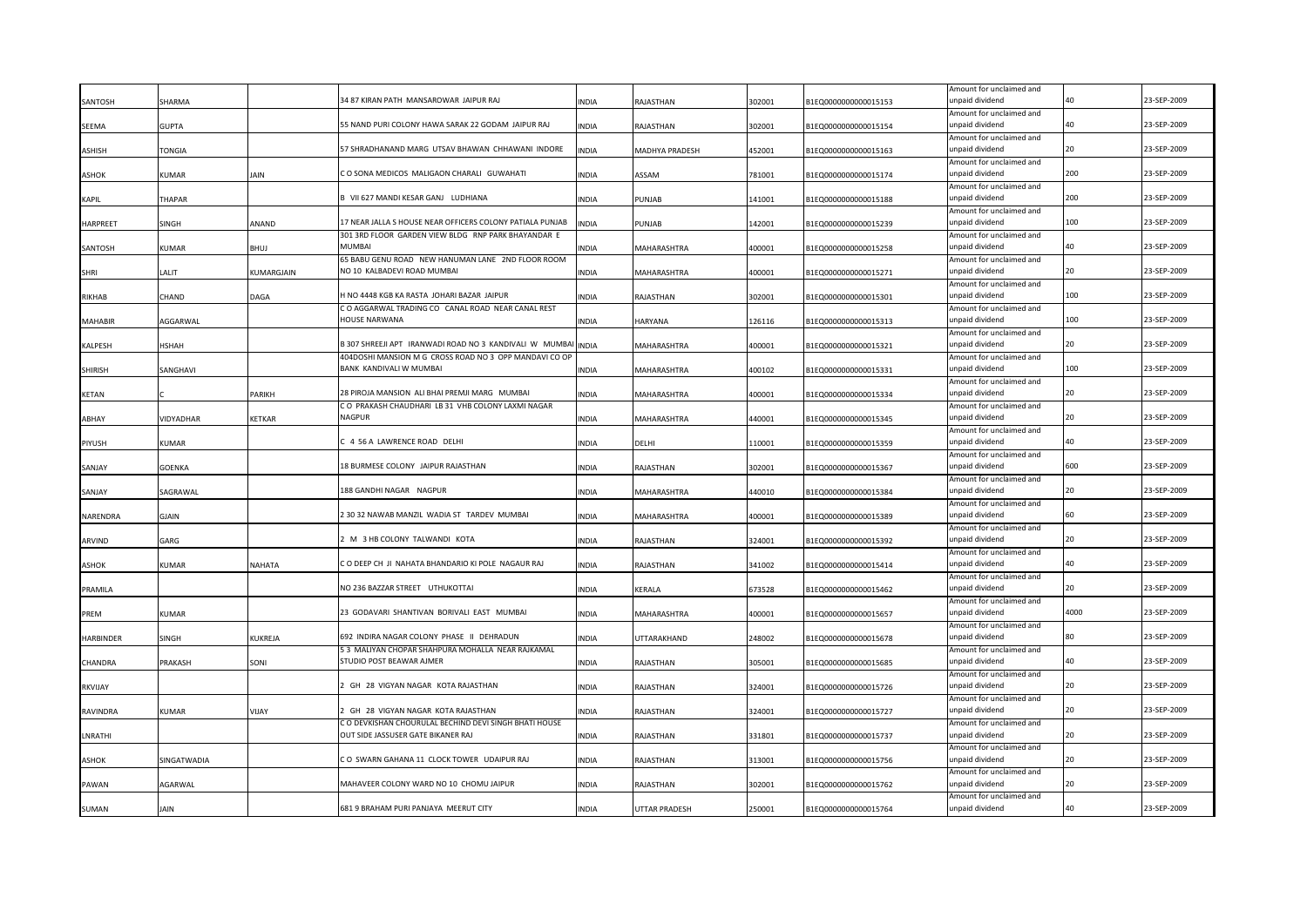| SANTOSH          | SHARMA        |               | 34 87 KIRAN PATH MANSAROWAR JAIPUR RAJ                                    | <b>INDIA</b> | RAJASTHAN            | 302001 | B1EQ0000000000015153 | Amount for unclaimed and<br>unpaid dividend |      | 23-SEP-2009 |
|------------------|---------------|---------------|---------------------------------------------------------------------------|--------------|----------------------|--------|----------------------|---------------------------------------------|------|-------------|
|                  |               |               |                                                                           |              |                      |        |                      | Amount for unclaimed and                    |      |             |
| SEEMA            | GUPTA         |               | 55 NAND PURI COLONY HAWA SARAK 22 GODAM JAIPUR RAJ                        | <b>INDIA</b> | RAJASTHAN            | 302001 | B1EQ0000000000015154 | unpaid dividend                             | 40   | 23-SEP-2009 |
|                  |               |               |                                                                           |              |                      |        |                      | Amount for unclaimed and                    |      |             |
| ASHISH           | TONGIA        |               | 57 SHRADHANAND MARG UTSAV BHAWAN CHHAWANI INDORE                          | <b>INDIA</b> | MADHYA PRADESH       | 452001 | B1EQ0000000000015163 | unpaid dividend                             | 20   | 23-SEP-2009 |
|                  |               |               |                                                                           |              |                      |        |                      | Amount for unclaimed and                    |      |             |
| ASHOK            | KUMAR         | JAIN          | CO SONA MEDICOS MALIGAON CHARALI GUWAHATI                                 | <b>INDIA</b> | ASSAM                | 781001 | B1EQ0000000000015174 | unpaid dividend                             | 200  | 23-SEP-2009 |
| <b>KAPIL</b>     | THAPAR        |               | B VII 627 MANDI KESAR GANJ LUDHIANA                                       | INDIA        | PUNJAB               | 141001 | B1EQ0000000000015188 | Amount for unclaimed and<br>unpaid dividend | 200  | 23-SEP-2009 |
|                  |               |               |                                                                           |              |                      |        |                      | Amount for unclaimed and                    |      |             |
| <b>HARPREET</b>  | SINGH         | ANAND         | 17 NEAR JALLA S HOUSE NEAR OFFICERS COLONY PATIALA PUNJAB                 | <b>INDIA</b> | PUNJAB               | 142001 | B1EQ0000000000015239 | unpaid dividend                             | 100  | 23-SEP-2009 |
|                  |               |               | 301 3RD FLOOR GARDEN VIEW BLDG RNP PARK BHAYANDAR E                       |              |                      |        |                      | Amount for unclaimed and                    |      |             |
| SANTOSH          | KUMAR         | BHUJ          | MUMBAI                                                                    | INDIA        | MAHARASHTRA          | 400001 | B1EQ0000000000015258 | unpaid dividend                             | 40   | 23-SEP-2009 |
|                  |               |               | 65 BABU GENU ROAD NEW HANUMAN LANE 2ND FLOOR ROOM                         |              |                      |        |                      | Amount for unclaimed and                    |      |             |
| SHRI             | LALIT         | KUMARGJAIN    | NO 10 KALBADEVI ROAD MUMBAI                                               | INDIA        | MAHARASHTRA          | 400001 | B1EQ0000000000015271 | unpaid dividend                             | 20   | 23-SEP-2009 |
|                  |               |               |                                                                           |              |                      |        |                      | Amount for unclaimed and                    | 100  |             |
| RIKHAB           | CHAND         | DAGA          | H NO 4448 KGB KA RASTA JOHARI BAZAR JAIPUR                                | <b>INDIA</b> | RAJASTHAN            | 302001 | B1EQ0000000000015301 | unpaid dividend                             |      | 23-SEP-2009 |
| <b>MAHABIR</b>   | AGGARWAL      |               | CO AGGARWAL TRADING CO CANAL ROAD NEAR CANAL REST<br><b>HOUSE NARWANA</b> | <b>INDIA</b> | <b>HARYANA</b>       | 126116 | B1EQ0000000000015313 | Amount for unclaimed and<br>unpaid dividend | 100  | 23-SEP-2009 |
|                  |               |               |                                                                           |              |                      |        |                      | Amount for unclaimed and                    |      |             |
| <b>KALPESH</b>   | HSHAH         |               | B 307 SHREEJI APT IRANWADI ROAD NO 3 KANDIVALI W MUMBAI INDIA             |              | MAHARASHTRA          | 400001 | B1EQ0000000000015321 | unpaid dividend                             | 20   | 23-SEP-2009 |
|                  |               |               | 404DOSHI MANSION M G CROSS ROAD NO 3 OPP MANDAVI CO OP                    |              |                      |        |                      | Amount for unclaimed and                    |      |             |
| <b>SHIRISH</b>   | SANGHAVI      |               | BANK KANDIVALI W MUMBAI                                                   | <b>INDIA</b> | MAHARASHTRA          | 400102 | B1EQ0000000000015331 | unpaid dividend                             | 100  | 23-SEP-2009 |
|                  |               |               |                                                                           |              |                      |        |                      | Amount for unclaimed and                    |      |             |
| <b>KETAN</b>     |               | <b>PARIKH</b> | 28 PIROJA MANSION ALI BHAI PREMJI MARG MUMBAI                             | <b>INDIA</b> | MAHARASHTRA          | 400001 | B1EQ0000000000015334 | unpaid dividend                             | 20   | 23-SEP-2009 |
|                  |               |               | CO PRAKASH CHAUDHARI LB 31 VHB COLONY LAXMI NAGAR                         |              |                      |        |                      | Amount for unclaimed and                    |      |             |
| ABHAY            | VIDYADHAR     | <b>KETKAR</b> | NAGPUR                                                                    | <b>INDIA</b> | MAHARASHTRA          | 440001 | B1EQ0000000000015345 | unpaid dividend                             | 20   | 23-SEP-2009 |
|                  | KUMAR         |               | C 4 56 A LAWRENCE ROAD DELHI                                              | <b>INDIA</b> | DELHI                | 110001 |                      | Amount for unclaimed and<br>unpaid dividend | 40   | 23-SEP-2009 |
| PIYUSH           |               |               |                                                                           |              |                      |        | B1EQ0000000000015359 | Amount for unclaimed and                    |      |             |
| SANJAY           | <b>GOENKA</b> |               | 18 BURMESE COLONY JAIPUR RAJASTHAN                                        | <b>INDIA</b> | RAJASTHAN            | 302001 | B1EQ0000000000015367 | unpaid dividend                             | 600  | 23-SEP-2009 |
|                  |               |               |                                                                           |              |                      |        |                      | Amount for unclaimed and                    |      |             |
| SANJAY           | SAGRAWAL      |               | 188 GANDHI NAGAR NAGPUR                                                   | <b>INDIA</b> | MAHARASHTRA          | 440010 | B1EQ0000000000015384 | unpaid dividend                             | 20   | 23-SEP-2009 |
|                  |               |               |                                                                           |              |                      |        |                      | Amount for unclaimed and                    |      |             |
| NARENDRA         | GJAIN         |               | 2 30 32 NAWAB MANZIL WADIA ST TARDEV MUMBAI                               | <b>INDIA</b> | MAHARASHTRA          | 400001 | B1EQ0000000000015389 | unpaid dividend                             | 60   | 23-SEP-2009 |
|                  |               |               |                                                                           |              |                      |        |                      | Amount for unclaimed and                    |      |             |
| ARVIND           | GARG          |               | 2 M 3 HB COLONY TALWANDI KOTA                                             | <b>INDIA</b> | RAJASTHAN            | 324001 | B1EQ0000000000015392 | unpaid dividend                             |      | 23-SEP-2009 |
|                  |               |               | CO DEEP CH JI NAHATA BHANDARIO KI POLE NAGAUR RAJ                         |              |                      |        |                      | Amount for unclaimed and                    | л∩   | 23-SEP-2009 |
| <b>ASHOK</b>     | KUMAR         | NAHATA        |                                                                           | <b>INDIA</b> | RAJASTHAN            | 341002 | B1EQ0000000000015414 | unpaid dividend                             |      |             |
| PRAMILA          |               |               | NO 236 BAZZAR STREET UTHUKOTTAI                                           | <b>INDIA</b> | <b>KERALA</b>        | 673528 | B1EQ0000000000015462 | Amount for unclaimed and<br>unpaid dividend | 20   | 23-SEP-2009 |
|                  |               |               |                                                                           |              |                      |        |                      | Amount for unclaimed and                    |      |             |
| PREM             | KUMAR         |               | 23 GODAVARI SHANTIVAN BORIVALI EAST MUMBAI                                | <b>INDIA</b> | MAHARASHTRA          | 400001 | B1EQ0000000000015657 | unpaid dividend                             | 4000 | 23-SEP-2009 |
|                  |               |               |                                                                           |              |                      |        |                      | Amount for unclaimed and                    |      |             |
| <b>HARBINDER</b> | SINGH         | KUKREJA       | 692 INDIRA NAGAR COLONY PHASE II DEHRADUN                                 | <b>INDIA</b> | UTTARAKHAND          | 248002 | B1EQ0000000000015678 | unpaid dividend                             |      | 23-SEP-2009 |
|                  |               |               | 53 MALIYAN CHOPAR SHAHPURA MOHALLA NEAR RAJKAMAL                          |              |                      |        |                      | Amount for unclaimed and                    |      |             |
| CHANDRA          | PRAKASH       | SONI          | STUDIO POST BEAWAR AJMER                                                  | <b>INDIA</b> | RAJASTHAN            | 305001 | B1EQ0000000000015685 | unpaid dividend                             |      | 23-SEP-2009 |
|                  |               |               | 2 GH 28 VIGYAN NAGAR KOTA RAJASTHAN                                       |              |                      |        |                      | Amount for unclaimed and                    |      | 23-SEP-2009 |
| <b>RKVIJAY</b>   |               |               |                                                                           | INDIA        | RAJASTHAN            | 324001 | B1EQ0000000000015726 | unpaid dividend                             |      |             |
| RAVINDRA         | KUMAR         | VIJAY         | GH 28 VIGYAN NAGAR KOTA RAJASTHAN                                         | INDIA        | RAJASTHAN            | 324001 | B1EQ0000000000015727 | Amount for unclaimed and<br>unpaid dividend |      | 23-SEP-2009 |
|                  |               |               | C O DEVKISHAN CHOURULAL BECHIND DEVI SINGH BHATI HOUSE                    |              |                      |        |                      | Amount for unclaimed and                    |      |             |
| LNRATHI          |               |               | OUT SIDE JASSUSER GATE BIKANER RAJ                                        | <b>INDIA</b> | RAJASTHAN            | 331801 | B1EQ0000000000015737 | unpaid dividend                             |      | 23-SEP-2009 |
|                  |               |               |                                                                           |              |                      |        |                      | Amount for unclaimed and                    |      |             |
| <b>ASHOK</b>     | SINGATWADIA   |               | CO SWARN GAHANA 11 CLOCK TOWER UDAIPUR RAJ                                | <b>INDIA</b> | RAJASTHAN            | 313001 | B1EQ0000000000015756 | unpaid dividend                             |      | 23-SEP-2009 |
|                  |               |               |                                                                           |              |                      |        |                      | Amount for unclaimed and                    |      |             |
| PAWAN            | AGARWAL       |               | MAHAVEER COLONY WARD NO 10 CHOMU JAIPUR                                   | <b>INDIA</b> | RAJASTHAN            | 302001 | B1EQ0000000000015762 | unpaid dividend                             | 20   | 23-SEP-2009 |
|                  |               |               |                                                                           |              |                      |        |                      | Amount for unclaimed and                    |      |             |
| SUMAN            | <b>AIN</b>    |               | 681 9 BRAHAM PURI PANJAYA MEERUT CITY                                     | <b>INDIA</b> | <b>UTTAR PRADESH</b> | 250001 | B1EQ0000000000015764 | unpaid dividend                             | 40   | 23-SEP-2009 |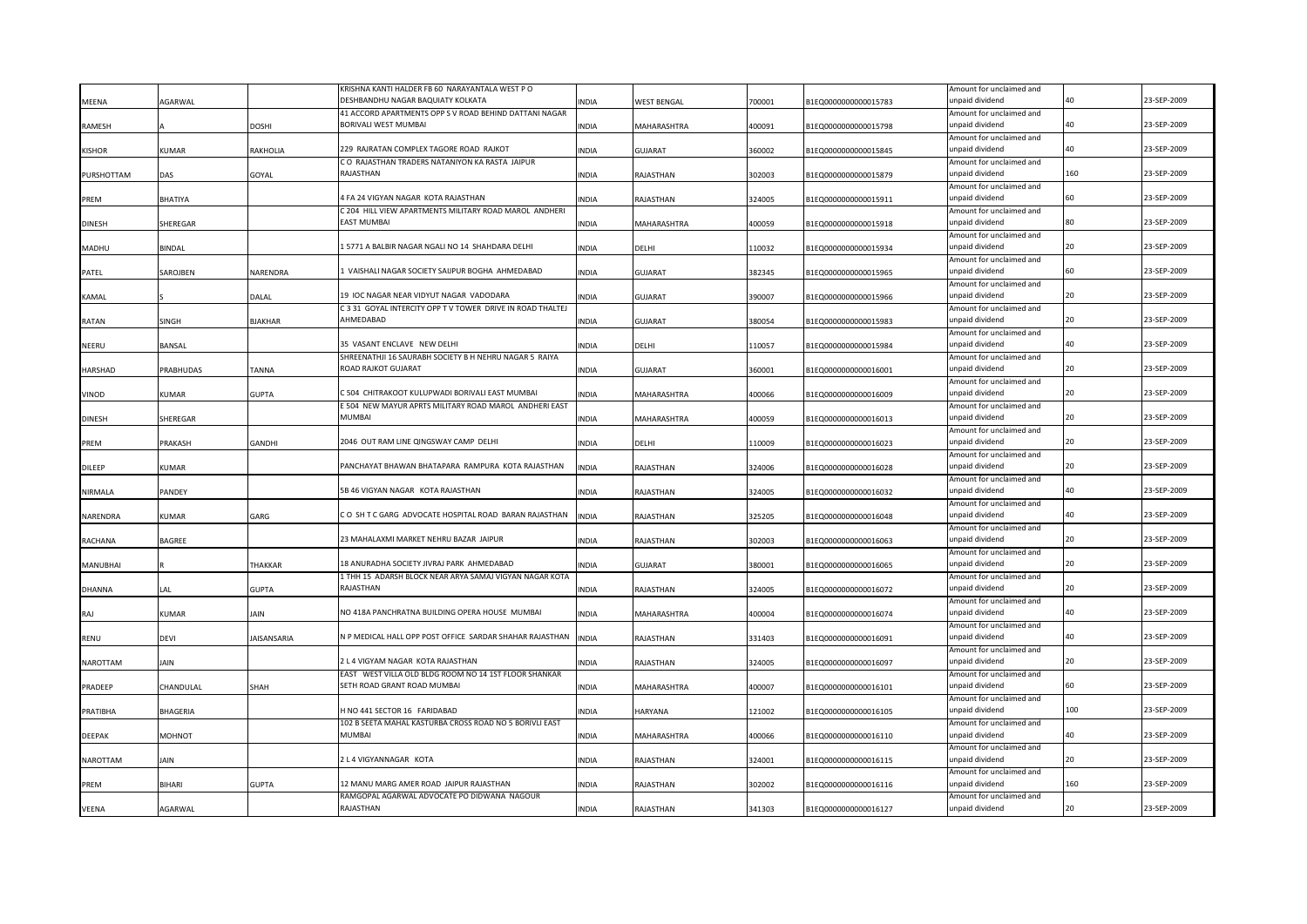|                |                |                    | KRISHNA KANTI HALDER FB 60 NARAYANTALA WEST PO              |              |                |        |                      | Amount for unclaimed and                    |           |             |
|----------------|----------------|--------------------|-------------------------------------------------------------|--------------|----------------|--------|----------------------|---------------------------------------------|-----------|-------------|
| <b>MEENA</b>   | <b>AGARWAL</b> |                    | DESHBANDHU NAGAR BAQUIATY KOLKATA                           | <b>INDIA</b> | WEST BENGAL    | 700001 | B1EQ0000000000015783 | unpaid dividend                             |           | 23-SEP-2009 |
|                |                |                    | 41 ACCORD APARTMENTS OPP S V ROAD BEHIND DATTANI NAGAR      |              |                |        |                      | Amount for unclaimed and                    |           |             |
| RAMESH         |                | <b>DOSHI</b>       | BORIVALI WEST MUMBAI                                        | <b>INDIA</b> | MAHARASHTRA    | 400091 | B1EQ0000000000015798 | unpaid dividend                             | $\Lambda$ | 23-SEP-2009 |
|                |                |                    |                                                             |              |                |        |                      | Amount for unclaimed and                    |           |             |
| <b>KISHOR</b>  | KUMAR          | RAKHOLIA           | 229 RAJRATAN COMPLEX TAGORE ROAD RAJKOT                     | <b>INDIA</b> | GUJARAT        | 360002 | B1EQ0000000000015845 | unpaid dividend                             |           | 23-SEP-2009 |
|                |                |                    | CO RAJASTHAN TRADERS NATANIYON KA RASTA JAIPUR<br>RAJASTHAN |              |                |        |                      | Amount for unclaimed and                    | 160       | 23-SEP-2009 |
| PURSHOTTAM     | DAS            | GOYAL              |                                                             | <b>INDIA</b> | RAJASTHAN      | 302003 | B1EQ0000000000015879 | unpaid dividend                             |           |             |
|                |                |                    | 4 FA 24 VIGYAN NAGAR KOTA RAJASTHAN                         |              |                |        |                      | Amount for unclaimed and                    |           | 23-SEP-2009 |
| PREM           | BHATIYA        |                    | C 204 HILL VIEW APARTMENTS MILITARY ROAD MAROL ANDHERI      | INDIA        | RAJASTHAN      | 324005 | B1EQ0000000000015911 | unpaid dividend<br>Amount for unclaimed and |           |             |
| <b>DINESH</b>  | SHEREGAR       |                    | <b>EAST MUMBAI</b>                                          | INDIA        | MAHARASHTRA    | 400059 | B1EQ0000000000015918 | unpaid dividend                             |           | 23-SEP-2009 |
|                |                |                    |                                                             |              |                |        |                      | Amount for unclaimed and                    |           |             |
| MADHU          | BINDAL         |                    | L5771 A BALBIR NAGAR NGALI NO 14 SHAHDARA DELHI             | INDIA        | DELHI          | 110032 | B1EQ0000000000015934 | unpaid dividend                             |           | 23-SEP-2009 |
|                |                |                    |                                                             |              |                |        |                      | Amount for unclaimed and                    |           |             |
| PATEL          | SAROJBEN       | NARENDRA           | L VAISHALI NAGAR SOCIETY SAIJPUR BOGHA AHMEDABAD            | INDIA        | GUJARAT        | 382345 | B1EQ0000000000015965 | unpaid dividend                             |           | 23-SEP-2009 |
|                |                |                    |                                                             |              |                |        |                      | Amount for unclaimed and                    |           |             |
| KAMAL          |                | DALAL              | 19 IOC NAGAR NEAR VIDYUT NAGAR VADODARA                     | <b>INDIA</b> | <b>GUJARAT</b> | 390007 | B1EQ0000000000015966 | unpaid dividend                             |           | 23-SEP-2009 |
|                |                |                    | C 3 31 GOYAL INTERCITY OPP T V TOWER DRIVE IN ROAD THALTEJ  |              |                |        |                      | Amount for unclaimed and                    |           |             |
| RATAN          | SINGH          | <b>BJAKHAR</b>     | AHMEDABAD                                                   | <b>INDIA</b> | <b>GUJARAT</b> | 380054 | B1EQ0000000000015983 | unpaid dividend                             |           | 23-SEP-2009 |
|                |                |                    |                                                             |              |                |        |                      | Amount for unclaimed and                    |           |             |
| NEERU          | BANSAL         |                    | 35 VASANT ENCLAVE NEW DELHI                                 | <b>INDIA</b> | <b>DELHI</b>   | 110057 | B1EQ0000000000015984 | unpaid dividend                             | 40        | 23-SEP-2009 |
|                |                |                    | SHREENATHJI 16 SAURABH SOCIETY B H NEHRU NAGAR 5 RAIYA      |              |                |        |                      | Amount for unclaimed and                    |           |             |
| <b>HARSHAD</b> | PRABHUDAS      | TANNA              | ROAD RAJKOT GUJARAT                                         | <b>INDIA</b> | <b>GUJARAT</b> | 360001 | B1EQ0000000000016001 | unpaid dividend                             | 20        | 23-SEP-2009 |
|                |                |                    |                                                             |              |                |        |                      | Amount for unclaimed and                    |           |             |
| <b>VINOD</b>   | KUMAR          | <b>GUPTA</b>       | C 504 CHITRAKOOT KULUPWADI BORIVALI EAST MUMBAI             | <b>INDIA</b> | MAHARASHTRA    | 400066 | B1EQ0000000000016009 | unpaid dividend                             | 20        | 23-SEP-2009 |
|                |                |                    | 504 NEW MAYUR APRTS MILITARY ROAD MAROL ANDHERI EAST        |              |                |        |                      | Amount for unclaimed and                    |           |             |
| <b>DINESH</b>  | SHEREGAR       |                    | <b>MUMBAI</b>                                               | <b>INDIA</b> | MAHARASHTRA    | 400059 | B1EQ0000000000016013 | unpaid dividend                             | 20        | 23-SEP-2009 |
|                |                |                    |                                                             |              |                |        |                      | Amount for unclaimed and                    |           |             |
| PREM           | PRAKASH        | <b>GANDHI</b>      | 2046 OUT RAM LINE QINGSWAY CAMP DELHI                       | <b>INDIA</b> | DELHI          | 110009 | B1EQ0000000000016023 | unpaid dividend                             |           | 23-SEP-2009 |
|                |                |                    |                                                             |              |                |        |                      | Amount for unclaimed and                    |           |             |
| DILEEP         | KUMAR          |                    | PANCHAYAT BHAWAN BHATAPARA RAMPURA KOTA RAJASTHAN           | <b>INDIA</b> | RAJASTHAN      | 324006 | B1EQ0000000000016028 | unpaid dividend                             | 20        | 23-SEP-2009 |
|                |                |                    |                                                             |              |                |        |                      | Amount for unclaimed and                    |           |             |
| NIRMALA        | PANDEY         |                    | 5B 46 VIGYAN NAGAR KOTA RAJASTHAN                           | <b>INDIA</b> | RAJASTHAN      | 324005 | B1EQ0000000000016032 | unpaid dividend                             | 40        | 23-SEP-2009 |
|                |                |                    | CO SH T C GARG ADVOCATE HOSPITAL ROAD BARAN RAJASTHAN       |              |                |        |                      | Amount for unclaimed and                    |           | 23-SEP-2009 |
| NARENDRA       | KUMAR          | GARG               |                                                             | <b>INDIA</b> | RAJASTHAN      | 325205 | B1EQ0000000000016048 | unpaid dividend                             |           |             |
|                |                |                    | 23 MAHALAXMI MARKET NEHRU BAZAR JAIPUR                      | <b>INDIA</b> |                |        |                      | Amount for unclaimed and<br>unpaid dividend | 20        | 23-SEP-2009 |
| <b>RACHANA</b> | BAGREE         |                    |                                                             |              | RAJASTHAN      | 302003 | B1EQ0000000000016063 | Amount for unclaimed and                    |           |             |
|                |                | THAKKAR            | 18 ANURADHA SOCIETY JIVRAJ PARK AHMEDABAD                   | <b>INDIA</b> |                |        |                      | unpaid dividend                             |           | 23-SEP-2009 |
| MANUBHAI       |                |                    | 1 THH 15 ADARSH BLOCK NEAR ARYA SAMAJ VIGYAN NAGAR KOTA     |              | <b>GUJARAT</b> | 380001 | B1EQ0000000000016065 | Amount for unclaimed and                    |           |             |
| <b>DHANNA</b>  | AL             | <b>GUPTA</b>       | RAJASTHAN                                                   | <b>INDIA</b> | RAJASTHAN      | 324005 | B1EQ0000000000016072 | unpaid dividend                             |           | 23-SEP-2009 |
|                |                |                    |                                                             |              |                |        |                      | Amount for unclaimed and                    |           |             |
| RAJ            | KUMAR          | JAIN               | NO 418A PANCHRATNA BUILDING OPERA HOUSE MUMBAI              | <b>INDIA</b> | MAHARASHTRA    | 400004 | B1EQ0000000000016074 | unpaid dividend                             |           | 23-SEP-2009 |
|                |                |                    |                                                             |              |                |        |                      | Amount for unclaimed and                    |           |             |
| RENU           | devi           | <b>JAISANSARIA</b> | N P MEDICAL HALL OPP POST OFFICE SARDAR SHAHAR RAJASTHAN    | <b>INDIA</b> | RAJASTHAN      | 331403 | B1EQ0000000000016091 | unpaid dividend                             |           | 23-SEP-2009 |
|                |                |                    |                                                             |              |                |        |                      | Amount for unclaimed and                    |           |             |
| NAROTTAM       | IAIN           |                    | 2 L 4 VIGYAM NAGAR KOTA RAJASTHAN                           | INDIA        | RAJASTHAN      | 324005 | B1EQ0000000000016097 | unpaid dividend                             |           | 23-SEP-2009 |
|                |                |                    | EAST WEST VILLA OLD BLDG ROOM NO 14 1ST FLOOR SHANKAR       |              |                |        |                      | Amount for unclaimed and                    |           |             |
| PRADEEP        | CHANDULAL      | SHAH               | SETH ROAD GRANT ROAD MUMBAI                                 | INDIA        | MAHARASHTRA    | 400007 | B1EQ0000000000016101 | unpaid dividend                             |           | 23-SEP-2009 |
|                |                |                    |                                                             |              |                |        |                      | Amount for unclaimed and                    |           |             |
| PRATIBHA       | BHAGERIA       |                    | I NO 441 SECTOR 16 FARIDABAD                                | INDIA        | HARYANA        | 121002 | B1EQ0000000000016105 | unpaid dividend                             | 100       | 23-SEP-2009 |
|                |                |                    | 102 B SEETA MAHAL KASTURBA CROSS ROAD NO 5 BORIVLI EAST     |              |                |        |                      | Amount for unclaimed and                    |           |             |
| <b>DEEPAK</b>  | MOHNOT         |                    | MUMBAI                                                      | <b>INDIA</b> | MAHARASHTRA    | 400066 | B1EQ0000000000016110 | unpaid dividend                             | 40        | 23-SEP-2009 |
|                |                |                    |                                                             |              |                |        |                      | Amount for unclaimed and                    |           |             |
| NAROTTAM       | AIN            |                    | 2 L 4 VIGYANNAGAR KOTA                                      | <b>INDIA</b> | RAJASTHAN      | 324001 | B1EQ0000000000016115 | unpaid dividend                             |           | 23-SEP-2009 |
|                |                |                    |                                                             |              |                |        |                      | Amount for unclaimed and                    |           |             |
| PREM           | BIHARI         | <b>GUPTA</b>       | 12 MANU MARG AMER ROAD JAIPUR RAJASTHAN                     | <b>NDIA</b>  | RAJASTHAN      | 302002 | B1EQ0000000000016116 | unpaid dividend                             | 160       | 23-SEP-2009 |
|                |                |                    | RAMGOPAL AGARWAL ADVOCATE PO DIDWANA NAGOUR                 |              |                |        |                      | Amount for unclaimed and                    |           |             |
| VEENA          | AGARWAL        |                    | RAJASTHAN                                                   | <b>INDIA</b> | RAJASTHAN      | 341303 | B1EQ0000000000016127 | unpaid dividend                             |           | 23-SEP-2009 |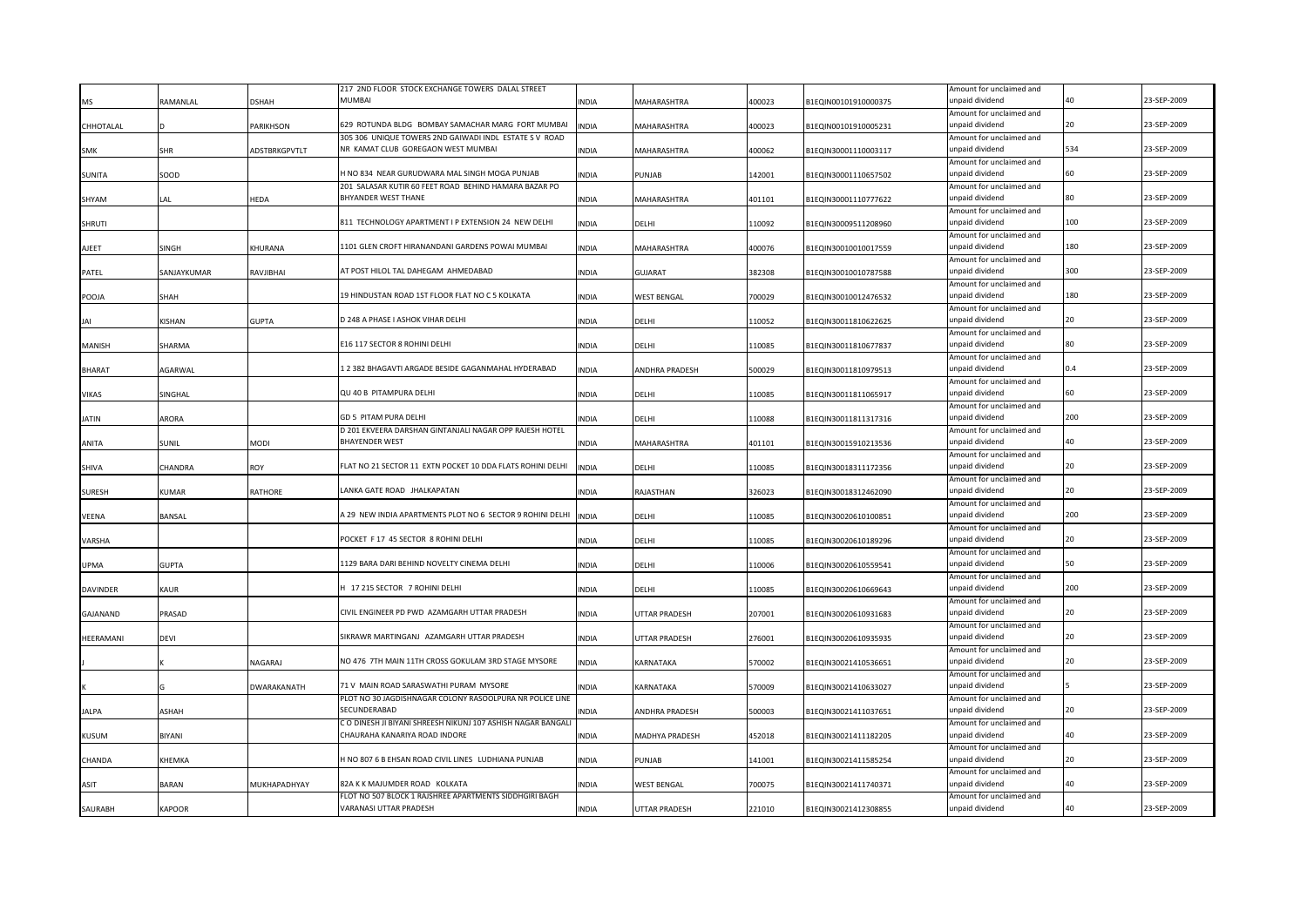|                 |                |                 | 217 2ND FLOOR STOCK EXCHANGE TOWERS DALAL STREET                                 |              |                       |        |                      | Amount for unclaimed and                    |     |             |
|-----------------|----------------|-----------------|----------------------------------------------------------------------------------|--------------|-----------------------|--------|----------------------|---------------------------------------------|-----|-------------|
| MS              | RAMANLAL       | DSHAH           | <b>MUMBAI</b>                                                                    | INDIA        | MAHARASHTRA           | 400023 | B1EQIN00101910000375 | unpaid dividend                             | ۸Λ  | 23-SEP-2009 |
|                 |                |                 |                                                                                  |              |                       |        |                      | Amount for unclaimed and                    |     |             |
| CHHOTALAL       |                | <b>ARIKHSON</b> | 629 ROTUNDA BLDG BOMBAY SAMACHAR MARG FORT MUMBAI                                | INDIA        | MAHARASHTRA           | 400023 | B1EQIN00101910005231 | unpaid dividend                             | 20  | 23-SEP-2009 |
|                 |                |                 | 305 306 UNIQUE TOWERS 2ND GAIWADI INDL ESTATE S V ROAD                           |              |                       |        |                      | Amount for unclaimed and                    |     |             |
| <b>SMK</b>      | SHR            | ADSTBRKGPVTLT   | NR KAMAT CLUB GOREGAON WEST MUMBAI                                               | INDIA        | MAHARASHTRA           | 400062 | B1EQIN30001110003117 | unpaid dividend                             | 534 | 23-SEP-2009 |
|                 |                |                 |                                                                                  |              |                       |        |                      | Amount for unclaimed and                    |     |             |
| SUNITA          | SOOD           |                 | H NO 834 NEAR GURUDWARA MAL SINGH MOGA PUNJAB                                    | INDIA        | PUNJAB                | 142001 | B1EQIN30001110657502 | unpaid dividend                             | 60  | 23-SEP-2009 |
|                 |                |                 | 201 SALASAR KUTIR 60 FEET ROAD BEHIND HAMARA BAZAR PO                            |              |                       |        |                      | Amount for unclaimed and                    |     |             |
| SHYAM           | LAL            | <b>IEDA</b>     | <b>BHYANDER WEST THANE</b>                                                       | INDIA        | MAHARASHTRA           | 401101 | B1EQIN30001110777622 | unpaid dividend                             |     | 23-SEP-2009 |
|                 |                |                 |                                                                                  |              |                       |        |                      | Amount for unclaimed and                    |     |             |
| SHRUTI          |                |                 | 811 TECHNOLOGY APARTMENT I P EXTENSION 24 NEW DELHI                              | <b>INDIA</b> | DELHI                 | 110092 | B1EQIN30009511208960 | unpaid dividend                             | 100 | 23-SEP-2009 |
|                 |                |                 |                                                                                  |              |                       |        |                      | Amount for unclaimed and                    |     |             |
| AJEET           | SINGH          | KHURANA         | 1101 GLEN CROFT HIRANANDANI GARDENS POWAI MUMBAI                                 | <b>INDIA</b> | MAHARASHTRA           | 400076 | B1EQIN30010010017559 | unpaid dividend                             | 180 | 23-SEP-2009 |
|                 |                |                 |                                                                                  |              |                       |        |                      | Amount for unclaimed and                    |     |             |
| PATEL           | SANJAYKUMAR    | RAVJIBHAI       | AT POST HILOL TAL DAHEGAM AHMEDABAD                                              | <b>INDIA</b> | GUJARAT               | 382308 | B1EQIN30010010787588 | unpaid dividend                             | 300 | 23-SEP-2009 |
|                 |                |                 |                                                                                  |              |                       |        |                      | Amount for unclaimed and                    | 180 | 23-SEP-2009 |
| POOJA           | SHAH           |                 | 19 HINDUSTAN ROAD 1ST FLOOR FLAT NO C 5 KOLKATA                                  | <b>INDIA</b> | <b>WEST BENGAL</b>    | 700029 | B1EQIN30010012476532 | unpaid dividend                             |     |             |
|                 |                |                 | D 248 A PHASE I ASHOK VIHAR DELHI                                                |              |                       |        |                      | Amount for unclaimed and                    | 20  | 23-SEP-2009 |
| IΔI             | <b>KISHAN</b>  | <b>GUPTA</b>    |                                                                                  | INDIA        | DELHI                 | 110052 | B1EQIN30011810622625 | unpaid dividend                             |     |             |
|                 |                |                 | E16 117 SECTOR 8 ROHINI DELHI                                                    |              |                       |        |                      | Amount for unclaimed and<br>unpaid dividend |     | 23-SEP-2009 |
| MANISH          | <b>SHARMA</b>  |                 |                                                                                  | INDIA        | DELHI                 | 110085 | B1EQIN30011810677837 |                                             |     |             |
|                 |                |                 | 2382 BHAGAVTI ARGADE BESIDE GAGANMAHAL HYDERABAD                                 |              |                       |        |                      | Amount for unclaimed and                    | 0.4 | 23-SEP-2009 |
| <b>BHARAT</b>   | AGARWAL        |                 |                                                                                  | INDIA        | ANDHRA PRADESH        | 500029 | B1EQIN30011810979513 | unpaid dividend                             |     |             |
|                 |                |                 | QU 40 B PITAMPURA DELHI                                                          |              |                       |        |                      | Amount for unclaimed and                    | 60  | 23-SEP-2009 |
| VIKAS           | SINGHAL        |                 |                                                                                  | INDIA        | DELHI                 | 110085 | B1EQIN30011811065917 | unpaid dividend                             |     |             |
|                 |                |                 |                                                                                  |              |                       |        |                      | Amount for unclaimed and                    | 200 | 23-SEP-2009 |
| <b>JATIN</b>    | ARORA          |                 | GD 5 PITAM PURA DELHI                                                            | INDIA        | DELHI                 | 110088 | B1EQIN30011811317316 | inpaid dividend                             |     |             |
|                 |                |                 | D 201 EKVEERA DARSHAN GINTANJALI NAGAR OPP RAJESH HOTEL<br><b>BHAYENDER WEST</b> |              |                       |        |                      | Amount for unclaimed and<br>unpaid dividend | 40  | 23-SEP-2009 |
| ANITA           | SUNIL          | NODI            |                                                                                  | <b>INDIA</b> | <b>MAHARASHTRA</b>    | 401101 | B1EQIN30015910213536 |                                             |     |             |
|                 | <b>CHANDRA</b> |                 | LAT NO 21 SECTOR 11 EXTN POCKET 10 DDA FLATS ROHINI DELHI                        | <b>INDIA</b> |                       |        |                      | Amount for unclaimed and<br>inpaid dividend | 20  | 23-SEP-2009 |
| SHIVA           |                | ROY             |                                                                                  |              | DELHI                 | 110085 | B1EQIN30018311172356 | Amount for unclaimed and                    |     |             |
| <b>SURESH</b>   | KUMAR          | RATHORE         | LANKA GATE ROAD JHALKAPATAN                                                      | <b>INDIA</b> | RAJASTHAN             | 326023 | B1EQIN30018312462090 | unpaid dividend                             | 20  | 23-SEP-2009 |
|                 |                |                 |                                                                                  |              |                       |        |                      | Amount for unclaimed and                    |     |             |
|                 |                |                 | A 29 NEW INDIA APARTMENTS PLOT NO 6 SECTOR 9 ROHINI DELHI                        | <b>INDIA</b> |                       |        |                      | inpaid dividend                             | 200 | 23-SEP-2009 |
| <b>VEENA</b>    | <b>BANSAL</b>  |                 |                                                                                  |              | DELHI                 | 110085 | B1EQIN30020610100851 | Amount for unclaimed and                    |     |             |
| VARSHA          |                |                 | POCKET F 17 45 SECTOR 8 ROHINI DELHI                                             | <b>INDIA</b> | DELHI                 | 110085 | B1EQIN30020610189296 | unpaid dividend                             | 20  | 23-SEP-2009 |
|                 |                |                 |                                                                                  |              |                       |        |                      | Amount for unclaimed and                    |     |             |
| UPMA            | <b>GUPTA</b>   |                 | 1129 BARA DARI BEHIND NOVELTY CINEMA DELHI                                       | INDIA        | DELHI                 | 110006 | B1EQIN30020610559541 | unpaid dividend                             | 50  | 23-SEP-2009 |
|                 |                |                 |                                                                                  |              |                       |        |                      | Amount for unclaimed and                    |     |             |
| <b>DAVINDER</b> | <b>KAUR</b>    |                 | 1 17 215 SECTOR 7 ROHINI DELHI                                                   | INDIA        | DELHI                 | 110085 | B1EQIN30020610669643 | unpaid dividend                             | 200 | 23-SEP-2009 |
|                 |                |                 |                                                                                  |              |                       |        |                      | Amount for unclaimed and                    |     |             |
| GAJANAND        | PRASAD         |                 | CIVIL ENGINEER PD PWD AZAMGARH UTTAR PRADESH                                     | INDIA        | UTTAR PRADESH         | 207001 | B1EQIN30020610931683 | unpaid dividend                             | 20  | 23-SEP-2009 |
|                 |                |                 |                                                                                  |              |                       |        |                      | Amount for unclaimed and                    |     |             |
| HEERAMANI       | DEVI           |                 | SIKRAWR MARTINGANJ AZAMGARH UTTAR PRADESH                                        | <b>INDIA</b> | UTTAR PRADESH         | 276001 | B1EQIN30020610935935 | unpaid dividend                             | 20  | 23-SEP-2009 |
|                 |                |                 |                                                                                  |              |                       |        |                      | Amount for unclaimed and                    |     |             |
|                 |                | NAGARAJ         | NO 476 7TH MAIN 11TH CROSS GOKULAM 3RD STAGE MYSORE                              | INDIA        | KARNATAKA             | 570002 | B1EQIN30021410536651 | unpaid dividend                             | 20  | 23-SEP-2009 |
|                 |                |                 |                                                                                  |              |                       |        |                      | Amount for unclaimed and                    |     |             |
|                 |                | DWARAKANATH     | 71 V MAIN ROAD SARASWATHI PURAM MYSORE                                           | INDIA        | KARNATAKA             | 570009 | B1EQIN30021410633027 | unpaid dividend                             |     | 23-SEP-2009 |
|                 |                |                 | PLOT NO 30 JAGDISHNAGAR COLONY RASOOLPURA NR POLICE LINE                         |              |                       |        |                      | Amount for unclaimed and                    |     |             |
| JALPA           | ASHAH          |                 | SECUNDERABAD                                                                     | <b>INDIA</b> | <b>ANDHRA PRADESH</b> | 500003 | B1EQIN30021411037651 | unpaid dividend                             |     | 23-SEP-2009 |
|                 |                |                 | C O DINESH JI BIYANI SHREESH NIKUNJ 107 ASHISH NAGAR BANGALI                     |              |                       |        |                      | Amount for unclaimed and                    |     |             |
| KUSUM           | BIYANI         |                 | CHAURAHA KANARIYA ROAD INDORE                                                    | INDIA        | MADHYA PRADESH        | 452018 | B1EQIN30021411182205 | unpaid dividend                             | 40  | 23-SEP-2009 |
|                 |                |                 |                                                                                  |              |                       |        |                      | Amount for unclaimed and                    |     |             |
| CHANDA          | KHEMKA         |                 | 1 NO 807 6 B EHSAN ROAD CIVIL LINES LUDHIANA PUNJAB                              | INDIA        | PUNJAB                | 141001 | B1EQIN30021411585254 | unpaid dividend                             |     | 23-SEP-2009 |
|                 |                |                 |                                                                                  |              |                       |        |                      |                                             |     |             |
| ASIT            | <b>BARAN</b>   | MUKHAPADHYAY    | 82A K K MAJUMDER ROAD KOLKATA                                                    | INDIA        | WEST BENGAL           | 700075 | B1EQIN30021411740371 | Amount for unclaimed and<br>unpaid dividend | 40  | 23-SEP-2009 |
|                 |                |                 | FLOT NO 507 BLOCK 1 RAJSHREE APARTMENTS SIDDHGIRI BAGH                           |              |                       |        |                      | Amount for unclaimed and                    |     |             |
| SAURABH         | <b>KAPOOR</b>  |                 | VARANASI UTTAR PRADESH                                                           | <b>INDIA</b> | <b>UTTAR PRADESH</b>  | 221010 | B1EQIN30021412308855 | unpaid dividend                             | 40  | 23-SEP-2009 |
|                 |                |                 |                                                                                  |              |                       |        |                      |                                             |     |             |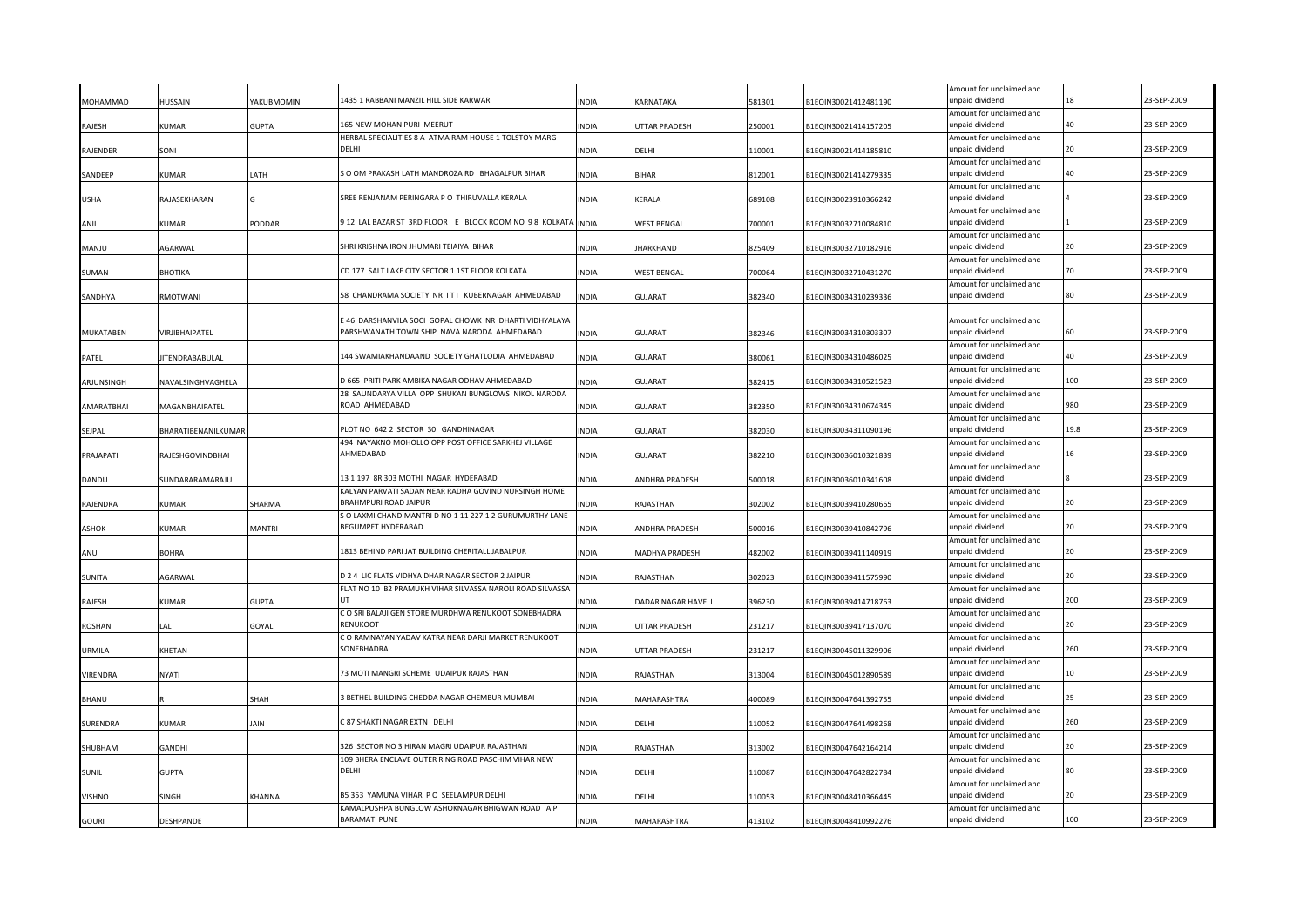|               |                     |               |                                                                                                       |              |                       |        |                      | Amount for unclaimed and                    |      |             |
|---------------|---------------------|---------------|-------------------------------------------------------------------------------------------------------|--------------|-----------------------|--------|----------------------|---------------------------------------------|------|-------------|
| MOHAMMAD      | HUSSAIN             | YAKUBMOMIN    | 1435 1 RABBANI MANZIL HILL SIDE KARWAR                                                                | <b>INDIA</b> | KARNATAKA             | 581301 | B1EQIN30021412481190 | unpaid dividend                             |      | 23-SEP-2009 |
|               |                     | <b>GUPTA</b>  | 165 NEW MOHAN PURI MEERUT                                                                             | <b>INDIA</b> |                       |        |                      | Amount for unclaimed and<br>unpaid dividend | 40   | 23-SEP-2009 |
| RAJESH        | KUMAR               |               | HERBAL SPECIALITIES 8 A ATMA RAM HOUSE 1 TOLSTOY MARG                                                 |              | UTTAR PRADESH         | 250001 | B1EQIN30021414157205 | Amount for unclaimed and                    |      |             |
| RAJENDER      | SONI                |               | DFLHI                                                                                                 | <b>INDIA</b> | DELHI                 | 110001 | B1EQIN30021414185810 | unpaid dividend                             | 20   | 23-SEP-2009 |
|               |                     |               |                                                                                                       |              |                       |        |                      | Amount for unclaimed and                    |      |             |
| SANDEEP       | KUMAR               | LATH          | S O OM PRAKASH LATH MANDROZA RD BHAGALPUR BIHAR                                                       | <b>INDIA</b> | <b>BIHAR</b>          | 812001 | B1EQIN30021414279335 | unpaid dividend                             | 40   | 23-SEP-2009 |
|               |                     |               |                                                                                                       |              |                       |        |                      | Amount for unclaimed and                    |      |             |
| <b>USHA</b>   | RAJASEKHARAN        |               | SREE RENJANAM PERINGARA P O THIRUVALLA KERALA                                                         | <b>INDIA</b> | KERALA                | 689108 | B1EQIN30023910366242 | unpaid dividend                             |      | 23-SEP-2009 |
|               |                     |               | 912 LAL BAZAR ST 3RD FLOOR E BLOCK ROOM NO 98 KOLKATA                                                 |              |                       |        |                      | Amount for unclaimed and<br>unpaid dividend |      | 23-SEP-2009 |
| ANIL          | KUMAR               | PODDAR        |                                                                                                       | <b>INDIA</b> | WEST BENGAL           | 700001 | B1EQIN30032710084810 | Amount for unclaimed and                    |      |             |
| MANJU         | AGARWAL             |               | SHRI KRISHNA IRON JHUMARI TEIAIYA BIHAR                                                               | INDIA        | JHARKHAND             | 825409 | B1EQIN30032710182916 | unpaid dividend                             |      | 23-SEP-2009 |
|               |                     |               |                                                                                                       |              |                       |        |                      | Amount for unclaimed and                    |      |             |
| SUMAN         | BHOTIKA             |               | CD 177 SALT LAKE CITY SECTOR 1 1ST FLOOR KOLKATA                                                      | <b>INDIA</b> | WEST BENGAL           | 700064 | B1EQIN30032710431270 | unpaid dividend                             |      | 23-SEP-2009 |
|               |                     |               |                                                                                                       |              |                       |        |                      | Amount for unclaimed and                    |      |             |
| SANDHYA       | RMOTWANI            |               | 58 CHANDRAMA SOCIETY NR ITI KUBERNAGAR AHMEDABAD                                                      | <b>INDIA</b> | <b>GUJARAT</b>        | 382340 | B1EQIN30034310239336 | unpaid dividend                             | 80   | 23-SEP-2009 |
|               |                     |               |                                                                                                       |              |                       |        |                      |                                             |      |             |
|               |                     |               | : 46 DARSHANVILA SOCI GOPAL CHOWK NR DHARTI VIDHYALAYA<br>PARSHWANATH TOWN SHIP NAVA NARODA AHMEDABAD |              |                       |        |                      | Amount for unclaimed and<br>unpaid dividend |      | 23-SEP-2009 |
| MUKATABEN     | VIRJIBHAIPATEL      |               |                                                                                                       | <b>INDIA</b> | <b>GUJARAT</b>        | 382346 | B1EQIN30034310303307 | Amount for unclaimed and                    |      |             |
| PATEL         | IITENDRABABULAL     |               | 144 SWAMIAKHANDAAND SOCIETY GHATLODIA AHMEDABAD                                                       | INDIA        | <b>GUJARAT</b>        | 380061 | B1EQIN30034310486025 | unpaid dividend                             | 40   | 23-SEP-2009 |
|               |                     |               |                                                                                                       |              |                       |        |                      | Amount for unclaimed and                    |      |             |
| ARJUNSINGH    | NAVALSINGHVAGHELA   |               | D 665 PRITI PARK AMBIKA NAGAR ODHAV AHMEDABAD                                                         | <b>INDIA</b> | GUJARAT               | 382415 | B1EQIN30034310521523 | unpaid dividend                             | 100  | 23-SEP-2009 |
|               |                     |               | 28 SAUNDARYA VILLA OPP SHUKAN BUNGLOWS NIKOL NARODA                                                   |              |                       |        |                      | Amount for unclaimed and                    |      |             |
| AMARATBHAI    | MAGANBHAIPATEL      |               | ROAD AHMEDABAD                                                                                        | <b>INDIA</b> | <b>GUJARAT</b>        | 382350 | B1EQIN30034310674345 | unpaid dividend                             | 980  | 23-SEP-2009 |
|               |                     |               |                                                                                                       |              |                       |        |                      | Amount for unclaimed and                    |      |             |
| SEJPAL        | BHARATIBENANILKUMAR |               | PLOT NO 642 2 SECTOR 30 GANDHINAGAR                                                                   | <b>INDIA</b> | GUJARAT               | 382030 | B1EQIN30034311090196 | unpaid dividend                             | 19.8 | 23-SEP-2009 |
|               |                     |               | 494 NAYAKNO MOHOLLO OPP POST OFFICE SARKHEJ VILLAGE                                                   |              |                       |        |                      | Amount for unclaimed and                    | 16   | 23-SEP-2009 |
| PRAJAPATI     | RAJESHGOVINDBHAI    |               | AHMEDABAD                                                                                             | <b>INDIA</b> | <b>GUJARAT</b>        | 382210 | B1EQIN30036010321839 | unpaid dividend                             |      |             |
| DANDU         | SUNDARARAMARAJU     |               | 13 1 197 8R 303 MOTHI NAGAR HYDERABAD                                                                 | <b>INDIA</b> | ANDHRA PRADESH        | 500018 | B1EQIN30036010341608 | Amount for unclaimed and<br>unpaid dividend |      | 23-SEP-2009 |
|               |                     |               | KALYAN PARVATI SADAN NEAR RADHA GOVIND NURSINGH HOME                                                  |              |                       |        |                      | Amount for unclaimed and                    |      |             |
| RAJENDRA      | KUMAR               | SHARMA        | BRAHMPURI ROAD JAIPUR                                                                                 | <b>INDIA</b> | RAJASTHAN             | 302002 | B1EQIN30039410280665 | unpaid dividend                             | 20   | 23-SEP-2009 |
|               |                     |               | S O LAXMI CHAND MANTRI D NO 1 11 227 1 2 GURUMURTHY LANE                                              |              |                       |        |                      | Amount for unclaimed and                    |      |             |
| <b>ASHOK</b>  | <b>KIIMAR</b>       | <b>MANTRI</b> | <b>BEGUMPET HYDERABAD</b>                                                                             | <b>INDIA</b> | <b>ANDHRA PRADESH</b> | 500016 | B1EQIN30039410842796 | unpaid dividend                             |      | 23-SEP-2009 |
|               |                     |               |                                                                                                       |              |                       |        |                      | Amount for unclaimed and                    |      |             |
| ANU           | <b>BOHRA</b>        |               | 1813 BEHIND PARI JAT BUILDING CHERITALL JABALPUR                                                      | <b>INDIA</b> | MADHYA PRADESH        | 482002 | B1EQIN30039411140919 | unpaid dividend                             | 20   | 23-SEP-2009 |
|               |                     |               |                                                                                                       |              |                       |        |                      | Amount for unclaimed and                    | 20   |             |
| <b>SUNITA</b> | <b>AGARWAL</b>      |               | D 2 4 LIC FLATS VIDHYA DHAR NAGAR SECTOR 2 JAIPUR                                                     | <b>INDIA</b> | RAJASTHAN             | 302023 | B1EQIN30039411575990 | unpaid dividend                             |      | 23-SEP-2009 |
| RAJESH        | KUMAR               | <b>GUPTA</b>  | FLAT NO 10 B2 PRAMUKH VIHAR SILVASSA NAROLI ROAD SILVASSA                                             | INDIA        | DADAR NAGAR HAVELI    | 396230 | B1EQIN30039414718763 | Amount for unclaimed and<br>unpaid dividend | 200  | 23-SEP-2009 |
|               |                     |               | C O SRI BALAJI GEN STORE MURDHWA RENUKOOT SONEBHADRA                                                  |              |                       |        |                      | Amount for unclaimed and                    |      |             |
| <b>ROSHAN</b> | LAL                 | GOYAL         | RENUKOOT                                                                                              | <b>INDIA</b> | UTTAR PRADESH         | 231217 | B1EQIN30039417137070 | unpaid dividend                             |      | 23-SEP-2009 |
|               |                     |               | C O RAMNAYAN YADAV KATRA NEAR DARJI MARKET RENUKOOT                                                   |              |                       |        |                      | Amount for unclaimed and                    |      |             |
| URMILA        | KHETAN              |               | SONEBHADRA                                                                                            | <b>INDIA</b> | UTTAR PRADESH         | 231217 | B1EQIN30045011329906 | unpaid dividend                             | 260  | 23-SEP-2009 |
|               |                     |               |                                                                                                       |              |                       |        |                      | Amount for unclaimed and                    |      |             |
| VIRENDRA      | NYATI               |               | 73 MOTI MANGRI SCHEME UDAIPUR RAJASTHAN                                                               | <b>INDIA</b> | RAJASTHAN             | 313004 | B1EQIN30045012890589 | unpaid dividend                             | 10   | 23-SEP-2009 |
|               |                     |               |                                                                                                       |              |                       |        |                      | Amount for unclaimed and                    |      |             |
| BHANU         |                     | SHAH          | 3 BETHEL BUILDING CHEDDA NAGAR CHEMBUR MUMBAI                                                         | <b>INDIA</b> | MAHARASHTRA           | 400089 | B1EQIN30047641392755 | unpaid dividend                             |      | 23-SEP-2009 |
| SURENDRA      | KUMAR               | JAIN          | C 87 SHAKTI NAGAR EXTN DELHI                                                                          | <b>INDIA</b> | DELHI                 | 110052 | B1EQIN30047641498268 | Amount for unclaimed and<br>unpaid dividend | 260  | 23-SEP-2009 |
|               |                     |               |                                                                                                       |              |                       |        |                      | Amount for unclaimed and                    |      |             |
| SHUBHAM       | GANDHI              |               | 326 SECTOR NO 3 HIRAN MAGRI UDAIPUR RAJASTHAN                                                         | <b>INDIA</b> | RAJASTHAN             | 313002 | B1EQIN30047642164214 | unpaid dividend                             | 20   | 23-SEP-2009 |
|               |                     |               | 109 BHERA ENCLAVE OUTER RING ROAD PASCHIM VIHAR NEW                                                   |              |                       |        |                      | Amount for unclaimed and                    |      |             |
| <b>SUNIL</b>  | GUPTA               |               | DFLHI                                                                                                 | <b>INDIA</b> | DELHI                 | 110087 | B1EQIN30047642822784 | unpaid dividend                             | 80   | 23-SEP-2009 |
|               |                     |               |                                                                                                       |              |                       |        |                      | Amount for unclaimed and                    |      |             |
| <b>VISHNO</b> | SINGH               | <b>KHANNA</b> | B5 353 YAMUNA VIHAR P O SEELAMPUR DELHI                                                               | <b>INDIA</b> | DELHI                 | 110053 | B1EQIN30048410366445 | unpaid dividend                             |      | 23-SEP-2009 |
|               |                     |               | KAMALPUSHPA BUNGLOW ASHOKNAGAR BHIGWAN ROAD A P                                                       |              |                       |        |                      | Amount for unclaimed and                    |      |             |
| GOURI         | DESHPANDE           |               | <b>BARAMATI PUNE</b>                                                                                  | <b>INDIA</b> | <b>MAHARASHTRA</b>    | 413102 | B1EQIN30048410992276 | unpaid dividend                             | 100  | 23-SEP-2009 |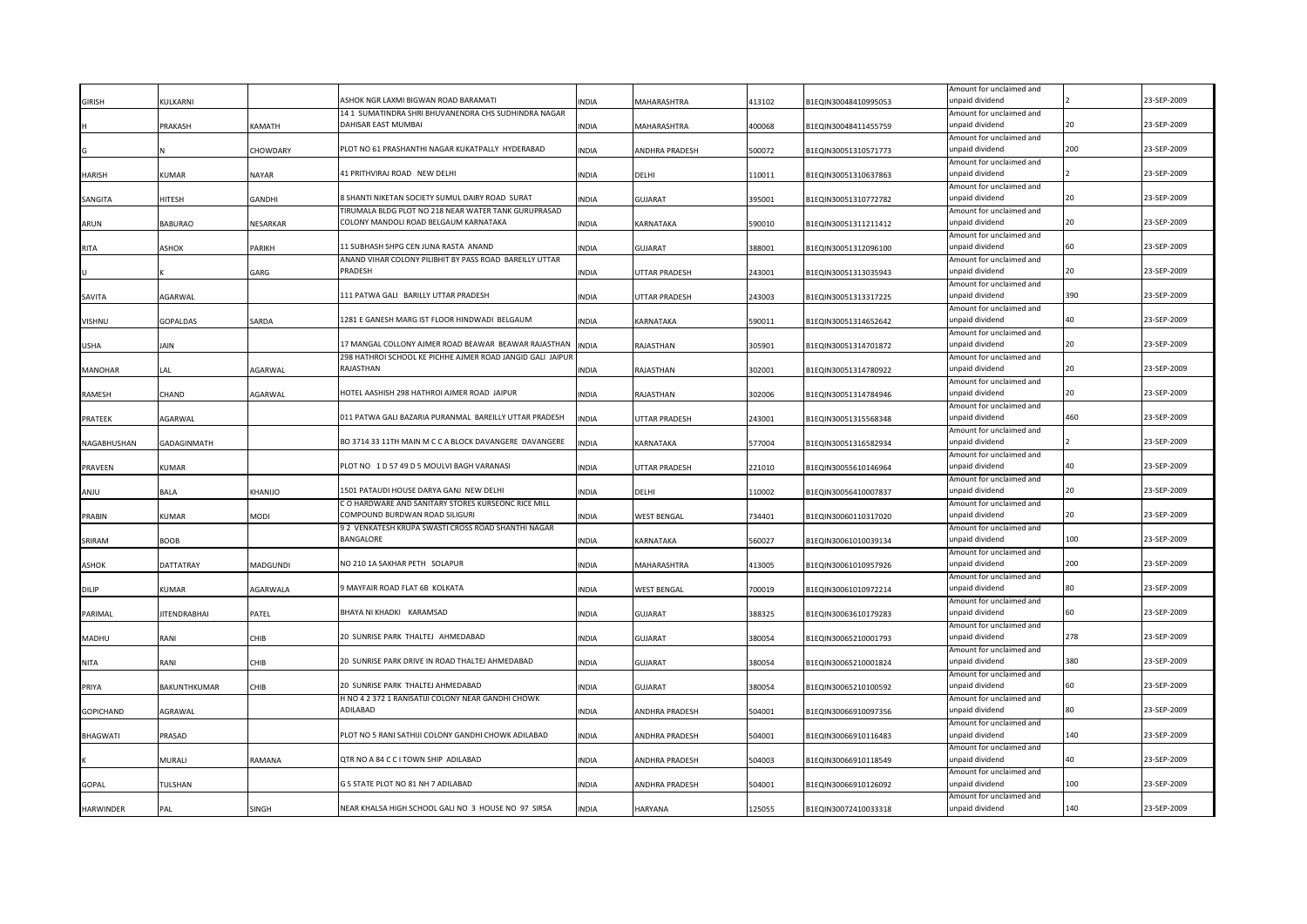|                  |                     |                |                                                                                       |              |                    |        |                      | Amount for unclaimed and                    |     |             |
|------------------|---------------------|----------------|---------------------------------------------------------------------------------------|--------------|--------------------|--------|----------------------|---------------------------------------------|-----|-------------|
| <b>GIRISH</b>    | <b>KULKARNI</b>     |                | ASHOK NGR LAXMI BIGWAN ROAD BARAMATI                                                  | NDIA         | <b>MAHARASHTRA</b> | 413102 | B1EQIN30048410995053 | unpaid dividend                             |     | 23-SEP-2009 |
|                  | PRAKASH             | KAMATH         | 14 1 SUMATINDRA SHRI BHUVANENDRA CHS SUDHINDRA NAGAR<br>DAHISAR EAST MUMBAI           | INDIA        | MAHARASHTRA        | 400068 | B1EQIN30048411455759 | Amount for unclaimed and<br>unpaid dividend |     | 23-SEP-2009 |
|                  |                     |                |                                                                                       |              |                    |        |                      | Amount for unclaimed and                    |     |             |
|                  |                     | CHOWDARY       | PLOT NO 61 PRASHANTHI NAGAR KUKATPALLY HYDERABAD                                      | <b>INDIA</b> | ANDHRA PRADESH     | 500072 | B1EQIN30051310571773 | unpaid dividend                             | 200 | 23-SEP-2009 |
|                  |                     |                |                                                                                       |              |                    |        |                      | Amount for unclaimed and                    |     |             |
| <b>HARISH</b>    | <b>KUMAR</b>        | NAYAR          | 41 PRITHVIRAJ ROAD NEW DELHI                                                          | <b>INDIA</b> | DELHI              | 110011 | B1EQIN30051310637863 | unpaid dividend                             |     | 23-SEP-2009 |
|                  |                     |                |                                                                                       |              |                    |        |                      | Amount for unclaimed and                    |     |             |
| SANGITA          | HITESH              | GANDHI         | 8 SHANTI NIKETAN SOCIETY SUMUL DAIRY ROAD SURAT                                       | INDIA        | <b>GUJARAT</b>     | 395001 | B1EQIN30051310772782 | unpaid dividend                             |     | 23-SEP-2009 |
|                  |                     |                | TIRUMALA BLDG PLOT NO 218 NEAR WATER TANK GURUPRASAD                                  |              |                    |        |                      | Amount for unclaimed and                    |     |             |
| ARUN             | <b>BABURAO</b>      | NESARKAR       | COLONY MANDOLI ROAD BELGAUM KARNATAKA                                                 | INDIA        | KARNATAKA          | 590010 | B1EQIN30051311211412 | unpaid dividend                             | 20  | 23-SEP-2009 |
|                  |                     |                | 11 SUBHASH SHPG CEN JUNA RASTA ANAND                                                  |              |                    |        |                      | Amount for unclaimed and<br>unpaid dividend |     | 23-SEP-2009 |
| RITA             | ASHOK               | PARIKH         | ANAND VIHAR COLONY PILIBHIT BY PASS ROAD BAREILLY UTTAR                               | INDIA        | <b>GUJARAT</b>     | 388001 | B1EQIN30051312096100 | Amount for unclaimed and                    |     |             |
|                  |                     | GARG           | <b>PRADESH</b>                                                                        | INDIA        | UTTAR PRADESH      | 243001 | B1EQIN30051313035943 | unpaid dividend                             | 20  | 23-SEP-2009 |
|                  |                     |                |                                                                                       |              |                    |        |                      | Amount for unclaimed and                    |     |             |
| SAVITA           | AGARWAL             |                | 111 PATWA GALI BARILLY UTTAR PRADESH                                                  | INDIA        | UTTAR PRADESH      | 243003 | B1EQIN30051313317225 | unpaid dividend                             | 390 | 23-SEP-2009 |
|                  |                     |                |                                                                                       |              |                    |        |                      | Amount for unclaimed and                    |     |             |
| <b>VISHNU</b>    | <b>GOPALDAS</b>     | SARDA          | 1281 E GANESH MARG IST FLOOR HINDWADI BELGAUM                                         | <b>INDIA</b> | KARNATAKA          | 590011 | B1EQIN30051314652642 | inpaid dividend                             | 40  | 23-SEP-2009 |
|                  |                     |                |                                                                                       |              |                    |        |                      | Amount for unclaimed and                    |     |             |
| <b>USHA</b>      | <b>AIAL</b>         |                | 17 MANGAL COLLONY AJMER ROAD BEAWAR BEAWAR RAJASTHAN                                  | <b>INDIA</b> | RAJASTHAN          | 305901 | B1EQIN30051314701872 | unpaid dividend                             | 20  | 23-SEP-2009 |
|                  |                     |                | 298 HATHROI SCHOOL KE PICHHE AJMER ROAD JANGID GALI JAIPUR                            |              |                    |        |                      | Amount for unclaimed and                    |     |             |
| <b>MANOHAR</b>   | LAL                 | <b>AGARWAL</b> | RAJASTHAN                                                                             | <b>INDIA</b> | RAJASTHAN          | 302001 | B1EQIN30051314780922 | unpaid dividend                             | 20  | 23-SEP-2009 |
| RAMESH           | CHAND               | AGARWAL        | HOTEL AASHISH 298 HATHROI AJMER ROAD JAIPUR                                           | <b>INDIA</b> | RAJASTHAN          | 302006 | B1EQIN30051314784946 | Amount for unclaimed and<br>unpaid dividend |     | 23-SEP-2009 |
|                  |                     |                |                                                                                       |              |                    |        |                      | Amount for unclaimed and                    |     |             |
| PRATEEK          | AGARWAL             |                | 011 PATWA GALI BAZARIA PURANMAL BAREILLY UTTAR PRADESH                                | INDIA        | UTTAR PRADESH      | 243001 | B1EQIN30051315568348 | unpaid dividend                             | 460 | 23-SEP-2009 |
|                  |                     |                |                                                                                       |              |                    |        |                      | Amount for unclaimed and                    |     |             |
| NAGABHUSHAN      | GADAGINMATH         |                | BO 3714 33 11TH MAIN M C C A BLOCK DAVANGERE DAVANGERE                                | <b>INDIA</b> | KARNATAKA          | 577004 | B1EQIN30051316582934 | unpaid dividend                             |     | 23-SEP-2009 |
|                  |                     |                |                                                                                       |              |                    |        |                      | Amount for unclaimed and                    |     |             |
| PRAVEEN          | <b>KUMAR</b>        |                | PLOT NO 1 D 57 49 D 5 MOULVI BAGH VARANASI                                            | INDIA        | UTTAR PRADESH      | 221010 | B1EQIN30055610146964 | unpaid dividend                             | 40  | 23-SEP-2009 |
|                  |                     |                |                                                                                       |              |                    |        |                      | Amount for unclaimed and                    |     |             |
| ULIAA            | BALA                | KHANIJO        | 1501 PATAUDI HOUSE DARYA GANJ NEW DELHI                                               | INDIA        | DELHI              | 110002 | B1EQIN30056410007837 | unpaid dividend                             |     | 23-SEP-2009 |
|                  |                     |                | C O HARDWARE AND SANITARY STORES KURSEONC RICE MILL<br>COMPOUND BURDWAN ROAD SILIGURI |              |                    |        |                      | Amount for unclaimed and                    | 20  | 23-SEP-2009 |
| PRABIN           | KUMAR               | NODI           | 92 VENKATESH KRUPA SWASTI CROSS ROAD SHANTHI NAGAR                                    | <b>INDIA</b> | <b>WEST BENGAL</b> | 734401 | B1EQIN30060110317020 | unpaid dividend<br>Amount for unclaimed and |     |             |
| SRIRAM           | BOOB                |                | BANGALORE                                                                             | <b>INDIA</b> | KARNATAKA          | 560027 | B1EQIN30061010039134 | unpaid dividend                             | 100 | 23-SEP-2009 |
|                  |                     |                |                                                                                       |              |                    |        |                      | Amount for unclaimed and                    |     |             |
| ASHOK            | DATTATRAY           | MADGUNDI       | NO 210 1A SAKHAR PETH SOLAPUR                                                         | <b>INDIA</b> | MAHARASHTRA        | 413005 | B1EQIN30061010957926 | unpaid dividend                             | 200 | 23-SEP-2009 |
|                  |                     |                |                                                                                       |              |                    |        |                      | Amount for unclaimed and                    |     |             |
| DILIP            | KUMAR               | AGARWALA       | 9 MAYFAIR ROAD FLAT 6B KOLKATA                                                        | INDIA        | WEST BENGAL        | 700019 | B1EQIN30061010972214 | unpaid dividend                             | ጸበ  | 23-SEP-2009 |
|                  |                     |                |                                                                                       |              |                    |        |                      | Amount for unclaimed and                    |     |             |
| PARIMAL          | <b>IITENDRABHAI</b> | PATEL          | BHAYA NI KHADKI KARAMSAD                                                              | INDIA        | <b>GUJARAT</b>     | 388325 | B1EQIN30063610179283 | unpaid dividend                             |     | 23-SEP-2009 |
|                  |                     |                | 20 SUNRISE PARK THALTEJ AHMEDABAD                                                     |              |                    |        |                      | Amount for unclaimed and                    | 278 | 23-SEP-2009 |
| MADHU            | RANI                | CHIB           |                                                                                       | INDIA        | <b>GUJARAT</b>     | 380054 | B1EQIN30065210001793 | unpaid dividend                             |     |             |
| NITA             | RANI                | CHIB           | 20 SUNRISE PARK DRIVE IN ROAD THALTEJ AHMEDABAD                                       | INDIA        | <b>GUJARAT</b>     | 380054 | B1EQIN30065210001824 | Amount for unclaimed and<br>unpaid dividend | 380 | 23-SEP-2009 |
|                  |                     |                |                                                                                       |              |                    |        |                      | Amount for unclaimed and                    |     |             |
| PRIYA            | BAKUNTHKUMAR        | CHIB           | 20 SUNRISE PARK THALTEJ AHMEDABAD                                                     | INDIA        | <b>GUJARAT</b>     | 380054 | B1EQIN30065210100592 | unpaid dividend                             |     | 23-SEP-2009 |
|                  |                     |                | H NO 4 2 372 1 RANISATIJI COLONY NEAR GANDHI CHOWK                                    |              |                    |        |                      | Amount for unclaimed and                    |     |             |
| GOPICHAND        | AGRAWAL             |                | ADILABAD                                                                              | INDIA        | ANDHRA PRADESH     | 504001 | B1EQIN30066910097356 | unpaid dividend                             |     | 23-SEP-2009 |
|                  |                     |                |                                                                                       |              |                    |        |                      | Amount for unclaimed and                    |     |             |
| BHAGWATI         | PRASAD              |                | PLOT NO 5 RANI SATHIJI COLONY GANDHI CHOWK ADILABAD                                   | <b>INDIA</b> | ANDHRA PRADESH     | 504001 | B1EQIN30066910116483 | unpaid dividend                             | 140 | 23-SEP-2009 |
|                  |                     |                |                                                                                       |              |                    |        |                      | Amount for unclaimed and                    |     |             |
|                  | MURALI              | RAMANA         | QTR NO A 84 C C I TOWN SHIP ADILABAD                                                  | <b>INDIA</b> | ANDHRA PRADESH     | 504003 | B1EQIN30066910118549 | inpaid dividend                             |     | 23-SEP-2009 |
| <b>GOPAL</b>     | TULSHAN             |                | G S STATE PLOT NO 81 NH 7 ADILABAD                                                    | <b>INDIA</b> | ANDHRA PRADESH     |        | B1EQIN30066910126092 | Amount for unclaimed and<br>inpaid dividend | 100 | 23-SEP-2009 |
|                  |                     |                |                                                                                       |              |                    | 504001 |                      | Amount for unclaimed and                    |     |             |
| <b>HARWINDER</b> | PAL                 | SINGH          | NEAR KHALSA HIGH SCHOOL GALI NO 3 HOUSE NO 97 SIRSA                                   | <b>NDIA</b>  | <b>HARYANA</b>     | 125055 | B1EQIN30072410033318 | unpaid dividend                             | 140 | 23-SEP-2009 |
|                  |                     |                |                                                                                       |              |                    |        |                      |                                             |     |             |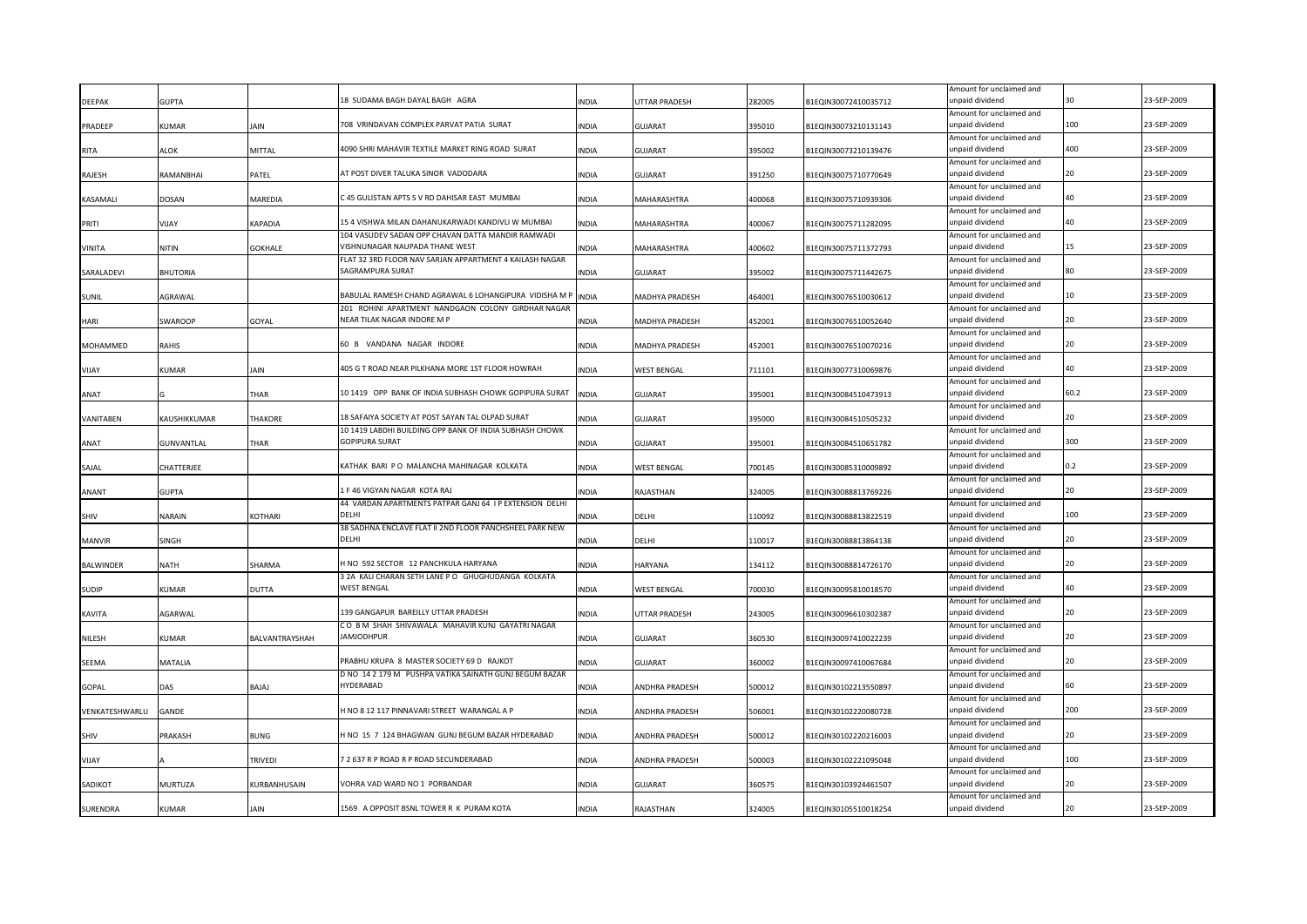| <b>DEEPAK</b>    | <b>GUPTA</b>      |                    | 18 SUDAMA BAGH DAYAL BAGH AGRA                                           | NDIA         | <b>JTTAR PRADESH</b>  | 282005 | B1EQIN30072410035712 | Amount for unclaimed and<br>unpaid dividend |      | 23-SEP-2009 |
|------------------|-------------------|--------------------|--------------------------------------------------------------------------|--------------|-----------------------|--------|----------------------|---------------------------------------------|------|-------------|
|                  |                   |                    |                                                                          |              |                       |        |                      | Amount for unclaimed and                    |      |             |
| PRADEEP          | KUMAR             | IAIN               | 708 VRINDAVAN COMPLEX PARVAT PATIA SURAT                                 | <b>INDIA</b> | GUJARAT               | 395010 | B1EQIN30073210131143 | unpaid dividend                             | 100  | 23-SEP-2009 |
|                  |                   |                    |                                                                          |              |                       |        |                      | Amount for unclaimed and                    |      |             |
| <b>RITA</b>      | <b>ALOK</b>       | MITTAL             | 4090 SHRI MAHAVIR TEXTILE MARKET RING ROAD SURAT                         | <b>INDIA</b> | <b>GUJARAT</b>        | 395002 | B1EQIN30073210139476 | unpaid dividend                             | 400  | 23-SEP-2009 |
|                  |                   |                    |                                                                          |              |                       |        |                      | Amount for unclaimed and                    |      |             |
| RAJESH           | RAMANBHAI         | PATEL              | AT POST DIVER TALUKA SINOR VADODARA                                      | INDIA        | <b>GUJARAT</b>        | 391250 | B1EQIN30075710770649 | unpaid dividend                             | 20   | 23-SEP-2009 |
|                  |                   |                    |                                                                          |              |                       |        |                      | Amount for unclaimed and                    |      |             |
| KASAMALI         | DOSAN             | MAREDIA            | C 45 GULISTAN APTS S V RD DAHISAR EAST MUMBAI                            | INDIA        | MAHARASHTRA           | 400068 | B1EQIN30075710939306 | unpaid dividend                             |      | 23-SEP-2009 |
|                  |                   |                    | 15 4 VISHWA MILAN DAHANUKARWADI KANDIVLI W MUMBAI                        |              |                       |        |                      | Amount for unclaimed and<br>unpaid dividend | 40   | 23-SEP-2009 |
| PRITI            | VIJAY             | KAPADIA            | 104 VASUDEV SADAN OPP CHAVAN DATTA MANDIR RAMWADI                        | INDIA        | MAHARASHTRA           | 400067 | B1EQIN30075711282095 | Amount for unclaimed and                    |      |             |
| VINITA           | <b>NITIN</b>      | <b>GOKHALE</b>     | VISHNUNAGAR NAUPADA THANE WEST                                           | INDIA        | MAHARASHTRA           | 400602 | B1EQIN30075711372793 | unpaid dividend                             |      | 23-SEP-2009 |
|                  |                   |                    | FLAT 32 3RD FLOOR NAV SARJAN APPARTMENT 4 KAILASH NAGAR                  |              |                       |        |                      | Amount for unclaimed and                    |      |             |
| SARALADEVI       | <b>BHUTORIA</b>   |                    | SAGRAMPURA SURAT                                                         | INDIA        | <b>GUJARAT</b>        | 395002 | B1EQIN30075711442675 | unpaid dividend                             | 80   | 23-SEP-2009 |
|                  |                   |                    |                                                                          |              |                       |        |                      | Amount for unclaimed and                    |      |             |
| SUNIL            | AGRAWAL           |                    | BABULAL RAMESH CHAND AGRAWAL 6 LOHANGIPURA VIDISHA M F                   | <b>INDIA</b> | MADHYA PRADESH        | 464001 | B1EQIN30076510030612 | unpaid dividend                             | 10   | 23-SEP-2009 |
|                  |                   |                    | 201 ROHINI APARTMENT NANDGAON COLONY GIRDHAR NAGAR                       |              |                       |        |                      | Amount for unclaimed and                    |      |             |
| HARI             | <b>SWAROOP</b>    | GOYAL              | NEAR TILAK NAGAR INDORE M P                                              | <b>INDIA</b> | MADHYA PRADESH        | 452001 | B1EQIN30076510052640 | unpaid dividend                             |      | 23-SEP-2009 |
|                  |                   |                    |                                                                          |              |                       |        |                      | Amount for unclaimed and                    |      |             |
| <b>MOHAMMED</b>  | <b>RAHIS</b>      |                    | 60 B VANDANA NAGAR INDORE                                                | <b>INDIA</b> | MADHYA PRADESH        | 452001 | B1EQIN30076510070216 | unpaid dividend                             | 20   | 23-SEP-2009 |
|                  |                   |                    |                                                                          |              |                       |        |                      | Amount for unclaimed and                    | 40   |             |
| VIJAY            | KUMAR             | JAIN               | 405 G T ROAD NEAR PILKHANA MORE 1ST FLOOR HOWRAH                         | INDIA        | <b>WEST BENGAL</b>    | 711101 | B1EQIN30077310069876 | unpaid dividend                             |      | 23-SEP-2009 |
|                  |                   |                    | 10 1419 OPP BANK OF INDIA SUBHASH CHOWK GOPIPURA SURAT                   |              |                       |        |                      | Amount for unclaimed and<br>unpaid dividend | 60.2 | 23-SEP-2009 |
| ANAT             |                   | THAR               |                                                                          | <b>INDIA</b> | GUJARAT               | 395001 | B1EQIN30084510473913 | Amount for unclaimed and                    |      |             |
| VANITABEN        | KAUSHIKKUMAR      | <b>THAKORE</b>     | 18 SAFAIYA SOCIETY AT POST SAYAN TAL OLPAD SURAT                         | INDIA        | <b>GUJARAT</b>        | 395000 | B1EQIN30084510505232 | unpaid dividend                             | 20   | 23-SEP-2009 |
|                  |                   |                    | 10 1419 LABDHI BUILDING OPP BANK OF INDIA SUBHASH CHOWK                  |              |                       |        |                      | Amount for unclaimed and                    |      |             |
| ANAT             | <b>GUNVANTLAL</b> | THAR               | <b>GOPIPURA SURAT</b>                                                    | <b>INDIA</b> | GUJARAT               | 395001 | B1EQIN30084510651782 | unpaid dividend                             | 300  | 23-SEP-2009 |
|                  |                   |                    |                                                                          |              |                       |        |                      | Amount for unclaimed and                    |      |             |
| SAJAL            | CHATTERJEE        |                    | KATHAK BARI PO MALANCHA MAHINAGAR KOLKATA                                | INDIA        | <b>WEST BENGAL</b>    | 700145 | B1EQIN30085310009892 | unpaid dividend                             | 0.2  | 23-SEP-2009 |
|                  |                   |                    |                                                                          |              |                       |        |                      | Amount for unclaimed and                    |      |             |
| ANANT            | <b>GUPTA</b>      |                    | 1 F 46 VIGYAN NAGAR KOTA RAJ                                             | INDIA        | RAJASTHAN             | 324005 | B1EQIN30088813769226 | unpaid dividend                             | 20   | 23-SEP-2009 |
|                  |                   |                    | 44 VARDAN APARTMENTS PATPAR GANJ 64 I P EXTENSION DELHI                  |              |                       |        |                      | Amount for unclaimed and                    |      |             |
| SHIV             | NARAIN            | KOTHARI            | DELHI                                                                    | INDIA        | DELHI                 | 110092 | B1EQIN30088813822519 | unpaid dividend                             | 100  | 23-SEP-2009 |
|                  |                   |                    | 38 SADHNA ENCLAVE FLAT II 2ND FLOOR PANCHSHEEL PARK NEW                  |              |                       |        |                      | Amount for unclaimed and                    |      |             |
| <b>MANVIR</b>    | SINGH             |                    | DELHI                                                                    | INDIA        | DELHI                 | 110017 | B1EQIN30088813864138 | unpaid dividend                             |      | 23-SEP-2009 |
|                  |                   |                    | HNO 592 SECTOR 12 PANCHKULA HARYANA                                      |              |                       |        |                      | Amount for unclaimed and                    |      | 23-SEP-2009 |
| <b>BALWINDER</b> | NATH              | SHARMA             |                                                                          | INDIA        | HARYANA               | 134112 | B1EQIN30088814726170 | unpaid dividend                             |      |             |
| SUDIP            | KUMAR             | DUTTA              | 3 2A KALI CHARAN SETH LANE P O GHUGHUDANGA KOLKATA<br><b>WEST BENGAL</b> | INDIA        | WEST BENGAL           | 700030 | B1EQIN30095810018570 | Amount for unclaimed and<br>unpaid dividend |      | 23-SEP-2009 |
|                  |                   |                    |                                                                          |              |                       |        |                      | Amount for unclaimed and                    |      |             |
| KAVITA           | AGARWAL           |                    | 139 GANGAPUR BAREILLY UTTAR PRADESH                                      | INDIA        | UTTAR PRADESH         | 243005 | B1EQIN30096610302387 | unpaid dividend                             |      | 23-SEP-2009 |
|                  |                   |                    | CO B M SHAH SHIVAWALA MAHAVIR KUNJ GAYATRI NAGAR                         |              |                       |        |                      | Amount for unclaimed and                    |      |             |
| NILESH           | KUMAR             | BALVANTRAYSHAH     | <b>AMJODHPUR</b>                                                         | INDIA        | <b>GUJARAT</b>        | 360530 | B1EQIN30097410022239 | unpaid dividend                             |      | 23-SEP-2009 |
|                  |                   |                    |                                                                          |              |                       |        |                      | Amount for unclaimed and                    |      |             |
| SEEMA            | MATALIA           |                    | RABHU KRUPA 8 MASTER SOCIETY 69 D RAJKOT                                 | INDIA        | <b>GUJARAT</b>        | 360002 | B1EQIN30097410067684 | unpaid dividend                             |      | 23-SEP-2009 |
|                  |                   |                    | D NO 14 2 179 M PUSHPA VATIKA SAINATH GUNJ BEGUM BAZAR                   |              |                       |        |                      | Amount for unclaimed and                    |      |             |
| GOPAL            | DAS               | BAJAJ              | <b>IYDERABAD</b>                                                         | INDIA        | ANDHRA PRADESH        | 500012 | B1EQIN30102213550897 | unpaid dividend                             | 60   | 23-SEP-2009 |
|                  |                   |                    |                                                                          |              |                       |        |                      | Amount for unclaimed and                    |      |             |
| VENKATESHWARLU   | GANDE             |                    | I NO 8 12 117 PINNAVARI STREET WARANGAL A P                              | INDIA        | ANDHRA PRADESH        | 506001 | B1EQIN30102220080728 | unpaid dividend                             | 200  | 23-SEP-2009 |
|                  |                   |                    |                                                                          |              |                       |        |                      | Amount for unclaimed and                    |      |             |
| SHIV             | PRAKASH           | BUNG               | I NO 15 7 124 BHAGWAN GUNJ BEGUM BAZAR HYDERABAD                         | <b>INDIA</b> | <b>ANDHRA PRADESH</b> | 500012 | B1EQIN30102220216003 | unpaid dividend                             | 20   | 23-SEP-2009 |
|                  |                   |                    | 7 2 637 R P ROAD R P ROAD SECUNDERABAD                                   |              |                       |        |                      | Amount for unclaimed and                    | 100  | 23-SEP-2009 |
| VIJAY            |                   | RIVEDI             |                                                                          | <b>INDIA</b> | ANDHRA PRADESH        | 500003 | B1EQIN30102221095048 | unpaid dividend                             |      |             |
| SADIKOT          | MURTUZA           | <b>URBANHUSAIN</b> | VOHRA VAD WARD NO 1 PORBANDAR                                            | <b>INDIA</b> | GUJARAT               | 360575 | B1EQIN30103924461507 | Amount for unclaimed and<br>unpaid dividend | 20   | 23-SEP-2009 |
|                  |                   |                    |                                                                          |              |                       |        |                      | Amount for unclaimed and                    |      |             |
| SURENDRA         | KUMAR             | <b>JAIN</b>        | 1569 A OPPOSIT BSNL TOWER R K PURAM KOTA                                 | <b>INDIA</b> | RAJASTHAN             | 324005 | B1EQIN30105510018254 | unpaid dividend                             | 20   | 23-SEP-2009 |
|                  |                   |                    |                                                                          |              |                       |        |                      |                                             |      |             |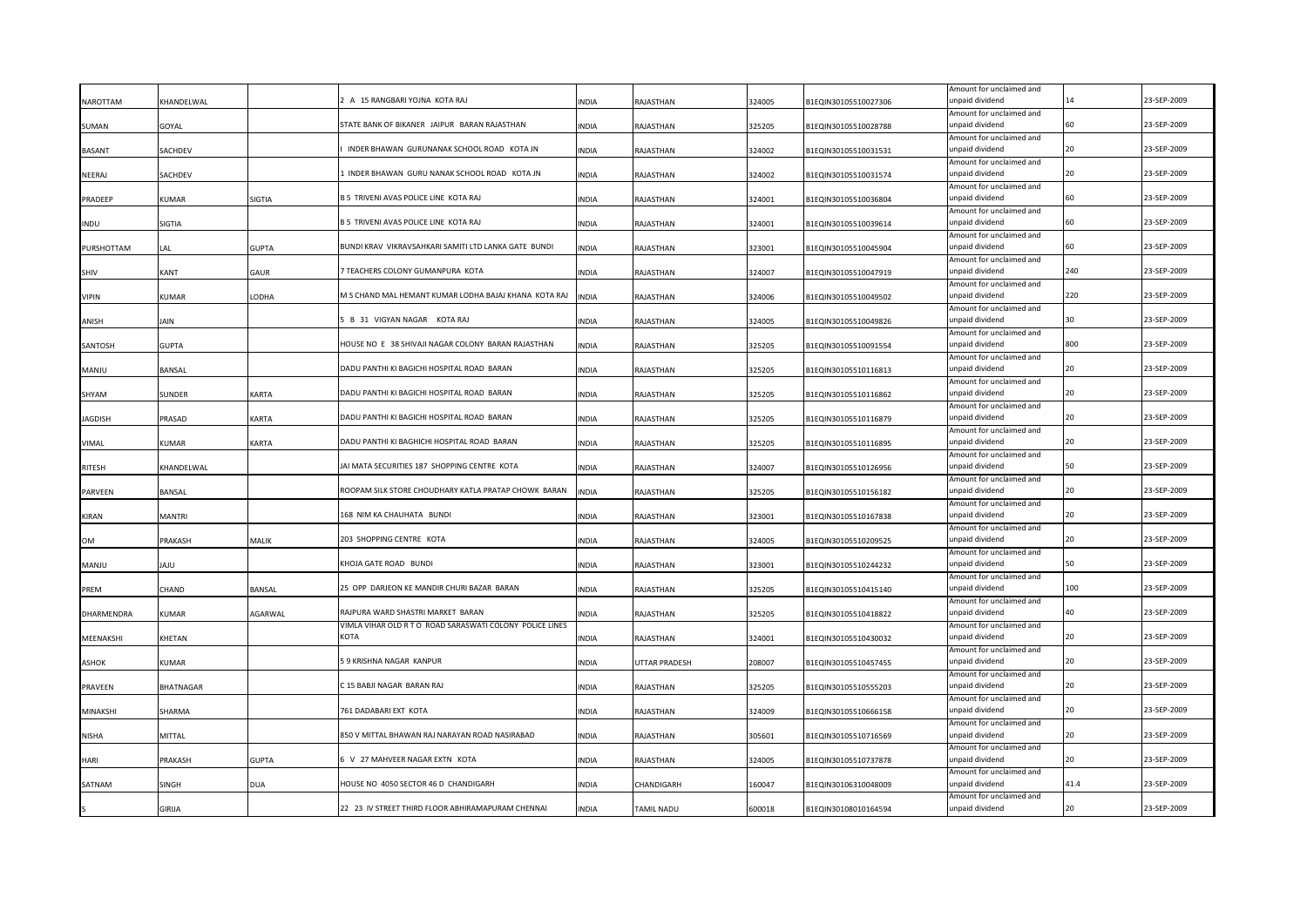| NAROTTAM      | KHANDELWAL    |              | A 15 RANGBARI YOJNA KOTA RAJ                             | INDIA        | RAJASTHAN            | 324005 | B1EQIN30105510027306 | Amount for unclaimed and<br>unpaid dividend |      | 23-SEP-2009 |
|---------------|---------------|--------------|----------------------------------------------------------|--------------|----------------------|--------|----------------------|---------------------------------------------|------|-------------|
| SUMAN         | GOYAL         |              | STATE BANK OF BIKANER JAIPUR BARAN RAJASTHAN             | INDIA        | RAJASTHAN            | 325205 | B1EQIN30105510028788 | Amount for unclaimed and<br>unpaid dividend |      | 23-SEP-2009 |
|               |               |              |                                                          |              |                      |        |                      | Amount for unclaimed and                    |      |             |
| <b>BASANT</b> | SACHDEV       |              | INDER BHAWAN GURUNANAK SCHOOL ROAD KOTA JN               | INDIA        | RAJASTHAN            | 324002 | B1EQIN30105510031531 | unpaid dividend                             | 20   | 23-SEP-2009 |
| NEERAJ        | SACHDEV       |              | INDER BHAWAN GURU NANAK SCHOOL ROAD KOTA JN              | INDIA        | RAJASTHAN            | 324002 | B1EQIN30105510031574 | Amount for unclaimed and<br>unpaid dividend | 20   | 23-SEP-2009 |
| PRADEEP       | KUMAR         | SIGTIA       | 35 TRIVENI AVAS POLICE LINE KOTA RAJ                     | INDIA        | RAJASTHAN            | 324001 | B1EQIN30105510036804 | Amount for unclaimed and<br>unpaid dividend |      | 23-SEP-2009 |
| <b>INDU</b>   | SIGTIA        |              | B 5 TRIVENI AVAS POLICE LINE KOTA RAJ                    | INDIA        | RAJASTHAN            | 324001 | B1EQIN30105510039614 | Amount for unclaimed and<br>unpaid dividend | 60   | 23-SEP-2009 |
| PURSHOTTAM    | LAI.          | <b>GUPTA</b> | BUNDI KRAV VIKRAVSAHKARI SAMITI LTD LANKA GATE BUNDI     | INDIA        | RAJASTHAN            | 323001 | B1EQIN30105510045904 | Amount for unclaimed and<br>unpaid dividend | 60   | 23-SEP-2009 |
| SHIV          | KANT          | <b>GAUR</b>  | 7 TEACHERS COLONY GUMANPURA KOTA                         | INDIA        | RAJASTHAN            | 324007 | B1EQIN30105510047919 | Amount for unclaimed and<br>unpaid dividend | 240  | 23-SEP-2009 |
| <b>VIPIN</b>  | KUMAR         | LODHA        | M S CHAND MAL HEMANT KUMAR LODHA BAJAJ KHANA KOTA RAJ    | <b>INDIA</b> | RAJASTHAN            | 324006 | B1EQIN30105510049502 | Amount for unclaimed and<br>unpaid dividend | 220  | 23-SEP-2009 |
| ANISH         | JAIN          |              | B 31 VIGYAN NAGAR KOTA RAJ                               | INDIA        | RAJASTHAN            | 324005 | B1EQIN30105510049826 | Amount for unclaimed and<br>unpaid dividend | 30   | 23-SEP-2009 |
| SANTOSH       | <b>GUPTA</b>  |              | HOUSE NO E 38 SHIVAJI NAGAR COLONY BARAN RAJASTHAN       | <b>INDIA</b> | RAJASTHAN            | 325205 | B1EQIN30105510091554 | Amount for unclaimed and<br>unpaid dividend | 800  | 23-SEP-2009 |
| MANJU         | BANSAL        |              | DADU PANTHI KI BAGICHI HOSPITAL ROAD BARAN               | INDIA        | RAJASTHAN            | 325205 | B1EQIN30105510116813 | Amount for unclaimed and<br>unpaid dividend | 20   | 23-SEP-2009 |
| SHYAM         | <b>SUNDER</b> | KARTA        | DADU PANTHI KI BAGICHI HOSPITAL ROAD BARAN               | <b>INDIA</b> | RAJASTHAN            | 325205 | B1EQIN30105510116862 | Amount for unclaimed and<br>unpaid dividend | 20   | 23-SEP-2009 |
| AGDISH        | PRASAD        | KARTA        | DADU PANTHI KI BAGICHI HOSPITAL ROAD BARAN               | INDIA        | RAJASTHAN            | 325205 | B1EQIN30105510116879 | Amount for unclaimed and<br>unpaid dividend |      | 23-SEP-2009 |
| VIMAL         | KUMAR         | KARTA        | DADU PANTHI KI BAGHICHI HOSPITAL ROAD BARAN              | INDIA        | RAJASTHAN            | 325205 | B1EQIN30105510116895 | Amount for unclaimed and<br>unpaid dividend |      | 23-SEP-2009 |
| <b>RITESH</b> | KHANDELWAL    |              | JAI MATA SECURITIES 187 SHOPPING CENTRE KOTA             | INDIA        | RAJASTHAN            | 324007 | B1EQIN30105510126956 | Amount for unclaimed and<br>unpaid dividend |      | 23-SEP-2009 |
| PARVEEN       | <b>BANSAL</b> |              | ROOPAM SILK STORE CHOUDHARY KATLA PRATAP CHOWK BARAN     | <b>INDIA</b> | RAJASTHAN            | 325205 | B1EQIN30105510156182 | Amount for unclaimed and<br>unpaid dividend |      | 23-SEP-2009 |
| KIRAN         | MANTRI        |              | 168 NIM KA CHAUHATA BUNDI                                | INDIA        | RAJASTHAN            | 323001 | B1EQIN30105510167838 | Amount for unclaimed and<br>unpaid dividend |      | 23-SEP-2009 |
| OМ            | PRAKASH       | MALIK        | 203 SHOPPING CENTRE KOTA                                 | INDIA        | RAJASTHAN            | 324005 | B1EQIN30105510209525 | Amount for unclaimed and<br>unpaid dividend | 20   | 23-SEP-2009 |
| <b>MANJU</b>  | UAL           |              | KHOJA GATE ROAD BUNDI                                    | INDIA        | RAJASTHAN            | 323001 | B1EQIN30105510244232 | Amount for unclaimed and<br>unpaid dividend |      | 23-SEP-2009 |
| PREM          | CHAND         | BANSAL       | 25 OPP DARJEON KE MANDIR CHURI BAZAR BARAN               | INDIA        | RAJASTHAN            | 325205 | B1EQIN30105510415140 | Amount for unclaimed and<br>unpaid dividend | 100  | 23-SEP-2009 |
|               |               |              | RAJPURA WARD SHASTRI MARKET BARAN                        |              |                      |        |                      | Amount for unclaimed and<br>unpaid dividend |      | 23-SEP-2009 |
| DHARMENDRA    | <b>KUMAR</b>  | AGARWAL      | VIMLA VIHAR OLD R T O ROAD SARASWATI COLONY POLICE LINES | INDIA        | RAJASTHAN            | 325205 | B1EQIN30105510418822 | Amount for unclaimed and                    |      |             |
| MEENAKSHI     | KHETAN        |              | KOTA                                                     | <b>INDIA</b> | RAJASTHAN            | 324001 | B1EQIN30105510430032 | unpaid dividend<br>Amount for unclaimed and |      | 23-SEP-2009 |
| <b>ASHOK</b>  | KUMAR         |              | 59 KRISHNA NAGAR KANPUR                                  | <b>INDIA</b> | <b>UTTAR PRADESH</b> | 208007 | B1EQIN30105510457455 | inpaid dividend<br>Amount for unclaimed and |      | 23-SEP-2009 |
| PRAVEEN       | BHATNAGAR     |              | 215 BABJI NAGAR BARAN RAJ                                | INDIA        | RAJASTHAN            | 325205 | B1EQIN30105510555203 | unpaid dividend<br>Amount for unclaimed and | 20   | 23-SEP-2009 |
| MINAKSHI      | SHARMA        |              | 761 DADABARI EXT KOTA                                    | INDIA        | RAJASTHAN            | 324009 | B1EQIN30105510666158 | unpaid dividend<br>Amount for unclaimed and |      | 23-SEP-2009 |
| NISHA         | <b>MITTAL</b> |              | 850 V MITTAL BHAWAN RAJ NARAYAN ROAD NASIRABAD           | <b>INDIA</b> | RAJASTHAN            | 305601 | B1EQIN30105510716569 | unpaid dividend                             | 20   | 23-SEP-2009 |
| HARI          | PRAKASH       | GUPTA        | 5 V 27 MAHVEER NAGAR EXTN KOTA                           | <b>INDIA</b> | RAJASTHAN            | 324005 | B1EQIN30105510737878 | Amount for unclaimed and<br>unpaid dividend | ٦n   | 23-SEP-2009 |
| SATNAM        | SINGH         | DUA          | HOUSE NO 4050 SECTOR 46 D CHANDIGARH                     | <b>INDIA</b> | CHANDIGARH           | 160047 | B1EQIN30106310048009 | Amount for unclaimed and<br>unpaid dividend | 41.4 | 23-SEP-2009 |
|               | GIRIJA        |              | 22 23 IV STREET THIRD FLOOR ABHIRAMAPURAM CHENNAI        | <b>NDIA</b>  | TAMIL NADU           | 600018 | B1EQIN30108010164594 | Amount for unclaimed and<br>unpaid dividend | 20   | 23-SEP-2009 |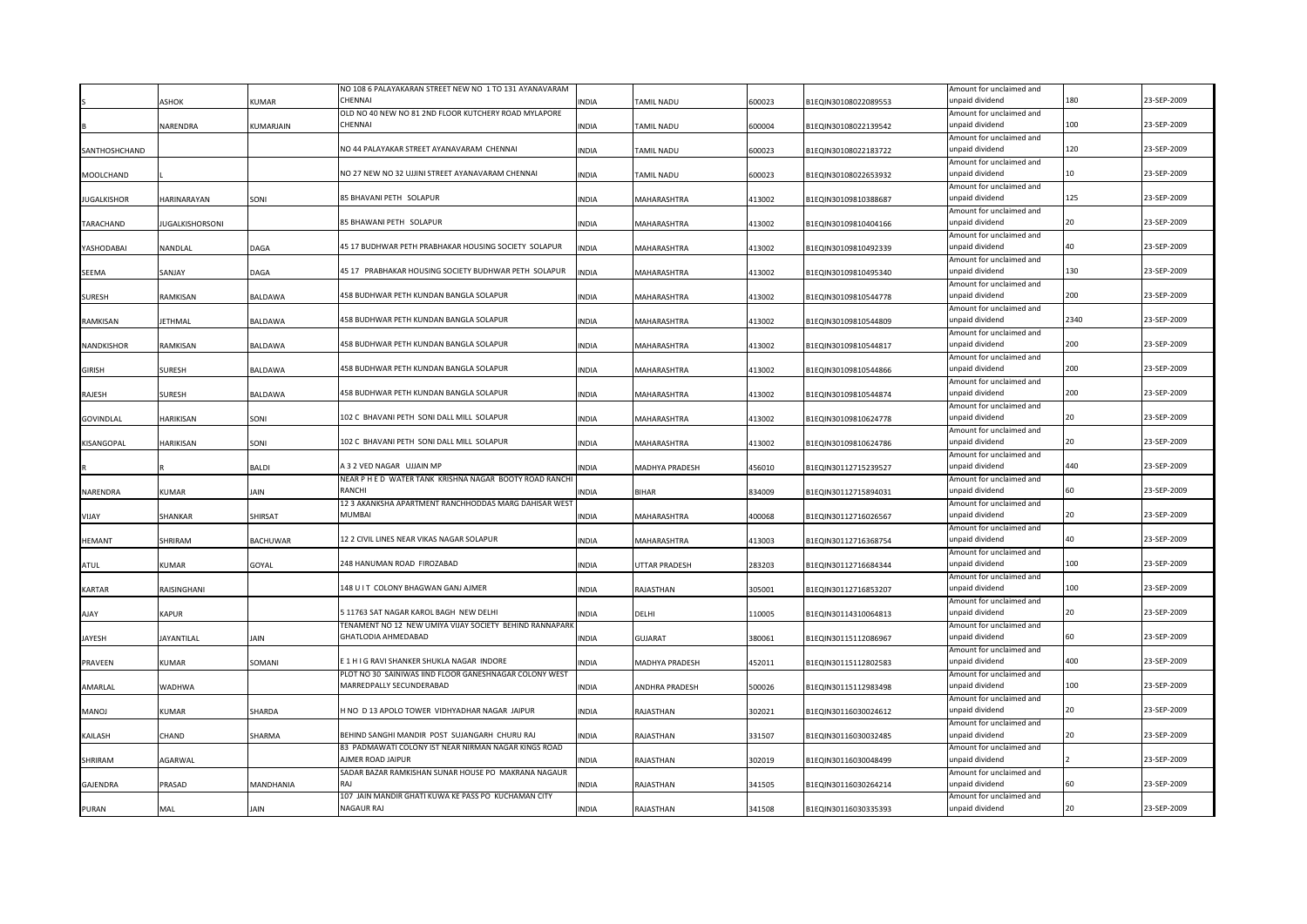|                    |                        |                 | NO 108 6 PALAYAKARAN STREET NEW NO 1 TO 131 AYANAVARAM                             |              |                   |        |                      | Amount for unclaimed and                    |      |             |
|--------------------|------------------------|-----------------|------------------------------------------------------------------------------------|--------------|-------------------|--------|----------------------|---------------------------------------------|------|-------------|
|                    | ASHOK                  | KUMAR           | CHENNAL                                                                            | <b>INDIA</b> | <b>FAMIL NADU</b> | 600023 | B1EQIN30108022089553 | unpaid dividend                             | 180  | 23-SEP-2009 |
|                    |                        |                 | OLD NO 40 NEW NO 81 2ND FLOOR KUTCHERY ROAD MYLAPORE                               |              |                   |        |                      | Amount for unclaimed and                    |      |             |
|                    | NARENDRA               | KUMARJAIN       | CHENNAI                                                                            | <b>INDIA</b> | TAMIL NADU        | 600004 | B1EQIN30108022139542 | unpaid dividend                             | 100  | 23-SEP-2009 |
|                    |                        |                 |                                                                                    |              |                   |        |                      | Amount for unclaimed and                    |      |             |
| SANTHOSHCHAND      |                        |                 | NO 44 PALAYAKAR STREET AYANAVARAM CHENNAI                                          | <b>INDIA</b> | TAMIL NADU        | 600023 | B1EQIN30108022183722 | unpaid dividend                             | 120  | 23-SEP-2009 |
|                    |                        |                 |                                                                                    |              |                   |        |                      | Amount for unclaimed and                    |      |             |
| MOOLCHAND          |                        |                 | NO 27 NEW NO 32 UJJINI STREET AYANAVARAM CHENNAI                                   | INDIA        | TAMIL NADU        | 600023 | B1EQIN30108022653932 | unpaid dividend                             | 10   | 23-SEP-2009 |
|                    |                        |                 |                                                                                    |              |                   |        |                      | Amount for unclaimed and                    |      |             |
| <b>JUGALKISHOR</b> | HARINARAYAN            | SONI            | 85 BHAVANI PETH SOLAPUR                                                            | INDIA        | MAHARASHTRA       | 413002 | B1EQIN30109810388687 | unpaid dividend                             | 125  | 23-SEP-2009 |
|                    |                        |                 | 85 BHAWANI PETH SOLAPUR                                                            |              |                   |        |                      | Amount for unclaimed and<br>unpaid dividend | 20   | 23-SEP-2009 |
| TARACHAND          | <b>IUGALKISHORSONI</b> |                 |                                                                                    | <b>INDIA</b> | MAHARASHTRA       | 413002 | B1EQIN30109810404166 |                                             |      |             |
|                    |                        |                 | 45 17 BUDHWAR PETH PRABHAKAR HOUSING SOCIETY SOLAPUR                               |              |                   |        |                      | Amount for unclaimed and<br>unpaid dividend | 40   | 23-SEP-2009 |
| YASHODABAI         | NANDLAL                | DAGA            |                                                                                    | <b>INDIA</b> | MAHARASHTRA       | 413002 | B1EQIN30109810492339 | Amount for unclaimed and                    |      |             |
| SEEMA              | SANJAY                 | DAGA            | 45 17 PRABHAKAR HOUSING SOCIETY BUDHWAR PETH SOLAPUR                               | <b>INDIA</b> | MAHARASHTRA       | 413002 | B1EQIN30109810495340 | unpaid dividend                             | 130  | 23-SEP-2009 |
|                    |                        |                 |                                                                                    |              |                   |        |                      | Amount for unclaimed and                    |      |             |
| <b>SURESH</b>      | RAMKISAN               | BALDAWA         | 458 BUDHWAR PETH KUNDAN BANGLA SOLAPUR                                             | <b>INDIA</b> | MAHARASHTRA       | 413002 | B1EQIN30109810544778 | unpaid dividend                             | 200  | 23-SEP-2009 |
|                    |                        |                 |                                                                                    |              |                   |        |                      | Amount for unclaimed and                    |      |             |
| RAMKISAN           | <b>JETHMAL</b>         | BALDAWA         | 458 BUDHWAR PETH KUNDAN BANGLA SOLAPUR                                             | <b>INDIA</b> | MAHARASHTRA       | 413002 | B1EQIN30109810544809 | unpaid dividend                             | 2340 | 23-SEP-2009 |
|                    |                        |                 |                                                                                    |              |                   |        |                      | Amount for unclaimed and                    |      |             |
| NANDKISHOR         | RAMKISAN               | BALDAWA         | 458 BUDHWAR PETH KUNDAN BANGLA SOLAPUR                                             | <b>INDIA</b> | MAHARASHTRA       | 413002 | B1EQIN30109810544817 | unpaid dividend                             | 200  | 23-SEP-2009 |
|                    |                        |                 |                                                                                    |              |                   |        |                      | Amount for unclaimed and                    |      |             |
| <b>GIRISH</b>      | SURESH                 | BALDAWA         | 458 BUDHWAR PETH KUNDAN BANGLA SOLAPUR                                             | <b>INDIA</b> | MAHARASHTRA       | 413002 | B1EQIN30109810544866 | unpaid dividend                             | 200  | 23-SEP-2009 |
|                    |                        |                 |                                                                                    |              |                   |        |                      | Amount for unclaimed and                    |      |             |
| RAJESH             | SURESH                 | BALDAWA         | 458 BUDHWAR PETH KUNDAN BANGLA SOLAPUR                                             | <b>INDIA</b> | MAHARASHTRA       | 413002 | B1EQIN30109810544874 | unpaid dividend                             | 200  | 23-SEP-2009 |
|                    |                        |                 |                                                                                    |              |                   |        |                      | Amount for unclaimed and                    |      |             |
| <b>GOVINDLAL</b>   | HARIKISAN              | SONI            | 102 C BHAVANI PETH SONI DALL MILL SOLAPUR                                          | <b>INDIA</b> | MAHARASHTRA       | 413002 | B1EQIN30109810624778 | unpaid dividend                             | 20   | 23-SEP-2009 |
|                    |                        |                 |                                                                                    |              |                   |        |                      | Amount for unclaimed and                    |      |             |
| KISANGOPAL         | HARIKISAN              | SONI            | 102 C BHAVANI PETH SONI DALL MILL SOLAPUR                                          | <b>INDIA</b> | MAHARASHTRA       | 413002 | B1EQIN30109810624786 | unpaid dividend                             | 20   | 23-SEP-2009 |
|                    |                        |                 |                                                                                    |              |                   |        |                      | Amount for unclaimed and                    |      |             |
|                    |                        | BALDI           | A 3 2 VED NAGAR UJJAIN MP                                                          | <b>INDIA</b> | MADHYA PRADESH    | 456010 | B1EQIN30112715239527 | unpaid dividend                             | 440  | 23-SEP-2009 |
|                    | KUMAR                  | JAIN            | NEAR P H E D WATER TANK KRISHNA NAGAR BOOTY ROAD RANCHI<br>RANCHI                  | <b>INDIA</b> | <b>BIHAR</b>      | 834009 |                      | Amount for unclaimed and<br>unpaid dividend | 60   | 23-SEP-2009 |
| NARENDRA           |                        |                 | 12 3 AKANKSHA APARTMENT RANCHHODDAS MARG DAHISAR WEST                              |              |                   |        | B1EQIN30112715894031 | Amount for unclaimed and                    |      |             |
| VIJAY              | SHANKAR                | SHIRSAT         | <b>MUMBAI</b>                                                                      | <b>INDIA</b> | MAHARASHTRA       | 400068 | B1EQIN30112716026567 | unpaid dividend                             |      | 23-SEP-2009 |
|                    |                        |                 |                                                                                    |              |                   |        |                      | Amount for unclaimed and                    |      |             |
| <b>HEMANT</b>      | SHRIRAM                | <b>BACHUWAR</b> | 12 2 CIVIL LINES NEAR VIKAS NAGAR SOLAPUR                                          | <b>INDIA</b> | MAHARASHTRA       | 413003 | B1EQIN30112716368754 | unpaid dividend                             | 40   | 23-SEP-2009 |
|                    |                        |                 |                                                                                    |              |                   |        |                      | Amount for unclaimed and                    |      |             |
| ATUL               | KUMAR                  | <b>GOYAL</b>    | 248 HANUMAN ROAD FIROZABAD                                                         | INDIA        | UTTAR PRADESH     | 283203 | B1EQIN30112716684344 | unpaid dividend                             | 100  | 23-SEP-2009 |
|                    |                        |                 |                                                                                    |              |                   |        |                      | Amount for unclaimed and                    |      |             |
| KARTAR             | RAISINGHANI            |                 | 148 U I T COLONY BHAGWAN GANJ AJMER                                                | INDIA        | RAJASTHAN         | 305001 | B1EQIN30112716853207 | unpaid dividend                             | 100  | 23-SEP-2009 |
|                    |                        |                 |                                                                                    |              |                   |        |                      | Amount for unclaimed and                    |      |             |
| YALA               | KAPUR                  |                 | 5 11763 SAT NAGAR KAROL BAGH NEW DELHI                                             | INDIA        | DELHI             | 110005 | B1EQIN30114310064813 | unpaid dividend                             |      | 23-SEP-2009 |
|                    |                        |                 | TENAMENT NO 12 NEW UMIYA VIJAY SOCIETY BEHIND RANNAPARK                            |              |                   |        |                      | Amount for unclaimed and                    |      |             |
| JAYESH             | <b>JAYANTILAL</b>      | JAIN            | GHATLODIA AHMEDABAD                                                                | INDIA        | <b>GUJARAT</b>    | 380061 | B1EQIN30115112086967 | unpaid dividend                             | 60   | 23-SEP-2009 |
|                    |                        |                 |                                                                                    |              |                   |        |                      | Amount for unclaimed and                    |      |             |
| PRAVEEN            | KUMAR                  | SOMANI          | 1 H I G RAVI SHANKER SHUKLA NAGAR INDORE                                           | <b>INDIA</b> | MADHYA PRADESH    | 452011 | B1EQIN30115112802583 | unpaid dividend                             | 400  | 23-SEP-2009 |
|                    |                        |                 | PLOT NO 30 SAINIWAS IIND FLOOR GANESHNAGAR COLONY WEST<br>MARREDPALLY SECUNDERABAD |              |                   |        |                      | Amount for unclaimed and                    | 100  | 23-SEP-2009 |
| AMARLAL            | WADHWA                 |                 |                                                                                    | <b>INDIA</b> | ANDHRA PRADESH    | 500026 | B1EQIN30115112983498 | unpaid dividend                             |      |             |
|                    |                        | SHARDA          | H NO D 13 APOLO TOWER VIDHYADHAR NAGAR JAIPUR                                      | <b>INDIA</b> | RAJASTHAN         |        | B1EQIN30116030024612 | Amount for unclaimed and<br>unpaid dividend |      | 23-SEP-2009 |
| MANOJ              | KUMAR                  |                 |                                                                                    |              |                   | 302021 |                      | Amount for unclaimed and                    |      |             |
| KAILASH            | CHAND                  | SHARMA          | BEHIND SANGHI MANDIR POST SUJANGARH CHURU RAJ                                      | <b>INDIA</b> | RAJASTHAN         | 331507 | B1EQIN30116030032485 | unpaid dividend                             | 20   | 23-SEP-2009 |
|                    |                        |                 | 83 PADMAWATI COLONY IST NEAR NIRMAN NAGAR KINGS ROAD                               |              |                   |        |                      | Amount for unclaimed and                    |      |             |
| SHRIRAM            | <b>AGARWAL</b>         |                 | AJMER ROAD JAIPUR                                                                  | <b>INDIA</b> | RAJASTHAN         | 302019 | B1EQIN30116030048499 | unpaid dividend                             |      | 23-SEP-2009 |
|                    |                        |                 | SADAR BAZAR RAMKISHAN SUNAR HOUSE PO MAKRANA NAGAUR                                |              |                   |        |                      | Amount for unclaimed and                    |      |             |
| GAJENDRA           | PRASAD                 | MANDHANIA       | RAI                                                                                | <b>INDIA</b> | RAJASTHAN         | 341505 | B1EQIN30116030264214 | unpaid dividend                             | 60   | 23-SEP-2009 |
|                    |                        |                 | 107 JAIN MANDIR GHATI KUWA KE PASS PO KUCHAMAN CITY                                |              |                   |        |                      | Amount for unclaimed and                    |      |             |
| PURAN              | MAL                    | JAIN            | NAGAUR RAJ                                                                         | <b>INDIA</b> | RAJASTHAN         | 341508 | B1EQIN30116030335393 | unpaid dividend                             | 20   | 23-SEP-2009 |
|                    |                        |                 |                                                                                    |              |                   |        |                      |                                             |      |             |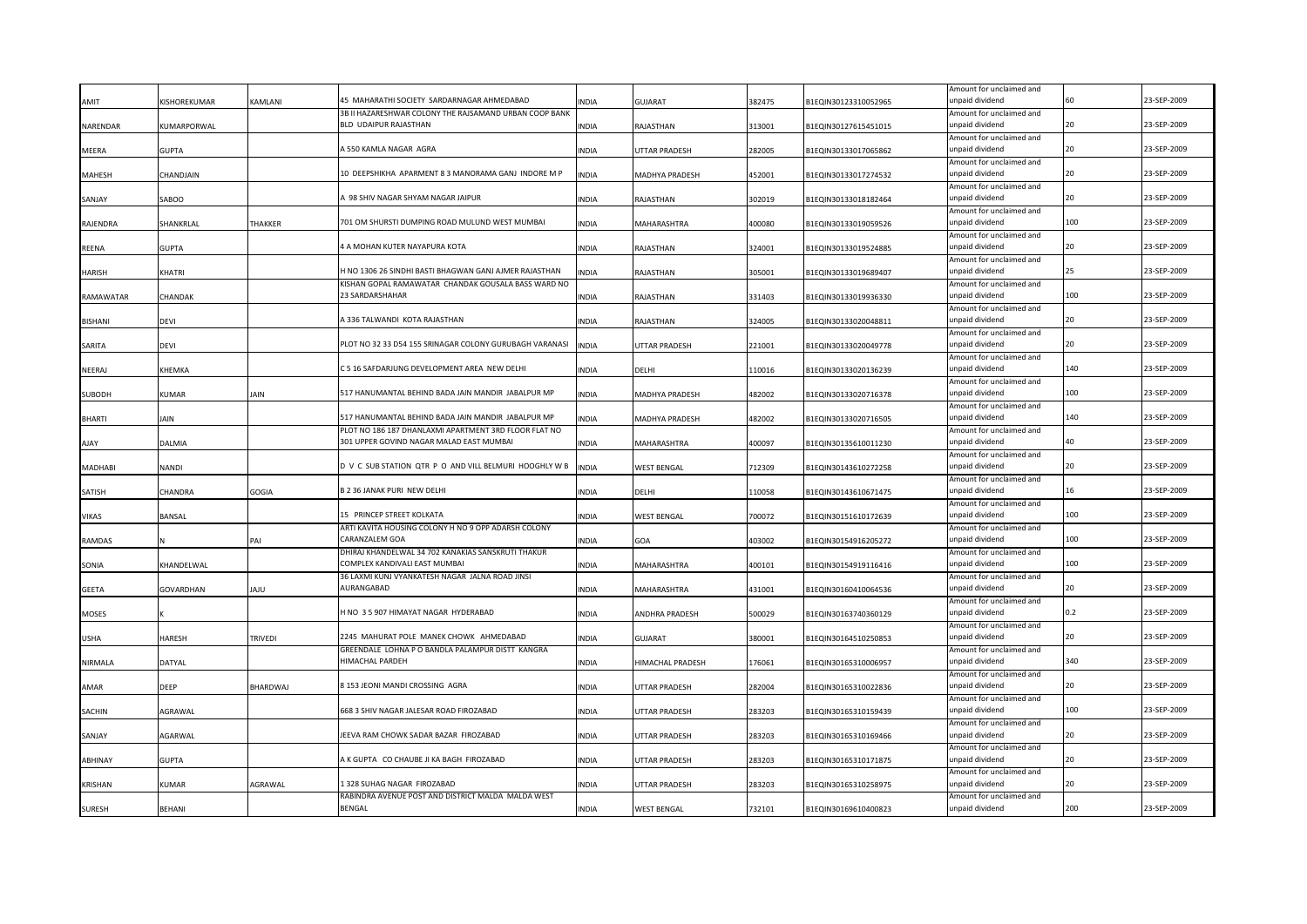|                |                |              |                                                                                 |              |                      |        |                      | Amount for unclaimed and                    |     |             |
|----------------|----------------|--------------|---------------------------------------------------------------------------------|--------------|----------------------|--------|----------------------|---------------------------------------------|-----|-------------|
| AMIT           | KISHOREKUMAR   | KAMLANI      | 45 MAHARATHI SOCIETY SARDARNAGAR AHMEDABAD                                      | <b>INDIA</b> | GUJARAT              | 382475 | B1EQIN30123310052965 | unpaid dividend                             |     | 23-SEP-2009 |
| NARENDAR       | KUMARPORWAL    |              | 3B II HAZARESHWAR COLONY THE RAJSAMAND URBAN COOP BANK<br>BLD UDAIPUR RAJASTHAN | <b>INDIA</b> | RAJASTHAN            | 313001 | B1EQIN30127615451015 | Amount for unclaimed and<br>unpaid dividend | 20  | 23-SEP-2009 |
|                |                |              |                                                                                 |              |                      |        |                      | Amount for unclaimed and                    |     |             |
| MEERA          | <b>GUPTA</b>   |              | 4550 KAMLA NAGAR AGRA                                                           | <b>INDIA</b> | UTTAR PRADESH        | 282005 | B1EQIN30133017065862 | unpaid dividend                             |     | 23-SEP-2009 |
|                |                |              |                                                                                 |              |                      |        |                      | Amount for unclaimed and                    |     |             |
| <b>MAHESH</b>  | CHANDJAIN      |              | 10 DEEPSHIKHA APARMENT 8 3 MANORAMA GANJ INDORE M P                             | <b>INDIA</b> | MADHYA PRADESH       | 452001 | B1EQIN30133017274532 | unpaid dividend                             | 20  | 23-SEP-2009 |
|                |                |              |                                                                                 |              |                      |        |                      | Amount for unclaimed and                    |     |             |
| SANJAY         | SABOO          |              | 98 SHIV NAGAR SHYAM NAGAR JAIPUR                                                | INDIA        | RAJASTHAN            | 302019 | B1EQIN30133018182464 | unpaid dividend                             |     | 23-SEP-2009 |
| RAJENDRA       | SHANKRLAL      | THAKKER      | 701 OM SHURSTI DUMPING ROAD MULUND WEST MUMBAI                                  | INDIA        | MAHARASHTRA          | 400080 | B1EQIN30133019059526 | Amount for unclaimed and<br>unpaid dividend | 100 | 23-SEP-2009 |
|                |                |              |                                                                                 |              |                      |        |                      | Amount for unclaimed and                    |     |             |
| <b>REENA</b>   | GUPTA          |              | 4 A MOHAN KUTER NAYAPURA KOTA                                                   | <b>INDIA</b> | RAJASTHAN            | 324001 | B1EQIN30133019524885 | unpaid dividend                             |     | 23-SEP-2009 |
|                |                |              |                                                                                 |              |                      |        |                      | Amount for unclaimed and                    |     |             |
| <b>HARISH</b>  | KHATRI         |              | H NO 1306 26 SINDHI BASTI BHAGWAN GANJ AJMER RAJASTHAN                          | <b>INDIA</b> | RAJASTHAN            | 305001 | B1EQIN30133019689407 | unpaid dividend                             | 25  | 23-SEP-2009 |
|                |                |              | KISHAN GOPAL RAMAWATAR CHANDAK GOUSALA BASS WARD NO                             |              |                      |        |                      | Amount for unclaimed and                    |     |             |
| RAMAWATAR      | CHANDAK        |              | 23 SARDARSHAHAR                                                                 | <b>INDIA</b> | RAJASTHAN            | 331403 | B1EQIN30133019936330 | unpaid dividend                             | 100 | 23-SEP-2009 |
| <b>BISHANI</b> | devi           |              | A 336 TALWANDI KOTA RAJASTHAN                                                   | <b>INDIA</b> | RAJASTHAN            | 324005 | B1EQIN30133020048811 | Amount for unclaimed and<br>unpaid dividend | 20  | 23-SEP-2009 |
|                |                |              |                                                                                 |              |                      |        |                      | Amount for unclaimed and                    |     |             |
| SARITA         | devi           |              | PLOT NO 32 33 D54 155 SRINAGAR COLONY GURUBAGH VARANASI                         | <b>INDIA</b> | <b>UTTAR PRADESH</b> | 221001 | B1EQIN30133020049778 | unpaid dividend                             | 20  | 23-SEP-2009 |
|                |                |              |                                                                                 |              |                      |        |                      | Amount for unclaimed and                    |     |             |
| NEERAJ         | KHEMKA         |              | C 5 16 SAFDARJUNG DEVELOPMENT AREA NEW DELHI                                    | <b>INDIA</b> | DELHI                | 110016 | B1EQIN30133020136239 | unpaid dividend                             | 140 | 23-SEP-2009 |
|                |                |              |                                                                                 |              |                      |        |                      | Amount for unclaimed and                    |     |             |
| <b>SUBODH</b>  | KUMAR          | <b>JAIN</b>  | 517 HANUMANTAL BEHIND BADA JAIN MANDIR JABALPUR MP                              | <b>INDIA</b> | MADHYA PRADESH       | 482002 | B1EQIN30133020716378 | unpaid dividend<br>Amount for unclaimed and | 100 | 23-SEP-2009 |
| <b>BHARTI</b>  | Jain           |              | 517 HANUMANTAL BEHIND BADA JAIN MANDIR JABALPUR MP                              | <b>INDIA</b> | MADHYA PRADESH       | 482002 | B1EQIN30133020716505 | unpaid dividend                             | 140 | 23-SEP-2009 |
|                |                |              | PLOT NO 186 187 DHANLAXMI APARTMENT 3RD FLOOR FLAT NO                           |              |                      |        |                      | Amount for unclaimed and                    |     |             |
| <b>AJAY</b>    | DALMIA         |              | 301 UPPER GOVIND NAGAR MALAD EAST MUMBAI                                        | <b>INDIA</b> | MAHARASHTRA          | 400097 | B1EQIN30135610011230 | unpaid dividend                             | 40  | 23-SEP-2009 |
|                |                |              |                                                                                 |              |                      |        |                      | Amount for unclaimed and                    |     |             |
| <b>MADHABI</b> | NANDI          |              | D V C SUB STATION QTR P O AND VILL BELMURI HOOGHLY W B                          | <b>INDIA</b> | <b>WEST BENGAL</b>   | 712309 | B1EQIN30143610272258 | unpaid dividend                             | 20  | 23-SEP-2009 |
|                |                |              | B 2 36 JANAK PURI NEW DELHI                                                     |              |                      |        |                      | Amount for unclaimed and<br>unpaid dividend | 16  | 23-SEP-2009 |
| SATISH         | CHANDRA        | <b>GOGIA</b> |                                                                                 | <b>INDIA</b> | DELHI                | 110058 | B1EQIN30143610671475 | Amount for unclaimed and                    |     |             |
| VIKAS          | BANSAL         |              | 15 PRINCEP STREET KOLKATA                                                       | <b>INDIA</b> | WEST BENGAL          | 700072 | B1EQIN30151610172639 | unpaid dividend                             | 100 | 23-SEP-2009 |
|                |                |              | ARTI KAVITA HOUSING COLONY H NO 9 OPP ADARSH COLONY                             |              |                      |        |                      | Amount for unclaimed and                    |     |             |
| <b>RAMDAS</b>  |                | PAI          | CARANZALEM GOA                                                                  | <b>INDIA</b> | GOA                  | 403002 | B1EQIN30154916205272 | unpaid dividend                             | 100 | 23-SEP-2009 |
|                |                |              | DHIRAJ KHANDELWAL 34 702 KANAKIAS SANSKRUTI THAKUR                              |              |                      |        |                      | Amount for unclaimed and                    |     |             |
| SONIA          | KHANDELWAL     |              | COMPLEX KANDIVALI EAST MUMBAI                                                   | <b>INDIA</b> | MAHARASHTRA          | 400101 | B1EQIN30154919116416 | unpaid dividend                             | 100 | 23-SEP-2009 |
| <b>GEETA</b>   | GOVARDHAN      | ULAL         | 36 LAXMI KUNJ VYANKATESH NAGAR JALNA ROAD JINSI<br>AURANGABAD                   | <b>INDIA</b> | MAHARASHTRA          | 431001 | B1EQIN30160410064536 | Amount for unclaimed and<br>unpaid dividend |     | 23-SEP-2009 |
|                |                |              |                                                                                 |              |                      |        |                      | Amount for unclaimed and                    |     |             |
| <b>MOSES</b>   |                |              | H NO 3 5 907 HIMAYAT NAGAR HYDERABAD                                            | <b>INDIA</b> | ANDHRA PRADESH       | 500029 | B1EQIN30163740360129 | unpaid dividend                             | 0.2 | 23-SEP-2009 |
|                |                |              |                                                                                 |              |                      |        |                      | Amount for unclaimed and                    |     |             |
| <b>USHA</b>    | HARESH         | TRIVEDI      | 2245 MAHURAT POLE MANEK CHOWK AHMEDABAD                                         | <b>INDIA</b> | <b>GUJARAT</b>       | 380001 | B1EQIN30164510250853 | unpaid dividend                             |     | 23-SEP-2009 |
|                |                |              | GREENDALE LOHNA P O BANDLA PALAMPUR DISTT KANGRA                                |              |                      |        |                      | Amount for unclaimed and                    | 340 |             |
| NIRMALA        | DATYAL         |              | HIMACHAL PARDEH                                                                 | <b>INDIA</b> | HIMACHAL PRADESH     | 176061 | B1EQIN30165310006957 | unpaid dividend                             |     | 23-SEP-2009 |
| AMAR           | DEEP           | BHARDWAJ     | 8 153 JEONI MANDI CROSSING AGRA                                                 | INDIA        | UTTAR PRADESH        | 282004 | B1EQIN30165310022836 | Amount for unclaimed and<br>unpaid dividend |     | 23-SEP-2009 |
|                |                |              |                                                                                 |              |                      |        |                      | Amount for unclaimed and                    |     |             |
| SACHIN         | AGRAWAL        |              | 668 3 SHIV NAGAR JALESAR ROAD FIROZABAD                                         | INDIA        | UTTAR PRADESH        | 283203 | B1EQIN30165310159439 | unpaid dividend                             | 100 | 23-SEP-2009 |
|                |                |              |                                                                                 |              |                      |        |                      | Amount for unclaimed and                    |     |             |
| SANJAY         | <b>AGARWAL</b> |              | EEVA RAM CHOWK SADAR BAZAR FIROZABAD                                            | <b>INDIA</b> | UTTAR PRADESH        | 283203 | B1EQIN30165310169466 | unpaid dividend                             |     | 23-SEP-2009 |
|                |                |              |                                                                                 |              |                      |        |                      | Amount for unclaimed and                    |     |             |
| <b>ABHINAY</b> | <b>GUPTA</b>   |              | A K GUPTA CO CHAUBE JI KA BAGH FIROZABAD                                        | <b>INDIA</b> | UTTAR PRADESH        | 283203 | B1EQIN30165310171875 | unpaid dividend                             |     | 23-SEP-2009 |
| <b>KRISHAN</b> | KUMAR          | AGRAWAL      | 1328 SUHAG NAGAR FIROZABAD                                                      | <b>INDIA</b> | UTTAR PRADESH        | 283203 | B1EQIN30165310258975 | Amount for unclaimed and<br>unpaid dividend |     | 23-SEP-2009 |
|                |                |              | RABINDRA AVENUE POST AND DISTRICT MALDA MALDA WEST                              |              |                      |        |                      | Amount for unclaimed and                    |     |             |
| <b>SURESH</b>  | BEHANI         |              | <b>BENGAL</b>                                                                   | <b>INDIA</b> | <b>WEST BENGAL</b>   | 732101 | B1EQIN30169610400823 | unpaid dividend                             | 200 | 23-SEP-2009 |
|                |                |              |                                                                                 |              |                      |        |                      |                                             |     |             |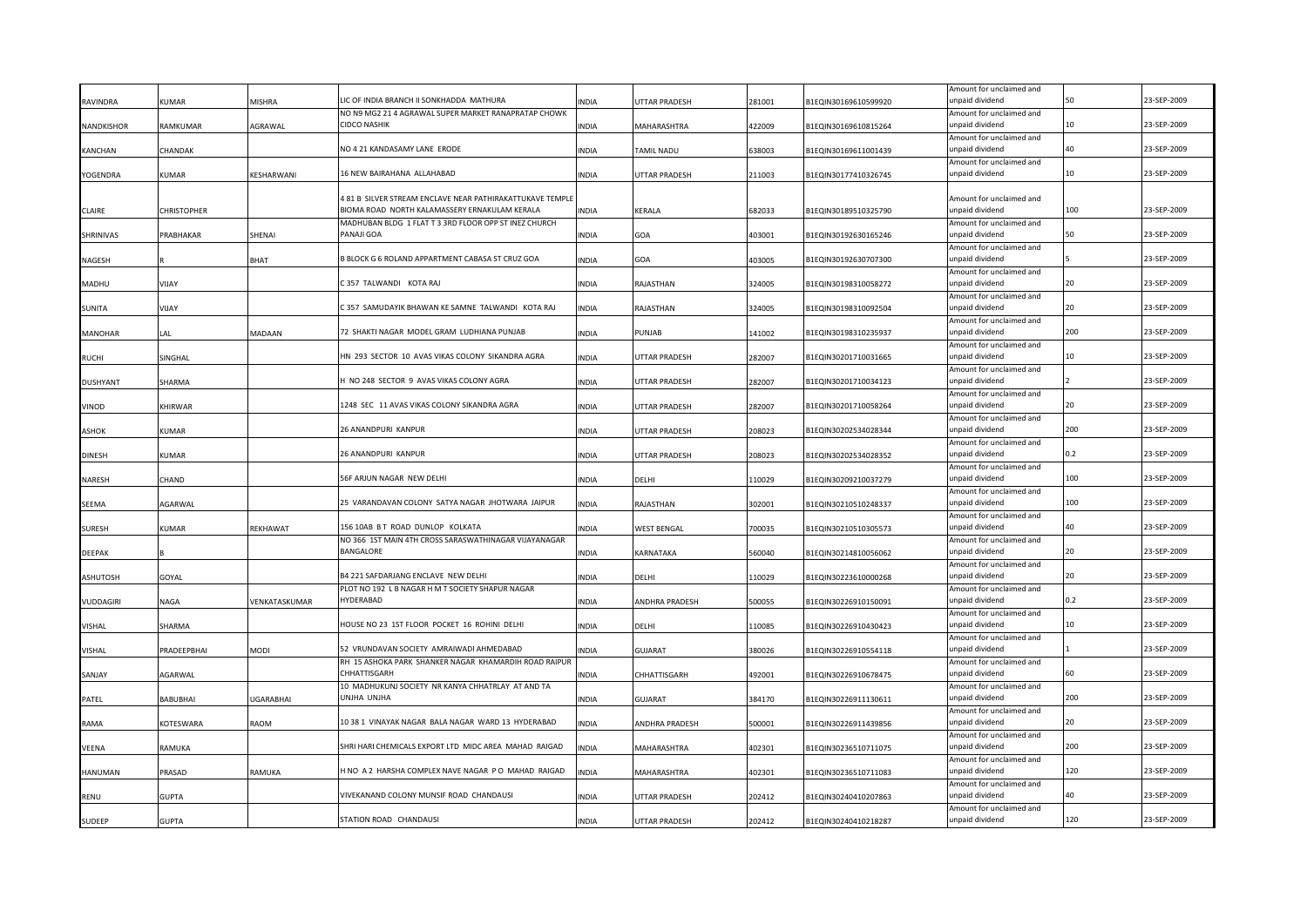|                 |                    | <b>MISHRA</b>    | LIC OF INDIA BRANCH II SONKHADDA MATHURA                                                                   |              |                       |        |                      | Amount for unclaimed and<br>unpaid dividend |     | 23-SEP-2009 |
|-----------------|--------------------|------------------|------------------------------------------------------------------------------------------------------------|--------------|-----------------------|--------|----------------------|---------------------------------------------|-----|-------------|
| RAVINDRA        | KUMAR              |                  | NO N9 MG2 21 4 AGRAWAL SUPER MARKET RANAPRATAP CHOWK                                                       | <b>INDIA</b> | UTTAR PRADESH         | 281001 | B1EQIN30169610599920 | Amount for unclaimed and                    |     |             |
| NANDKISHOR      | RAMKUMAR           | AGRAWAL          | <b>CIDCO NASHIK</b>                                                                                        | <b>INDIA</b> | MAHARASHTRA           | 422009 | B1EQIN30169610815264 | unpaid dividend                             | 10  | 23-SEP-2009 |
|                 |                    |                  |                                                                                                            |              |                       |        |                      | Amount for unclaimed and                    |     |             |
| KANCHAN         | CHANDAK            |                  | NO 4 21 KANDASAMY LANE ERODE                                                                               | <b>INDIA</b> | TAMIL NADU            | 638003 | B1EQIN30169611001439 | unpaid dividend                             | 40  | 23-SEP-2009 |
|                 |                    |                  |                                                                                                            |              |                       |        |                      | Amount for unclaimed and                    |     |             |
| YOGENDRA        | KUMAR              | KESHARWANI       | 16 NEW BAIRAHANA ALLAHABAD                                                                                 | <b>INDIA</b> | UTTAR PRADESH         | 211003 | B1EQIN30177410326745 | unpaid dividend                             | 10  | 23-SEP-2009 |
|                 |                    |                  |                                                                                                            |              |                       |        |                      |                                             |     |             |
|                 |                    |                  | 4 81 B SILVER STREAM ENCLAVE NEAR PATHIRAKATTUKAVE TEMPLI<br>BIOMA ROAD NORTH KALAMASSERY ERNAKULAM KERALA |              |                       |        |                      | Amount for unclaimed and<br>unpaid dividend | 100 | 23-SEP-2009 |
| <b>CLAIRE</b>   | <b>CHRISTOPHER</b> |                  | MADHUBAN BLDG 1 FLAT T 3 3RD FLOOR OPP ST INEZ CHURCH                                                      | <b>INDIA</b> | KERALA                | 682033 | B1EQIN30189510325790 | Amount for unclaimed and                    |     |             |
| SHRINIVAS       | PRABHAKAR          | SHENAI           | PANAJI GOA                                                                                                 | <b>INDIA</b> | GOA                   | 403001 | B1EQIN30192630165246 | unpaid dividend                             | 50  | 23-SEP-2009 |
|                 |                    |                  |                                                                                                            |              |                       |        |                      | Amount for unclaimed and                    |     |             |
| NAGESH          |                    | <b>BHAT</b>      | B BLOCK G 6 ROLAND APPARTMENT CABASA ST CRUZ GOA                                                           | <b>INDIA</b> | GOA                   | 403005 | B1EQIN30192630707300 | unpaid dividend                             |     | 23-SEP-2009 |
|                 |                    |                  |                                                                                                            |              |                       |        |                      | Amount for unclaimed and                    |     |             |
| MADHU           | YAUV               |                  | C 357 TALWANDI KOTA RAJ                                                                                    | <b>INDIA</b> | RAJASTHAN             | 324005 | B1EQIN30198310058272 | unpaid dividend                             |     | 23-SEP-2009 |
|                 |                    |                  |                                                                                                            |              |                       |        |                      | Amount for unclaimed and                    |     |             |
| <b>SUNITA</b>   | YAUV               |                  | C 357 SAMUDAYIK BHAWAN KE SAMNE TALWANDI KOTA RAJ                                                          | <b>INDIA</b> | RAJASTHAN             | 324005 | B1EQIN30198310092504 | unpaid dividend                             | 20  | 23-SEP-2009 |
|                 |                    |                  | 72 SHAKTI NAGAR MODEL GRAM LUDHIANA PUNJAB                                                                 |              |                       |        |                      | Amount for unclaimed and<br>unpaid dividend | 200 | 23-SEP-2009 |
| <b>MANOHAR</b>  | LAL                | MADAAN           |                                                                                                            | INDIA        | PUNJAB                | 141002 | B1EQIN30198310235937 | Amount for unclaimed and                    |     |             |
| <b>RUCHI</b>    | SINGHAL            |                  | HN 293 SECTOR 10 AVAS VIKAS COLONY SIKANDRA AGRA                                                           | <b>INDIA</b> | UTTAR PRADESH         | 282007 | B1EQIN30201710031665 | unpaid dividend                             |     | 23-SEP-2009 |
|                 |                    |                  |                                                                                                            |              |                       |        |                      | Amount for unclaimed and                    |     |             |
| <b>DUSHYANT</b> | SHARMA             |                  | I NO 248 SECTOR 9 AVAS VIKAS COLONY AGRA                                                                   | <b>INDIA</b> | <b>UTTAR PRADESH</b>  | 282007 | B1EQIN30201710034123 | unpaid dividend                             |     | 23-SEP-2009 |
|                 |                    |                  |                                                                                                            |              |                       |        |                      | Amount for unclaimed and                    |     |             |
| VINOD           | KHIRWAR            |                  | 1248 SEC 11 AVAS VIKAS COLONY SIKANDRA AGRA                                                                | <b>INDIA</b> | <b>UTTAR PRADESH</b>  | 282007 | B1EQIN30201710058264 | unpaid dividend                             | 20  | 23-SEP-2009 |
|                 |                    |                  |                                                                                                            |              |                       |        |                      | Amount for unclaimed and                    |     |             |
| <b>ASHOK</b>    | (UMAR              |                  | 26 ANANDPURI KANPUR                                                                                        | <b>INDIA</b> | UTTAR PRADESH         | 208023 | B1EQIN30202534028344 | unpaid dividend                             | 200 | 23-SEP-2009 |
|                 | KUMAR              |                  | 26 ANANDPURI KANPUR                                                                                        | <b>INDIA</b> |                       | 208023 |                      | Amount for unclaimed and<br>unpaid dividend | 0.2 | 23-SEP-2009 |
| <b>DINESH</b>   |                    |                  |                                                                                                            |              | UTTAR PRADESH         |        | B1EQIN30202534028352 | Amount for unclaimed and                    |     |             |
| NARESH          | CHAND              |                  | 56F ARJUN NAGAR NEW DELHI                                                                                  | INDIA        | DELHI                 | 110029 | B1EQIN30209210037279 | unpaid dividend                             | 100 | 23-SEP-2009 |
|                 |                    |                  |                                                                                                            |              |                       |        |                      | Amount for unclaimed and                    |     |             |
| SEEMA           | AGARWAL            |                  | 25 VARANDAVAN COLONY SATYA NAGAR JHOTWARA JAIPUR                                                           | <b>INDIA</b> | RAJASTHAN             | 302001 | B1EQIN30210510248337 | unpaid dividend                             | 100 | 23-SEP-2009 |
|                 |                    |                  |                                                                                                            |              |                       |        |                      | Amount for unclaimed and                    |     |             |
| <b>SURESH</b>   | (UMAR              | REKHAWAT         | 156 10AB B T ROAD DUNLOP KOLKATA                                                                           | <b>INDIA</b> | <b>WEST BENGAL</b>    | 700035 | B1EQIN30210510305573 | unpaid dividend                             | 40  | 23-SEP-2009 |
|                 |                    |                  | NO 366 1ST MAIN 4TH CROSS SARASWATHINAGAR VIJAYANAGAR<br><b>BANGALORE</b>                                  |              |                       |        |                      | Amount for unclaimed and                    | 20  | 3-SFP-2009  |
| <b>DEEPAK</b>   |                    |                  |                                                                                                            | <b>INDIA</b> | KARNATAKA             | 560040 | B1EQIN30214810056062 | unpaid dividend<br>Amount for unclaimed and |     |             |
| ASHUTOSH        | GOYAL              |                  | B4 221 SAFDARJANG ENCLAVE NEW DELHI                                                                        | <b>INDIA</b> | DELHI                 | 110029 | B1EQIN30223610000268 | unpaid dividend                             |     | 23-SEP-2009 |
|                 |                    |                  | PLOT NO 192 L B NAGAR H M T SOCIETY SHAPUR NAGAR                                                           |              |                       |        |                      | Amount for unclaimed and                    |     |             |
| VUDDAGIRI       | NAGA               | VENKATASKUMAR    | <b>IYDERABAD</b>                                                                                           | <b>INDIA</b> | ANDHRA PRADESH        | 500055 | B1EQIN30226910150091 | unpaid dividend                             |     | 23-SEP-2009 |
|                 |                    |                  |                                                                                                            |              |                       |        |                      | Amount for unclaimed and                    |     |             |
| <b>VISHAL</b>   | SHARMA             |                  | HOUSE NO 23 1ST FLOOR POCKET 16 ROHINI DELHI                                                               | <b>INDIA</b> | DELHI                 | 110085 | B1EQIN30226910430423 | unpaid dividend                             | 10  | 23-SEP-2009 |
|                 |                    |                  |                                                                                                            |              |                       |        |                      | Amount for unclaimed and                    |     |             |
| <b>VISHAL</b>   | PRADEEPBHAI        | MODI             | 52 VRUNDAVAN SOCIETY AMRAIWADI AHMEDABAD                                                                   | <b>NDIA</b>  | GUJARAT               | 380026 | B1EQIN30226910554118 | unpaid dividend                             |     | 23-SEP-2009 |
| SANJAY          | <b>AGARWAL</b>     |                  | RH 15 ASHOKA PARK SHANKER NAGAR KHAMARDIH ROAD RAIPUR<br><b>CHHATTISGARI-</b>                              | <b>INDIA</b> | CHHATTISGARH          | 492001 | B1EQIN30226910678475 | Amount for unclaimed and<br>unpaid dividend | 60  | 23-SEP-2009 |
|                 |                    |                  | 10 MADHUKUNJ SOCIETY NR KANYA CHHATRLAY AT AND TA                                                          |              |                       |        |                      | Amount for unclaimed and                    |     |             |
| PATEL           | BABUBHAI           | <b>UGARABHAI</b> | UNJHA UNJHA                                                                                                | <b>INDIA</b> | GUJARAT               | 384170 | B1EQIN30226911130611 | unpaid dividend                             | 200 | 23-SEP-2009 |
|                 |                    |                  |                                                                                                            |              |                       |        |                      | Amount for unclaimed and                    |     |             |
| RAMA            | KOTESWARA          | RAOM             | 10 38 1 VINAYAK NAGAR BALA NAGAR WARD 13 HYDERABAD                                                         | INDIA        | <b>ANDHRA PRADESH</b> | 500001 | B1EQIN30226911439856 | unpaid dividend                             | 20  | 23-SEP-2009 |
|                 |                    |                  |                                                                                                            |              |                       |        |                      | Amount for unclaimed and                    |     |             |
| VEENA           | RAMUKA             |                  | SHRI HARI CHEMICALS EXPORT LTD MIDC AREA MAHAD RAIGAD                                                      | <b>INDIA</b> | MAHARASHTRA           | 402301 | B1EQIN30236510711075 | unpaid dividend                             | 200 | 23-SEP-2009 |
|                 |                    |                  |                                                                                                            |              |                       |        |                      | Amount for unclaimed and                    |     |             |
| <b>HANUMAN</b>  | PRASAD             | RAMUKA           | I NO A 2 HARSHA COMPLEX NAVE NAGAR PO MAHAD RAIGAD                                                         | <b>INDIA</b> | MAHARASHTRA           | 402301 | B1EQIN30236510711083 | unpaid dividend<br>Amount for unclaimed and | 120 | 23-SEP-2009 |
| <b>RENU</b>     | <b>GUPTA</b>       |                  | VIVEKANAND COLONY MUNSIF ROAD CHANDAUSI                                                                    | <b>INDIA</b> | UTTAR PRADESH         | 202412 | B1EQIN30240410207863 | unpaid dividend                             | 40  | 23-SEP-2009 |
|                 |                    |                  |                                                                                                            |              |                       |        |                      | Amount for unclaimed and                    |     |             |
| <b>SUDEEP</b>   | <b>GUPTA</b>       |                  | STATION ROAD CHANDAUSI                                                                                     | <b>INDIA</b> | <b>UTTAR PRADESH</b>  | 202412 | B1EQIN30240410218287 | unpaid dividend                             | 120 | 23-SEP-2009 |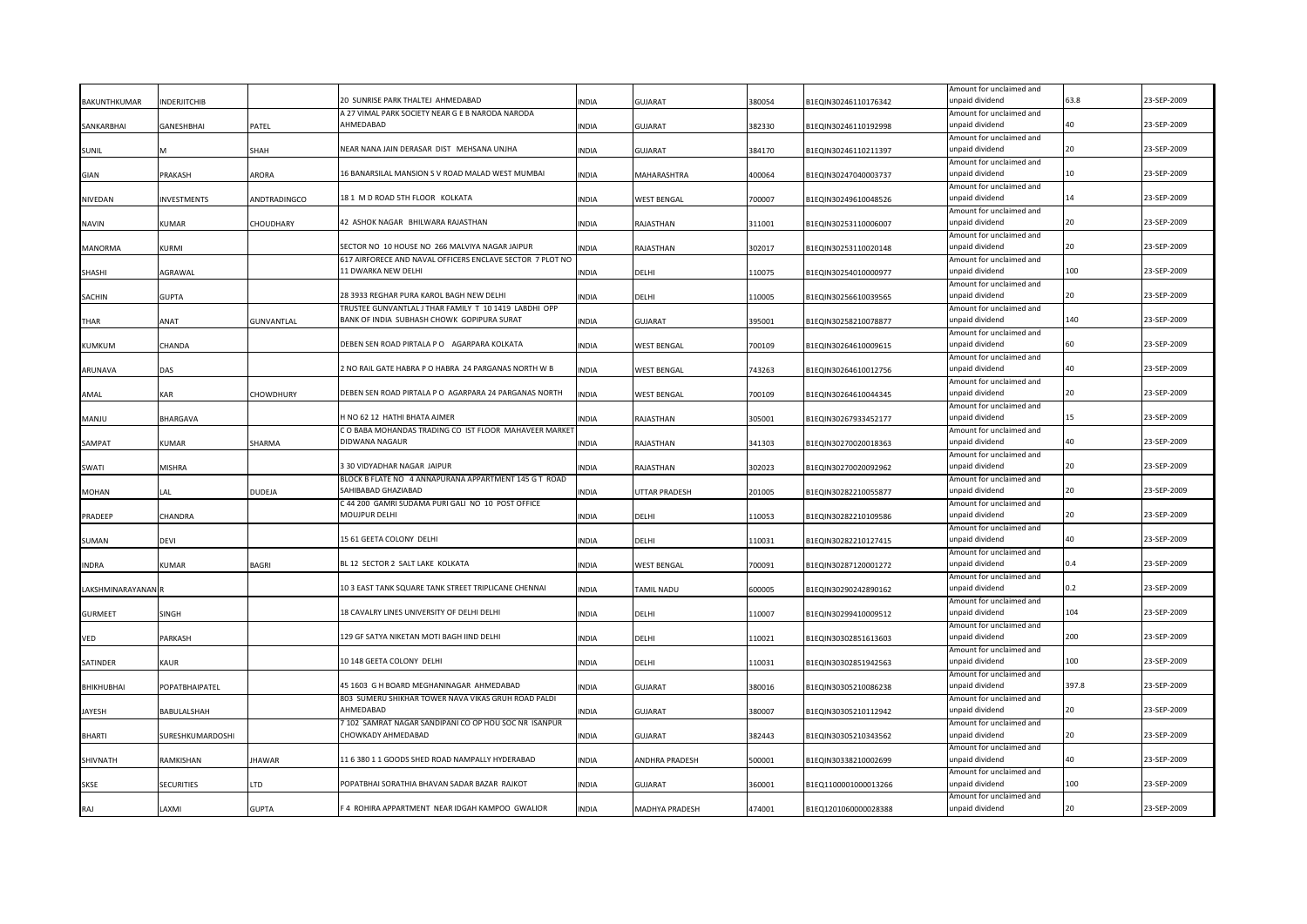| BAKUNTHKUMAR       | <b>INDERJITCHIB</b> |               | 20 SUNRISE PARK THALTEJ AHMEDABAD                                | INDIA        | <b>GUJARAT</b>     | 380054 | B1EQIN30246110176342 | Amount for unclaimed and<br>unpaid dividend | 63.8  | 23-SEP-2009 |
|--------------------|---------------------|---------------|------------------------------------------------------------------|--------------|--------------------|--------|----------------------|---------------------------------------------|-------|-------------|
|                    |                     |               | A 27 VIMAL PARK SOCIETY NEAR G E B NARODA NARODA                 |              |                    |        |                      | Amount for unclaimed and                    |       |             |
| SANKARBHAI         | GANESHBHAI          | PATEL         | AHMEDABAD                                                        | <b>INDIA</b> | GUJARAT            | 382330 | B1EQIN30246110192998 | unpaid dividend                             | 40    | 23-SEP-2009 |
|                    |                     |               |                                                                  |              |                    |        |                      | Amount for unclaimed and                    |       |             |
| <b>SUNIL</b>       |                     | SHAH          | NEAR NANA JAIN DERASAR DIST MEHSANA UNJHA                        | <b>INDIA</b> | GUJARAT            | 384170 | B1EQIN30246110211397 | unpaid dividend                             | 20    | 23-SEP-2009 |
|                    |                     |               |                                                                  |              |                    |        |                      | Amount for unclaimed and                    |       |             |
| GIAN               | PRAKASH             | ARORA         | 16 BANARSILAL MANSION S V ROAD MALAD WEST MUMBAI                 | <b>INDIA</b> | MAHARASHTRA        | 400064 | B1EQIN30247040003737 | unpaid dividend                             | 10    | 23-SEP-2009 |
|                    |                     |               |                                                                  |              |                    |        |                      | Amount for unclaimed and                    |       |             |
| NIVEDAN            | <b>INVESTMENTS</b>  | ANDTRADINGCO  | 18 1 M D ROAD 5TH FLOOR KOLKATA                                  | <b>INDIA</b> | WEST BENGAL        | 700007 | B1EQIN30249610048526 | unpaid dividend                             |       | 23-SEP-2009 |
|                    |                     |               |                                                                  |              |                    |        |                      | Amount for unclaimed and                    |       |             |
| <b>NAVIN</b>       | KUMAR               | CHOUDHARY     | 42 ASHOK NAGAR BHILWARA RAJASTHAN                                | <b>INDIA</b> | RAJASTHAN          | 311001 | B1EQIN30253110006007 | unpaid dividend                             | 20    | 23-SEP-2009 |
|                    |                     |               |                                                                  |              |                    |        |                      | Amount for unclaimed and                    |       |             |
| <b>MANORMA</b>     | KURMI               |               | SECTOR NO 10 HOUSE NO 266 MALVIYA NAGAR JAIPUR                   | <b>INDIA</b> | RAJASTHAN          | 302017 | B1EQIN30253110020148 | unpaid dividend                             | 20    | 23-SEP-2009 |
|                    |                     |               | 617 AIRFORECE AND NAVAL OFFICERS ENCLAVE SECTOR 7 PLOT NO        |              |                    |        |                      | Amount for unclaimed and                    |       |             |
| SHASHI             | AGRAWAL             |               | 11 DWARKA NEW DELHI                                              | <b>INDIA</b> | DELHI              | 110075 | B1EQIN30254010000977 | unpaid dividend                             | 100   | 23-SEP-2009 |
|                    |                     |               |                                                                  |              |                    |        |                      | Amount for unclaimed and                    |       |             |
| SACHIN             | <b>GUPTA</b>        |               | 28 3933 REGHAR PURA KAROL BAGH NEW DELHI                         | <b>INDIA</b> | DELHI              | 110005 | B1EQIN30256610039565 | unpaid dividend                             | 20    | 23-SEP-2009 |
|                    |                     |               | TRUSTEE GUNVANTLALJ THAR FAMILY T 10 1419 LABDHI OPP             |              |                    |        |                      | Amount for unclaimed and                    |       |             |
| THAR               | TANA                | GUNVANTLAL    | BANK OF INDIA SUBHASH CHOWK GOPIPURA SURAT                       | <b>INDIA</b> | <b>GUJARAT</b>     | 395001 | B1EQIN30258210078877 | unpaid dividend                             | 140   | 23-SEP-2009 |
|                    |                     |               |                                                                  |              |                    |        |                      | Amount for unclaimed and                    |       |             |
| <b>KUMKUM</b>      | CHANDA              |               | DEBEN SEN ROAD PIRTALA PO AGARPARA KOLKATA                       | <b>INDIA</b> | <b>WEST BENGAL</b> | 700109 | B1EQIN30264610009615 | unpaid dividend                             | 60    | 23-SEP-2009 |
|                    |                     |               |                                                                  |              |                    |        |                      | Amount for unclaimed and                    |       |             |
| ARUNAVA            | DAS                 |               | 2 NO RAIL GATE HABRA P O HABRA 24 PARGANAS NORTH W B             | <b>INDIA</b> | <b>WEST BENGAL</b> | 743263 | B1EQIN30264610012756 | unpaid dividend                             | 40    | 23-SEP-2009 |
|                    |                     |               |                                                                  |              |                    |        |                      | Amount for unclaimed and                    |       |             |
| AMAL               | KAR                 | CHOWDHURY     | DEBEN SEN ROAD PIRTALA P O AGARPARA 24 PARGANAS NORTH            | <b>INDIA</b> | <b>WEST BENGAL</b> | 700109 | B1EQIN30264610044345 | unpaid dividend                             | 20    | 23-SEP-2009 |
|                    |                     |               |                                                                  |              |                    |        |                      | Amount for unclaimed and                    |       |             |
| <b>MANJU</b>       | BHARGAVA            |               | H NO 62 12 HATHI BHATA AJMER                                     | <b>INDIA</b> | RAJASTHAN          | 305001 | B1EQIN30267933452177 | unpaid dividend                             | 15    | 23-SEP-2009 |
|                    |                     |               | C O BABA MOHANDAS TRADING CO IST FLOOR MAHAVEER MARKE            |              |                    |        |                      | Amount for unclaimed and                    |       |             |
| SAMPAT             | KUMAR               | SHARMA        | DIDWANA NAGAUR                                                   | <b>INDIA</b> | RAJASTHAN          | 341303 | B1EQIN30270020018363 | unpaid dividend                             | 40    | 23-SEP-2009 |
|                    |                     |               |                                                                  |              |                    |        |                      | Amount for unclaimed and                    |       |             |
| SWATI              | <b>MISHRA</b>       |               | 3 30 VIDYADHAR NAGAR JAIPUR                                      | <b>INDIA</b> | RAJASTHAN          | 302023 | B1EQIN30270020092962 | unpaid dividend                             | 20    | 23-SEP-2009 |
|                    |                     |               | BLOCK B FLATE NO 4 ANNAPURANA APPARTMENT 145 G T ROAD            |              |                    |        |                      | Amount for unclaimed and                    |       |             |
|                    | AL                  |               | SAHIBABAD GHAZIABAD                                              |              |                    |        |                      | unpaid dividend                             |       | 23-SEP-2009 |
| <b>MOHAN</b>       |                     | <b>DUDEJA</b> | C 44 200 GAMRI SUDAMA PURI GALI NO 10 POST OFFICE                | <b>INDIA</b> | UTTAR PRADESH      | 201005 | B1EQIN30282210055877 | Amount for unclaimed and                    |       |             |
|                    |                     |               | MOUJPUR DELHI                                                    |              |                    |        |                      | unpaid dividend                             |       | 23-SEP-2009 |
| PRADEEP            | CHANDRA             |               |                                                                  | <b>INDIA</b> | DELHI              | 110053 | B1EQIN30282210109586 |                                             |       |             |
|                    |                     |               | 15 61 GEETA COLONY DELHI                                         |              |                    |        |                      | Amount for unclaimed and                    | 40    | 23-SEP-2009 |
| SUMAN              | devi                |               |                                                                  | <b>INDIA</b> | DELHI              | 110031 | B1EQIN30282210127415 | unpaid dividend                             |       |             |
|                    |                     |               | BL 12 SECTOR 2 SALT LAKE KOLKATA                                 |              |                    |        |                      | Amount for unclaimed and                    |       | 23-SEP-2009 |
| <b>INDRA</b>       | KUMAR               | BAGRI         |                                                                  | <b>INDIA</b> | <b>WEST BENGAL</b> | 700091 | B1EQIN30287120001272 | unpaid dividend                             |       |             |
|                    |                     |               | 10 3 EAST TANK SQUARE TANK STREET TRIPLICANE CHENNAI             |              |                    |        |                      | Amount for unclaimed and                    | 0.2   |             |
| LAKSHMINARAYANAN R |                     |               |                                                                  | <b>INDIA</b> | TAMIL NADU         | 600005 | B1EQIN30290242890162 | unpaid dividend                             |       | 23-SEP-2009 |
|                    |                     |               |                                                                  |              |                    |        |                      | Amount for unclaimed and                    | 104   |             |
| <b>GURMEET</b>     | SINGH               |               | 18 CAVALRY LINES UNIVERSITY OF DELHI DELHI                       | <b>INDIA</b> | DELHI              | 110007 | B1EQIN30299410009512 | unpaid dividend                             |       | 23-SEP-2009 |
|                    |                     |               | 129 GF SATYA NIKETAN MOTI BAGH IIND DELHI                        |              |                    |        |                      | Amount for unclaimed and<br>unpaid dividend | 200   | 23-SEP-2009 |
| VED                | PARKASH             |               |                                                                  | INDIA        | DELHI              | 110021 | B1EQIN30302851613603 |                                             |       |             |
|                    |                     |               |                                                                  |              |                    |        |                      | Amount for unclaimed and                    | 100   |             |
| SATINDER           | KAUR                |               | 10 148 GEETA COLONY DELHI                                        | INDIA        | DELHI              | 110031 | B1EQIN30302851942563 | unpaid dividend                             |       | 23-SEP-2009 |
|                    |                     |               |                                                                  |              |                    |        |                      | Amount for unclaimed and                    |       |             |
| <b>BHIKHUBHAI</b>  | POPATBHAIPATEL      |               | 45 1603 G H BOARD MEGHANINAGAR AHMEDABAD                         | INDIA        | <b>GUJARAT</b>     | 380016 | B1EQIN30305210086238 | unpaid dividend                             | 397.8 | 23-SEP-2009 |
|                    |                     |               | 803 SUMERU SHIKHAR TOWER NAVA VIKAS GRUH ROAD PALDI<br>AHMFDABAD |              |                    |        |                      | Amount for unclaimed and                    |       |             |
| IAYESH             | BABULALSHAH         |               |                                                                  | INDIA        | GUJARAT            | 380007 | B1EQIN30305210112942 | unpaid dividend                             |       | 23-SEP-2009 |
|                    |                     |               | 7 102 SAMRAT NAGAR SANDIPANI CO OP HOU SOC NR ISANPUR            |              |                    |        |                      | Amount for unclaimed and                    |       |             |
| <b>BHARTI</b>      | SURESHKUMARDOSHI    |               | CHOWKADY AHMEDABAD                                               | <b>INDIA</b> | GUJARAT            | 382443 | B1EQIN30305210343562 | unpaid dividend                             |       | 23-SEP-2009 |
|                    |                     |               |                                                                  |              |                    |        |                      | Amount for unclaimed and                    |       |             |
| SHIVNATH           | RAMKISHAN           | <b>HAWAR</b>  | 11 6 380 1 1 GOODS SHED ROAD NAMPALLY HYDERABAD                  | <b>INDIA</b> | ANDHRA PRADESH     | 500001 | B1EQIN30338210002699 | unpaid dividend                             |       | 23-SEP-2009 |
|                    |                     |               |                                                                  |              |                    |        |                      | Amount for unclaimed and                    |       |             |
| SKSE               | <b>SECURITIES</b>   | LTD           | POPATBHAI SORATHIA BHAVAN SADAR BAZAR RAJKOT                     | <b>INDIA</b> | GUJARAT            | 360001 | B1EQ1100001000013266 | unpaid dividend                             | 100   | 23-SEP-2009 |
|                    |                     |               |                                                                  |              |                    |        |                      | Amount for unclaimed and                    |       |             |
| RAJ                | <b>AXMI</b>         | <b>GUPTA</b>  | F 4 ROHIRA APPARTMENT NEAR IDGAH KAMPOO GWALIOR                  | <b>INDIA</b> | MADHYA PRADESH     | 474001 | B1EQ1201060000028388 | unpaid dividend                             | 20    | 23-SEP-2009 |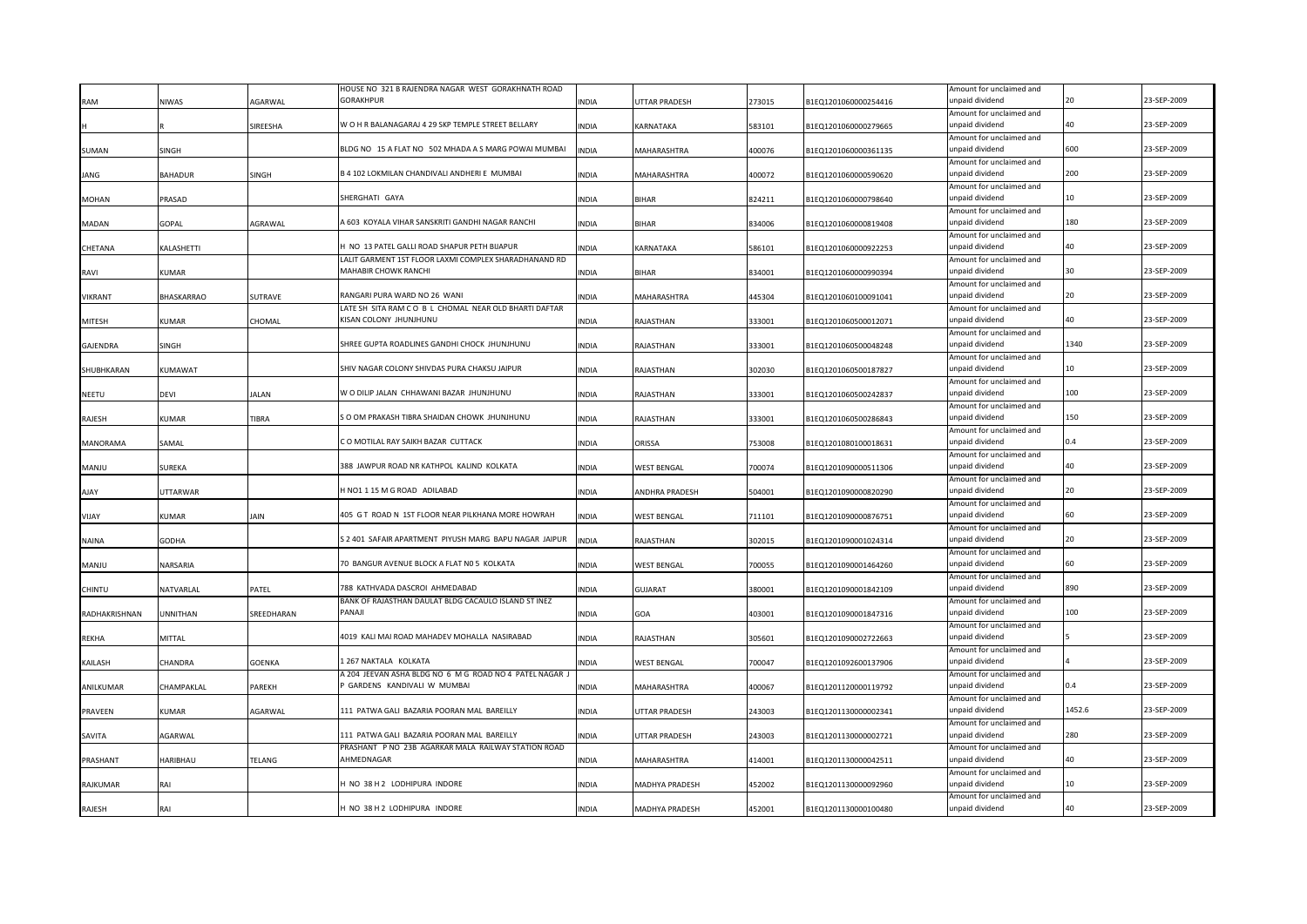|                 |              |                | HOUSE NO 321 B RAJENDRA NAGAR WEST GORAKHNATH ROAD                            |              |                    |        |                      | Amount for unclaimed and                    |                 |             |
|-----------------|--------------|----------------|-------------------------------------------------------------------------------|--------------|--------------------|--------|----------------------|---------------------------------------------|-----------------|-------------|
| RAM             | NIWAS        | <b>AGARWAL</b> | GORAKHPUR                                                                     | <b>INDIA</b> | UTTAR PRADESH      | 273015 | B1EQ1201060000254416 | unpaid dividend                             | 20              | 23-SEP-2009 |
|                 |              |                |                                                                               |              |                    |        |                      | Amount for unclaimed and                    |                 |             |
|                 |              | SIREESHA       | W O H R BALANAGARAJ 4 29 SKP TEMPLE STREET BELLARY                            | <b>INDIA</b> | KARNATAKA          | 583101 | B1EQ1201060000279665 | unpaid dividend                             | 40              | 23-SEP-2009 |
|                 |              |                |                                                                               |              |                    |        |                      | Amount for unclaimed and                    |                 |             |
| SUMAN           | SINGH        |                | BLDG NO 15 A FLAT NO 502 MHADA A S MARG POWAI MUMBAI                          | <b>INDIA</b> | MAHARASHTRA        | 400076 | B1EQ1201060000361135 | unpaid dividend                             | 600             | 23-SEP-2009 |
|                 |              |                |                                                                               |              |                    |        |                      | Amount for unclaimed and                    |                 |             |
| ANG             | BAHADUR      | SINGH          | B 4 102 LOKMILAN CHANDIVALI ANDHERI E MUMBAI                                  | <b>INDIA</b> | MAHARASHTRA        | 400072 | B1EQ1201060000590620 | unpaid dividend                             | 200             | 23-SEP-2009 |
|                 |              |                |                                                                               |              |                    |        |                      | Amount for unclaimed and                    |                 |             |
| <b>MOHAN</b>    | PRASAD       |                | SHERGHATI GAYA                                                                | <b>INDIA</b> | <b>BIHAR</b>       | 824211 | B1EQ1201060000798640 | unpaid dividend                             | 10              | 23-SEP-2009 |
|                 |              |                |                                                                               |              |                    |        |                      | Amount for unclaimed and                    | 180             |             |
| MADAN           | GOPAL        | AGRAWAL        | 4 603 KOYALA VIHAR SANSKRITI GANDHI NAGAR RANCHI                              | <b>INDIA</b> | BIHAR              | 834006 | B1EQ1201060000819408 | unpaid dividend                             |                 | 23-SEP-2009 |
|                 |              |                | 1 NO 13 PATEL GALLI ROAD SHAPUR PETH BIJAPUR                                  |              |                    |        |                      | Amount for unclaimed and<br>unpaid dividend | 40              | 23-SEP-2009 |
| CHETANA         | KALASHETTI   |                |                                                                               | <b>INDIA</b> | KARNATAKA          | 586101 | B1EQ1201060000922253 |                                             |                 |             |
|                 |              |                | LALIT GARMENT 1ST FLOOR LAXMI COMPLEX SHARADHANAND RD<br>MAHABIR CHOWK RANCHI |              | BIHAR              |        |                      | Amount for unclaimed and<br>unpaid dividend | 30              | 23-SEP-2009 |
| RAVI            | KUMAR        |                |                                                                               | <b>INDIA</b> |                    | 834001 | B1EQ1201060000990394 | Amount for unclaimed and                    |                 |             |
| VIKRANT         | BHASKARRAO   | SUTRAVE        | RANGARI PURA WARD NO 26 WANI                                                  | <b>INDIA</b> | MAHARASHTRA        | 445304 | B1EQ1201060100091041 | unpaid dividend                             |                 | 23-SEP-2009 |
|                 |              |                | LATE SH SITA RAM CO B L CHOMAL NEAR OLD BHARTI DAFTAR                         |              |                    |        |                      | Amount for unclaimed and                    |                 |             |
| <b>MITESH</b>   | KUMAR        | CHOMAL         | KISAN COLONY JHUNJHUNU                                                        | <b>INDIA</b> | RAJASTHAN          | 333001 | B1EQ1201060500012071 | unpaid dividend                             | 40              | 23-SEP-2009 |
|                 |              |                |                                                                               |              |                    |        |                      | Amount for unclaimed and                    |                 |             |
| <b>GAJENDRA</b> | <b>SINGH</b> |                | SHREE GUPTA ROADLINES GANDHI CHOCK JHUNJHUNU                                  | <b>INDIA</b> | RAJASTHAN          | 333001 | B1EQ1201060500048248 | unpaid dividend                             | 1340            | 23-SEP-2009 |
|                 |              |                |                                                                               |              |                    |        |                      | Amount for unclaimed and                    |                 |             |
| SHUBHKARAN      | KUMAWAT      |                | SHIV NAGAR COLONY SHIVDAS PURA CHAKSU JAIPUR                                  | <b>INDIA</b> | RAJASTHAN          | 302030 | B1EQ1201060500187827 | unpaid dividend                             | 10 <sup>1</sup> | 23-SEP-2009 |
|                 |              |                |                                                                               |              |                    |        |                      | Amount for unclaimed and                    |                 |             |
| NEETU           | <b>DEVI</b>  | <b>ALAN</b>    | W O DILIP JALAN CHHAWANI BAZAR JHUNJHUNU                                      | <b>INDIA</b> | RAJASTHAN          | 333001 | B1EQ1201060500242837 | unpaid dividend                             | 100             | 23-SEP-2009 |
|                 |              |                |                                                                               |              |                    |        |                      | Amount for unclaimed and                    |                 |             |
| RAJESH          | KUMAR        | TIBRA          | S O OM PRAKASH TIBRA SHAIDAN CHOWK JHUNJHUNU                                  | <b>INDIA</b> | RAJASTHAN          | 333001 | B1EQ1201060500286843 | unpaid dividend                             | 150             | 23-SEP-2009 |
|                 |              |                |                                                                               |              |                    |        |                      | Amount for unclaimed and                    |                 |             |
| <b>MANORAMA</b> | SAMAL        |                | CO MOTILAL RAY SAIKH BAZAR CUTTACK                                            | <b>INDIA</b> | ORISSA             | 753008 | B1EQ1201080100018631 | unpaid dividend                             | 0.4             | 23-SEP-2009 |
|                 |              |                |                                                                               |              |                    |        |                      | Amount for unclaimed and                    |                 |             |
| <b>ULIAN</b>    | SUREKA       |                | 388 JAWPUR ROAD NR KATHPOL KALIND KOLKATA                                     | <b>INDIA</b> | <b>WEST BENGAL</b> | 700074 | B1EQ1201090000511306 | unpaid dividend                             | 40              | 23-SEP-2009 |
|                 |              |                |                                                                               |              |                    |        |                      | Amount for unclaimed and                    |                 |             |
| AJAY            | UTTARWAR     |                | HNO1 1 15 M G ROAD ADILABAD                                                   | <b>INDIA</b> | ANDHRA PRADESH     | 504001 | B1EQ1201090000820290 | unpaid dividend                             | 20              | 23-SEP-2009 |
|                 |              |                |                                                                               |              |                    |        |                      | Amount for unclaimed and                    |                 |             |
| VIJAY           | KUMAR        | JAIN           | 405 G T ROAD N 1ST FLOOR NEAR PILKHANA MORE HOWRAH                            | <b>INDIA</b> | <b>WEST BENGAL</b> | 711101 | B1EQ1201090000876751 | unpaid dividend                             | 60              | 23-SEP-2009 |
|                 |              |                | S 2 401 SAFAIR APARTMENT PIYUSH MARG BAPU NAGAR JAIPUR                        |              |                    |        |                      | Amount for unclaimed and<br>unpaid dividend | 20              | 23-SEP-2009 |
| <b>NAINA</b>    | GODHA        |                |                                                                               | <b>INDIA</b> | RAJASTHAN          | 302015 | B1EQ1201090001024314 | Amount for unclaimed and                    |                 |             |
| MANJU           | NARSARIA     |                | 70 BANGUR AVENUE BLOCK A FLAT N0 5 KOLKATA                                    | <b>INDIA</b> | <b>WEST BENGAL</b> | 700055 | B1EQ1201090001464260 | unpaid dividend                             | 60              | 23-SEP-2009 |
|                 |              |                |                                                                               |              |                    |        |                      | Amount for unclaimed and                    |                 |             |
| CHINTU          | NATVARLAL    | PATEL          | 788 KATHVADA DASCROI AHMEDABAD                                                | <b>INDIA</b> | <b>GUJARAT</b>     | 380001 | B1EQ1201090001842109 | unpaid dividend                             | 890             | 23-SEP-2009 |
|                 |              |                | BANK OF RAJASTHAN DAULAT BLDG CACAULO ISLAND ST INEZ                          |              |                    |        |                      | Amount for unclaimed and                    |                 |             |
| RADHAKRISHNAN   | UNNITHAN     | SREEDHARAN     | PANAII                                                                        | <b>INDIA</b> | GOA                | 403001 | B1EQ1201090001847316 | unpaid dividend                             | 100             | 23-SEP-2009 |
|                 |              |                |                                                                               |              |                    |        |                      | Amount for unclaimed and                    |                 |             |
| <b>REKHA</b>    | MITTAL       |                | 4019 KALI MAI ROAD MAHADEV MOHALLA NASIRABAD                                  | <b>INDIA</b> | RAJASTHAN          | 305601 | B1EQ1201090002722663 | unpaid dividend                             |                 | 23-SEP-2009 |
|                 |              |                |                                                                               |              |                    |        |                      | Amount for unclaimed and                    |                 |             |
| KAILASH         | CHANDRA      | GOENKA         | 1 267 NAKTALA KOLKATA                                                         | <b>INDIA</b> | <b>WEST BENGAL</b> | 700047 | B1EQ1201092600137906 | unpaid dividend                             |                 | 23-SEP-2009 |
|                 |              |                | A 204 JEEVAN ASHA BLDG NO 6 M G ROAD NO 4 PATEL NAGAR J                       |              |                    |        |                      | Amount for unclaimed and                    |                 |             |
| ANILKUMAR       | CHAMPAKLAL   | PAREKH         | GARDENS KANDIVALI W MUMBAI                                                    | <b>INDIA</b> | MAHARASHTRA        | 400067 | B1EQ1201120000119792 | unpaid dividend                             |                 | 23-SEP-2009 |
|                 |              |                |                                                                               |              |                    |        |                      | Amount for unclaimed and                    |                 |             |
| PRAVEEN         | KUMAR        | AGARWAL        | 111 PATWA GALI BAZARIA POORAN MAL BAREILLY                                    | <b>INDIA</b> | UTTAR PRADESH      | 243003 | B1EQ1201130000002341 | unpaid dividend                             | 1452.6          | 23-SEP-2009 |
|                 |              |                |                                                                               |              |                    |        |                      | Amount for unclaimed and                    |                 |             |
| SAVITA          | AGARWAL      |                | 111 PATWA GALI BAZARIA POORAN MAL BAREILLY                                    | <b>INDIA</b> | UTTAR PRADESH      | 243003 | B1EQ1201130000002721 | unpaid dividend                             | 280             | 23-SEP-2009 |
|                 |              |                | PRASHANT P NO 23B AGARKAR MALA RAILWAY STATION ROAD                           |              |                    |        |                      | Amount for unclaimed and                    |                 |             |
| PRASHANT        | HARIBHAU     | TELANG         | <b>HMFDNAGAR</b>                                                              | <b>INDIA</b> | MAHARASHTRA        | 414001 | B1EQ1201130000042511 | unpaid dividend                             |                 | 23-SEP-2009 |
|                 |              |                |                                                                               |              |                    |        |                      | Amount for unclaimed and                    |                 |             |
| RAJKUMAR        | RAI          |                | I NO 38 H 2 LODHIPURA INDORE                                                  | <b>INDIA</b> | MADHYA PRADESH     | 452002 | B1EQ1201130000092960 | unpaid dividend                             | 10              | 23-SEP-2009 |
|                 |              |                |                                                                               |              |                    |        |                      | Amount for unclaimed and                    | 40              |             |
| RAJESH          | RAI          |                | H NO 38 H 2 LODHIPURA INDORE                                                  | <b>INDIA</b> | MADHYA PRADESH     | 452001 | B1EQ1201130000100480 | unpaid dividend                             |                 | 23-SEP-2009 |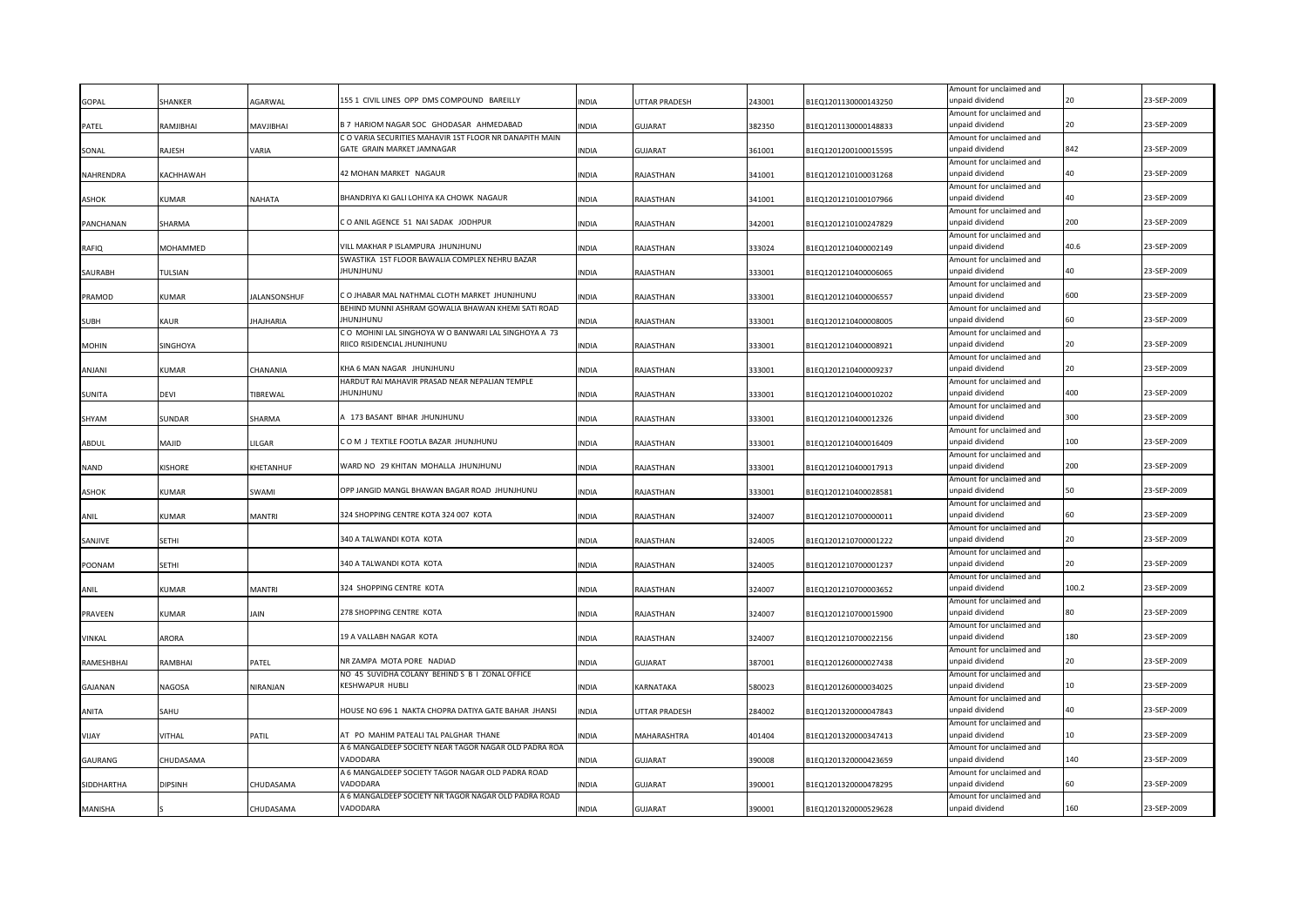|               |                 |                     |                                                                                     |              |                      |        |                      | Amount for unclaimed and                    |       |             |
|---------------|-----------------|---------------------|-------------------------------------------------------------------------------------|--------------|----------------------|--------|----------------------|---------------------------------------------|-------|-------------|
| GOPAL         | SHANKER         | AGARWAL             | 155 1 CIVIL LINES OPP DMS COMPOUND BAREILLY                                         | <b>INDIA</b> | <b>JTTAR PRADESH</b> | 243001 | B1EQ1201130000143250 | unpaid dividend<br>Amount for unclaimed and |       | 23-SEP-2009 |
| PATEL         | RAMJIBHAI       | MAVJIBHAI           | B 7 HARIOM NAGAR SOC GHODASAR AHMEDABAD                                             | <b>INDIA</b> | GUJARAT              | 382350 | B1EQ1201130000148833 | unpaid dividend                             | 20    | 23-SEP-2009 |
|               |                 |                     | C O VARIA SECURITIES MAHAVIR 1ST FLOOR NR DANAPITH MAIN                             |              |                      |        |                      | Amount for unclaimed and                    |       |             |
| SONAL         | RAJESH          | VARIA               | GATE GRAIN MARKET JAMNAGAR                                                          | <b>INDIA</b> | GUJARAT              | 361001 | B1EQ1201200100015595 | unpaid dividend                             | 842   | 23-SEP-2009 |
|               |                 |                     |                                                                                     |              |                      |        |                      | Amount for unclaimed and                    |       |             |
| NAHRENDRA     | KACHHAWAH       |                     | 42 MOHAN MARKET NAGAUR                                                              | <b>INDIA</b> | RAJASTHAN            | 341001 | B1EQ1201210100031268 | unpaid dividend                             | 40    | 23-SEP-2009 |
|               |                 |                     |                                                                                     |              |                      |        |                      | Amount for unclaimed and                    |       |             |
| <b>ASHOK</b>  | KUMAR           | NAHATA              | BHANDRIYA KI GALI LOHIYA KA CHOWK NAGAUR                                            | INDIA        | RAJASTHAN            | 341001 | B1EQ1201210100107966 | unpaid dividend                             |       | 23-SEP-2009 |
| PANCHANAN     | SHARMA          |                     | CO ANIL AGENCE 51 NAI SADAK JODHPUR                                                 | INDIA        | RAJASTHAN            | 342001 | B1EQ1201210100247829 | Amount for unclaimed and<br>unpaid dividend | 200   | 23-SEP-2009 |
|               |                 |                     |                                                                                     |              |                      |        |                      | Amount for unclaimed and                    |       |             |
| RAFIQ         | MOHAMMED        |                     | VILL MAKHAR P ISLAMPURA JHUNJHUNU                                                   | <b>INDIA</b> | RAJASTHAN            | 333024 | B1EQ1201210400002149 | unpaid dividend                             | 40.6  | 23-SEP-2009 |
|               |                 |                     | SWASTIKA 1ST FLOOR BAWALIA COMPLEX NEHRU BAZAR                                      |              |                      |        |                      | Amount for unclaimed and                    |       |             |
| SAURABH       | TULSIAN         |                     | IHUNJHUNU                                                                           | INDIA        | RAJASTHAN            | 333001 | B1EQ1201210400006065 | unpaid dividend                             | 40    | 23-SEP-2009 |
|               |                 |                     |                                                                                     |              |                      |        |                      | Amount for unclaimed and                    |       |             |
| PRAMOD        | KUMAR           | <b>JALANSONSHUF</b> | C O JHABAR MAL NATHMAL CLOTH MARKET JHUNJHUNU                                       | <b>INDIA</b> | RAJASTHAN            | 333001 | B1EQ1201210400006557 | unpaid dividend                             | 600   | 23-SEP-2009 |
|               |                 |                     | BEHIND MUNNI ASHRAM GOWALIA BHAWAN KHEMI SATI ROAD                                  |              |                      |        |                      | Amount for unclaimed and                    |       |             |
| <b>SUBH</b>   | KAUR            | <b>JHAJHARIA</b>    | IHUNJHUNU                                                                           | <b>INDIA</b> | RAJASTHAN            | 333001 | B1EQ1201210400008005 | unpaid dividend                             | 60    | 23-SEP-2009 |
| <b>MOHIN</b>  | <b>SINGHOYA</b> |                     | CO MOHINI LAL SINGHOYA W O BANWARI LAL SINGHOYA A 73<br>RIICO RISIDENCIAL JHUNJHUNU | <b>INDIA</b> | RAJASTHAN            | 333001 | B1EQ1201210400008921 | Amount for unclaimed and<br>unpaid dividend | 20    | 23-SEP-2009 |
|               |                 |                     |                                                                                     |              |                      |        |                      | Amount for unclaimed and                    |       |             |
| ANJANI        | KUMAR           | CHANANIA            | KHA 6 MAN NAGAR JHUNJHUNU                                                           | <b>INDIA</b> | RAJASTHAN            | 333001 | B1EQ1201210400009237 | unpaid dividend                             | 20    | 23-SEP-2009 |
|               |                 |                     | HARDUT RAI MAHAVIR PRASAD NEAR NEPALIAN TEMPLE                                      |              |                      |        |                      | Amount for unclaimed and                    |       |             |
| <b>SUNITA</b> | devi            | TIBREWAL            | JHUNJHUNU                                                                           | <b>INDIA</b> | RAJASTHAN            | 333001 | B1EQ1201210400010202 | unpaid dividend                             | 400   | 23-SEP-2009 |
|               |                 |                     |                                                                                     |              |                      |        |                      | Amount for unclaimed and                    |       |             |
| SHYAM         | SUNDAR          | SHARMA              | A 173 BASANT BIHAR JHUNJHUNU                                                        | <b>INDIA</b> | RAJASTHAN            | 333001 | B1EQ1201210400012326 | unpaid dividend                             | 300   | 23-SEP-2009 |
|               |                 |                     |                                                                                     |              |                      |        |                      | Amount for unclaimed and                    |       |             |
| ABDUL         | <b>MAJID</b>    | LILGAR              | COM J TEXTILE FOOTLA BAZAR JHUNJHUNU                                                | <b>INDIA</b> | RAJASTHAN            | 333001 | B1EQ1201210400016409 | unpaid dividend                             | 100   | 23-SEP-2009 |
|               |                 |                     |                                                                                     |              |                      |        |                      | Amount for unclaimed and                    |       |             |
| NAND          | KISHORE         | KHETANHUF           | WARD NO 29 KHITAN MOHALLA JHUNJHUNU                                                 | <b>INDIA</b> | RAJASTHAN            | 333001 | B1EQ1201210400017913 | unpaid dividend                             | 200   | 23-SEP-2009 |
| <b>ASHOK</b>  | <b>UMAR</b>     | SWAMI               | OPP JANGID MANGL BHAWAN BAGAR ROAD JHUNJHUNU                                        | <b>INDIA</b> | RAJASTHAN            | 333001 | B1EQ1201210400028581 | Amount for unclaimed and<br>unpaid dividend | 50    | 23-SEP-2009 |
|               |                 |                     |                                                                                     |              |                      |        |                      | Amount for unclaimed and                    |       |             |
| ANIL          | KUMAR           | <b>MANTRI</b>       | 324 SHOPPING CENTRE KOTA 324 007 KOTA                                               | <b>INDIA</b> | RAJASTHAN            | 324007 | B1EQ1201210700000011 | unpaid dividend                             |       | 23-SEP-2009 |
|               |                 |                     |                                                                                     |              |                      |        |                      | Amount for unclaimed and                    |       |             |
| SANJIVE       | SETHI           |                     | 340 A TALWANDI KOTA KOTA                                                            | <b>INDIA</b> | RAJASTHAN            | 324005 | B1EQ1201210700001222 | unpaid dividend                             | 20    | 23-SEP-2009 |
|               |                 |                     |                                                                                     |              |                      |        |                      | Amount for unclaimed and                    |       |             |
| POONAM        | SETHI           |                     | 340 A TALWANDI KOTA KOTA                                                            | <b>INDIA</b> | RAJASTHAN            | 324005 | B1EQ1201210700001237 | unpaid dividend                             |       | 23-SEP-2009 |
|               |                 |                     |                                                                                     |              |                      |        |                      | Amount for unclaimed and                    |       |             |
| ANIL          | KUMAR           | <b>MANTRI</b>       | 324 SHOPPING CENTRE KOTA                                                            | <b>INDIA</b> | RAJASTHAN            | 324007 | B1EQ1201210700003652 | unpaid dividend                             | 100.2 | 23-SEP-2009 |
|               | KUMAR           | JAIN                | 278 SHOPPING CENTRE KOTA                                                            | <b>INDIA</b> |                      | 324007 |                      | Amount for unclaimed and<br>unpaid dividend |       | 23-SEP-2009 |
| PRAVEEN       |                 |                     |                                                                                     |              | RAJASTHAN            |        | B1EQ1201210700015900 | Amount for unclaimed and                    |       |             |
| VINKAL        | ARORA           |                     | 19 A VALLABH NAGAR KOTA                                                             | <b>INDIA</b> | RAJASTHAN            | 324007 | B1EQ1201210700022156 | unpaid dividend                             | 180   | 23-SEP-2009 |
|               |                 |                     |                                                                                     |              |                      |        |                      | Amount for unclaimed and                    |       |             |
| RAMESHBHAI    | RAMBHAI         | PATEL               | NR ZAMPA MOTA PORE NADIAD                                                           | INDIA        | GUJARAT              | 387001 | B1EQ1201260000027438 | unpaid dividend                             |       | 23-SEP-2009 |
|               |                 |                     | NO 45 SUVIDHA COLANY BEHIND S B I ZONAL OFFICE                                      |              |                      |        |                      | Amount for unclaimed and                    |       |             |
| GAJANAN       | NAGOSA          | NIRANJAN            | KESHWAPUR HUBLI                                                                     | INDIA        | KARNATAKA            | 580023 | B1EQ1201260000034025 | unpaid dividend                             |       | 23-SEP-2009 |
|               |                 |                     |                                                                                     |              |                      |        |                      | Amount for unclaimed and                    |       |             |
| ANITA         | SAHU            |                     | HOUSE NO 696 1 NAKTA CHOPRA DATIYA GATE BAHAR JHANSI                                | INDIA        | UTTAR PRADESH        | 284002 | B1EQ1201320000047843 | unpaid dividend                             |       | 23-SEP-2009 |
|               |                 |                     | AT PO MAHIM PATEALI TAL PALGHAR THANE                                               |              |                      |        |                      | Amount for unclaimed and<br>unpaid dividend | 10    | 23-SEP-2009 |
| <b>YAUV</b>   | VITHAL          | PATIL               | A 6 MANGALDEEP SOCIETY NEAR TAGOR NAGAR OLD PADRA ROA                               | <b>INDIA</b> | MAHARASHTRA          | 401404 | B1EQ1201320000347413 | Amount for unclaimed and                    |       |             |
| GAURANG       | CHUDASAMA       |                     | VADODARA                                                                            | <b>INDIA</b> | GUJARAT              | 390008 | B1EQ1201320000423659 | unpaid dividend                             | 140   | 23-SEP-2009 |
|               |                 |                     | A 6 MANGALDEEP SOCIETY TAGOR NAGAR OLD PADRA ROAD                                   |              |                      |        |                      | Amount for unclaimed and                    |       |             |
| SIDDHARTHA    | DIPSINH         | CHUDASAMA           | VADODARA                                                                            | <b>INDIA</b> | GUJARAT              | 390001 | B1EQ1201320000478295 | unpaid dividend                             | 60    | 23-SEP-2009 |
|               |                 |                     | A 6 MANGALDEEP SOCIETY NR TAGOR NAGAR OLD PADRA ROAD                                |              |                      |        |                      | Amount for unclaimed and                    |       |             |
| MANISHA       |                 | CHUDASAMA           | VADODARA                                                                            | <b>INDIA</b> | <b>GUJARAT</b>       | 390001 | B1EQ1201320000529628 | unpaid dividend                             | 160   | 23-SEP-2009 |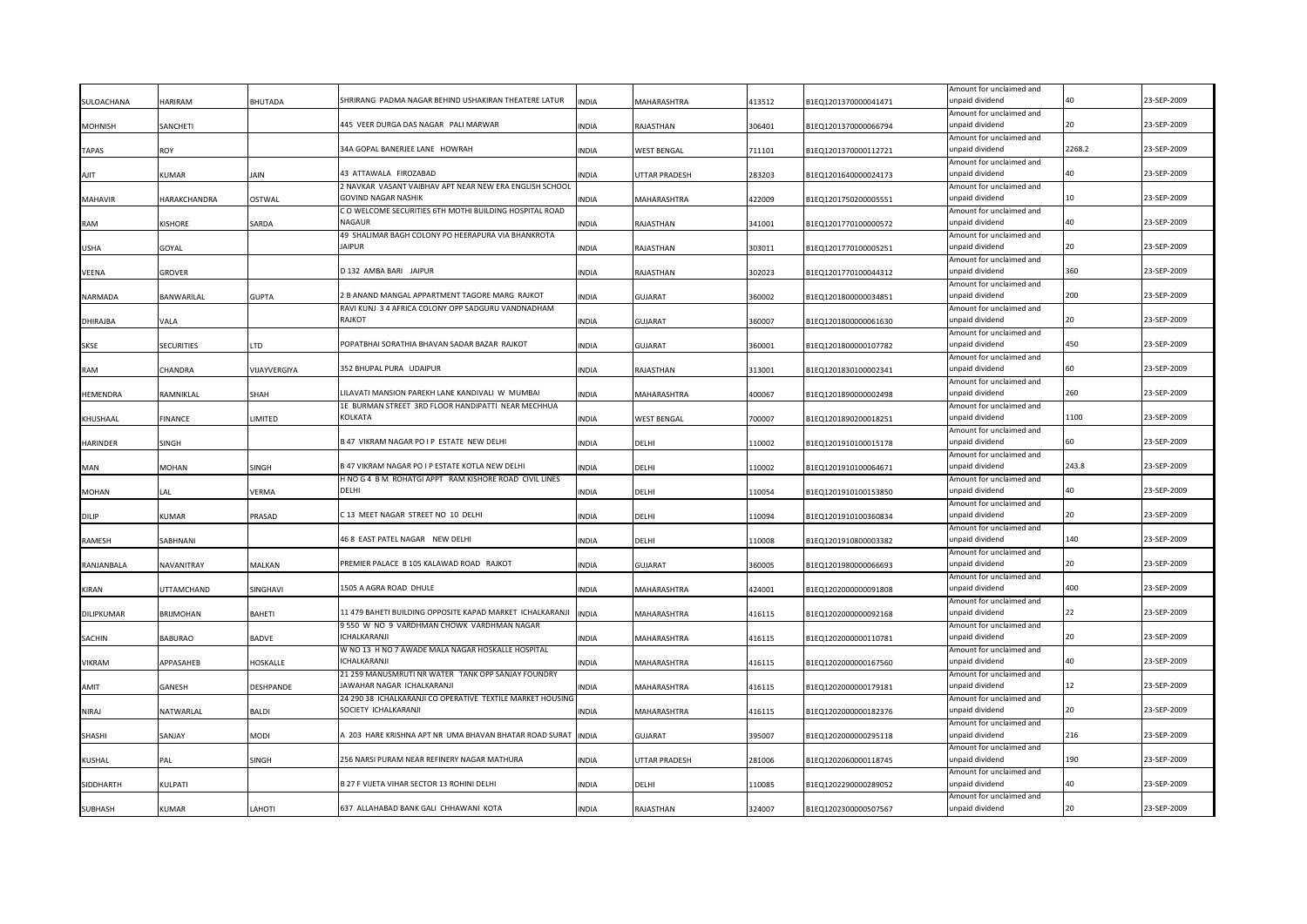|                 |                   |               |                                                                   |              |                    |        |                      | Amount for unclaimed and                    |                                        |             |
|-----------------|-------------------|---------------|-------------------------------------------------------------------|--------------|--------------------|--------|----------------------|---------------------------------------------|----------------------------------------|-------------|
| SULOACHANA      | HARIRAM           | BHUTADA       | SHRIRANG PADMA NAGAR BEHIND USHAKIRAN THEATERE LATUR              | <b>INDIA</b> | MAHARASHTRA        | 413512 | B1EQ1201370000041471 | unpaid dividend                             | $\Lambda$ <sup><math>\cap</math></sup> | 23-SEP-2009 |
| <b>MOHNISH</b>  | SANCHETI          |               | 445 VEER DURGA DAS NAGAR PALI MARWAR                              | <b>INDIA</b> | RAJASTHAN          | 306401 | B1EQ1201370000066794 | Amount for unclaimed and<br>unpaid dividend | 20                                     | 23-SEP-2009 |
|                 |                   |               |                                                                   |              |                    |        |                      | Amount for unclaimed and                    |                                        |             |
| <b>TAPAS</b>    | ROY               |               | 34A GOPAL BANERJEE LANE HOWRAH                                    | <b>INDIA</b> | WEST BENGAL        | 711101 | B1EQ1201370000112721 | unpaid dividend                             | 2268.2                                 | 23-SEP-2009 |
|                 |                   |               |                                                                   |              |                    |        |                      | Amount for unclaimed and                    |                                        |             |
| AJIT            | KUMAR             | IAIN          | 43 ATTAWALA FIROZABAD                                             | <b>INDIA</b> | UTTAR PRADESH      | 283203 | B1EQ1201640000024173 | unpaid dividend                             | 40                                     | 23-SEP-2009 |
|                 |                   |               | 2 NAVKAR VASANT VAIBHAV APT NEAR NEW ERA ENGLISH SCHOOL           |              |                    |        |                      | Amount for unclaimed and                    |                                        |             |
| MAHAVIR         | HARAKCHANDRA      | <b>OSTWAL</b> | <b>GOVIND NAGAR NASHIK</b>                                        | <b>INDIA</b> | MAHARASHTRA        | 422009 | B1EQ1201750200005551 | unpaid dividend                             | 10                                     | 23-SEP-2009 |
|                 |                   |               | C O WELCOME SECURITIES 6TH MOTHI BUILDING HOSPITAL ROAD<br>NAGAUR |              |                    |        |                      | Amount for unclaimed and<br>unpaid dividend | 40                                     | 23-SEP-2009 |
| RAM             | <b>KISHORE</b>    | SARDA         | 49 SHALIMAR BAGH COLONY PO HEERAPURA VIA BHANKROTA                | <b>INDIA</b> | RAJASTHAN          | 341001 | B1EQ1201770100000572 | Amount for unclaimed and                    |                                        |             |
| JSHA            | GOYAL             |               | <b>JAIPUR</b>                                                     | <b>INDIA</b> | RAJASTHAN          | 303011 | B1EQ1201770100005251 | unpaid dividend                             | 20                                     | 23-SEP-2009 |
|                 |                   |               |                                                                   |              |                    |        |                      | Amount for unclaimed and                    |                                        |             |
| VEENA           | GROVER            |               | D 132 AMBA BARI JAIPUR                                            | <b>INDIA</b> | RAJASTHAN          | 302023 | B1EQ1201770100044312 | unpaid dividend                             | 360                                    | 23-SEP-2009 |
|                 |                   |               |                                                                   |              |                    |        |                      | Amount for unclaimed and                    |                                        |             |
| NARMADA         | BANWARILAL        | <b>GUPTA</b>  | 2 B ANAND MANGAL APPARTMENT TAGORE MARG RAJKOT                    | <b>INDIA</b> | <b>GUJARAT</b>     | 360002 | B1EQ1201800000034851 | unpaid dividend                             | 200                                    | 23-SEP-2009 |
|                 |                   |               | RAVI KUNJ 3 4 AFRICA COLONY OPP SADGURU VANDNADHAM                |              |                    |        |                      | Amount for unclaimed and                    |                                        |             |
| DHIRAJBA        | VALA              |               | RAJKOT                                                            | <b>INDIA</b> | GUJARAT            | 360007 | B1EQ1201800000061630 | unpaid dividend                             | 20                                     | 23-SEP-2009 |
|                 |                   |               | POPATBHAI SORATHIA BHAVAN SADAR BAZAR RAJKOT                      |              |                    |        |                      | Amount for unclaimed and                    | 450                                    | 23-SEP-2009 |
| <b>SKSE</b>     | <b>SECURITIES</b> | LTD           |                                                                   | <b>INDIA</b> | <b>GUJARAT</b>     | 360001 | B1EQ1201800000107782 | unpaid dividend                             |                                        |             |
| RAM             | CHANDRA           | VIJAYVERGIYA  | 352 BHUPAL PURA UDAIPUR                                           | <b>INDIA</b> | RAJASTHAN          | 313001 | B1EQ1201830100002341 | Amount for unclaimed and<br>unpaid dividend | 60                                     | 23-SEP-2009 |
|                 |                   |               |                                                                   |              |                    |        |                      | Amount for unclaimed and                    |                                        |             |
| HEMENDRA        | RAMNIKLAL         | SHAH          | LILAVATI MANSION PAREKH LANE KANDIVALI W MUMBAI                   | <b>INDIA</b> | MAHARASHTRA        | 400067 | B1EQ1201890000002498 | unpaid dividend                             | 260                                    | 23-SEP-2009 |
|                 |                   |               | 1E BURMAN STREET 3RD FLOOR HANDIPATTI NEAR MECHHUA                |              |                    |        |                      | Amount for unclaimed and                    |                                        |             |
| KHUSHAAL        | <b>FINANCE</b>    | LIMITED       | KOLKATA                                                           | <b>INDIA</b> | <b>WEST BENGAL</b> | 700007 | B1EQ1201890200018251 | unpaid dividend                             | 1100                                   | 23-SEP-2009 |
|                 |                   |               |                                                                   |              |                    |        |                      | Amount for unclaimed and                    |                                        |             |
| <b>HARINDER</b> | SINGH             |               | B 47 VIKRAM NAGAR PO I P ESTATE NEW DELHI                         | <b>INDIA</b> | <b>DELHI</b>       | 110002 | B1EQ1201910100015178 | unpaid dividend                             | 60                                     | 23-SEP-2009 |
|                 |                   |               |                                                                   |              |                    |        |                      | Amount for unclaimed and                    |                                        |             |
| <b>MAN</b>      | <b>MOHAN</b>      | SINGH         | B 47 VIKRAM NAGAR PO I P ESTATE KOTLA NEW DELHI                   | <b>INDIA</b> | <b>DELHI</b>       | 110002 | B1EQ1201910100064671 | unpaid dividend                             | 243.8                                  | 23-SEP-2009 |
|                 |                   |               | H NO G 4 B M ROHATGI APPT RAM KISHORE ROAD CIVIL LINES<br>DELHI   |              |                    |        |                      | Amount for unclaimed and<br>unpaid dividend | 40                                     | 23-SEP-2009 |
| MOHAN           | LAL               | VERMA         |                                                                   | <b>INDIA</b> | DELHI              | 110054 | B1EQ1201910100153850 | Amount for unclaimed and                    |                                        |             |
| DILIP           | KUMAR             | PRASAD        | C 13 MEET NAGAR STREET NO 10 DELHI                                | <b>INDIA</b> | DELHI              | 110094 | B1EQ1201910100360834 | unpaid dividend                             | 20                                     | 23-SEP-2009 |
|                 |                   |               |                                                                   |              |                    |        |                      | Amount for unclaimed and                    |                                        |             |
| <b>RAMESH</b>   | SABHNANI          |               | 46 8 EAST PATEL NAGAR NEW DELHI                                   | <b>INDIA</b> | DELHI              | 110008 | B1EQ1201910800003382 | unpaid dividend                             | 140                                    | 23-SEP-2009 |
|                 |                   |               |                                                                   |              |                    |        |                      | Amount for unclaimed and                    |                                        |             |
| RANJANBALA      | NAVANITRAY        | MALKAN        | PREMIER PALACE B 105 KALAWAD ROAD RAJKOT                          | <b>INDIA</b> | GUJARAT            | 360005 | B1EQ1201980000066693 | unpaid dividend                             | 20                                     | 23-SEP-2009 |
|                 |                   |               |                                                                   |              |                    |        |                      | Amount for unclaimed and                    |                                        |             |
| KIRAN           | <b>JTTAMCHAND</b> | SINGHAVI      | 1505 A AGRA ROAD DHULE                                            | <b>INDIA</b> | MAHARASHTRA        | 424001 | B1EQ1202000000091808 | unpaid dividend                             | 400                                    | 23-SEP-2009 |
|                 |                   |               | 11 479 BAHETI BUILDING OPPOSITE KAPAD MARKET ICHALKARANJI         |              |                    |        |                      | Amount for unclaimed and<br>unpaid dividend | 22                                     | 23-SEP-2009 |
| DILIPKUMAR      | BRIJMOHAN         | BAHETI        | 9 550 W NO 9 VARDHMAN CHOWK VARDHMAN NAGAR                        | <b>INDIA</b> | MAHARASHTRA        | 416115 | B1EQ1202000000092168 | Amount for unclaimed and                    |                                        |             |
| SACHIN          | BABURAO           | <b>BADVE</b>  | ICHALKARANJI                                                      | <b>INDIA</b> | MAHARASHTRA        | 416115 | B1EQ1202000000110781 | unpaid dividend                             | 20                                     | 23-SEP-2009 |
|                 |                   |               | W NO 13 H NO 7 AWADE MALA NAGAR HOSKALLE HOSPITAL                 |              |                    |        |                      | Amount for unclaimed and                    |                                        |             |
| <b>JIKRAM</b>   | APPASAHEB         | HOSKALLE      | ICHALKARANJI                                                      | <b>INDIA</b> | MAHARASHTRA        | 416115 | B1EQ1202000000167560 | unpaid dividend                             |                                        | 23-SEP-2009 |
|                 |                   |               | 21 259 MANUSMRUTI NR WATER TANK OPP SANJAY FOUNDRY                |              |                    |        |                      | Amount for unclaimed and                    |                                        |             |
| AMIT            | GANESH            | DESHPANDE     | JAWAHAR NAGAR ICHALKARANJI                                        | <b>INDIA</b> | MAHARASHTRA        | 416115 | B1EQ1202000000179181 | unpaid dividend                             | 12                                     | 23-SEP-2009 |
|                 |                   |               | 24 290 38 ICHALKARANJI CO OPERATIVE TEXTILE MARKET HOUSING        |              |                    |        |                      | Amount for unclaimed and                    |                                        |             |
| NIRAJ           | NATWARLAL         | BALDI         | SOCIETY ICHALKARANJI                                              | INDIA        | MAHARASHTRA        | 416115 | B1EQ1202000000182376 | unpaid dividend                             |                                        | 23-SEP-2009 |
|                 |                   |               |                                                                   |              |                    |        |                      | Amount for unclaimed and                    |                                        |             |
| SHASHI          | SANJAY            | IOOM          | 203 HARE KRISHNA APT NR UMA BHAVAN BHATAR ROAD SURAT              | <b>INDIA</b> | GUJARAT            | 395007 | B1EQ1202000000295118 | unpaid dividend                             | 216                                    | 23-SEP-2009 |
| <b>KUSHAL</b>   | PAL               | SINGH         | 256 NARSI PURAM NEAR REFINERY NAGAR MATHURA                       | <b>INDIA</b> | UTTAR PRADESH      | 281006 | B1EQ1202060000118745 | Amount for unclaimed and<br>unpaid dividend | 190                                    | 23-SEP-2009 |
|                 |                   |               |                                                                   |              |                    |        |                      | Amount for unclaimed and                    |                                        |             |
| SIDDHARTH       | KULPATI           |               | B 27 F VIJETA VIHAR SECTOR 13 ROHINI DELHI                        | <b>INDIA</b> | DELHI              | 110085 | B1EQ1202290000289052 | unpaid dividend                             | 40                                     | 23-SEP-2009 |
|                 |                   |               |                                                                   |              |                    |        |                      | Amount for unclaimed and                    |                                        |             |
| <b>SUBHASH</b>  | KUMAR             | LAHOTI        | 637 ALLAHABAD BANK GALI CHHAWANI KOTA                             | <b>INDIA</b> | RAJASTHAN          | 324007 | B1EQ1202300000507567 | unpaid dividend                             | 20                                     | 23-SEP-2009 |
|                 |                   |               |                                                                   |              |                    |        |                      |                                             |                                        |             |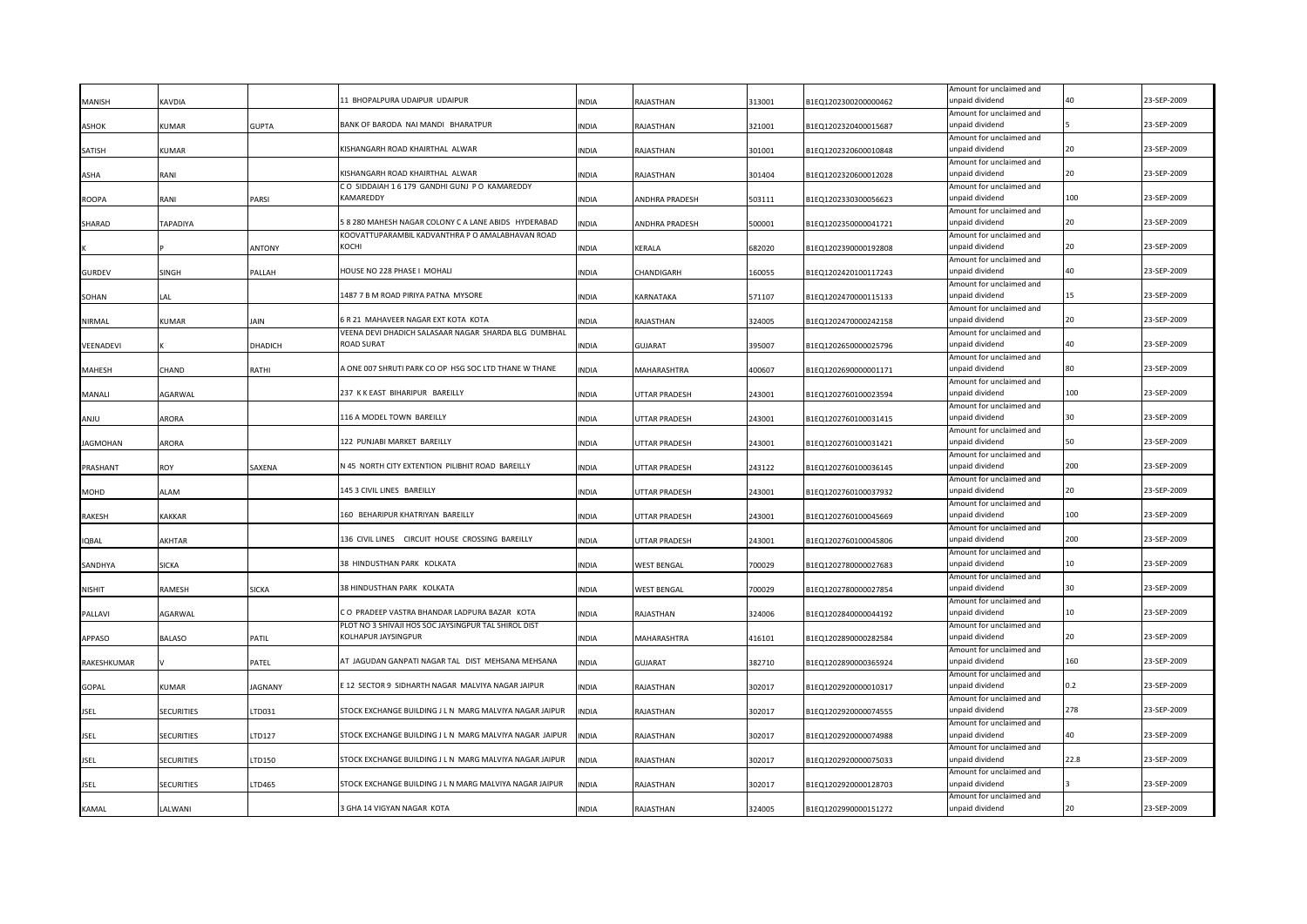| MANISH        | <b>KAVDIA</b>     |                | 11 BHOPALPURA UDAIPUR UDAIPUR                           | NDIA         | RAJASTHAN          | 313001 | B1EQ1202300200000462 | Amount for unclaimed and<br>unpaid dividend |      | 23-SEP-2009 |
|---------------|-------------------|----------------|---------------------------------------------------------|--------------|--------------------|--------|----------------------|---------------------------------------------|------|-------------|
|               |                   |                |                                                         |              |                    |        |                      | Amount for unclaimed and                    |      |             |
| ASHOK         | KUMAR             | <b>GUPTA</b>   | BANK OF BARODA NAI MANDI BHARATPUR                      | <b>INDIA</b> | RAJASTHAN          | 321001 | B1EQ1202320400015687 | unpaid dividend                             |      | 23-SEP-2009 |
|               |                   |                |                                                         |              |                    |        |                      | Amount for unclaimed and                    |      |             |
| SATISH        | KUMAR             |                | KISHANGARH ROAD KHAIRTHAL ALWAR                         | <b>INDIA</b> | RAJASTHAN          | 301001 | B1EQ1202320600010848 | unpaid dividend                             | 20   | 23-SEP-2009 |
| ASHA          | RANI              |                | KISHANGARH ROAD KHAIRTHAL ALWAR                         | INDIA        | RAJASTHAN          | 301404 | B1EQ1202320600012028 | Amount for unclaimed and<br>unpaid dividend | 20   | 23-SEP-2009 |
|               |                   |                | CO SIDDAIAH 1 6 179 GANDHI GUNJ PO KAMAREDDY            |              |                    |        |                      | Amount for unclaimed and                    |      |             |
| <b>ROOPA</b>  | RANI              | PARSI          | KAMAREDDY                                               | INDIA        | ANDHRA PRADESH     | 503111 | B1EQ1202330300056623 | unpaid dividend                             | 100  | 23-SEP-2009 |
|               |                   |                | 8 280 MAHESH NAGAR COLONY C A LANE ABIDS HYDERABAD      |              |                    |        |                      | Amount for unclaimed and<br>unpaid dividend |      | 23-SEP-2009 |
| SHARAD        | TAPADIYA          |                | KOOVATTUPARAMBIL KADVANTHRA P O AMALABHAVAN ROAD        | INDIA        | ANDHRA PRADESH     | 500001 | B1EQ1202350000041721 | Amount for unclaimed and                    |      |             |
|               |                   | ANTONY         | KOCHI                                                   | INDIA        | KERALA             | 682020 | B1EQ1202390000192808 | unpaid dividend                             |      | 23-SEP-2009 |
|               |                   |                |                                                         |              |                    |        |                      | Amount for unclaimed and                    |      |             |
| <b>GURDEV</b> | SINGH             | PALLAH         | <b>IOUSE NO 228 PHASE I MOHALI</b>                      | <b>INDIA</b> | CHANDIGARH         | 160055 | B1EQ1202420100117243 | unpaid dividend                             | 40   | 23-SEP-2009 |
|               |                   |                |                                                         |              |                    |        |                      | Amount for unclaimed and                    | 15   |             |
| SOHAN         | LA L              |                | 1487 7 B M ROAD PIRIYA PATNA MYSORE                     | INDIA        | KARNATAKA          | 571107 | B1EQ1202470000115133 | unpaid dividend                             |      | 23-SEP-2009 |
| NIRMAL        | <b>KUMAR</b>      | iain           | 5 R 21 MAHAVEER NAGAR EXT KOTA KOTA                     | <b>INDIA</b> | RAJASTHAN          | 324005 | B1EQ1202470000242158 | Amount for unclaimed and<br>unpaid dividend | 20   | 23-SEP-2009 |
|               |                   |                | VEENA DEVI DHADICH SALASAAR NAGAR SHARDA BLG DUMBHAL    |              |                    |        |                      | Amount for unclaimed and                    |      |             |
| VEENADEVI     |                   | <b>DHADICH</b> | <b>ROAD SURAT</b>                                       | <b>INDIA</b> | <b>GUJARAT</b>     | 395007 | B1EQ1202650000025796 | unpaid dividend                             | 40   | 23-SEP-2009 |
|               |                   |                |                                                         |              |                    |        |                      | Amount for unclaimed and                    |      |             |
| <b>MAHESH</b> | CHAND             | RATHI          | A ONE 007 SHRUTI PARK CO OP HSG SOC LTD THANE W THANE   | <b>INDIA</b> | MAHARASHTRA        | 400607 | B1EQ1202690000001171 | unpaid dividend                             | ጸበ   | 23-SEP-2009 |
| MANALI        | AGARWAL           |                | 237 K K EAST BIHARIPUR BAREILLY                         | INDIA        | UTTAR PRADESH      | 243001 | B1EQ1202760100023594 | Amount for unclaimed and<br>unpaid dividend | 100  | 23-SEP-2009 |
|               |                   |                |                                                         |              |                    |        |                      | Amount for unclaimed and                    |      |             |
| ULIAA         | ARORA             |                | 116 A MODEL TOWN BAREILLY                               | INDIA        | UTTAR PRADESH      | 243001 | B1EQ1202760100031415 | unpaid dividend                             | 30   | 23-SEP-2009 |
|               |                   |                |                                                         |              |                    |        |                      | Amount for unclaimed and                    |      |             |
| JAGMOHAN      | ARORA             |                | 122 PUNJABI MARKET BAREILLY                             | INDIA        | UTTAR PRADESH      | 243001 | B1EQ1202760100031421 | unpaid dividend                             |      | 23-SEP-2009 |
| PRASHANT      | <b>ROY</b>        | SAXENA         | N 45 NORTH CITY EXTENTION PILIBHIT ROAD BAREILLY        | <b>INDIA</b> | UTTAR PRADESH      | 243122 | B1EQ1202760100036145 | Amount for unclaimed and<br>unpaid dividend | 200  | 23-SEP-2009 |
|               |                   |                |                                                         |              |                    |        |                      | Amount for unclaimed and                    |      |             |
| MOHD          | AL AM             |                | 145 3 CIVIL LINES BAREILLY                              | INDIA        | UTTAR PRADESH      | 243001 | B1EQ1202760100037932 | unpaid dividend                             | 20   | 23-SEP-2009 |
|               |                   |                |                                                         |              |                    |        |                      | Amount for unclaimed and                    |      |             |
| RAKESH        | <b>KAKKAR</b>     |                | 160 BEHARIPUR KHATRIYAN BAREILLY                        | INDIA        | UTTAR PRADESH      | 243001 | B1EQ1202760100045669 | unpaid dividend                             | 100  | 23-SEP-2009 |
|               |                   |                | 136 CIVIL LINES CIRCUIT HOUSE CROSSING BAREILLY         |              |                    |        |                      | Amount for unclaimed and                    | 200  | 23-SEP-2009 |
| <b>IQBAL</b>  | AKHTAR            |                |                                                         | INDIA        | UTTAR PRADESH      | 243001 | B1EQ1202760100045806 | unpaid dividend<br>Amount for unclaimed and |      |             |
| SANDHYA       | <b>SICKA</b>      |                | 38 HINDUSTHAN PARK KOLKATA                              | INDIA        | <b>WEST BENGAL</b> | 700029 | B1EQ1202780000027683 | unpaid dividend                             |      | 23-SEP-2009 |
|               |                   |                |                                                         |              |                    |        |                      | Amount for unclaimed and                    |      |             |
| <b>NISHIT</b> | RAMESH            | SICKA          | 38 HINDUSTHAN PARK KOLKATA                              | INDIA        | WEST BENGAL        | 700029 | B1EQ1202780000027854 | unpaid dividend                             |      | 23-SEP-2009 |
|               |                   |                | CO PRADEEP VASTRA BHANDAR LADPURA BAZAR KOTA            |              |                    |        |                      | Amount for unclaimed and                    |      | 23-SEP-2009 |
| PALLAVI       | AGARWAL           |                | PLOT NO 3 SHIVAJI HOS SOC JAYSINGPUR TAL SHIROL DIST    | INDIA        | RAJASTHAN          | 324006 | B1EQ1202840000044192 | unpaid dividend<br>Amount for unclaimed and |      |             |
| APPASO        | <b>BALASO</b>     | PATIL          | KOLHAPUR JAYSINGPUR                                     | INDIA        | MAHARASHTRA        | 416101 | B1EQ1202890000282584 | unpaid dividend                             |      | 23-SEP-2009 |
|               |                   |                |                                                         |              |                    |        |                      | Amount for unclaimed and                    |      |             |
| RAKESHKUMAR   |                   | PATEL          | AT JAGUDAN GANPATI NAGAR TAL DIST MEHSANA MEHSANA       | INDIA        | GUJARAT            | 382710 | B1EQ1202890000365924 | unpaid dividend                             | 160  | 23-SEP-2009 |
|               |                   |                |                                                         |              |                    |        |                      | Amount for unclaimed and                    | 0.2  |             |
| GOPAL         | <b>KUMAR</b>      | AGNANY         | 12 SECTOR 9 SIDHARTH NAGAR MALVIYA NAGAR JAIPUR         | <b>INDIA</b> | RAJASTHAN          | 302017 | B1EQ1202920000010317 | unpaid dividend                             |      | 23-SEP-2009 |
| JSEL          | <b>SECURITIES</b> | TD031.         | STOCK EXCHANGE BUILDING J L N MARG MALVIYA NAGAR JAIPUR | INDIA        | RAJASTHAN          | 302017 | B1EQ1202920000074555 | Amount for unclaimed and<br>ınpaid dividend | 278  | 23-SEP-2009 |
|               |                   |                |                                                         |              |                    |        |                      | Amount for unclaimed and                    |      |             |
| <b>JSEL</b>   | <b>SECURITIES</b> | LTD127         | STOCK EXCHANGE BUILDING J L N MARG MALVIYA NAGAR JAIPUR | <b>INDIA</b> | RAJASTHAN          | 302017 | B1EQ1202920000074988 | unpaid dividend                             | 40   | 23-SEP-2009 |
|               |                   |                |                                                         |              |                    |        |                      | Amount for unclaimed and                    |      |             |
| JSEL          | <b>SECURITIES</b> | LTD150         | STOCK EXCHANGE BUILDING J L N MARG MALVIYA NAGAR JAIPUR | INDIA        | RAJASTHAN          | 302017 | B1EQ1202920000075033 | unpaid dividend                             | 22.8 | 23-SEP-2009 |
| <b>JSEL</b>   | SECURITIES        | LTD465         | STOCK EXCHANGE BUILDING J L N MARG MALVIYA NAGAR JAIPUR | INDIA        | RAJASTHAN          | 302017 | B1EQ1202920000128703 | Amount for unclaimed and<br>unpaid dividend |      | 23-SEP-2009 |
|               |                   |                |                                                         |              |                    |        |                      | Amount for unclaimed and                    |      |             |
| KAMAL         | LALWANI           |                | 3 GHA 14 VIGYAN NAGAR KOTA                              | <b>INDIA</b> | RAJASTHAN          | 324005 | B1EQ1202990000151272 | unpaid dividend                             | 20   | 23-SEP-2009 |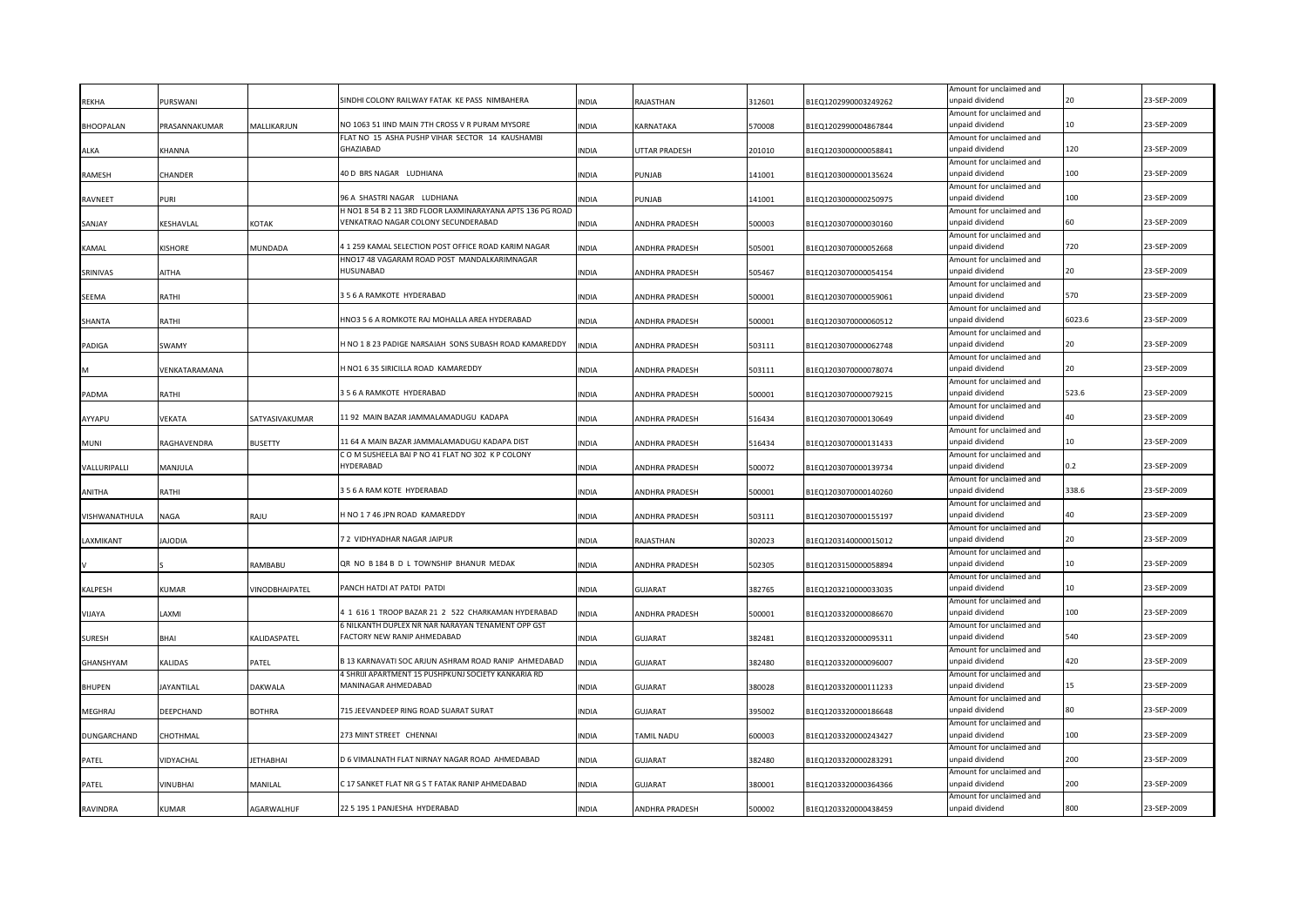|                  |                |                 | SINDHI COLONY RAILWAY FATAK KE PASS NIMBAHERA                                    |              |                       |        |                      | Amount for unclaimed and                    |        | 23-SEP-2009 |
|------------------|----------------|-----------------|----------------------------------------------------------------------------------|--------------|-----------------------|--------|----------------------|---------------------------------------------|--------|-------------|
| REKHA            | PURSWANI       |                 |                                                                                  | NDIA         | RAJASTHAN             | 312601 | B1EQ1202990003249262 | unpaid dividend<br>Amount for unclaimed and |        |             |
| BHOOPALAN        | PRASANNAKUMAR  | MALLIKARJUN     | NO 1063 51 IIND MAIN 7TH CROSS V R PURAM MYSORE                                  | INDIA        | KARNATAKA             | 570008 | B1EQ1202990004867844 | unpaid dividend                             | 10     | 23-SEP-2009 |
|                  |                |                 | FLAT NO 15 ASHA PUSHP VIHAR SECTOR 14 KAUSHAMBI                                  |              |                       |        |                      | Amount for unclaimed and                    |        |             |
| ALKA             | <b>KHANNA</b>  |                 | <b>GHAZIABAD</b>                                                                 | <b>INDIA</b> | UTTAR PRADESH         | 201010 | B1EQ1203000000058841 | unpaid dividend                             | 120    | 23-SEP-2009 |
|                  |                |                 | 40 D BRS NAGAR LUDHIANA                                                          |              |                       |        |                      | Amount for unclaimed and<br>unpaid dividend | 100    | 23-SEP-2009 |
| RAMESH           | CHANDER        |                 |                                                                                  | <b>INDIA</b> | PUNJAB                | 141001 | B1EQ1203000000135624 | Amount for unclaimed and                    |        |             |
| <b>RAVNEET</b>   | PURI           |                 | 96 A SHASTRI NAGAR LUDHIANA                                                      | INDIA        | PUNJAB                | 141001 | B1EQ1203000000250975 | unpaid dividend                             | 100    | 23-SEP-2009 |
|                  |                |                 | H NO1 8 54 B 2 11 3RD FLOOR LAXMINARAYANA APTS 136 PG ROAD                       |              |                       |        |                      | Amount for unclaimed and                    |        |             |
| SANJAY           | KESHAVLAL      | KOTAK           | VENKATRAO NAGAR COLONY SECUNDERABAD                                              | INDIA        | <b>ANDHRA PRADESH</b> | 500003 | B1EQ1203070000030160 | unpaid dividend                             | 60     | 23-SEP-2009 |
|                  |                |                 | 4 1 259 KAMAL SELECTION POST OFFICE ROAD KARIM NAGAR                             |              |                       |        |                      | Amount for unclaimed and<br>unpaid dividend | 720    | 23-SEP-2009 |
| KAMAL            | <b>KISHORE</b> | MUNDADA         | HNO17 48 VAGARAM ROAD POST MANDALKARIMNAGAR                                      | INDIA        | ANDHRA PRADESH        | 505001 | B1EQ1203070000052668 | Amount for unclaimed and                    |        |             |
| SRINIVAS         | AITHA          |                 | HUSUNABAD                                                                        | <b>INDIA</b> | ANDHRA PRADESH        | 505467 | B1EQ1203070000054154 | unpaid dividend                             | 20     | 23-SEP-2009 |
|                  |                |                 |                                                                                  |              |                       |        |                      | Amount for unclaimed and                    |        |             |
| SEEMA            | RATHI          |                 | 3 5 6 A RAMKOTE HYDERABAD                                                        | INDIA        | ANDHRA PRADESH        | 500001 | B1EQ1203070000059061 | unpaid dividend                             | 570    | 23-SEP-2009 |
|                  |                |                 | INO3 5 6 A ROMKOTE RAJ MOHALLA AREA HYDERABAD                                    |              |                       |        |                      | Amount for unclaimed and                    | 6023.6 | 23-SEP-2009 |
| SHANTA           | RATHI          |                 |                                                                                  | INDIA        | ANDHRA PRADESH        | 500001 | B1EQ1203070000060512 | inpaid dividend<br>Amount for unclaimed and |        |             |
| PADIGA           | <b>SWAMY</b>   |                 | H NO 1 8 23 PADIGE NARSAIAH SONS SUBASH ROAD KAMAREDDY                           | <b>INDIA</b> | ANDHRA PRADESH        | 503111 | B1EQ1203070000062748 | unpaid dividend                             | 20     | 23-SEP-2009 |
|                  |                |                 |                                                                                  |              |                       |        |                      | Amount for unclaimed and                    |        |             |
| М                | VENKATARAMANA  |                 | H NO1 6 35 SIRICILLA ROAD KAMAREDDY                                              | <b>INDIA</b> | ANDHRA PRADESH        | 503111 | B1EQ1203070000078074 | unpaid dividend                             | 20     | 23-SEP-2009 |
|                  |                |                 |                                                                                  |              |                       |        |                      | Amount for unclaimed and                    |        |             |
| PADMA            | RATHI          |                 | 3 5 6 A RAMKOTE HYDERABAD                                                        | <b>INDIA</b> | ANDHRA PRADESH        | 500001 | B1EQ1203070000079215 | unpaid dividend<br>Amount for unclaimed and | 523.6  | 23-SEP-2009 |
| AYYAPU           | VEKATA         | SATYASIVAKUMAR  | 11 92 MAIN BAZAR JAMMALAMADUGU KADAPA                                            | INDIA        | ANDHRA PRADESH        | 516434 | B1EQ1203070000130649 | unpaid dividend                             | 40     | 23-SEP-2009 |
|                  |                |                 |                                                                                  |              |                       |        |                      | Amount for unclaimed and                    |        |             |
| MUNI             | RAGHAVENDRA    | <b>BUSETTY</b>  | 11 64 A MAIN BAZAR JAMMALAMADUGU KADAPA DIST                                     | <b>INDIA</b> | ANDHRA PRADESH        | 516434 | B1EQ1203070000131433 | unpaid dividend                             | 10     | 23-SEP-2009 |
|                  |                |                 | COM SUSHEELA BAI P NO 41 FLAT NO 302 K P COLONY                                  |              |                       |        |                      | Amount for unclaimed and                    |        |             |
| VALLURIPALLI     | MANJULA        |                 | HYDERABAD                                                                        | INDIA        | ANDHRA PRADESH        | 500072 | B1EQ1203070000139734 | unpaid dividend                             | 0.2    | 23-SEP-2009 |
| ANITHA           | RATHI          |                 | 3 5 6 A RAM KOTE HYDERABAD                                                       | INDIA        | ANDHRA PRADESH        | 500001 | B1EQ1203070000140260 | Amount for unclaimed and<br>unpaid dividend | 338.6  | 23-SEP-2009 |
|                  |                |                 |                                                                                  |              |                       |        |                      | Amount for unclaimed and                    |        |             |
| VISHWANATHULA    | NAGA           | RAJU            | I NO 1 7 46 JPN ROAD KAMAREDDY                                                   | INDIA        | <b>ANDHRA PRADESH</b> | 503111 | B1EQ1203070000155197 | unpaid dividend                             | 40     | 23-SEP-2009 |
|                  |                |                 |                                                                                  |              |                       |        |                      | Amount for unclaimed and                    |        |             |
| LAXMIKANT        | AIODIA         |                 | 7 2 VIDHYADHAR NAGAR JAIPUR                                                      | INDIA        | RAJASTHAN             | 302023 | B1EQ1203140000015012 | unpaid dividend                             |        | 23-SEP-2009 |
|                  |                | RAMBABU         | QR NO B 184 B D L TOWNSHIP BHANUR MEDAK                                          | <b>INDIA</b> | ANDHRA PRADESH        | 502305 | B1EQ1203150000058894 | Amount for unclaimed and<br>unpaid dividend | 10     | 23-SEP-2009 |
|                  |                |                 |                                                                                  |              |                       |        |                      | Amount for unclaimed and                    |        |             |
| KALPESH          | KUMAR          | VINODBHAIPATEL  | PANCH HATDI AT PATDI PATDI                                                       | <b>INDIA</b> | <b>GUJARAT</b>        | 382765 | B1EQ1203210000033035 | unpaid dividend                             | 10     | 23-SEP-2009 |
|                  |                |                 |                                                                                  |              |                       |        |                      | Amount for unclaimed and                    |        |             |
| VIJAYA           | LAXMI          |                 | 1 1 616 1 TROOP BAZAR 21 2 522 CHARKAMAN HYDERABAD                               | <b>INDIA</b> | ANDHRA PRADESH        | 500001 | B1EQ1203320000086670 | unpaid dividend                             | 100    | 23-SEP-2009 |
| <b>SURESH</b>    | BHAI           | KALIDASPATEL    | 6 NILKANTH DUPLEX NR NAR NARAYAN TENAMENT OPP GST<br>FACTORY NEW RANIP AHMEDABAD | INDIA        | <b>GUJARAT</b>        | 382481 | B1EQ1203320000095311 | Amount for unclaimed and<br>unpaid dividend | 540    | 23-SEP-2009 |
|                  |                |                 |                                                                                  |              |                       |        |                      | Amount for unclaimed and                    |        |             |
| <b>GHANSHYAM</b> | <b>KALIDAS</b> | PATEL           | 313 KARNAVATI SOC ARJUN ASHRAM ROAD RANIP AHMEDABAD                              | <b>INDIA</b> | <b>GUJARAT</b>        | 382480 | B1EQ1203320000096007 | unpaid dividend                             | 420    | 23-SEP-2009 |
|                  |                |                 | 4 SHRIJI APARTMENT 15 PUSHPKUNJ SOCIETY KANKARIA RD                              |              |                       |        |                      | Amount for unclaimed and                    |        |             |
| BHUPEN           | JAYANTILAL     | DAKWALA         | <b>MANINAGAR AHMEDABAD</b>                                                       | INDIA        | <b>GUJARAT</b>        | 380028 | B1EQ1203320000111233 | unpaid dividend                             | 15     | 23-SEP-2009 |
|                  |                |                 | 715 JEEVANDEEP RING ROAD SUARAT SURAT                                            |              |                       |        |                      | Amount for unclaimed and<br>unpaid dividend |        | 23-SEP-2009 |
| MEGHRAJ          | DEEPCHAND      | BOTHRA          |                                                                                  | INDIA        | <b>GUJARAT</b>        | 395002 | B1EQ1203320000186648 | Amount for unclaimed and                    |        |             |
| DUNGARCHAND      | CHOTHMAL       |                 | 273 MINT STREET CHENNAI                                                          | <b>INDIA</b> | TAMIL NADU            | 600003 | B1EQ1203320000243427 | unpaid dividend                             | 100    | 23-SEP-2009 |
|                  |                |                 |                                                                                  |              |                       |        |                      | Amount for unclaimed and                    |        |             |
| PATEL            | VIDYACHAL      | <b>ETHABHAI</b> | D 6 VIMALNATH FLAT NIRNAY NAGAR ROAD AHMEDABAD                                   | <b>NDIA</b>  | <b>GUJARAT</b>        | 382480 | B1EQ1203320000283291 | inpaid dividend                             | 200    | 23-SEP-2009 |
|                  |                |                 |                                                                                  |              |                       |        |                      | Amount for unclaimed and                    |        |             |
| PATEL            | VINUBHAI       | MANILAL         | C 17 SANKET FLAT NR G S T FATAK RANIP AHMEDABAD                                  | <b>INDIA</b> | <b>GUJARAT</b>        | 380001 | B1EQ1203320000364366 | unpaid dividend                             | 200    | 23-SEP-2009 |
| RAVINDRA         | KUMAR          | AGARWALHUF      | 22 5 195 1 PANJESHA HYDERABAD                                                    | <b>NDIA</b>  | ANDHRA PRADESH        | 500002 | B1EQ1203320000438459 | Amount for unclaimed and<br>unpaid dividend | 800    | 23-SEP-2009 |
|                  |                |                 |                                                                                  |              |                       |        |                      |                                             |        |             |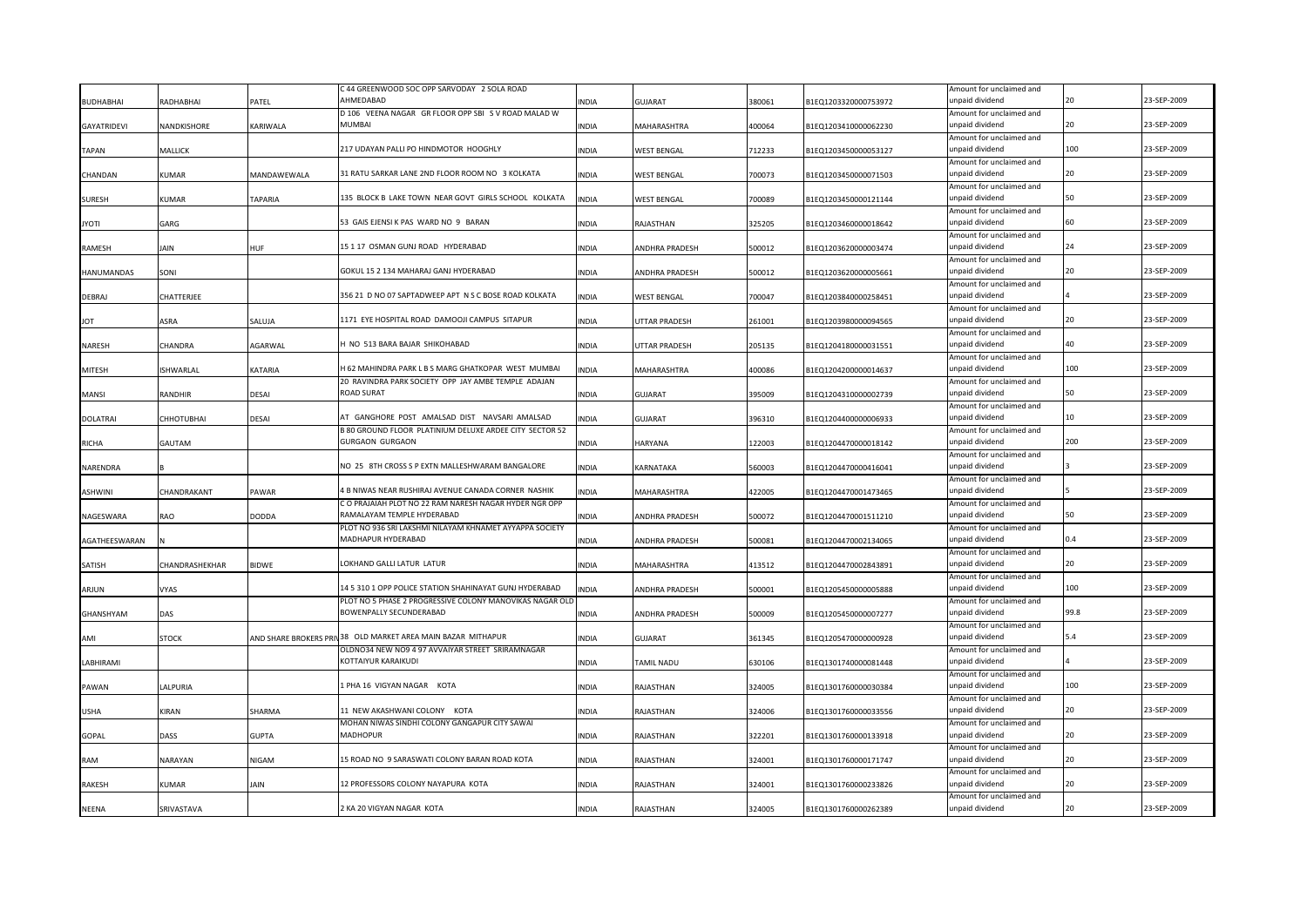|                    |                  |                | C 44 GREENWOOD SOC OPP SARVODAY 2 SOLA ROAD                                                                   |              |                    |        |                      | Amount for unclaimed and                    |      |             |
|--------------------|------------------|----------------|---------------------------------------------------------------------------------------------------------------|--------------|--------------------|--------|----------------------|---------------------------------------------|------|-------------|
| <b>BUDHABHAI</b>   | RADHABHAI        | PATEL          | ΔΗΜΕΠΔΒΑΠ                                                                                                     | <b>INDIA</b> | GUJARAT            | 380061 | B1EQ1203320000753972 | unpaid dividend                             |      | 23-SEP-2009 |
|                    |                  |                | D 106 VEENA NAGAR GR FLOOR OPP SBI S V ROAD MALAD W                                                           |              |                    |        |                      | Amount for unclaimed and                    | 20   |             |
| <b>GAYATRIDEVI</b> | NANDKISHORE      | KARIWALA       | <b>MUMBAI</b>                                                                                                 | <b>INDIA</b> | MAHARASHTRA        | 400064 | B1EQ1203410000062230 | unpaid dividend                             |      | 23-SEP-2009 |
| <b>TAPAN</b>       | MALLICK          |                | 217 UDAYAN PALLI PO HINDMOTOR HOOGHLY                                                                         | <b>INDIA</b> | <b>WEST BENGAL</b> | 712233 | B1EQ1203450000053127 | Amount for unclaimed and<br>unpaid dividend | 100  | 23-SEP-2009 |
|                    |                  |                |                                                                                                               |              |                    |        |                      | Amount for unclaimed and                    |      |             |
| CHANDAN            | KUMAR            | MANDAWEWALA    | 31 RATU SARKAR LANE 2ND FLOOR ROOM NO 3 KOLKATA                                                               | INDIA        | <b>WEST BENGAL</b> | 700073 | B1EQ1203450000071503 | unpaid dividend                             | 20   | 23-SEP-2009 |
|                    |                  |                |                                                                                                               |              |                    |        |                      | Amount for unclaimed and                    |      |             |
| <b>SURESH</b>      | KUMAR            | <b>TAPARIA</b> | 135 BLOCK B LAKE TOWN NEAR GOVT GIRLS SCHOOL KOLKATA                                                          | <b>INDIA</b> | <b>WEST BENGAL</b> | 700089 | B1EQ1203450000121144 | unpaid dividend                             |      | 23-SEP-2009 |
|                    |                  |                |                                                                                                               |              |                    |        |                      | Amount for unclaimed and                    |      |             |
| <b>ITOYL</b>       | GARG             |                | 53 GAIS EJENSI K PAS WARD NO 9 BARAN                                                                          | INDIA        | RAJASTHAN          | 325205 | B1EQ1203460000018642 | unpaid dividend                             |      | 23-SEP-2009 |
|                    |                  | <b>HUF</b>     | 15 1 17 OSMAN GUNJ ROAD HYDERABAD                                                                             |              |                    |        |                      | Amount for unclaimed and<br>unpaid dividend |      | 23-SEP-2009 |
| RAMESH             | Jain             |                |                                                                                                               | <b>INDIA</b> | ANDHRA PRADESH     | 500012 | B1EQ1203620000003474 | Amount for unclaimed and                    |      |             |
| HANUMANDAS         | SONI             |                | GOKUL 15 2 134 MAHARAJ GANJ HYDERABAD                                                                         | <b>INDIA</b> | ANDHRA PRADESH     | 500012 | B1EQ1203620000005661 | unpaid dividend                             | 20   | 23-SEP-2009 |
|                    |                  |                |                                                                                                               |              |                    |        |                      | Amount for unclaimed and                    |      |             |
| DEBRAJ             | CHATTERJEE       |                | 356 21 D NO 07 SAPTADWEEP APT N S C BOSE ROAD KOLKATA                                                         | <b>INDIA</b> | WEST BENGAL        | 700047 | B1EQ1203840000258451 | unpaid dividend                             |      | 23-SEP-2009 |
|                    |                  |                |                                                                                                               |              |                    |        |                      | Amount for unclaimed and                    |      |             |
| TOL                | ASRA             | SALUJA         | 1171 EYE HOSPITAL ROAD DAMOOJI CAMPUS SITAPUR                                                                 | <b>INDIA</b> | UTTAR PRADESH      | 261001 | B1EQ1203980000094565 | unpaid dividend                             | 20   | 23-SEP-2009 |
|                    |                  |                |                                                                                                               |              |                    |        |                      | Amount for unclaimed and                    |      |             |
| <b>NARESH</b>      | CHANDRA          | AGARWAL        | H NO 513 BARA BAJAR SHIKOHABAD                                                                                | <b>INDIA</b> | UTTAR PRADESH      | 205135 | B1EQ1204180000031551 | unpaid dividend                             | 40   | 23-SEP-2009 |
|                    |                  |                | H 62 MAHINDRA PARK L B S MARG GHATKOPAR WEST MUMBAI                                                           |              |                    |        |                      | Amount for unclaimed and<br>unpaid dividend | 100  | 23-SEP-2009 |
| <b>MITESH</b>      | <b>ISHWARLAL</b> | <b>KATARIA</b> | 20 RAVINDRA PARK SOCIETY OPP JAY AMBE TEMPLE ADAJAN                                                           | <b>INDIA</b> | MAHARASHTRA        | 400086 | B1EQ1204200000014637 | Amount for unclaimed and                    |      |             |
| <b>MANSI</b>       | RANDHIR          | DESAI          | ROAD SURAT                                                                                                    | <b>INDIA</b> | <b>GUJARAT</b>     | 395009 | B1EQ1204310000002739 | unpaid dividend                             | 50   | 23-SEP-2009 |
|                    |                  |                |                                                                                                               |              |                    |        |                      | Amount for unclaimed and                    |      |             |
| <b>DOLATRAI</b>    | CHHOTUBHAI       | DESAI          | AT GANGHORE POST AMALSAD DIST NAVSARI AMALSAD                                                                 | <b>INDIA</b> | <b>GUJARAT</b>     | 396310 | B1EQ1204400000006933 | unpaid dividend                             | 10   | 23-SEP-2009 |
|                    |                  |                | B 80 GROUND FLOOR PLATINIUM DELUXE ARDEE CITY SECTOR 52                                                       |              |                    |        |                      | Amount for unclaimed and                    |      |             |
| RICHA              | GAUTAM           |                | <b>GURGAON GURGAON</b>                                                                                        | INDIA        | HARYANA            | 122003 | B1EQ1204470000018142 | unpaid dividend                             | 200  | 23-SEP-2009 |
|                    |                  |                |                                                                                                               |              |                    |        |                      | Amount for unclaimed and                    |      |             |
| NARENDRA           |                  |                | NO 25 8TH CROSS S P EXTN MALLESHWARAM BANGALORE                                                               | <b>INDIA</b> | KARNATAKA          | 560003 | B1EQ1204470000416041 | unpaid dividend                             |      | 23-SEP-2009 |
|                    |                  |                |                                                                                                               |              |                    |        |                      | Amount for unclaimed and                    |      | 23-SEP-2009 |
| <b>ASHWINI</b>     | CHANDRAKANT      | PAWAR          | 4 B NIWAS NEAR RUSHIRAJ AVENUE CANADA CORNER NASHIK<br>C O PRAJAIAH PLOT NO 22 RAM NARESH NAGAR HYDER NGR OPP | <b>INDIA</b> | MAHARASHTRA        | 422005 | B1EQ1204470001473465 | unpaid dividend<br>Amount for unclaimed and |      |             |
| NAGESWARA          | RAO              | <b>DODDA</b>   | RAMALAYAM TEMPLE HYDERABAD                                                                                    | <b>INDIA</b> | ANDHRA PRADESH     | 500072 | B1EQ1204470001511210 | unpaid dividend                             |      | 23-SEP-2009 |
|                    |                  |                | PLOT NO 936 SRI LAKSHMI NILAYAM KHNAMET AYYAPPA SOCIETY                                                       |              |                    |        |                      | Amount for unclaimed and                    |      |             |
| AGATHEESWARAN      |                  |                | MADHAPUR HYDERABAD                                                                                            | <b>INDIA</b> | ANDHRA PRADESH     | 500081 | B1EQ1204470002134065 | unpaid dividend                             | 0.4  | 23-SEP-2009 |
|                    |                  |                |                                                                                                               |              |                    |        |                      | Amount for unclaimed and                    |      |             |
| SATISH             | CHANDRASHEKHAR   | <b>BIDWE</b>   | LOKHAND GALLI LATUR LATUR                                                                                     | INDIA        | MAHARASHTRA        | 413512 | B1EQ1204470002843891 | unpaid dividend                             |      | 23-SEP-2009 |
|                    |                  |                |                                                                                                               |              |                    |        |                      | Amount for unclaimed and                    |      |             |
| ARJUN              | VYAS             |                | 14 5 310 1 OPP POLICE STATION SHAHINAYAT GUNJ HYDERABAD                                                       | INDIA        | ANDHRA PRADESH     | 500001 | B1EQ1205450000005888 | unpaid dividend                             | 100  | 23-SEP-2009 |
|                    |                  |                | PLOT NO 5 PHASE 2 PROGRESSIVE COLONY MANOVIKAS NAGAR OLD                                                      |              |                    |        |                      | Amount for unclaimed and                    |      |             |
| GHANSHYAM          | DAS              |                | BOWENPALLY SECUNDERABAD                                                                                       | INDIA        | ANDHRA PRADESH     | 500009 | B1EQ1205450000007277 | unpaid dividend                             | 99.8 | 23-SEP-2009 |
| AMI                | STOCK            |                | AND SHARE BROKERS PRIV 38 OLD MARKET AREA MAIN BAZAR MITHAPUR                                                 | INDIA        | <b>GUJARAT</b>     | 361345 | B1EQ1205470000000928 | Amount for unclaimed and<br>unpaid dividend |      | 23-SEP-2009 |
|                    |                  |                | OLDNO34 NEW NO9 4 97 AVVAIYAR STREET SRIRAMNAGAR                                                              |              |                    |        |                      | Amount for unclaimed and                    |      |             |
| LABHIRAMI          |                  |                | KOTTAIYUR KARAIKUDI                                                                                           | <b>INDIA</b> | TAMIL NADU         | 630106 | B1EQ1301740000081448 | unpaid dividend                             |      | 23-SEP-2009 |
|                    |                  |                |                                                                                                               |              |                    |        |                      | Amount for unclaimed and                    |      |             |
| PAWAN              | LALPURIA         |                | LPHA 16 VIGYAN NAGAR KOTA                                                                                     | <b>INDIA</b> | RAJASTHAN          | 324005 | B1EQ1301760000030384 | unpaid dividend                             | 100  | 23-SEP-2009 |
|                    |                  |                |                                                                                                               |              |                    |        |                      | Amount for unclaimed and                    |      |             |
| <b>USHA</b>        | (IRAN            | SHARMA         | 11 NEW AKASHWANI COLONY KOTA                                                                                  | INDIA        | RAJASTHAN          | 324006 | B1EQ1301760000033556 | unpaid dividend                             |      | 23-SEP-2009 |
|                    |                  |                | MOHAN NIWAS SINDHI COLONY GANGAPUR CITY SAWAI                                                                 |              |                    |        |                      | Amount for unclaimed and                    |      |             |
| <b>GOPAL</b>       | DASS             | <b>GUPTA</b>   | <b>MADHOPUR</b>                                                                                               | <b>INDIA</b> | RAJASTHAN          | 322201 | B1EQ1301760000133918 | unpaid dividend                             | 20   | 23-SEP-2009 |
| RAM                | NARAYAN          | NIGAM          | 15 ROAD NO 9 SARASWATI COLONY BARAN ROAD KOTA                                                                 | <b>INDIA</b> | RAJASTHAN          | 324001 | B1EQ1301760000171747 | Amount for unclaimed and<br>unpaid dividend | 20   | 23-SEP-2009 |
|                    |                  |                |                                                                                                               |              |                    |        |                      | Amount for unclaimed and                    |      |             |
| <b>RAKESH</b>      | <b>UMAR</b>      | JAIN           | 12 PROFESSORS COLONY NAYAPURA KOTA                                                                            | <b>INDIA</b> | RAJASTHAN          | 324001 | B1EQ1301760000233826 | unpaid dividend                             | 20   | 23-SEP-2009 |
|                    |                  |                |                                                                                                               |              |                    |        |                      | Amount for unclaimed and                    |      |             |
| NEENA              | SRIVASTAVA       |                | 2 KA 20 VIGYAN NAGAR KOTA                                                                                     | <b>INDIA</b> | RAJASTHAN          | 324005 | B1EQ1301760000262389 | unpaid dividend                             | 20   | 23-SEP-2009 |
|                    |                  |                |                                                                                                               |              |                    |        |                      |                                             |      |             |